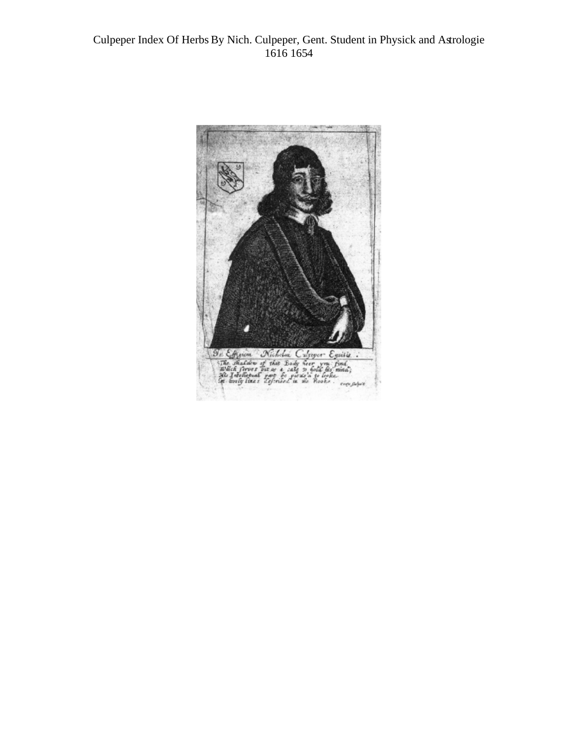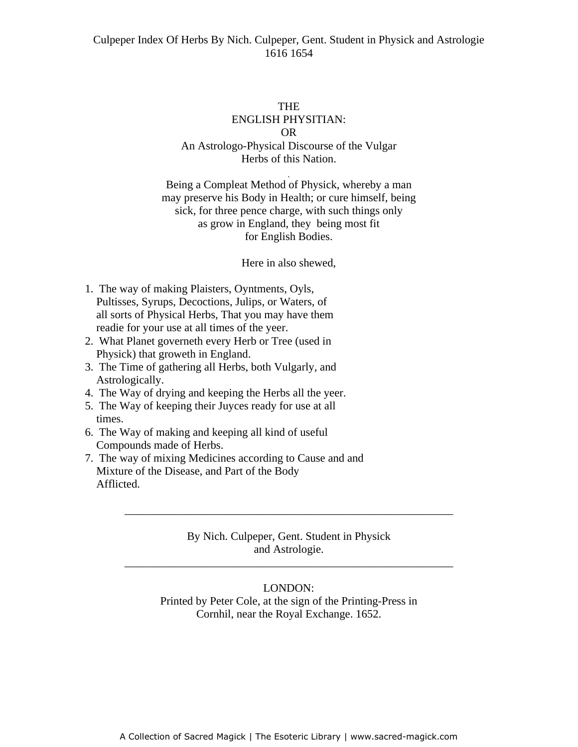#### THE

# ENGLISH PHYSITIAN: OR An Astrologo-Physical Discourse of the Vulgar Herbs of this Nation.

-

Being a Compleat Method of Physick, whereby a man may preserve his Body in Health; or cure himself, being sick, for three pence charge, with such things only as grow in England, they being most fit for English Bodies.

Here in also shewed,

- 1. The way of making Plaisters, Oyntments, Oyls, Pultisses, Syrups, Decoctions, Julips, or Waters, of all sorts of Physical Herbs, That you may have them readie for your use at all times of the yeer.
- 2. What Planet governeth every Herb or Tree (used in Physick) that groweth in England.
- 3. The Time of gathering all Herbs, both Vulgarly, and Astrologically.
- 4. The Way of drying and keeping the Herbs all the yeer.
- 5. The Way of keeping their Juyces ready for use at all times.
- 6. The Way of making and keeping all kind of useful Compounds made of Herbs.
- 7. The way of mixing Medicines according to Cause and and Mixture of the Disease, and Part of the Body Afflicted.

# By Nich. Culpeper, Gent. Student in Physick and Astrologie.

\_\_\_\_\_\_\_\_\_\_\_\_\_\_\_\_\_\_\_\_\_\_\_\_\_\_\_\_\_\_\_\_\_\_\_\_\_\_\_\_\_\_\_\_\_\_\_\_\_\_\_\_\_\_\_\_\_\_

\_\_\_\_\_\_\_\_\_\_\_\_\_\_\_\_\_\_\_\_\_\_\_\_\_\_\_\_\_\_\_\_\_\_\_\_\_\_\_\_\_\_\_\_\_\_\_\_\_\_\_\_\_\_\_\_\_\_

### LONDON:

Printed by Peter Cole, at the sign of the Printing-Press in Cornhil, near the Royal Exchange. 1652.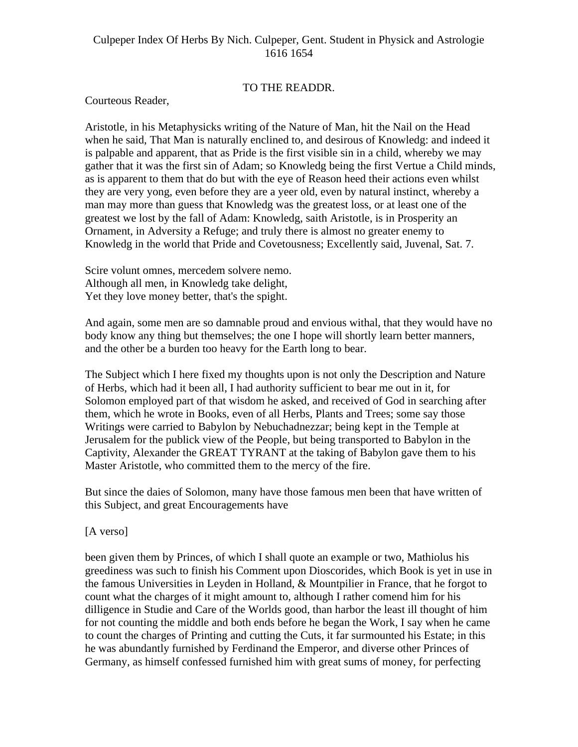### TO THE READDR.

Courteous Reader,

Aristotle, in his Metaphysicks writing of the Nature of Man, hit the Nail on the Head when he said, That Man is naturally enclined to, and desirous of Knowledg: and indeed it is palpable and apparent, that as Pride is the first visible sin in a child, whereby we may gather that it was the first sin of Adam; so Knowledg being the first Vertue a Child minds, as is apparent to them that do but with the eye of Reason heed their actions even whilst they are very yong, even before they are a yeer old, even by natural instinct, whereby a man may more than guess that Knowledg was the greatest loss, or at least one of the greatest we lost by the fall of Adam: Knowledg, saith Aristotle, is in Prosperity an Ornament, in Adversity a Refuge; and truly there is almost no greater enemy to Knowledg in the world that Pride and Covetousness; Excellently said, Juvenal, Sat. 7.

Scire volunt omnes, mercedem solvere nemo. Although all men, in Knowledg take delight, Yet they love money better, that's the spight.

And again, some men are so damnable proud and envious withal, that they would have no body know any thing but themselves; the one I hope will shortly learn better manners, and the other be a burden too heavy for the Earth long to bear.

The Subject which I here fixed my thoughts upon is not only the Description and Nature of Herbs, which had it been all, I had authority sufficient to bear me out in it, for Solomon employed part of that wisdom he asked, and received of God in searching after them, which he wrote in Books, even of all Herbs, Plants and Trees; some say those Writings were carried to Babylon by Nebuchadnezzar; being kept in the Temple at Jerusalem for the publick view of the People, but being transported to Babylon in the Captivity, Alexander the GREAT TYRANT at the taking of Babylon gave them to his Master Aristotle, who committed them to the mercy of the fire.

But since the daies of Solomon, many have those famous men been that have written of this Subject, and great Encouragements have

[A verso]

been given them by Princes, of which I shall quote an example or two, Mathiolus his greediness was such to finish his Comment upon Dioscorides, which Book is yet in use in the famous Universities in Leyden in Holland, & Mountpilier in France, that he forgot to count what the charges of it might amount to, although I rather comend him for his dilligence in Studie and Care of the Worlds good, than harbor the least ill thought of him for not counting the middle and both ends before he began the Work, I say when he came to count the charges of Printing and cutting the Cuts, it far surmounted his Estate; in this he was abundantly furnished by Ferdinand the Emperor, and diverse other Princes of Germany, as himself confessed furnished him with great sums of money, for perfecting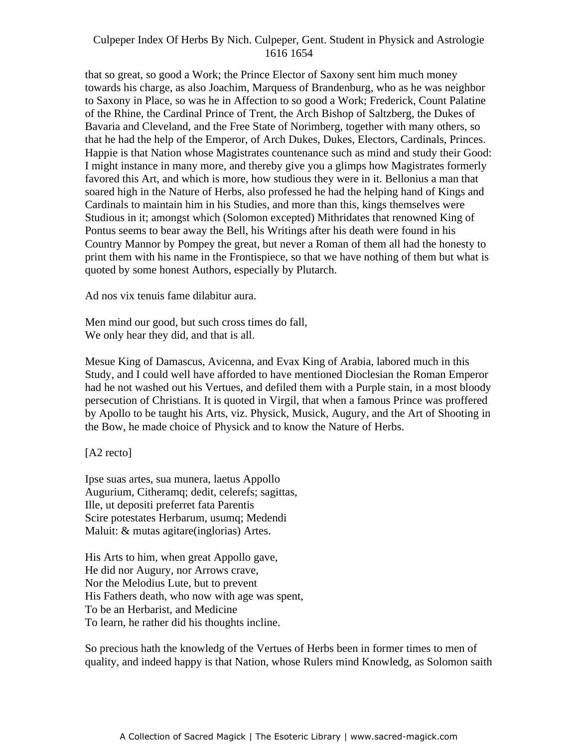that so great, so good a Work; the Prince Elector of Saxony sent him much money towards his charge, as also Joachim, Marquess of Brandenburg, who as he was neighbor to Saxony in Place, so was he in Affection to so good a Work; Frederick, Count Palatine of the Rhine, the Cardinal Prince of Trent, the Arch Bishop of Saltzberg, the Dukes of Bavaria and Cleveland, and the Free State of Norimberg, together with many others, so that he had the help of the Emperor, of Arch Dukes, Dukes, Electors, Cardinals, Princes. Happie is that Nation whose Magistrates countenance such as mind and study their Good: I might instance in many more, and thereby give you a glimps how Magistrates formerly favored this Art, and which is more, how studious they were in it. Bellonius a man that soared high in the Nature of Herbs, also professed he had the helping hand of Kings and Cardinals to maintain him in his Studies, and more than this, kings themselves were Studious in it; amongst which (Solomon excepted) Mithridates that renowned King of Pontus seems to bear away the Bell, his Writings after his death were found in his Country Mannor by Pompey the great, but never a Roman of them all had the honesty to print them with his name in the Frontispiece, so that we have nothing of them but what is quoted by some honest Authors, especially by Plutarch.

Ad nos vix tenuis fame dilabitur aura.

Men mind our good, but such cross times do fall, We only hear they did, and that is all.

Mesue King of Damascus, Avicenna, and Evax King of Arabia, labored much in this Study, and I could well have afforded to have mentioned Dioclesian the Roman Emperor had he not washed out his Vertues, and defiled them with a Purple stain, in a most bloody persecution of Christians. It is quoted in Virgil, that when a famous Prince was proffered by Apollo to be taught his Arts, viz. Physick, Musick, Augury, and the Art of Shooting in the Bow, he made choice of Physick and to know the Nature of Herbs.

[A2 recto]

Ipse suas artes, sua munera, laetus Appollo Augurium, Citheramq; dedit, celerefs; sagittas, Ille, ut depositi preferret fata Parentis Scire potestates Herbarum, usumq; Medendi Maluit: & mutas agitare(inglorias) Artes.

His Arts to him, when great Appollo gave, He did nor Augury, nor Arrows crave, Nor the Melodius Lute, but to prevent His Fathers death, who now with age was spent, To be an Herbarist, and Medicine To learn, he rather did his thoughts incline.

So precious hath the knowledg of the Vertues of Herbs been in former times to men of quality, and indeed happy is that Nation, whose Rulers mind Knowledg, as Solomon saith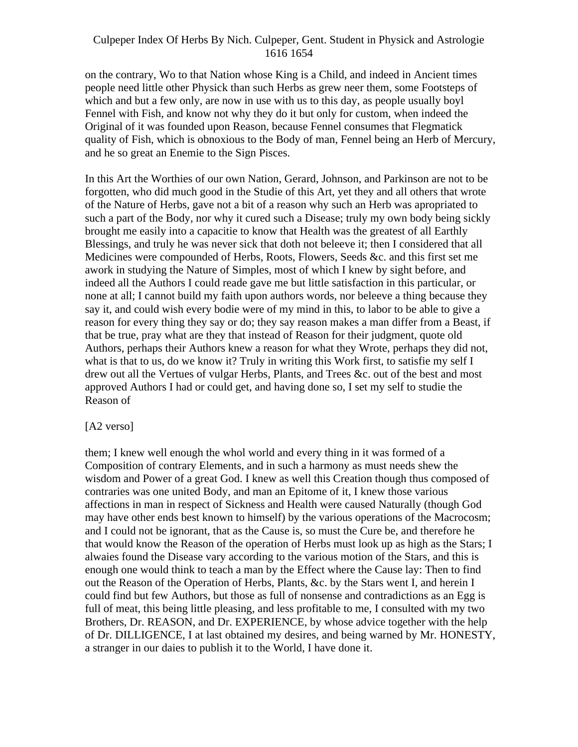on the contrary, Wo to that Nation whose King is a Child, and indeed in Ancient times people need little other Physick than such Herbs as grew neer them, some Footsteps of which and but a few only, are now in use with us to this day, as people usually boyl Fennel with Fish, and know not why they do it but only for custom, when indeed the Original of it was founded upon Reason, because Fennel consumes that Flegmatick quality of Fish, which is obnoxious to the Body of man, Fennel being an Herb of Mercury, and he so great an Enemie to the Sign Pisces.

In this Art the Worthies of our own Nation, Gerard, Johnson, and Parkinson are not to be forgotten, who did much good in the Studie of this Art, yet they and all others that wrote of the Nature of Herbs, gave not a bit of a reason why such an Herb was apropriated to such a part of the Body, nor why it cured such a Disease; truly my own body being sickly brought me easily into a capacitie to know that Health was the greatest of all Earthly Blessings, and truly he was never sick that doth not beleeve it; then I considered that all Medicines were compounded of Herbs, Roots, Flowers, Seeds &c. and this first set me awork in studying the Nature of Simples, most of which I knew by sight before, and indeed all the Authors I could reade gave me but little satisfaction in this particular, or none at all; I cannot build my faith upon authors words, nor beleeve a thing because they say it, and could wish every bodie were of my mind in this, to labor to be able to give a reason for every thing they say or do; they say reason makes a man differ from a Beast, if that be true, pray what are they that instead of Reason for their judgment, quote old Authors, perhaps their Authors knew a reason for what they Wrote, perhaps they did not, what is that to us, do we know it? Truly in writing this Work first, to satisfie my self I drew out all the Vertues of vulgar Herbs, Plants, and Trees &c. out of the best and most approved Authors I had or could get, and having done so, I set my self to studie the Reason of

### [A2 verso]

them; I knew well enough the whol world and every thing in it was formed of a Composition of contrary Elements, and in such a harmony as must needs shew the wisdom and Power of a great God. I knew as well this Creation though thus composed of contraries was one united Body, and man an Epitome of it, I knew those various affections in man in respect of Sickness and Health were caused Naturally (though God may have other ends best known to himself) by the various operations of the Macrocosm; and I could not be ignorant, that as the Cause is, so must the Cure be, and therefore he that would know the Reason of the operation of Herbs must look up as high as the Stars; I alwaies found the Disease vary according to the various motion of the Stars, and this is enough one would think to teach a man by the Effect where the Cause lay: Then to find out the Reason of the Operation of Herbs, Plants, &c. by the Stars went I, and herein I could find but few Authors, but those as full of nonsense and contradictions as an Egg is full of meat, this being little pleasing, and less profitable to me, I consulted with my two Brothers, Dr. REASON, and Dr. EXPERIENCE, by whose advice together with the help of Dr. DILLIGENCE, I at last obtained my desires, and being warned by Mr. HONESTY, a stranger in our daies to publish it to the World, I have done it.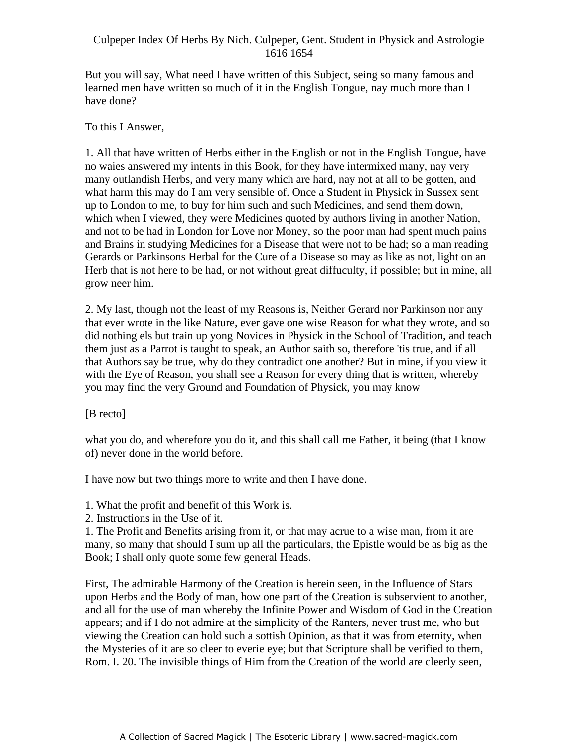But you will say, What need I have written of this Subject, seing so many famous and learned men have written so much of it in the English Tongue, nay much more than I have done?

### To this I Answer,

1. All that have written of Herbs either in the English or not in the English Tongue, have no waies answered my intents in this Book, for they have intermixed many, nay very many outlandish Herbs, and very many which are hard, nay not at all to be gotten, and what harm this may do I am very sensible of. Once a Student in Physick in Sussex sent up to London to me, to buy for him such and such Medicines, and send them down, which when I viewed, they were Medicines quoted by authors living in another Nation, and not to be had in London for Love nor Money, so the poor man had spent much pains and Brains in studying Medicines for a Disease that were not to be had; so a man reading Gerards or Parkinsons Herbal for the Cure of a Disease so may as like as not, light on an Herb that is not here to be had, or not without great diffuculty, if possible; but in mine, all grow neer him.

2. My last, though not the least of my Reasons is, Neither Gerard nor Parkinson nor any that ever wrote in the like Nature, ever gave one wise Reason for what they wrote, and so did nothing els but train up yong Novices in Physick in the School of Tradition, and teach them just as a Parrot is taught to speak, an Author saith so, therefore 'tis true, and if all that Authors say be true, why do they contradict one another? But in mine, if you view it with the Eye of Reason, you shall see a Reason for every thing that is written, whereby you may find the very Ground and Foundation of Physick, you may know

[B recto]

what you do, and wherefore you do it, and this shall call me Father, it being (that I know of) never done in the world before.

I have now but two things more to write and then I have done.

1. What the profit and benefit of this Work is.

2. Instructions in the Use of it.

1. The Profit and Benefits arising from it, or that may acrue to a wise man, from it are many, so many that should I sum up all the particulars, the Epistle would be as big as the Book; I shall only quote some few general Heads.

First, The admirable Harmony of the Creation is herein seen, in the Influence of Stars upon Herbs and the Body of man, how one part of the Creation is subservient to another, and all for the use of man whereby the Infinite Power and Wisdom of God in the Creation appears; and if I do not admire at the simplicity of the Ranters, never trust me, who but viewing the Creation can hold such a sottish Opinion, as that it was from eternity, when the Mysteries of it are so cleer to everie eye; but that Scripture shall be verified to them, Rom. I. 20. The invisible things of Him from the Creation of the world are cleerly seen,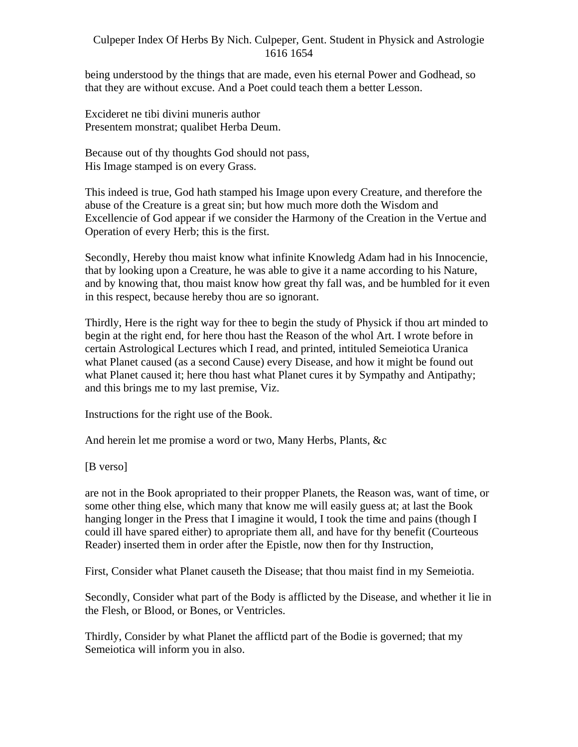being understood by the things that are made, even his eternal Power and Godhead, so that they are without excuse. And a Poet could teach them a better Lesson.

Excideret ne tibi divini muneris author Presentem monstrat; qualibet Herba Deum.

Because out of thy thoughts God should not pass, His Image stamped is on every Grass.

This indeed is true, God hath stamped his Image upon every Creature, and therefore the abuse of the Creature is a great sin; but how much more doth the Wisdom and Excellencie of God appear if we consider the Harmony of the Creation in the Vertue and Operation of every Herb; this is the first.

Secondly, Hereby thou maist know what infinite Knowledg Adam had in his Innocencie, that by looking upon a Creature, he was able to give it a name according to his Nature, and by knowing that, thou maist know how great thy fall was, and be humbled for it even in this respect, because hereby thou are so ignorant.

Thirdly, Here is the right way for thee to begin the study of Physick if thou art minded to begin at the right end, for here thou hast the Reason of the whol Art. I wrote before in certain Astrological Lectures which I read, and printed, intituled Semeiotica Uranica what Planet caused (as a second Cause) every Disease, and how it might be found out what Planet caused it; here thou hast what Planet cures it by Sympathy and Antipathy; and this brings me to my last premise, Viz.

Instructions for the right use of the Book.

And herein let me promise a word or two, Many Herbs, Plants, &c

[B verso]

are not in the Book apropriated to their propper Planets, the Reason was, want of time, or some other thing else, which many that know me will easily guess at; at last the Book hanging longer in the Press that I imagine it would, I took the time and pains (though I could ill have spared either) to apropriate them all, and have for thy benefit (Courteous Reader) inserted them in order after the Epistle, now then for thy Instruction,

First, Consider what Planet causeth the Disease; that thou maist find in my Semeiotia.

Secondly, Consider what part of the Body is afflicted by the Disease, and whether it lie in the Flesh, or Blood, or Bones, or Ventricles.

Thirdly, Consider by what Planet the afflictd part of the Bodie is governed; that my Semeiotica will inform you in also.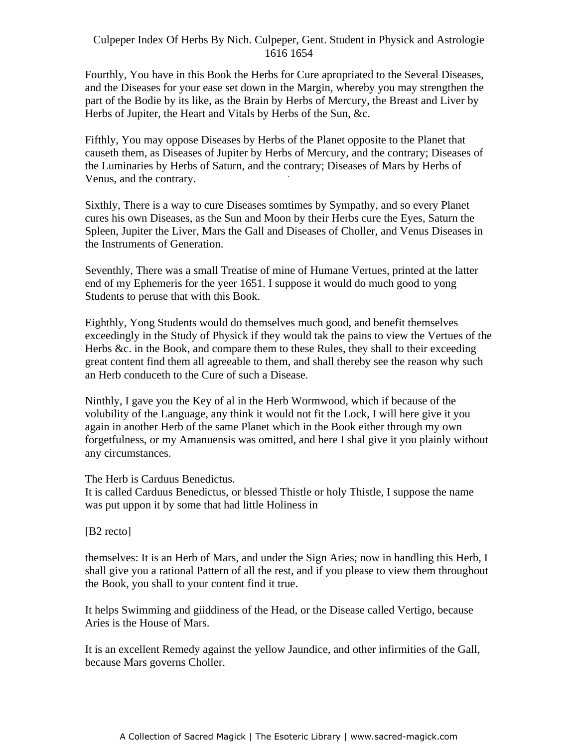Fourthly, You have in this Book the Herbs for Cure apropriated to the Several Diseases, and the Diseases for your ease set down in the Margin, whereby you may strengthen the part of the Bodie by its like, as the Brain by Herbs of Mercury, the Breast and Liver by Herbs of Jupiter, the Heart and Vitals by Herbs of the Sun, &c.

Fifthly, You may oppose Diseases by Herbs of the Planet opposite to the Planet that causeth them, as Diseases of Jupiter by Herbs of Mercury, and the contrary; Diseases of the Luminaries by Herbs of Saturn, and the contrary; Diseases of Mars by Herbs of -Venus, and the contrary.

Sixthly, There is a way to cure Diseases somtimes by Sympathy, and so every Planet cures his own Diseases, as the Sun and Moon by their Herbs cure the Eyes, Saturn the Spleen, Jupiter the Liver, Mars the Gall and Diseases of Choller, and Venus Diseases in the Instruments of Generation.

Seventhly, There was a small Treatise of mine of Humane Vertues, printed at the latter end of my Ephemeris for the yeer 1651. I suppose it would do much good to yong Students to peruse that with this Book.

Eighthly, Yong Students would do themselves much good, and benefit themselves exceedingly in the Study of Physick if they would tak the pains to view the Vertues of the Herbs &c. in the Book, and compare them to these Rules, they shall to their exceeding great content find them all agreeable to them, and shall thereby see the reason why such an Herb conduceth to the Cure of such a Disease.

Ninthly, I gave you the Key of al in the Herb Wormwood, which if because of the volubility of the Language, any think it would not fit the Lock, I will here give it you again in another Herb of the same Planet which in the Book either through my own forgetfulness, or my Amanuensis was omitted, and here I shal give it you plainly without any circumstances.

The Herb is Carduus Benedictus.

It is called Carduus Benedictus, or blessed Thistle or holy Thistle, I suppose the name was put uppon it by some that had little Holiness in

[B2 recto]

themselves: It is an Herb of Mars, and under the Sign Aries; now in handling this Herb, I shall give you a rational Pattern of all the rest, and if you please to view them throughout the Book, you shall to your content find it true.

It helps Swimming and giiddiness of the Head, or the Disease called Vertigo, because Aries is the House of Mars.

It is an excellent Remedy against the yellow Jaundice, and other infirmities of the Gall, because Mars governs Choller.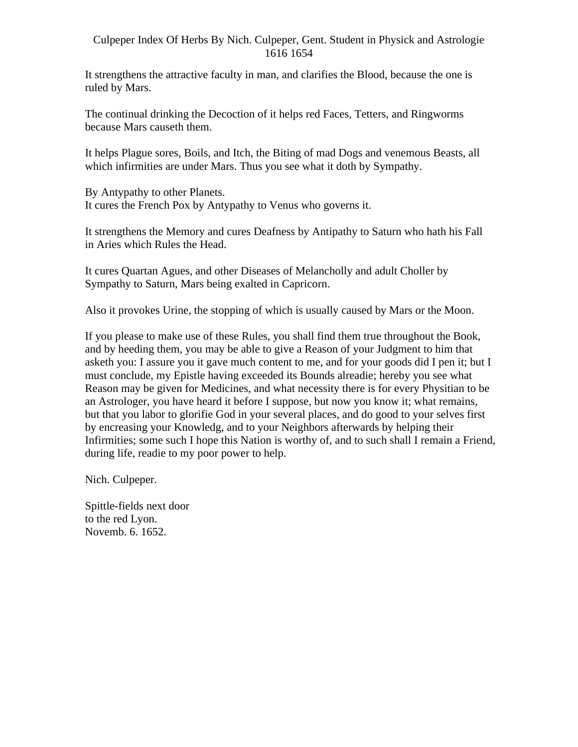It strengthens the attractive faculty in man, and clarifies the Blood, because the one is ruled by Mars.

The continual drinking the Decoction of it helps red Faces, Tetters, and Ringworms because Mars causeth them.

It helps Plague sores, Boils, and Itch, the Biting of mad Dogs and venemous Beasts, all which infirmities are under Mars. Thus you see what it doth by Sympathy.

By Antypathy to other Planets. It cures the French Pox by Antypathy to Venus who governs it.

It strengthens the Memory and cures Deafness by Antipathy to Saturn who hath his Fall in Aries which Rules the Head.

It cures Quartan Agues, and other Diseases of Melancholly and adult Choller by Sympathy to Saturn, Mars being exalted in Capricorn.

Also it provokes Urine, the stopping of which is usually caused by Mars or the Moon.

If you please to make use of these Rules, you shall find them true throughout the Book, and by heeding them, you may be able to give a Reason of your Judgment to him that asketh you: I assure you it gave much content to me, and for your goods did I pen it; but I must conclude, my Epistle having exceeded its Bounds alreadie; hereby you see what Reason may be given for Medicines, and what necessity there is for every Physitian to be an Astrologer, you have heard it before I suppose, but now you know it; what remains, but that you labor to glorifie God in your several places, and do good to your selves first by encreasing your Knowledg, and to your Neighbors afterwards by helping their Infirmities; some such I hope this Nation is worthy of, and to such shall I remain a Friend, during life, readie to my poor power to help.

Nich. Culpeper.

Spittle-fields next door to the red Lyon. Novemb. 6. 1652.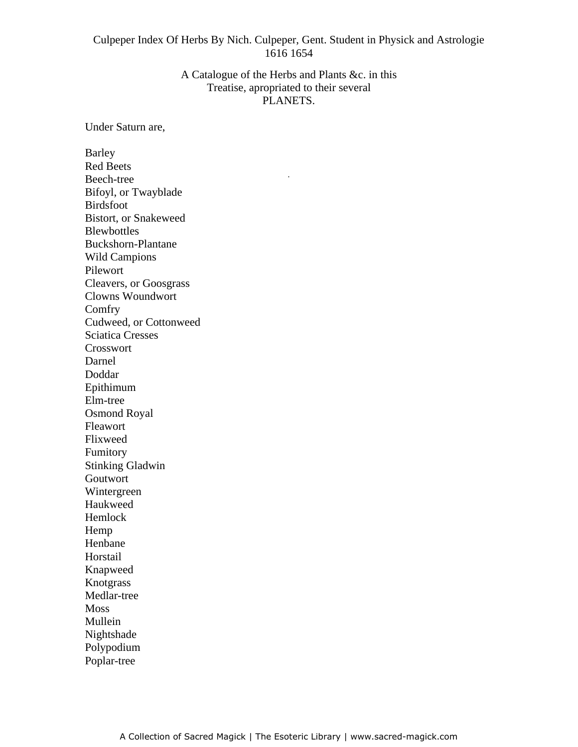### A Catalogue of the Herbs and Plants &c. in this Treatise, apropriated to their several PLANETS.

-

Under Saturn are,

Barley **Example 2018 Barley Example 2018 Barley** Red Beets Beech-tree experience of the state of the state of the state of the state of the state of the state of the state of the state of the state of the state of the state of the state of the state of the state of the state of th Bifoyl, or Twayblade Birdsfoot Bistort, or Snakeweed Blewbottles **Exercise 2008 Blewbottles** Buckshorn-Plantane Wild Campions Pilewort Cleavers, or Goosgrass Clowns Woundwort Comfry **Company** Cudweed, or Cottonweed Sciatica Cresses Crosswort Darnel Doddar Epithimum Elm-tree Osmond Royal Fleawort **Flexwort** Flixweed **Flixweed** Fumitory Stinking Gladwin Goutwort Wintergreen Haukweed Hemlock Hemp Henbane Horstail Knapweed Knotgrass Medlar-tree Moss and the set of the set of the set of the set of the set of the set of the set of the set of the set of the set of the set of the set of the set of the set of the set of the set of the set of the set of the set of the Mullein **Mullein** Nightshade **Nightshade** and the state of the state of the state of the state of the state of the state of the state of the state of the state of the state of the state of the state of the state of the state of the state of Polypodium Poplar-tree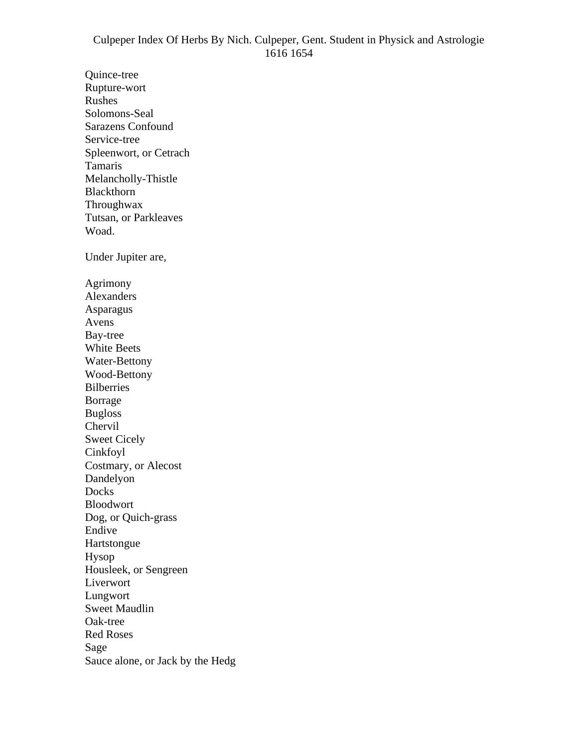Quince-tree **Quince-tree** Rupture-wort Rushes Solomons-Seal Sarazens Confound Service-tree Spleenwort, or Cetrach Tamaris Melancholly-Thistle Blackthorn **Blackthorn** Throughwax Tutsan, or Parkleaves Woad. Under Jupiter are, Agrimony Alexanders Asparagus Avens **Avens** Bay-tree White Beets **Exercise Exercise 2.2** Section 2.1 and 2.2 Section 2.2 and 2.2 Section 2.2 and 2.2 Section 2.2 and 2.2 Section 2.2 and 2.2 Section 2.2 and 2.2 Section 2.2 and 2.2 Section 2.2 and 2.2 Section 2.2 and 2.2 Sectio Water-Bettony Wood-Bettony Bilberries **Borrage** Bugloss Chervil **Exercise Chervil** Sweet Cicely Cinkfoyl Costmary, or Alecost Dandelyon **Exercise Exercise Contract Contract Contract Contract Contract Contract Contract Contract Contract Contract Contract Contract Contract Contract Contract Contract Contract Contract Contract Contract Contract Cont** Docks **Docks** Bloodwort Dog, or Quich-grass Endive the contract of the contract of the contract of the contract of the contract of the contract of the contract of the contract of the contract of the contract of the contract of the contract of the contract of the con Hartstongue Hysop Housleek, or Sengreen Liverwort Lungwort Sweet Maudlin Oak-tree Red Roses Sage and the set of the set of the set of the set of the set of the set of the set of the set of the set of the set of the set of the set of the set of the set of the set of the set of the set of the set of the set of the Sauce alone, or Jack by the Hedg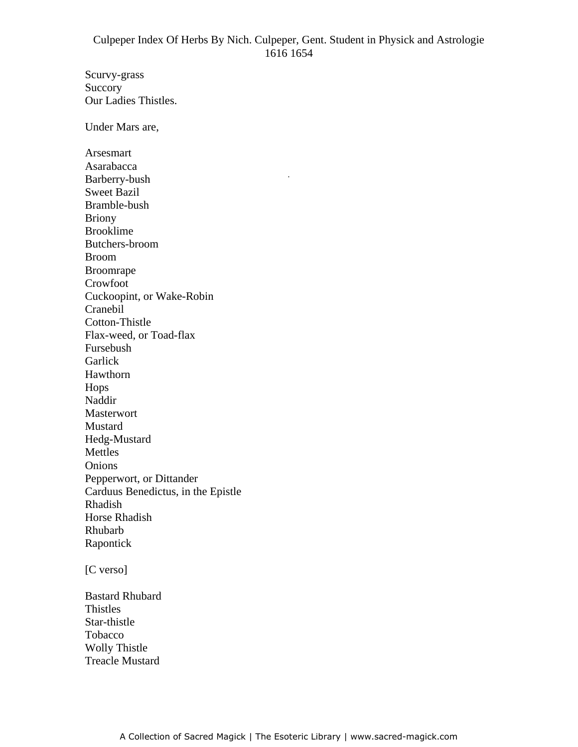-

Scurvy-grass Succory **Successity** Our Ladies Thistles. Under Mars are, Arsesmart Asarabacca Barberry-bush Sweet Bazil Bramble-bush Briony Brooklime **Brooklime** Butchers-broom Broom Broomrape and the state of the state of the state of the state of the state of the state of the state of the state of the state of the state of the state of the state of the state of the state of the state of the state of Crowfoot Cuckoopint, or Wake-Robin Cranebil Cotton-Thistle Flax-weed, or Toad-flax Fursebush **Garlick Garlich Garlich Garlier Garlier Garlier Garlier Garlier Garlier Garlier Garlier Garlier Garlier Garlier Garlier Garlier Garlier Garlier Garlier Garlier Garlier Garlier G** Hawthorn Hops Naddir Masterwort Mustard Hedg-Mustard Mettles Onions Pepperwort, or Dittander Carduus Benedictus, in the Epistle Rhadish Horse Rhadish Rhubarb Rapontick **Executive Service Service Service Service Service Service Service Service Service Service Service Service Service Service Service Service Service Service Service Service Service Service Service Service Service S** 

[C verso]

Bastard Rhubard Thistles Star-thistle **Tobacco** and the state of the state of the state of the state of the state of the state of the state of the state of the state of the state of the state of the state of the state of the state of the state of the state of Wolly Thistle Treacle Mustard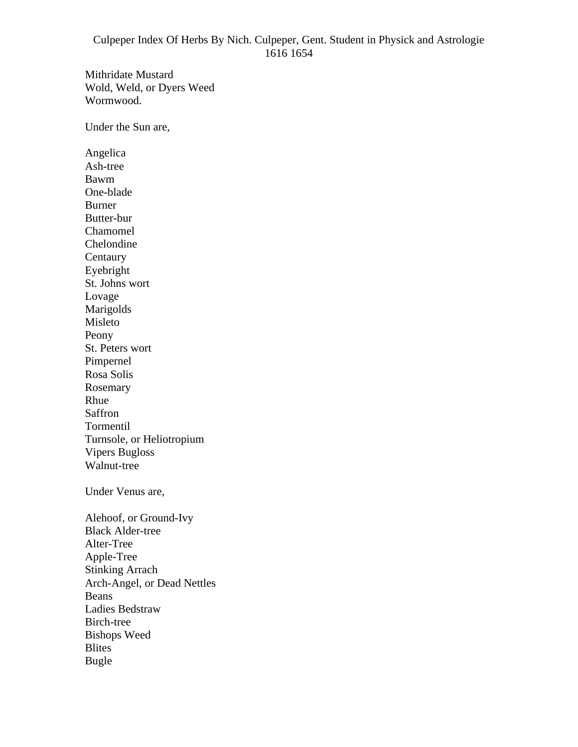Mithridate Mustard Wold, Weld, or Dyers Weed Wormwood.

Under the Sun are,

Angelica Ash-tree Bawm One-blade Burner Butter-bur Chamomel Chelondine **Centaury Centaury Centaury Centaury Centaury Centaury Centaury Centaury Centaury Centaury Centaury Centaury Centaury Centaury Centaury Centaury Centaury Centaury Centaury Centaury C** Eyebright St. Johns wort Lovage Marigolds Misleto Peony St. Peters wort Pimpernel Rosa Solis Rosemary **Executive Service Service Service Service Service Service Service Service Service Service Service Service Service Service Service Service Service Service Service Service Service Service Service Service Service Se** Rhue **Research Community and Security Community** and the second contract of the second contract of the second contract of the second contract of the second contract of the second contract of the second contract of the seco Saffron **Saffron** Tormentil Turnsole, or Heliotropium Vipers Bugloss Walnut-tree Under Venus are, Alehoof, or Ground-Ivy Black Alder-tree Alter-Tree Apple-Tree Stinking Arrach Arch-Angel, or Dead Nettles Beans **Exercise 2018 Beans** Ladies Bedstraw Birch-tree Bishops Weed Blites Bugle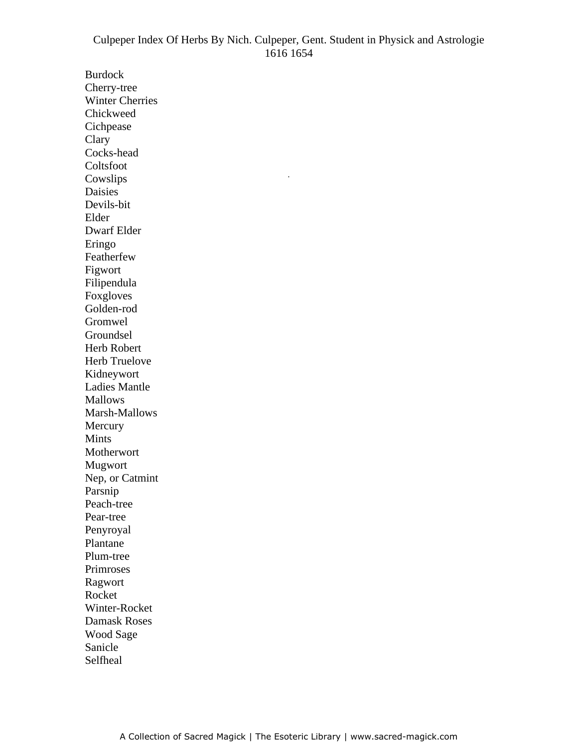-

Burdock Cherry-tree Winter Cherries Chickweed Cichpease Clary Cocks-head Coltsfoot Cowslips Daisies Devils-bit Elder Dwarf Elder Eringo Featherfew Theorem 2012 Separate Section 2012 12:30 Featherfew Theorem 3.1 and 2.1 and 2.1 and 2.1 and 2.1 and 2.1 and 2.1 and 2.1 and 2.1 and 2.1 and 2.1 and 2.1 and 2.1 and 2.1 and 2.1 and 2.1 and 2.1 and 2.1 and 2.1 and Figwort Filipendula Foxgloves Golden-rod Gromwel Groundsel Herb Robert Herb Truelove Kidneywort Ladies Mantle Mallows **Mallows Mallows Mallows Mallows Mallows Mallows Mallows Mallows** Marsh-Mallows Mercury **Execution** Mints and the set of the set of the set of the set of the set of the set of the set of the set of the set of the set of the set of the set of the set of the set of the set of the set of the set of the set of the set of the Motherwort Mugwort Nep, or Catmint Parsnip Peach-tree Pear-tree Penyroyal Plantane **Plantane** Plum-tree Primroses Ragwort Rocket **Rocket** Winter-Rocket Damask Roses Wood Sage Sanicle **Sanction Contract Contract Contract Contract Contract Contract Contract Contract Contract Contract Contract Contract Contract Contract Contract Contract Contract Contract Contract Contract Contract Contract Contra** Selfheal **Selfheal**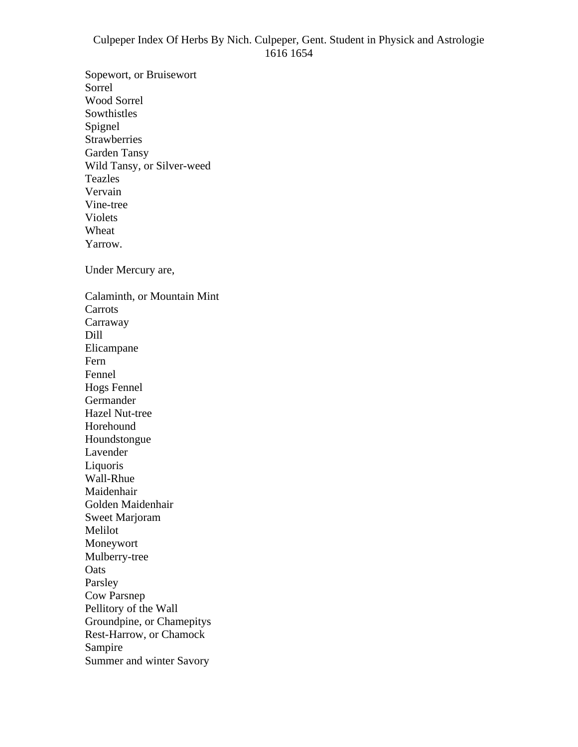Sopewort, or Bruisewort Sorrel Wood Sorrel Sowthistles **Southistles** Spignel and the set of the set of the set of the set of the set of the set of the set of the set of the set of the set of the set of the set of the set of the set of the set of the set of the set of the set of the set of t Strawberries Garden Tansy Wild Tansy, or Silver-weed Teazles Vervain Vine-tree Violets Wheat **Exercise 2008 CONSTRAINING CONSTRAINING CONSTRAINING CONSTRAINING CONSTRAINING CONSTRAINING CONSTRAINING CONSTRAINING CONSTRAINING CONSTRAINING CONSTRAINING CONSTRAINING CONSTRAINING CONSTRAINING CONSTRAINING CONS** Yarrow. Under Mercury are, Calaminth, or Mountain Mint **Carrots** Carraway and the contract of the contract of the contract of the contract of the contract of the contract of the contract of the contract of the contract of the contract of the contract of the contract of the contract of t Dill Elicampane Fern **Frankling Frankling Frankling Frankling Frankling Frankling Frankling Frankling Frankling Frankling Frankling Frankling Frankling Frankling Frankling Frankling Frankling Frankling** Fennel **Fennel** Hogs Fennel Germander Hazel Nut-tree Horehound Houndstongue Lavender and the set of the set of the set of the set of the set of the set of the set of the set of the set of the set of the set of the set of the set of the set of the set of the set of the set of the set of the set of Liquoris Wall-Rhue Maidenhair Golden Maidenhair Sweet Marjoram Melilot Moneywort Mulberry-tree Oats and the contract of the contract of the contract of the contract of the contract of the contract of the contract of the contract of the contract of the contract of the contract of the contract of the contract of the c Parsley **Example 2018** Cow Parsnep Pellitory of the Wall Groundpine, or Chamepitys Rest-Harrow, or Chamock Sampire and the state of the state of the state of the state of the state of the state of the state of the state of the state of the state of the state of the state of the state of the state of the state of the state of th Summer and winter Savory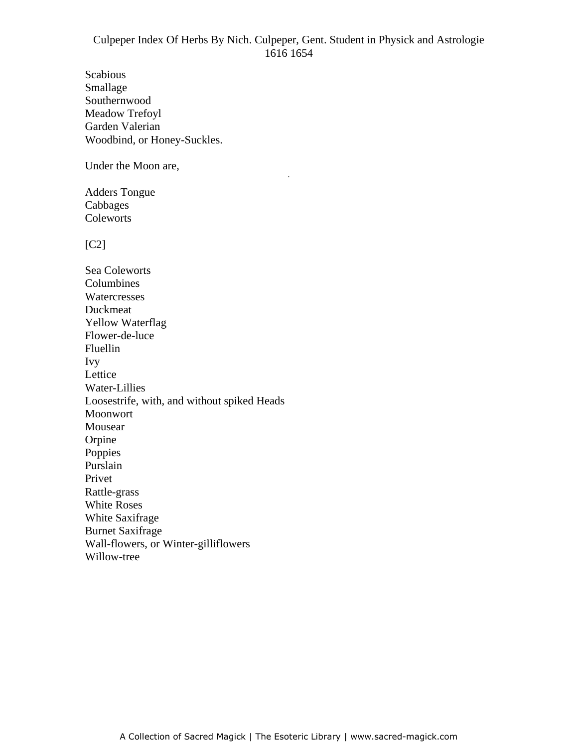-

Scabious and the set of the set of the set of the set of the set of the set of the set of the set of the set of the set of the set of the set of the set of the set of the set of the set of the set of the set of the set of Smallage **Smallage** and the state of the state of the state of the state of the state of the state of the state of the state of the state of the state of the state of the state of the state of the state of the state of the Southernwood Meadow Trefoyl Garden Valerian Woodbind, or Honey-Suckles.

Under the Moon are,

Adders Tongue Cabbages Coleworts

[C2]

Sea Coleworts Columbines Watercresses **Exercises** Section 2014 12:35 and 2014 12:35 and 2014 12:35 and 2014 12:35 and 2014 12:35 and 2014 12:35 and 2014 12:35 and 2014 12:35 and 2014 12:35 and 2014 12:35 and 2014 12:35 and 2014 12:35 and 2014 12:3 Duckmeat **Duckmeat** Yellow Waterflag Flower-de-luce Fluellin **Fluellin** Ivy Lettice the contract of the contract of the contract of the contract of the contract of the contract of the contract of the contract of the contract of the contract of the contract of the contract of the contract of the co Water-Lillies Loosestrife, with, and without spiked Heads Moonwort Mousear **Mouse Mouse Mouse Mouse Mouse Mouse Mouse Mouse Mouse Mouse Mouse Mouse Mouse Mouse** Orpine **Orpine** Poppies and the property of the set of the set of the set of the set of the set of the set of the set of the set of the set of the set of the set of the set of the set of the set of the set of the set of the set of the set Purslain Privet **Privet** Rattle-grass White Roses **Exercise 2008** White Saxifrage Burnet Saxifrage Wall-flowers, or Winter-gilliflowers Willow-tree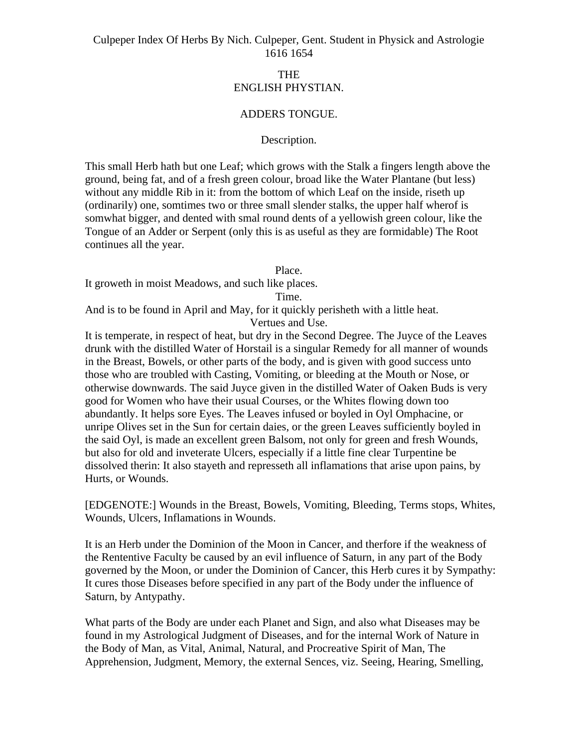### THE ENGLISH PHYSTIAN.

### ADDERS TONGUE.

#### Description.

This small Herb hath but one Leaf; which grows with the Stalk a fingers length above the ground, being fat, and of a fresh green colour, broad like the Water Plantane (but less) without any middle Rib in it: from the bottom of which Leaf on the inside, riseth up (ordinarily) one, somtimes two or three small slender stalks, the upper half wherof is somwhat bigger, and dented with smal round dents of a yellowish green colour, like the Tongue of an Adder or Serpent (only this is as useful as they are formidable) The Root continues all the year.

Place.

It groweth in moist Meadows, and such like places.

Time.

And is to be found in April and May, for it quickly perisheth with a little heat. Vertues and Use.

It is temperate, in respect of heat, but dry in the Second Degree. The Juyce of the Leaves drunk with the distilled Water of Horstail is a singular Remedy for all manner of wounds in the Breast, Bowels, or other parts of the body, and is given with good success unto those who are troubled with Casting, Vomiting, or bleeding at the Mouth or Nose, or otherwise downwards. The said Juyce given in the distilled Water of Oaken Buds is very good for Women who have their usual Courses, or the Whites flowing down too abundantly. It helps sore Eyes. The Leaves infused or boyled in Oyl Omphacine, or unripe Olives set in the Sun for certain daies, or the green Leaves sufficiently boyled in the said Oyl, is made an excellent green Balsom, not only for green and fresh Wounds, but also for old and inveterate Ulcers, especially if a little fine clear Turpentine be dissolved therin: It also stayeth and represseth all inflamations that arise upon pains, by Hurts, or Wounds.

[EDGENOTE:] Wounds in the Breast, Bowels, Vomiting, Bleeding, Terms stops, Whites, Wounds, Ulcers, Inflamations in Wounds.

It is an Herb under the Dominion of the Moon in Cancer, and therfore if the weakness of the Rententive Faculty be caused by an evil influence of Saturn, in any part of the Body governed by the Moon, or under the Dominion of Cancer, this Herb cures it by Sympathy: It cures those Diseases before specified in any part of the Body under the influence of Saturn, by Antypathy.

What parts of the Body are under each Planet and Sign, and also what Diseases may be found in my Astrological Judgment of Diseases, and for the internal Work of Nature in the Body of Man, as Vital, Animal, Natural, and Procreative Spirit of Man, The Apprehension, Judgment, Memory, the external Sences, viz. Seeing, Hearing, Smelling,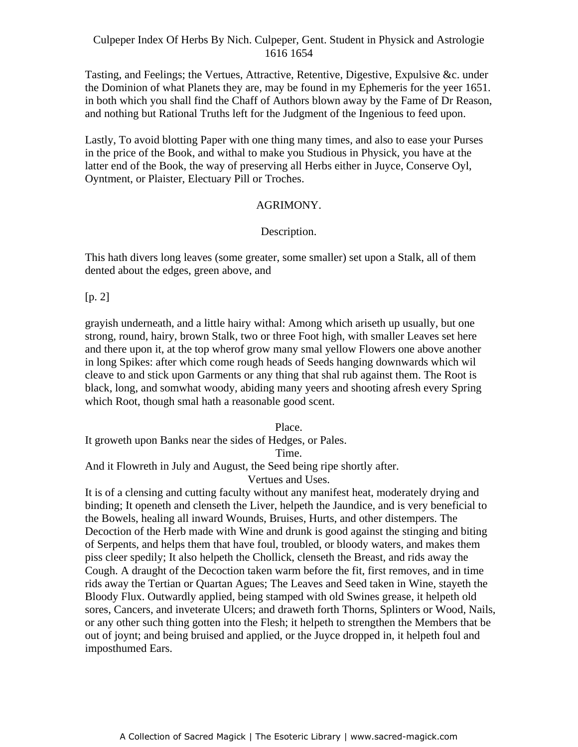Tasting, and Feelings; the Vertues, Attractive, Retentive, Digestive, Expulsive &c. under the Dominion of what Planets they are, may be found in my Ephemeris for the yeer 1651. in both which you shall find the Chaff of Authors blown away by the Fame of Dr Reason, and nothing but Rational Truths left for the Judgment of the Ingenious to feed upon.

Lastly, To avoid blotting Paper with one thing many times, and also to ease your Purses in the price of the Book, and withal to make you Studious in Physick, you have at the latter end of the Book, the way of preserving all Herbs either in Juyce, Conserve Oyl, Anter end of the Book, the way of preserving an Trefels entire in sayee, conserve Gy1,<br>Oyntment, or Plaister, Electuary Pill or Troches.

### AGRIMONY.

## Description.

This hath divers long leaves (some greater, some smaller) set upon a Stalk, all of them dented about the edges, green above, and

# [p. 2]

grayish underneath, and a little hairy withal: Among which ariseth up usually, but one strong, round, hairy, brown Stalk, two or three Foot high, with smaller Leaves set here and there upon it, at the top wherof grow many smal yellow Flowers one above another in long Spikes: after which come rough heads of Seeds hanging downwards which wil cleave to and stick upon Garments or any thing that shal rub against them. The Root is black, long, and somwhat woody, abiding many yeers and shooting afresh every Spring which Root, though smal hath a reasonable good scent.

Place.

It groweth upon Banks near the sides of Hedges, or Pales.

Time.

And it Flowreth in July and August, the Seed being ripe shortly after.

Vertues and Uses.

It is of a clensing and cutting faculty without any manifest heat, moderately drying and binding; It openeth and clenseth the Liver, helpeth the Jaundice, and is very beneficial to the Bowels, healing all inward Wounds, Bruises, Hurts, and other distempers. The Decoction of the Herb made with Wine and drunk is good against the stinging and biting of Serpents, and helps them that have foul, troubled, or bloody waters, and makes them piss cleer spedily; It also helpeth the Chollick, clenseth the Breast, and rids away the Cough. A draught of the Decoction taken warm before the fit, first removes, and in time rids away the Tertian or Quartan Agues; The Leaves and Seed taken in Wine, stayeth the Bloody Flux. Outwardly applied, being stamped with old Swines grease, it helpeth old sores, Cancers, and inveterate Ulcers; and draweth forth Thorns, Splinters or Wood, Nails, or any other such thing gotten into the Flesh; it helpeth to strengthen the Members that be out of joynt; and being bruised and applied, or the Juyce dropped in, it helpeth foul and imposthumed Ears.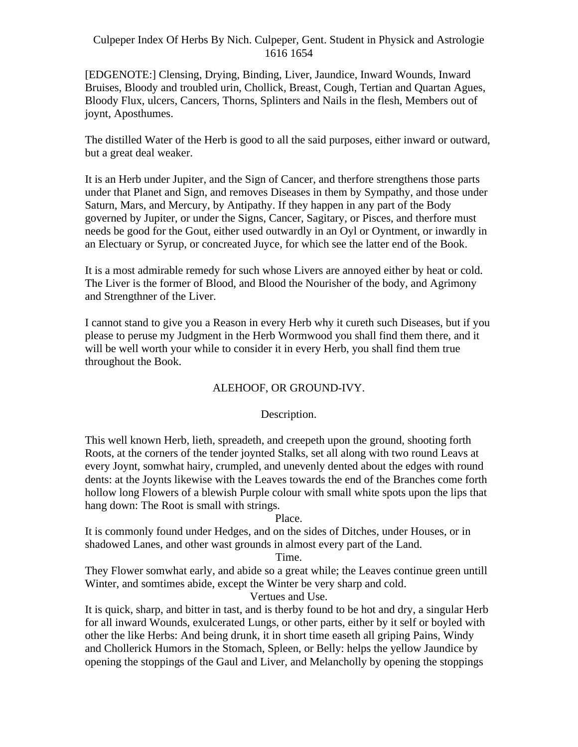[EDGENOTE:] Clensing, Drying, Binding, Liver, Jaundice, Inward Wounds, Inward Bruises, Bloody and troubled urin, Chollick, Breast, Cough, Tertian and Quartan Agues, Bloody Flux, ulcers, Cancers, Thorns, Splinters and Nails in the flesh, Members out of joynt, Aposthumes.

The distilled Water of the Herb is good to all the said purposes, either inward or outward, but a great deal weaker.

It is an Herb under Jupiter, and the Sign of Cancer, and therfore strengthens those parts under that Planet and Sign, and removes Diseases in them by Sympathy, and those under Saturn, Mars, and Mercury, by Antipathy. If they happen in any part of the Body governed by Jupiter, or under the Signs, Cancer, Sagitary, or Pisces, and therfore must needs be good for the Gout, either used outwardly in an Oyl or Oyntment, or inwardly in an Electuary or Syrup, or concreated Juyce, for which see the latter end of the Book.

It is a most admirable remedy for such whose Livers are annoyed either by heat or cold. The Liver is the former of Blood, and Blood the Nourisher of the body, and Agrimony and Strengthner of the Liver.

I cannot stand to give you a Reason in every Herb why it cureth such Diseases, but if you please to peruse my Judgment in the Herb Wormwood you shall find them there, and it will be well worth your while to consider it in every Herb, you shall find them true throughout the Book.

# ALEHOOF, OR GROUND-IVY.

# Description.

This well known Herb, lieth, spreadeth, and creepeth upon the ground, shooting forth Roots, at the corners of the tender joynted Stalks, set all along with two round Leavs at every Joynt, somwhat hairy, crumpled, and unevenly dented about the edges with round dents: at the Joynts likewise with the Leaves towards the end of the Branches come forth hollow long Flowers of a blewish Purple colour with small white spots upon the lips that hang down: The Root is small with strings.

# Place.

It is commonly found under Hedges, and on the sides of Ditches, under Houses, or in shadowed Lanes, and other wast grounds in almost every part of the Land.

### Time.

They Flower somwhat early, and abide so a great while; the Leaves continue green untill Winter, and somtimes abide, except the Winter be very sharp and cold.

# Vertues and Use.

It is quick, sharp, and bitter in tast, and is therby found to be hot and dry, a singular Herb for all inward Wounds, exulcerated Lungs, or other parts, either by it self or boyled with other the like Herbs: And being drunk, it in short time easeth all griping Pains, Windy and Chollerick Humors in the Stomach, Spleen, or Belly: helps the yellow Jaundice by opening the stoppings of the Gaul and Liver, and Melancholly by opening the stoppings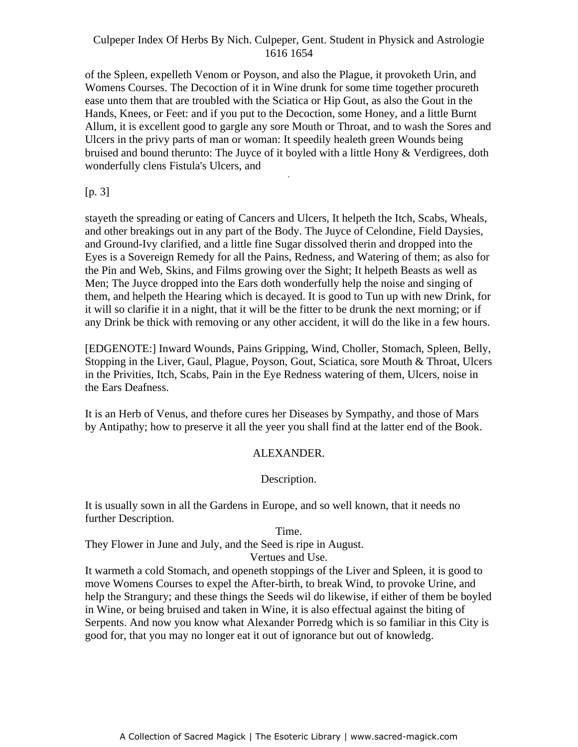of the Spleen, expelleth Venom or Poyson, and also the Plague, it provoketh Urin, and Womens Courses. The Decoction of it in Wine drunk for some time together procureth ease unto them that are troubled with the Sciatica or Hip Gout, as also the Gout in the Hands, Knees, or Feet: and if you put to the Decoction, some Honey, and a little Burnt Allum, it is excellent good to gargle any sore Mouth or Throat, and to wash the Sores and Ulcers in the privy parts of man or woman: It speedily healeth green Wounds being bruised and bound therunto: The Juyce of it boyled with a little Hony & Verdigrees, doth wonderfully clens Fistula's Ulcers, and -

[p. 3]

stayeth the spreading or eating of Cancers and Ulcers, It helpeth the Itch, Scabs, Wheals, and other breakings out in any part of the Body. The Juyce of Celondine, Field Daysies, and Ground-Ivy clarified, and a little fine Sugar dissolved therin and dropped into the Eyes is a Sovereign Remedy for all the Pains, Redness, and Watering of them; as also for the Pin and Web, Skins, and Films growing over the Sight; It helpeth Beasts as well as Men; The Juyce dropped into the Ears doth wonderfully help the noise and singing of them, and helpeth the Hearing which is decayed. It is good to Tun up with new Drink, for it will so clarifie it in a night, that it will be the fitter to be drunk the next morning; or if any Drink be thick with removing or any other accident, it will do the like in a few hours.

[EDGENOTE:] Inward Wounds, Pains Gripping, Wind, Choller, Stomach, Spleen, Belly, Stopping in the Liver, Gaul, Plague, Poyson, Gout, Sciatica, sore Mouth & Throat, Ulcers in the Privities, Itch, Scabs, Pain in the Eye Redness watering of them, Ulcers, noise in the Ears Deafness.

It is an Herb of Venus, and thefore cures her Diseases by Sympathy, and those of Mars by Antipathy; how to preserve it all the yeer you shall find at the latter end of the Book.

# ALEXANDER.

Description.

It is usually sown in all the Gardens in Europe, and so well known, that it needs no further Description.

### Time.

They Flower in June and July, and the Seed is ripe in August.

Vertues and Use.

It warmeth a cold Stomach, and openeth stoppings of the Liver and Spleen, it is good to move Womens Courses to expel the After-birth, to break Wind, to provoke Urine, and help the Strangury; and these things the Seeds wil do likewise, if either of them be boyled in Wine, or being bruised and taken in Wine, it is also effectual against the biting of Serpents. And now you know what Alexander Porredg which is so familiar in this City is good for, that you may no longer eat it out of ignorance but out of knowledg.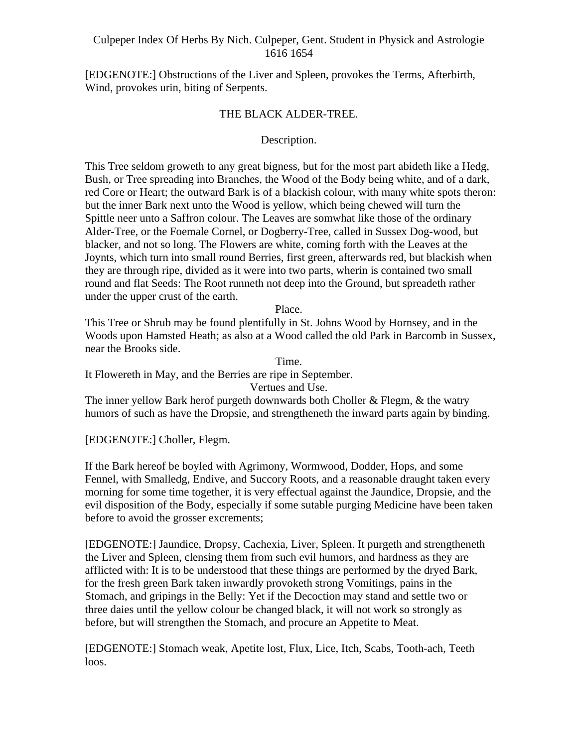[EDGENOTE:] Obstructions of the Liver and Spleen, provokes the Terms, Afterbirth, Wind, provokes urin, biting of Serpents.

### THE BLACK ALDER-TREE.

### Description.

This Tree seldom groweth to any great bigness, but for the most part abideth like a Hedg, Bush, or Tree spreading into Branches, the Wood of the Body being white, and of a dark, red Core or Heart; the outward Bark is of a blackish colour, with many white spots theron: but the inner Bark next unto the Wood is yellow, which being chewed will turn the Spittle neer unto a Saffron colour. The Leaves are somwhat like those of the ordinary Alder-Tree, or the Foemale Cornel, or Dogberry-Tree, called in Sussex Dog-wood, but blacker, and not so long. The Flowers are white, coming forth with the Leaves at the Joynts, which turn into small round Berries, first green, afterwards red, but blackish when they are through ripe, divided as it were into two parts, wherin is contained two small round and flat Seeds: The Root runneth not deep into the Ground, but spreadeth rather under the upper crust of the earth.

### Place.

This Tree or Shrub may be found plentifully in St. Johns Wood by Hornsey, and in the Woods upon Hamsted Heath; as also at a Wood called the old Park in Barcomb in Sussex, near the Brooks side.

Time.

It Flowereth in May, and the Berries are ripe in September.

Vertues and Use.

The inner yellow Bark herof purgeth downwards both Choller & Flegm, & the watry humors of such as have the Dropsie, and strengtheneth the inward parts again by binding.

[EDGENOTE:] Choller, Flegm.

If the Bark hereof be boyled with Agrimony, Wormwood, Dodder, Hops, and some Fennel, with Smalledg, Endive, and Succory Roots, and a reasonable draught taken every morning for some time together, it is very effectual against the Jaundice, Dropsie, and the evil disposition of the Body, especially if some sutable purging Medicine have been taken before to avoid the grosser excrements;

[EDGENOTE:] Jaundice, Dropsy, Cachexia, Liver, Spleen. It purgeth and strengtheneth the Liver and Spleen, clensing them from such evil humors, and hardness as they are afflicted with: It is to be understood that these things are performed by the dryed Bark, for the fresh green Bark taken inwardly provoketh strong Vomitings, pains in the Stomach, and gripings in the Belly: Yet if the Decoction may stand and settle two or three daies until the yellow colour be changed black, it will not work so strongly as before, but will strengthen the Stomach, and procure an Appetite to Meat.

[EDGENOTE:] Stomach weak, Apetite lost, Flux, Lice, Itch, Scabs, Tooth-ach, Teeth loos.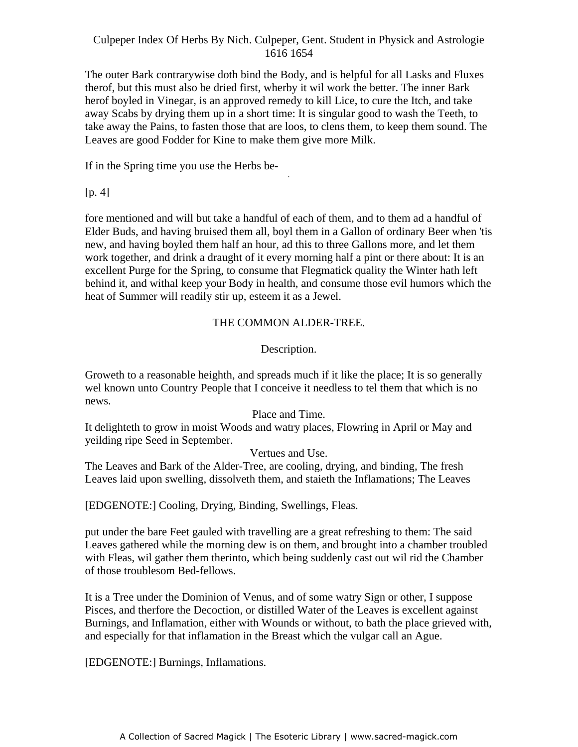The outer Bark contrarywise doth bind the Body, and is helpful for all Lasks and Fluxes therof, but this must also be dried first, wherby it wil work the better. The inner Bark herof boyled in Vinegar, is an approved remedy to kill Lice, to cure the Itch, and take away Scabs by drying them up in a short time: It is singular good to wash the Teeth, to take away the Pains, to fasten those that are loos, to clens them, to keep them sound. The Leaves are good Fodder for Kine to make them give more Milk.

-

If in the Spring time you use the Herbs be-

 $[p. 4]$ 

fore mentioned and will but take a handful of each of them, and to them ad a handful of Elder Buds, and having bruised them all, boyl them in a Gallon of ordinary Beer when 'tis new, and having boyled them half an hour, ad this to three Gallons more, and let them work together, and drink a draught of it every morning half a pint or there about: It is an excellent Purge for the Spring, to consume that Flegmatick quality the Winter hath left behind it, and withal keep your Body in health, and consume those evil humors which the heat of Summer will readily stir up, esteem it as a Jewel.

# THE COMMON ALDER-TREE.

Description.

Groweth to a reasonable heighth, and spreads much if it like the place; It is so generally wel known unto Country People that I conceive it needless to tel them that which is no news.

# Place and Time.

It delighteth to grow in moist Woods and watry places, Flowring in April or May and yeilding ripe Seed in September.

Vertues and Use.

The Leaves and Bark of the Alder-Tree, are cooling, drying, and binding, The fresh Leaves laid upon swelling, dissolveth them, and staieth the Inflamations; The Leaves

[EDGENOTE:] Cooling, Drying, Binding, Swellings, Fleas.

put under the bare Feet gauled with travelling are a great refreshing to them: The said Leaves gathered while the morning dew is on them, and brought into a chamber troubled with Fleas, wil gather them therinto, which being suddenly cast out wil rid the Chamber of those troublesom Bed-fellows.

It is a Tree under the Dominion of Venus, and of some watry Sign or other, I suppose Pisces, and therfore the Decoction, or distilled Water of the Leaves is excellent against Burnings, and Inflamation, either with Wounds or without, to bath the place grieved with, and especially for that inflamation in the Breast which the vulgar call an Ague.

[EDGENOTE:] Burnings, Inflamations.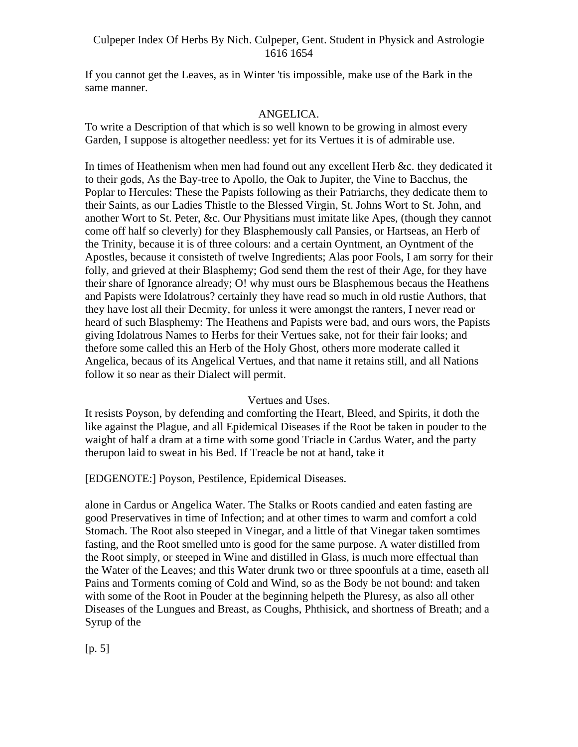If you cannot get the Leaves, as in Winter 'tis impossible, make use of the Bark in the same manner.

### ANGELICA.

To write a Description of that which is so well known to be growing in almost every Garden, I suppose is altogether needless: yet for its Vertues it is of admirable use.

In times of Heathenism when men had found out any excellent Herb &c. they dedicated it to their gods, As the Bay-tree to Apollo, the Oak to Jupiter, the Vine to Bacchus, the Poplar to Hercules: These the Papists following as their Patriarchs, they dedicate them to their Saints, as our Ladies Thistle to the Blessed Virgin, St. Johns Wort to St. John, and another Wort to St. Peter, &c. Our Physitians must imitate like Apes, (though they cannot come off half so cleverly) for they Blasphemously call Pansies, or Hartseas, an Herb of the Trinity, because it is of three colours: and a certain Oyntment, an Oyntment of the Apostles, because it consisteth of twelve Ingredients; Alas poor Fools, I am sorry for their folly, and grieved at their Blasphemy; God send them the rest of their Age, for they have their share of Ignorance already; O! why must ours be Blasphemous becaus the Heathens and Papists were Idolatrous? certainly they have read so much in old rustie Authors, that they have lost all their Decmity, for unless it were amongst the ranters, I never read or heard of such Blasphemy: The Heathens and Papists were bad, and ours wors, the Papists giving Idolatrous Names to Herbs for their Vertues sake, not for their fair looks; and thefore some called this an Herb of the Holy Ghost, others more moderate called it Angelica, becaus of its Angelical Vertues, and that name it retains still, and all Nations follow it so near as their Dialect will permit.

### Vertues and Uses.

It resists Poyson, by defending and comforting the Heart, Bleed, and Spirits, it doth the like against the Plague, and all Epidemical Diseases if the Root be taken in pouder to the waight of half a dram at a time with some good Triacle in Cardus Water, and the party therupon laid to sweat in his Bed. If Treacle be not at hand, take it

[EDGENOTE:] Poyson, Pestilence, Epidemical Diseases.

alone in Cardus or Angelica Water. The Stalks or Roots candied and eaten fasting are good Preservatives in time of Infection; and at other times to warm and comfort a cold Stomach. The Root also steeped in Vinegar, and a little of that Vinegar taken somtimes fasting, and the Root smelled unto is good for the same purpose. A water distilled from the Root simply, or steeped in Wine and distilled in Glass, is much more effectual than the Water of the Leaves; and this Water drunk two or three spoonfuls at a time, easeth all Pains and Torments coming of Cold and Wind, so as the Body be not bound: and taken with some of the Root in Pouder at the beginning helpeth the Pluresy, as also all other Diseases of the Lungues and Breast, as Coughs, Phthisick, and shortness of Breath; and a Syrup of the state of the state of the state of the state of the state of the state of the state of the state of the state of the state of the state of the state of the state of the state of the state of the state of the s

[p. 5]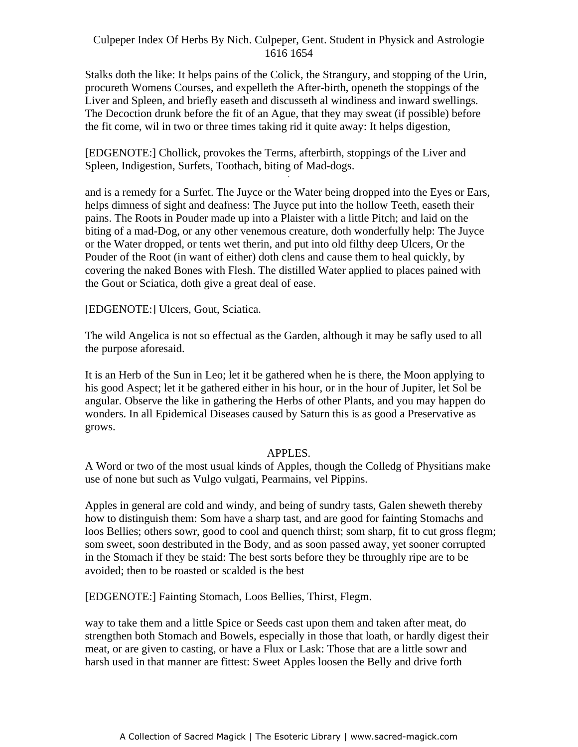Stalks doth the like: It helps pains of the Colick, the Strangury, and stopping of the Urin, procureth Womens Courses, and expelleth the After-birth, openeth the stoppings of the Liver and Spleen, and briefly easeth and discusseth al windiness and inward swellings. The Decoction drunk before the fit of an Ague, that they may sweat (if possible) before the fit come, wil in two or three times taking rid it quite away: It helps digestion,

[EDGENOTE:] Chollick, provokes the Terms, afterbirth, stoppings of the Liver and Spleen, Indigestion, Surfets, Toothach, biting of Mad-dogs.

and is a remedy for a Surfet. The Juyce or the Water being dropped into the Eyes or Ears, helps dimness of sight and deafness: The Juyce put into the hollow Teeth, easeth their pains. The Roots in Pouder made up into a Plaister with a little Pitch; and laid on the biting of a mad-Dog, or any other venemous creature, doth wonderfully help: The Juyce or the Water dropped, or tents wet therin, and put into old filthy deep Ulcers, Or the Pouder of the Root (in want of either) doth clens and cause them to heal quickly, by covering the naked Bones with Flesh. The distilled Water applied to places pained with the Gout or Sciatica, doth give a great deal of ease.

[EDGENOTE:] Ulcers, Gout, Sciatica.

The wild Angelica is not so effectual as the Garden, although it may be safly used to all the purpose aforesaid.

It is an Herb of the Sun in Leo; let it be gathered when he is there, the Moon applying to his good Aspect; let it be gathered either in his hour, or in the hour of Jupiter, let Sol be angular. Observe the like in gathering the Herbs of other Plants, and you may happen do wonders. In all Epidemical Diseases caused by Saturn this is as good a Preservative as grows.

### APPLES.

A Word or two of the most usual kinds of Apples, though the Colledg of Physitians make use of none but such as Vulgo vulgati, Pearmains, vel Pippins.

Apples in general are cold and windy, and being of sundry tasts, Galen sheweth thereby how to distinguish them: Som have a sharp tast, and are good for fainting Stomachs and loos Bellies; others sowr, good to cool and quench thirst; som sharp, fit to cut gross flegm; som sweet, soon destributed in the Body, and as soon passed away, yet sooner corrupted in the Stomach if they be staid: The best sorts before they be throughly ripe are to be avoided; then to be roasted or scalded is the best

[EDGENOTE:] Fainting Stomach, Loos Bellies, Thirst, Flegm.

way to take them and a little Spice or Seeds cast upon them and taken after meat, do strengthen both Stomach and Bowels, especially in those that loath, or hardly digest their meat, or are given to casting, or have a Flux or Lask: Those that are a little sowr and harsh used in that manner are fittest: Sweet Apples loosen the Belly and drive forth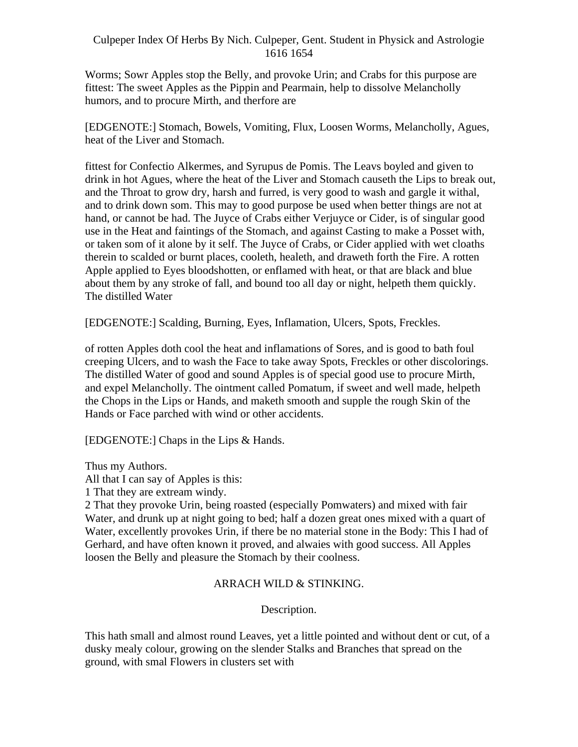Worms; Sowr Apples stop the Belly, and provoke Urin; and Crabs for this purpose are fittest: The sweet Apples as the Pippin and Pearmain, help to dissolve Melancholly humors, and to procure Mirth, and therfore are

[EDGENOTE:] Stomach, Bowels, Vomiting, Flux, Loosen Worms, Melancholly, Agues, heat of the Liver and Stomach.

fittest for Confectio Alkermes, and Syrupus de Pomis. The Leavs boyled and given to drink in hot Agues, where the heat of the Liver and Stomach causeth the Lips to break out, and the Throat to grow dry, harsh and furred, is very good to wash and gargle it withal, and to drink down som. This may to good purpose be used when better things are not at hand, or cannot be had. The Juyce of Crabs either Verjuyce or Cider, is of singular good use in the Heat and faintings of the Stomach, and against Casting to make a Posset with, or taken som of it alone by it self. The Juyce of Crabs, or Cider applied with wet cloaths therein to scalded or burnt places, cooleth, healeth, and draweth forth the Fire. A rotten Apple applied to Eyes bloodshotten, or enflamed with heat, or that are black and blue about them by any stroke of fall, and bound too all day or night, helpeth them quickly. The distilled Water

[EDGENOTE:] Scalding, Burning, Eyes, Inflamation, Ulcers, Spots, Freckles.

of rotten Apples doth cool the heat and inflamations of Sores, and is good to bath foul creeping Ulcers, and to wash the Face to take away Spots, Freckles or other discolorings. The distilled Water of good and sound Apples is of special good use to procure Mirth, and expel Melancholly. The ointment called Pomatum, if sweet and well made, helpeth the Chops in the Lips or Hands, and maketh smooth and supple the rough Skin of the Hands or Face parched with wind or other accidents.

[EDGENOTE:] Chaps in the Lips & Hands.

Thus my Authors.

All that I can say of Apples is this:

1 That they are extream windy.

2 That they provoke Urin, being roasted (especially Pomwaters) and mixed with fair Water, and drunk up at night going to bed; half a dozen great ones mixed with a quart of Water, excellently provokes Urin, if there be no material stone in the Body: This I had of Gerhard, and have often known it proved, and alwaies with good success. All Apples loosen the Belly and pleasure the Stomach by their coolness.

# ARRACH WILD & STINKING.

Description.

This hath small and almost round Leaves, yet a little pointed and without dent or cut, of a dusky mealy colour, growing on the slender Stalks and Branches that spread on the ground, with smal Flowers in clusters set with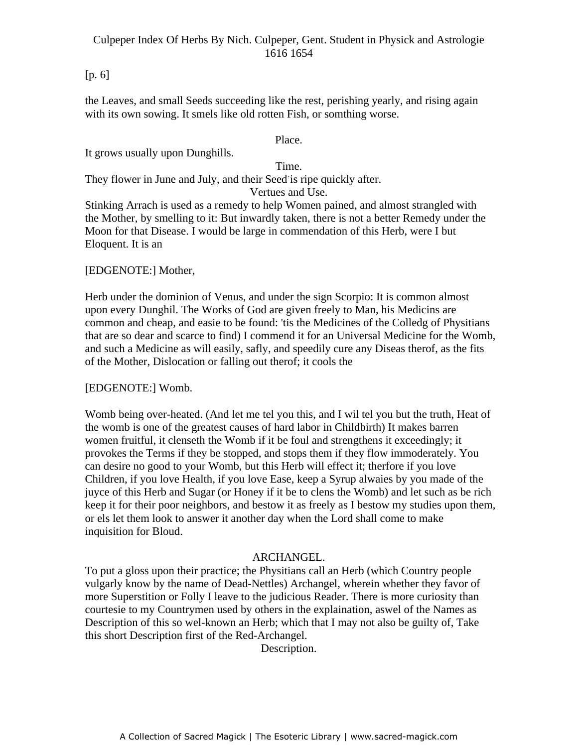# [p. 6]

the Leaves, and small Seeds succeeding like the rest, perishing yearly, and rising again with its own sowing. It smels like old rotten Fish, or somthing worse.

Place.

It grows usually upon Dunghills.

Time.

They flower in June and July, and their Seed is ripe quickly after.

# Vertues and Use.

Stinking Arrach is used as a remedy to help Women pained, and almost strangled with the Mother, by smelling to it: But inwardly taken, there is not a better Remedy under the Moon for that Disease. I would be large in commendation of this Herb, were I but Eloquent. It is an

# [EDGENOTE:] Mother,

Herb under the dominion of Venus, and under the sign Scorpio: It is common almost upon every Dunghil. The Works of God are given freely to Man, his Medicins are common and cheap, and easie to be found: 'tis the Medicines of the Colledg of Physitians that are so dear and scarce to find) I commend it for an Universal Medicine for the Womb, and such a Medicine as will easily, safly, and speedily cure any Diseas therof, as the fits of the Mother, Dislocation or falling out therof; it cools the

### [EDGENOTE:] Womb.

Womb being over-heated. (And let me tel you this, and I wil tel you but the truth, Heat of the womb is one of the greatest causes of hard labor in Childbirth) It makes barren women fruitful, it clenseth the Womb if it be foul and strengthens it exceedingly; it provokes the Terms if they be stopped, and stops them if they flow immoderately. You can desire no good to your Womb, but this Herb will effect it; therfore if you love Children, if you love Health, if you love Ease, keep a Syrup alwaies by you made of the juyce of this Herb and Sugar (or Honey if it be to clens the Womb) and let such as be rich keep it for their poor neighbors, and bestow it as freely as I bestow my studies upon them, or els let them look to answer it another day when the Lord shall come to make inquisition for Bloud.

### ARCHANGEL.

To put a gloss upon their practice; the Physitians call an Herb (which Country people vulgarly know by the name of Dead-Nettles) Archangel, wherein whether they favor of more Superstition or Folly I leave to the judicious Reader. There is more curiosity than courtesie to my Countrymen used by others in the explaination, aswel of the Names as Description of this so wel-known an Herb; which that I may not also be guilty of, Take this short Description first of the Red-Archangel.

Description.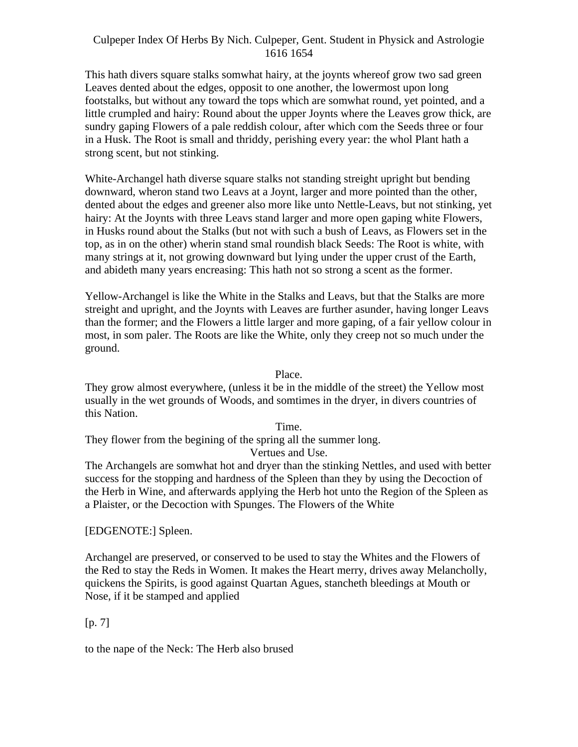This hath divers square stalks somwhat hairy, at the joynts whereof grow two sad green Leaves dented about the edges, opposit to one another, the lowermost upon long footstalks, but without any toward the tops which are somwhat round, yet pointed, and a little crumpled and hairy: Round about the upper Joynts where the Leaves grow thick, are sundry gaping Flowers of a pale reddish colour, after which com the Seeds three or four in a Husk. The Root is small and thriddy, perishing every year: the whol Plant hath a strong scent, but not stinking.

White-Archangel hath diverse square stalks not standing streight upright but bending downward, wheron stand two Leavs at a Joynt, larger and more pointed than the other, dented about the edges and greener also more like unto Nettle-Leavs, but not stinking, yet hairy: At the Joynts with three Leavs stand larger and more open gaping white Flowers, in Husks round about the Stalks (but not with such a bush of Leavs, as Flowers set in the top, as in on the other) wherin stand smal roundish black Seeds: The Root is white, with many strings at it, not growing downward but lying under the upper crust of the Earth, and abideth many years encreasing: This hath not so strong a scent as the former.

Yellow-Archangel is like the White in the Stalks and Leavs, but that the Stalks are more streight and upright, and the Joynts with Leaves are further asunder, having longer Leavs than the former; and the Flowers a little larger and more gaping, of a fair yellow colour in most, in som paler. The Roots are like the White, only they creep not so much under the ground.

Place.

They grow almost everywhere, (unless it be in the middle of the street) the Yellow most usually in the wet grounds of Woods, and somtimes in the dryer, in divers countries of this Nation.

Time.

They flower from the begining of the spring all the summer long.

Vertues and Use.

The Archangels are somwhat hot and dryer than the stinking Nettles, and used with better success for the stopping and hardness of the Spleen than they by using the Decoction of the Herb in Wine, and afterwards applying the Herb hot unto the Region of the Spleen as a Plaister, or the Decoction with Spunges. The Flowers of the White

[EDGENOTE:] Spleen.

Archangel are preserved, or conserved to be used to stay the Whites and the Flowers of the Red to stay the Reds in Women. It makes the Heart merry, drives away Melancholly, quickens the Spirits, is good against Quartan Agues, stancheth bleedings at Mouth or Nose, if it be stamped and applied

# $[p. 7]$

to the nape of the Neck: The Herb also brused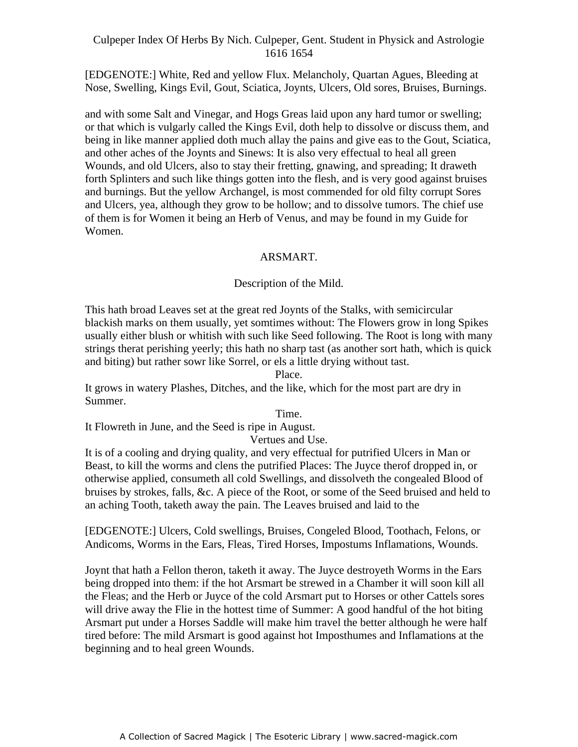[EDGENOTE:] White, Red and yellow Flux. Melancholy, Quartan Agues, Bleeding at Nose, Swelling, Kings Evil, Gout, Sciatica, Joynts, Ulcers, Old sores, Bruises, Burnings.

and with some Salt and Vinegar, and Hogs Greas laid upon any hard tumor or swelling; or that which is vulgarly called the Kings Evil, doth help to dissolve or discuss them, and being in like manner applied doth much allay the pains and give eas to the Gout, Sciatica, and other aches of the Joynts and Sinews: It is also very effectual to heal all green Wounds, and old Ulcers, also to stay their fretting, gnawing, and spreading; It draweth Forth Splinters and such like things gotten into the flesh, and is very good against bruises and burnings. But the yellow Archangel, is most commended for old filty corrupt Sores and Ulcers, yea, although they grow to be hollow; and to dissolve tumors. The chief use of them is for Women it being an Herb of Venus, and may be found in my Guide for Women.

### ARSMART.

### Description of the Mild.

This hath broad Leaves set at the great red Joynts of the Stalks, with semicircular blackish marks on them usually, yet somtimes without: The Flowers grow in long Spikes usually either blush or whitish with such like Seed following. The Root is long with many strings therat perishing yeerly; this hath no sharp tast (as another sort hath, which is quick and biting) but rather sowr like Sorrel, or els a little drying without tast.

Place.

It grows in watery Plashes, Ditches, and the like, which for the most part are dry in Summer.

Time.

It Flowreth in June, and the Seed is ripe in August.

Vertues and Use.

It is of a cooling and drying quality, and very effectual for putrified Ulcers in Man or Beast, to kill the worms and clens the putrified Places: The Juyce therof dropped in, or otherwise applied, consumeth all cold Swellings, and dissolveth the congealed Blood of bruises by strokes, falls, &c. A piece of the Root, or some of the Seed bruised and held to an aching Tooth, taketh away the pain. The Leaves bruised and laid to the

[EDGENOTE:] Ulcers, Cold swellings, Bruises, Congeled Blood, Toothach, Felons, or Andicoms, Worms in the Ears, Fleas, Tired Horses, Impostums Inflamations, Wounds.

Joynt that hath a Fellon theron, taketh it away. The Juyce destroyeth Worms in the Ears being dropped into them: if the hot Arsmart be strewed in a Chamber it will soon kill all the Fleas; and the Herb or Juyce of the cold Arsmart put to Horses or other Cattels sores will drive away the Flie in the hottest time of Summer: A good handful of the hot biting Arsmart put under a Horses Saddle will make him travel the better although he were half tired before: The mild Arsmart is good against hot Imposthumes and Inflamations at the beginning and to heal green Wounds.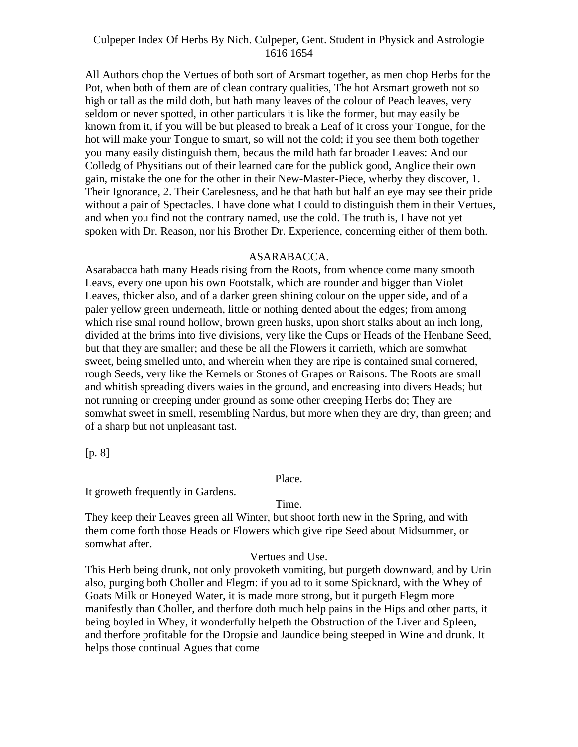All Authors chop the Vertues of both sort of Arsmart together, as men chop Herbs for the Pot, when both of them are of clean contrary qualities, The hot Arsmart groweth not so high or tall as the mild doth, but hath many leaves of the colour of Peach leaves, very seldom or never spotted, in other particulars it is like the former, but may easily be known from it, if you will be but pleased to break a Leaf of it cross your Tongue, for the hot will make your Tongue to smart, so will not the cold; if you see them both together you many easily distinguish them, becaus the mild hath far broader Leaves: And our Colledg of Physitians out of their learned care for the publick good, Anglice their own gain, mistake the one for the other in their New-Master-Piece, wherby they discover, 1. Their Ignorance, 2. Their Carelesness, and he that hath but half an eye may see their pride without a pair of Spectacles. I have done what I could to distinguish them in their Vertues, and when you find not the contrary named, use the cold. The truth is, I have not yet spoken with Dr. Reason, nor his Brother Dr. Experience, concerning either of them both.

#### ASARABACCA.

Asarabacca hath many Heads rising from the Roots, from whence come many smooth Leavs, every one upon his own Footstalk, which are rounder and bigger than Violet Leaves, thicker also, and of a darker green shining colour on the upper side, and of a paler yellow green underneath, little or nothing dented about the edges; from among which rise smal round hollow, brown green husks, upon short stalks about an inch long, divided at the brims into five divisions, very like the Cups or Heads of the Henbane Seed, but that they are smaller; and these be all the Flowers it carrieth, which are somwhat sweet, being smelled unto, and wherein when they are ripe is contained smal cornered, rough Seeds, very like the Kernels or Stones of Grapes or Raisons. The Roots are small and whitish spreading divers waies in the ground, and encreasing into divers Heads; but not running or creeping under ground as some other creeping Herbs do; They are somwhat sweet in smell, resembling Nardus, but more when they are dry, than green; and of a sharp but not unpleasant tast.

[p. 8]

Place.

It groweth frequently in Gardens.

#### Time.

They keep their Leaves green all Winter, but shoot forth new in the Spring, and with them come forth those Heads or Flowers which give ripe Seed about Midsummer, or somwhat after.

#### Vertues and Use.

This Herb being drunk, not only provoketh vomiting, but purgeth downward, and by Urin also, purging both Choller and Flegm: if you ad to it some Spicknard, with the Whey of Goats Milk or Honeyed Water, it is made more strong, but it purgeth Flegm more manifestly than Choller, and therfore doth much help pains in the Hips and other parts, it being boyled in Whey, it wonderfully helpeth the Obstruction of the Liver and Spleen, and therfore profitable for the Dropsie and Jaundice being steeped in Wine and drunk. It helps those continual Agues that come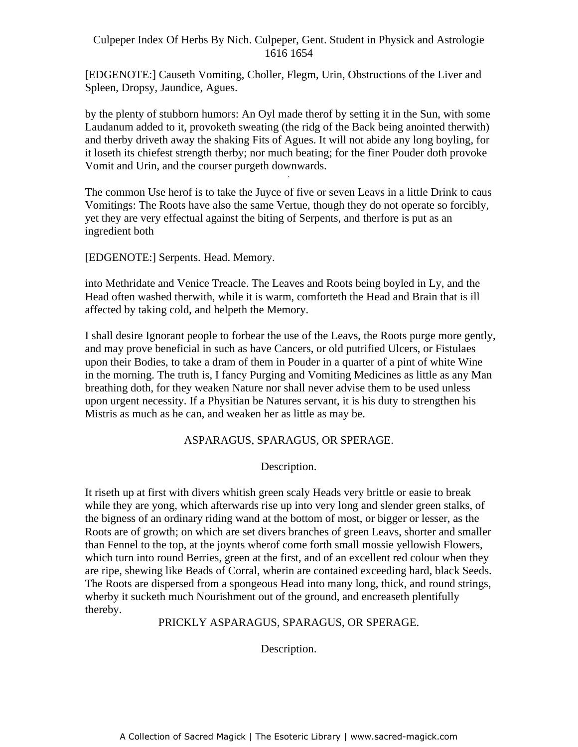[EDGENOTE:] Causeth Vomiting, Choller, Flegm, Urin, Obstructions of the Liver and Spleen, Dropsy, Jaundice, Agues.

by the plenty of stubborn humors: An Oyl made therof by setting it in the Sun, with some Laudanum added to it, provoketh sweating (the ridg of the Back being anointed therwith) and therby driveth away the shaking Fits of Agues. It will not abide any long boyling, for it loseth its chiefest strength therby; nor much beating; for the finer Pouder doth provoke Vomit and Urin, and the courser purgeth downwards.

The common Use herof is to take the Juyce of five or seven Leavs in a little Drink to caus Vomitings: The Roots have also the same Vertue, though they do not operate so forcibly, yet they are very effectual against the biting of Serpents, and therfore is put as an ingredient both

[EDGENOTE:] Serpents. Head. Memory.

into Methridate and Venice Treacle. The Leaves and Roots being boyled in Ly, and the Head often washed therwith, while it is warm, comforteth the Head and Brain that is ill affected by taking cold, and helpeth the Memory.

I shall desire Ignorant people to forbear the use of the Leavs, the Roots purge more gently, and may prove beneficial in such as have Cancers, or old putrified Ulcers, or Fistulaes upon their Bodies, to take a dram of them in Pouder in a quarter of a pint of white Wine in the morning. The truth is, I fancy Purging and Vomiting Medicines as little as any Man breathing doth, for they weaken Nature nor shall never advise them to be used unless upon urgent necessity. If a Physitian be Natures servant, it is his duty to strengthen his Mistris as much as he can, and weaken her as little as may be.

# ASPARAGUS, SPARAGUS, OR SPERAGE.

Description.

It riseth up at first with divers whitish green scaly Heads very brittle or easie to break while they are yong, which afterwards rise up into very long and slender green stalks, of the bigness of an ordinary riding wand at the bottom of most, or bigger or lesser, as the Roots are of growth; on which are set divers branches of green Leavs, shorter and smaller than Fennel to the top, at the joynts wherof come forth small mossie yellowish Flowers, which turn into round Berries, green at the first, and of an excellent red colour when they are ripe, shewing like Beads of Corral, wherin are contained exceeding hard, black Seeds. The Roots are dispersed from a spongeous Head into many long, thick, and round strings, wherby it sucketh much Nourishment out of the ground, and encreaseth plentifully thereby.

# PRICKLY ASPARAGUS, SPARAGUS, OR SPERAGE.

Description.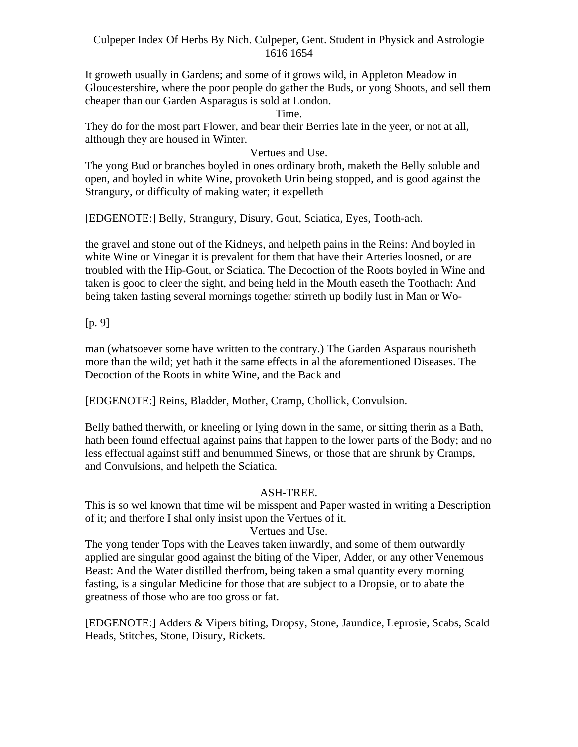It groweth usually in Gardens; and some of it grows wild, in Appleton Meadow in Gloucestershire, where the poor people do gather the Buds, or yong Shoots, and sell them cheaper than our Garden Asparagus is sold at London.

Time.

They do for the most part Flower, and bear their Berries late in the yeer, or not at all, although they are housed in Winter.

Vertues and Use.

The yong Bud or branches boyled in ones ordinary broth, maketh the Belly soluble and open, and boyled in white Wine, provoketh Urin being stopped, and is good against the Strangury, or difficulty of making water; it expelleth

[EDGENOTE:] Belly, Strangury, Disury, Gout, Sciatica, Eyes, Tooth-ach.

the gravel and stone out of the Kidneys, and helpeth pains in the Reins: And boyled in white Wine or Vinegar it is prevalent for them that have their Arteries loosned, or are troubled with the Hip-Gout, or Sciatica. The Decoction of the Roots boyled in Wine and taken is good to cleer the sight, and being held in the Mouth easeth the Toothach: And being taken fasting several mornings together stirreth up bodily lust in Man or Wo-

[p. 9]

man (whatsoever some have written to the contrary.) The Garden Asparaus nourisheth more than the wild; yet hath it the same effects in al the aforementioned Diseases. The Decoction of the Roots in white Wine, and the Back and

[EDGENOTE:] Reins, Bladder, Mother, Cramp, Chollick, Convulsion.

Belly bathed therwith, or kneeling or lying down in the same, or sitting therin as a Bath, hath been found effectual against pains that happen to the lower parts of the Body; and no less effectual against stiff and benummed Sinews, or those that are shrunk by Cramps, and Convulsions, and helpeth the Sciatica.

# ASH-TREE.

This is so wel known that time wil be misspent and Paper wasted in writing a Description of it; and therfore I shal only insist upon the Vertues of it.

# Vertues and Use.

The yong tender Tops with the Leaves taken inwardly, and some of them outwardly applied are singular good against the biting of the Viper, Adder, or any other Venemous Beast: And the Water distilled therfrom, being taken a smal quantity every morning fasting, is a singular Medicine for those that are subject to a Dropsie, or to abate the greatness of those who are too gross or fat.

[EDGENOTE:] Adders & Vipers biting, Dropsy, Stone, Jaundice, Leprosie, Scabs, Scald Heads, Stitches, Stone, Disury, Rickets.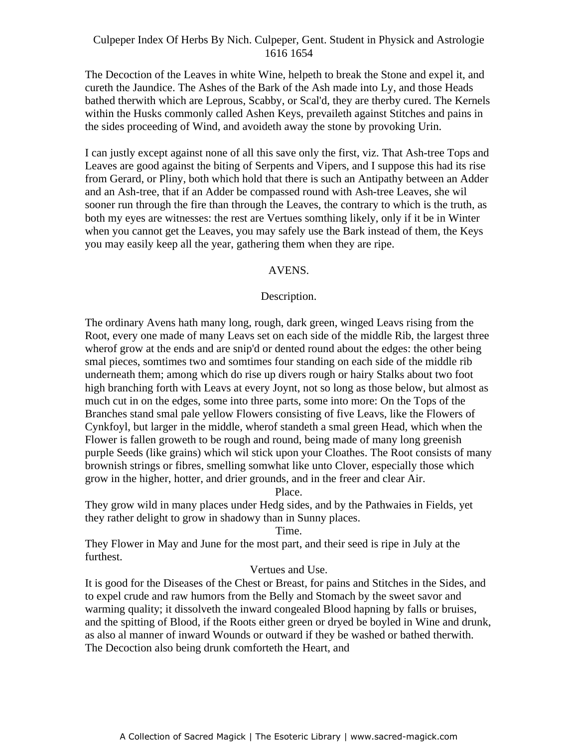The Decoction of the Leaves in white Wine, helpeth to break the Stone and expel it, and cureth the Jaundice. The Ashes of the Bark of the Ash made into Ly, and those Heads bathed therwith which are Leprous, Scabby, or Scal'd, they are therby cured. The Kernels within the Husks commonly called Ashen Keys, prevaileth against Stitches and pains in the sides proceeding of Wind, and avoideth away the stone by provoking Urin.

I can justly except against none of all this save only the first, viz. That Ash-tree Tops and Leaves are good against the biting of Serpents and Vipers, and I suppose this had its rise Edives are good against the oning of betpens and vipers, and I suppose this had its rise<br>from Gerard, or Pliny, both which hold that there is such an Antipathy between an Adder and an Ash-tree, that if an Adder be compassed round with Ash-tree Leaves, she wil sooner run through the fire than through the Leaves, the contrary to which is the truth, as both my eyes are witnesses: the rest are Vertues somthing likely, only if it be in Winter when you cannot get the Leaves, you may safely use the Bark instead of them, the Keys you may easily keep all the year, gathering them when they are ripe.

### AVENS.

### Description.

The ordinary Avens hath many long, rough, dark green, winged Leavs rising from the Root, every one made of many Leavs set on each side of the middle Rib, the largest three wherof grow at the ends and are snip'd or dented round about the edges: the other being smal pieces, somtimes two and somtimes four standing on each side of the middle rib underneath them; among which do rise up divers rough or hairy Stalks about two foot high branching forth with Leavs at every Joynt, not so long as those below, but almost as much cut in on the edges, some into three parts, some into more: On the Tops of the Branches stand smal pale yellow Flowers consisting of five Leavs, like the Flowers of Cynkfoyl, but larger in the middle, wherof standeth a smal green Head, which when the Flower is fallen groweth to be rough and round, being made of many long greenish purple Seeds (like grains) which wil stick upon your Cloathes. The Root consists of many brownish strings or fibres, smelling somwhat like unto Clover, especially those which grow in the higher, hotter, and drier grounds, and in the freer and clear Air.

Place.

They grow wild in many places under Hedg sides, and by the Pathwaies in Fields, yet they rather delight to grow in shadowy than in Sunny places.

Time.

They Flower in May and June for the most part, and their seed is ripe in July at the furthest.

### Vertues and Use.

It is good for the Diseases of the Chest or Breast, for pains and Stitches in the Sides, and to expel crude and raw humors from the Belly and Stomach by the sweet savor and warming quality; it dissolveth the inward congealed Blood hapning by falls or bruises, and the spitting of Blood, if the Roots either green or dryed be boyled in Wine and drunk, as also al manner of inward Wounds or outward if they be washed or bathed therwith. The Decoction also being drunk comforteth the Heart, and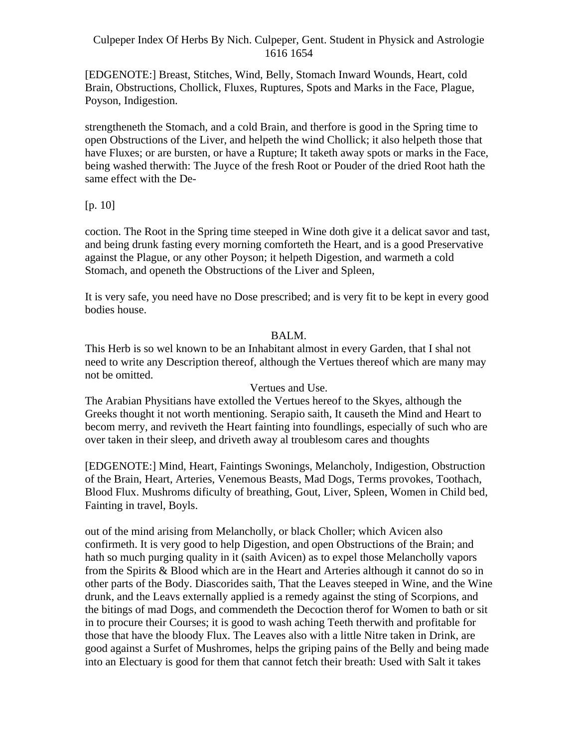[EDGENOTE:] Breast, Stitches, Wind, Belly, Stomach Inward Wounds, Heart, cold Brain, Obstructions, Chollick, Fluxes, Ruptures, Spots and Marks in the Face, Plague, Poyson, Indigestion.

strengtheneth the Stomach, and a cold Brain, and therfore is good in the Spring time to open Obstructions of the Liver, and helpeth the wind Chollick; it also helpeth those that have Fluxes; or are bursten, or have a Rupture; It taketh away spots or marks in the Face, being washed therwith: The Juyce of the fresh Root or Pouder of the dried Root hath the same effect with the De-

### [p. 10]

coction. The Root in the Spring time steeped in Wine doth give it a delicat savor and tast, and being drunk fasting every morning comforteth the Heart, and is a good Preservative against the Plague, or any other Poyson; it helpeth Digestion, and warmeth a cold Stomach, and openeth the Obstructions of the Liver and Spleen,

It is very safe, you need have no Dose prescribed; and is very fit to be kept in every good bodies house.

### BALM.

This Herb is so wel known to be an Inhabitant almost in every Garden, that I shal not need to write any Description thereof, although the Vertues thereof which are many may not be omitted.

### Vertues and Use.

The Arabian Physitians have extolled the Vertues hereof to the Skyes, although the Greeks thought it not worth mentioning. Serapio saith, It causeth the Mind and Heart to becom merry, and reviveth the Heart fainting into foundlings, especially of such who are over taken in their sleep, and driveth away al troublesom cares and thoughts

[EDGENOTE:] Mind, Heart, Faintings Swonings, Melancholy, Indigestion, Obstruction of the Brain, Heart, Arteries, Venemous Beasts, Mad Dogs, Terms provokes, Toothach, Blood Flux. Mushroms dificulty of breathing, Gout, Liver, Spleen, Women in Child bed, Fainting in travel, Boyls.

out of the mind arising from Melancholly, or black Choller; which Avicen also confirmeth. It is very good to help Digestion, and open Obstructions of the Brain; and hath so much purging quality in it (saith Avicen) as to expel those Melancholly vapors from the Spirits & Blood which are in the Heart and Arteries although it cannot do so in other parts of the Body. Diascorides saith, That the Leaves steeped in Wine, and the Wine drunk, and the Leavs externally applied is a remedy against the sting of Scorpions, and the bitings of mad Dogs, and commendeth the Decoction therof for Women to bath or sit in to procure their Courses; it is good to wash aching Teeth therwith and profitable for those that have the bloody Flux. The Leaves also with a little Nitre taken in Drink, are good against a Surfet of Mushromes, helps the griping pains of the Belly and being made into an Electuary is good for them that cannot fetch their breath: Used with Salt it takes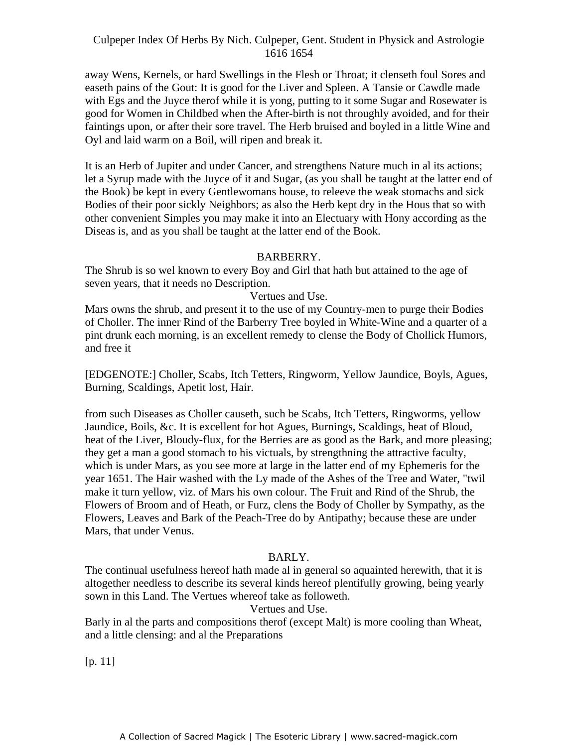away Wens, Kernels, or hard Swellings in the Flesh or Throat; it clenseth foul Sores and easeth pains of the Gout: It is good for the Liver and Spleen. A Tansie or Cawdle made with Egs and the Juyce therof while it is yong, putting to it some Sugar and Rosewater is good for Women in Childbed when the After-birth is not throughly avoided, and for their faintings upon, or after their sore travel. The Herb bruised and boyled in a little Wine and Oyl and laid warm on a Boil, will ripen and break it.

It is an Herb of Jupiter and under Cancer, and strengthens Nature much in al its actions; Let a Syrup made with the Juyce of it and Sugar, (as you shall be taught at the latter end of the Book) be kept in every Gentlewomans house, to releeve the weak stomachs and sick Bodies of their poor sickly Neighbors; as also the Herb kept dry in the Hous that so with other convenient Simples you may make it into an Electuary with Hony according as the Diseas is, and as you shall be taught at the latter end of the Book.

### BARBERRY.

The Shrub is so wel known to every Boy and Girl that hath but attained to the age of seven years, that it needs no Description.

#### Vertues and Use.

Mars owns the shrub, and present it to the use of my Country-men to purge their Bodies of Choller. The inner Rind of the Barberry Tree boyled in White-Wine and a quarter of a pint drunk each morning, is an excellent remedy to clense the Body of Chollick Humors, and free it

[EDGENOTE:] Choller, Scabs, Itch Tetters, Ringworm, Yellow Jaundice, Boyls, Agues, Burning, Scaldings, Apetit lost, Hair.

from such Diseases as Choller causeth, such be Scabs, Itch Tetters, Ringworms, yellow Jaundice, Boils, &c. It is excellent for hot Agues, Burnings, Scaldings, heat of Bloud, heat of the Liver, Bloudy-flux, for the Berries are as good as the Bark, and more pleasing; they get a man a good stomach to his victuals, by strengthning the attractive faculty, which is under Mars, as you see more at large in the latter end of my Ephemeris for the year 1651. The Hair washed with the Ly made of the Ashes of the Tree and Water, "twil make it turn yellow, viz. of Mars his own colour. The Fruit and Rind of the Shrub, the Flowers of Broom and of Heath, or Furz, clens the Body of Choller by Sympathy, as the Flowers, Leaves and Bark of the Peach-Tree do by Antipathy; because these are under Mars, that under Venus.

### BARLY.

The continual usefulness hereof hath made al in general so aquainted herewith, that it is altogether needless to describe its several kinds hereof plentifully growing, being yearly sown in this Land. The Vertues whereof take as followeth.

### Vertues and Use.

Barly in al the parts and compositions therof (except Malt) is more cooling than Wheat, and a little clensing: and al the Preparations

[p. 11]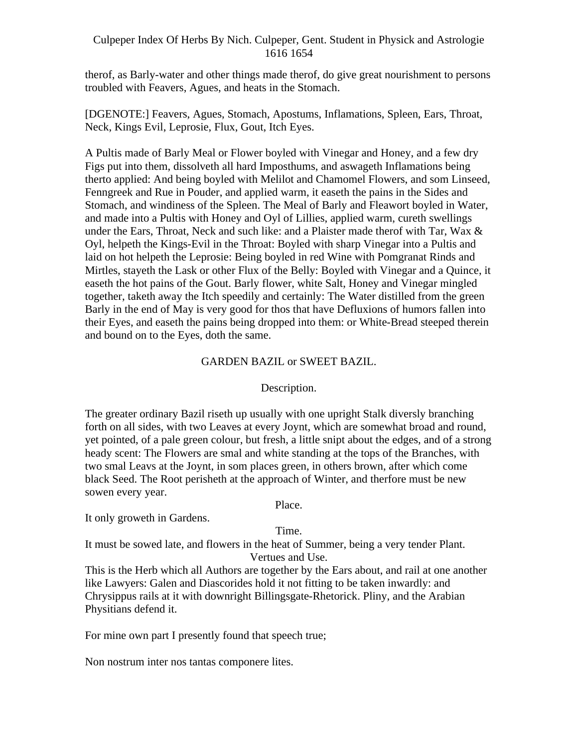therof, as Barly-water and other things made therof, do give great nourishment to persons troubled with Feavers, Agues, and heats in the Stomach.

[DGENOTE:] Feavers, Agues, Stomach, Apostums, Inflamations, Spleen, Ears, Throat, Neck, Kings Evil, Leprosie, Flux, Gout, Itch Eyes.

A Pultis made of Barly Meal or Flower boyled with Vinegar and Honey, and a few dry Figs put into them, dissolveth all hard Imposthums, and aswageth Inflamations being therto applied: And being boyled with Melilot and Chamomel Flowers, and som Linseed, Fenngreek and Rue in Pouder, and applied warm, it easeth the pains in the Sides and Stomach, and windiness of the Spleen. The Meal of Barly and Fleawort boyled in Water, and made into a Pultis with Honey and Oyl of Lillies, applied warm, cureth swellings under the Ears, Throat, Neck and such like: and a Plaister made therof with Tar, Wax & Oyl, helpeth the Kings-Evil in the Throat: Boyled with sharp Vinegar into a Pultis and laid on hot helpeth the Leprosie: Being boyled in red Wine with Pomgranat Rinds and Mirtles, stayeth the Lask or other Flux of the Belly: Boyled with Vinegar and a Quince, it easeth the hot pains of the Gout. Barly flower, white Salt, Honey and Vinegar mingled together, taketh away the Itch speedily and certainly: The Water distilled from the green Barly in the end of May is very good for thos that have Defluxions of humors fallen into their Eyes, and easeth the pains being dropped into them: or White-Bread steeped therein and bound on to the Eyes, doth the same.

### GARDEN BAZIL or SWEET BAZIL.

# Description.

The greater ordinary Bazil riseth up usually with one upright Stalk diversly branching forth on all sides, with two Leaves at every Joynt, which are somewhat broad and round, yet pointed, of a pale green colour, but fresh, a little snipt about the edges, and of a strong heady scent: The Flowers are smal and white standing at the tops of the Branches, with two smal Leavs at the Joynt, in som places green, in others brown, after which come black Seed. The Root perisheth at the approach of Winter, and therfore must be new sowen every year.

Place.

It only groweth in Gardens.

### Time.

It must be sowed late, and flowers in the heat of Summer, being a very tender Plant. Vertues and Use.

This is the Herb which all Authors are together by the Ears about, and rail at one another like Lawyers: Galen and Diascorides hold it not fitting to be taken inwardly: and Chrysippus rails at it with downright Billingsgate-Rhetorick. Pliny, and the Arabian Physitians defend it.

For mine own part I presently found that speech true;

Non nostrum inter nos tantas componere lites.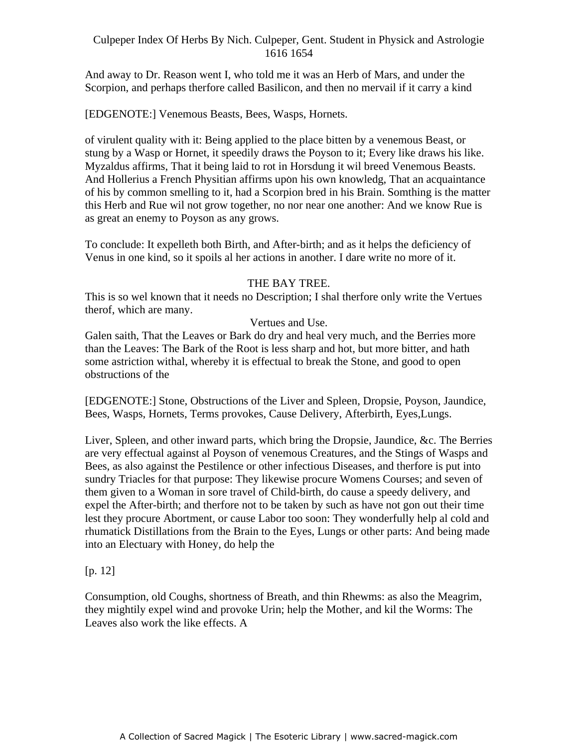And away to Dr. Reason went I, who told me it was an Herb of Mars, and under the Scorpion, and perhaps therfore called Basilicon, and then no mervail if it carry a kind

[EDGENOTE:] Venemous Beasts, Bees, Wasps, Hornets.

of virulent quality with it: Being applied to the place bitten by a venemous Beast, or stung by a Wasp or Hornet, it speedily draws the Poyson to it; Every like draws his like. Myzaldus affirms, That it being laid to rot in Horsdung it wil breed Venemous Beasts. And Hollerius a French Physitian affirms upon his own knowledg, That an acquaintance of his by common smelling to it, had a Scorpion bred in his Brain. Somthing is the matter this Herb and Rue wil not grow together, no nor near one another: And we know Rue is as great an enemy to Poyson as any grows.

To conclude: It expelleth both Birth, and After-birth; and as it helps the deficiency of Venus in one kind, so it spoils al her actions in another. I dare write no more of it.

# THE BAY TREE.

This is so wel known that it needs no Description; I shal therfore only write the Vertues therof, which are many.

# Vertues and Use.

Galen saith, That the Leaves or Bark do dry and heal very much, and the Berries more than the Leaves: The Bark of the Root is less sharp and hot, but more bitter, and hath some astriction withal, whereby it is effectual to break the Stone, and good to open obstructions of the

[EDGENOTE:] Stone, Obstructions of the Liver and Spleen, Dropsie, Poyson, Jaundice, Bees, Wasps, Hornets, Terms provokes, Cause Delivery, Afterbirth, Eyes,Lungs.

Liver, Spleen, and other inward parts, which bring the Dropsie, Jaundice, &c. The Berries are very effectual against al Poyson of venemous Creatures, and the Stings of Wasps and Bees, as also against the Pestilence or other infectious Diseases, and therfore is put into sundry Triacles for that purpose: They likewise procure Womens Courses; and seven of them given to a Woman in sore travel of Child-birth, do cause a speedy delivery, and expel the After-birth; and therfore not to be taken by such as have not gon out their time lest they procure Abortment, or cause Labor too soon: They wonderfully help al cold and rhumatick Distillations from the Brain to the Eyes, Lungs or other parts: And being made into an Electuary with Honey, do help the

# [p. 12]

Consumption, old Coughs, shortness of Breath, and thin Rhewms: as also the Meagrim, they mightily expel wind and provoke Urin; help the Mother, and kil the Worms: The Leaves also work the like effects. A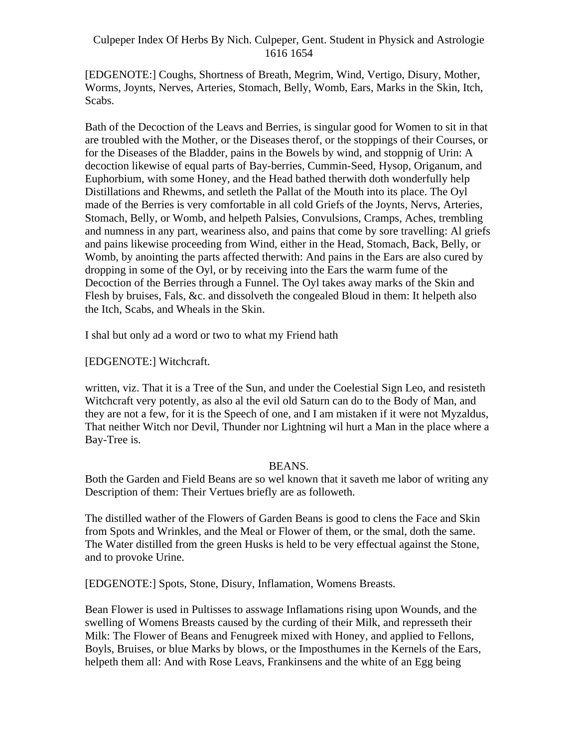[EDGENOTE:] Coughs, Shortness of Breath, Megrim, Wind, Vertigo, Disury, Mother, Worms, Joynts, Nerves, Arteries, Stomach, Belly, Womb, Ears, Marks in the Skin, Itch, Scabs. The set of the set of the set of the set of the set of the set of the set of the set of the set of the set of the set of the set of the set of the set of the set of the set of the set of the set of the set of the se

Bath of the Decoction of the Leavs and Berries, is singular good for Women to sit in that are troubled with the Mother, or the Diseases therof, or the stoppings of their Courses, or for the Diseases of the Bladder, pains in the Bowels by wind, and stoppnig of Urin: A decoction likewise of equal parts of Bay-berries, Cummin-Seed, Hysop, Origanum, and Euphorbium, with some Honey, and the Head bathed therwith doth wonderfully help Distillations and Rhewms, and setleth the Pallat of the Mouth into its place. The Oyl made of the Berries is very comfortable in all cold Griefs of the Joynts, Nervs, Arteries, Stomach, Belly, or Womb, and helpeth Palsies, Convulsions, Cramps, Aches, trembling and numness in any part, weariness also, and pains that come by sore travelling: Al griefs and pains likewise proceeding from Wind, either in the Head, Stomach, Back, Belly, or Womb, by anointing the parts affected therwith: And pains in the Ears are also cured by dropping in some of the Oyl, or by receiving into the Ears the warm fume of the Decoction of the Berries through a Funnel. The Oyl takes away marks of the Skin and Flesh by bruises, Fals, &c. and dissolveth the congealed Bloud in them: It helpeth also the Itch, Scabs, and Wheals in the Skin.

I shal but only ad a word or two to what my Friend hath

[EDGENOTE:] Witchcraft.

written, viz. That it is a Tree of the Sun, and under the Coelestial Sign Leo, and resisteth Witchcraft very potently, as also al the evil old Saturn can do to the Body of Man, and they are not a few, for it is the Speech of one, and I am mistaken if it were not Myzaldus, That neither Witch nor Devil, Thunder nor Lightning wil hurt a Man in the place where a Bay-Tree is.

# BEANS.

Both the Garden and Field Beans are so wel known that it saveth me labor of writing any Description of them: Their Vertues briefly are as followeth.

The distilled wather of the Flowers of Garden Beans is good to clens the Face and Skin from Spots and Wrinkles, and the Meal or Flower of them, or the smal, doth the same. The Water distilled from the green Husks is held to be very effectual against the Stone, and to provoke Urine.

[EDGENOTE:] Spots, Stone, Disury, Inflamation, Womens Breasts.

Bean Flower is used in Pultisses to asswage Inflamations rising upon Wounds, and the swelling of Womens Breasts caused by the curding of their Milk, and represseth their Milk: The Flower of Beans and Fenugreek mixed with Honey, and applied to Fellons, Boyls, Bruises, or blue Marks by blows, or the Imposthumes in the Kernels of the Ears, helpeth them all: And with Rose Leavs, Frankinsens and the white of an Egg being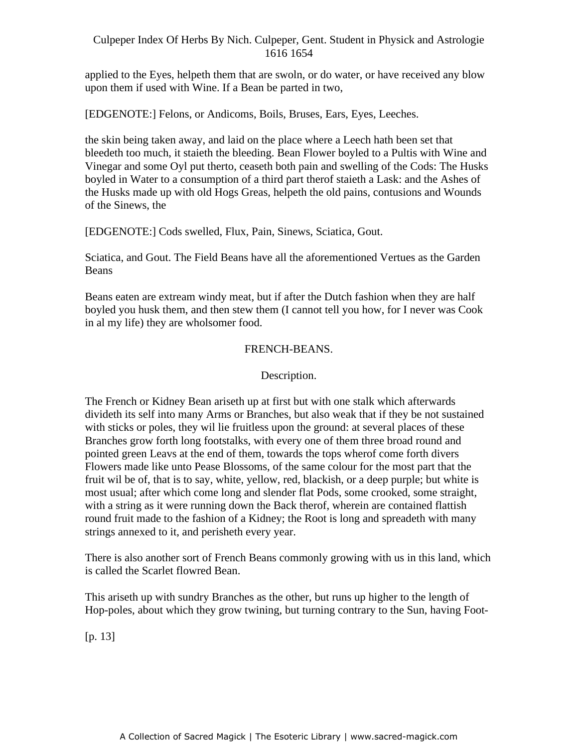applied to the Eyes, helpeth them that are swoln, or do water, or have received any blow upon them if used with Wine. If a Bean be parted in two,

[EDGENOTE:] Felons, or Andicoms, Boils, Bruses, Ears, Eyes, Leeches.

the skin being taken away, and laid on the place where a Leech hath been set that bleedeth too much, it staieth the bleeding. Bean Flower boyled to a Pultis with Wine and Vinegar and some Oyl put therto, ceaseth both pain and swelling of the Cods: The Husks A megan and some  $\sigma_{y1}$  part thero, ecasem board paint and sweming or the cods. The Hasks the Husks made up with old Hogs Greas, helpeth the old pains, contusions and Wounds of the Sinews, the

[EDGENOTE:] Cods swelled, Flux, Pain, Sinews, Sciatica, Gout.

Sciatica, and Gout. The Field Beans have all the aforementioned Vertues as the Garden Beans **Exercise 2018 Beans** 

Beans eaten are extream windy meat, but if after the Dutch fashion when they are half boyled you husk them, and then stew them (I cannot tell you how, for I never was Cook in al my life) they are wholsomer food.

## FRENCH-BEANS.

### Description.

The French or Kidney Bean ariseth up at first but with one stalk which afterwards divideth its self into many Arms or Branches, but also weak that if they be not sustained with sticks or poles, they wil lie fruitless upon the ground: at several places of these Branches grow forth long footstalks, with every one of them three broad round and pointed green Leavs at the end of them, towards the tops wherof come forth divers Flowers made like unto Pease Blossoms, of the same colour for the most part that the fruit wil be of, that is to say, white, yellow, red, blackish, or a deep purple; but white is most usual; after which come long and slender flat Pods, some crooked, some straight, with a string as it were running down the Back therof, wherein are contained flattish round fruit made to the fashion of a Kidney; the Root is long and spreadeth with many strings annexed to it, and perisheth every year.

There is also another sort of French Beans commonly growing with us in this land, which is called the Scarlet flowred Bean.

This ariseth up with sundry Branches as the other, but runs up higher to the length of Hop-poles, about which they grow twining, but turning contrary to the Sun, having Foot-

[p. 13]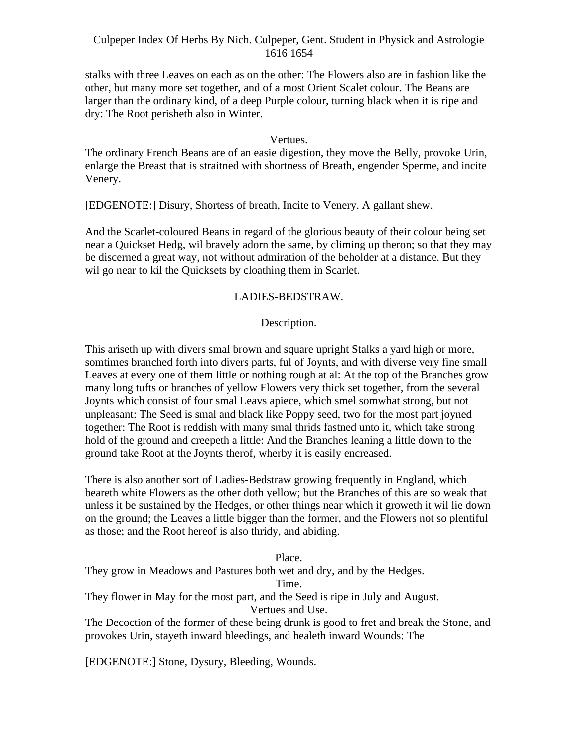stalks with three Leaves on each as on the other: The Flowers also are in fashion like the other, but many more set together, and of a most Orient Scalet colour. The Beans are larger than the ordinary kind, of a deep Purple colour, turning black when it is ripe and dry: The Root perisheth also in Winter.

#### Vertues.

The ordinary French Beans are of an easie digestion, they move the Belly, provoke Urin, enlarge the Breast that is straitned with shortness of Breath, engender Sperme, and incite Venery.

[EDGENOTE:] Disury, Shortess of breath, Incite to Venery. A gallant shew.

And the Scarlet-coloured Beans in regard of the glorious beauty of their colour being set near a Quickset Hedg, wil bravely adorn the same, by climing up theron; so that they may be discerned a great way, not without admiration of the beholder at a distance. But they wil go near to kil the Quicksets by cloathing them in Scarlet.

#### LADIES-BEDSTRAW.

#### Description.

This ariseth up with divers smal brown and square upright Stalks a yard high or more, somtimes branched forth into divers parts, ful of Joynts, and with diverse very fine small Leaves at every one of them little or nothing rough at al: At the top of the Branches grow many long tufts or branches of yellow Flowers very thick set together, from the several Joynts which consist of four smal Leavs apiece, which smel somwhat strong, but not unpleasant: The Seed is smal and black like Poppy seed, two for the most part joyned together: The Root is reddish with many smal thrids fastned unto it, which take strong hold of the ground and creepeth a little: And the Branches leaning a little down to the ground take Root at the Joynts therof, wherby it is easily encreased.

There is also another sort of Ladies-Bedstraw growing frequently in England, which beareth white Flowers as the other doth yellow; but the Branches of this are so weak that unless it be sustained by the Hedges, or other things near which it groweth it wil lie down on the ground; the Leaves a little bigger than the former, and the Flowers not so plentiful as those; and the Root hereof is also thridy, and abiding.

Place.

They grow in Meadows and Pastures both wet and dry, and by the Hedges.

Time.

They flower in May for the most part, and the Seed is ripe in July and August.

Vertues and Use.

The Decoction of the former of these being drunk is good to fret and break the Stone, and provokes Urin, stayeth inward bleedings, and healeth inward Wounds: The

[EDGENOTE:] Stone, Dysury, Bleeding, Wounds.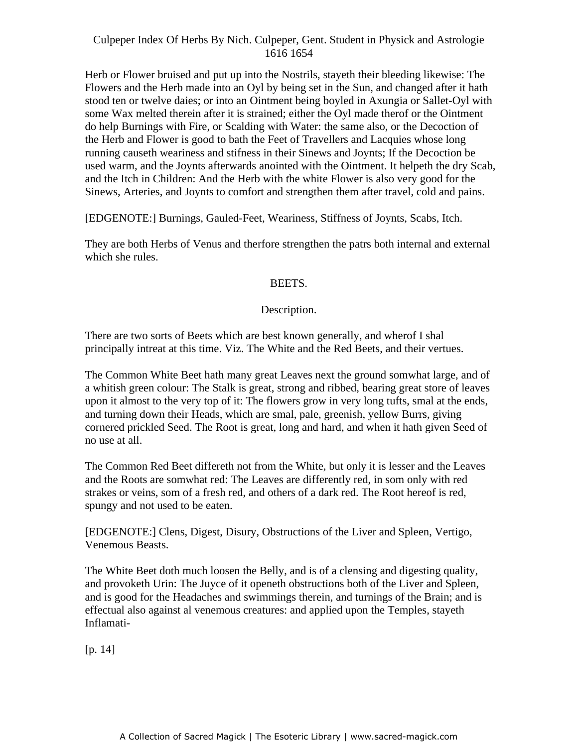Herb or Flower bruised and put up into the Nostrils, stayeth their bleeding likewise: The Flowers and the Herb made into an Oyl by being set in the Sun, and changed after it hath stood ten or twelve daies; or into an Ointment being boyled in Axungia or Sallet-Oyl with some Wax melted therein after it is strained; either the Oyl made therof or the Ointment do help Burnings with Fire, or Scalding with Water: the same also, or the Decoction of the Herb and Flower is good to bath the Feet of Travellers and Lacquies whose long running causeth weariness and stifness in their Sinews and Joynts; If the Decoction be used warm, and the Joynts afterwards anointed with the Ointment. It helpeth the dry Scab, and the Itch in Children: And the Herb with the white Flower is also very good for the Sinews, Arteries, and Joynts to comfort and strengthen them after travel, cold and pains.

[EDGENOTE:] Burnings, Gauled-Feet, Weariness, Stiffness of Joynts, Scabs, Itch.

They are both Herbs of Venus and therfore strengthen the patrs both internal and external which she rules.

# BEETS.

## Description.

There are two sorts of Beets which are best known generally, and wherof I shal principally intreat at this time. Viz. The White and the Red Beets, and their vertues.

The Common White Beet hath many great Leaves next the ground somwhat large, and of a whitish green colour: The Stalk is great, strong and ribbed, bearing great store of leaves upon it almost to the very top of it: The flowers grow in very long tufts, smal at the ends, and turning down their Heads, which are smal, pale, greenish, yellow Burrs, giving cornered prickled Seed. The Root is great, long and hard, and when it hath given Seed of no use at all.

The Common Red Beet differeth not from the White, but only it is lesser and the Leaves and the Roots are somwhat red: The Leaves are differently red, in som only with red strakes or veins, som of a fresh red, and others of a dark red. The Root hereof is red, spungy and not used to be eaten.

[EDGENOTE:] Clens, Digest, Disury, Obstructions of the Liver and Spleen, Vertigo, Venemous Beasts.

The White Beet doth much loosen the Belly, and is of a clensing and digesting quality, and provoketh Urin: The Juyce of it openeth obstructions both of the Liver and Spleen, and is good for the Headaches and swimmings therein, and turnings of the Brain; and is effectual also against al venemous creatures: and applied upon the Temples, stayeth Inflamati-

[p. 14]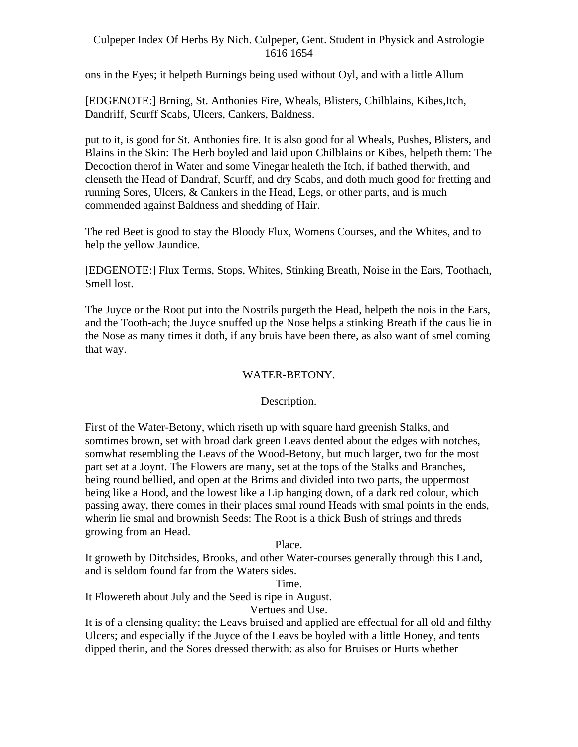ons in the Eyes; it helpeth Burnings being used without Oyl, and with a little Allum

[EDGENOTE:] Brning, St. Anthonies Fire, Wheals, Blisters, Chilblains, Kibes,Itch, Dandriff, Scurff Scabs, Ulcers, Cankers, Baldness.

put to it, is good for St. Anthonies fire. It is also good for al Wheals, Pushes, Blisters, and Blains in the Skin: The Herb boyled and laid upon Chilblains or Kibes, helpeth them: The Decoction therof in Water and some Vinegar healeth the Itch, if bathed therwith, and clenseth the Head of Dandraf, Scurff, and dry Scabs, and doth much good for fretting and running Sores, Ulcers, & Cankers in the Head, Legs, or other parts, and is much commended against Baldness and shedding of Hair.

The red Beet is good to stay the Bloody Flux, Womens Courses, and the Whites, and to help the yellow Jaundice.

[EDGENOTE:] Flux Terms, Stops, Whites, Stinking Breath, Noise in the Ears, Toothach, Smell lost.

The Juyce or the Root put into the Nostrils purgeth the Head, helpeth the nois in the Ears, and the Tooth-ach; the Juyce snuffed up the Nose helps a stinking Breath if the caus lie in the Nose as many times it doth, if any bruis have been there, as also want of smel coming that way.

## WATER-BETONY.

## Description.

First of the Water-Betony, which riseth up with square hard greenish Stalks, and somtimes brown, set with broad dark green Leavs dented about the edges with notches, somwhat resembling the Leavs of the Wood-Betony, but much larger, two for the most part set at a Joynt. The Flowers are many, set at the tops of the Stalks and Branches, being round bellied, and open at the Brims and divided into two parts, the uppermost being like a Hood, and the lowest like a Lip hanging down, of a dark red colour, which passing away, there comes in their places smal round Heads with smal points in the ends, wherin lie smal and brownish Seeds: The Root is a thick Bush of strings and threds growing from an Head.

### Place.

It groweth by Ditchsides, Brooks, and other Water-courses generally through this Land, and is seldom found far from the Waters sides.

Time.

It Flowereth about July and the Seed is ripe in August.

Vertues and Use.

It is of a clensing quality; the Leavs bruised and applied are effectual for all old and filthy Ulcers; and especially if the Juyce of the Leavs be boyled with a little Honey, and tents dipped therin, and the Sores dressed therwith: as also for Bruises or Hurts whether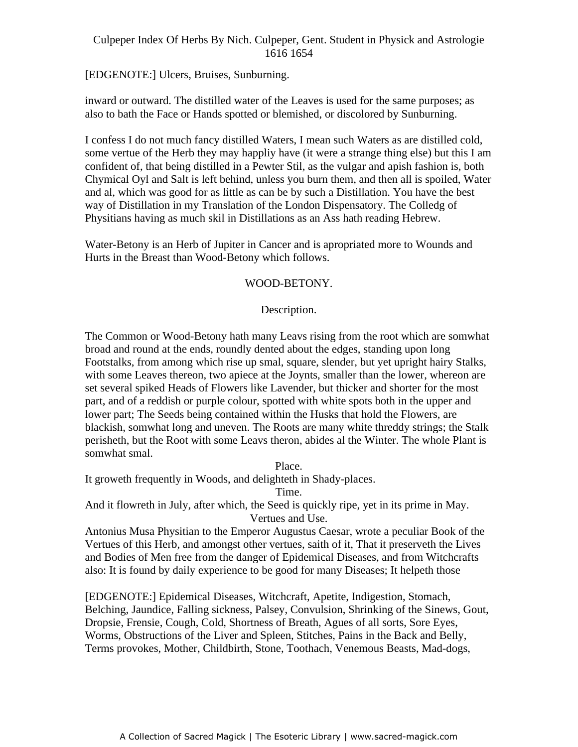[EDGENOTE:] Ulcers, Bruises, Sunburning.

inward or outward. The distilled water of the Leaves is used for the same purposes; as also to bath the Face or Hands spotted or blemished, or discolored by Sunburning.

I confess I do not much fancy distilled Waters, I mean such Waters as are distilled cold, some vertue of the Herb they may happliy have (it were a strange thing else) but this I am confident of, that being distilled in a Pewter Stil, as the vulgar and apish fashion is, both Chymical Oyl and Salt is left behind, unless you burn them, and then all is spoiled, Water and al, which was good for as little as can be by such a Distillation. You have the best way of Distillation in my Translation of the London Dispensatory. The Colledg of Physitians having as much skil in Distillations as an Ass hath reading Hebrew.

Water-Betony is an Herb of Jupiter in Cancer and is apropriated more to Wounds and Hurts in the Breast than Wood-Betony which follows.

## WOOD-BETONY.

# Description.

The Common or Wood-Betony hath many Leavs rising from the root which are somwhat broad and round at the ends, roundly dented about the edges, standing upon long Footstalks, from among which rise up smal, square, slender, but yet upright hairy Stalks, with some Leaves thereon, two apiece at the Joynts, smaller than the lower, whereon are set several spiked Heads of Flowers like Lavender, but thicker and shorter for the most part, and of a reddish or purple colour, spotted with white spots both in the upper and lower part; The Seeds being contained within the Husks that hold the Flowers, are blackish, somwhat long and uneven. The Roots are many white threddy strings; the Stalk perisheth, but the Root with some Leavs theron, abides al the Winter. The whole Plant is somwhat smal.

Place.

It groweth frequently in Woods, and delighteth in Shady-places.

Time.

And it flowreth in July, after which, the Seed is quickly ripe, yet in its prime in May. Vertues and Use.

Antonius Musa Physitian to the Emperor Augustus Caesar, wrote a peculiar Book of the Vertues of this Herb, and amongst other vertues, saith of it, That it preserveth the Lives and Bodies of Men free from the danger of Epidemical Diseases, and from Witchcrafts also: It is found by daily experience to be good for many Diseases; It helpeth those

[EDGENOTE:] Epidemical Diseases, Witchcraft, Apetite, Indigestion, Stomach, Belching, Jaundice, Falling sickness, Palsey, Convulsion, Shrinking of the Sinews, Gout, Dropsie, Frensie, Cough, Cold, Shortness of Breath, Agues of all sorts, Sore Eyes, Worms, Obstructions of the Liver and Spleen, Stitches, Pains in the Back and Belly, Terms provokes, Mother, Childbirth, Stone, Toothach, Venemous Beasts, Mad-dogs,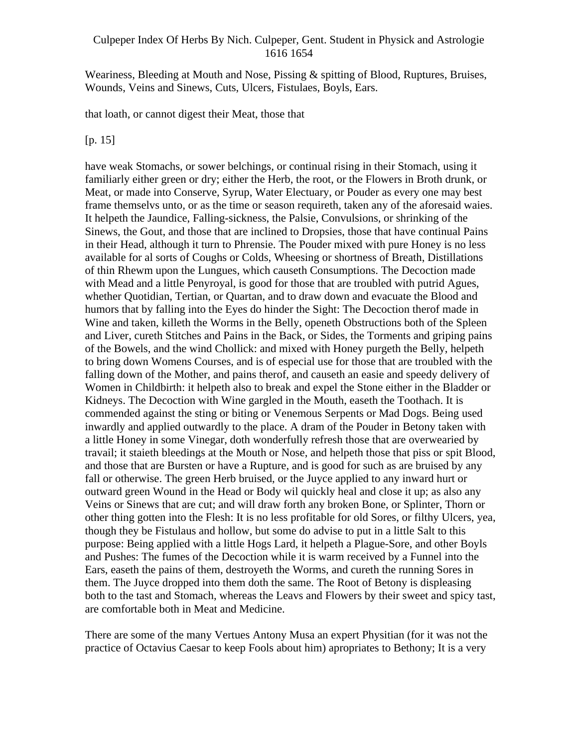Weariness, Bleeding at Mouth and Nose, Pissing & spitting of Blood, Ruptures, Bruises, Wounds, Veins and Sinews, Cuts, Ulcers, Fistulaes, Boyls, Ears.

that loath, or cannot digest their Meat, those that

[p. 15]

have weak Stomachs, or sower belchings, or continual rising in their Stomach, using it familiarly either green or dry; either the Herb, the root, or the Flowers in Broth drunk, or Meat, or made into Conserve, Syrup, Water Electuary, or Pouder as every one may best frame themselvs unto, or as the time or season requireth, taken any of the aforesaid waies. It helpeth the Jaundice, Falling-sickness, the Palsie, Convulsions, or shrinking of the Sinews, the Gout, and those that are inclined to Dropsies, those that have continual Pains in their Head, although it turn to Phrensie. The Pouder mixed with pure Honey is no less available for al sorts of Coughs or Colds, Wheesing or shortness of Breath, Distillations of thin Rhewm upon the Lungues, which causeth Consumptions. The Decoction made with Mead and a little Penyroyal, is good for those that are troubled with putrid Agues, whether Quotidian, Tertian, or Quartan, and to draw down and evacuate the Blood and humors that by falling into the Eyes do hinder the Sight: The Decoction therof made in Wine and taken, killeth the Worms in the Belly, openeth Obstructions both of the Spleen and Liver, cureth Stitches and Pains in the Back, or Sides, the Torments and griping pains of the Bowels, and the wind Chollick: and mixed with Honey purgeth the Belly, helpeth to bring down Womens Courses, and is of especial use for those that are troubled with the falling down of the Mother, and pains therof, and causeth an easie and speedy delivery of Women in Childbirth: it helpeth also to break and expel the Stone either in the Bladder or Kidneys. The Decoction with Wine gargled in the Mouth, easeth the Toothach. It is commended against the sting or biting or Venemous Serpents or Mad Dogs. Being used inwardly and applied outwardly to the place. A dram of the Pouder in Betony taken with a little Honey in some Vinegar, doth wonderfully refresh those that are overwearied by travail; it staieth bleedings at the Mouth or Nose, and helpeth those that piss or spit Blood, and those that are Bursten or have a Rupture, and is good for such as are bruised by any fall or otherwise. The green Herb bruised, or the Juyce applied to any inward hurt or outward green Wound in the Head or Body wil quickly heal and close it up; as also any Veins or Sinews that are cut; and will draw forth any broken Bone, or Splinter, Thorn or other thing gotten into the Flesh: It is no less profitable for old Sores, or filthy Ulcers, yea, though they be Fistulaus and hollow, but some do advise to put in a little Salt to this purpose: Being applied with a little Hogs Lard, it helpeth a Plague-Sore, and other Boyls and Pushes: The fumes of the Decoction while it is warm received by a Funnel into the Ears, easeth the pains of them, destroyeth the Worms, and cureth the running Sores in them. The Juyce dropped into them doth the same. The Root of Betony is displeasing both to the tast and Stomach, whereas the Leavs and Flowers by their sweet and spicy tast, are comfortable both in Meat and Medicine.

There are some of the many Vertues Antony Musa an expert Physitian (for it was not the practice of Octavius Caesar to keep Fools about him) apropriates to Bethony; It is a very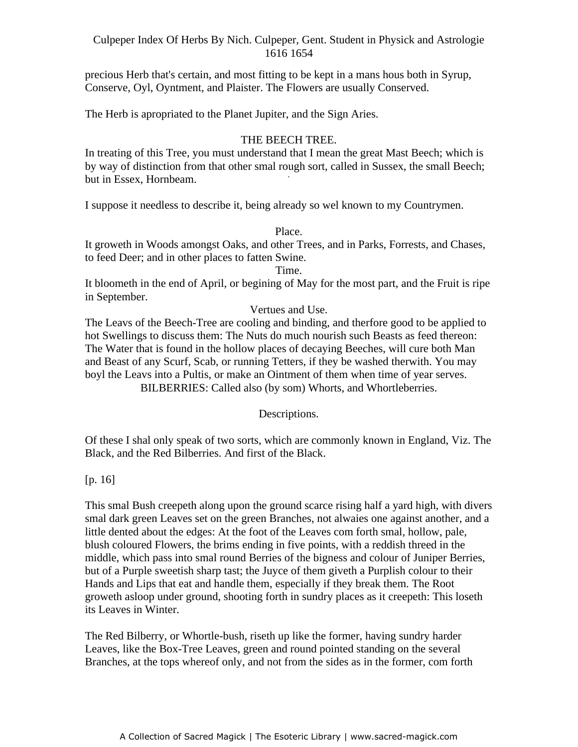precious Herb that's certain, and most fitting to be kept in a mans hous both in Syrup, Conserve, Oyl, Oyntment, and Plaister. The Flowers are usually Conserved.

The Herb is apropriated to the Planet Jupiter, and the Sign Aries.

## THE BEECH TREE.

In treating of this Tree, you must understand that I mean the great Mast Beech; which is by way of distinction from that other smal rough sort, called in Sussex, the small Beech; but in Essex, Hornbeam.

I suppose it needless to describe it, being already so wel known to my Countrymen.

### Place.

It groweth in Woods amongst Oaks, and other Trees, and in Parks, Forrests, and Chases, to feed Deer; and in other places to fatten Swine.

Time.

It bloometh in the end of April, or begining of May for the most part, and the Fruit is ripe in September.

## Vertues and Use.

The Leavs of the Beech-Tree are cooling and binding, and therfore good to be applied to hot Swellings to discuss them: The Nuts do much nourish such Beasts as feed thereon: The Water that is found in the hollow places of decaying Beeches, will cure both Man and Beast of any Scurf, Scab, or running Tetters, if they be washed therwith. You may boyl the Leavs into a Pultis, or make an Ointment of them when time of year serves. BILBERRIES: Called also (by som) Whorts, and Whortleberries.

Descriptions.

Of these I shal only speak of two sorts, which are commonly known in England, Viz. The Black, and the Red Bilberries. And first of the Black.

## [p. 16]

This smal Bush creepeth along upon the ground scarce rising half a yard high, with divers smal dark green Leaves set on the green Branches, not alwaies one against another, and a little dented about the edges: At the foot of the Leaves com forth smal, hollow, pale, blush coloured Flowers, the brims ending in five points, with a reddish threed in the middle, which pass into smal round Berries of the bigness and colour of Juniper Berries, but of a Purple sweetish sharp tast; the Juyce of them giveth a Purplish colour to their Hands and Lips that eat and handle them, especially if they break them. The Root groweth asloop under ground, shooting forth in sundry places as it creepeth: This loseth its Leaves in Winter.

The Red Bilberry, or Whortle-bush, riseth up like the former, having sundry harder Leaves, like the Box-Tree Leaves, green and round pointed standing on the several Branches, at the tops whereof only, and not from the sides as in the former, com forth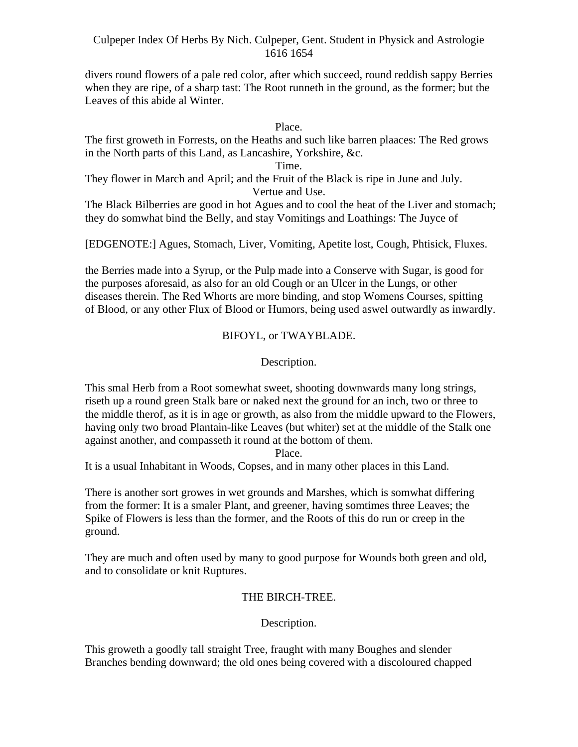divers round flowers of a pale red color, after which succeed, round reddish sappy Berries when they are ripe, of a sharp tast: The Root runneth in the ground, as the former; but the Leaves of this abide al Winter.

Place.

The first groweth in Forrests, on the Heaths and such like barren plaaces: The Red grows in the North parts of this Land, as Lancashire, Yorkshire, &c.

Time.

They flower in March and April; and the Fruit of the Black is ripe in June and July. Vertue and Use.

The Black Bilberries are good in hot Agues and to cool the heat of the Liver and stomach; they do somwhat bind the Belly, and stay Vomitings and Loathings: The Juyce of

[EDGENOTE:] Agues, Stomach, Liver, Vomiting, Apetite lost, Cough, Phtisick, Fluxes.

the Berries made into a Syrup, or the Pulp made into a Conserve with Sugar, is good for the purposes aforesaid, as also for an old Cough or an Ulcer in the Lungs, or other diseases therein. The Red Whorts are more binding, and stop Womens Courses, spitting of Blood, or any other Flux of Blood or Humors, being used aswel outwardly as inwardly.

# BIFOYL, or TWAYBLADE.

Description.

This smal Herb from a Root somewhat sweet, shooting downwards many long strings, riseth up a round green Stalk bare or naked next the ground for an inch, two or three to the middle therof, as it is in age or growth, as also from the middle upward to the Flowers, having only two broad Plantain-like Leaves (but whiter) set at the middle of the Stalk one against another, and compasseth it round at the bottom of them.

Place.

It is a usual Inhabitant in Woods, Copses, and in many other places in this Land.

There is another sort growes in wet grounds and Marshes, which is somwhat differing from the former: It is a smaler Plant, and greener, having somtimes three Leaves; the Spike of Flowers is less than the former, and the Roots of this do run or creep in the ground.

They are much and often used by many to good purpose for Wounds both green and old, and to consolidate or knit Ruptures.

# THE BIRCH-TREE.

Description.

This groweth a goodly tall straight Tree, fraught with many Boughes and slender Branches bending downward; the old ones being covered with a discoloured chapped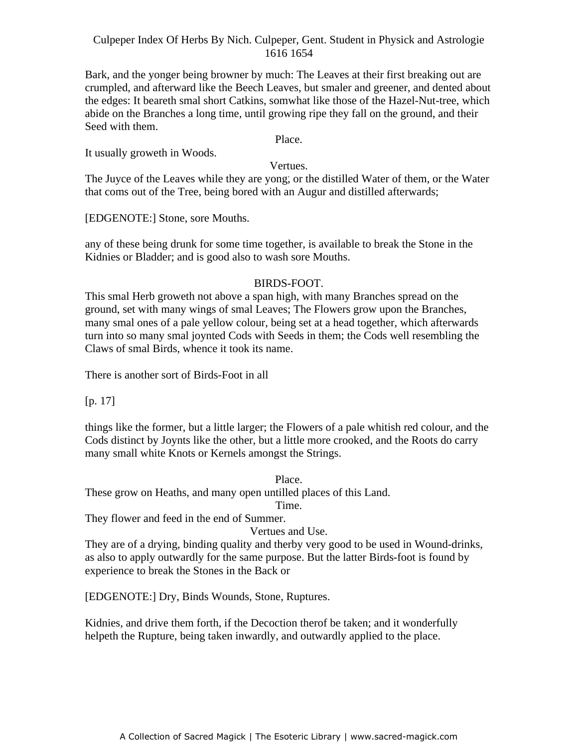Bark, and the yonger being browner by much: The Leaves at their first breaking out are crumpled, and afterward like the Beech Leaves, but smaler and greener, and dented about the edges: It beareth smal short Catkins, somwhat like those of the Hazel-Nut-tree, which abide on the Branches a long time, until growing ripe they fall on the ground, and their Seed with them.

Place.

It usually groweth in Woods.

Vertues.

The Juyce of the Leaves while they are yong, or the distilled Water of them, or the Water that coms out of the Tree, being bored with an Augur and distilled afterwards;

[EDGENOTE:] Stone, sore Mouths.

any of these being drunk for some time together, is available to break the Stone in the Kidnies or Bladder; and is good also to wash sore Mouths.

## BIRDS-FOOT.

This smal Herb groweth not above a span high, with many Branches spread on the ground, set with many wings of smal Leaves; The Flowers grow upon the Branches, many smal ones of a pale yellow colour, being set at a head together, which afterwards turn into so many smal joynted Cods with Seeds in them; the Cods well resembling the Claws of smal Birds, whence it took its name.

There is another sort of Birds-Foot in all

[p. 17]

things like the former, but a little larger; the Flowers of a pale whitish red colour, and the Cods distinct by Joynts like the other, but a little more crooked, and the Roots do carry many small white Knots or Kernels amongst the Strings.

Place. These grow on Heaths, and many open untilled places of this Land.

Time.

They flower and feed in the end of Summer.

Vertues and Use.

They are of a drying, binding quality and therby very good to be used in Wound-drinks, as also to apply outwardly for the same purpose. But the latter Birds-foot is found by experience to break the Stones in the Back or

[EDGENOTE:] Dry, Binds Wounds, Stone, Ruptures.

Kidnies, and drive them forth, if the Decoction therof be taken; and it wonderfully helpeth the Rupture, being taken inwardly, and outwardly applied to the place.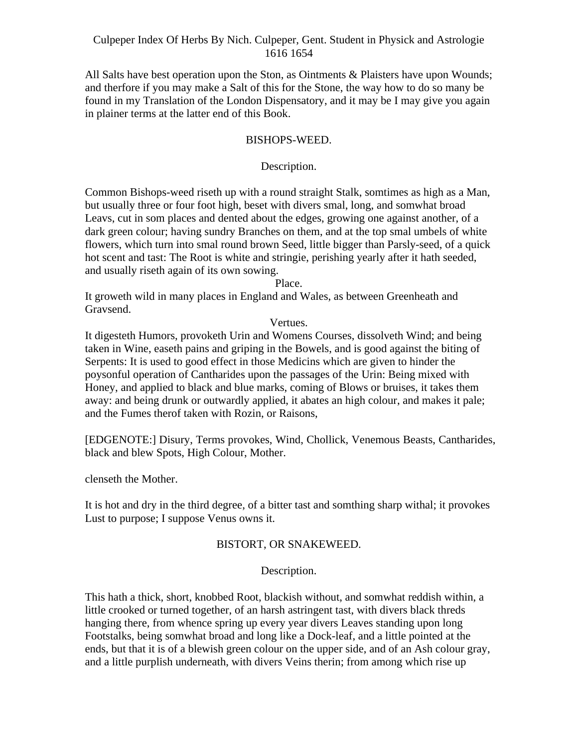All Salts have best operation upon the Ston, as Ointments & Plaisters have upon Wounds; and therfore if you may make a Salt of this for the Stone, the way how to do so many be found in my Translation of the London Dispensatory, and it may be I may give you again in plainer terms at the latter end of this Book.

## BISHOPS-WEED.

## Description.

Common Bishops-weed riseth up with a round straight Stalk, somtimes as high as a Man, but usually three or four foot high, beset with divers smal, long, and somwhat broad Leavs, cut in som places and dented about the edges, growing one against another, of a dark green colour; having sundry Branches on them, and at the top smal umbels of white flowers, which turn into smal round brown Seed, little bigger than Parsly-seed, of a quick hot scent and tast: The Root is white and stringie, perishing yearly after it hath seeded, and usually riseth again of its own sowing.

Place.

It groweth wild in many places in England and Wales, as between Greenheath and Gravsend.

Vertues.

It digesteth Humors, provoketh Urin and Womens Courses, dissolveth Wind; and being taken in Wine, easeth pains and griping in the Bowels, and is good against the biting of Serpents: It is used to good effect in those Medicins which are given to hinder the poysonful operation of Cantharides upon the passages of the Urin: Being mixed with Honey, and applied to black and blue marks, coming of Blows or bruises, it takes them away: and being drunk or outwardly applied, it abates an high colour, and makes it pale; and the Fumes therof taken with Rozin, or Raisons,

[EDGENOTE:] Disury, Terms provokes, Wind, Chollick, Venemous Beasts, Cantharides, black and blew Spots, High Colour, Mother.

clenseth the Mother.

It is hot and dry in the third degree, of a bitter tast and somthing sharp withal; it provokes Lust to purpose; I suppose Venus owns it.

## BISTORT, OR SNAKEWEED.

Description.

This hath a thick, short, knobbed Root, blackish without, and somwhat reddish within, a little crooked or turned together, of an harsh astringent tast, with divers black threds hanging there, from whence spring up every year divers Leaves standing upon long Footstalks, being somwhat broad and long like a Dock-leaf, and a little pointed at the ends, but that it is of a blewish green colour on the upper side, and of an Ash colour gray, and a little purplish underneath, with divers Veins therin; from among which rise up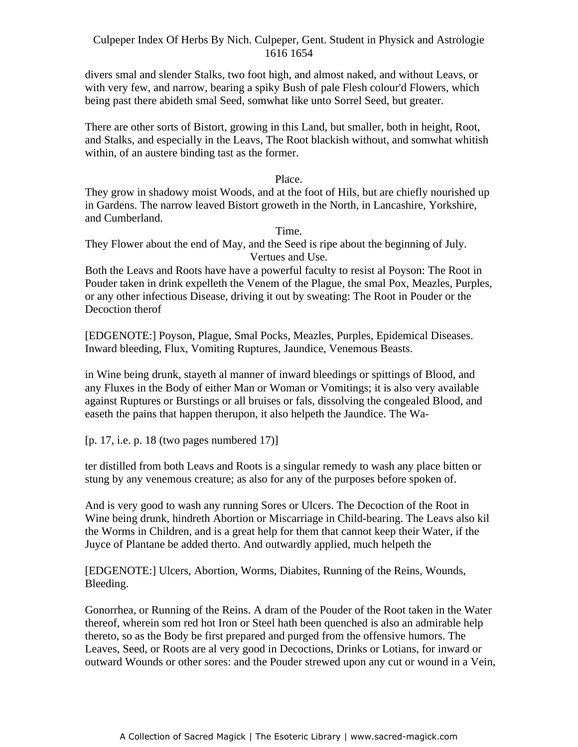divers smal and slender Stalks, two foot high, and almost naked, and without Leavs, or with very few, and narrow, bearing a spiky Bush of pale Flesh colour'd Flowers, which being past there abideth smal Seed, somwhat like unto Sorrel Seed, but greater.

There are other sorts of Bistort, growing in this Land, but smaller, both in height, Root, and Stalks, and especially in the Leavs, The Root blackish without, and somwhat whitish within, of an austere binding tast as the former.

> Place. -

They grow in shadowy moist Woods, and at the foot of Hils, but are chiefly nourished up in Gardens. The narrow leaved Bistort groweth in the North, in Lancashire, Yorkshire, and Cumberland.

Time.

They Flower about the end of May, and the Seed is ripe about the beginning of July. Vertues and Use.

Both the Leavs and Roots have have a powerful faculty to resist al Poyson: The Root in Pouder taken in drink expelleth the Venem of the Plague, the smal Pox, Meazles, Purples, or any other infectious Disease, driving it out by sweating: The Root in Pouder or the Decoction therof **Exercise 2018** 

[EDGENOTE:] Poyson, Plague, Smal Pocks, Meazles, Purples, Epidemical Diseases. Inward bleeding, Flux, Vomiting Ruptures, Jaundice, Venemous Beasts.

in Wine being drunk, stayeth al manner of inward bleedings or spittings of Blood, and any Fluxes in the Body of either Man or Woman or Vomitings; it is also very available against Ruptures or Burstings or all bruises or fals, dissolving the congealed Blood, and easeth the pains that happen therupon, it also helpeth the Jaundice. The Wa-

[p. 17, i.e. p. 18 (two pages numbered 17)]

ter distilled from both Leavs and Roots is a singular remedy to wash any place bitten or stung by any venemous creature; as also for any of the purposes before spoken of.

And is very good to wash any running Sores or Ulcers. The Decoction of the Root in Wine being drunk, hindreth Abortion or Miscarriage in Child-bearing. The Leavs also kil the Worms in Children, and is a great help for them that cannot keep their Water, if the Juyce of Plantane be added therto. And outwardly applied, much helpeth the

[EDGENOTE:] Ulcers, Abortion, Worms, Diabites, Running of the Reins, Wounds, Bleeding.

Gonorrhea, or Running of the Reins. A dram of the Pouder of the Root taken in the Water thereof, wherein som red hot Iron or Steel hath been quenched is also an admirable help thereto, so as the Body be first prepared and purged from the offensive humors. The Leaves, Seed, or Roots are al very good in Decoctions, Drinks or Lotians, for inward or outward Wounds or other sores: and the Pouder strewed upon any cut or wound in a Vein,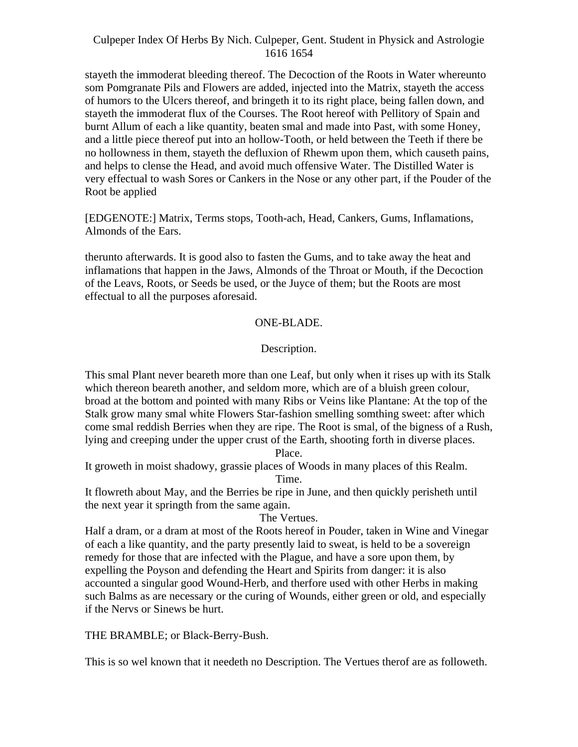stayeth the immoderat bleeding thereof. The Decoction of the Roots in Water whereunto som Pomgranate Pils and Flowers are added, injected into the Matrix, stayeth the access of humors to the Ulcers thereof, and bringeth it to its right place, being fallen down, and stayeth the immoderat flux of the Courses. The Root hereof with Pellitory of Spain and burnt Allum of each a like quantity, beaten smal and made into Past, with some Honey, and a little piece thereof put into an hollow-Tooth, or held between the Teeth if there be no hollowness in them, stayeth the defluxion of Rhewm upon them, which causeth pains, and helps to clense the Head, and avoid much offensive Water. The Distilled Water is very effectual to wash Sores or Cankers in the Nose or any other part, if the Pouder of the Root be applied

[EDGENOTE:] Matrix, Terms stops, Tooth-ach, Head, Cankers, Gums, Inflamations, Almonds of the Ears.

therunto afterwards. It is good also to fasten the Gums, and to take away the heat and inflamations that happen in the Jaws, Almonds of the Throat or Mouth, if the Decoction of the Leavs, Roots, or Seeds be used, or the Juyce of them; but the Roots are most effectual to all the purposes aforesaid.

## ONE-BLADE.

## Description.

This smal Plant never beareth more than one Leaf, but only when it rises up with its Stalk which thereon beareth another, and seldom more, which are of a bluish green colour, broad at the bottom and pointed with many Ribs or Veins like Plantane: At the top of the Stalk grow many smal white Flowers Star-fashion smelling somthing sweet: after which come smal reddish Berries when they are ripe. The Root is smal, of the bigness of a Rush, lying and creeping under the upper crust of the Earth, shooting forth in diverse places.

Place.

It groweth in moist shadowy, grassie places of Woods in many places of this Realm. Time.

It flowreth about May, and the Berries be ripe in June, and then quickly perisheth until the next year it springth from the same again.

The Vertues.

Half a dram, or a dram at most of the Roots hereof in Pouder, taken in Wine and Vinegar of each a like quantity, and the party presently laid to sweat, is held to be a sovereign remedy for those that are infected with the Plague, and have a sore upon them, by expelling the Poyson and defending the Heart and Spirits from danger: it is also accounted a singular good Wound-Herb, and therfore used with other Herbs in making such Balms as are necessary or the curing of Wounds, either green or old, and especially if the Nervs or Sinews be hurt.

THE BRAMBLE; or Black-Berry-Bush.

This is so wel known that it needeth no Description. The Vertues therof are as followeth.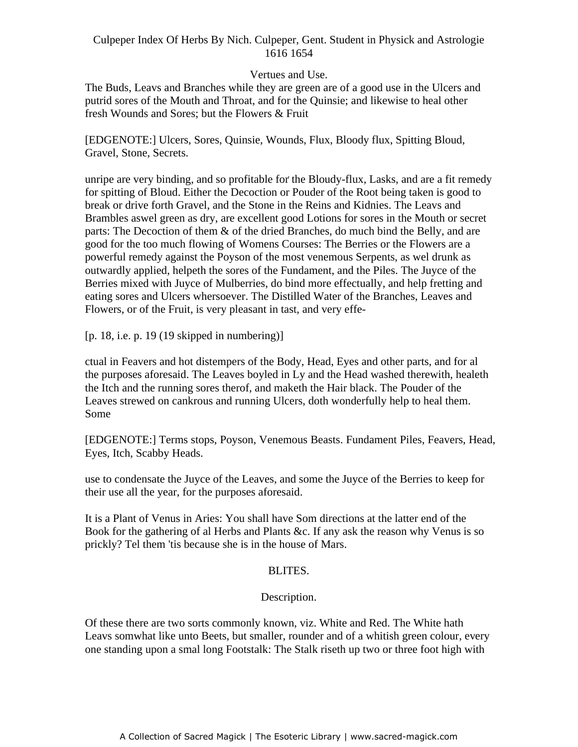### Vertues and Use.

The Buds, Leavs and Branches while they are green are of a good use in the Ulcers and putrid sores of the Mouth and Throat, and for the Quinsie; and likewise to heal other fresh Wounds and Sores; but the Flowers & Fruit

[EDGENOTE:] Ulcers, Sores, Quinsie, Wounds, Flux, Bloody flux, Spitting Bloud, Gravel, Stone, Secrets.

unripe are very binding, and so profitable for the Bloudy-flux, Lasks, and are a fit remedy for spitting of Bloud. Either the Decoction or Pouder of the Root being taken is good to break or drive forth Gravel, and the Stone in the Reins and Kidnies. The Leavs and Brambles aswel green as dry, are excellent good Lotions for sores in the Mouth or secret parts: The Decoction of them  $\&$  of the dried Branches, do much bind the Belly, and are good for the too much flowing of Womens Courses: The Berries or the Flowers are a powerful remedy against the Poyson of the most venemous Serpents, as wel drunk as outwardly applied, helpeth the sores of the Fundament, and the Piles. The Juyce of the Berries mixed with Juyce of Mulberries, do bind more effectually, and help fretting and eating sores and Ulcers whersoever. The Distilled Water of the Branches, Leaves and Flowers, or of the Fruit, is very pleasant in tast, and very effe-

[p. 18, i.e. p. 19 (19 skipped in numbering)]

ctual in Feavers and hot distempers of the Body, Head, Eyes and other parts, and for al the purposes aforesaid. The Leaves boyled in Ly and the Head washed therewith, healeth the Itch and the running sores therof, and maketh the Hair black. The Pouder of the Leaves strewed on cankrous and running Ulcers, doth wonderfully help to heal them. Some states and the state of the state of the state of the state of the state of the state of the state of the state of the state of the state of the state of the state of the state of the state of the state of the state o

[EDGENOTE:] Terms stops, Poyson, Venemous Beasts. Fundament Piles, Feavers, Head, Eyes, Itch, Scabby Heads.

use to condensate the Juyce of the Leaves, and some the Juyce of the Berries to keep for their use all the year, for the purposes aforesaid.

It is a Plant of Venus in Aries: You shall have Som directions at the latter end of the Book for the gathering of al Herbs and Plants &c. If any ask the reason why Venus is so prickly? Tel them 'tis because she is in the house of Mars.

## BLITES.

## Description.

Of these there are two sorts commonly known, viz. White and Red. The White hath Leavs somwhat like unto Beets, but smaller, rounder and of a whitish green colour, every one standing upon a smal long Footstalk: The Stalk riseth up two or three foot high with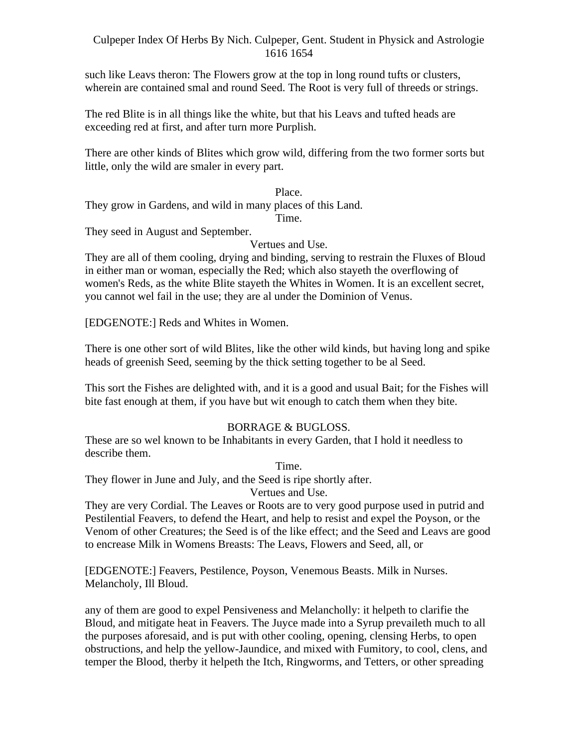such like Leavs theron: The Flowers grow at the top in long round tufts or clusters, wherein are contained smal and round Seed. The Root is very full of threeds or strings.

The red Blite is in all things like the white, but that his Leavs and tufted heads are exceeding red at first, and after turn more Purplish.

There are other kinds of Blites which grow wild, differing from the two former sorts but little, only the wild are smaler in every part.

Place. They grow in Gardens, and wild in many places of this Land.

Time.

They seed in August and September.

Vertues and Use.

They are all of them cooling, drying and binding, serving to restrain the Fluxes of Bloud in either man or woman, especially the Red; which also stayeth the overflowing of women's Reds, as the white Blite stayeth the Whites in Women. It is an excellent secret, you cannot wel fail in the use; they are al under the Dominion of Venus.

[EDGENOTE:] Reds and Whites in Women.

There is one other sort of wild Blites, like the other wild kinds, but having long and spike heads of greenish Seed, seeming by the thick setting together to be al Seed.

This sort the Fishes are delighted with, and it is a good and usual Bait; for the Fishes will bite fast enough at them, if you have but wit enough to catch them when they bite.

## BORRAGE & BUGLOSS.

These are so wel known to be Inhabitants in every Garden, that I hold it needless to describe them.

Time.

They flower in June and July, and the Seed is ripe shortly after.

Vertues and Use.

They are very Cordial. The Leaves or Roots are to very good purpose used in putrid and Pestilential Feavers, to defend the Heart, and help to resist and expel the Poyson, or the Venom of other Creatures; the Seed is of the like effect; and the Seed and Leavs are good to encrease Milk in Womens Breasts: The Leavs, Flowers and Seed, all, or

[EDGENOTE:] Feavers, Pestilence, Poyson, Venemous Beasts. Milk in Nurses. Melancholy, Ill Bloud.

any of them are good to expel Pensiveness and Melancholly: it helpeth to clarifie the Bloud, and mitigate heat in Feavers. The Juyce made into a Syrup prevaileth much to all the purposes aforesaid, and is put with other cooling, opening, clensing Herbs, to open obstructions, and help the yellow-Jaundice, and mixed with Fumitory, to cool, clens, and temper the Blood, therby it helpeth the Itch, Ringworms, and Tetters, or other spreading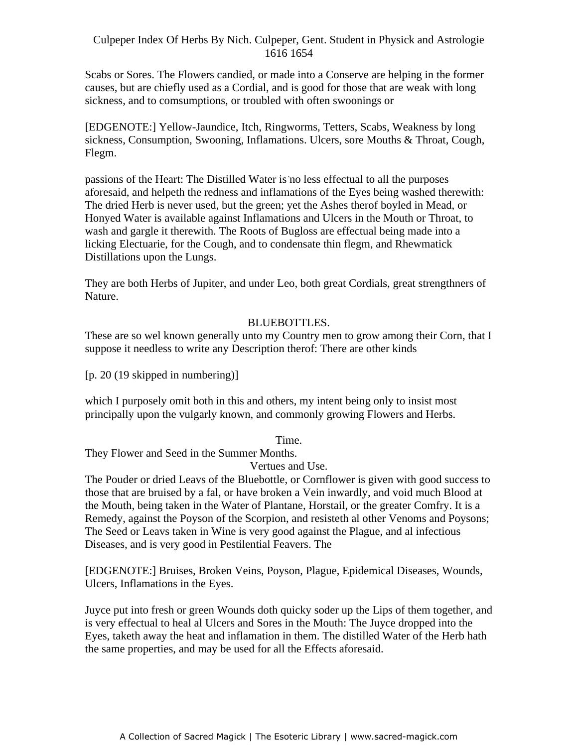Scabs or Sores. The Flowers candied, or made into a Conserve are helping in the former causes, but are chiefly used as a Cordial, and is good for those that are weak with long sickness, and to comsumptions, or troubled with often swoonings or

[EDGENOTE:] Yellow-Jaundice, Itch, Ringworms, Tetters, Scabs, Weakness by long sickness, Consumption, Swooning, Inflamations. Ulcers, sore Mouths & Throat, Cough, Flegm.

passions of the Heart: The Distilled Water is no less effectual to all the purposes aforesaid, and helpeth the redness and inflamations of the Eyes being washed therewith: The dried Herb is never used, but the green; yet the Ashes therof boyled in Mead, or Honyed Water is available against Inflamations and Ulcers in the Mouth or Throat, to wash and gargle it therewith. The Roots of Bugloss are effectual being made into a licking Electuarie, for the Cough, and to condensate thin flegm, and Rhewmatick Distillations upon the Lungs.

They are both Herbs of Jupiter, and under Leo, both great Cordials, great strengthners of Nature.

## BLUEBOTTLES.

These are so wel known generally unto my Country men to grow among their Corn, that I suppose it needless to write any Description therof: There are other kinds

[p. 20 (19 skipped in numbering)]

which I purposely omit both in this and others, my intent being only to insist most principally upon the vulgarly known, and commonly growing Flowers and Herbs.

Time.

They Flower and Seed in the Summer Months.

Vertues and Use.

The Pouder or dried Leavs of the Bluebottle, or Cornflower is given with good success to those that are bruised by a fal, or have broken a Vein inwardly, and void much Blood at the Mouth, being taken in the Water of Plantane, Horstail, or the greater Comfry. It is a Remedy, against the Poyson of the Scorpion, and resisteth al other Venoms and Poysons; The Seed or Leavs taken in Wine is very good against the Plague, and al infectious Diseases, and is very good in Pestilential Feavers. The

[EDGENOTE:] Bruises, Broken Veins, Poyson, Plague, Epidemical Diseases, Wounds, Ulcers, Inflamations in the Eyes.

Juyce put into fresh or green Wounds doth quicky soder up the Lips of them together, and is very effectual to heal al Ulcers and Sores in the Mouth: The Juyce dropped into the Eyes, taketh away the heat and inflamation in them. The distilled Water of the Herb hath the same properties, and may be used for all the Effects aforesaid.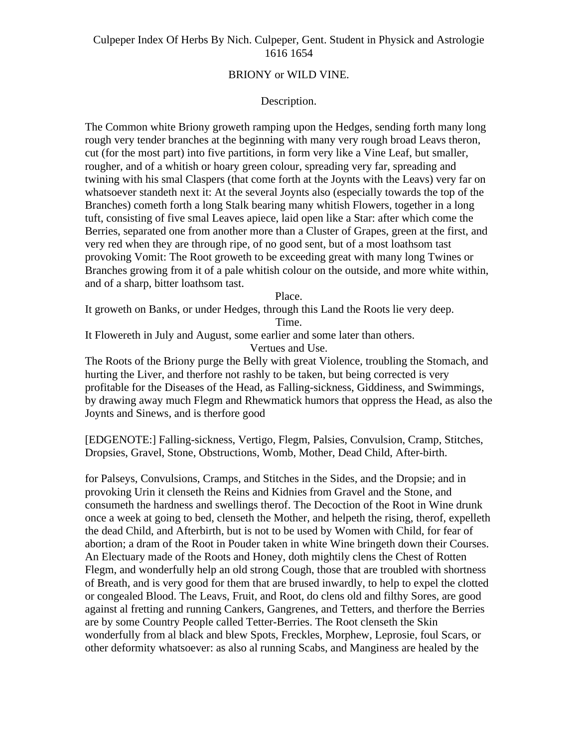### BRIONY or WILD VINE.

#### Description.

The Common white Briony groweth ramping upon the Hedges, sending forth many long rough very tender branches at the beginning with many very rough broad Leavs theron, cut (for the most part) into five partitions, in form very like a Vine Leaf, but smaller, rougher, and of a whitish or hoary green colour, spreading very far, spreading and twining with his smal Claspers (that come forth at the Joynts with the Leavs) very far on whatsoever standeth next it: At the several Joynts also (especially towards the top of the Branches) cometh forth a long Stalk bearing many whitish Flowers, together in a long tuft, consisting of five smal Leaves apiece, laid open like a Star: after which come the Berries, separated one from another more than a Cluster of Grapes, green at the first, and very red when they are through ripe, of no good sent, but of a most loathsom tast provoking Vomit: The Root groweth to be exceeding great with many long Twines or Branches growing from it of a pale whitish colour on the outside, and more white within, and of a sharp, bitter loathsom tast.

Place.

It groweth on Banks, or under Hedges, through this Land the Roots lie very deep. Time.

It Flowereth in July and August, some earlier and some later than others.

Vertues and Use.

The Roots of the Briony purge the Belly with great Violence, troubling the Stomach, and hurting the Liver, and therfore not rashly to be taken, but being corrected is very profitable for the Diseases of the Head, as Falling-sickness, Giddiness, and Swimmings, by drawing away much Flegm and Rhewmatick humors that oppress the Head, as also the Joynts and Sinews, and is therfore good

[EDGENOTE:] Falling-sickness, Vertigo, Flegm, Palsies, Convulsion, Cramp, Stitches, Dropsies, Gravel, Stone, Obstructions, Womb, Mother, Dead Child, After-birth.

for Palseys, Convulsions, Cramps, and Stitches in the Sides, and the Dropsie; and in provoking Urin it clenseth the Reins and Kidnies from Gravel and the Stone, and consumeth the hardness and swellings therof. The Decoction of the Root in Wine drunk once a week at going to bed, clenseth the Mother, and helpeth the rising, therof, expelleth the dead Child, and Afterbirth, but is not to be used by Women with Child, for fear of abortion; a dram of the Root in Pouder taken in white Wine bringeth down their Courses. An Electuary made of the Roots and Honey, doth mightily clens the Chest of Rotten Flegm, and wonderfully help an old strong Cough, those that are troubled with shortness of Breath, and is very good for them that are brused inwardly, to help to expel the clotted or congealed Blood. The Leavs, Fruit, and Root, do clens old and filthy Sores, are good against al fretting and running Cankers, Gangrenes, and Tetters, and therfore the Berries are by some Country People called Tetter-Berries. The Root clenseth the Skin wonderfully from al black and blew Spots, Freckles, Morphew, Leprosie, foul Scars, or other deformity whatsoever: as also al running Scabs, and Manginess are healed by the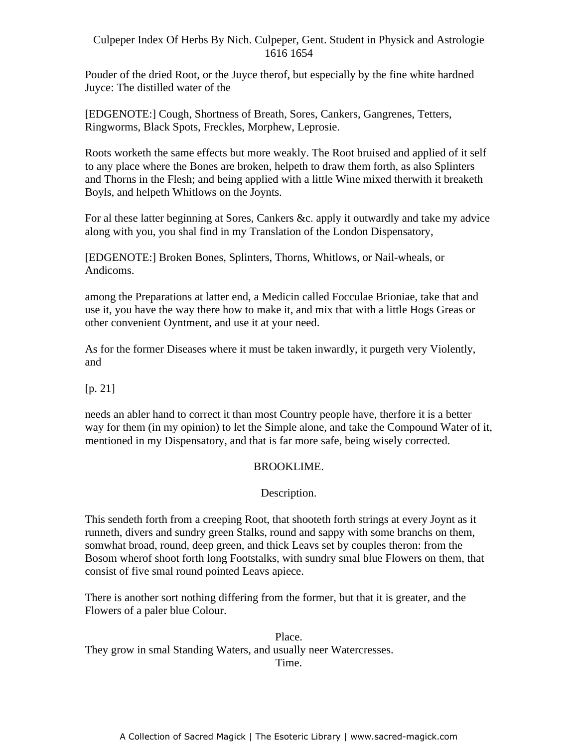Pouder of the dried Root, or the Juyce therof, but especially by the fine white hardned Juyce: The distilled water of the

[EDGENOTE:] Cough, Shortness of Breath, Sores, Cankers, Gangrenes, Tetters, Ringworms, Black Spots, Freckles, Morphew, Leprosie.

Roots worketh the same effects but more weakly. The Root bruised and applied of it self to any place where the Bones are broken, helpeth to draw them forth, as also Splinters and Thorns in the Flesh; and being applied with a little Wine mixed therwith it breaketh Boyls, and helpeth Whitlows on the Joynts.

For al these latter beginning at Sores, Cankers &c. apply it outwardly and take my advice along with you, you shal find in my Translation of the London Dispensatory,

[EDGENOTE:] Broken Bones, Splinters, Thorns, Whitlows, or Nail-wheals, or Andicoms.

among the Preparations at latter end, a Medicin called Focculae Brioniae, take that and use it, you have the way there how to make it, and mix that with a little Hogs Greas or other convenient Oyntment, and use it at your need.

As for the former Diseases where it must be taken inwardly, it purgeth very Violently, and

## [p. 21]

needs an abler hand to correct it than most Country people have, therfore it is a better way for them (in my opinion) to let the Simple alone, and take the Compound Water of it, mentioned in my Dispensatory, and that is far more safe, being wisely corrected.

## BROOKLIME.

## Description.

This sendeth forth from a creeping Root, that shooteth forth strings at every Joynt as it runneth, divers and sundry green Stalks, round and sappy with some branchs on them, somwhat broad, round, deep green, and thick Leavs set by couples theron: from the Bosom wherof shoot forth long Footstalks, with sundry smal blue Flowers on them, that consist of five smal round pointed Leavs apiece.

There is another sort nothing differing from the former, but that it is greater, and the Flowers of a paler blue Colour.

Place. They grow in smal Standing Waters, and usually neer Watercresses. Time.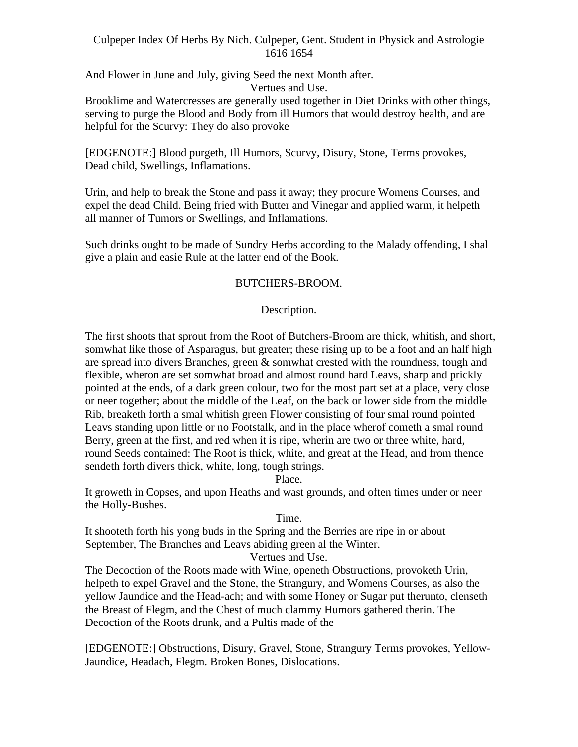And Flower in June and July, giving Seed the next Month after. Vertues and Use.

Brooklime and Watercresses are generally used together in Diet Drinks with other things, serving to purge the Blood and Body from ill Humors that would destroy health, and are helpful for the Scurvy: They do also provoke

[EDGENOTE:] Blood purgeth, Ill Humors, Scurvy, Disury, Stone, Terms provokes, Dead child, Swellings, Inflamations.

Urin, and help to break the Stone and pass it away; they procure Womens Courses, and expel the dead Child. Being fried with Butter and Vinegar and applied warm, it helpeth all manner of Tumors or Swellings, and Inflamations.

Such drinks ought to be made of Sundry Herbs according to the Malady offending, I shal give a plain and easie Rule at the latter end of the Book.

## BUTCHERS-BROOM.

## Description.

The first shoots that sprout from the Root of Butchers-Broom are thick, whitish, and short, somwhat like those of Asparagus, but greater; these rising up to be a foot and an half high are spread into divers Branches, green & somwhat crested with the roundness, tough and flexible, wheron are set somwhat broad and almost round hard Leavs, sharp and prickly pointed at the ends, of a dark green colour, two for the most part set at a place, very close or neer together; about the middle of the Leaf, on the back or lower side from the middle Rib, breaketh forth a smal whitish green Flower consisting of four smal round pointed Leavs standing upon little or no Footstalk, and in the place wherof cometh a smal round Berry, green at the first, and red when it is ripe, wherin are two or three white, hard, round Seeds contained: The Root is thick, white, and great at the Head, and from thence sendeth forth divers thick, white, long, tough strings.

Place.

It groweth in Copses, and upon Heaths and wast grounds, and often times under or neer the Holly-Bushes.

Time.

It shooteth forth his yong buds in the Spring and the Berries are ripe in or about September, The Branches and Leavs abiding green al the Winter.

Vertues and Use.

The Decoction of the Roots made with Wine, openeth Obstructions, provoketh Urin, helpeth to expel Gravel and the Stone, the Strangury, and Womens Courses, as also the yellow Jaundice and the Head-ach; and with some Honey or Sugar put therunto, clenseth the Breast of Flegm, and the Chest of much clammy Humors gathered therin. The Decoction of the Roots drunk, and a Pultis made of the

[EDGENOTE:] Obstructions, Disury, Gravel, Stone, Strangury Terms provokes, Yellow- Jaundice, Headach, Flegm. Broken Bones, Dislocations.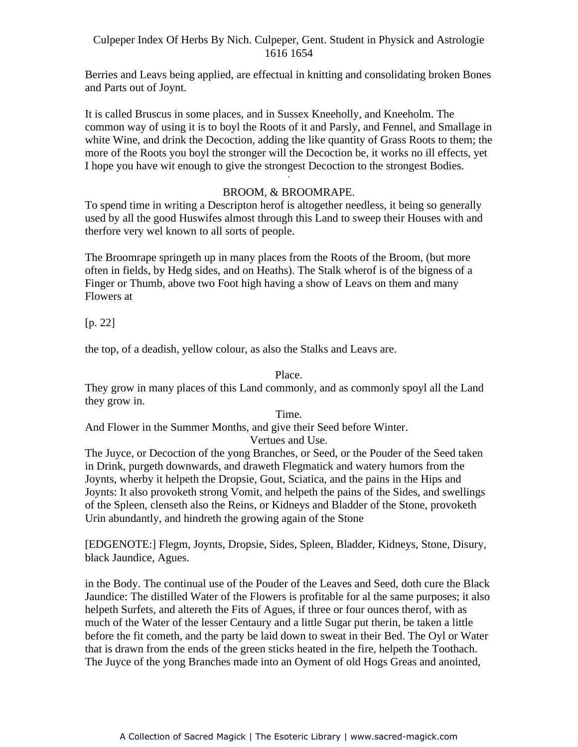Berries and Leavs being applied, are effectual in knitting and consolidating broken Bones and Parts out of Joynt.

It is called Bruscus in some places, and in Sussex Kneeholly, and Kneeholm. The common way of using it is to boyl the Roots of it and Parsly, and Fennel, and Smallage in white Wine, and drink the Decoction, adding the like quantity of Grass Roots to them; the more of the Roots you boyl the stronger will the Decoction be, it works no ill effects, yet I hope you have wit enough to give the strongest Decoction to the strongest Bodies. -

## BROOM, & BROOMRAPE.

To spend time in writing a Descripton herof is altogether needless, it being so generally used by all the good Huswifes almost through this Land to sweep their Houses with and therfore very wel known to all sorts of people.

The Broomrape springeth up in many places from the Roots of the Broom, (but more often in fields, by Hedg sides, and on Heaths). The Stalk wherof is of the bigness of a Finger or Thumb, above two Foot high having a show of Leavs on them and many Flowers at the state of the state of the state of the state of the state of the state of the state of the state of the state of the state of the state of the state of the state of the state of the state of the state of the

[p. 22]

the top, of a deadish, yellow colour, as also the Stalks and Leavs are.

Place.

They grow in many places of this Land commonly, and as commonly spoyl all the Land they grow in.

Time.

And Flower in the Summer Months, and give their Seed before Winter.

Vertues and Use.

The Juyce, or Decoction of the yong Branches, or Seed, or the Pouder of the Seed taken in Drink, purgeth downwards, and draweth Flegmatick and watery humors from the Joynts, wherby it helpeth the Dropsie, Gout, Sciatica, and the pains in the Hips and Joynts: It also provoketh strong Vomit, and helpeth the pains of the Sides, and swellings of the Spleen, clenseth also the Reins, or Kidneys and Bladder of the Stone, provoketh Urin abundantly, and hindreth the growing again of the Stone

[EDGENOTE:] Flegm, Joynts, Dropsie, Sides, Spleen, Bladder, Kidneys, Stone, Disury, black Jaundice, Agues.

in the Body. The continual use of the Pouder of the Leaves and Seed, doth cure the Black Jaundice: The distilled Water of the Flowers is profitable for al the same purposes; it also helpeth Surfets, and altereth the Fits of Agues, if three or four ounces therof, with as much of the Water of the lesser Centaury and a little Sugar put therin, be taken a little before the fit cometh, and the party be laid down to sweat in their Bed. The Oyl or Water that is drawn from the ends of the green sticks heated in the fire, helpeth the Toothach. The Juyce of the yong Branches made into an Oyment of old Hogs Greas and anointed,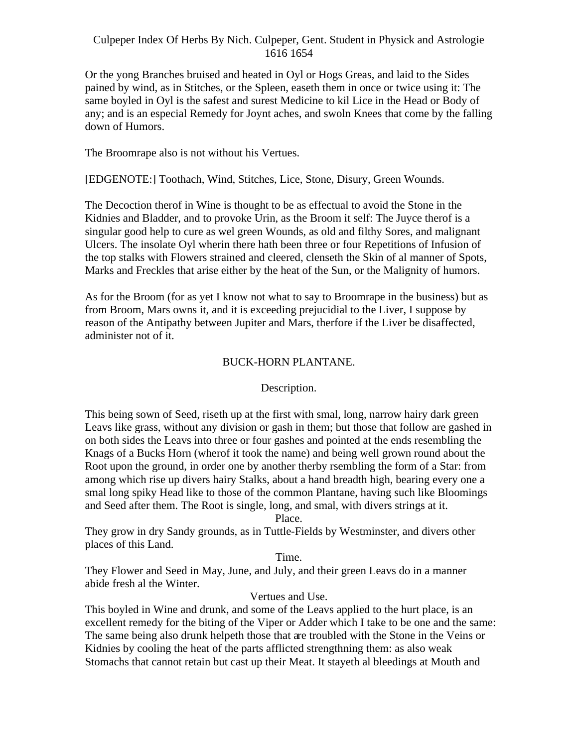Or the yong Branches bruised and heated in Oyl or Hogs Greas, and laid to the Sides pained by wind, as in Stitches, or the Spleen, easeth them in once or twice using it: The same boyled in Oyl is the safest and surest Medicine to kil Lice in the Head or Body of any; and is an especial Remedy for Joynt aches, and swoln Knees that come by the falling down of Humors.

The Broomrape also is not without his Vertues.

[EDGENOTE:] Toothach, Wind, Stitches, Lice, Stone, Disury, Green Wounds.

The Decoction therof in Wine is thought to be as effectual to avoid the Stone in the Kidnies and Bladder, and to provoke Urin, as the Broom it self: The Juyce therof is a singular good help to cure as wel green Wounds, as old and filthy Sores, and malignant Ulcers. The insolate Oyl wherin there hath been three or four Repetitions of Infusion of the top stalks with Flowers strained and cleered, clenseth the Skin of al manner of Spots, Marks and Freckles that arise either by the heat of the Sun, or the Malignity of humors.

As for the Broom (for as yet I know not what to say to Broomrape in the business) but as from Broom, Mars owns it, and it is exceeding prejucidial to the Liver, I suppose by reason of the Antipathy between Jupiter and Mars, therfore if the Liver be disaffected, administer not of it.

## BUCK-HORN PLANTANE.

## Description.

This being sown of Seed, riseth up at the first with smal, long, narrow hairy dark green Leavs like grass, without any division or gash in them; but those that follow are gashed in on both sides the Leavs into three or four gashes and pointed at the ends resembling the Knags of a Bucks Horn (wherof it took the name) and being well grown round about the Root upon the ground, in order one by another therby rsembling the form of a Star: from among which rise up divers hairy Stalks, about a hand breadth high, bearing every one a smal long spiky Head like to those of the common Plantane, having such like Bloomings and Seed after them. The Root is single, long, and smal, with divers strings at it.

Place.

They grow in dry Sandy grounds, as in Tuttle-Fields by Westminster, and divers other places of this Land.

### Time.

They Flower and Seed in May, June, and July, and their green Leavs do in a manner abide fresh al the Winter.

## Vertues and Use.

This boyled in Wine and drunk, and some of the Leavs applied to the hurt place, is an excellent remedy for the biting of the Viper or Adder which I take to be one and the same: The same being also drunk helpeth those that are troubled with the Stone in the Veins or Kidnies by cooling the heat of the parts afflicted strengthning them: as also weak Stomachs that cannot retain but cast up their Meat. It stayeth al bleedings at Mouth and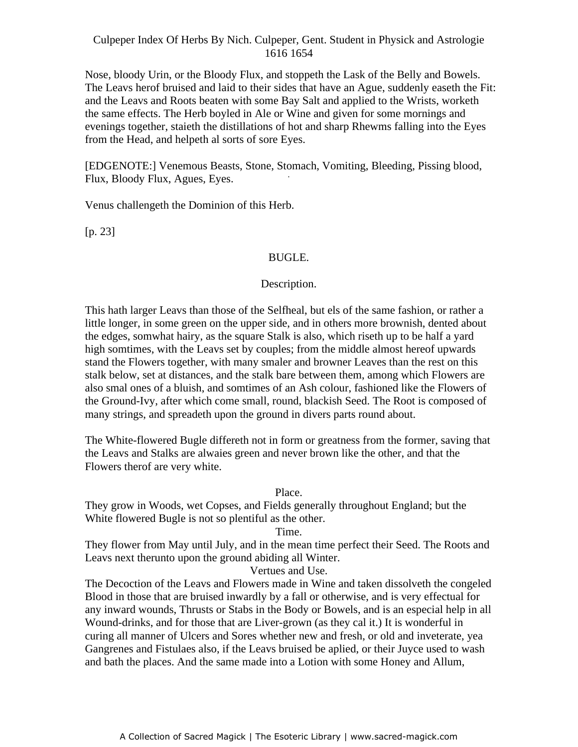Nose, bloody Urin, or the Bloody Flux, and stoppeth the Lask of the Belly and Bowels. The Leavs herof bruised and laid to their sides that have an Ague, suddenly easeth the Fit: and the Leavs and Roots beaten with some Bay Salt and applied to the Wrists, worketh the same effects. The Herb boyled in Ale or Wine and given for some mornings and evenings together, staieth the distillations of hot and sharp Rhewms falling into the Eyes from the Head, and helpeth al sorts of sore Eyes.

[EDGENOTE:] Venemous Beasts, Stone, Stomach, Vomiting, Bleeding, Pissing blood, -Flux, Bloody Flux, Agues, Eyes.

Venus challengeth the Dominion of this Herb.

[p. 23]

# BUGLE.

# Description.

This hath larger Leavs than those of the Selfheal, but els of the same fashion, or rather a little longer, in some green on the upper side, and in others more brownish, dented about the edges, somwhat hairy, as the square Stalk is also, which riseth up to be half a yard high somtimes, with the Leavs set by couples; from the middle almost hereof upwards stand the Flowers together, with many smaler and browner Leaves than the rest on this stalk below, set at distances, and the stalk bare between them, among which Flowers are also smal ones of a bluish, and somtimes of an Ash colour, fashioned like the Flowers of the Ground-Ivy, after which come small, round, blackish Seed. The Root is composed of many strings, and spreadeth upon the ground in divers parts round about.

The White-flowered Bugle differeth not in form or greatness from the former, saving that the Leavs and Stalks are alwaies green and never brown like the other, and that the Flowers therof are very white.

Place.

They grow in Woods, wet Copses, and Fields generally throughout England; but the White flowered Bugle is not so plentiful as the other.

Time.

They flower from May until July, and in the mean time perfect their Seed. The Roots and Leavs next therunto upon the ground abiding all Winter.

Vertues and Use.

The Decoction of the Leavs and Flowers made in Wine and taken dissolveth the congeled Blood in those that are bruised inwardly by a fall or otherwise, and is very effectual for any inward wounds, Thrusts or Stabs in the Body or Bowels, and is an especial help in all Wound-drinks, and for those that are Liver-grown (as they cal it.) It is wonderful in curing all manner of Ulcers and Sores whether new and fresh, or old and inveterate, yea Gangrenes and Fistulaes also, if the Leavs bruised be aplied, or their Juyce used to wash and bath the places. And the same made into a Lotion with some Honey and Allum,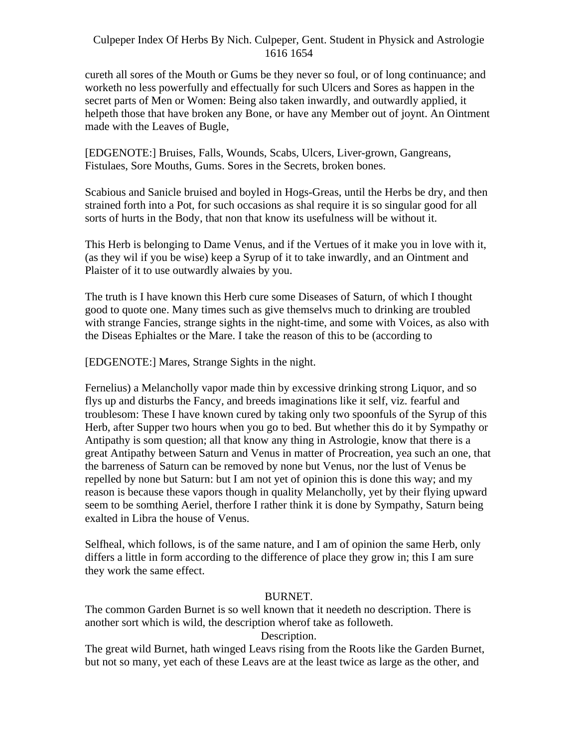cureth all sores of the Mouth or Gums be they never so foul, or of long continuance; and worketh no less powerfully and effectually for such Ulcers and Sores as happen in the secret parts of Men or Women: Being also taken inwardly, and outwardly applied, it helpeth those that have broken any Bone, or have any Member out of joynt. An Ointment made with the Leaves of Bugle,

[EDGENOTE:] Bruises, Falls, Wounds, Scabs, Ulcers, Liver-grown, Gangreans, Fistulaes, Sore Mouths, Gums. Sores in the Secrets, broken bones.

Scabious and Sanicle bruised and boyled in Hogs-Greas, until the Herbs be dry, and then strained forth into a Pot, for such occasions as shal require it is so singular good for all sorts of hurts in the Body, that non that know its usefulness will be without it.

This Herb is belonging to Dame Venus, and if the Vertues of it make you in love with it, (as they wil if you be wise) keep a Syrup of it to take inwardly, and an Ointment and Plaister of it to use outwardly alwaies by you.

The truth is I have known this Herb cure some Diseases of Saturn, of which I thought good to quote one. Many times such as give themselvs much to drinking are troubled with strange Fancies, strange sights in the night-time, and some with Voices, as also with the Diseas Ephialtes or the Mare. I take the reason of this to be (according to

[EDGENOTE:] Mares, Strange Sights in the night.

Fernelius) a Melancholly vapor made thin by excessive drinking strong Liquor, and so flys up and disturbs the Fancy, and breeds imaginations like it self, viz. fearful and troublesom: These I have known cured by taking only two spoonfuls of the Syrup of this Herb, after Supper two hours when you go to bed. But whether this do it by Sympathy or Antipathy is som question; all that know any thing in Astrologie, know that there is a great Antipathy between Saturn and Venus in matter of Procreation, yea such an one, that the barreness of Saturn can be removed by none but Venus, nor the lust of Venus be repelled by none but Saturn: but I am not yet of opinion this is done this way; and my reason is because these vapors though in quality Melancholly, yet by their flying upward seem to be somthing Aeriel, therfore I rather think it is done by Sympathy, Saturn being exalted in Libra the house of Venus.

Selfheal, which follows, is of the same nature, and I am of opinion the same Herb, only differs a little in form according to the difference of place they grow in; this I am sure they work the same effect.

### BURNET.

The common Garden Burnet is so well known that it needeth no description. There is another sort which is wild, the description wherof take as followeth.

Description.

The great wild Burnet, hath winged Leavs rising from the Roots like the Garden Burnet, but not so many, yet each of these Leavs are at the least twice as large as the other, and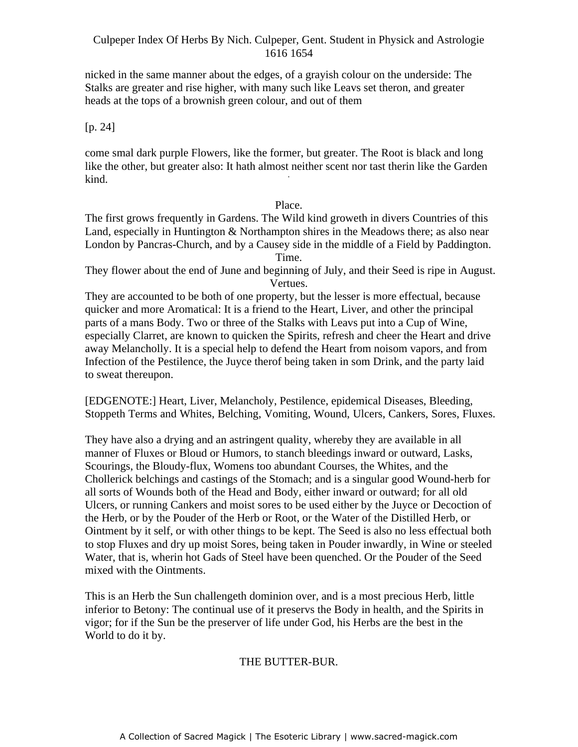nicked in the same manner about the edges, of a grayish colour on the underside: The Stalks are greater and rise higher, with many such like Leavs set theron, and greater heads at the tops of a brownish green colour, and out of them

[p. 24]

come smal dark purple Flowers, like the former, but greater. The Root is black and long like the other, but greater also: It hath almost neither scent nor tast therin like the Garden kind.

#### Place.

The first grows frequently in Gardens. The Wild kind groweth in divers Countries of this Land, especially in Huntington & Northampton shires in the Meadows there; as also near London by Pancras-Church, and by a Causey side in the middle of a Field by Paddington. Time.

They flower about the end of June and beginning of July, and their Seed is ripe in August. Vertues.

They are accounted to be both of one property, but the lesser is more effectual, because quicker and more Aromatical: It is a friend to the Heart, Liver, and other the principal parts of a mans Body. Two or three of the Stalks with Leavs put into a Cup of Wine, especially Clarret, are known to quicken the Spirits, refresh and cheer the Heart and drive away Melancholly. It is a special help to defend the Heart from noisom vapors, and from Infection of the Pestilence, the Juyce therof being taken in som Drink, and the party laid to sweat thereupon.

[EDGENOTE:] Heart, Liver, Melancholy, Pestilence, epidemical Diseases, Bleeding, Stoppeth Terms and Whites, Belching, Vomiting, Wound, Ulcers, Cankers, Sores, Fluxes.

They have also a drying and an astringent quality, whereby they are available in all manner of Fluxes or Bloud or Humors, to stanch bleedings inward or outward, Lasks, Scourings, the Bloudy-flux, Womens too abundant Courses, the Whites, and the Chollerick belchings and castings of the Stomach; and is a singular good Wound-herb for all sorts of Wounds both of the Head and Body, either inward or outward; for all old Ulcers, or running Cankers and moist sores to be used either by the Juyce or Decoction of the Herb, or by the Pouder of the Herb or Root, or the Water of the Distilled Herb, or Ointment by it self, or with other things to be kept. The Seed is also no less effectual both to stop Fluxes and dry up moist Sores, being taken in Pouder inwardly, in Wine or steeled Water, that is, wherin hot Gads of Steel have been quenched. Or the Pouder of the Seed mixed with the Ointments.

This is an Herb the Sun challengeth dominion over, and is a most precious Herb, little inferior to Betony: The continual use of it preservs the Body in health, and the Spirits in vigor; for if the Sun be the preserver of life under God, his Herbs are the best in the World to do it by.

## THE BUTTER-BUR.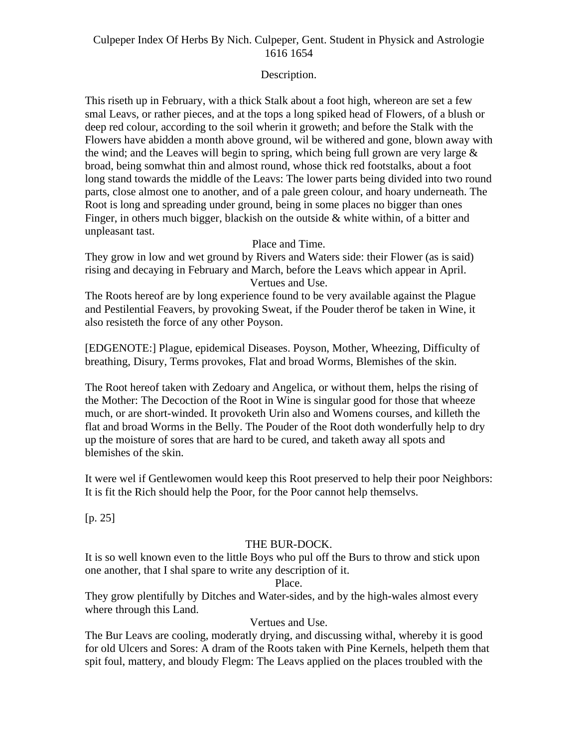## Description.

This riseth up in February, with a thick Stalk about a foot high, whereon are set a few smal Leavs, or rather pieces, and at the tops a long spiked head of Flowers, of a blush or deep red colour, according to the soil wherin it groweth; and before the Stalk with the Flowers have abidden a month above ground, wil be withered and gone, blown away with the wind; and the Leaves will begin to spring, which being full grown are very large  $\&$ broad, being somwhat thin and almost round, whose thick red footstalks, about a foot long stand towards the middle of the Leavs: The lower parts being divided into two round parts, close almost one to another, and of a pale green colour, and hoary underneath. The Root is long and spreading under ground, being in some places no bigger than ones Finger, in others much bigger, blackish on the outside  $\&$  white within, of a bitter and unpleasant tast.

Place and Time.

They grow in low and wet ground by Rivers and Waters side: their Flower (as is said) rising and decaying in February and March, before the Leavs which appear in April. Vertues and Use.

The Roots hereof are by long experience found to be very available against the Plague and Pestilential Feavers, by provoking Sweat, if the Pouder therof be taken in Wine, it also resisteth the force of any other Poyson.

[EDGENOTE:] Plague, epidemical Diseases. Poyson, Mother, Wheezing, Difficulty of breathing, Disury, Terms provokes, Flat and broad Worms, Blemishes of the skin.

The Root hereof taken with Zedoary and Angelica, or without them, helps the rising of the Mother: The Decoction of the Root in Wine is singular good for those that wheeze much, or are short-winded. It provoketh Urin also and Womens courses, and killeth the flat and broad Worms in the Belly. The Pouder of the Root doth wonderfully help to dry up the moisture of sores that are hard to be cured, and taketh away all spots and blemishes of the skin.

It were wel if Gentlewomen would keep this Root preserved to help their poor Neighbors: It is fit the Rich should help the Poor, for the Poor cannot help themselvs.

[p. 25]

## THE BUR-DOCK.

It is so well known even to the little Boys who pul off the Burs to throw and stick upon one another, that I shal spare to write any description of it.

Place.

They grow plentifully by Ditches and Water-sides, and by the high-wales almost every where through this Land.

## Vertues and Use.

The Bur Leavs are cooling, moderatly drying, and discussing withal, whereby it is good for old Ulcers and Sores: A dram of the Roots taken with Pine Kernels, helpeth them that spit foul, mattery, and bloudy Flegm: The Leavs applied on the places troubled with the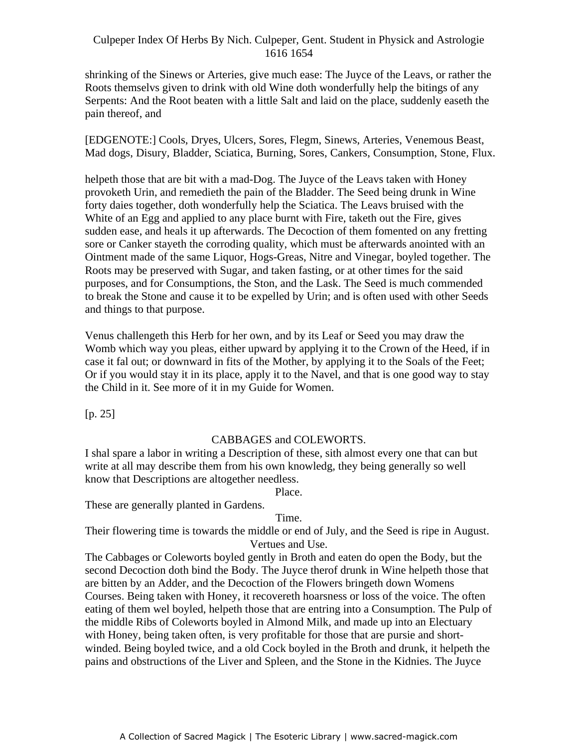shrinking of the Sinews or Arteries, give much ease: The Juyce of the Leavs, or rather the Roots themselvs given to drink with old Wine doth wonderfully help the bitings of any Serpents: And the Root beaten with a little Salt and laid on the place, suddenly easeth the pain thereof, and

[EDGENOTE:] Cools, Dryes, Ulcers, Sores, Flegm, Sinews, Arteries, Venemous Beast, Mad dogs, Disury, Bladder, Sciatica, Burning, Sores, Cankers, Consumption, Stone, Flux.

helpeth those that are bit with a mad-Dog. The Juyce of the Leavs taken with Honey provoketh Urin, and remedieth the pain of the Bladder. The Seed being drunk in Wine forty daies together, doth wonderfully help the Sciatica. The Leavs bruised with the White of an Egg and applied to any place burnt with Fire, taketh out the Fire, gives sudden ease, and heals it up afterwards. The Decoction of them fomented on any fretting sore or Canker stayeth the corroding quality, which must be afterwards anointed with an Ointment made of the same Liquor, Hogs-Greas, Nitre and Vinegar, boyled together. The Roots may be preserved with Sugar, and taken fasting, or at other times for the said purposes, and for Consumptions, the Ston, and the Lask. The Seed is much commended to break the Stone and cause it to be expelled by Urin; and is often used with other Seeds and things to that purpose.

Venus challengeth this Herb for her own, and by its Leaf or Seed you may draw the Womb which way you pleas, either upward by applying it to the Crown of the Heed, if in case it fal out; or downward in fits of the Mother, by applying it to the Soals of the Feet; Or if you would stay it in its place, apply it to the Navel, and that is one good way to stay the Child in it. See more of it in my Guide for Women.

[p. 25]

## CABBAGES and COLEWORTS.

I shal spare a labor in writing a Description of these, sith almost every one that can but write at all may describe them from his own knowledg, they being generally so well know that Descriptions are altogether needless.

### Place.

These are generally planted in Gardens.

### Time.

Their flowering time is towards the middle or end of July, and the Seed is ripe in August. Vertues and Use.

The Cabbages or Coleworts boyled gently in Broth and eaten do open the Body, but the second Decoction doth bind the Body. The Juyce therof drunk in Wine helpeth those that are bitten by an Adder, and the Decoction of the Flowers bringeth down Womens Courses. Being taken with Honey, it recovereth hoarsness or loss of the voice. The often eating of them wel boyled, helpeth those that are entring into a Consumption. The Pulp of the middle Ribs of Coleworts boyled in Almond Milk, and made up into an Electuary with Honey, being taken often, is very profitable for those that are pursie and short winded. Being boyled twice, and a old Cock boyled in the Broth and drunk, it helpeth the pains and obstructions of the Liver and Spleen, and the Stone in the Kidnies. The Juyce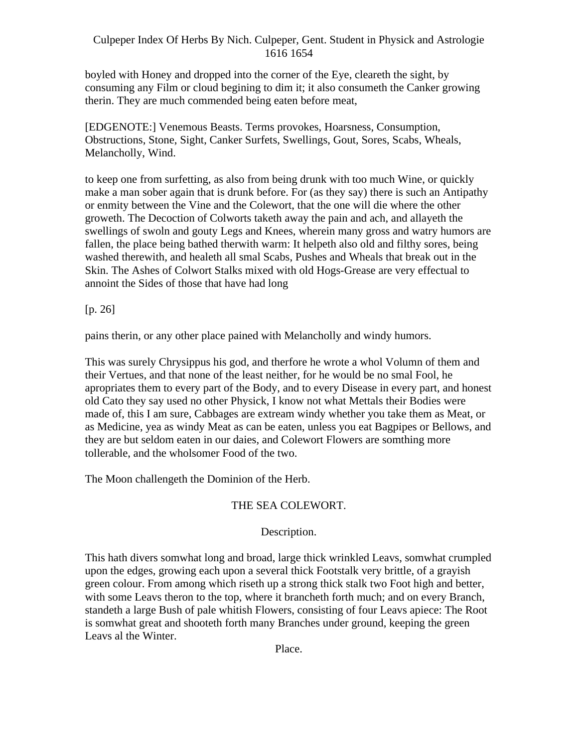boyled with Honey and dropped into the corner of the Eye, cleareth the sight, by consuming any Film or cloud begining to dim it; it also consumeth the Canker growing therin. They are much commended being eaten before meat,

[EDGENOTE:] Venemous Beasts. Terms provokes, Hoarsness, Consumption, Obstructions, Stone, Sight, Canker Surfets, Swellings, Gout, Sores, Scabs, Wheals, Melancholly, Wind.

to keep one from surfetting, as also from being drunk with too much Wine, or quickly make a man sober again that is drunk before. For (as they say) there is such an Antipathy or enmity between the Vine and the Colewort, that the one will die where the other groweth. The Decoction of Colworts taketh away the pain and ach, and allayeth the swellings of swoln and gouty Legs and Knees, wherein many gross and watry humors are fallen, the place being bathed therwith warm: It helpeth also old and filthy sores, being washed therewith, and healeth all smal Scabs, Pushes and Wheals that break out in the Skin. The Ashes of Colwort Stalks mixed with old Hogs-Grease are very effectual to annoint the Sides of those that have had long

[p. 26]

pains therin, or any other place pained with Melancholly and windy humors.

This was surely Chrysippus his god, and therfore he wrote a whol Volumn of them and their Vertues, and that none of the least neither, for he would be no smal Fool, he apropriates them to every part of the Body, and to every Disease in every part, and honest old Cato they say used no other Physick, I know not what Mettals their Bodies were made of, this I am sure, Cabbages are extream windy whether you take them as Meat, or as Medicine, yea as windy Meat as can be eaten, unless you eat Bagpipes or Bellows, and they are but seldom eaten in our daies, and Colewort Flowers are somthing more tollerable, and the wholsomer Food of the two.

The Moon challengeth the Dominion of the Herb.

## THE SEA COLEWORT.

## Description.

This hath divers somwhat long and broad, large thick wrinkled Leavs, somwhat crumpled upon the edges, growing each upon a several thick Footstalk very brittle, of a grayish green colour. From among which riseth up a strong thick stalk two Foot high and better, with some Leavs theron to the top, where it brancheth forth much; and on every Branch, standeth a large Bush of pale whitish Flowers, consisting of four Leavs apiece: The Root is somwhat great and shooteth forth many Branches under ground, keeping the green Leavs al the Winter.

Place.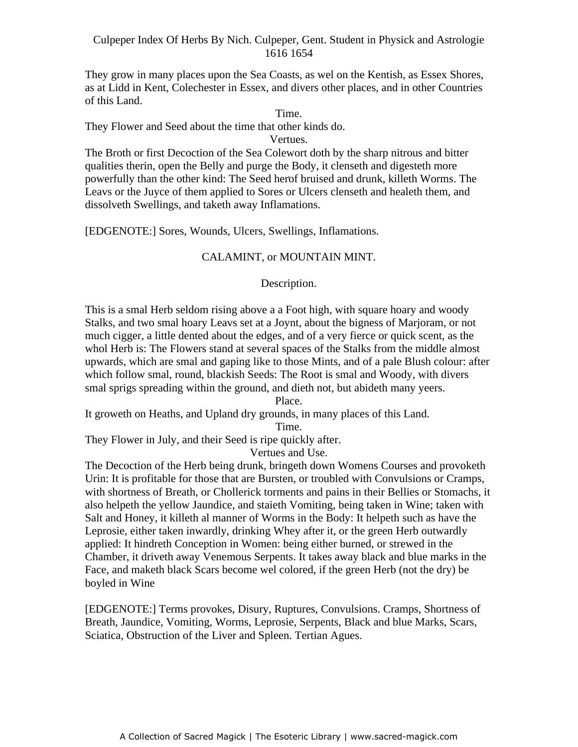They grow in many places upon the Sea Coasts, as wel on the Kentish, as Essex Shores, as at Lidd in Kent, Colechester in Essex, and divers other places, and in other Countries of this Land.

Time.

They Flower and Seed about the time that other kinds do.

#### Vertues.

The Broth or first Decoction of the Sea Colewort doth by the sharp nitrous and bitter qualities therin, open the Belly and purge the Body, it clenseth and digesteth more powerfully than the other kind: The Seed herof bruised and drunk, killeth Worms. The Leavs or the Juyce of them applied to Sores or Ulcers clenseth and healeth them, and dissolveth Swellings, and taketh away Inflamations.

[EDGENOTE:] Sores, Wounds, Ulcers, Swellings, Inflamations.

## CALAMINT, or MOUNTAIN MINT.

Description.

This is a smal Herb seldom rising above a a Foot high, with square hoary and woody Stalks, and two smal hoary Leavs set at a Joynt, about the bigness of Marjoram, or not much cigger, a little dented about the edges, and of a very fierce or quick scent, as the whol Herb is: The Flowers stand at several spaces of the Stalks from the middle almost upwards, which are smal and gaping like to those Mints, and of a pale Blush colour: after which follow smal, round, blackish Seeds: The Root is smal and Woody, with divers smal sprigs spreading within the ground, and dieth not, but abideth many yeers.

Place.

It groweth on Heaths, and Upland dry grounds, in many places of this Land.

Time.

They Flower in July, and their Seed is ripe quickly after.

Vertues and Use.

The Decoction of the Herb being drunk, bringeth down Womens Courses and provoketh Urin: It is profitable for those that are Bursten, or troubled with Convulsions or Cramps, with shortness of Breath, or Chollerick torments and pains in their Bellies or Stomachs, it also helpeth the yellow Jaundice, and staieth Vomiting, being taken in Wine; taken with Salt and Honey, it killeth al manner of Worms in the Body: It helpeth such as have the Leprosie, either taken inwardly, drinking Whey after it, or the green Herb outwardly applied: It hindreth Conception in Women: being either burned, or strewed in the Chamber, it driveth away Venemous Serpents. It takes away black and blue marks in the Face, and maketh black Scars become wel colored, if the green Herb (not the dry) be boyled in Wine

[EDGENOTE:] Terms provokes, Disury, Ruptures, Convulsions. Cramps, Shortness of Breath, Jaundice, Vomiting, Worms, Leprosie, Serpents, Black and blue Marks, Scars, Sciatica, Obstruction of the Liver and Spleen. Tertian Agues.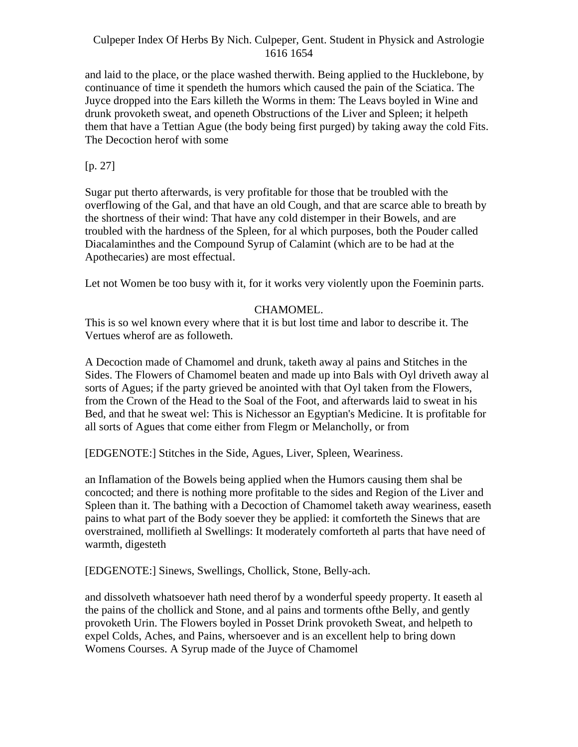and laid to the place, or the place washed therwith. Being applied to the Hucklebone, by continuance of time it spendeth the humors which caused the pain of the Sciatica. The Juyce dropped into the Ears killeth the Worms in them: The Leavs boyled in Wine and drunk provoketh sweat, and openeth Obstructions of the Liver and Spleen; it helpeth them that have a Tettian Ague (the body being first purged) by taking away the cold Fits. The Decoction herof with some

# $[p. 27]$

Sugar put therto afterwards, is very profitable for those that be troubled with the overflowing of the Gal, and that have an old Cough, and that are scarce able to breath by the shortness of their wind: That have any cold distemper in their Bowels, and are troubled with the hardness of the Spleen, for al which purposes, both the Pouder called Diacalaminthes and the Compound Syrup of Calamint (which are to be had at the Apothecaries) are most effectual.

Let not Women be too busy with it, for it works very violently upon the Foeminin parts.

## CHAMOMEL.

This is so wel known every where that it is but lost time and labor to describe it. The Vertues wherof are as followeth.

A Decoction made of Chamomel and drunk, taketh away al pains and Stitches in the Sides. The Flowers of Chamomel beaten and made up into Bals with Oyl driveth away al sorts of Agues; if the party grieved be anointed with that Oyl taken from the Flowers, from the Crown of the Head to the Soal of the Foot, and afterwards laid to sweat in his Bed, and that he sweat wel: This is Nichessor an Egyptian's Medicine. It is profitable for all sorts of Agues that come either from Flegm or Melancholly, or from

[EDGENOTE:] Stitches in the Side, Agues, Liver, Spleen, Weariness.

an Inflamation of the Bowels being applied when the Humors causing them shal be concocted; and there is nothing more profitable to the sides and Region of the Liver and Spleen than it. The bathing with a Decoction of Chamomel taketh away weariness, easeth pains to what part of the Body soever they be applied: it comforteth the Sinews that are overstrained, mollifieth al Swellings: It moderately comforteth al parts that have need of warmth, digesteth

[EDGENOTE:] Sinews, Swellings, Chollick, Stone, Belly-ach.

and dissolveth whatsoever hath need therof by a wonderful speedy property. It easeth al the pains of the chollick and Stone, and al pains and torments ofthe Belly, and gently provoketh Urin. The Flowers boyled in Posset Drink provoketh Sweat, and helpeth to expel Colds, Aches, and Pains, whersoever and is an excellent help to bring down Womens Courses. A Syrup made of the Juyce of Chamomel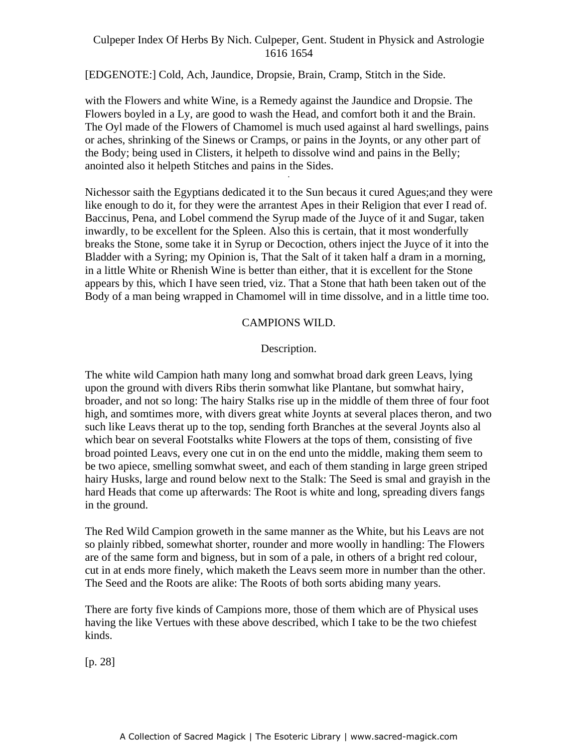[EDGENOTE:] Cold, Ach, Jaundice, Dropsie, Brain, Cramp, Stitch in the Side.

with the Flowers and white Wine, is a Remedy against the Jaundice and Dropsie. The Flowers boyled in a Ly, are good to wash the Head, and comfort both it and the Brain. The Oyl made of the Flowers of Chamomel is much used against al hard swellings, pains or aches, shrinking of the Sinews or Cramps, or pains in the Joynts, or any other part of the Body; being used in Clisters, it helpeth to dissolve wind and pains in the Belly; anointed also it helpeth Stitches and pains in the Sides. -

Nichessor saith the Egyptians dedicated it to the Sun becaus it cured Agues;and they were like enough to do it, for they were the arrantest Apes in their Religion that ever I read of. Baccinus, Pena, and Lobel commend the Syrup made of the Juyce of it and Sugar, taken inwardly, to be excellent for the Spleen. Also this is certain, that it most wonderfully breaks the Stone, some take it in Syrup or Decoction, others inject the Juyce of it into the Bladder with a Syring; my Opinion is, That the Salt of it taken half a dram in a morning, in a little White or Rhenish Wine is better than either, that it is excellent for the Stone appears by this, which I have seen tried, viz. That a Stone that hath been taken out of the Body of a man being wrapped in Chamomel will in time dissolve, and in a little time too.

## CAMPIONS WILD.

## Description.

The white wild Campion hath many long and somwhat broad dark green Leavs, lying upon the ground with divers Ribs therin somwhat like Plantane, but somwhat hairy, broader, and not so long: The hairy Stalks rise up in the middle of them three of four foot high, and somtimes more, with divers great white Joynts at several places theron, and two such like Leavs therat up to the top, sending forth Branches at the several Joynts also al which bear on several Footstalks white Flowers at the tops of them, consisting of five broad pointed Leavs, every one cut in on the end unto the middle, making them seem to be two apiece, smelling somwhat sweet, and each of them standing in large green striped hairy Husks, large and round below next to the Stalk: The Seed is smal and grayish in the hard Heads that come up afterwards: The Root is white and long, spreading divers fangs in the ground.

The Red Wild Campion groweth in the same manner as the White, but his Leavs are not so plainly ribbed, somewhat shorter, rounder and more woolly in handling: The Flowers are of the same form and bigness, but in som of a pale, in others of a bright red colour, cut in at ends more finely, which maketh the Leavs seem more in number than the other. The Seed and the Roots are alike: The Roots of both sorts abiding many years.

There are forty five kinds of Campions more, those of them which are of Physical uses having the like Vertues with these above described, which I take to be the two chiefest kinds.

[p. 28]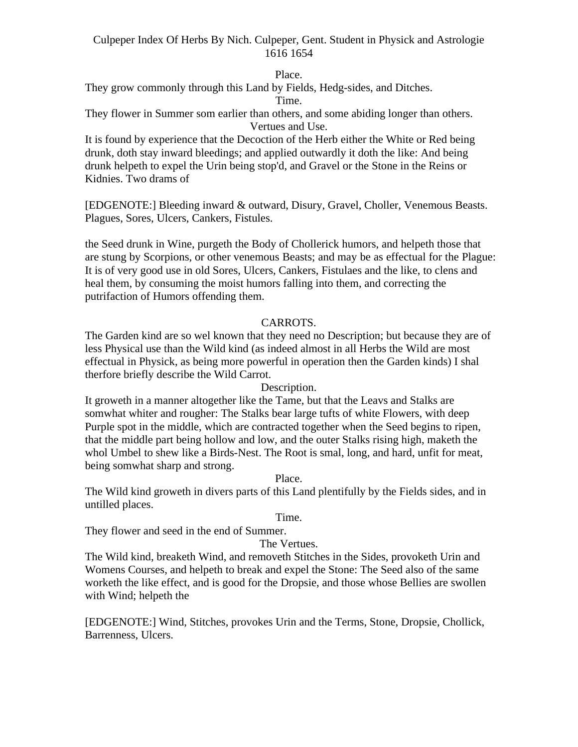#### Place.

They grow commonly through this Land by Fields, Hedg-sides, and Ditches.

#### Time.

They flower in Summer som earlier than others, and some abiding longer than others. Vertues and Use.

It is found by experience that the Decoction of the Herb either the White or Red being drunk, doth stay inward bleedings; and applied outwardly it doth the like: And being drunk helpeth to expel the Urin being stop'd, and Gravel or the Stone in the Reins or Kidnies. Two drams of

[EDGENOTE:] Bleeding inward & outward, Disury, Gravel, Choller, Venemous Beasts. Plagues, Sores, Ulcers, Cankers, Fistules.

the Seed drunk in Wine, purgeth the Body of Chollerick humors, and helpeth those that are stung by Scorpions, or other venemous Beasts; and may be as effectual for the Plague: It is of very good use in old Sores, Ulcers, Cankers, Fistulaes and the like, to clens and heal them, by consuming the moist humors falling into them, and correcting the putrifaction of Humors offending them.

## CARROTS.

The Garden kind are so wel known that they need no Description; but because they are of less Physical use than the Wild kind (as indeed almost in all Herbs the Wild are most effectual in Physick, as being more powerful in operation then the Garden kinds) I shal therfore briefly describe the Wild Carrot.

Description.

It groweth in a manner altogether like the Tame, but that the Leavs and Stalks are somwhat whiter and rougher: The Stalks bear large tufts of white Flowers, with deep Purple spot in the middle, which are contracted together when the Seed begins to ripen, that the middle part being hollow and low, and the outer Stalks rising high, maketh the whol Umbel to shew like a Birds-Nest. The Root is smal, long, and hard, unfit for meat, being somwhat sharp and strong.

Place.

The Wild kind groweth in divers parts of this Land plentifully by the Fields sides, and in untilled places.

Time.

They flower and seed in the end of Summer.

### The Vertues.

The Wild kind, breaketh Wind, and removeth Stitches in the Sides, provoketh Urin and Womens Courses, and helpeth to break and expel the Stone: The Seed also of the same worketh the like effect, and is good for the Dropsie, and those whose Bellies are swollen with Wind; helpeth the

[EDGENOTE:] Wind, Stitches, provokes Urin and the Terms, Stone, Dropsie, Chollick, Barrenness, Ulcers.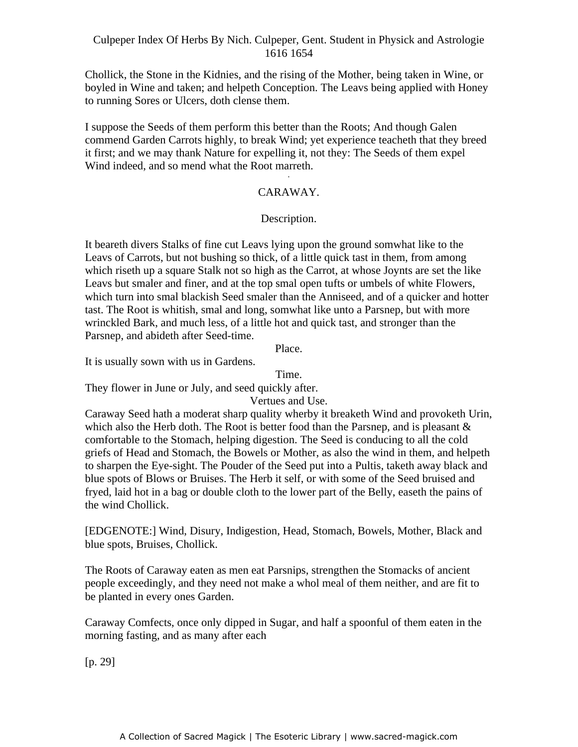Chollick, the Stone in the Kidnies, and the rising of the Mother, being taken in Wine, or boyled in Wine and taken; and helpeth Conception. The Leavs being applied with Honey to running Sores or Ulcers, doth clense them.

I suppose the Seeds of them perform this better than the Roots; And though Galen commend Garden Carrots highly, to break Wind; yet experience teacheth that they breed it first; and we may thank Nature for expelling it, not they: The Seeds of them expel Wind indeed, and so mend what the Root marreth.

## CARAWAY.

### Description.

It beareth divers Stalks of fine cut Leavs lying upon the ground somwhat like to the Leavs of Carrots, but not bushing so thick, of a little quick tast in them, from among which riseth up a square Stalk not so high as the Carrot, at whose Joynts are set the like Leavs but smaler and finer, and at the top smal open tufts or umbels of white Flowers, which turn into smal blackish Seed smaler than the Anniseed, and of a quicker and hotter tast. The Root is whitish, smal and long, somwhat like unto a Parsnep, but with more wrinckled Bark, and much less, of a little hot and quick tast, and stronger than the Parsnep, and abideth after Seed-time.

Place.

It is usually sown with us in Gardens.

Time.

They flower in June or July, and seed quickly after.

### Vertues and Use.

Caraway Seed hath a moderat sharp quality wherby it breaketh Wind and provoketh Urin, which also the Herb doth. The Root is better food than the Parsnep, and is pleasant  $\&$ comfortable to the Stomach, helping digestion. The Seed is conducing to all the cold griefs of Head and Stomach, the Bowels or Mother, as also the wind in them, and helpeth to sharpen the Eye-sight. The Pouder of the Seed put into a Pultis, taketh away black and blue spots of Blows or Bruises. The Herb it self, or with some of the Seed bruised and fryed, laid hot in a bag or double cloth to the lower part of the Belly, easeth the pains of the wind Chollick.

[EDGENOTE:] Wind, Disury, Indigestion, Head, Stomach, Bowels, Mother, Black and blue spots, Bruises, Chollick.

The Roots of Caraway eaten as men eat Parsnips, strengthen the Stomacks of ancient people exceedingly, and they need not make a whol meal of them neither, and are fit to be planted in every ones Garden.

Caraway Comfects, once only dipped in Sugar, and half a spoonful of them eaten in the morning fasting, and as many after each

[p. 29]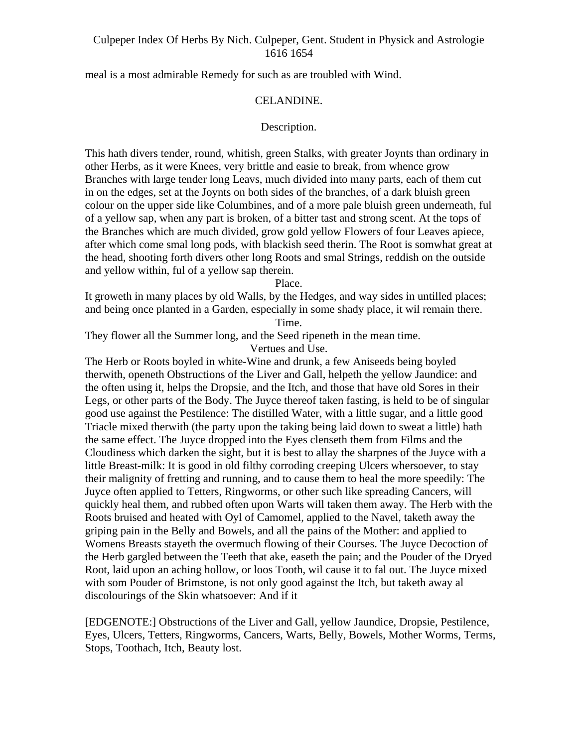meal is a most admirable Remedy for such as are troubled with Wind.

### CELANDINE.

### Description.

This hath divers tender, round, whitish, green Stalks, with greater Joynts than ordinary in other Herbs, as it were Knees, very brittle and easie to break, from whence grow Branches with large tender long Leavs, much divided into many parts, each of them cut in on the edges, set at the Joynts on both sides of the branches, of a dark bluish green colour on the upper side like Columbines, and of a more pale bluish green underneath, ful of a yellow sap, when any part is broken, of a bitter tast and strong scent. At the tops of the Branches which are much divided, grow gold yellow Flowers of four Leaves apiece, after which come smal long pods, with blackish seed therin. The Root is somwhat great at the head, shooting forth divers other long Roots and smal Strings, reddish on the outside and yellow within, ful of a yellow sap therein.

Place.

It groweth in many places by old Walls, by the Hedges, and way sides in untilled places; and being once planted in a Garden, especially in some shady place, it wil remain there. Time.

They flower all the Summer long, and the Seed ripeneth in the mean time.

Vertues and Use.

The Herb or Roots boyled in white-Wine and drunk, a few Aniseeds being boyled therwith, openeth Obstructions of the Liver and Gall, helpeth the yellow Jaundice: and the often using it, helps the Dropsie, and the Itch, and those that have old Sores in their Legs, or other parts of the Body. The Juyce thereof taken fasting, is held to be of singular good use against the Pestilence: The distilled Water, with a little sugar, and a little good Triacle mixed therwith (the party upon the taking being laid down to sweat a little) hath the same effect. The Juyce dropped into the Eyes clenseth them from Films and the Cloudiness which darken the sight, but it is best to allay the sharpnes of the Juyce with a little Breast-milk: It is good in old filthy corroding creeping Ulcers whersoever, to stay their malignity of fretting and running, and to cause them to heal the more speedily: The Juyce often applied to Tetters, Ringworms, or other such like spreading Cancers, will quickly heal them, and rubbed often upon Warts will taken them away. The Herb with the Roots bruised and heated with Oyl of Camomel, applied to the Navel, taketh away the griping pain in the Belly and Bowels, and all the pains of the Mother: and applied to Womens Breasts stayeth the overmuch flowing of their Courses. The Juyce Decoction of the Herb gargled between the Teeth that ake, easeth the pain; and the Pouder of the Dryed Root, laid upon an aching hollow, or loos Tooth, wil cause it to fal out. The Juyce mixed with som Pouder of Brimstone, is not only good against the Itch, but taketh away al discolourings of the Skin whatsoever: And if it

[EDGENOTE:] Obstructions of the Liver and Gall, yellow Jaundice, Dropsie, Pestilence, Eyes, Ulcers, Tetters, Ringworms, Cancers, Warts, Belly, Bowels, Mother Worms, Terms, Stops, Toothach, Itch, Beauty lost.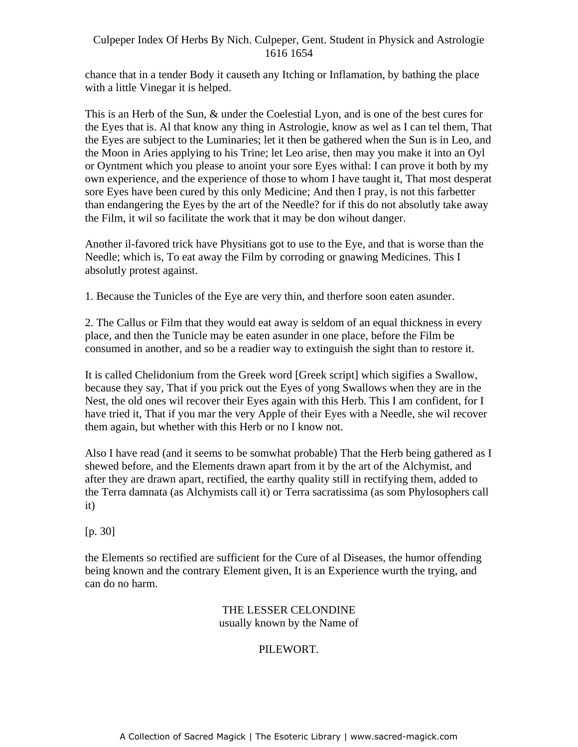chance that in a tender Body it causeth any Itching or Inflamation, by bathing the place with a little Vinegar it is helped.

This is an Herb of the Sun, & under the Coelestial Lyon, and is one of the best cures for the Eyes that is. Al that know any thing in Astrologie, know as wel as I can tel them, That the Eyes are subject to the Luminaries; let it then be gathered when the Sun is in Leo, and the Moon in Aries applying to his Trine; let Leo arise, then may you make it into an Oyl or Oyntment which you please to anoint your sore Eyes withal: I can prove it both by my own experience, and the experience of those to whom I have taught it, That most desperat sore Eyes have been cured by this only Medicine; And then I pray, is not this farbetter than endangering the Eyes by the art of the Needle? for if this do not absolutly take away the Film, it wil so facilitate the work that it may be don wihout danger.

Another il-favored trick have Physitians got to use to the Eye, and that is worse than the Needle; which is, To eat away the Film by corroding or gnawing Medicines. This I absolutly protest against.

1. Because the Tunicles of the Eye are very thin, and therfore soon eaten asunder.

2. The Callus or Film that they would eat away is seldom of an equal thickness in every place, and then the Tunicle may be eaten asunder in one place, before the Film be consumed in another, and so be a readier way to extinguish the sight than to restore it.

It is called Chelidonium from the Greek word [Greek script] which sigifies a Swallow, because they say, That if you prick out the Eyes of yong Swallows when they are in the Nest, the old ones wil recover their Eyes again with this Herb. This I am confident, for I have tried it, That if you mar the very Apple of their Eyes with a Needle, she wil recover them again, but whether with this Herb or no I know not.

Also I have read (and it seems to be somwhat probable) That the Herb being gathered as I shewed before, and the Elements drawn apart from it by the art of the Alchymist, and after they are drawn apart, rectified, the earthy quality still in rectifying them, added to the Terra damnata (as Alchymists call it) or Terra sacratissima (as som Phylosophers call it)

[p. 30]

the Elements so rectified are sufficient for the Cure of al Diseases, the humor offending being known and the contrary Element given, It is an Experience wurth the trying, and can do no harm.

> THE LESSER CELONDINE usually known by the Name of

## PILEWORT.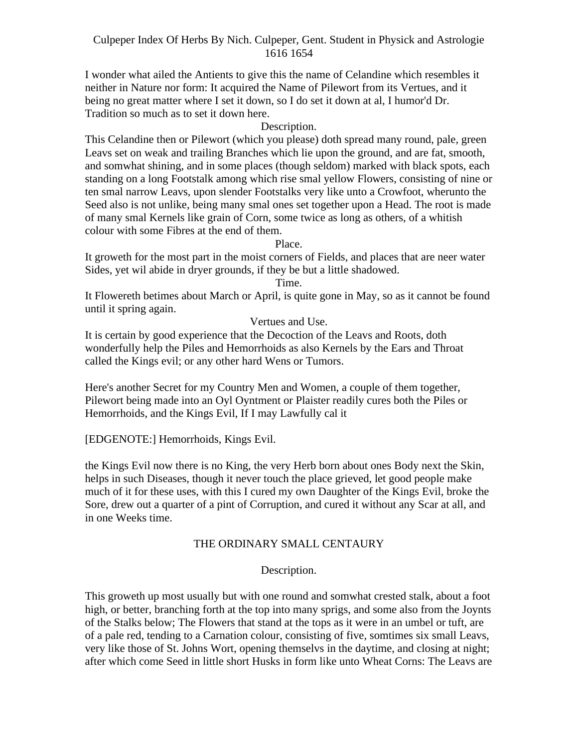I wonder what ailed the Antients to give this the name of Celandine which resembles it neither in Nature nor form: It acquired the Name of Pilewort from its Vertues, and it being no great matter where I set it down, so I do set it down at al, I humor'd Dr. Tradition so much as to set it down here.

## Description.

This Celandine then or Pilewort (which you please) doth spread many round, pale, green Leavs set on weak and trailing Branches which lie upon the ground, and are fat, smooth, and somwhat shining, and in some places (though seldom) marked with black spots, each standing on a long Footstalk among which rise smal yellow Flowers, consisting of nine or ten smal narrow Leavs, upon slender Footstalks very like unto a Crowfoot, wherunto the Seed also is not unlike, being many smal ones set together upon a Head. The root is made of many smal Kernels like grain of Corn, some twice as long as others, of a whitish colour with some Fibres at the end of them.

## Place.

It groweth for the most part in the moist corners of Fields, and places that are neer water Sides, yet wil abide in dryer grounds, if they be but a little shadowed.

Time.

It Flowereth betimes about March or April, is quite gone in May, so as it cannot be found until it spring again.

## Vertues and Use.

It is certain by good experience that the Decoction of the Leavs and Roots, doth wonderfully help the Piles and Hemorrhoids as also Kernels by the Ears and Throat called the Kings evil; or any other hard Wens or Tumors.

Here's another Secret for my Country Men and Women, a couple of them together, Pilewort being made into an Oyl Oyntment or Plaister readily cures both the Piles or Hemorrhoids, and the Kings Evil, If I may Lawfully cal it

[EDGENOTE:] Hemorrhoids, Kings Evil.

the Kings Evil now there is no King, the very Herb born about ones Body next the Skin, helps in such Diseases, though it never touch the place grieved, let good people make much of it for these uses, with this I cured my own Daughter of the Kings Evil, broke the Sore, drew out a quarter of a pint of Corruption, and cured it without any Scar at all, and in one Weeks time.

## THE ORDINARY SMALL CENTAURY

# Description.

This groweth up most usually but with one round and somwhat crested stalk, about a foot high, or better, branching forth at the top into many sprigs, and some also from the Joynts of the Stalks below; The Flowers that stand at the tops as it were in an umbel or tuft, are of a pale red, tending to a Carnation colour, consisting of five, somtimes six small Leavs, very like those of St. Johns Wort, opening themselvs in the daytime, and closing at night; after which come Seed in little short Husks in form like unto Wheat Corns: The Leavs are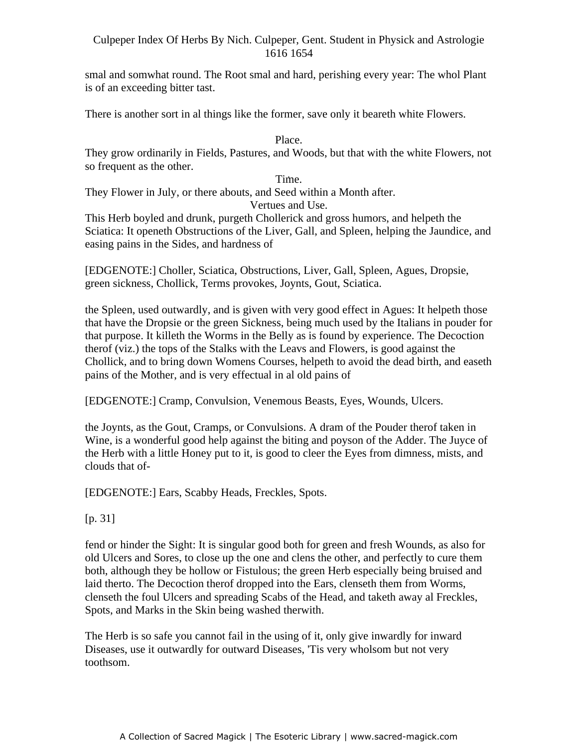smal and somwhat round. The Root smal and hard, perishing every year: The whol Plant is of an exceeding bitter tast.

There is another sort in al things like the former, save only it beareth white Flowers.

Place.

They grow ordinarily in Fields, Pastures, and Woods, but that with the white Flowers, not so frequent as the other.

Time. -

They Flower in July, or there abouts, and Seed within a Month after.

Vertues and Use.

This Herb boyled and drunk, purgeth Chollerick and gross humors, and helpeth the Sciatica: It openeth Obstructions of the Liver, Gall, and Spleen, helping the Jaundice, and easing pains in the Sides, and hardness of

[EDGENOTE:] Choller, Sciatica, Obstructions, Liver, Gall, Spleen, Agues, Dropsie, green sickness, Chollick, Terms provokes, Joynts, Gout, Sciatica.

the Spleen, used outwardly, and is given with very good effect in Agues: It helpeth those that have the Dropsie or the green Sickness, being much used by the Italians in pouder for that purpose. It killeth the Worms in the Belly as is found by experience. The Decoction therof (viz.) the tops of the Stalks with the Leavs and Flowers, is good against the Chollick, and to bring down Womens Courses, helpeth to avoid the dead birth, and easeth pains of the Mother, and is very effectual in al old pains of

[EDGENOTE:] Cramp, Convulsion, Venemous Beasts, Eyes, Wounds, Ulcers.

the Joynts, as the Gout, Cramps, or Convulsions. A dram of the Pouder therof taken in Wine, is a wonderful good help against the biting and poyson of the Adder. The Juyce of the Herb with a little Honey put to it, is good to cleer the Eyes from dimness, mists, and clouds that of-

[EDGENOTE:] Ears, Scabby Heads, Freckles, Spots.

[p. 31]

fend or hinder the Sight: It is singular good both for green and fresh Wounds, as also for old Ulcers and Sores, to close up the one and clens the other, and perfectly to cure them both, although they be hollow or Fistulous; the green Herb especially being bruised and laid therto. The Decoction therof dropped into the Ears, clenseth them from Worms, clenseth the foul Ulcers and spreading Scabs of the Head, and taketh away al Freckles, Spots, and Marks in the Skin being washed therwith.

The Herb is so safe you cannot fail in the using of it, only give inwardly for inward Diseases, use it outwardly for outward Diseases, 'Tis very wholsom but not very toothsom.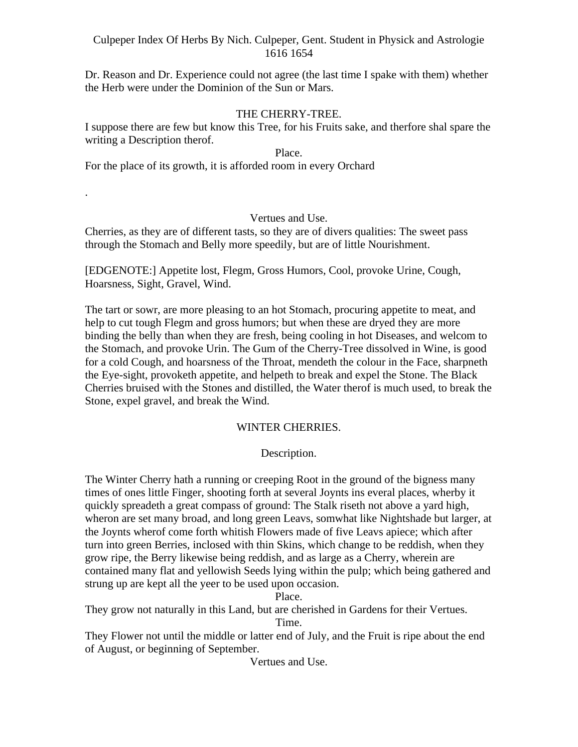Dr. Reason and Dr. Experience could not agree (the last time I spake with them) whether the Herb were under the Dominion of the Sun or Mars.<br>THE CHERRY-TREE.

I suppose there are few but know this Tree, for his Fruits sake, and therfore shal spare the writing a Description therof.

#### Place.

For the place of its growth, it is afforded room in every Orchard

# . Vertues and Use.

Cherries, as they are of different tasts, so they are of divers qualities: The sweet pass through the Stomach and Belly more speedily, but are of little Nourishment.

[EDGENOTE:] Appetite lost, Flegm, Gross Humors, Cool, provoke Urine, Cough, Hoarsness, Sight, Gravel, Wind.

The tart or sowr, are more pleasing to an hot Stomach, procuring appetite to meat, and help to cut tough Flegm and gross humors; but when these are dryed they are more binding the belly than when they are fresh, being cooling in hot Diseases, and welcom to the Stomach, and provoke Urin. The Gum of the Cherry-Tree dissolved in Wine, is good for a cold Cough, and hoarsness of the Throat, mendeth the colour in the Face, sharpneth the Eye-sight, provoketh appetite, and helpeth to break and expel the Stone. The Black Cherries bruised with the Stones and distilled, the Water therof is much used, to break the Stone, expel gravel, and break the Wind.

# WINTER CHERRIES.

# Description.

The Winter Cherry hath a running or creeping Root in the ground of the bigness many times of ones little Finger, shooting forth at several Joynts ins everal places, wherby it quickly spreadeth a great compass of ground: The Stalk riseth not above a yard high, wheron are set many broad, and long green Leavs, somwhat like Nightshade but larger, at the Joynts wherof come forth whitish Flowers made of five Leavs apiece; which after turn into green Berries, inclosed with thin Skins, which change to be reddish, when they grow ripe, the Berry likewise being reddish, and as large as a Cherry, wherein are contained many flat and yellowish Seeds lying within the pulp; which being gathered and strung up are kept all the yeer to be used upon occasion.

Place.

They grow not naturally in this Land, but are cherished in Gardens for their Vertues.

Time.

They Flower not until the middle or latter end of July, and the Fruit is ripe about the end of August, or beginning of September.

Vertues and Use.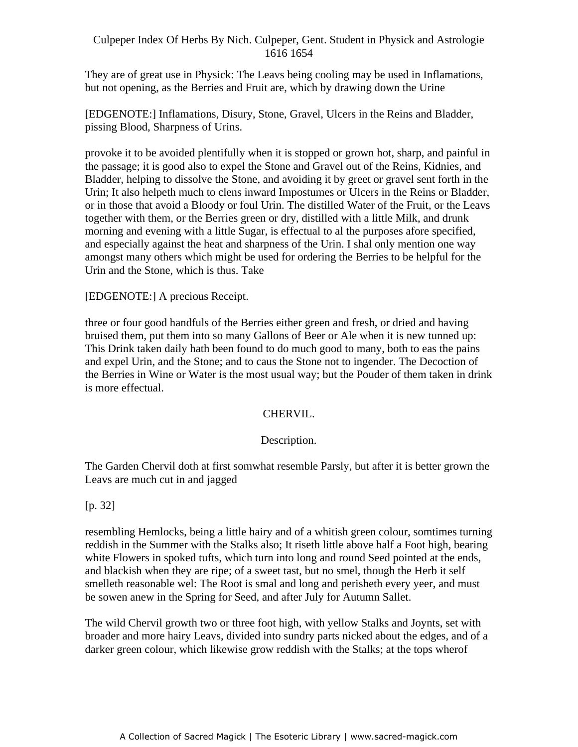They are of great use in Physick: The Leavs being cooling may be used in Inflamations, but not opening, as the Berries and Fruit are, which by drawing down the Urine

[EDGENOTE:] Inflamations, Disury, Stone, Gravel, Ulcers in the Reins and Bladder, pissing Blood, Sharpness of Urins.

provoke it to be avoided plentifully when it is stopped or grown hot, sharp, and painful in the passage; it is good also to expel the Stone and Gravel out of the Reins, Kidnies, and Bladder, helping to dissolve the Stone, and avoiding it by greet or gravel sent forth in the - Urin; It also helpeth much to clens inward Impostumes or Ulcers in the Reins or Bladder, or in those that avoid a Bloody or foul Urin. The distilled Water of the Fruit, or the Leavs together with them, or the Berries green or dry, distilled with a little Milk, and drunk morning and evening with a little Sugar, is effectual to al the purposes afore specified, and especially against the heat and sharpness of the Urin. I shal only mention one way amongst many others which might be used for ordering the Berries to be helpful for the Urin and the Stone, which is thus. Take

# [EDGENOTE:] A precious Receipt.

three or four good handfuls of the Berries either green and fresh, or dried and having bruised them, put them into so many Gallons of Beer or Ale when it is new tunned up: This Drink taken daily hath been found to do much good to many, both to eas the pains and expel Urin, and the Stone; and to caus the Stone not to ingender. The Decoction of the Berries in Wine or Water is the most usual way; but the Pouder of them taken in drink is more effectual.

# CHERVIL.

# Description.

The Garden Chervil doth at first somwhat resemble Parsly, but after it is better grown the Leavs are much cut in and jagged

[p. 32]

resembling Hemlocks, being a little hairy and of a whitish green colour, somtimes turning reddish in the Summer with the Stalks also; It riseth little above half a Foot high, bearing white Flowers in spoked tufts, which turn into long and round Seed pointed at the ends, and blackish when they are ripe; of a sweet tast, but no smel, though the Herb it self smelleth reasonable wel: The Root is smal and long and perisheth every yeer, and must be sowen anew in the Spring for Seed, and after July for Autumn Sallet.

The wild Chervil growth two or three foot high, with yellow Stalks and Joynts, set with broader and more hairy Leavs, divided into sundry parts nicked about the edges, and of a darker green colour, which likewise grow reddish with the Stalks; at the tops wherof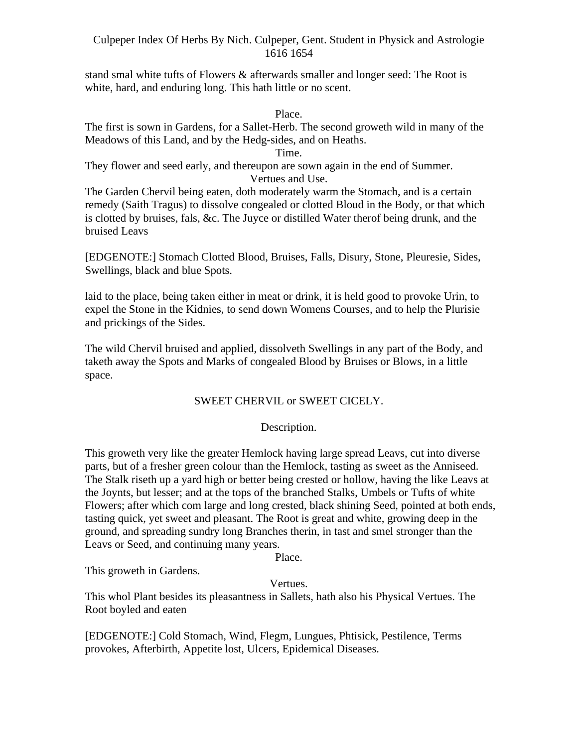stand smal white tufts of Flowers & afterwards smaller and longer seed: The Root is white, hard, and enduring long. This hath little or no scent.

Place.

The first is sown in Gardens, for a Sallet-Herb. The second groweth wild in many of the Meadows of this Land, and by the Hedg-sides, and on Heaths.

Time.

They flower and seed early, and thereupon are sown again in the end of Summer. Vertues and Use.

The Garden Chervil being eaten, doth moderately warm the Stomach, and is a certain remedy (Saith Tragus) to dissolve congealed or clotted Bloud in the Body, or that which is clotted by bruises, fals, &c. The Juyce or distilled Water therof being drunk, and the bruised Leavs

[EDGENOTE:] Stomach Clotted Blood, Bruises, Falls, Disury, Stone, Pleuresie, Sides, Swellings, black and blue Spots.

laid to the place, being taken either in meat or drink, it is held good to provoke Urin, to expel the Stone in the Kidnies, to send down Womens Courses, and to help the Plurisie and prickings of the Sides.

The wild Chervil bruised and applied, dissolveth Swellings in any part of the Body, and taketh away the Spots and Marks of congealed Blood by Bruises or Blows, in a little space.

# SWEET CHERVIL or SWEET CICELY.

# Description.

This groweth very like the greater Hemlock having large spread Leavs, cut into diverse parts, but of a fresher green colour than the Hemlock, tasting as sweet as the Anniseed. The Stalk riseth up a yard high or better being crested or hollow, having the like Leavs at the Joynts, but lesser; and at the tops of the branched Stalks, Umbels or Tufts of white Flowers; after which com large and long crested, black shining Seed, pointed at both ends, tasting quick, yet sweet and pleasant. The Root is great and white, growing deep in the ground, and spreading sundry long Branches therin, in tast and smel stronger than the Leavs or Seed, and continuing many years.

Place.

This groweth in Gardens.

# Vertues.

This whol Plant besides its pleasantness in Sallets, hath also his Physical Vertues. The Root boyled and eaten

[EDGENOTE:] Cold Stomach, Wind, Flegm, Lungues, Phtisick, Pestilence, Terms provokes, Afterbirth, Appetite lost, Ulcers, Epidemical Diseases.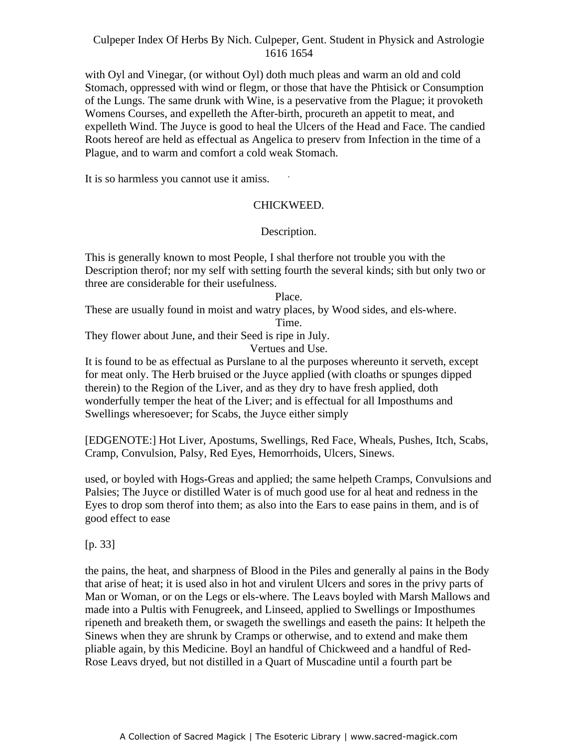with Oyl and Vinegar, (or without Oyl) doth much pleas and warm an old and cold Stomach, oppressed with wind or flegm, or those that have the Phtisick or Consumption of the Lungs. The same drunk with Wine, is a peservative from the Plague; it provoketh Womens Courses, and expelleth the After-birth, procureth an appetit to meat, and expelleth Wind. The Juyce is good to heal the Ulcers of the Head and Face. The candied Roots hereof are held as effectual as Angelica to preserv from Infection in the time of a Plague, and to warm and comfort a cold weak Stomach.

It is so harmless you cannot use it amiss.

#### CHICKWEED.

-

# Description.

This is generally known to most People, I shal therfore not trouble you with the Description therof; nor my self with setting fourth the several kinds; sith but only two or three are considerable for their usefulness.

Place.

These are usually found in moist and watry places, by Wood sides, and els-where. Time.

They flower about June, and their Seed is ripe in July.

Vertues and Use.

It is found to be as effectual as Purslane to al the purposes whereunto it serveth, except for meat only. The Herb bruised or the Juyce applied (with cloaths or spunges dipped therein) to the Region of the Liver, and as they dry to have fresh applied, doth wonderfully temper the heat of the Liver; and is effectual for all Imposthums and Swellings wheresoever; for Scabs, the Juyce either simply

[EDGENOTE:] Hot Liver, Apostums, Swellings, Red Face, Wheals, Pushes, Itch, Scabs, Cramp, Convulsion, Palsy, Red Eyes, Hemorrhoids, Ulcers, Sinews.

used, or boyled with Hogs-Greas and applied; the same helpeth Cramps, Convulsions and Palsies; The Juyce or distilled Water is of much good use for al heat and redness in the Eyes to drop som therof into them; as also into the Ears to ease pains in them, and is of good effect to ease

[p. 33]

the pains, the heat, and sharpness of Blood in the Piles and generally al pains in the Body that arise of heat; it is used also in hot and virulent Ulcers and sores in the privy parts of Man or Woman, or on the Legs or els-where. The Leavs boyled with Marsh Mallows and made into a Pultis with Fenugreek, and Linseed, applied to Swellings or Imposthumes ripeneth and breaketh them, or swageth the swellings and easeth the pains: It helpeth the Sinews when they are shrunk by Cramps or otherwise, and to extend and make them pliable again, by this Medicine. Boyl an handful of Chickweed and a handful of Red- Rose Leavs dryed, but not distilled in a Quart of Muscadine until a fourth part be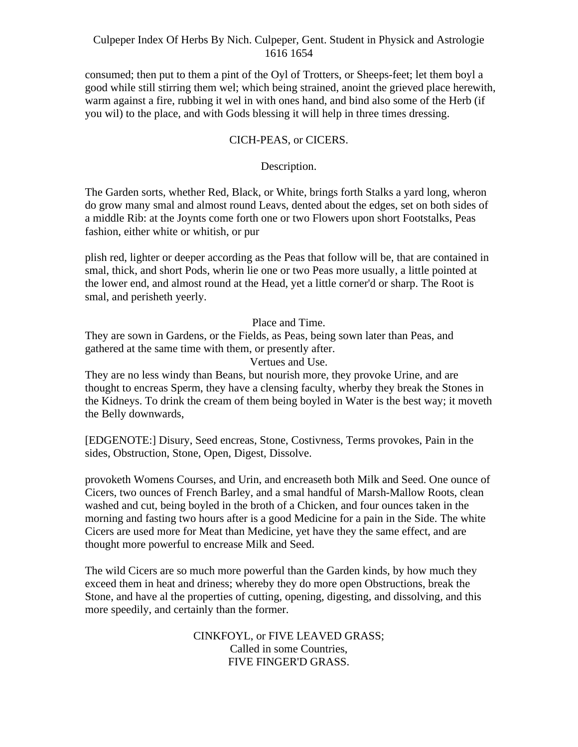consumed; then put to them a pint of the Oyl of Trotters, or Sheeps-feet; let them boyl a good while still stirring them wel; which being strained, anoint the grieved place herewith, warm against a fire, rubbing it wel in with ones hand, and bind also some of the Herb (if you wil) to the place, and with Gods blessing it will help in three times dressing.

# CICH-PEAS, or CICERS.

# Description.

The Garden sorts, whether Red, Black, or White, brings forth Stalks a yard long, wheron do grow many smal and almost round Leavs, dented about the edges, set on both sides of a middle Rib: at the Joynts come forth one or two Flowers upon short Footstalks, Peas fashion, either white or whitish, or pur

plish red, lighter or deeper according as the Peas that follow will be, that are contained in smal, thick, and short Pods, wherin lie one or two Peas more usually, a little pointed at the lower end, and almost round at the Head, yet a little corner'd or sharp. The Root is smal, and perisheth yeerly.

Place and Time.

They are sown in Gardens, or the Fields, as Peas, being sown later than Peas, and gathered at the same time with them, or presently after.

Vertues and Use.

They are no less windy than Beans, but nourish more, they provoke Urine, and are thought to encreas Sperm, they have a clensing faculty, wherby they break the Stones in the Kidneys. To drink the cream of them being boyled in Water is the best way; it moveth the Belly downwards,

[EDGENOTE:] Disury, Seed encreas, Stone, Costivness, Terms provokes, Pain in the sides, Obstruction, Stone, Open, Digest, Dissolve.

provoketh Womens Courses, and Urin, and encreaseth both Milk and Seed. One ounce of Cicers, two ounces of French Barley, and a smal handful of Marsh-Mallow Roots, clean washed and cut, being boyled in the broth of a Chicken, and four ounces taken in the morning and fasting two hours after is a good Medicine for a pain in the Side. The white Cicers are used more for Meat than Medicine, yet have they the same effect, and are thought more powerful to encrease Milk and Seed.

The wild Cicers are so much more powerful than the Garden kinds, by how much they exceed them in heat and driness; whereby they do more open Obstructions, break the Stone, and have al the properties of cutting, opening, digesting, and dissolving, and this more speedily, and certainly than the former.

> CINKFOYL, or FIVE LEAVED GRASS; Called in some Countries, FIVE FINGER'D GRASS.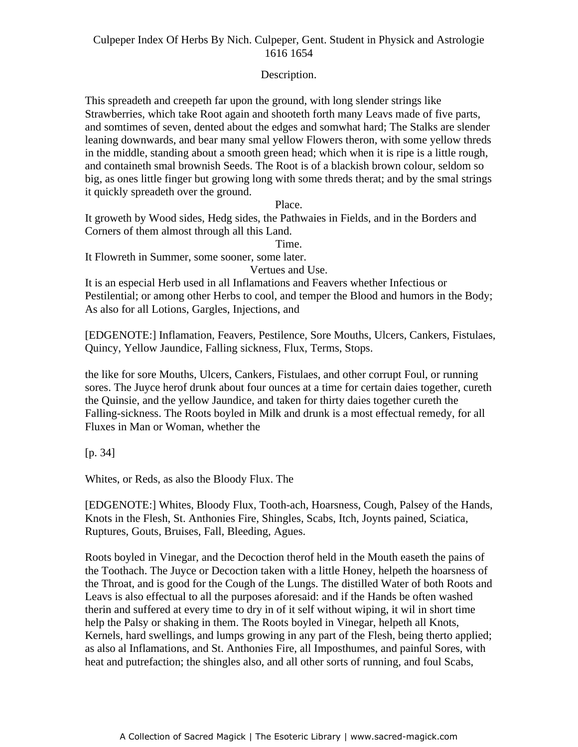# Description.

This spreadeth and creepeth far upon the ground, with long slender strings like Strawberries, which take Root again and shooteth forth many Leavs made of five parts, and somtimes of seven, dented about the edges and somwhat hard; The Stalks are slender leaning downwards, and bear many smal yellow Flowers theron, with some yellow threds in the middle, standing about a smooth green head; which when it is ripe is a little rough, and containeth smal brownish Seeds. The Root is of a blackish brown colour, seldom so big, as ones little finger but growing long with some threds therat; and by the smal strings it quickly spreadeth over the ground.

Place.

It groweth by Wood sides, Hedg sides, the Pathwaies in Fields, and in the Borders and Corners of them almost through all this Land.

Time.

It Flowreth in Summer, some sooner, some later.

Vertues and Use.

It is an especial Herb used in all Inflamations and Feavers whether Infectious or Pestilential; or among other Herbs to cool, and temper the Blood and humors in the Body; As also for all Lotions, Gargles, Injections, and

[EDGENOTE:] Inflamation, Feavers, Pestilence, Sore Mouths, Ulcers, Cankers, Fistulaes, Quincy, Yellow Jaundice, Falling sickness, Flux, Terms, Stops.

the like for sore Mouths, Ulcers, Cankers, Fistulaes, and other corrupt Foul, or running sores. The Juyce herof drunk about four ounces at a time for certain daies together, cureth the Quinsie, and the yellow Jaundice, and taken for thirty daies together cureth the Falling-sickness. The Roots boyled in Milk and drunk is a most effectual remedy, for all Fluxes in Man or Woman, whether the

[p. 34]

Whites, or Reds, as also the Bloody Flux. The

[EDGENOTE:] Whites, Bloody Flux, Tooth-ach, Hoarsness, Cough, Palsey of the Hands, Knots in the Flesh, St. Anthonies Fire, Shingles, Scabs, Itch, Joynts pained, Sciatica, Ruptures, Gouts, Bruises, Fall, Bleeding, Agues.

Roots boyled in Vinegar, and the Decoction therof held in the Mouth easeth the pains of the Toothach. The Juyce or Decoction taken with a little Honey, helpeth the hoarsness of the Throat, and is good for the Cough of the Lungs. The distilled Water of both Roots and Leavs is also effectual to all the purposes aforesaid: and if the Hands be often washed therin and suffered at every time to dry in of it self without wiping, it wil in short time help the Palsy or shaking in them. The Roots boyled in Vinegar, helpeth all Knots, Kernels, hard swellings, and lumps growing in any part of the Flesh, being therto applied; as also al Inflamations, and St. Anthonies Fire, all Imposthumes, and painful Sores, with heat and putrefaction; the shingles also, and all other sorts of running, and foul Scabs,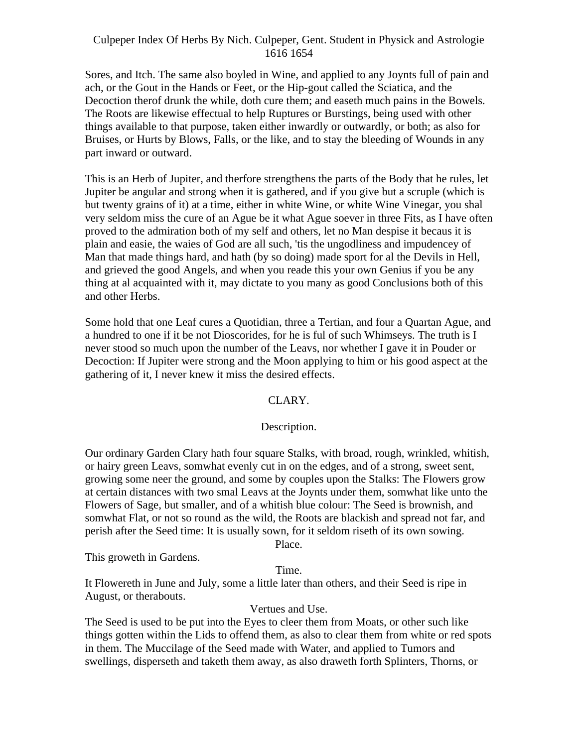Sores, and Itch. The same also boyled in Wine, and applied to any Joynts full of pain and ach, or the Gout in the Hands or Feet, or the Hip-gout called the Sciatica, and the Decoction therof drunk the while, doth cure them; and easeth much pains in the Bowels. The Roots are likewise effectual to help Ruptures or Burstings, being used with other things available to that purpose, taken either inwardly or outwardly, or both; as also for Bruises, or Hurts by Blows, Falls, or the like, and to stay the bleeding of Wounds in any part inward or outward.

This is an Herb of Jupiter, and therfore strengthens the parts of the Body that he rules, let Jupiter be angular and strong when it is gathered, and if you give but a scruple (which is but twenty grains of it) at a time, either in white Wine, or white Wine Vinegar, you shal very seldom miss the cure of an Ague be it what Ague soever in three Fits, as I have often proved to the admiration both of my self and others, let no Man despise it becaus it is plain and easie, the waies of God are all such, 'tis the ungodliness and impudencey of Man that made things hard, and hath (by so doing) made sport for al the Devils in Hell, and grieved the good Angels, and when you reade this your own Genius if you be any thing at al acquainted with it, may dictate to you many as good Conclusions both of this and other Herbs.

Some hold that one Leaf cures a Quotidian, three a Tertian, and four a Quartan Ague, and a hundred to one if it be not Dioscorides, for he is ful of such Whimseys. The truth is I never stood so much upon the number of the Leavs, nor whether I gave it in Pouder or Decoction: If Jupiter were strong and the Moon applying to him or his good aspect at the gathering of it, I never knew it miss the desired effects.

#### CLARY.

#### Description.

Our ordinary Garden Clary hath four square Stalks, with broad, rough, wrinkled, whitish, or hairy green Leavs, somwhat evenly cut in on the edges, and of a strong, sweet sent, growing some neer the ground, and some by couples upon the Stalks: The Flowers grow at certain distances with two smal Leavs at the Joynts under them, somwhat like unto the Flowers of Sage, but smaller, and of a whitish blue colour: The Seed is brownish, and somwhat Flat, or not so round as the wild, the Roots are blackish and spread not far, and perish after the Seed time: It is usually sown, for it seldom riseth of its own sowing. Place.

This groweth in Gardens.

Time.

It Flowereth in June and July, some a little later than others, and their Seed is ripe in August, or therabouts.

# Vertues and Use.

The Seed is used to be put into the Eyes to cleer them from Moats, or other such like things gotten within the Lids to offend them, as also to clear them from white or red spots in them. The Muccilage of the Seed made with Water, and applied to Tumors and swellings, disperseth and taketh them away, as also draweth forth Splinters, Thorns, or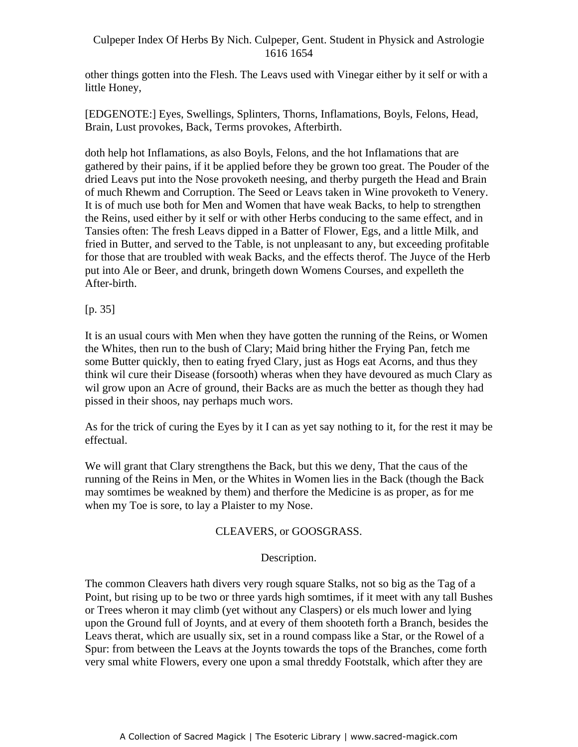other things gotten into the Flesh. The Leavs used with Vinegar either by it self or with a little Honey,

[EDGENOTE:] Eyes, Swellings, Splinters, Thorns, Inflamations, Boyls, Felons, Head, Brain, Lust provokes, Back, Terms provokes, Afterbirth.

doth help hot Inflamations, as also Boyls, Felons, and the hot Inflamations that are gathered by their pains, if it be applied before they be grown too great. The Pouder of the dried Leavs put into the Nose provoketh neesing, and therby purgeth the Head and Brain of much Rhewm and Corruption. The Seed or Leavs taken in Wine provoketh to Venery. It is of much use both for Men and Women that have weak Backs, to help to strengthen the Reins, used either by it self or with other Herbs conducing to the same effect, and in Tansies often: The fresh Leavs dipped in a Batter of Flower, Egs, and a little Milk, and fried in Butter, and served to the Table, is not unpleasant to any, but exceeding profitable for those that are troubled with weak Backs, and the effects therof. The Juyce of the Herb put into Ale or Beer, and drunk, bringeth down Womens Courses, and expelleth the After-birth.

# [p. 35]

It is an usual cours with Men when they have gotten the running of the Reins, or Women the Whites, then run to the bush of Clary; Maid bring hither the Frying Pan, fetch me some Butter quickly, then to eating fryed Clary, just as Hogs eat Acorns, and thus they think wil cure their Disease (forsooth) wheras when they have devoured as much Clary as wil grow upon an Acre of ground, their Backs are as much the better as though they had pissed in their shoos, nay perhaps much wors.

As for the trick of curing the Eyes by it I can as yet say nothing to it, for the rest it may be effectual.

We will grant that Clary strengthens the Back, but this we deny, That the caus of the running of the Reins in Men, or the Whites in Women lies in the Back (though the Back may somtimes be weakned by them) and therfore the Medicine is as proper, as for me when my Toe is sore, to lay a Plaister to my Nose.

# CLEAVERS, or GOOSGRASS.

#### Description.

The common Cleavers hath divers very rough square Stalks, not so big as the Tag of a Point, but rising up to be two or three yards high somtimes, if it meet with any tall Bushes or Trees wheron it may climb (yet without any Claspers) or els much lower and lying upon the Ground full of Joynts, and at every of them shooteth forth a Branch, besides the Leavs therat, which are usually six, set in a round compass like a Star, or the Rowel of a Spur: from between the Leavs at the Joynts towards the tops of the Branches, come forth very smal white Flowers, every one upon a smal threddy Footstalk, which after they are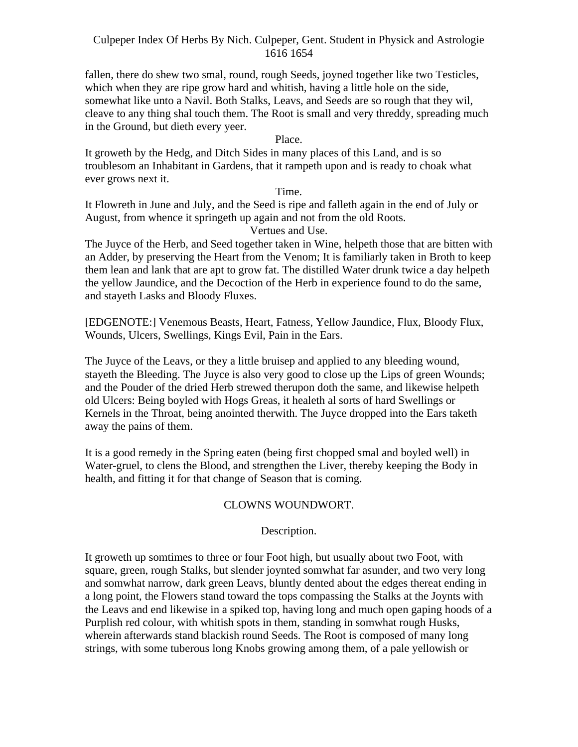fallen, there do shew two smal, round, rough Seeds, joyned together like two Testicles, which when they are ripe grow hard and whitish, having a little hole on the side, somewhat like unto a Navil. Both Stalks, Leavs, and Seeds are so rough that they wil, cleave to any thing shal touch them. The Root is small and very threddy, spreading much in the Ground, but dieth every yeer.

#### Place.

It groweth by the Hedg, and Ditch Sides in many places of this Land, and is so troublesom an Inhabitant in Gardens, that it rampeth upon and is ready to choak what ever grows next it.

#### Time.

It Flowreth in June and July, and the Seed is ripe and falleth again in the end of July or August, from whence it springeth up again and not from the old Roots.

# Vertues and Use.

The Juyce of the Herb, and Seed together taken in Wine, helpeth those that are bitten with an Adder, by preserving the Heart from the Venom; It is familiarly taken in Broth to keep them lean and lank that are apt to grow fat. The distilled Water drunk twice a day helpeth the yellow Jaundice, and the Decoction of the Herb in experience found to do the same, and stayeth Lasks and Bloody Fluxes.

[EDGENOTE:] Venemous Beasts, Heart, Fatness, Yellow Jaundice, Flux, Bloody Flux, Wounds, Ulcers, Swellings, Kings Evil, Pain in the Ears.

The Juyce of the Leavs, or they a little bruisep and applied to any bleeding wound, stayeth the Bleeding. The Juyce is also very good to close up the Lips of green Wounds; and the Pouder of the dried Herb strewed therupon doth the same, and likewise helpeth old Ulcers: Being boyled with Hogs Greas, it healeth al sorts of hard Swellings or Kernels in the Throat, being anointed therwith. The Juyce dropped into the Ears taketh away the pains of them.

It is a good remedy in the Spring eaten (being first chopped smal and boyled well) in Water-gruel, to clens the Blood, and strengthen the Liver, thereby keeping the Body in health, and fitting it for that change of Season that is coming.

#### CLOWNS WOUNDWORT.

#### Description.

It groweth up somtimes to three or four Foot high, but usually about two Foot, with square, green, rough Stalks, but slender joynted somwhat far asunder, and two very long and somwhat narrow, dark green Leavs, bluntly dented about the edges thereat ending in a long point, the Flowers stand toward the tops compassing the Stalks at the Joynts with the Leavs and end likewise in a spiked top, having long and much open gaping hoods of a Purplish red colour, with whitish spots in them, standing in somwhat rough Husks, wherein afterwards stand blackish round Seeds. The Root is composed of many long strings, with some tuberous long Knobs growing among them, of a pale yellowish or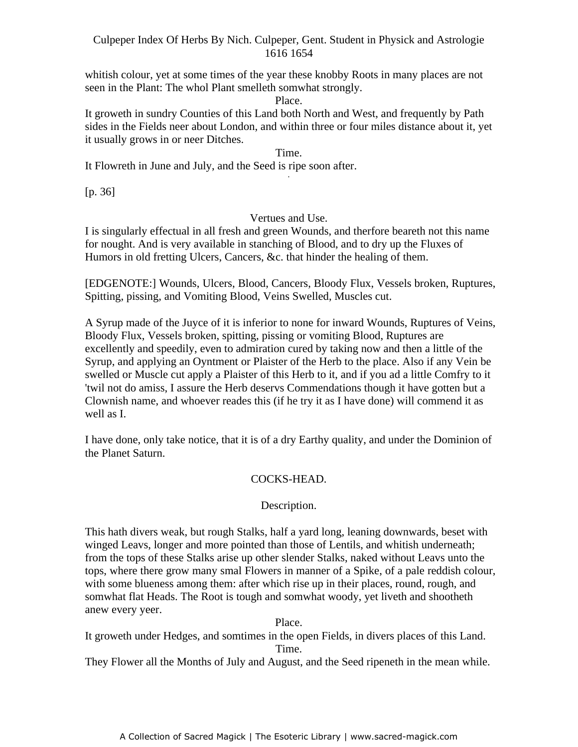whitish colour, yet at some times of the year these knobby Roots in many places are not seen in the Plant: The whol Plant smelleth somwhat strongly.

#### Place.

It groweth in sundry Counties of this Land both North and West, and frequently by Path sides in the Fields neer about London, and within three or four miles distance about it, yet it usually grows in or neer Ditches.

#### Time.

It Flowreth in June and July, and the Seed is ripe soon after.

[p. 36]

#### Vertues and Use.

I is singularly effectual in all fresh and green Wounds, and therfore beareth not this name for nought. And is very available in stanching of Blood, and to dry up the Fluxes of Humors in old fretting Ulcers, Cancers, &c. that hinder the healing of them.

[EDGENOTE:] Wounds, Ulcers, Blood, Cancers, Bloody Flux, Vessels broken, Ruptures, Spitting, pissing, and Vomiting Blood, Veins Swelled, Muscles cut.

A Syrup made of the Juyce of it is inferior to none for inward Wounds, Ruptures of Veins, Bloody Flux, Vessels broken, spitting, pissing or vomiting Blood, Ruptures are excellently and speedily, even to admiration cured by taking now and then a little of the Syrup, and applying an Oyntment or Plaister of the Herb to the place. Also if any Vein be swelled or Muscle cut apply a Plaister of this Herb to it, and if you ad a little Comfry to it 'twil not do amiss, I assure the Herb deservs Commendations though it have gotten but a Clownish name, and whoever reades this (if he try it as I have done) will commend it as well as I.

I have done, only take notice, that it is of a dry Earthy quality, and under the Dominion of the Planet Saturn.

# COCKS-HEAD.

#### Description.

This hath divers weak, but rough Stalks, half a yard long, leaning downwards, beset with winged Leavs, longer and more pointed than those of Lentils, and whitish underneath; from the tops of these Stalks arise up other slender Stalks, naked without Leavs unto the tops, where there grow many smal Flowers in manner of a Spike, of a pale reddish colour, with some blueness among them: after which rise up in their places, round, rough, and somwhat flat Heads. The Root is tough and somwhat woody, yet liveth and shootheth anew every yeer.

Place.

It groweth under Hedges, and somtimes in the open Fields, in divers places of this Land. Time.

They Flower all the Months of July and August, and the Seed ripeneth in the mean while.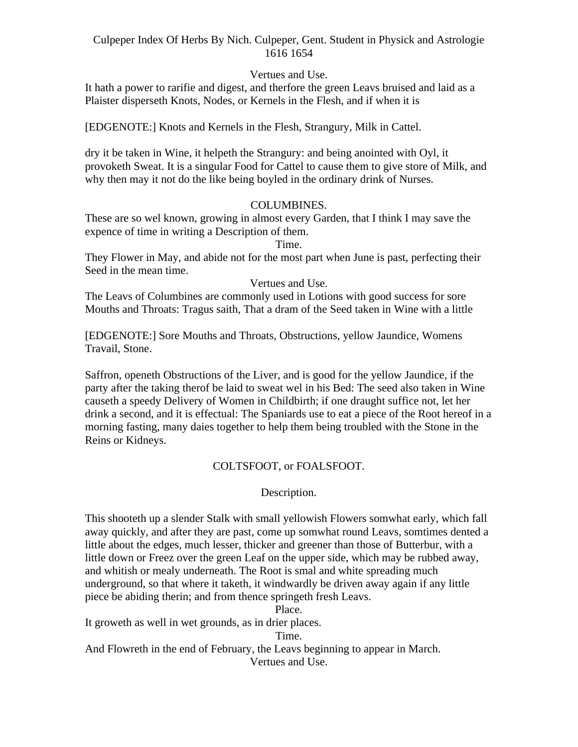# Vertues and Use.

It hath a power to rarifie and digest, and therfore the green Leavs bruised and laid as a Plaister disperseth Knots, Nodes, or Kernels in the Flesh, and if when it is

[EDGENOTE:] Knots and Kernels in the Flesh, Strangury, Milk in Cattel.

dry it be taken in Wine, it helpeth the Strangury: and being anointed with Oyl, it provoketh Sweat. It is a singular Food for Cattel to cause them to give store of Milk, and why then may it not do the like being boyled in the ordinary drink of Nurses.

# COLUMBINES.

These are so wel known, growing in almost every Garden, that I think I may save the expence of time in writing a Description of them.

Time.

They Flower in May, and abide not for the most part when June is past, perfecting their Seed in the mean time.

# Vertues and Use.

The Leavs of Columbines are commonly used in Lotions with good success for sore Mouths and Throats: Tragus saith, That a dram of the Seed taken in Wine with a little

[EDGENOTE:] Sore Mouths and Throats, Obstructions, yellow Jaundice, Womens Travail, Stone.

Saffron, openeth Obstructions of the Liver, and is good for the yellow Jaundice, if the party after the taking therof be laid to sweat wel in his Bed: The seed also taken in Wine causeth a speedy Delivery of Women in Childbirth; if one draught suffice not, let her drink a second, and it is effectual: The Spaniards use to eat a piece of the Root hereof in a morning fasting, many daies together to help them being troubled with the Stone in the Reins or Kidneys.

# COLTSFOOT, or FOALSFOOT.

# Description.

This shooteth up a slender Stalk with small yellowish Flowers somwhat early, which fall away quickly, and after they are past, come up somwhat round Leavs, somtimes dented a little about the edges, much lesser, thicker and greener than those of Butterbur, with a little down or Freez over the green Leaf on the upper side, which may be rubbed away, and whitish or mealy underneath. The Root is smal and white spreading much underground, so that where it taketh, it windwardly be driven away again if any little piece be abiding therin; and from thence springeth fresh Leavs.

Place.

It groweth as well in wet grounds, as in drier places.

Time.

And Flowreth in the end of February, the Leavs beginning to appear in March. Vertues and Use.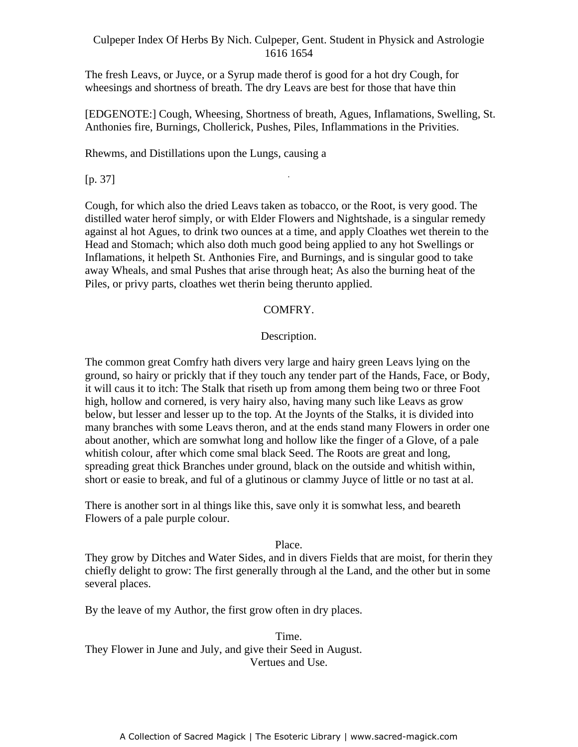The fresh Leavs, or Juyce, or a Syrup made therof is good for a hot dry Cough, for wheesings and shortness of breath. The dry Leavs are best for those that have thin

[EDGENOTE:] Cough, Wheesing, Shortness of breath, Agues, Inflamations, Swelling, St. Anthonies fire, Burnings, Chollerick, Pushes, Piles, Inflammations in the Privities.

-

Rhewms, and Distillations upon the Lungs, causing a

[p. 37]

Cough, for which also the dried Leavs taken as tobacco, or the Root, is very good. The distilled water herof simply, or with Elder Flowers and Nightshade, is a singular remedy against al hot Agues, to drink two ounces at a time, and apply Cloathes wet therein to the Head and Stomach; which also doth much good being applied to any hot Swellings or Inflamations, it helpeth St. Anthonies Fire, and Burnings, and is singular good to take away Wheals, and smal Pushes that arise through heat; As also the burning heat of the Piles, or privy parts, cloathes wet therin being therunto applied.

# COMFRY.

#### Description.

The common great Comfry hath divers very large and hairy green Leavs lying on the ground, so hairy or prickly that if they touch any tender part of the Hands, Face, or Body, it will caus it to itch: The Stalk that riseth up from among them being two or three Foot high, hollow and cornered, is very hairy also, having many such like Leavs as grow below, but lesser and lesser up to the top. At the Joynts of the Stalks, it is divided into many branches with some Leavs theron, and at the ends stand many Flowers in order one about another, which are somwhat long and hollow like the finger of a Glove, of a pale whitish colour, after which come smal black Seed. The Roots are great and long, spreading great thick Branches under ground, black on the outside and whitish within, short or easie to break, and ful of a glutinous or clammy Juyce of little or no tast at al.

There is another sort in al things like this, save only it is somwhat less, and beareth Flowers of a pale purple colour.

#### Place.

They grow by Ditches and Water Sides, and in divers Fields that are moist, for therin they chiefly delight to grow: The first generally through al the Land, and the other but in some several places.

By the leave of my Author, the first grow often in dry places.

Time. They Flower in June and July, and give their Seed in August. Vertues and Use.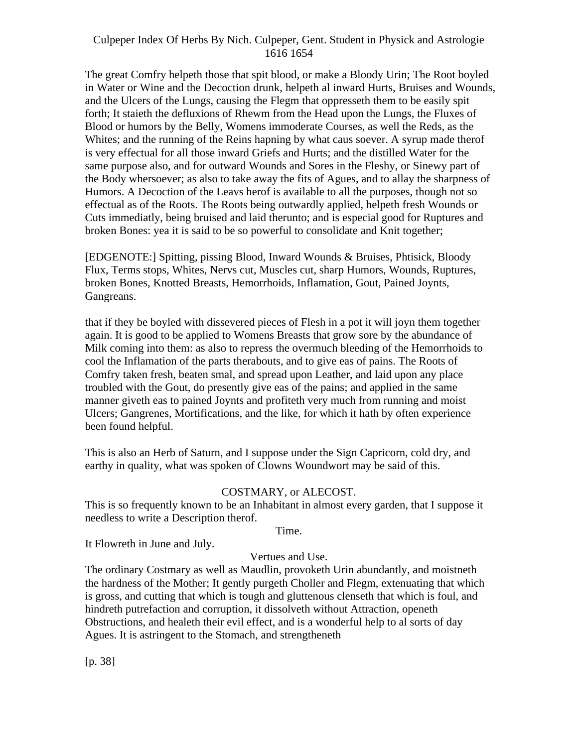The great Comfry helpeth those that spit blood, or make a Bloody Urin; The Root boyled in Water or Wine and the Decoction drunk, helpeth al inward Hurts, Bruises and Wounds, and the Ulcers of the Lungs, causing the Flegm that oppresseth them to be easily spit forth; It staieth the defluxions of Rhewm from the Head upon the Lungs, the Fluxes of Blood or humors by the Belly, Womens immoderate Courses, as well the Reds, as the Whites; and the running of the Reins hapning by what caus soever. A syrup made therof is very effectual for all those inward Griefs and Hurts; and the distilled Water for the same purpose also, and for outward Wounds and Sores in the Fleshy, or Sinewy part of the Body whersoever; as also to take away the fits of Agues, and to allay the sharpness of Humors. A Decoction of the Leavs herof is available to all the purposes, though not so effectual as of the Roots. The Roots being outwardly applied, helpeth fresh Wounds or Cuts immediatly, being bruised and laid therunto; and is especial good for Ruptures and broken Bones: yea it is said to be so powerful to consolidate and Knit together;

[EDGENOTE:] Spitting, pissing Blood, Inward Wounds & Bruises, Phtisick, Bloody Flux, Terms stops, Whites, Nervs cut, Muscles cut, sharp Humors, Wounds, Ruptures, broken Bones, Knotted Breasts, Hemorrhoids, Inflamation, Gout, Pained Joynts, Gangreans.

that if they be boyled with dissevered pieces of Flesh in a pot it will joyn them together again. It is good to be applied to Womens Breasts that grow sore by the abundance of Milk coming into them: as also to repress the overmuch bleeding of the Hemorrhoids to cool the Inflamation of the parts therabouts, and to give eas of pains. The Roots of Comfry taken fresh, beaten smal, and spread upon Leather, and laid upon any place troubled with the Gout, do presently give eas of the pains; and applied in the same manner giveth eas to pained Joynts and profiteth very much from running and moist Ulcers; Gangrenes, Mortifications, and the like, for which it hath by often experience been found helpful.

This is also an Herb of Saturn, and I suppose under the Sign Capricorn, cold dry, and earthy in quality, what was spoken of Clowns Woundwort may be said of this.

# COSTMARY, or ALECOST.

This is so frequently known to be an Inhabitant in almost every garden, that I suppose it needless to write a Description therof.

Time.

It Flowreth in June and July.

#### Vertues and Use.

The ordinary Costmary as well as Maudlin, provoketh Urin abundantly, and moistneth the hardness of the Mother; It gently purgeth Choller and Flegm, extenuating that which is gross, and cutting that which is tough and gluttenous clenseth that which is foul, and hindreth putrefaction and corruption, it dissolveth without Attraction, openeth Obstructions, and healeth their evil effect, and is a wonderful help to al sorts of day Agues. It is astringent to the Stomach, and strengtheneth

[p. 38]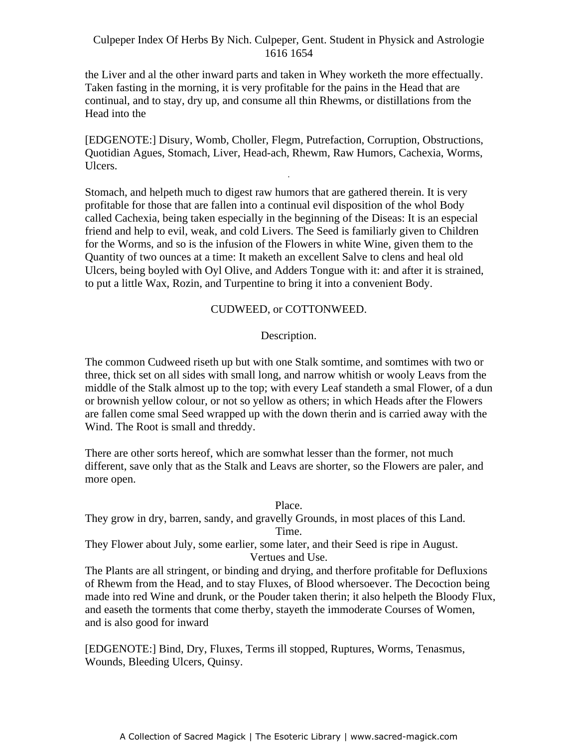the Liver and al the other inward parts and taken in Whey worketh the more effectually. Taken fasting in the morning, it is very profitable for the pains in the Head that are continual, and to stay, dry up, and consume all thin Rhewms, or distillations from the Head into the

[EDGENOTE:] Disury, Womb, Choller, Flegm, Putrefaction, Corruption, Obstructions, Quotidian Agues, Stomach, Liver, Head-ach, Rhewm, Raw Humors, Cachexia, Worms, Ulcers. -

Stomach, and helpeth much to digest raw humors that are gathered therein. It is very profitable for those that are fallen into a continual evil disposition of the whol Body called Cachexia, being taken especially in the beginning of the Diseas: It is an especial friend and help to evil, weak, and cold Livers. The Seed is familiarly given to Children for the Worms, and so is the infusion of the Flowers in white Wine, given them to the Quantity of two ounces at a time: It maketh an excellent Salve to clens and heal old Ulcers, being boyled with Oyl Olive, and Adders Tongue with it: and after it is strained, to put a little Wax, Rozin, and Turpentine to bring it into a convenient Body.

# CUDWEED, or COTTONWEED.

Description.

The common Cudweed riseth up but with one Stalk somtime, and somtimes with two or three, thick set on all sides with small long, and narrow whitish or wooly Leavs from the middle of the Stalk almost up to the top; with every Leaf standeth a smal Flower, of a dun or brownish yellow colour, or not so yellow as others; in which Heads after the Flowers are fallen come smal Seed wrapped up with the down therin and is carried away with the Wind. The Root is small and threddy.

There are other sorts hereof, which are somwhat lesser than the former, not much different, save only that as the Stalk and Leavs are shorter, so the Flowers are paler, and more open.

# Place.

They grow in dry, barren, sandy, and gravelly Grounds, in most places of this Land. Time.

They Flower about July, some earlier, some later, and their Seed is ripe in August. Vertues and Use.

The Plants are all stringent, or binding and drying, and therfore profitable for Defluxions of Rhewm from the Head, and to stay Fluxes, of Blood whersoever. The Decoction being made into red Wine and drunk, or the Pouder taken therin; it also helpeth the Bloody Flux, and easeth the torments that come therby, stayeth the immoderate Courses of Women, and is also good for inward

[EDGENOTE:] Bind, Dry, Fluxes, Terms ill stopped, Ruptures, Worms, Tenasmus, Wounds, Bleeding Ulcers, Quinsy.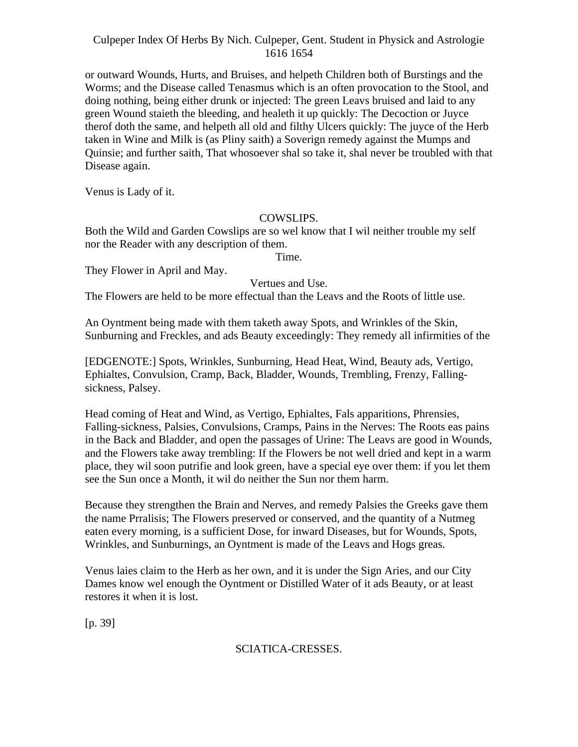or outward Wounds, Hurts, and Bruises, and helpeth Children both of Burstings and the Worms; and the Disease called Tenasmus which is an often provocation to the Stool, and doing nothing, being either drunk or injected: The green Leavs bruised and laid to any green Wound staieth the bleeding, and healeth it up quickly: The Decoction or Juyce therof doth the same, and helpeth all old and filthy Ulcers quickly: The juyce of the Herb taken in Wine and Milk is (as Pliny saith) a Soverign remedy against the Mumps and Quinsie; and further saith, That whosoever shal so take it, shal never be troubled with that Disease again.

Venus is Lady of it.

#### COWSLIPS.

Both the Wild and Garden Cowslips are so wel know that I wil neither trouble my self nor the Reader with any description of them.

Time.

They Flower in April and May.

Vertues and Use.

The Flowers are held to be more effectual than the Leavs and the Roots of little use.

An Oyntment being made with them taketh away Spots, and Wrinkles of the Skin, Sunburning and Freckles, and ads Beauty exceedingly: They remedy all infirmities of the

[EDGENOTE:] Spots, Wrinkles, Sunburning, Head Heat, Wind, Beauty ads, Vertigo, Ephialtes, Convulsion, Cramp, Back, Bladder, Wounds, Trembling, Frenzy, Falling sickness, Palsey.

Head coming of Heat and Wind, as Vertigo, Ephialtes, Fals apparitions, Phrensies, Falling-sickness, Palsies, Convulsions, Cramps, Pains in the Nerves: The Roots eas pains in the Back and Bladder, and open the passages of Urine: The Leavs are good in Wounds, and the Flowers take away trembling: If the Flowers be not well dried and kept in a warm place, they wil soon putrifie and look green, have a special eye over them: if you let them see the Sun once a Month, it wil do neither the Sun nor them harm.

Because they strengthen the Brain and Nerves, and remedy Palsies the Greeks gave them the name Prralisis; The Flowers preserved or conserved, and the quantity of a Nutmeg eaten every morning, is a sufficient Dose, for inward Diseases, but for Wounds, Spots, Wrinkles, and Sunburnings, an Oyntment is made of the Leavs and Hogs greas.

Venus laies claim to the Herb as her own, and it is under the Sign Aries, and our City Dames know wel enough the Oyntment or Distilled Water of it ads Beauty, or at least restores it when it is lost.

[p. 39]

# SCIATICA-CRESSES.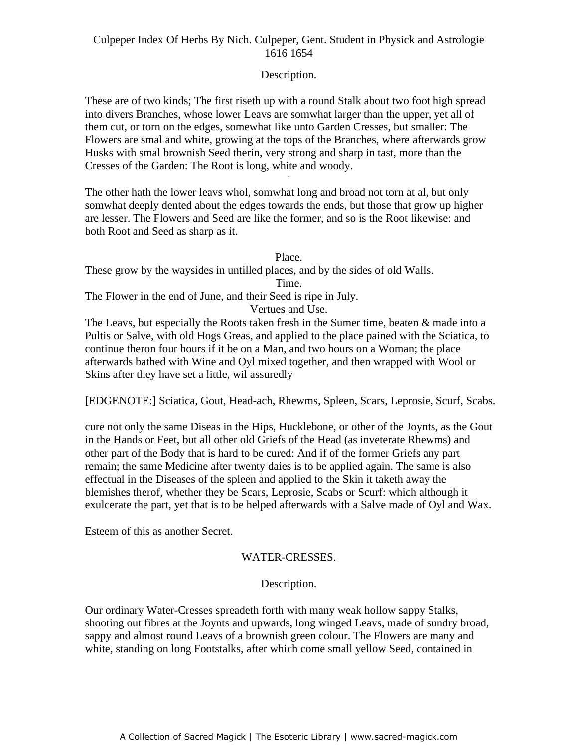# Description.

These are of two kinds; The first riseth up with a round Stalk about two foot high spread into divers Branches, whose lower Leavs are somwhat larger than the upper, yet all of them cut, or torn on the edges, somewhat like unto Garden Cresses, but smaller: The Flowers are smal and white, growing at the tops of the Branches, where afterwards grow Husks with smal brownish Seed therin, very strong and sharp in tast, more than the Cresses of the Garden: The Root is long, white and woody.

The other hath the lower leavs whol, somwhat long and broad not torn at al, but only somwhat deeply dented about the edges towards the ends, but those that grow up higher are lesser. The Flowers and Seed are like the former, and so is the Root likewise: and both Root and Seed as sharp as it.

Place.

These grow by the waysides in untilled places, and by the sides of old Walls. Time.

The Flower in the end of June, and their Seed is ripe in July.

Vertues and Use.

The Leavs, but especially the Roots taken fresh in the Sumer time, beaten & made into a Pultis or Salve, with old Hogs Greas, and applied to the place pained with the Sciatica, to continue theron four hours if it be on a Man, and two hours on a Woman; the place afterwards bathed with Wine and Oyl mixed together, and then wrapped with Wool or Skins after they have set a little, wil assuredly

[EDGENOTE:] Sciatica, Gout, Head-ach, Rhewms, Spleen, Scars, Leprosie, Scurf, Scabs.

cure not only the same Diseas in the Hips, Hucklebone, or other of the Joynts, as the Gout in the Hands or Feet, but all other old Griefs of the Head (as inveterate Rhewms) and other part of the Body that is hard to be cured: And if of the former Griefs any part remain; the same Medicine after twenty daies is to be applied again. The same is also effectual in the Diseases of the spleen and applied to the Skin it taketh away the blemishes therof, whether they be Scars, Leprosie, Scabs or Scurf: which although it exulcerate the part, yet that is to be helped afterwards with a Salve made of Oyl and Wax.

Esteem of this as another Secret.

#### WATER-CRESSES.

# Description.

Our ordinary Water-Cresses spreadeth forth with many weak hollow sappy Stalks, shooting out fibres at the Joynts and upwards, long winged Leavs, made of sundry broad, sappy and almost round Leavs of a brownish green colour. The Flowers are many and white, standing on long Footstalks, after which come small yellow Seed, contained in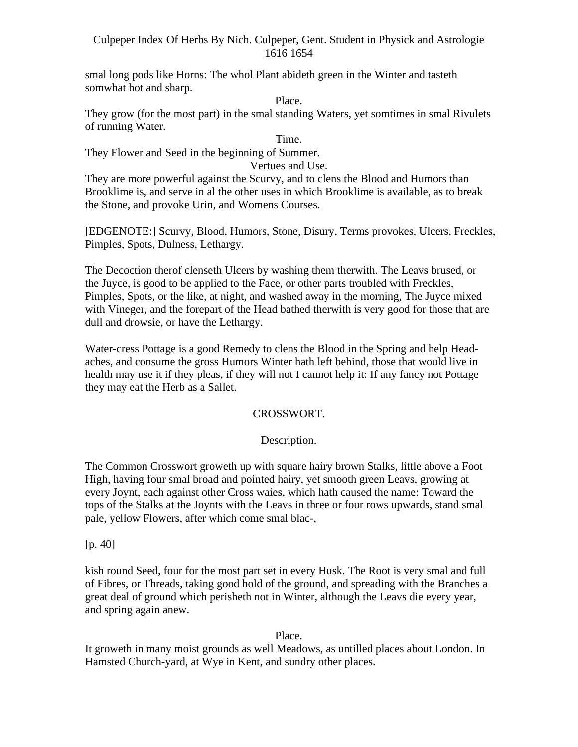smal long pods like Horns: The whol Plant abideth green in the Winter and tasteth somwhat hot and sharp.

Place.

They grow (for the most part) in the smal standing Waters, yet somtimes in smal Rivulets of running Water.

Time.

They Flower and Seed in the beginning of Summer.

Vertues and Use.

They are more powerful against the Scurvy, and to clens the Blood and Humors than Brooklime is, and serve in al the other uses in which Brooklime is available, as to break the Stone, and provoke Urin, and Womens Courses.

[EDGENOTE:] Scurvy, Blood, Humors, Stone, Disury, Terms provokes, Ulcers, Freckles, Pimples, Spots, Dulness, Lethargy.

The Decoction therof clenseth Ulcers by washing them therwith. The Leavs brused, or the Juyce, is good to be applied to the Face, or other parts troubled with Freckles, Pimples, Spots, or the like, at night, and washed away in the morning, The Juyce mixed with Vineger, and the forepart of the Head bathed therwith is very good for those that are dull and drowsie, or have the Lethargy.

Water-cress Pottage is a good Remedy to clens the Blood in the Spring and help Head aches, and consume the gross Humors Winter hath left behind, those that would live in health may use it if they pleas, if they will not I cannot help it: If any fancy not Pottage they may eat the Herb as a Sallet.

# CROSSWORT.

# Description.

The Common Crosswort groweth up with square hairy brown Stalks, little above a Foot High, having four smal broad and pointed hairy, yet smooth green Leavs, growing at every Joynt, each against other Cross waies, which hath caused the name: Toward the tops of the Stalks at the Joynts with the Leavs in three or four rows upwards, stand smal pale, yellow Flowers, after which come smal blac-, [p. 40]

kish round Seed, four for the most part set in every Husk. The Root is very smal and full of Fibres, or Threads, taking good hold of the ground, and spreading with the Branches a great deal of ground which perisheth not in Winter, although the Leavs die every year, and spring again anew.

Place.

It groweth in many moist grounds as well Meadows, as untilled places about London. In Hamsted Church-yard, at Wye in Kent, and sundry other places.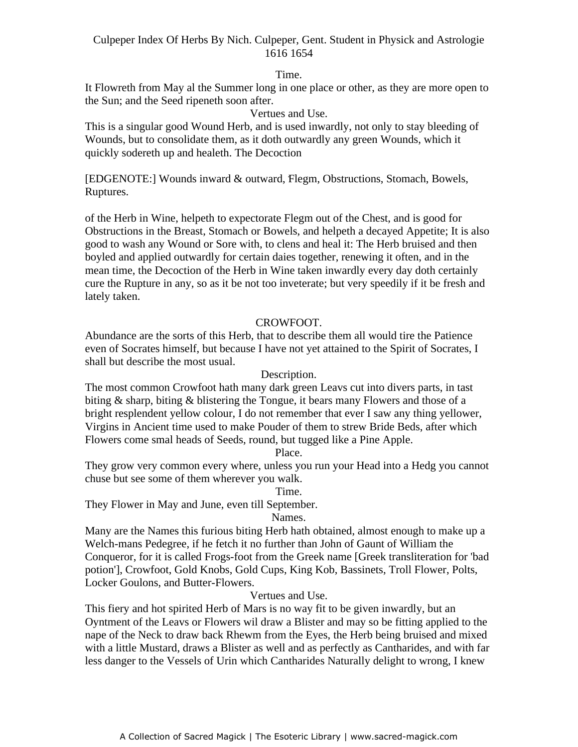# Time.

It Flowreth from May al the Summer long in one place or other, as they are more open to the Sun; and the Seed ripeneth soon after.

# Vertues and Use.

This is a singular good Wound Herb, and is used inwardly, not only to stay bleeding of Wounds, but to consolidate them, as it doth outwardly any green Wounds, which it quickly sodereth up and healeth. The Decoction

[EDGENOTE:] Wounds inward & outward, Flegm, Obstructions, Stomach, Bowels, Ruptures. The contract of the contract of the contract of the contract of the contract of the contract of the contract of the contract of the contract of the contract of the contract of the contract of the contract of the

of the Herb in Wine, helpeth to expectorate Flegm out of the Chest, and is good for Obstructions in the Breast, Stomach or Bowels, and helpeth a decayed Appetite; It is also good to wash any Wound or Sore with, to clens and heal it: The Herb bruised and then boyled and applied outwardly for certain daies together, renewing it often, and in the mean time, the Decoction of the Herb in Wine taken inwardly every day doth certainly cure the Rupture in any, so as it be not too inveterate; but very speedily if it be fresh and lately taken.

# CROWFOOT.

Abundance are the sorts of this Herb, that to describe them all would tire the Patience even of Socrates himself, but because I have not yet attained to the Spirit of Socrates, I shall but describe the most usual.

#### Description.

The most common Crowfoot hath many dark green Leavs cut into divers parts, in tast biting & sharp, biting & blistering the Tongue, it bears many Flowers and those of a bright resplendent yellow colour, I do not remember that ever I saw any thing yellower, Virgins in Ancient time used to make Pouder of them to strew Bride Beds, after which Flowers come smal heads of Seeds, round, but tugged like a Pine Apple.

# Place.

They grow very common every where, unless you run your Head into a Hedg you cannot chuse but see some of them wherever you walk.

#### Time.

They Flower in May and June, even till September.

#### Names.

Many are the Names this furious biting Herb hath obtained, almost enough to make up a Welch-mans Pedegree, if he fetch it no further than John of Gaunt of William the Conqueror, for it is called Frogs-foot from the Greek name [Greek transliteration for 'bad potion'], Crowfoot, Gold Knobs, Gold Cups, King Kob, Bassinets, Troll Flower, Polts, Locker Goulons, and Butter-Flowers.

#### Vertues and Use.

This fiery and hot spirited Herb of Mars is no way fit to be given inwardly, but an Oyntment of the Leavs or Flowers wil draw a Blister and may so be fitting applied to the nape of the Neck to draw back Rhewm from the Eyes, the Herb being bruised and mixed with a little Mustard, draws a Blister as well and as perfectly as Cantharides, and with far less danger to the Vessels of Urin which Cantharides Naturally delight to wrong, I knew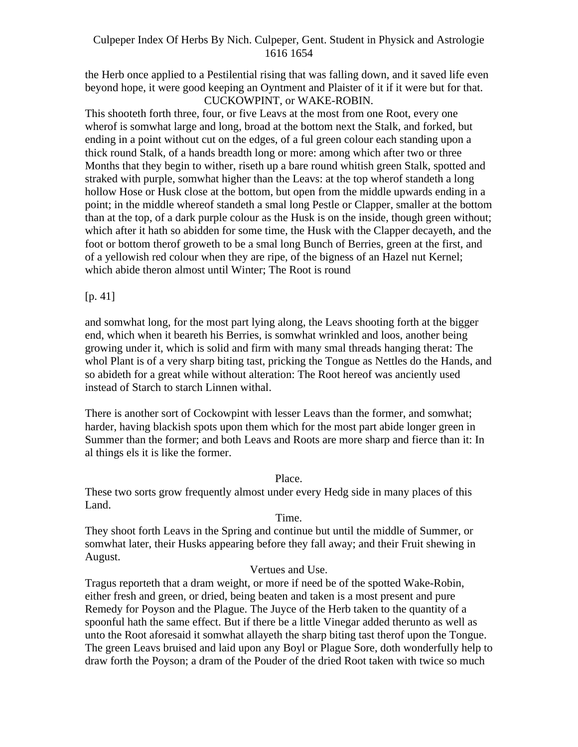the Herb once applied to a Pestilential rising that was falling down, and it saved life even beyond hope, it were good keeping an Oyntment and Plaister of it if it were but for that.

# CUCKOWPINT, or WAKE-ROBIN.

This shooteth forth three, four, or five Leavs at the most from one Root, every one wherof is somwhat large and long, broad at the bottom next the Stalk, and forked, but ending in a point without cut on the edges, of a ful green colour each standing upon a thick round Stalk, of a hands breadth long or more: among which after two or three Months that they begin to wither, riseth up a bare round whitish green Stalk, spotted and straked with purple, somwhat higher than the Leavs: at the top wherof standeth a long hollow Hose or Husk close at the bottom, but open from the middle upwards ending in a point; in the middle whereof standeth a smal long Pestle or Clapper, smaller at the bottom than at the top, of a dark purple colour as the Husk is on the inside, though green without; which after it hath so abidden for some time, the Husk with the Clapper decayeth, and the foot or bottom therof groweth to be a smal long Bunch of Berries, green at the first, and of a yellowish red colour when they are ripe, of the bigness of an Hazel nut Kernel; which abide theron almost until Winter; The Root is round

# [p. 41]

and somwhat long, for the most part lying along, the Leavs shooting forth at the bigger end, which when it beareth his Berries, is somwhat wrinkled and loos, another being growing under it, which is solid and firm with many smal threads hanging therat: The whol Plant is of a very sharp biting tast, pricking the Tongue as Nettles do the Hands, and so abideth for a great while without alteration: The Root hereof was anciently used instead of Starch to starch Linnen withal.

There is another sort of Cockowpint with lesser Leavs than the former, and somwhat; harder, having blackish spots upon them which for the most part abide longer green in Summer than the former; and both Leavs and Roots are more sharp and fierce than it: In al things els it is like the former.

# Place.

These two sorts grow frequently almost under every Hedg side in many places of this Land.

# Time.

They shoot forth Leavs in the Spring and continue but until the middle of Summer, or somwhat later, their Husks appearing before they fall away; and their Fruit shewing in August.

# Vertues and Use.

Tragus reporteth that a dram weight, or more if need be of the spotted Wake-Robin, either fresh and green, or dried, being beaten and taken is a most present and pure Remedy for Poyson and the Plague. The Juyce of the Herb taken to the quantity of a spoonful hath the same effect. But if there be a little Vinegar added therunto as well as unto the Root aforesaid it somwhat allayeth the sharp biting tast therof upon the Tongue. The green Leavs bruised and laid upon any Boyl or Plague Sore, doth wonderfully help to draw forth the Poyson; a dram of the Pouder of the dried Root taken with twice so much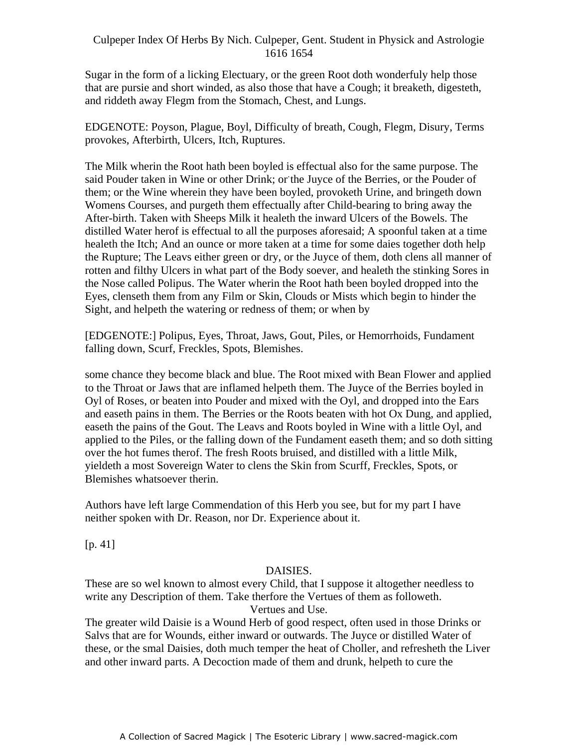Sugar in the form of a licking Electuary, or the green Root doth wonderfuly help those that are pursie and short winded, as also those that have a Cough; it breaketh, digesteth, and riddeth away Flegm from the Stomach, Chest, and Lungs.

EDGENOTE: Poyson, Plague, Boyl, Difficulty of breath, Cough, Flegm, Disury, Terms provokes, Afterbirth, Ulcers, Itch, Ruptures.

The Milk wherin the Root hath been boyled is effectual also for the same purpose. The and Pouder taken in Wine or other Drink; or the Juyce of the Berries, or the Pouder of them; or the Wine wherein they have been boyled, provoketh Urine, and bringeth down Womens Courses, and purgeth them effectually after Child-bearing to bring away the After-birth. Taken with Sheeps Milk it healeth the inward Ulcers of the Bowels. The distilled Water herof is effectual to all the purposes aforesaid; A spoonful taken at a time healeth the Itch; And an ounce or more taken at a time for some daies together doth help the Rupture; The Leavs either green or dry, or the Juyce of them, doth clens all manner of rotten and filthy Ulcers in what part of the Body soever, and healeth the stinking Sores in the Nose called Polipus. The Water wherin the Root hath been boyled dropped into the Eyes, clenseth them from any Film or Skin, Clouds or Mists which begin to hinder the Sight, and helpeth the watering or redness of them; or when by

[EDGENOTE:] Polipus, Eyes, Throat, Jaws, Gout, Piles, or Hemorrhoids, Fundament falling down, Scurf, Freckles, Spots, Blemishes.

some chance they become black and blue. The Root mixed with Bean Flower and applied to the Throat or Jaws that are inflamed helpeth them. The Juyce of the Berries boyled in Oyl of Roses, or beaten into Pouder and mixed with the Oyl, and dropped into the Ears and easeth pains in them. The Berries or the Roots beaten with hot Ox Dung, and applied, easeth the pains of the Gout. The Leavs and Roots boyled in Wine with a little Oyl, and applied to the Piles, or the falling down of the Fundament easeth them; and so doth sitting over the hot fumes therof. The fresh Roots bruised, and distilled with a little Milk, yieldeth a most Sovereign Water to clens the Skin from Scurff, Freckles, Spots, or Blemishes whatsoever therin.

Authors have left large Commendation of this Herb you see, but for my part I have neither spoken with Dr. Reason, nor Dr. Experience about it.

[p. 41]

#### DAISIES.

These are so wel known to almost every Child, that I suppose it altogether needless to write any Description of them. Take therfore the Vertues of them as followeth. Vertues and Use.

The greater wild Daisie is a Wound Herb of good respect, often used in those Drinks or Salvs that are for Wounds, either inward or outwards. The Juyce or distilled Water of these, or the smal Daisies, doth much temper the heat of Choller, and refresheth the Liver and other inward parts. A Decoction made of them and drunk, helpeth to cure the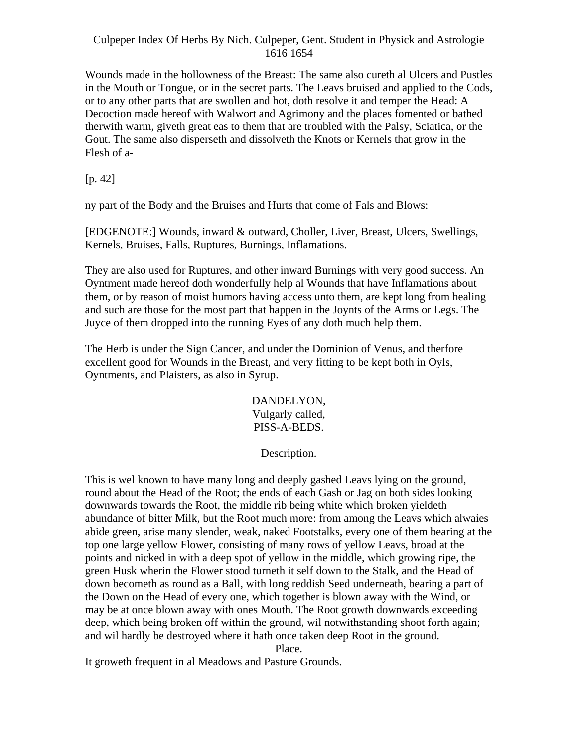Wounds made in the hollowness of the Breast: The same also cureth al Ulcers and Pustles in the Mouth or Tongue, or in the secret parts. The Leavs bruised and applied to the Cods, or to any other parts that are swollen and hot, doth resolve it and temper the Head: A Decoction made hereof with Walwort and Agrimony and the places fomented or bathed therwith warm, giveth great eas to them that are troubled with the Palsy, Sciatica, or the Gout. The same also disperseth and dissolveth the Knots or Kernels that grow in the Flesh of a-

[p. 42]

ny part of the Body and the Bruises and Hurts that come of Fals and Blows:

[EDGENOTE:] Wounds, inward & outward, Choller, Liver, Breast, Ulcers, Swellings, Kernels, Bruises, Falls, Ruptures, Burnings, Inflamations.

They are also used for Ruptures, and other inward Burnings with very good success. An Oyntment made hereof doth wonderfully help al Wounds that have Inflamations about them, or by reason of moist humors having access unto them, are kept long from healing and such are those for the most part that happen in the Joynts of the Arms or Legs. The Juyce of them dropped into the running Eyes of any doth much help them.

The Herb is under the Sign Cancer, and under the Dominion of Venus, and therfore excellent good for Wounds in the Breast, and very fitting to be kept both in Oyls, Oyntments, and Plaisters, as also in Syrup.

> DANDELYON, Vulgarly called, PISS-A-BEDS.

# Description.

This is wel known to have many long and deeply gashed Leavs lying on the ground, round about the Head of the Root; the ends of each Gash or Jag on both sides looking downwards towards the Root, the middle rib being white which broken yieldeth abundance of bitter Milk, but the Root much more: from among the Leavs which alwaies abide green, arise many slender, weak, naked Footstalks, every one of them bearing at the top one large yellow Flower, consisting of many rows of yellow Leavs, broad at the points and nicked in with a deep spot of yellow in the middle, which growing ripe, the green Husk wherin the Flower stood turneth it self down to the Stalk, and the Head of down becometh as round as a Ball, with long reddish Seed underneath, bearing a part of the Down on the Head of every one, which together is blown away with the Wind, or may be at once blown away with ones Mouth. The Root growth downwards exceeding deep, which being broken off within the ground, wil notwithstanding shoot forth again; and wil hardly be destroyed where it hath once taken deep Root in the ground.

Place.

It groweth frequent in al Meadows and Pasture Grounds.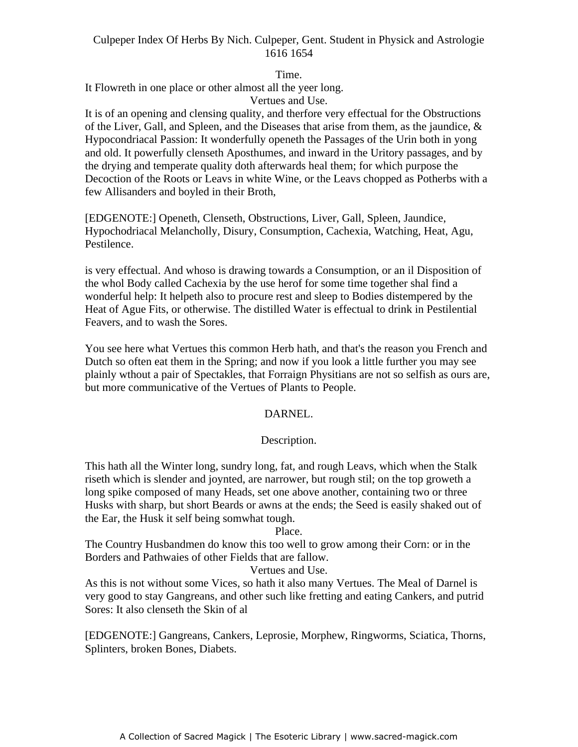Time.

It Flowreth in one place or other almost all the yeer long.

Vertues and Use.

It is of an opening and clensing quality, and therfore very effectual for the Obstructions of the Liver, Gall, and Spleen, and the Diseases that arise from them, as the jaundice,  $\&$ Hypocondriacal Passion: It wonderfully openeth the Passages of the Urin both in yong and old. It powerfully clenseth Aposthumes, and inward in the Uritory passages, and by the drying and temperate quality doth afterwards heal them; for which purpose the Decoction of the Roots or Leavs in white Wine, or the Leavs chopped as Potherbs with a few Allisanders and boyled in their Broth,

[EDGENOTE:] Openeth, Clenseth, Obstructions, Liver, Gall, Spleen, Jaundice, Hypochodriacal Melancholly, Disury, Consumption, Cachexia, Watching, Heat, Agu, Pestilence.

is very effectual. And whoso is drawing towards a Consumption, or an il Disposition of the whol Body called Cachexia by the use herof for some time together shal find a wonderful help: It helpeth also to procure rest and sleep to Bodies distempered by the Heat of Ague Fits, or otherwise. The distilled Water is effectual to drink in Pestilential Feavers, and to wash the Sores.

You see here what Vertues this common Herb hath, and that's the reason you French and Dutch so often eat them in the Spring; and now if you look a little further you may see plainly wthout a pair of Spectakles, that Forraign Physitians are not so selfish as ours are, but more communicative of the Vertues of Plants to People.

# DARNEL.

# Description.

This hath all the Winter long, sundry long, fat, and rough Leavs, which when the Stalk riseth which is slender and joynted, are narrower, but rough stil; on the top groweth a long spike composed of many Heads, set one above another, containing two or three Husks with sharp, but short Beards or awns at the ends; the Seed is easily shaked out of the Ear, the Husk it self being somwhat tough.

Place.

The Country Husbandmen do know this too well to grow among their Corn: or in the Borders and Pathwaies of other Fields that are fallow.

#### Vertues and Use.

As this is not without some Vices, so hath it also many Vertues. The Meal of Darnel is very good to stay Gangreans, and other such like fretting and eating Cankers, and putrid Sores: It also clenseth the Skin of al

[EDGENOTE:] Gangreans, Cankers, Leprosie, Morphew, Ringworms, Sciatica, Thorns, Splinters, broken Bones, Diabets.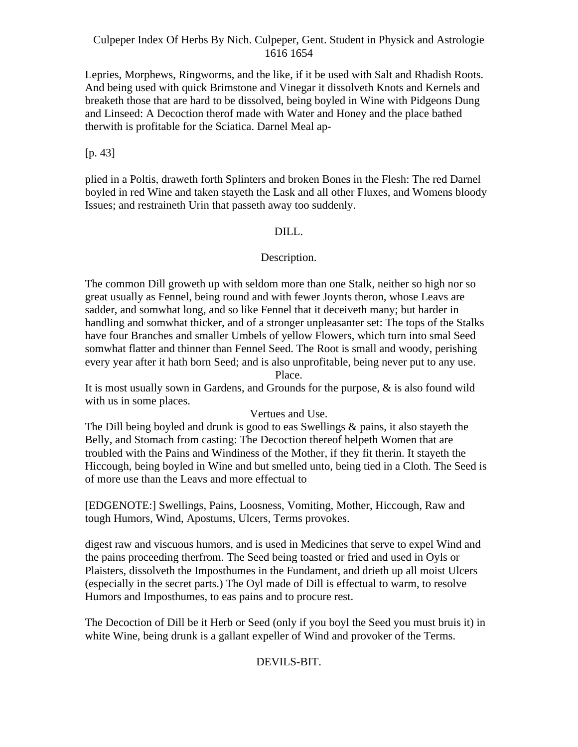Lepries, Morphews, Ringworms, and the like, if it be used with Salt and Rhadish Roots. And being used with quick Brimstone and Vinegar it dissolveth Knots and Kernels and breaketh those that are hard to be dissolved, being boyled in Wine with Pidgeons Dung and Linseed: A Decoction therof made with Water and Honey and the place bathed therwith is profitable for the Sciatica. Darnel Meal ap-

[p. 43]

plied in a Poltis, draweth forth Splinters and broken Bones in the Flesh: The red Darnel boyled in red Wine and taken stayeth the Lask and all other Fluxes, and Womens bloody Issues; and restraineth Urin that passeth away too suddenly.

# DILL.

# Description.

The common Dill groweth up with seldom more than one Stalk, neither so high nor so great usually as Fennel, being round and with fewer Joynts theron, whose Leavs are sadder, and somwhat long, and so like Fennel that it deceiveth many; but harder in handling and somwhat thicker, and of a stronger unpleasanter set: The tops of the Stalks have four Branches and smaller Umbels of yellow Flowers, which turn into smal Seed somwhat flatter and thinner than Fennel Seed. The Root is small and woody, perishing every year after it hath born Seed; and is also unprofitable, being never put to any use. Place.

It is most usually sown in Gardens, and Grounds for the purpose, & is also found wild with us in some places.

#### Vertues and Use.

The Dill being boyled and drunk is good to eas Swellings & pains, it also stayeth the Belly, and Stomach from casting: The Decoction thereof helpeth Women that are troubled with the Pains and Windiness of the Mother, if they fit therin. It stayeth the Hiccough, being boyled in Wine and but smelled unto, being tied in a Cloth. The Seed is of more use than the Leavs and more effectual to

[EDGENOTE:] Swellings, Pains, Loosness, Vomiting, Mother, Hiccough, Raw and tough Humors, Wind, Apostums, Ulcers, Terms provokes.

digest raw and viscuous humors, and is used in Medicines that serve to expel Wind and the pains proceeding therfrom. The Seed being toasted or fried and used in Oyls or Plaisters, dissolveth the Imposthumes in the Fundament, and drieth up all moist Ulcers (especially in the secret parts.) The Oyl made of Dill is effectual to warm, to resolve Humors and Imposthumes, to eas pains and to procure rest.

The Decoction of Dill be it Herb or Seed (only if you boyl the Seed you must bruis it) in white Wine, being drunk is a gallant expeller of Wind and provoker of the Terms.

#### DEVILS-BIT.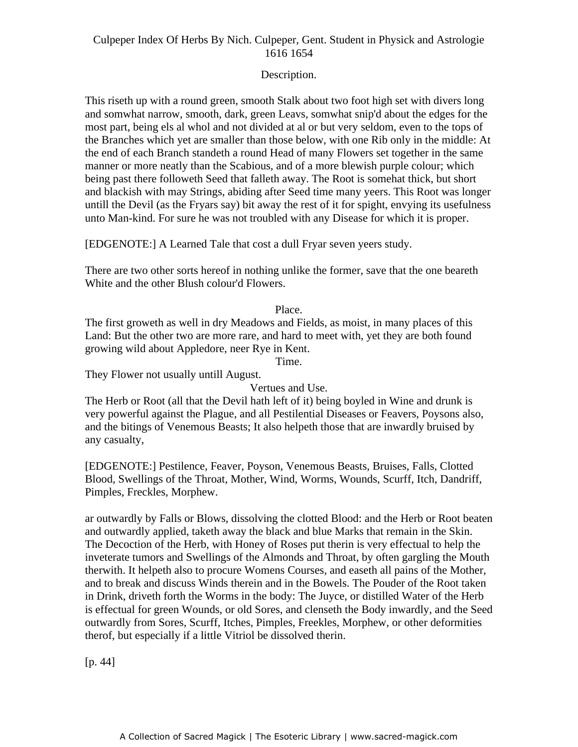# Description.

This riseth up with a round green, smooth Stalk about two foot high set with divers long and somwhat narrow, smooth, dark, green Leavs, somwhat snip'd about the edges for the most part, being els al whol and not divided at al or but very seldom, even to the tops of the Branches which yet are smaller than those below, with one Rib only in the middle: At the end of each Branch standeth a round Head of many Flowers set together in the same manner or more neatly than the Scabious, and of a more blewish purple colour; which hanner or more hearly than the Seabloas, and or a more blewish parple colour, which<br>being past there followeth Seed that falleth away. The Root is somehat thick, but short and blackish with may Strings, abiding after Seed time many yeers. This Root was longer untill the Devil (as the Fryars say) bit away the rest of it for spight, envying its usefulness unto Man-kind. For sure he was not troubled with any Disease for which it is proper.

[EDGENOTE:] A Learned Tale that cost a dull Fryar seven yeers study.

There are two other sorts hereof in nothing unlike the former, save that the one beareth White and the other Blush colour'd Flowers.

# Place.

The first groweth as well in dry Meadows and Fields, as moist, in many places of this Land: But the other two are more rare, and hard to meet with, yet they are both found growing wild about Appledore, neer Rye in Kent.

Time.

They Flower not usually untill August.

Vertues and Use.

The Herb or Root (all that the Devil hath left of it) being boyled in Wine and drunk is very powerful against the Plague, and all Pestilential Diseases or Feavers, Poysons also, and the bitings of Venemous Beasts; It also helpeth those that are inwardly bruised by any casualty,

[EDGENOTE:] Pestilence, Feaver, Poyson, Venemous Beasts, Bruises, Falls, Clotted Blood, Swellings of the Throat, Mother, Wind, Worms, Wounds, Scurff, Itch, Dandriff, Pimples, Freckles, Morphew.

ar outwardly by Falls or Blows, dissolving the clotted Blood: and the Herb or Root beaten and outwardly applied, taketh away the black and blue Marks that remain in the Skin. The Decoction of the Herb, with Honey of Roses put therin is very effectual to help the inveterate tumors and Swellings of the Almonds and Throat, by often gargling the Mouth therwith. It helpeth also to procure Womens Courses, and easeth all pains of the Mother, and to break and discuss Winds therein and in the Bowels. The Pouder of the Root taken in Drink, driveth forth the Worms in the body: The Juyce, or distilled Water of the Herb is effectual for green Wounds, or old Sores, and clenseth the Body inwardly, and the Seed outwardly from Sores, Scurff, Itches, Pimples, Freekles, Morphew, or other deformities therof, but especially if a little Vitriol be dissolved therin.

[p. 44]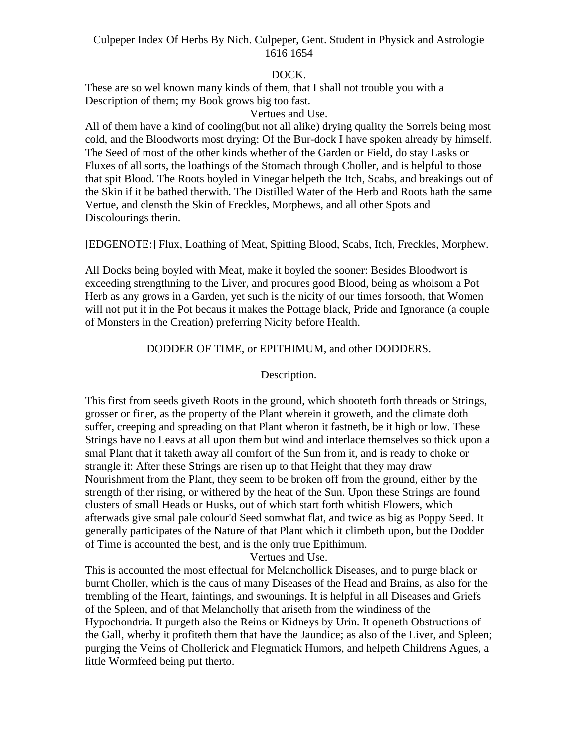# DOCK.

These are so wel known many kinds of them, that I shall not trouble you with a Description of them; my Book grows big too fast.

#### Vertues and Use.

All of them have a kind of cooling(but not all alike) drying quality the Sorrels being most cold, and the Bloodworts most drying: Of the Bur-dock I have spoken already by himself. The Seed of most of the other kinds whether of the Garden or Field, do stay Lasks or Fluxes of all sorts, the loathings of the Stomach through Choller, and is helpful to those that spit Blood. The Roots boyled in Vinegar helpeth the Itch, Scabs, and breakings out of the Skin if it be bathed therwith. The Distilled Water of the Herb and Roots hath the same Vertue, and clensth the Skin of Freckles, Morphews, and all other Spots and Discolourings therin.

[EDGENOTE:] Flux, Loathing of Meat, Spitting Blood, Scabs, Itch, Freckles, Morphew.

All Docks being boyled with Meat, make it boyled the sooner: Besides Bloodwort is exceeding strengthning to the Liver, and procures good Blood, being as wholsom a Pot Herb as any grows in a Garden, yet such is the nicity of our times forsooth, that Women will not put it in the Pot becaus it makes the Pottage black, Pride and Ignorance (a couple of Monsters in the Creation) preferring Nicity before Health.

# DODDER OF TIME, or EPITHIMUM, and other DODDERS.

# Description.

This first from seeds giveth Roots in the ground, which shooteth forth threads or Strings, grosser or finer, as the property of the Plant wherein it groweth, and the climate doth suffer, creeping and spreading on that Plant wheron it fastneth, be it high or low. These Strings have no Leavs at all upon them but wind and interlace themselves so thick upon a smal Plant that it taketh away all comfort of the Sun from it, and is ready to choke or strangle it: After these Strings are risen up to that Height that they may draw Nourishment from the Plant, they seem to be broken off from the ground, either by the strength of ther rising, or withered by the heat of the Sun. Upon these Strings are found clusters of small Heads or Husks, out of which start forth whitish Flowers, which afterwads give smal pale colour'd Seed somwhat flat, and twice as big as Poppy Seed. It generally participates of the Nature of that Plant which it climbeth upon, but the Dodder of Time is accounted the best, and is the only true Epithimum.

Vertues and Use.

This is accounted the most effectual for Melanchollick Diseases, and to purge black or burnt Choller, which is the caus of many Diseases of the Head and Brains, as also for the trembling of the Heart, faintings, and swounings. It is helpful in all Diseases and Griefs of the Spleen, and of that Melancholly that ariseth from the windiness of the Hypochondria. It purgeth also the Reins or Kidneys by Urin. It openeth Obstructions of the Gall, wherby it profiteth them that have the Jaundice; as also of the Liver, and Spleen; purging the Veins of Chollerick and Flegmatick Humors, and helpeth Childrens Agues, a little Wormfeed being put therto.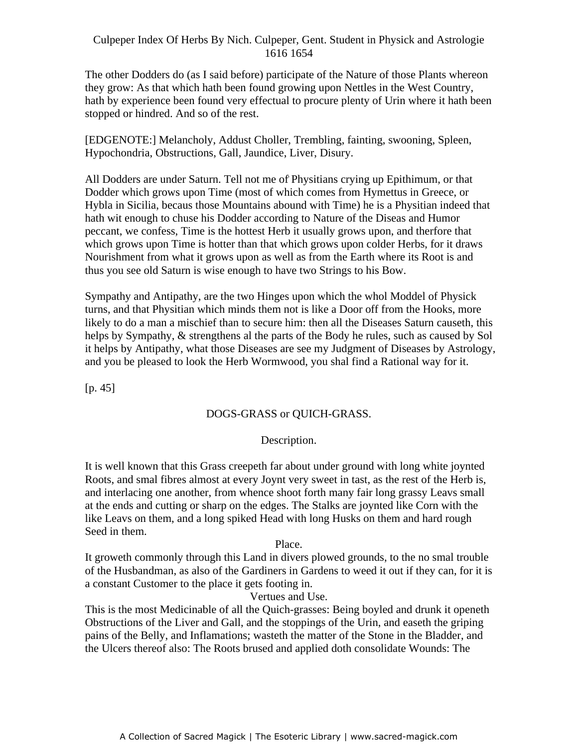The other Dodders do (as I said before) participate of the Nature of those Plants whereon they grow: As that which hath been found growing upon Nettles in the West Country, hath by experience been found very effectual to procure plenty of Urin where it hath been stopped or hindred. And so of the rest.

[EDGENOTE:] Melancholy, Addust Choller, Trembling, fainting, swooning, Spleen, Hypochondria, Obstructions, Gall, Jaundice, Liver, Disury.

All Dodders are under Saturn. Tell not me of Physitians crying up Epithimum, or that - Dodder which grows upon Time (most of which comes from Hymettus in Greece, or Hybla in Sicilia, becaus those Mountains abound with Time) he is a Physitian indeed that hath wit enough to chuse his Dodder according to Nature of the Diseas and Humor peccant, we confess, Time is the hottest Herb it usually grows upon, and therfore that which grows upon Time is hotter than that which grows upon colder Herbs, for it draws Nourishment from what it grows upon as well as from the Earth where its Root is and thus you see old Saturn is wise enough to have two Strings to his Bow.

Sympathy and Antipathy, are the two Hinges upon which the whol Moddel of Physick turns, and that Physitian which minds them not is like a Door off from the Hooks, more likely to do a man a mischief than to secure him: then all the Diseases Saturn causeth, this helps by Sympathy, & strengthens al the parts of the Body he rules, such as caused by Sol it helps by Antipathy, what those Diseases are see my Judgment of Diseases by Astrology, and you be pleased to look the Herb Wormwood, you shal find a Rational way for it.

[p. 45]

# DOGS-GRASS or QUICH-GRASS.

# Description.

It is well known that this Grass creepeth far about under ground with long white joynted Roots, and smal fibres almost at every Joynt very sweet in tast, as the rest of the Herb is, and interlacing one another, from whence shoot forth many fair long grassy Leavs small at the ends and cutting or sharp on the edges. The Stalks are joynted like Corn with the like Leavs on them, and a long spiked Head with long Husks on them and hard rough Seed in them.

#### Place.

It groweth commonly through this Land in divers plowed grounds, to the no smal trouble of the Husbandman, as also of the Gardiners in Gardens to weed it out if they can, for it is a constant Customer to the place it gets footing in.

# Vertues and Use.

This is the most Medicinable of all the Quich-grasses: Being boyled and drunk it openeth Obstructions of the Liver and Gall, and the stoppings of the Urin, and easeth the griping pains of the Belly, and Inflamations; wasteth the matter of the Stone in the Bladder, and the Ulcers thereof also: The Roots brused and applied doth consolidate Wounds: The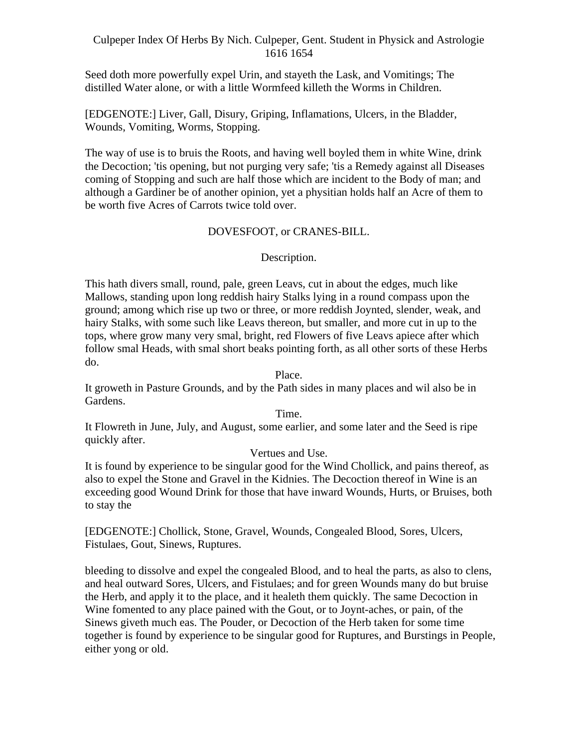Seed doth more powerfully expel Urin, and stayeth the Lask, and Vomitings; The distilled Water alone, or with a little Wormfeed killeth the Worms in Children.

[EDGENOTE:] Liver, Gall, Disury, Griping, Inflamations, Ulcers, in the Bladder, Wounds, Vomiting, Worms, Stopping.

The way of use is to bruis the Roots, and having well boyled them in white Wine, drink the Decoction; 'tis opening, but not purging very safe; 'tis a Remedy against all Diseases coming of Stopping and such are half those which are incident to the Body of man; and although a Gardiner be of another opinion, yet a physitian holds half an Acre of them to be worth five Acres of Carrots twice told over.

# DOVESFOOT, or CRANES-BILL.

# Description.

This hath divers small, round, pale, green Leavs, cut in about the edges, much like Mallows, standing upon long reddish hairy Stalks lying in a round compass upon the ground; among which rise up two or three, or more reddish Joynted, slender, weak, and hairy Stalks, with some such like Leavs thereon, but smaller, and more cut in up to the tops, where grow many very smal, bright, red Flowers of five Leavs apiece after which follow smal Heads, with smal short beaks pointing forth, as all other sorts of these Herbs do.

Place.

It groweth in Pasture Grounds, and by the Path sides in many places and wil also be in Gardens.

Time.

It Flowreth in June, July, and August, some earlier, and some later and the Seed is ripe quickly after.

#### Vertues and Use.

It is found by experience to be singular good for the Wind Chollick, and pains thereof, as also to expel the Stone and Gravel in the Kidnies. The Decoction thereof in Wine is an exceeding good Wound Drink for those that have inward Wounds, Hurts, or Bruises, both to stay the

[EDGENOTE:] Chollick, Stone, Gravel, Wounds, Congealed Blood, Sores, Ulcers, Fistulaes, Gout, Sinews, Ruptures.

bleeding to dissolve and expel the congealed Blood, and to heal the parts, as also to clens, and heal outward Sores, Ulcers, and Fistulaes; and for green Wounds many do but bruise the Herb, and apply it to the place, and it healeth them quickly. The same Decoction in Wine fomented to any place pained with the Gout, or to Joynt-aches, or pain, of the Sinews giveth much eas. The Pouder, or Decoction of the Herb taken for some time together is found by experience to be singular good for Ruptures, and Burstings in People, either yong or old.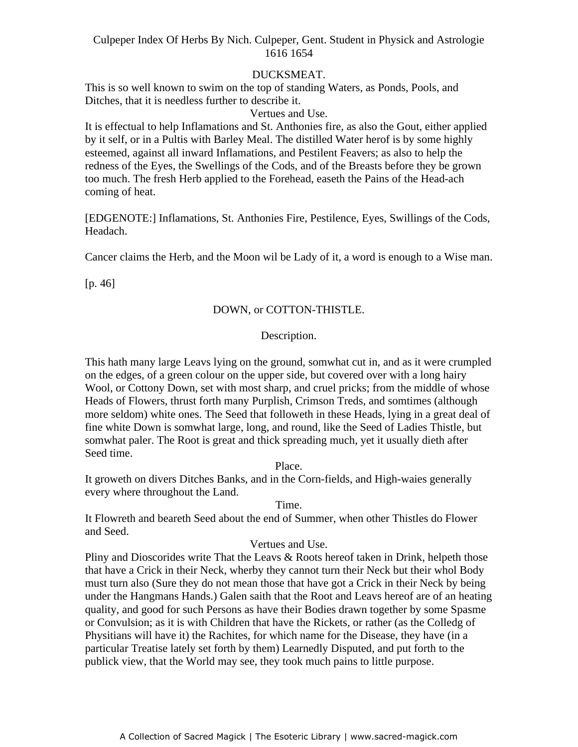#### DUCKSMEAT.

This is so well known to swim on the top of standing Waters, as Ponds, Pools, and Ditches, that it is needless further to describe it.

# Vertues and Use.

It is effectual to help Inflamations and St. Anthonies fire, as also the Gout, either applied by it self, or in a Pultis with Barley Meal. The distilled Water herof is by some highly esteemed, against all inward Inflamations, and Pestilent Feavers; as also to help the redness of the Eyes, the Swellings of the Cods, and of the Breasts before they be grown too much. The fresh Herb applied to the Forehead, easeth the Pains of the Head-ach coming of heat.

[EDGENOTE:] Inflamations, St. Anthonies Fire, Pestilence, Eyes, Swillings of the Cods, Headach.

Cancer claims the Herb, and the Moon wil be Lady of it, a word is enough to a Wise man.

[p. 46]

# DOWN, or COTTON-THISTLE.

#### Description.

This hath many large Leavs lying on the ground, somwhat cut in, and as it were crumpled on the edges, of a green colour on the upper side, but covered over with a long hairy Wool, or Cottony Down, set with most sharp, and cruel pricks; from the middle of whose Heads of Flowers, thrust forth many Purplish, Crimson Treds, and somtimes (although more seldom) white ones. The Seed that followeth in these Heads, lying in a great deal of fine white Down is somwhat large, long, and round, like the Seed of Ladies Thistle, but somwhat paler. The Root is great and thick spreading much, yet it usually dieth after Seed time.

Place.

It groweth on divers Ditches Banks, and in the Corn-fields, and High-waies generally every where throughout the Land.

Time.

It Flowreth and beareth Seed about the end of Summer, when other Thistles do Flower and Seed.

#### Vertues and Use.

Pliny and Dioscorides write That the Leavs & Roots hereof taken in Drink, helpeth those that have a Crick in their Neck, wherby they cannot turn their Neck but their whol Body must turn also (Sure they do not mean those that have got a Crick in their Neck by being under the Hangmans Hands.) Galen saith that the Root and Leavs hereof are of an heating quality, and good for such Persons as have their Bodies drawn together by some Spasme or Convulsion; as it is with Children that have the Rickets, or rather (as the Colledg of Physitians will have it) the Rachites, for which name for the Disease, they have (in a particular Treatise lately set forth by them) Learnedly Disputed, and put forth to the publick view, that the World may see, they took much pains to little purpose.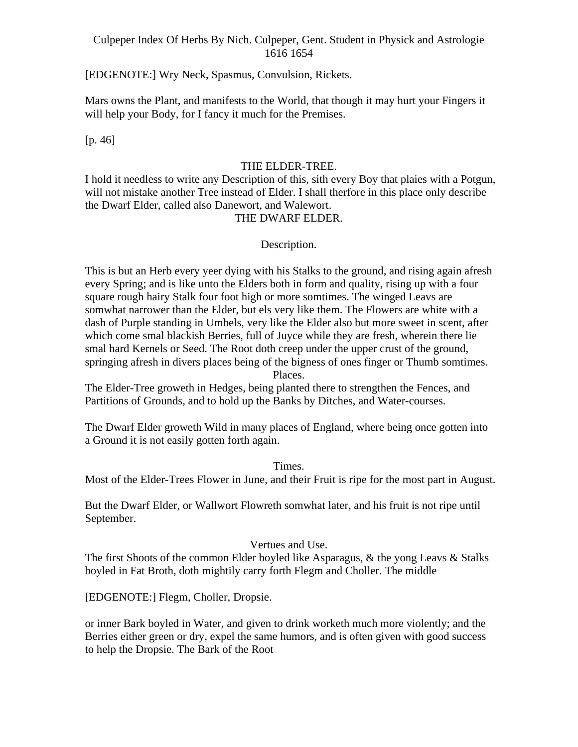[EDGENOTE:] Wry Neck, Spasmus, Convulsion, Rickets.

Mars owns the Plant, and manifests to the World, that though it may hurt your Fingers it will help your Body, for I fancy it much for the Premises.

[p. 46]

#### THE ELDER-TREE.

I hold it needless to write any Description of this, sith every Boy that plaies with a Potgun, will not mistake another Tree instead of Elder. I shall therfore in this place only describe the Dwarf Elder, called also Danewort, and Walewort.

# THE DWARF ELDER.

#### Description.

This is but an Herb every yeer dying with his Stalks to the ground, and rising again afresh every Spring; and is like unto the Elders both in form and quality, rising up with a four square rough hairy Stalk four foot high or more somtimes. The winged Leavs are somwhat narrower than the Elder, but els very like them. The Flowers are white with a dash of Purple standing in Umbels, very like the Elder also but more sweet in scent, after which come smal blackish Berries, full of Juyce while they are fresh, wherein there lie smal hard Kernels or Seed. The Root doth creep under the upper crust of the ground, springing afresh in divers places being of the bigness of ones finger or Thumb somtimes. Places.

The Elder-Tree groweth in Hedges, being planted there to strengthen the Fences, and Partitions of Grounds, and to hold up the Banks by Ditches, and Water-courses.

The Dwarf Elder groweth Wild in many places of England, where being once gotten into a Ground it is not easily gotten forth again.

Times.

Most of the Elder-Trees Flower in June, and their Fruit is ripe for the most part in August.

But the Dwarf Elder, or Wallwort Flowreth somwhat later, and his fruit is not ripe until September. The second second second second second second second second second second second second second second second second second second second second second second second second second second second second second seco

#### Vertues and Use.

The first Shoots of the common Elder boyled like Asparagus, & the yong Leavs & Stalks boyled in Fat Broth, doth mightily carry forth Flegm and Choller. The middle

[EDGENOTE:] Flegm, Choller, Dropsie.

or inner Bark boyled in Water, and given to drink worketh much more violently; and the Berries either green or dry, expel the same humors, and is often given with good success to help the Dropsie. The Bark of the Root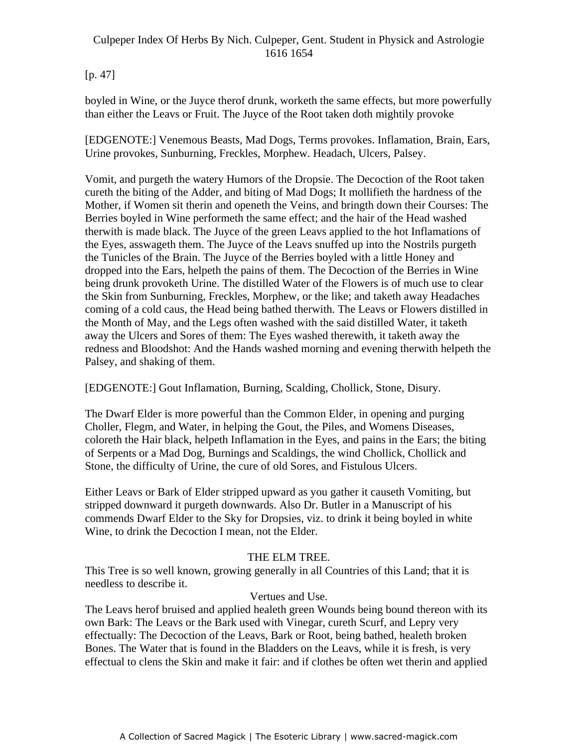# $[p. 47]$

boyled in Wine, or the Juyce therof drunk, worketh the same effects, but more powerfully than either the Leavs or Fruit. The Juyce of the Root taken doth mightily provoke

[EDGENOTE:] Venemous Beasts, Mad Dogs, Terms provokes. Inflamation, Brain, Ears, Urine provokes, Sunburning, Freckles, Morphew. Headach, Ulcers, Palsey.

Vomit, and purgeth the watery Humors of the Dropsie. The Decoction of the Root taken cureth the biting of the Adder, and biting of Mad Dogs; It mollifieth the hardness of the Mother, if Women sit therin and openeth the Veins, and bringth down their Courses: The Berries boyled in Wine performeth the same effect; and the hair of the Head washed therwith is made black. The Juyce of the green Leavs applied to the hot Inflamations of the Eyes, asswageth them. The Juyce of the Leavs snuffed up into the Nostrils purgeth the Tunicles of the Brain. The Juyce of the Berries boyled with a little Honey and dropped into the Ears, helpeth the pains of them. The Decoction of the Berries in Wine being drunk provoketh Urine. The distilled Water of the Flowers is of much use to clear the Skin from Sunburning, Freckles, Morphew, or the like; and taketh away Headaches coming of a cold caus, the Head being bathed therwith. The Leavs or Flowers distilled in the Month of May, and the Legs often washed with the said distilled Water, it taketh away the Ulcers and Sores of them: The Eyes washed therewith, it taketh away the redness and Bloodshot: And the Hands washed morning and evening therwith helpeth the Palsey, and shaking of them.

[EDGENOTE:] Gout Inflamation, Burning, Scalding, Chollick, Stone, Disury.

The Dwarf Elder is more powerful than the Common Elder, in opening and purging Choller, Flegm, and Water, in helping the Gout, the Piles, and Womens Diseases, coloreth the Hair black, helpeth Inflamation in the Eyes, and pains in the Ears; the biting of Serpents or a Mad Dog, Burnings and Scaldings, the wind Chollick, Chollick and Stone, the difficulty of Urine, the cure of old Sores, and Fistulous Ulcers.

Either Leavs or Bark of Elder stripped upward as you gather it causeth Vomiting, but stripped downward it purgeth downwards. Also Dr. Butler in a Manuscript of his commends Dwarf Elder to the Sky for Dropsies, viz. to drink it being boyled in white Wine, to drink the Decoction I mean, not the Elder.

# THE ELM TREE.

This Tree is so well known, growing generally in all Countries of this Land; that it is needless to describe it.

# Vertues and Use.

The Leavs herof bruised and applied healeth green Wounds being bound thereon with its own Bark: The Leavs or the Bark used with Vinegar, cureth Scurf, and Lepry very effectually: The Decoction of the Leavs, Bark or Root, being bathed, healeth broken Bones. The Water that is found in the Bladders on the Leavs, while it is fresh, is very effectual to clens the Skin and make it fair: and if clothes be often wet therin and applied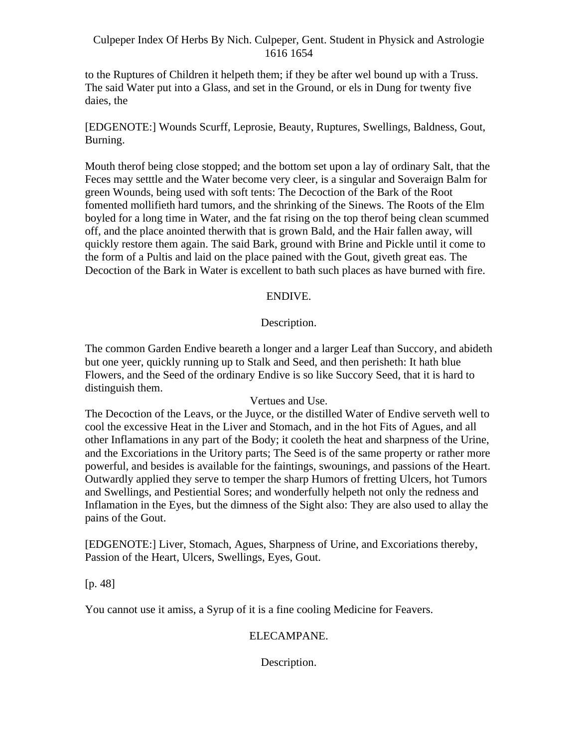to the Ruptures of Children it helpeth them; if they be after wel bound up with a Truss. The said Water put into a Glass, and set in the Ground, or els in Dung for twenty five daies, the state of the state of the state of the state of the state of the state of the state of the state of the state of the state of the state of the state of the state of the state of the state of the state of the sta

[EDGENOTE:] Wounds Scurff, Leprosie, Beauty, Ruptures, Swellings, Baldness, Gout, Burning.<br>Mouth therof being close stopped; and the bottom set upon a lay of ordinary Salt, that the

Feces may setttle and the Water become very cleer, is a singular and Soveraign Balm for green Wounds, being used with soft tents: The Decoction of the Bark of the Root fomented mollifieth hard tumors, and the shrinking of the Sinews. The Roots of the Elm boyled for a long time in Water, and the fat rising on the top therof being clean scummed off, and the place anointed therwith that is grown Bald, and the Hair fallen away, will quickly restore them again. The said Bark, ground with Brine and Pickle until it come to the form of a Pultis and laid on the place pained with the Gout, giveth great eas. The Decoction of the Bark in Water is excellent to bath such places as have burned with fire.

# ENDIVE.

# Description.

The common Garden Endive beareth a longer and a larger Leaf than Succory, and abideth but one yeer, quickly running up to Stalk and Seed, and then perisheth: It hath blue Flowers, and the Seed of the ordinary Endive is so like Succory Seed, that it is hard to distinguish them.

#### Vertues and Use.

The Decoction of the Leavs, or the Juyce, or the distilled Water of Endive serveth well to cool the excessive Heat in the Liver and Stomach, and in the hot Fits of Agues, and all other Inflamations in any part of the Body; it cooleth the heat and sharpness of the Urine, and the Excoriations in the Uritory parts; The Seed is of the same property or rather more powerful, and besides is available for the faintings, swounings, and passions of the Heart. Outwardly applied they serve to temper the sharp Humors of fretting Ulcers, hot Tumors and Swellings, and Pestiential Sores; and wonderfully helpeth not only the redness and Inflamation in the Eyes, but the dimness of the Sight also: They are also used to allay the pains of the Gout.

[EDGENOTE:] Liver, Stomach, Agues, Sharpness of Urine, and Excoriations thereby, Passion of the Heart, Ulcers, Swellings, Eyes, Gout.

[p. 48]

You cannot use it amiss, a Syrup of it is a fine cooling Medicine for Feavers.

# ELECAMPANE.

Description.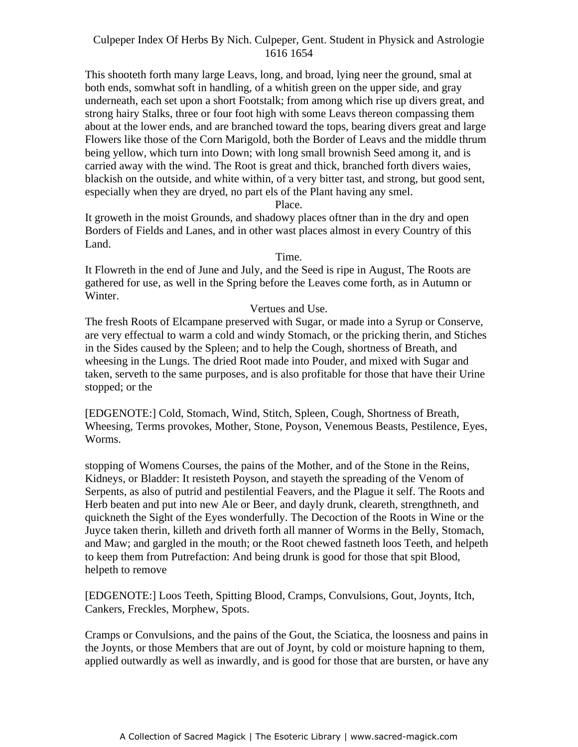This shooteth forth many large Leavs, long, and broad, lying neer the ground, smal at both ends, somwhat soft in handling, of a whitish green on the upper side, and gray underneath, each set upon a short Footstalk; from among which rise up divers great, and strong hairy Stalks, three or four foot high with some Leavs thereon compassing them about at the lower ends, and are branched toward the tops, bearing divers great and large Flowers like those of the Corn Marigold, both the Border of Leavs and the middle thrum being yellow, which turn into Down; with long small brownish Seed among it, and is carried away with the wind. The Root is great and thick, branched forth divers waies, blackish on the outside, and white within, of a very bitter tast, and strong, but good sent, especially when they are dryed, no part els of the Plant having any smel.

Place.

It groweth in the moist Grounds, and shadowy places oftner than in the dry and open Borders of Fields and Lanes, and in other wast places almost in every Country of this Land.

# Time.

It Flowreth in the end of June and July, and the Seed is ripe in August, The Roots are gathered for use, as well in the Spring before the Leaves come forth, as in Autumn or Winter.

# Vertues and Use.

The fresh Roots of Elcampane preserved with Sugar, or made into a Syrup or Conserve, are very effectual to warm a cold and windy Stomach, or the pricking therin, and Stiches in the Sides caused by the Spleen; and to help the Cough, shortness of Breath, and wheesing in the Lungs. The dried Root made into Pouder, and mixed with Sugar and taken, serveth to the same purposes, and is also profitable for those that have their Urine stopped; or the

[EDGENOTE:] Cold, Stomach, Wind, Stitch, Spleen, Cough, Shortness of Breath, Wheesing, Terms provokes, Mother, Stone, Poyson, Venemous Beasts, Pestilence, Eyes, Worms.

stopping of Womens Courses, the pains of the Mother, and of the Stone in the Reins, Kidneys, or Bladder: It resisteth Poyson, and stayeth the spreading of the Venom of Serpents, as also of putrid and pestilential Feavers, and the Plague it self. The Roots and Herb beaten and put into new Ale or Beer, and dayly drunk, cleareth, strengthneth, and quickneth the Sight of the Eyes wonderfully. The Decoction of the Roots in Wine or the Juyce taken therin, killeth and driveth forth all manner of Worms in the Belly, Stomach, and Maw; and gargled in the mouth; or the Root chewed fastneth loos Teeth, and helpeth to keep them from Putrefaction: And being drunk is good for those that spit Blood, helpeth to remove

[EDGENOTE:] Loos Teeth, Spitting Blood, Cramps, Convulsions, Gout, Joynts, Itch, Cankers, Freckles, Morphew, Spots.

Cramps or Convulsions, and the pains of the Gout, the Sciatica, the loosness and pains in the Joynts, or those Members that are out of Joynt, by cold or moisture hapning to them, applied outwardly as well as inwardly, and is good for those that are bursten, or have any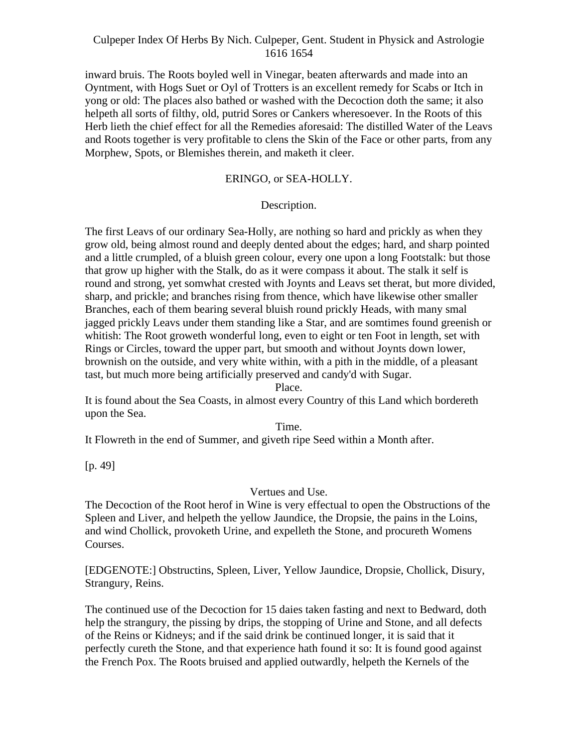inward bruis. The Roots boyled well in Vinegar, beaten afterwards and made into an Oyntment, with Hogs Suet or Oyl of Trotters is an excellent remedy for Scabs or Itch in yong or old: The places also bathed or washed with the Decoction doth the same; it also helpeth all sorts of filthy, old, putrid Sores or Cankers wheresoever. In the Roots of this Herb lieth the chief effect for all the Remedies aforesaid: The distilled Water of the Leavs and Roots together is very profitable to clens the Skin of the Face or other parts, from any Morphew, Spots, or Blemishes therein, and maketh it cleer.

# ERINGO, or SEA-HOLLY.

# Description.

The first Leavs of our ordinary Sea-Holly, are nothing so hard and prickly as when they grow old, being almost round and deeply dented about the edges; hard, and sharp pointed and a little crumpled, of a bluish green colour, every one upon a long Footstalk: but those that grow up higher with the Stalk, do as it were compass it about. The stalk it self is round and strong, yet somwhat crested with Joynts and Leavs set therat, but more divided, sharp, and prickle; and branches rising from thence, which have likewise other smaller Branches, each of them bearing several bluish round prickly Heads, with many smal jagged prickly Leavs under them standing like a Star, and are somtimes found greenish or whitish: The Root groweth wonderful long, even to eight or ten Foot in length, set with Rings or Circles, toward the upper part, but smooth and without Joynts down lower, brownish on the outside, and very white within, with a pith in the middle, of a pleasant tast, but much more being artificially preserved and candy'd with Sugar.

#### Place.

It is found about the Sea Coasts, in almost every Country of this Land which bordereth upon the Sea.

Time.

It Flowreth in the end of Summer, and giveth ripe Seed within a Month after.

[p. 49]

#### Vertues and Use.

The Decoction of the Root herof in Wine is very effectual to open the Obstructions of the Spleen and Liver, and helpeth the yellow Jaundice, the Dropsie, the pains in the Loins, and wind Chollick, provoketh Urine, and expelleth the Stone, and procureth Womens courses.

[EDGENOTE:] Obstructins, Spleen, Liver, Yellow Jaundice, Dropsie, Chollick, Disury, Strangury, Reins.

The continued use of the Decoction for 15 daies taken fasting and next to Bedward, doth help the strangury, the pissing by drips, the stopping of Urine and Stone, and all defects of the Reins or Kidneys; and if the said drink be continued longer, it is said that it perfectly cureth the Stone, and that experience hath found it so: It is found good against the French Pox. The Roots bruised and applied outwardly, helpeth the Kernels of the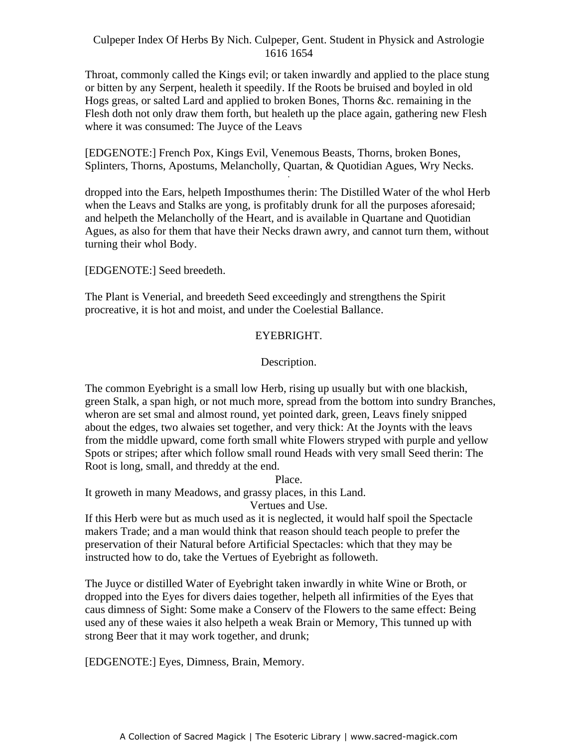Throat, commonly called the Kings evil; or taken inwardly and applied to the place stung or bitten by any Serpent, healeth it speedily. If the Roots be bruised and boyled in old Hogs greas, or salted Lard and applied to broken Bones, Thorns &c. remaining in the Flesh doth not only draw them forth, but healeth up the place again, gathering new Flesh where it was consumed: The Juyce of the Leavs

[EDGENOTE:] French Pox, Kings Evil, Venemous Beasts, Thorns, broken Bones, Splinters, Thorns, Apostums, Melancholly, Quartan, & Quotidian Agues, Wry Necks.

dropped into the Ears, helpeth Imposthumes therin: The Distilled Water of the whol Herb when the Leavs and Stalks are yong, is profitably drunk for all the purposes aforesaid; and helpeth the Melancholly of the Heart, and is available in Quartane and Quotidian Agues, as also for them that have their Necks drawn awry, and cannot turn them, without turning their whol Body.

[EDGENOTE:] Seed breedeth.

The Plant is Venerial, and breedeth Seed exceedingly and strengthens the Spirit procreative, it is hot and moist, and under the Coelestial Ballance.

# EYEBRIGHT.

#### Description.

The common Eyebright is a small low Herb, rising up usually but with one blackish, green Stalk, a span high, or not much more, spread from the bottom into sundry Branches, wheron are set smal and almost round, yet pointed dark, green, Leavs finely snipped about the edges, two alwaies set together, and very thick: At the Joynts with the leavs from the middle upward, come forth small white Flowers stryped with purple and yellow Spots or stripes; after which follow small round Heads with very small Seed therin: The Root is long, small, and threddy at the end.

Place.

It groweth in many Meadows, and grassy places, in this Land.

Vertues and Use.

If this Herb were but as much used as it is neglected, it would half spoil the Spectacle makers Trade; and a man would think that reason should teach people to prefer the preservation of their Natural before Artificial Spectacles: which that they may be instructed how to do, take the Vertues of Eyebright as followeth.

The Juyce or distilled Water of Eyebright taken inwardly in white Wine or Broth, or dropped into the Eyes for divers daies together, helpeth all infirmities of the Eyes that caus dimness of Sight: Some make a Conserv of the Flowers to the same effect: Being used any of these waies it also helpeth a weak Brain or Memory, This tunned up with strong Beer that it may work together, and drunk;

[EDGENOTE:] Eyes, Dimness, Brain, Memory.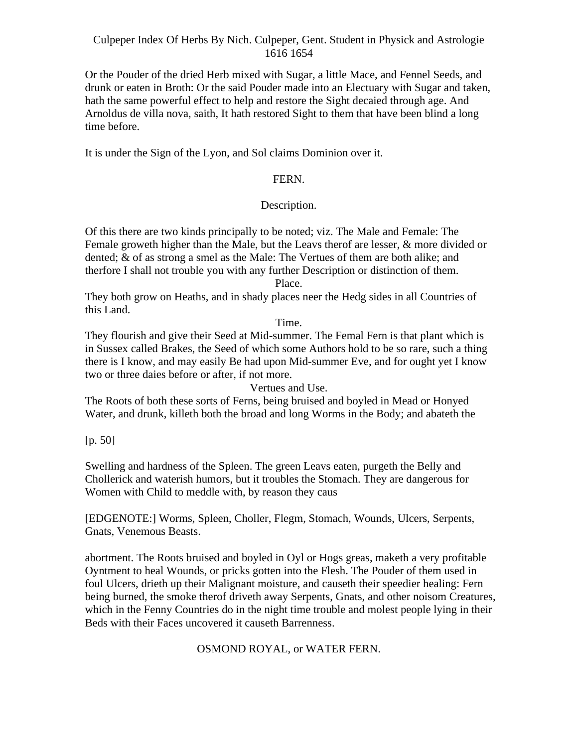Or the Pouder of the dried Herb mixed with Sugar, a little Mace, and Fennel Seeds, and drunk or eaten in Broth: Or the said Pouder made into an Electuary with Sugar and taken, hath the same powerful effect to help and restore the Sight decaied through age. And Arnoldus de villa nova, saith, It hath restored Sight to them that have been blind a long time before.

It is under the Sign of the Lyon, and Sol claims Dominion over it.

# FERN.

# Description.

Of this there are two kinds principally to be noted; viz. The Male and Female: The Female groweth higher than the Male, but the Leavs therof are lesser, & more divided or dented; & of as strong a smel as the Male: The Vertues of them are both alike; and therfore I shall not trouble you with any further Description or distinction of them. Place.

They both grow on Heaths, and in shady places neer the Hedg sides in all Countries of this Land.

Time.

They flourish and give their Seed at Mid-summer. The Femal Fern is that plant which is in Sussex called Brakes, the Seed of which some Authors hold to be so rare, such a thing there is I know, and may easily Be had upon Mid-summer Eve, and for ought yet I know two or three daies before or after, if not more.

Vertues and Use.

The Roots of both these sorts of Ferns, being bruised and boyled in Mead or Honyed Water, and drunk, killeth both the broad and long Worms in the Body; and abateth the

[p. 50]

Swelling and hardness of the Spleen. The green Leavs eaten, purgeth the Belly and Chollerick and waterish humors, but it troubles the Stomach. They are dangerous for Women with Child to meddle with, by reason they caus

[EDGENOTE:] Worms, Spleen, Choller, Flegm, Stomach, Wounds, Ulcers, Serpents, Gnats, Venemous Beasts.

abortment. The Roots bruised and boyled in Oyl or Hogs greas, maketh a very profitable Oyntment to heal Wounds, or pricks gotten into the Flesh. The Pouder of them used in foul Ulcers, drieth up their Malignant moisture, and causeth their speedier healing: Fern being burned, the smoke therof driveth away Serpents, Gnats, and other noisom Creatures, which in the Fenny Countries do in the night time trouble and molest people lying in their Beds with their Faces uncovered it causeth Barrenness.

# OSMOND ROYAL, or WATER FERN.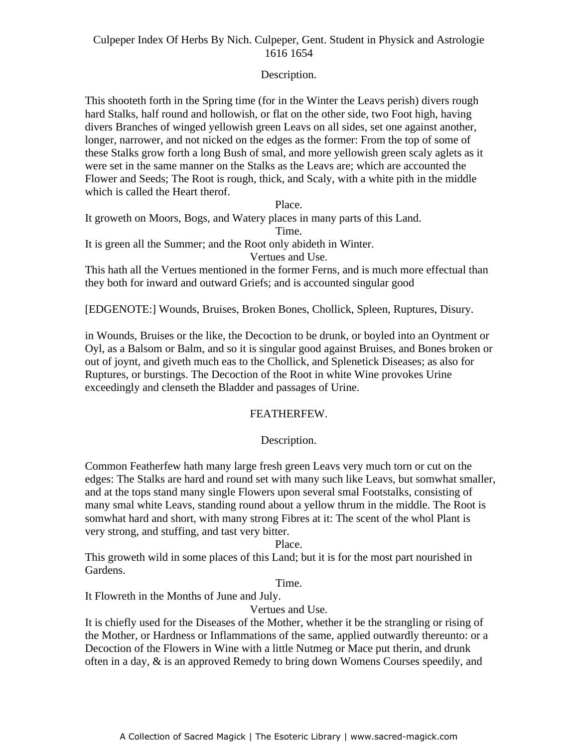# Description.

This shooteth forth in the Spring time (for in the Winter the Leavs perish) divers rough hard Stalks, half round and hollowish, or flat on the other side, two Foot high, having divers Branches of winged yellowish green Leavs on all sides, set one against another, longer, narrower, and not nicked on the edges as the former: From the top of some of these Stalks grow forth a long Bush of smal, and more yellowish green scaly aglets as it were set in the same manner on the Stalks as the Leavs are; which are accounted the Flower and Seeds; The Root is rough, thick, and Scaly, with a white pith in the middle which is called the Heart therof.

Place. It groweth on Moors, Bogs, and Watery places in many parts of this Land. Time. It is green all the Summer; and the Root only abideth in Winter. Vertues and Use.

This hath all the Vertues mentioned in the former Ferns, and is much more effectual than they both for inward and outward Griefs; and is accounted singular good

[EDGENOTE:] Wounds, Bruises, Broken Bones, Chollick, Spleen, Ruptures, Disury.

in Wounds, Bruises or the like, the Decoction to be drunk, or boyled into an Oyntment or Oyl, as a Balsom or Balm, and so it is singular good against Bruises, and Bones broken or out of joynt, and giveth much eas to the Chollick, and Splenetick Diseases; as also for Ruptures, or burstings. The Decoction of the Root in white Wine provokes Urine exceedingly and clenseth the Bladder and passages of Urine.

### FEATHERFEW.

# Description.

Common Featherfew hath many large fresh green Leavs very much torn or cut on the edges: The Stalks are hard and round set with many such like Leavs, but somwhat smaller, and at the tops stand many single Flowers upon several smal Footstalks, consisting of many smal white Leavs, standing round about a yellow thrum in the middle. The Root is somwhat hard and short, with many strong Fibres at it: The scent of the whol Plant is very strong, and stuffing, and tast very bitter.

#### Place.

This groweth wild in some places of this Land; but it is for the most part nourished in Gardens.

Time.

It Flowreth in the Months of June and July.

# Vertues and Use.

It is chiefly used for the Diseases of the Mother, whether it be the strangling or rising of the Mother, or Hardness or Inflammations of the same, applied outwardly thereunto: or a Decoction of the Flowers in Wine with a little Nutmeg or Mace put therin, and drunk often in a day, & is an approved Remedy to bring down Womens Courses speedily, and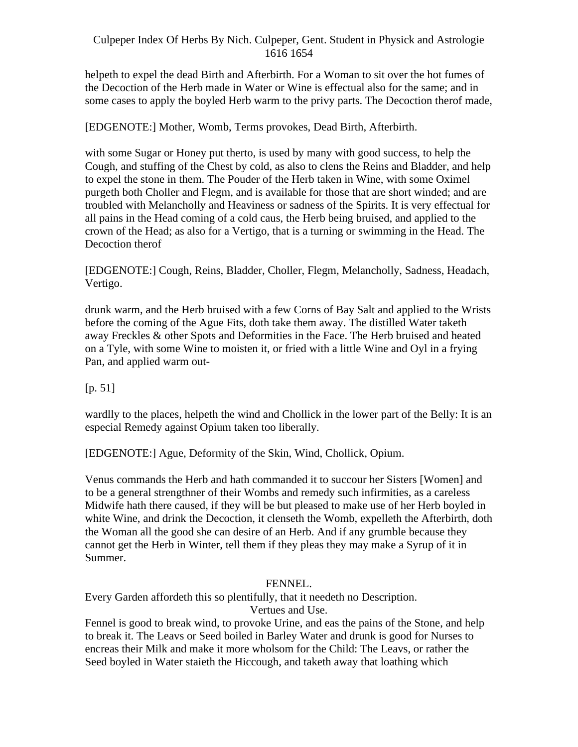helpeth to expel the dead Birth and Afterbirth. For a Woman to sit over the hot fumes of the Decoction of the Herb made in Water or Wine is effectual also for the same; and in some cases to apply the boyled Herb warm to the privy parts. The Decoction therof made,

[EDGENOTE:] Mother, Womb, Terms provokes, Dead Birth, Afterbirth.

with some Sugar or Honey put therto, is used by many with good success, to help the Cough, and stuffing of the Chest by cold, as also to clens the Reins and Bladder, and help to expel the stone in them. The Pouder of the Herb taken in Wine, with some Oximel purgeth both Choller and Flegm, and is available for those that are short winded; and are troubled with Melancholly and Heaviness or sadness of the Spirits. It is very effectual for all pains in the Head coming of a cold caus, the Herb being bruised, and applied to the crown of the Head; as also for a Vertigo, that is a turning or swimming in the Head. The Decoction therof

[EDGENOTE:] Cough, Reins, Bladder, Choller, Flegm, Melancholly, Sadness, Headach, Vertigo.

drunk warm, and the Herb bruised with a few Corns of Bay Salt and applied to the Wrists before the coming of the Ague Fits, doth take them away. The distilled Water taketh away Freckles & other Spots and Deformities in the Face. The Herb bruised and heated on a Tyle, with some Wine to moisten it, or fried with a little Wine and Oyl in a frying Pan, and applied warm out-

[p. 51]

wardlly to the places, helpeth the wind and Chollick in the lower part of the Belly: It is an especial Remedy against Opium taken too liberally.

[EDGENOTE:] Ague, Deformity of the Skin, Wind, Chollick, Opium.

Venus commands the Herb and hath commanded it to succour her Sisters [Women] and to be a general strengthner of their Wombs and remedy such infirmities, as a careless Midwife hath there caused, if they will be but pleased to make use of her Herb boyled in white Wine, and drink the Decoction, it clenseth the Womb, expelleth the Afterbirth, doth the Woman all the good she can desire of an Herb. And if any grumble because they cannot get the Herb in Winter, tell them if they pleas they may make a Syrup of it in Summer.

## FENNEL.

Every Garden affordeth this so plentifully, that it needeth no Description. Vertues and Use.

Fennel is good to break wind, to provoke Urine, and eas the pains of the Stone, and help to break it. The Leavs or Seed boiled in Barley Water and drunk is good for Nurses to encreas their Milk and make it more wholsom for the Child: The Leavs, or rather the Seed boyled in Water staieth the Hiccough, and taketh away that loathing which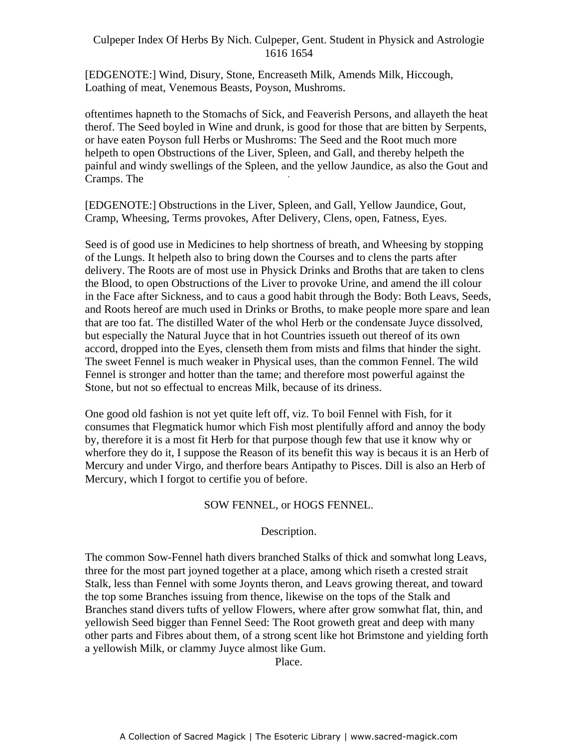[EDGENOTE:] Wind, Disury, Stone, Encreaseth Milk, Amends Milk, Hiccough, Loathing of meat, Venemous Beasts, Poyson, Mushroms.

oftentimes hapneth to the Stomachs of Sick, and Feaverish Persons, and allayeth the heat therof. The Seed boyled in Wine and drunk, is good for those that are bitten by Serpents, or have eaten Poyson full Herbs or Mushroms: The Seed and the Root much more helpeth to open Obstructions of the Liver, Spleen, and Gall, and thereby helpeth the painful and windy swellings of the Spleen, and the yellow Jaundice, as also the Gout and -Cramps. The

[EDGENOTE:] Obstructions in the Liver, Spleen, and Gall, Yellow Jaundice, Gout, Cramp, Wheesing, Terms provokes, After Delivery, Clens, open, Fatness, Eyes.

Seed is of good use in Medicines to help shortness of breath, and Wheesing by stopping of the Lungs. It helpeth also to bring down the Courses and to clens the parts after delivery. The Roots are of most use in Physick Drinks and Broths that are taken to clens the Blood, to open Obstructions of the Liver to provoke Urine, and amend the ill colour in the Face after Sickness, and to caus a good habit through the Body: Both Leavs, Seeds, and Roots hereof are much used in Drinks or Broths, to make people more spare and lean that are too fat. The distilled Water of the whol Herb or the condensate Juyce dissolved, but especially the Natural Juyce that in hot Countries issueth out thereof of its own accord, dropped into the Eyes, clenseth them from mists and films that hinder the sight. The sweet Fennel is much weaker in Physical uses, than the common Fennel. The wild Fennel is stronger and hotter than the tame; and therefore most powerful against the Stone, but not so effectual to encreas Milk, because of its driness.

One good old fashion is not yet quite left off, viz. To boil Fennel with Fish, for it consumes that Flegmatick humor which Fish most plentifully afford and annoy the body by, therefore it is a most fit Herb for that purpose though few that use it know why or wherfore they do it, I suppose the Reason of its benefit this way is becaus it is an Herb of Mercury and under Virgo, and therfore bears Antipathy to Pisces. Dill is also an Herb of Mercury, which I forgot to certifie you of before.

## SOW FENNEL, or HOGS FENNEL.

### Description.

The common Sow-Fennel hath divers branched Stalks of thick and somwhat long Leavs, three for the most part joyned together at a place, among which riseth a crested strait Stalk, less than Fennel with some Joynts theron, and Leavs growing thereat, and toward the top some Branches issuing from thence, likewise on the tops of the Stalk and Branches stand divers tufts of yellow Flowers, where after grow somwhat flat, thin, and yellowish Seed bigger than Fennel Seed: The Root groweth great and deep with many other parts and Fibres about them, of a strong scent like hot Brimstone and yielding forth a yellowish Milk, or clammy Juyce almost like Gum.

Place.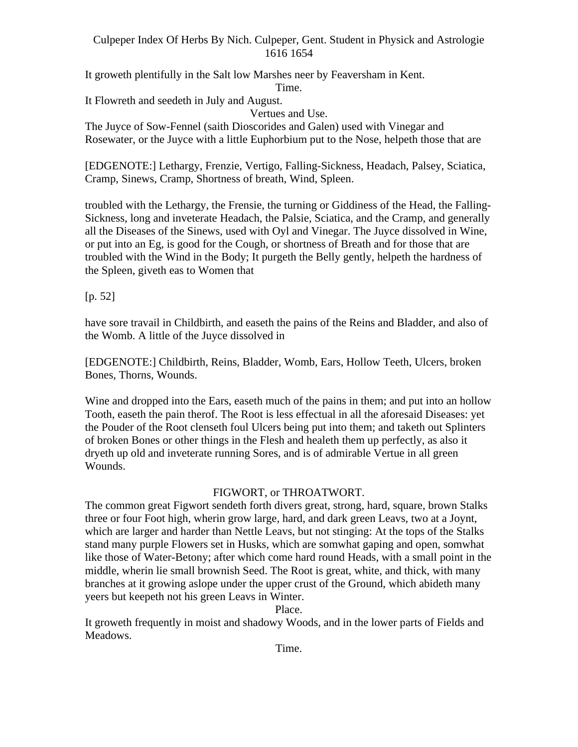It groweth plentifully in the Salt low Marshes neer by Feaversham in Kent.

Time.

It Flowreth and seedeth in July and August.

Vertues and Use. The Juyce of Sow-Fennel (saith Dioscorides and Galen) used with Vinegar and Rosewater, or the Juyce with a little Euphorbium put to the Nose, helpeth those that are

[EDGENOTE:] Lethargy, Frenzie, Vertigo, Falling-Sickness, Headach, Palsey, Sciatica, Cramp, Sinews, Cramp, Shortness of breath, Wind, Spleen.

troubled with the Lethargy, the Frensie, the turning or Giddiness of the Head, the Falling- Sickness, long and inveterate Headach, the Palsie, Sciatica, and the Cramp, and generally all the Diseases of the Sinews, used with Oyl and Vinegar. The Juyce dissolved in Wine, or put into an Eg, is good for the Cough, or shortness of Breath and for those that are troubled with the Wind in the Body; It purgeth the Belly gently, helpeth the hardness of the Spleen, giveth eas to Women that

[p. 52]

have sore travail in Childbirth, and easeth the pains of the Reins and Bladder, and also of the Womb. A little of the Juyce dissolved in

[EDGENOTE:] Childbirth, Reins, Bladder, Womb, Ears, Hollow Teeth, Ulcers, broken Bones, Thorns, Wounds.

Wine and dropped into the Ears, easeth much of the pains in them; and put into an hollow Tooth, easeth the pain therof. The Root is less effectual in all the aforesaid Diseases: yet the Pouder of the Root clenseth foul Ulcers being put into them; and taketh out Splinters of broken Bones or other things in the Flesh and healeth them up perfectly, as also it dryeth up old and inveterate running Sores, and is of admirable Vertue in all green Wounds.

# FIGWORT, or THROATWORT.

The common great Figwort sendeth forth divers great, strong, hard, square, brown Stalks three or four Foot high, wherin grow large, hard, and dark green Leavs, two at a Joynt, which are larger and harder than Nettle Leavs, but not stinging: At the tops of the Stalks stand many purple Flowers set in Husks, which are somwhat gaping and open, somwhat like those of Water-Betony; after which come hard round Heads, with a small point in the middle, wherin lie small brownish Seed. The Root is great, white, and thick, with many branches at it growing aslope under the upper crust of the Ground, which abideth many yeers but keepeth not his green Leavs in Winter.

Place.

It groweth frequently in moist and shadowy Woods, and in the lower parts of Fields and Meadows.

Time.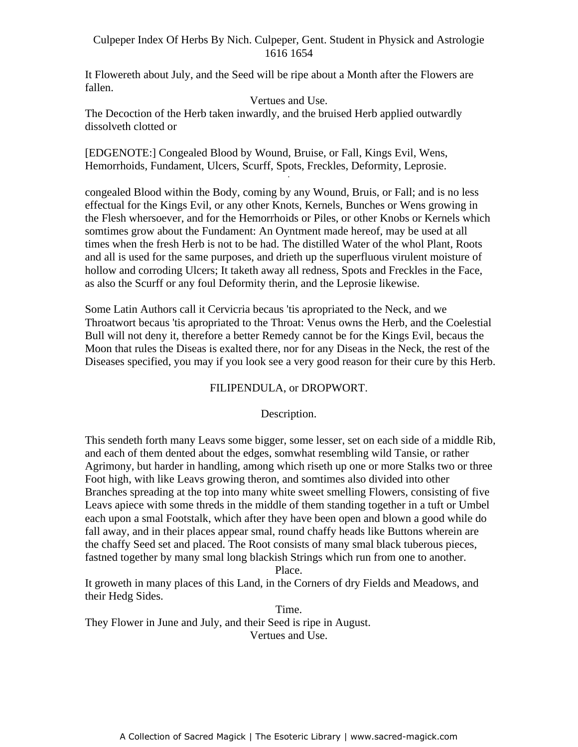It Flowereth about July, and the Seed will be ripe about a Month after the Flowers are fallen.

#### Vertues and Use.

The Decoction of the Herb taken inwardly, and the bruised Herb applied outwardly dissolveth clotted or

[EDGENOTE:] Congealed Blood by Wound, Bruise, or Fall, Kings Evil, Wens, Hemorrhoids, Fundament, Ulcers, Scurff, Spots, Freckles, Deformity, Leprosie. -

congealed Blood within the Body, coming by any Wound, Bruis, or Fall; and is no less effectual for the Kings Evil, or any other Knots, Kernels, Bunches or Wens growing in the Flesh whersoever, and for the Hemorrhoids or Piles, or other Knobs or Kernels which somtimes grow about the Fundament: An Oyntment made hereof, may be used at all times when the fresh Herb is not to be had. The distilled Water of the whol Plant, Roots and all is used for the same purposes, and drieth up the superfluous virulent moisture of hollow and corroding Ulcers; It taketh away all redness, Spots and Freckles in the Face, as also the Scurff or any foul Deformity therin, and the Leprosie likewise.

Some Latin Authors call it Cervicria becaus 'tis apropriated to the Neck, and we Throatwort becaus 'tis apropriated to the Throat: Venus owns the Herb, and the Coelestial Bull will not deny it, therefore a better Remedy cannot be for the Kings Evil, becaus the Moon that rules the Diseas is exalted there, nor for any Diseas in the Neck, the rest of the Diseases specified, you may if you look see a very good reason for their cure by this Herb.

## FILIPENDULA, or DROPWORT.

### Description.

This sendeth forth many Leavs some bigger, some lesser, set on each side of a middle Rib, and each of them dented about the edges, somwhat resembling wild Tansie, or rather Agrimony, but harder in handling, among which riseth up one or more Stalks two or three Foot high, with like Leavs growing theron, and somtimes also divided into other Branches spreading at the top into many white sweet smelling Flowers, consisting of five Leavs apiece with some threds in the middle of them standing together in a tuft or Umbel each upon a smal Footstalk, which after they have been open and blown a good while do fall away, and in their places appear smal, round chaffy heads like Buttons wherein are the chaffy Seed set and placed. The Root consists of many smal black tuberous pieces, fastned together by many smal long blackish Strings which run from one to another.

#### Place.

It groweth in many places of this Land, in the Corners of dry Fields and Meadows, and their Hedg Sides.

Time. They Flower in June and July, and their Seed is ripe in August. Vertues and Use.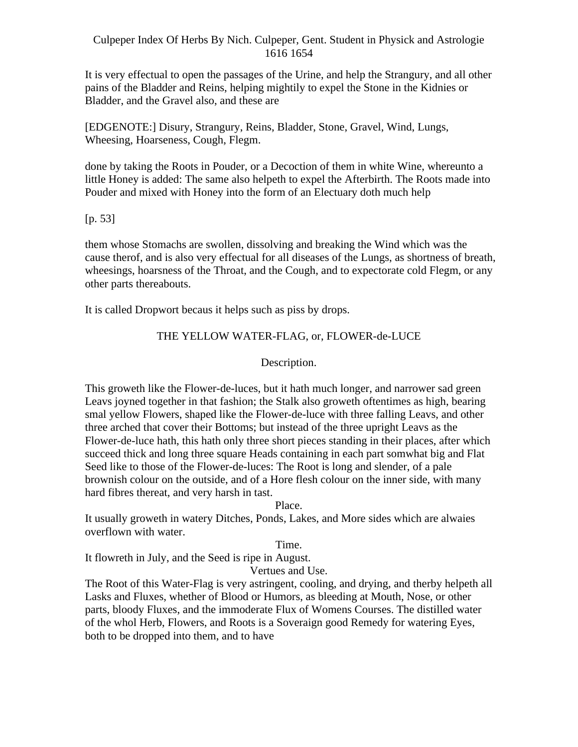It is very effectual to open the passages of the Urine, and help the Strangury, and all other pains of the Bladder and Reins, helping mightily to expel the Stone in the Kidnies or Bladder, and the Gravel also, and these are

[EDGENOTE:] Disury, Strangury, Reins, Bladder, Stone, Gravel, Wind, Lungs, Wheesing, Hoarseness, Cough, Flegm.

done by taking the Roots in Pouder, or a Decoction of them in white Wine, whereunto a little Honey is added: The same also helpeth to expel the Afterbirth. The Roots made into Pouder and mixed with Honey into the form of an Electuary doth much help

[p. 53]

them whose Stomachs are swollen, dissolving and breaking the Wind which was the cause therof, and is also very effectual for all diseases of the Lungs, as shortness of breath, wheesings, hoarsness of the Throat, and the Cough, and to expectorate cold Flegm, or any other parts thereabouts.

It is called Dropwort becaus it helps such as piss by drops.

## THE YELLOW WATER-FLAG, or, FLOWER-de-LUCE

Description.

This groweth like the Flower-de-luces, but it hath much longer, and narrower sad green Leavs joyned together in that fashion; the Stalk also groweth oftentimes as high, bearing smal yellow Flowers, shaped like the Flower-de-luce with three falling Leavs, and other three arched that cover their Bottoms; but instead of the three upright Leavs as the Flower-de-luce hath, this hath only three short pieces standing in their places, after which succeed thick and long three square Heads containing in each part somwhat big and Flat Seed like to those of the Flower-de-luces: The Root is long and slender, of a pale brownish colour on the outside, and of a Hore flesh colour on the inner side, with many hard fibres thereat, and very harsh in tast.

Place.

It usually groweth in watery Ditches, Ponds, Lakes, and More sides which are alwaies overflown with water.

#### Time.

It flowreth in July, and the Seed is ripe in August.

Vertues and Use.

The Root of this Water-Flag is very astringent, cooling, and drying, and therby helpeth all Lasks and Fluxes, whether of Blood or Humors, as bleeding at Mouth, Nose, or other parts, bloody Fluxes, and the immoderate Flux of Womens Courses. The distilled water of the whol Herb, Flowers, and Roots is a Soveraign good Remedy for watering Eyes, both to be dropped into them, and to have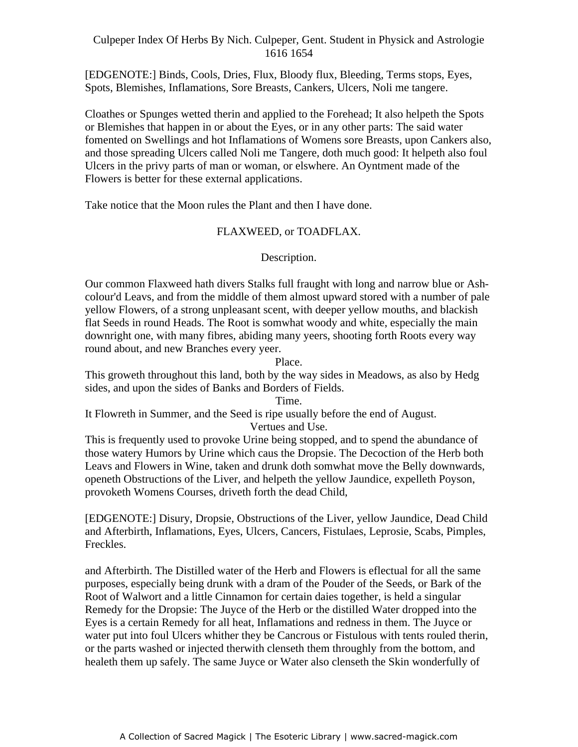[EDGENOTE:] Binds, Cools, Dries, Flux, Bloody flux, Bleeding, Terms stops, Eyes, Spots, Blemishes, Inflamations, Sore Breasts, Cankers, Ulcers, Noli me tangere.

Cloathes or Spunges wetted therin and applied to the Forehead; It also helpeth the Spots or Blemishes that happen in or about the Eyes, or in any other parts: The said water fomented on Swellings and hot Inflamations of Womens sore Breasts, upon Cankers also, and those spreading Ulcers called Noli me Tangere, doth much good: It helpeth also foul Ulcers in the privy parts of man or woman, or elswhere. An Oyntment made of the Flowers is better for these external applications.

Take notice that the Moon rules the Plant and then I have done.

## FLAXWEED, or TOADFLAX.

## Description.

Our common Flaxweed hath divers Stalks full fraught with long and narrow blue or Ash colour'd Leavs, and from the middle of them almost upward stored with a number of pale yellow Flowers, of a strong unpleasant scent, with deeper yellow mouths, and blackish flat Seeds in round Heads. The Root is somwhat woody and white, especially the main downright one, with many fibres, abiding many yeers, shooting forth Roots every way round about, and new Branches every yeer.

Place.

This groweth throughout this land, both by the way sides in Meadows, as also by Hedg sides, and upon the sides of Banks and Borders of Fields.

Time.

It Flowreth in Summer, and the Seed is ripe usually before the end of August.

Vertues and Use.

This is frequently used to provoke Urine being stopped, and to spend the abundance of those watery Humors by Urine which caus the Dropsie. The Decoction of the Herb both Leavs and Flowers in Wine, taken and drunk doth somwhat move the Belly downwards, openeth Obstructions of the Liver, and helpeth the yellow Jaundice, expelleth Poyson, provoketh Womens Courses, driveth forth the dead Child,

[EDGENOTE:] Disury, Dropsie, Obstructions of the Liver, yellow Jaundice, Dead Child and Afterbirth, Inflamations, Eyes, Ulcers, Cancers, Fistulaes, Leprosie, Scabs, Pimples, Freckles.

and Afterbirth. The Distilled water of the Herb and Flowers is eflectual for all the same purposes, especially being drunk with a dram of the Pouder of the Seeds, or Bark of the Root of Walwort and a little Cinnamon for certain daies together, is held a singular Remedy for the Dropsie: The Juyce of the Herb or the distilled Water dropped into the Eyes is a certain Remedy for all heat, Inflamations and redness in them. The Juyce or water put into foul Ulcers whither they be Cancrous or Fistulous with tents rouled therin, or the parts washed or injected therwith clenseth them throughly from the bottom, and healeth them up safely. The same Juyce or Water also clenseth the Skin wonderfully of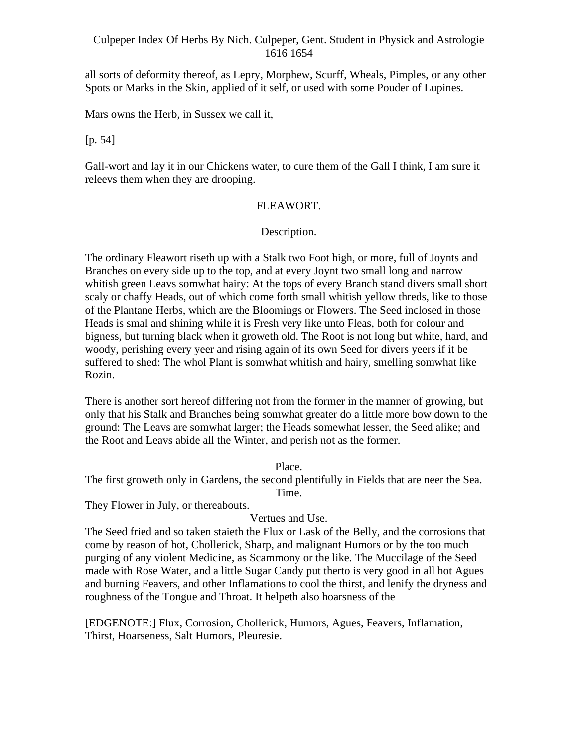all sorts of deformity thereof, as Lepry, Morphew, Scurff, Wheals, Pimples, or any other Spots or Marks in the Skin, applied of it self, or used with some Pouder of Lupines.

Mars owns the Herb, in Sussex we call it,

[p. 54]

Gall-wort and lay it in our Chickens water, to cure them of the Gall I think, I am sure it releevs them when they are drooping.

### FLEAWORT.

### Description.

The ordinary Fleawort riseth up with a Stalk two Foot high, or more, full of Joynts and Branches on every side up to the top, and at every Joynt two small long and narrow whitish green Leavs somwhat hairy: At the tops of every Branch stand divers small short scaly or chaffy Heads, out of which come forth small whitish yellow threds, like to those of the Plantane Herbs, which are the Bloomings or Flowers. The Seed inclosed in those Heads is smal and shining while it is Fresh very like unto Fleas, both for colour and bigness, but turning black when it groweth old. The Root is not long but white, hard, and woody, perishing every yeer and rising again of its own Seed for divers yeers if it be suffered to shed: The whol Plant is somwhat whitish and hairy, smelling somwhat like Rozin.

There is another sort hereof differing not from the former in the manner of growing, but only that his Stalk and Branches being somwhat greater do a little more bow down to the ground: The Leavs are somwhat larger; the Heads somewhat lesser, the Seed alike; and the Root and Leavs abide all the Winter, and perish not as the former.

#### Place.

The first groweth only in Gardens, the second plentifully in Fields that are neer the Sea. Time.

They Flower in July, or thereabouts.

## Vertues and Use.

The Seed fried and so taken staieth the Flux or Lask of the Belly, and the corrosions that come by reason of hot, Chollerick, Sharp, and malignant Humors or by the too much purging of any violent Medicine, as Scammony or the like. The Muccilage of the Seed made with Rose Water, and a little Sugar Candy put therto is very good in all hot Agues and burning Feavers, and other Inflamations to cool the thirst, and lenify the dryness and roughness of the Tongue and Throat. It helpeth also hoarsness of the

[EDGENOTE:] Flux, Corrosion, Chollerick, Humors, Agues, Feavers, Inflamation, Thirst, Hoarseness, Salt Humors, Pleuresie.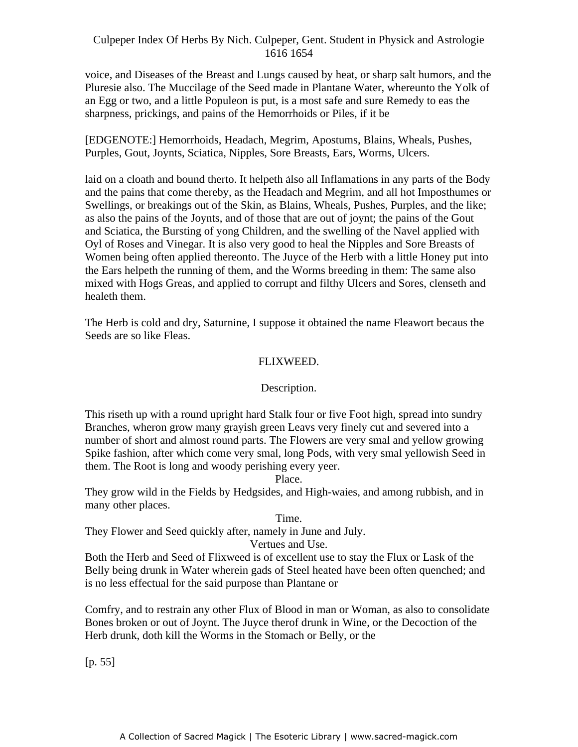voice, and Diseases of the Breast and Lungs caused by heat, or sharp salt humors, and the Pluresie also. The Muccilage of the Seed made in Plantane Water, whereunto the Yolk of an Egg or two, and a little Populeon is put, is a most safe and sure Remedy to eas the sharpness, prickings, and pains of the Hemorrhoids or Piles, if it be

[EDGENOTE:] Hemorrhoids, Headach, Megrim, Apostums, Blains, Wheals, Pushes, Purples, Gout, Joynts, Sciatica, Nipples, Sore Breasts, Ears, Worms, Ulcers.

laid on a cloath and bound therto. It helpeth also all Inflamations in any parts of the Body and the pains that come thereby, as the Headach and Megrim, and all hot Imposthumes or Swellings, or breakings out of the Skin, as Blains, Wheals, Pushes, Purples, and the like; as also the pains of the Joynts, and of those that are out of joynt; the pains of the Gout and Sciatica, the Bursting of yong Children, and the swelling of the Navel applied with Oyl of Roses and Vinegar. It is also very good to heal the Nipples and Sore Breasts of Women being often applied thereonto. The Juyce of the Herb with a little Honey put into the Ears helpeth the running of them, and the Worms breeding in them: The same also mixed with Hogs Greas, and applied to corrupt and filthy Ulcers and Sores, clenseth and healeth them.

The Herb is cold and dry, Saturnine, I suppose it obtained the name Fleawort becaus the Seeds are so like Fleas.

### FLIXWEED.

### Description.

This riseth up with a round upright hard Stalk four or five Foot high, spread into sundry Branches, wheron grow many grayish green Leavs very finely cut and severed into a number of short and almost round parts. The Flowers are very smal and yellow growing Spike fashion, after which come very smal, long Pods, with very smal yellowish Seed in them. The Root is long and woody perishing every yeer.

Place.

They grow wild in the Fields by Hedgsides, and High-waies, and among rubbish, and in many other places.

#### Time.

They Flower and Seed quickly after, namely in June and July.

### Vertues and Use.

Both the Herb and Seed of Flixweed is of excellent use to stay the Flux or Lask of the Belly being drunk in Water wherein gads of Steel heated have been often quenched; and is no less effectual for the said purpose than Plantane or

Comfry, and to restrain any other Flux of Blood in man or Woman, as also to consolidate Bones broken or out of Joynt. The Juyce therof drunk in Wine, or the Decoction of the Herb drunk, doth kill the Worms in the Stomach or Belly, or the

[p. 55]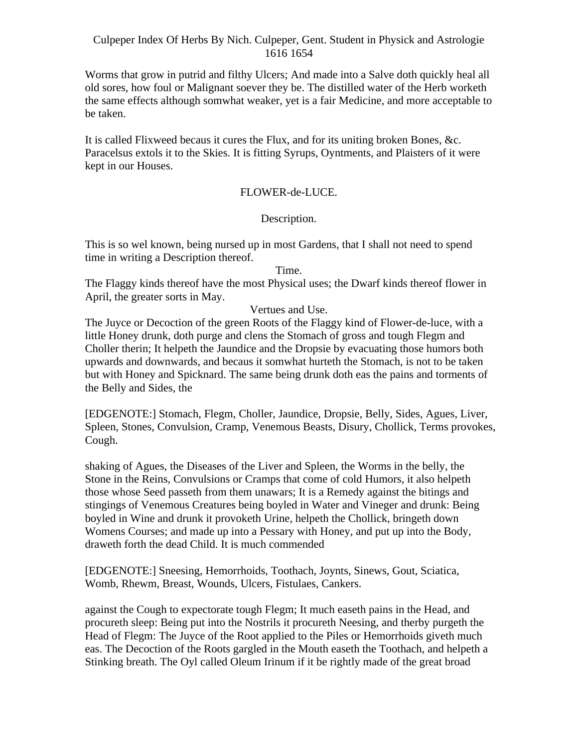Worms that grow in putrid and filthy Ulcers; And made into a Salve doth quickly heal all old sores, how foul or Malignant soever they be. The distilled water of the Herb worketh the same effects although somwhat weaker, yet is a fair Medicine, and more acceptable to be taken.

It is called Flixweed becaus it cures the Flux, and for its uniting broken Bones, &c. Paracelsus extols it to the Skies. It is fitting Syrups, Oyntments, and Plaisters of it were kept in our Houses.

## FLOWER-de-LUCE.

## Description.

This is so wel known, being nursed up in most Gardens, that I shall not need to spend time in writing a Description thereof.

Time.

The Flaggy kinds thereof have the most Physical uses; the Dwarf kinds thereof flower in April, the greater sorts in May.

### Vertues and Use.

The Juyce or Decoction of the green Roots of the Flaggy kind of Flower-de-luce, with a little Honey drunk, doth purge and clens the Stomach of gross and tough Flegm and Choller therin; It helpeth the Jaundice and the Dropsie by evacuating those humors both upwards and downwards, and becaus it somwhat hurteth the Stomach, is not to be taken but with Honey and Spicknard. The same being drunk doth eas the pains and torments of the Belly and Sides, the

[EDGENOTE:] Stomach, Flegm, Choller, Jaundice, Dropsie, Belly, Sides, Agues, Liver, Spleen, Stones, Convulsion, Cramp, Venemous Beasts, Disury, Chollick, Terms provokes, Cough.

shaking of Agues, the Diseases of the Liver and Spleen, the Worms in the belly, the Stone in the Reins, Convulsions or Cramps that come of cold Humors, it also helpeth those whose Seed passeth from them unawars; It is a Remedy against the bitings and stingings of Venemous Creatures being boyled in Water and Vineger and drunk: Being boyled in Wine and drunk it provoketh Urine, helpeth the Chollick, bringeth down Womens Courses; and made up into a Pessary with Honey, and put up into the Body, draweth forth the dead Child. It is much commended

[EDGENOTE:] Sneesing, Hemorrhoids, Toothach, Joynts, Sinews, Gout, Sciatica, Womb, Rhewm, Breast, Wounds, Ulcers, Fistulaes, Cankers.

against the Cough to expectorate tough Flegm; It much easeth pains in the Head, and procureth sleep: Being put into the Nostrils it procureth Neesing, and therby purgeth the Head of Flegm: The Juyce of the Root applied to the Piles or Hemorrhoids giveth much eas. The Decoction of the Roots gargled in the Mouth easeth the Toothach, and helpeth a Stinking breath. The Oyl called Oleum Irinum if it be rightly made of the great broad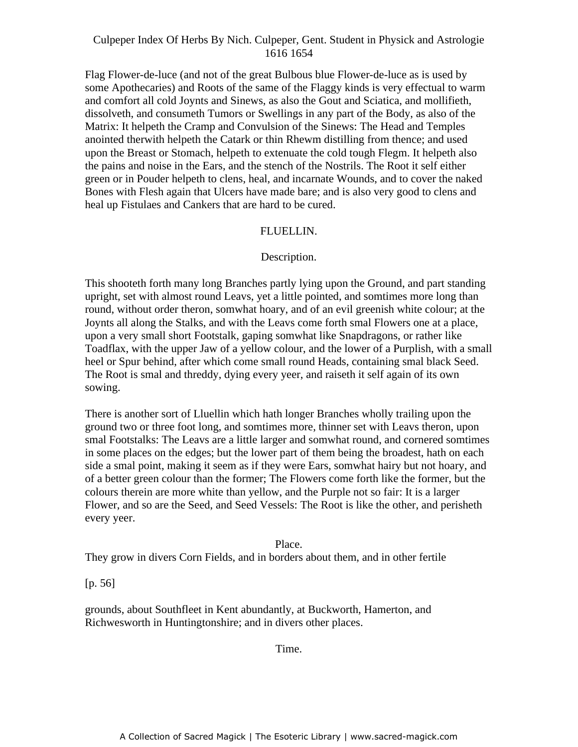Flag Flower-de-luce (and not of the great Bulbous blue Flower-de-luce as is used by some Apothecaries) and Roots of the same of the Flaggy kinds is very effectual to warm and comfort all cold Joynts and Sinews, as also the Gout and Sciatica, and mollifieth, dissolveth, and consumeth Tumors or Swellings in any part of the Body, as also of the Matrix: It helpeth the Cramp and Convulsion of the Sinews: The Head and Temples anointed therwith helpeth the Catark or thin Rhewm distilling from thence; and used upon the Breast or Stomach, helpeth to extenuate the cold tough Flegm. It helpeth also the pains and noise in the Ears, and the stench of the Nostrils. The Root it self either green or in Pouder helpeth to clens, heal, and incarnate Wounds, and to cover the naked Bones with Flesh again that Ulcers have made bare; and is also very good to clens and heal up Fistulaes and Cankers that are hard to be cured.

#### FLUELLIN.

#### Description.

This shooteth forth many long Branches partly lying upon the Ground, and part standing upright, set with almost round Leavs, yet a little pointed, and somtimes more long than round, without order theron, somwhat hoary, and of an evil greenish white colour; at the Joynts all along the Stalks, and with the Leavs come forth smal Flowers one at a place, upon a very small short Footstalk, gaping somwhat like Snapdragons, or rather like Toadflax, with the upper Jaw of a yellow colour, and the lower of a Purplish, with a small heel or Spur behind, after which come small round Heads, containing smal black Seed. The Root is smal and threddy, dying every yeer, and raiseth it self again of its own sowing.

There is another sort of Lluellin which hath longer Branches wholly trailing upon the ground two or three foot long, and somtimes more, thinner set with Leavs theron, upon smal Footstalks: The Leavs are a little larger and somwhat round, and cornered somtimes in some places on the edges; but the lower part of them being the broadest, hath on each side a smal point, making it seem as if they were Ears, somwhat hairy but not hoary, and of a better green colour than the former; The Flowers come forth like the former, but the colours therein are more white than yellow, and the Purple not so fair: It is a larger Flower, and so are the Seed, and Seed Vessels: The Root is like the other, and perisheth every yeer.

### Place.

They grow in divers Corn Fields, and in borders about them, and in other fertile

[p. 56]

grounds, about Southfleet in Kent abundantly, at Buckworth, Hamerton, and Richwesworth in Huntingtonshire; and in divers other places.

Time.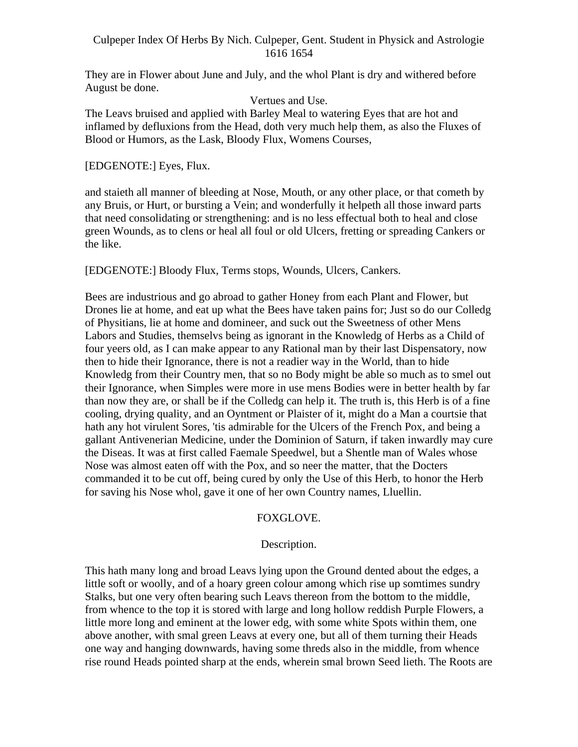They are in Flower about June and July, and the whol Plant is dry and withered before August be done.

Vertues and Use.

The Leavs bruised and applied with Barley Meal to watering Eyes that are hot and inflamed by defluxions from the Head, doth very much help them, as also the Fluxes of Blood or Humors, as the Lask, Bloody Flux, Womens Courses,

[EDGENOTE:] Eyes, Flux.

and staieth all manner of bleeding at Nose, Mouth, or any other place, or that cometh by any Bruis, or Hurt, or bursting a Vein; and wonderfully it helpeth all those inward parts that need consolidating or strengthening: and is no less effectual both to heal and close green Wounds, as to clens or heal all foul or old Ulcers, fretting or spreading Cankers or the like.

[EDGENOTE:] Bloody Flux, Terms stops, Wounds, Ulcers, Cankers.

Bees are industrious and go abroad to gather Honey from each Plant and Flower, but Drones lie at home, and eat up what the Bees have taken pains for; Just so do our Colledg of Physitians, lie at home and domineer, and suck out the Sweetness of other Mens Labors and Studies, themselvs being as ignorant in the Knowledg of Herbs as a Child of four yeers old, as I can make appear to any Rational man by their last Dispensatory, now then to hide their Ignorance, there is not a readier way in the World, than to hide Knowledg from their Country men, that so no Body might be able so much as to smel out their Ignorance, when Simples were more in use mens Bodies were in better health by far than now they are, or shall be if the Colledg can help it. The truth is, this Herb is of a fine cooling, drying quality, and an Oyntment or Plaister of it, might do a Man a courtsie that hath any hot virulent Sores, 'tis admirable for the Ulcers of the French Pox, and being a gallant Antivenerian Medicine, under the Dominion of Saturn, if taken inwardly may cure the Diseas. It was at first called Faemale Speedwel, but a Shentle man of Wales whose Nose was almost eaten off with the Pox, and so neer the matter, that the Docters commanded it to be cut off, being cured by only the Use of this Herb, to honor the Herb for saving his Nose whol, gave it one of her own Country names, Lluellin.

## FOXGLOVE.

## Description.

This hath many long and broad Leavs lying upon the Ground dented about the edges, a little soft or woolly, and of a hoary green colour among which rise up somtimes sundry Stalks, but one very often bearing such Leavs thereon from the bottom to the middle, from whence to the top it is stored with large and long hollow reddish Purple Flowers, a little more long and eminent at the lower edg, with some white Spots within them, one above another, with smal green Leavs at every one, but all of them turning their Heads one way and hanging downwards, having some threds also in the middle, from whence rise round Heads pointed sharp at the ends, wherein smal brown Seed lieth. The Roots are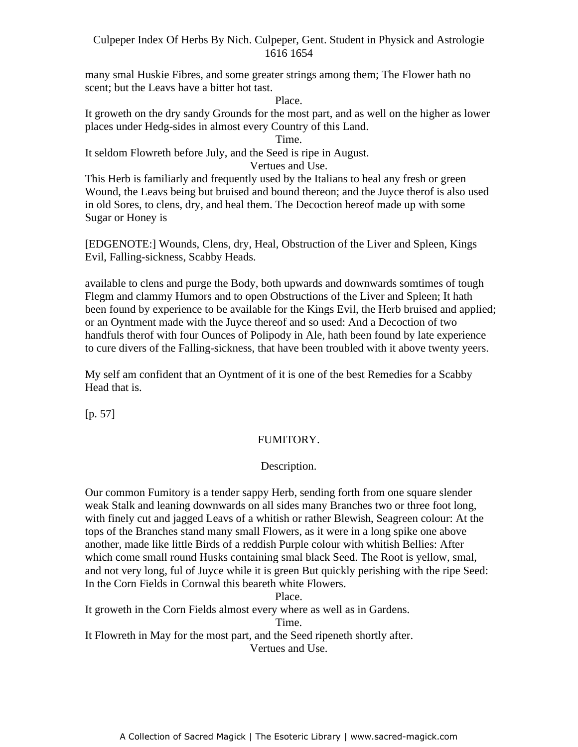many smal Huskie Fibres, and some greater strings among them; The Flower hath no scent; but the Leavs have a bitter hot tast.

Place.

It groweth on the dry sandy Grounds for the most part, and as well on the higher as lower places under Hedg-sides in almost every Country of this Land.

Time.

It seldom Flowreth before July, and the Seed is ripe in August.

Vertues and Use.

This Herb is familiarly and frequently used by the Italians to heal any fresh or green Wound, the Leavs being but bruised and bound thereon; and the Juyce therof is also used in old Sores, to clens, dry, and heal them. The Decoction hereof made up with some Sugar or Honey is

[EDGENOTE:] Wounds, Clens, dry, Heal, Obstruction of the Liver and Spleen, Kings Evil, Falling-sickness, Scabby Heads.

available to clens and purge the Body, both upwards and downwards somtimes of tough Flegm and clammy Humors and to open Obstructions of the Liver and Spleen; It hath been found by experience to be available for the Kings Evil, the Herb bruised and applied; or an Oyntment made with the Juyce thereof and so used: And a Decoction of two handfuls therof with four Ounces of Polipody in Ale, hath been found by late experience to cure divers of the Falling-sickness, that have been troubled with it above twenty yeers.

My self am confident that an Oyntment of it is one of the best Remedies for a Scabby Head that is.

[p. 57]

## FUMITORY.

## Description.

Our common Fumitory is a tender sappy Herb, sending forth from one square slender weak Stalk and leaning downwards on all sides many Branches two or three foot long, with finely cut and jagged Leavs of a whitish or rather Blewish, Seagreen colour: At the tops of the Branches stand many small Flowers, as it were in a long spike one above another, made like little Birds of a reddish Purple colour with whitish Bellies: After which come small round Husks containing smal black Seed. The Root is yellow, smal, and not very long, ful of Juyce while it is green But quickly perishing with the ripe Seed: In the Corn Fields in Cornwal this beareth white Flowers.

Place.

It groweth in the Corn Fields almost every where as well as in Gardens.

Time.

It Flowreth in May for the most part, and the Seed ripeneth shortly after.

Vertues and Use.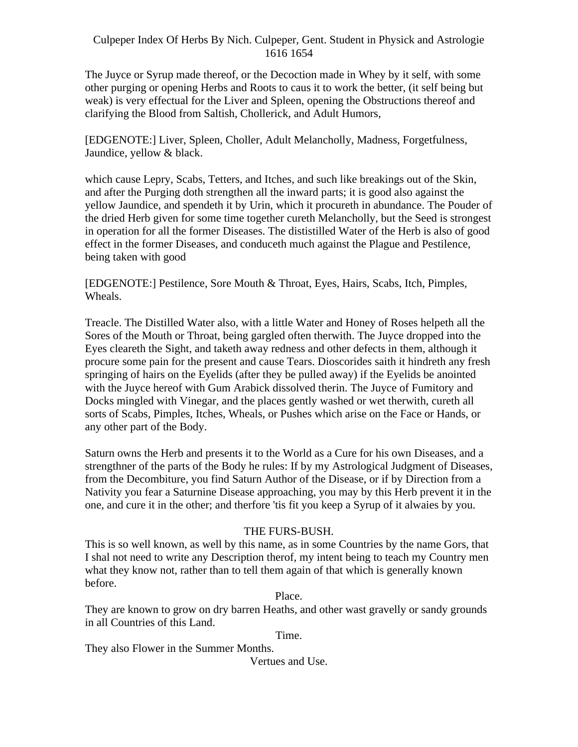The Juyce or Syrup made thereof, or the Decoction made in Whey by it self, with some other purging or opening Herbs and Roots to caus it to work the better, (it self being but weak) is very effectual for the Liver and Spleen, opening the Obstructions thereof and clarifying the Blood from Saltish, Chollerick, and Adult Humors,

[EDGENOTE:] Liver, Spleen, Choller, Adult Melancholly, Madness, Forgetfulness, Jaundice, yellow & black.

which cause Lepry, Scabs, Tetters, and Itches, and such like breakings out of the Skin, and after the Purging doth strengthen all the inward parts; it is good also against the yellow Jaundice, and spendeth it by Urin, which it procureth in abundance. The Pouder of the dried Herb given for some time together cureth Melancholly, but the Seed is strongest in operation for all the former Diseases. The dististilled Water of the Herb is also of good effect in the former Diseases, and conduceth much against the Plague and Pestilence, being taken with good

[EDGENOTE:] Pestilence, Sore Mouth & Throat, Eyes, Hairs, Scabs, Itch, Pimples, Wheals.

Treacle. The Distilled Water also, with a little Water and Honey of Roses helpeth all the Sores of the Mouth or Throat, being gargled often therwith. The Juyce dropped into the Eyes cleareth the Sight, and taketh away redness and other defects in them, although it procure some pain for the present and cause Tears. Dioscorides saith it hindreth any fresh springing of hairs on the Eyelids (after they be pulled away) if the Eyelids be anointed with the Juyce hereof with Gum Arabick dissolved therin. The Juyce of Fumitory and Docks mingled with Vinegar, and the places gently washed or wet therwith, cureth all sorts of Scabs, Pimples, Itches, Wheals, or Pushes which arise on the Face or Hands, or any other part of the Body.

Saturn owns the Herb and presents it to the World as a Cure for his own Diseases, and a strengthner of the parts of the Body he rules: If by my Astrological Judgment of Diseases, from the Decombiture, you find Saturn Author of the Disease, or if by Direction from a Nativity you fear a Saturnine Disease approaching, you may by this Herb prevent it in the one, and cure it in the other; and therfore 'tis fit you keep a Syrup of it alwaies by you.

## THE FURS-BUSH.

This is so well known, as well by this name, as in some Countries by the name Gors, that I shal not need to write any Description therof, my intent being to teach my Country men what they know not, rather than to tell them again of that which is generally known before.

Place.

They are known to grow on dry barren Heaths, and other wast gravelly or sandy grounds in all Countries of this Land.

Time.

They also Flower in the Summer Months.

Vertues and Use.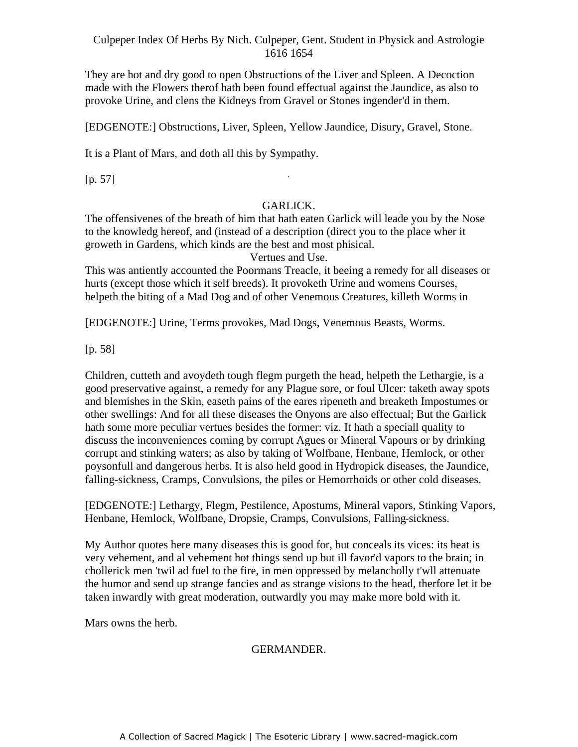They are hot and dry good to open Obstructions of the Liver and Spleen. A Decoction made with the Flowers therof hath been found effectual against the Jaundice, as also to provoke Urine, and clens the Kidneys from Gravel or Stones ingender'd in them.

[EDGENOTE:] Obstructions, Liver, Spleen, Yellow Jaundice, Disury, Gravel, Stone.

It is a Plant of Mars, and doth all this by Sympathy.

[p. 57]

#### GARLICK.

-

The offensivenes of the breath of him that hath eaten Garlick will leade you by the Nose to the knowledg hereof, and (instead of a description (direct you to the place wher it groweth in Gardens, which kinds are the best and most phisical.

Vertues and Use.

This was antiently accounted the Poormans Treacle, it beeing a remedy for all diseases or hurts (except those which it self breeds). It provoketh Urine and womens Courses, helpeth the biting of a Mad Dog and of other Venemous Creatures, killeth Worms in

[EDGENOTE:] Urine, Terms provokes, Mad Dogs, Venemous Beasts, Worms.

[p. 58]

Children, cutteth and avoydeth tough flegm purgeth the head, helpeth the Lethargie, is a good preservative against, a remedy for any Plague sore, or foul Ulcer: taketh away spots and blemishes in the Skin, easeth pains of the eares ripeneth and breaketh Impostumes or other swellings: And for all these diseases the Onyons are also effectual; But the Garlick hath some more peculiar vertues besides the former: viz. It hath a speciall quality to discuss the inconveniences coming by corrupt Agues or Mineral Vapours or by drinking corrupt and stinking waters; as also by taking of Wolfbane, Henbane, Hemlock, or other poysonfull and dangerous herbs. It is also held good in Hydropick diseases, the Jaundice, falling-sickness, Cramps, Convulsions, the piles or Hemorrhoids or other cold diseases.

[EDGENOTE:] Lethargy, Flegm, Pestilence, Apostums, Mineral vapors, Stinking Vapors, Henbane, Hemlock, Wolfbane, Dropsie, Cramps, Convulsions, Falling-sickness.

My Author quotes here many diseases this is good for, but conceals its vices: its heat is very vehement, and al vehement hot things send up but ill favor'd vapors to the brain; in chollerick men 'twil ad fuel to the fire, in men oppressed by melancholly t'wll attenuate the humor and send up strange fancies and as strange visions to the head, therfore let it be taken inwardly with great moderation, outwardly you may make more bold with it.

Mars owns the herb.

## GERMANDER.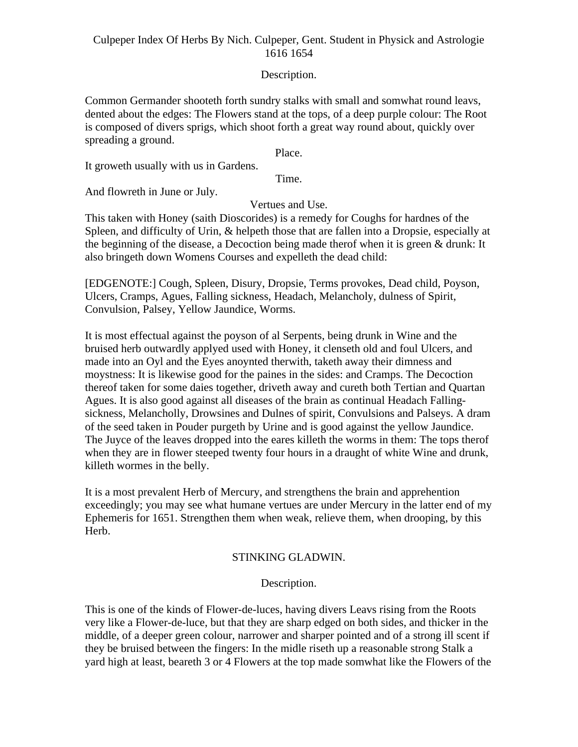### Description.

Common Germander shooteth forth sundry stalks with small and somwhat round leavs, dented about the edges: The Flowers stand at the tops, of a deep purple colour: The Root is composed of divers sprigs, which shoot forth a great way round about, quickly over spreading a ground.

Place.

It groweth usually with us in Gardens.

Time.

And flowreth in June or July.

Vertues and Use.

This taken with Honey (saith Dioscorides) is a remedy for Coughs for hardnes of the Spleen, and difficulty of Urin, & helpeth those that are fallen into a Dropsie, especially at the beginning of the disease, a Decoction being made therof when it is green & drunk: It also bringeth down Womens Courses and expelleth the dead child:

[EDGENOTE:] Cough, Spleen, Disury, Dropsie, Terms provokes, Dead child, Poyson, Ulcers, Cramps, Agues, Falling sickness, Headach, Melancholy, dulness of Spirit, Convulsion, Palsey, Yellow Jaundice, Worms.

It is most effectual against the poyson of al Serpents, being drunk in Wine and the bruised herb outwardly applyed used with Honey, it clenseth old and foul Ulcers, and made into an Oyl and the Eyes anoynted therwith, taketh away their dimness and moystness: It is likewise good for the paines in the sides: and Cramps. The Decoction thereof taken for some daies together, driveth away and cureth both Tertian and Quartan Agues. It is also good against all diseases of the brain as continual Headach Falling sickness, Melancholly, Drowsines and Dulnes of spirit, Convulsions and Palseys. A dram of the seed taken in Pouder purgeth by Urine and is good against the yellow Jaundice. The Juyce of the leaves dropped into the eares killeth the worms in them: The tops therof when they are in flower steeped twenty four hours in a draught of white Wine and drunk, killeth wormes in the belly.

It is a most prevalent Herb of Mercury, and strengthens the brain and apprehention exceedingly; you may see what humane vertues are under Mercury in the latter end of my Ephemeris for 1651. Strengthen them when weak, relieve them, when drooping, by this Herb.

## STINKING GLADWIN.

## Description.

This is one of the kinds of Flower-de-luces, having divers Leavs rising from the Roots very like a Flower-de-luce, but that they are sharp edged on both sides, and thicker in the middle, of a deeper green colour, narrower and sharper pointed and of a strong ill scent if they be bruised between the fingers: In the midle riseth up a reasonable strong Stalk a yard high at least, beareth 3 or 4 Flowers at the top made somwhat like the Flowers of the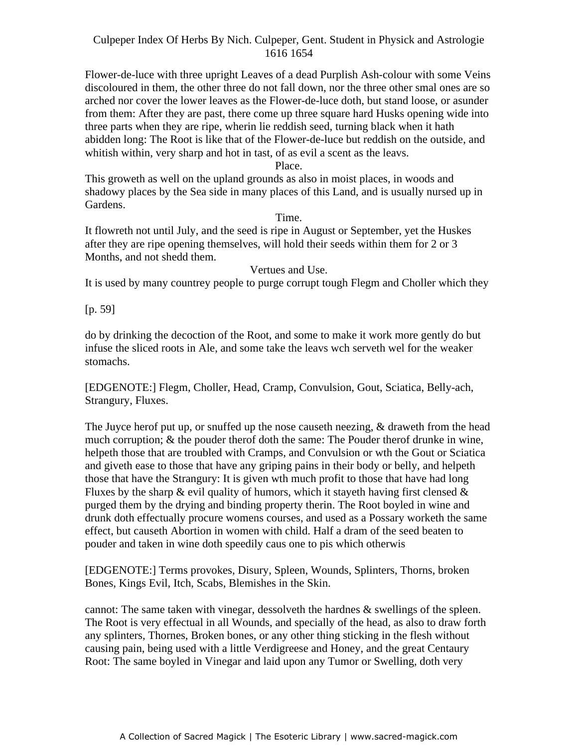Flower-de-luce with three upright Leaves of a dead Purplish Ash-colour with some Veins discoloured in them, the other three do not fall down, nor the three other smal ones are so arched nor cover the lower leaves as the Flower-de-luce doth, but stand loose, or asunder from them: After they are past, there come up three square hard Husks opening wide into three parts when they are ripe, wherin lie reddish seed, turning black when it hath abidden long: The Root is like that of the Flower-de-luce but reddish on the outside, and whitish within, very sharp and hot in tast, of as evil a scent as the leavs.

Place.

This groweth as well on the upland grounds as also in moist places, in woods and shadowy places by the Sea side in many places of this Land, and is usually nursed up in Gardens.

#### Time.

It flowreth not until July, and the seed is ripe in August or September, yet the Huskes after they are ripe opening themselves, will hold their seeds within them for 2 or 3 Months, and not shedd them.

#### Vertues and Use.

It is used by many countrey people to purge corrupt tough Flegm and Choller which they

[p. 59]

do by drinking the decoction of the Root, and some to make it work more gently do but infuse the sliced roots in Ale, and some take the leavs wch serveth wel for the weaker stomachs.

[EDGENOTE:] Flegm, Choller, Head, Cramp, Convulsion, Gout, Sciatica, Belly-ach, Strangury, Fluxes.

The Juyce herof put up, or snuffed up the nose causeth neezing, & draweth from the head much corruption; & the pouder therof doth the same: The Pouder therof drunke in wine, helpeth those that are troubled with Cramps, and Convulsion or wth the Gout or Sciatica and giveth ease to those that have any griping pains in their body or belly, and helpeth those that have the Strangury: It is given wth much profit to those that have had long Fluxes by the sharp  $\&$  evil quality of humors, which it stayeth having first clensed  $\&$ purged them by the drying and binding property therin. The Root boyled in wine and drunk doth effectually procure womens courses, and used as a Possary worketh the same effect, but causeth Abortion in women with child. Half a dram of the seed beaten to pouder and taken in wine doth speedily caus one to pis which otherwis

[EDGENOTE:] Terms provokes, Disury, Spleen, Wounds, Splinters, Thorns, broken Bones, Kings Evil, Itch, Scabs, Blemishes in the Skin.

cannot: The same taken with vinegar, dessolveth the hardnes & swellings of the spleen. The Root is very effectual in all Wounds, and specially of the head, as also to draw forth any splinters, Thornes, Broken bones, or any other thing sticking in the flesh without causing pain, being used with a little Verdigreese and Honey, and the great Centaury Root: The same boyled in Vinegar and laid upon any Tumor or Swelling, doth very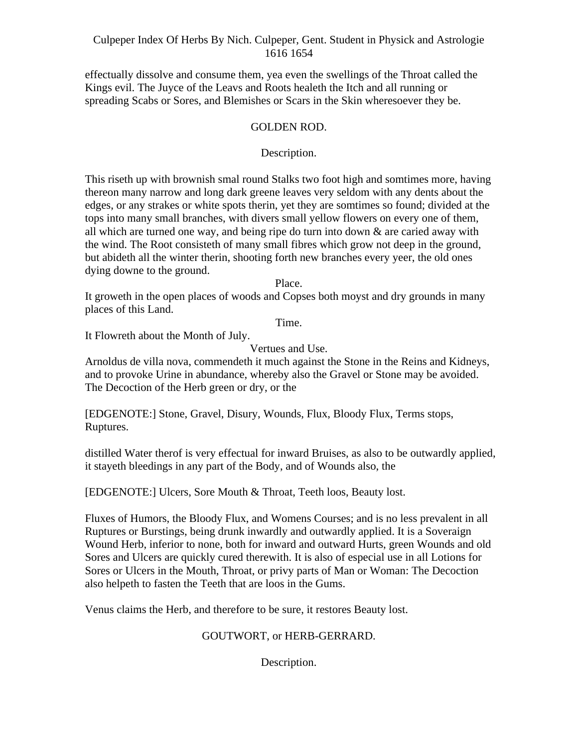effectually dissolve and consume them, yea even the swellings of the Throat called the Kings evil. The Juyce of the Leavs and Roots healeth the Itch and all running or spreading Scabs or Sores, and Blemishes or Scars in the Skin wheresoever they be.

### GOLDEN ROD.

### Description.

This riseth up with brownish smal round Stalks two foot high and somtimes more, having thereon many narrow and long dark greene leaves very seldom with any dents about the edges, or any strakes or white spots therin, yet they are somtimes so found; divided at the tops into many small branches, with divers small yellow flowers on every one of them, all which are turned one way, and being ripe do turn into down & are caried away with the wind. The Root consisteth of many small fibres which grow not deep in the ground, but abideth all the winter therin, shooting forth new branches every yeer, the old ones dying downe to the ground.

Place.

It groweth in the open places of woods and Copses both moyst and dry grounds in many places of this Land.

Time.

It Flowreth about the Month of July.

Vertues and Use.

Arnoldus de villa nova, commendeth it much against the Stone in the Reins and Kidneys, and to provoke Urine in abundance, whereby also the Gravel or Stone may be avoided. The Decoction of the Herb green or dry, or the

[EDGENOTE:] Stone, Gravel, Disury, Wounds, Flux, Bloody Flux, Terms stops, Ruptures. The contract of the contract of the contract of the contract of the contract of the contract of the contract of the contract of the contract of the contract of the contract of the contract of the contract of the

distilled Water therof is very effectual for inward Bruises, as also to be outwardly applied, it stayeth bleedings in any part of the Body, and of Wounds also, the

[EDGENOTE:] Ulcers, Sore Mouth & Throat, Teeth loos, Beauty lost.

Fluxes of Humors, the Bloody Flux, and Womens Courses; and is no less prevalent in all Ruptures or Burstings, being drunk inwardly and outwardly applied. It is a Soveraign Wound Herb, inferior to none, both for inward and outward Hurts, green Wounds and old Sores and Ulcers are quickly cured therewith. It is also of especial use in all Lotions for Sores or Ulcers in the Mouth, Throat, or privy parts of Man or Woman: The Decoction also helpeth to fasten the Teeth that are loos in the Gums.

Venus claims the Herb, and therefore to be sure, it restores Beauty lost.

## GOUTWORT, or HERB-GERRARD.

Description.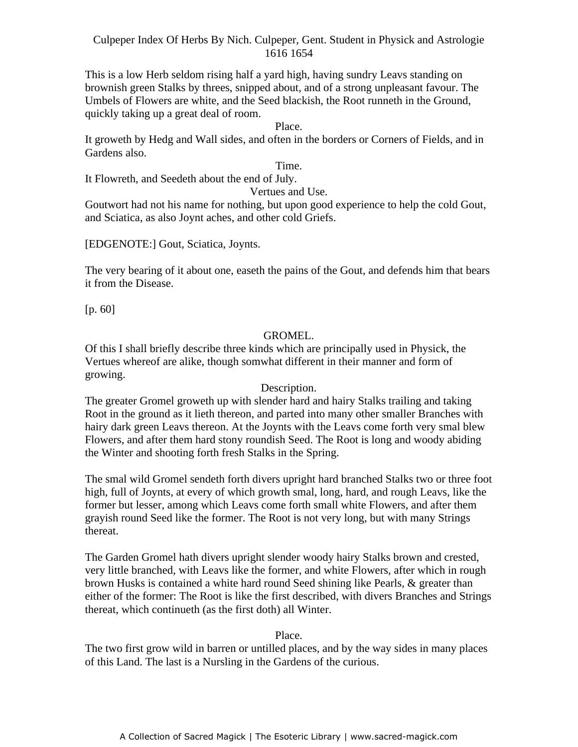This is a low Herb seldom rising half a yard high, having sundry Leavs standing on brownish green Stalks by threes, snipped about, and of a strong unpleasant favour. The Umbels of Flowers are white, and the Seed blackish, the Root runneth in the Ground, quickly taking up a great deal of room.

#### Place.

It groweth by Hedg and Wall sides, and often in the borders or Corners of Fields, and in Gardens also.

#### Time.

It Flowreth, and Seedeth about the end of July.

#### Vertues and Use.

Goutwort had not his name for nothing, but upon good experience to help the cold Gout, and Sciatica, as also Joynt aches, and other cold Griefs.

[EDGENOTE:] Gout, Sciatica, Joynts.

The very bearing of it about one, easeth the pains of the Gout, and defends him that bears it from the Disease.

[p. 60]

#### GROMEL.

Of this I shall briefly describe three kinds which are principally used in Physick, the Vertues whereof are alike, though somwhat different in their manner and form of growing.

#### Description.

The greater Gromel groweth up with slender hard and hairy Stalks trailing and taking Root in the ground as it lieth thereon, and parted into many other smaller Branches with hairy dark green Leavs thereon. At the Joynts with the Leavs come forth very smal blew Flowers, and after them hard stony roundish Seed. The Root is long and woody abiding the Winter and shooting forth fresh Stalks in the Spring.

The smal wild Gromel sendeth forth divers upright hard branched Stalks two or three foot high, full of Joynts, at every of which growth smal, long, hard, and rough Leavs, like the former but lesser, among which Leavs come forth small white Flowers, and after them grayish round Seed like the former. The Root is not very long, but with many Strings thereat.

The Garden Gromel hath divers upright slender woody hairy Stalks brown and crested, very little branched, with Leavs like the former, and white Flowers, after which in rough brown Husks is contained a white hard round Seed shining like Pearls, & greater than either of the former: The Root is like the first described, with divers Branches and Strings thereat, which continueth (as the first doth) all Winter.

#### Place.

The two first grow wild in barren or untilled places, and by the way sides in many places of this Land. The last is a Nursling in the Gardens of the curious.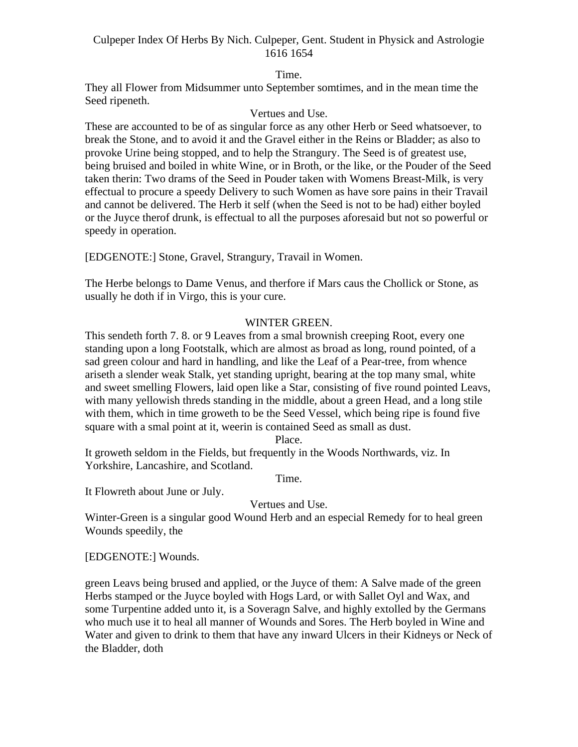Time.

They all Flower from Midsummer unto September somtimes, and in the mean time the Seed ripeneth.

## Vertues and Use.

These are accounted to be of as singular force as any other Herb or Seed whatsoever, to break the Stone, and to avoid it and the Gravel either in the Reins or Bladder; as also to provoke Urine being stopped, and to help the Strangury. The Seed is of greatest use, being bruised and boiled in white Wine, or in Broth, or the like, or the Pouder of the Seed taken therin: Two drams of the Seed in Pouder taken with Womens Breast-Milk, is very effectual to procure a speedy Delivery to such Women as have sore pains in their Travail and cannot be delivered. The Herb it self (when the Seed is not to be had) either boyled or the Juyce therof drunk, is effectual to all the purposes aforesaid but not so powerful or speedy in operation.

[EDGENOTE:] Stone, Gravel, Strangury, Travail in Women.

The Herbe belongs to Dame Venus, and therfore if Mars caus the Chollick or Stone, as usually he doth if in Virgo, this is your cure.

### WINTER GREEN.

This sendeth forth 7. 8. or 9 Leaves from a smal brownish creeping Root, every one standing upon a long Footstalk, which are almost as broad as long, round pointed, of a sad green colour and hard in handling, and like the Leaf of a Pear-tree, from whence ariseth a slender weak Stalk, yet standing upright, bearing at the top many smal, white and sweet smelling Flowers, laid open like a Star, consisting of five round pointed Leavs, with many yellowish threds standing in the middle, about a green Head, and a long stile with them, which in time groweth to be the Seed Vessel, which being ripe is found five square with a smal point at it, weerin is contained Seed as small as dust.

Place.

It groweth seldom in the Fields, but frequently in the Woods Northwards, viz. In Yorkshire, Lancashire, and Scotland.

Time.

It Flowreth about June or July.

Vertues and Use.

Winter-Green is a singular good Wound Herb and an especial Remedy for to heal green Wounds speedily, the

[EDGENOTE:] Wounds.

green Leavs being brused and applied, or the Juyce of them: A Salve made of the green Herbs stamped or the Juyce boyled with Hogs Lard, or with Sallet Oyl and Wax, and some Turpentine added unto it, is a Soveragn Salve, and highly extolled by the Germans who much use it to heal all manner of Wounds and Sores. The Herb boyled in Wine and Water and given to drink to them that have any inward Ulcers in their Kidneys or Neck of the Bladder, doth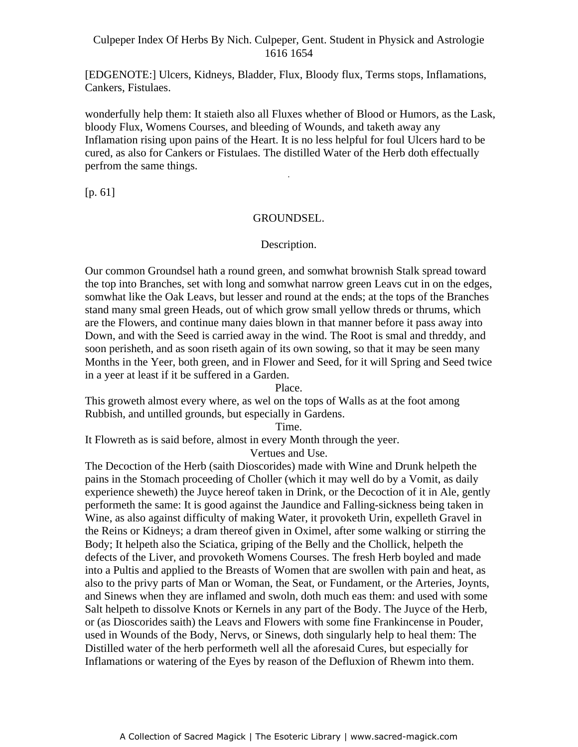[EDGENOTE:] Ulcers, Kidneys, Bladder, Flux, Bloody flux, Terms stops, Inflamations, Cankers, Fistulaes.

wonderfully help them: It staieth also all Fluxes whether of Blood or Humors, as the Lask, bloody Flux, Womens Courses, and bleeding of Wounds, and taketh away any Inflamation rising upon pains of the Heart. It is no less helpful for foul Ulcers hard to be cured, as also for Cankers or Fistulaes. The distilled Water of the Herb doth effectually perfrom the same things. -

[p. 61]

#### GROUNDSEL.

#### Description.

Our common Groundsel hath a round green, and somwhat brownish Stalk spread toward the top into Branches, set with long and somwhat narrow green Leavs cut in on the edges, somwhat like the Oak Leavs, but lesser and round at the ends; at the tops of the Branches stand many smal green Heads, out of which grow small yellow threds or thrums, which are the Flowers, and continue many daies blown in that manner before it pass away into Down, and with the Seed is carried away in the wind. The Root is smal and threddy, and soon perisheth, and as soon riseth again of its own sowing, so that it may be seen many Months in the Yeer, both green, and in Flower and Seed, for it will Spring and Seed twice in a yeer at least if it be suffered in a Garden.

Place.

This groweth almost every where, as wel on the tops of Walls as at the foot among Rubbish, and untilled grounds, but especially in Gardens.

Time.

It Flowreth as is said before, almost in every Month through the yeer.

Vertues and Use.

The Decoction of the Herb (saith Dioscorides) made with Wine and Drunk helpeth the pains in the Stomach proceeding of Choller (which it may well do by a Vomit, as daily experience sheweth) the Juyce hereof taken in Drink, or the Decoction of it in Ale, gently performeth the same: It is good against the Jaundice and Falling-sickness being taken in Wine, as also against difficulty of making Water, it provoketh Urin, expelleth Gravel in the Reins or Kidneys; a dram thereof given in Oximel, after some walking or stirring the Body; It helpeth also the Sciatica, griping of the Belly and the Chollick, helpeth the defects of the Liver, and provoketh Womens Courses. The fresh Herb boyled and made into a Pultis and applied to the Breasts of Women that are swollen with pain and heat, as also to the privy parts of Man or Woman, the Seat, or Fundament, or the Arteries, Joynts, and Sinews when they are inflamed and swoln, doth much eas them: and used with some Salt helpeth to dissolve Knots or Kernels in any part of the Body. The Juyce of the Herb, or (as Dioscorides saith) the Leavs and Flowers with some fine Frankincense in Pouder, used in Wounds of the Body, Nervs, or Sinews, doth singularly help to heal them: The Distilled water of the herb performeth well all the aforesaid Cures, but especially for Inflamations or watering of the Eyes by reason of the Defluxion of Rhewm into them.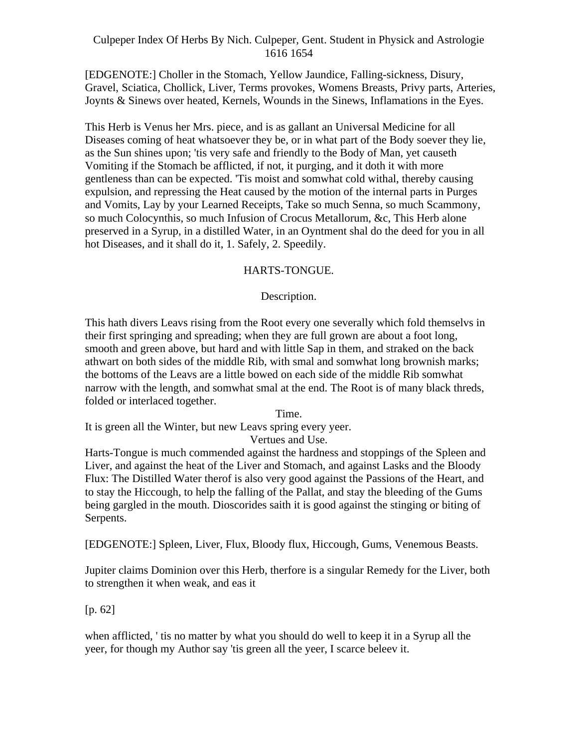[EDGENOTE:] Choller in the Stomach, Yellow Jaundice, Falling-sickness, Disury, Gravel, Sciatica, Chollick, Liver, Terms provokes, Womens Breasts, Privy parts, Arteries, Joynts & Sinews over heated, Kernels, Wounds in the Sinews, Inflamations in the Eyes.

This Herb is Venus her Mrs. piece, and is as gallant an Universal Medicine for all Diseases coming of heat whatsoever they be, or in what part of the Body soever they lie, as the Sun shines upon; 'tis very safe and friendly to the Body of Man, yet causeth Vomiting if the Stomach be afflicted, if not, it purging, and it doth it with more gentleness than can be expected. 'Tis moist and somwhat cold withal, thereby causing expulsion, and repressing the Heat caused by the motion of the internal parts in Purges and Vomits, Lay by your Learned Receipts, Take so much Senna, so much Scammony, so much Colocynthis, so much Infusion of Crocus Metallorum, &c, This Herb alone preserved in a Syrup, in a distilled Water, in an Oyntment shal do the deed for you in all hot Diseases, and it shall do it, 1. Safely, 2. Speedily.

### HARTS-TONGUE.

## Description.

This hath divers Leavs rising from the Root every one severally which fold themselvs in their first springing and spreading; when they are full grown are about a foot long, smooth and green above, but hard and with little Sap in them, and straked on the back athwart on both sides of the middle Rib, with smal and somwhat long brownish marks; the bottoms of the Leavs are a little bowed on each side of the middle Rib somwhat narrow with the length, and somwhat smal at the end. The Root is of many black threds, folded or interlaced together.

Time.

It is green all the Winter, but new Leavs spring every yeer.

## Vertues and Use.

Harts-Tongue is much commended against the hardness and stoppings of the Spleen and Liver, and against the heat of the Liver and Stomach, and against Lasks and the Bloody Flux: The Distilled Water therof is also very good against the Passions of the Heart, and to stay the Hiccough, to help the falling of the Pallat, and stay the bleeding of the Gums being gargled in the mouth. Dioscorides saith it is good against the stinging or biting of Serpents.

[EDGENOTE:] Spleen, Liver, Flux, Bloody flux, Hiccough, Gums, Venemous Beasts.

Jupiter claims Dominion over this Herb, therfore is a singular Remedy for the Liver, both to strengthen it when weak, and eas it

[p. 62]

when afflicted, ' tis no matter by what you should do well to keep it in a Syrup all the yeer, for though my Author say 'tis green all the yeer, I scarce beleev it.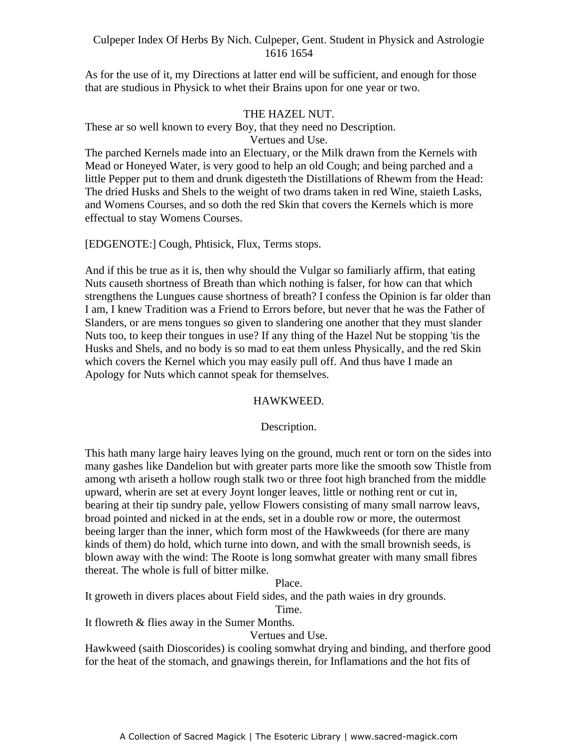As for the use of it, my Directions at latter end will be sufficient, and enough for those that are studious in Physick to whet their Brains upon for one year or two.

### THE HAZEL NUT.

These ar so well known to every Boy, that they need no Description.

Vertues and Use.

The parched Kernels made into an Electuary, or the Milk drawn from the Kernels with Mead or Honeyed Water, is very good to help an old Cough; and being parched and a little Pepper put to them and drunk digesteth the Distillations of Rhewm from the Head: The dried Husks and Shels to the weight of two drams taken in red Wine, staieth Lasks, and Womens Courses, and so doth the red Skin that covers the Kernels which is more effectual to stay Womens Courses.

[EDGENOTE:] Cough, Phtisick, Flux, Terms stops.

And if this be true as it is, then why should the Vulgar so familiarly affirm, that eating Nuts causeth shortness of Breath than which nothing is falser, for how can that which strengthens the Lungues cause shortness of breath? I confess the Opinion is far older than I am, I knew Tradition was a Friend to Errors before, but never that he was the Father of Slanders, or are mens tongues so given to slandering one another that they must slander Nuts too, to keep their tongues in use? If any thing of the Hazel Nut be stopping 'tis the Husks and Shels, and no body is so mad to eat them unless Physically, and the red Skin which covers the Kernel which you may easily pull off. And thus have I made an Apology for Nuts which cannot speak for themselves.

#### HAWKWEED.

#### Description.

This hath many large hairy leaves lying on the ground, much rent or torn on the sides into many gashes like Dandelion but with greater parts more like the smooth sow Thistle from among wth ariseth a hollow rough stalk two or three foot high branched from the middle upward, wherin are set at every Joynt longer leaves, little or nothing rent or cut in, bearing at their tip sundry pale, yellow Flowers consisting of many small narrow leavs, broad pointed and nicked in at the ends, set in a double row or more, the outermost beeing larger than the inner, which form most of the Hawkweeds (for there are many kinds of them) do hold, which turne into down, and with the small brownish seeds, is blown away with the wind: The Roote is long somwhat greater with many small fibres thereat. The whole is full of bitter milke.

#### Place.

It groweth in divers places about Field sides, and the path waies in dry grounds.

Time.

It flowreth & flies away in the Sumer Months.

Vertues and Use.

Hawkweed (saith Dioscorides) is cooling somwhat drying and binding, and therfore good for the heat of the stomach, and gnawings therein, for Inflamations and the hot fits of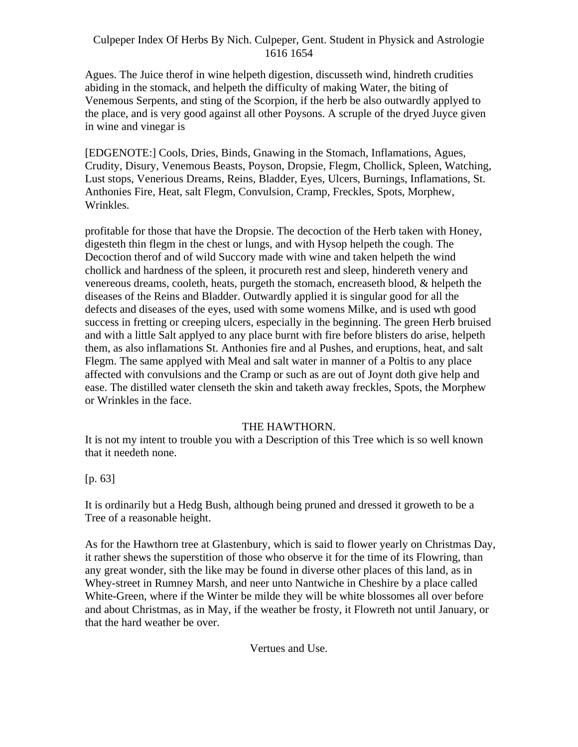Agues. The Juice therof in wine helpeth digestion, discusseth wind, hindreth crudities abiding in the stomack, and helpeth the difficulty of making Water, the biting of Venemous Serpents, and sting of the Scorpion, if the herb be also outwardly applyed to the place, and is very good against all other Poysons. A scruple of the dryed Juyce given in wine and vinegar is

[EDGENOTE:] Cools, Dries, Binds, Gnawing in the Stomach, Inflamations, Agues, Crudity, Disury, Venemous Beasts, Poyson, Dropsie, Flegm, Chollick, Spleen, Watching, Lust stops, Venerious Dreams, Reins, Bladder, Eyes, Ulcers, Burnings, Inflamations, St. Anthonies Fire, Heat, salt Flegm, Convulsion, Cramp, Freckles, Spots, Morphew, Wrinkles.

profitable for those that have the Dropsie. The decoction of the Herb taken with Honey, digesteth thin flegm in the chest or lungs, and with Hysop helpeth the cough. The Decoction therof and of wild Succory made with wine and taken helpeth the wind chollick and hardness of the spleen, it procureth rest and sleep, hindereth venery and venereous dreams, cooleth, heats, purgeth the stomach, encreaseth blood, & helpeth the diseases of the Reins and Bladder. Outwardly applied it is singular good for all the defects and diseases of the eyes, used with some womens Milke, and is used wth good success in fretting or creeping ulcers, especially in the beginning. The green Herb bruised and with a little Salt applyed to any place burnt with fire before blisters do arise, helpeth them, as also inflamations St. Anthonies fire and al Pushes, and eruptions, heat, and salt Flegm. The same applyed with Meal and salt water in manner of a Poltis to any place affected with convulsions and the Cramp or such as are out of Joynt doth give help and ease. The distilled water clenseth the skin and taketh away freckles, Spots, the Morphew or Wrinkles in the face.

#### THE HAWTHORN.

It is not my intent to trouble you with a Description of this Tree which is so well known that it needeth none.

[p. 63]

It is ordinarily but a Hedg Bush, although being pruned and dressed it groweth to be a Tree of a reasonable height.

As for the Hawthorn tree at Glastenbury, which is said to flower yearly on Christmas Day, it rather shews the superstition of those who observe it for the time of its Flowring, than any great wonder, sith the like may be found in diverse other places of this land, as in Whey-street in Rumney Marsh, and neer unto Nantwiche in Cheshire by a place called White-Green, where if the Winter be milde they will be white blossomes all over before and about Christmas, as in May, if the weather be frosty, it Flowreth not until January, or that the hard weather be over.

Vertues and Use.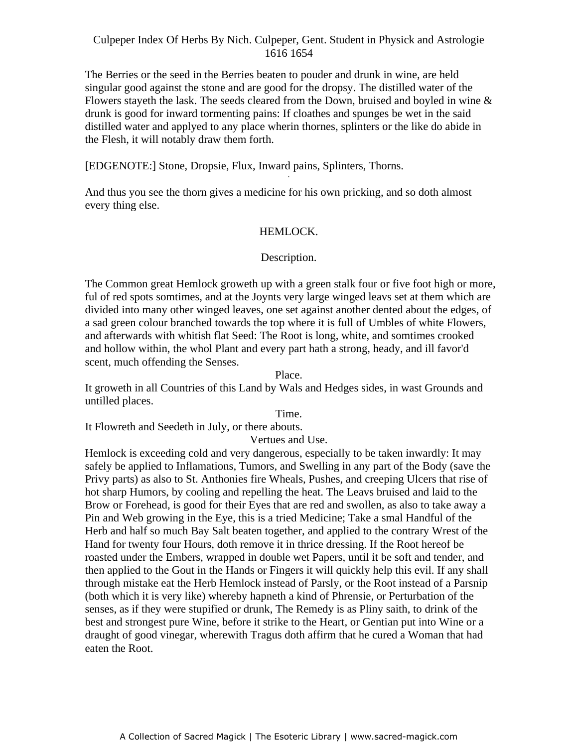The Berries or the seed in the Berries beaten to pouder and drunk in wine, are held singular good against the stone and are good for the dropsy. The distilled water of the Flowers stayeth the lask. The seeds cleared from the Down, bruised and boyled in wine  $\&$ drunk is good for inward tormenting pains: If cloathes and spunges be wet in the said distilled water and applyed to any place wherin thornes, splinters or the like do abide in the Flesh, it will notably draw them forth.

[EDGENOTE:] Stone, Dropsie, Flux, Inward pains, Splinters, Thorns.

And thus you see the thorn gives a medicine for his own pricking, and so doth almost every thing else.

### HEMLOCK.

## Description.

The Common great Hemlock groweth up with a green stalk four or five foot high or more, ful of red spots somtimes, and at the Joynts very large winged leavs set at them which are divided into many other winged leaves, one set against another dented about the edges, of a sad green colour branched towards the top where it is full of Umbles of white Flowers, and afterwards with whitish flat Seed: The Root is long, white, and somtimes crooked and hollow within, the whol Plant and every part hath a strong, heady, and ill favor'd scent, much offending the Senses.

Place.

It groweth in all Countries of this Land by Wals and Hedges sides, in wast Grounds and untilled places.

Time.

It Flowreth and Seedeth in July, or there abouts.

Vertues and Use.

Hemlock is exceeding cold and very dangerous, especially to be taken inwardly: It may safely be applied to Inflamations, Tumors, and Swelling in any part of the Body (save the Privy parts) as also to St. Anthonies fire Wheals, Pushes, and creeping Ulcers that rise of hot sharp Humors, by cooling and repelling the heat. The Leavs bruised and laid to the Brow or Forehead, is good for their Eyes that are red and swollen, as also to take away a Pin and Web growing in the Eye, this is a tried Medicine; Take a smal Handful of the Herb and half so much Bay Salt beaten together, and applied to the contrary Wrest of the Hand for twenty four Hours, doth remove it in thrice dressing. If the Root hereof be roasted under the Embers, wrapped in double wet Papers, until it be soft and tender, and then applied to the Gout in the Hands or Fingers it will quickly help this evil. If any shall through mistake eat the Herb Hemlock instead of Parsly, or the Root instead of a Parsnip (both which it is very like) whereby hapneth a kind of Phrensie, or Perturbation of the senses, as if they were stupified or drunk, The Remedy is as Pliny saith, to drink of the best and strongest pure Wine, before it strike to the Heart, or Gentian put into Wine or a draught of good vinegar, wherewith Tragus doth affirm that he cured a Woman that had eaten the Root.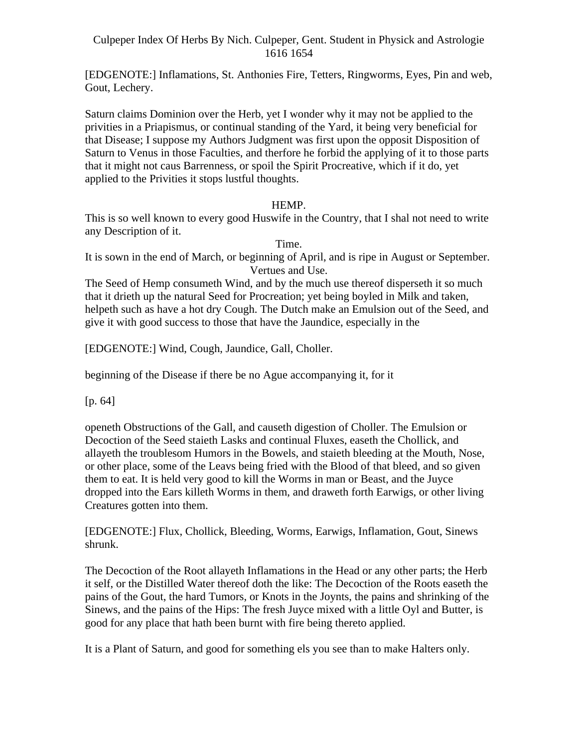[EDGENOTE:] Inflamations, St. Anthonies Fire, Tetters, Ringworms, Eyes, Pin and web, Gout, Lechery.

Saturn claims Dominion over the Herb, yet I wonder why it may not be applied to the privities in a Priapismus, or continual standing of the Yard, it being very beneficial for that Disease; I suppose my Authors Judgment was first upon the opposit Disposition of Saturn to Venus in those Faculties, and therfore he forbid the applying of it to those parts that it might not caus Barrenness, or spoil the Spirit Procreative, which if it do, yet applied to the Privities it stops lustful thoughts.

#### HEMP.

This is so well known to every good Huswife in the Country, that I shal not need to write any Description of it.

Time.

It is sown in the end of March, or beginning of April, and is ripe in August or September. Vertues and Use.

The Seed of Hemp consumeth Wind, and by the much use thereof disperseth it so much that it drieth up the natural Seed for Procreation; yet being boyled in Milk and taken, helpeth such as have a hot dry Cough. The Dutch make an Emulsion out of the Seed, and give it with good success to those that have the Jaundice, especially in the

[EDGENOTE:] Wind, Cough, Jaundice, Gall, Choller.

beginning of the Disease if there be no Ague accompanying it, for it

[p. 64]

openeth Obstructions of the Gall, and causeth digestion of Choller. The Emulsion or Decoction of the Seed staieth Lasks and continual Fluxes, easeth the Chollick, and allayeth the troublesom Humors in the Bowels, and staieth bleeding at the Mouth, Nose, or other place, some of the Leavs being fried with the Blood of that bleed, and so given them to eat. It is held very good to kill the Worms in man or Beast, and the Juyce dropped into the Ears killeth Worms in them, and draweth forth Earwigs, or other living Creatures gotten into them.

[EDGENOTE:] Flux, Chollick, Bleeding, Worms, Earwigs, Inflamation, Gout, Sinews shrunk.

The Decoction of the Root allayeth Inflamations in the Head or any other parts; the Herb it self, or the Distilled Water thereof doth the like: The Decoction of the Roots easeth the pains of the Gout, the hard Tumors, or Knots in the Joynts, the pains and shrinking of the Sinews, and the pains of the Hips: The fresh Juyce mixed with a little Oyl and Butter, is good for any place that hath been burnt with fire being thereto applied.

It is a Plant of Saturn, and good for something els you see than to make Halters only.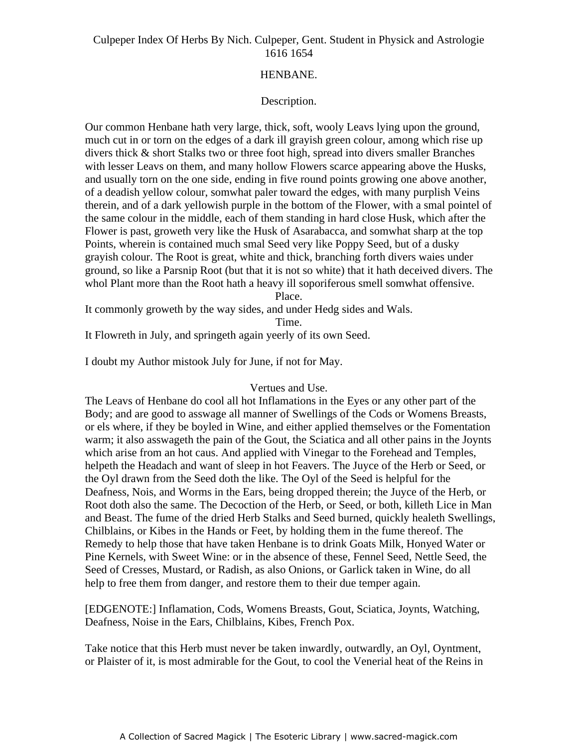### HENBANE.

## Description.

Our common Henbane hath very large, thick, soft, wooly Leavs lying upon the ground, much cut in or torn on the edges of a dark ill grayish green colour, among which rise up divers thick & short Stalks two or three foot high, spread into divers smaller Branches with lesser Leavs on them, and many hollow Flowers scarce appearing above the Husks, and usually torn on the one side, ending in five round points growing one above another, of a deadish yellow colour, somwhat paler toward the edges, with many purplish Veins therein, and of a dark yellowish purple in the bottom of the Flower, with a smal pointel of the same colour in the middle, each of them standing in hard close Husk, which after the Flower is past, groweth very like the Husk of Asarabacca, and somwhat sharp at the top Points, wherein is contained much smal Seed very like Poppy Seed, but of a dusky grayish colour. The Root is great, white and thick, branching forth divers waies under ground, so like a Parsnip Root (but that it is not so white) that it hath deceived divers. The whol Plant more than the Root hath a heavy ill soporiferous smell somwhat offensive.

Place.

It commonly groweth by the way sides, and under Hedg sides and Wals.

Time.

It Flowreth in July, and springeth again yeerly of its own Seed.

I doubt my Author mistook July for June, if not for May.

#### Vertues and Use.

The Leavs of Henbane do cool all hot Inflamations in the Eyes or any other part of the Body; and are good to asswage all manner of Swellings of the Cods or Womens Breasts, or els where, if they be boyled in Wine, and either applied themselves or the Fomentation warm; it also asswageth the pain of the Gout, the Sciatica and all other pains in the Joynts which arise from an hot caus. And applied with Vinegar to the Forehead and Temples, helpeth the Headach and want of sleep in hot Feavers. The Juyce of the Herb or Seed, or the Oyl drawn from the Seed doth the like. The Oyl of the Seed is helpful for the Deafness, Nois, and Worms in the Ears, being dropped therein; the Juyce of the Herb, or Root doth also the same. The Decoction of the Herb, or Seed, or both, killeth Lice in Man and Beast. The fume of the dried Herb Stalks and Seed burned, quickly healeth Swellings, Chilblains, or Kibes in the Hands or Feet, by holding them in the fume thereof. The Remedy to help those that have taken Henbane is to drink Goats Milk, Honyed Water or Pine Kernels, with Sweet Wine: or in the absence of these, Fennel Seed, Nettle Seed, the Seed of Cresses, Mustard, or Radish, as also Onions, or Garlick taken in Wine, do all help to free them from danger, and restore them to their due temper again.

[EDGENOTE:] Inflamation, Cods, Womens Breasts, Gout, Sciatica, Joynts, Watching, Deafness, Noise in the Ears, Chilblains, Kibes, French Pox.

Take notice that this Herb must never be taken inwardly, outwardly, an Oyl, Oyntment, or Plaister of it, is most admirable for the Gout, to cool the Venerial heat of the Reins in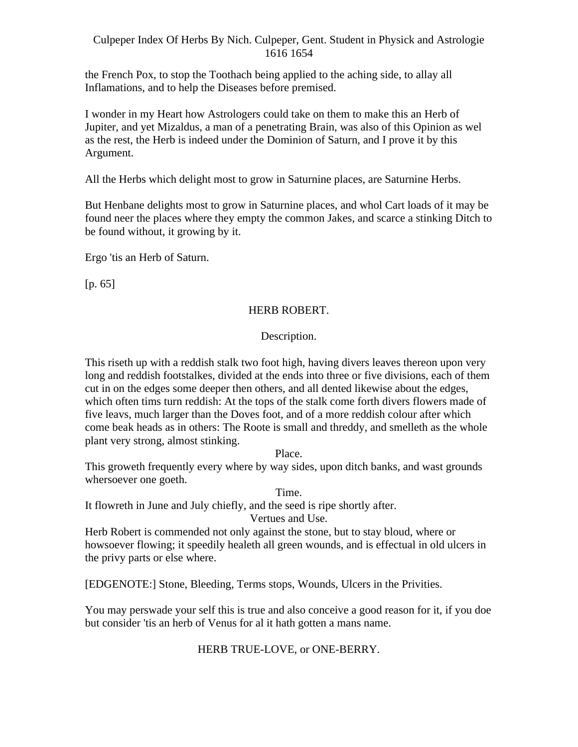the French Pox, to stop the Toothach being applied to the aching side, to allay all Inflamations, and to help the Diseases before premised.

I wonder in my Heart how Astrologers could take on them to make this an Herb of Jupiter, and yet Mizaldus, a man of a penetrating Brain, was also of this Opinion as wel as the rest, the Herb is indeed under the Dominion of Saturn, and I prove it by this Argument.

All the Herbs which delight most to grow in Saturnine places, are Saturnine Herbs.

But Henbane delights most to grow in Saturnine places, and whol Cart loads of it may be found neer the places where they empty the common Jakes, and scarce a stinking Ditch to be found without, it growing by it.

Ergo 'tis an Herb of Saturn.

[p. 65]

### HERB ROBERT.

### Description.

This riseth up with a reddish stalk two foot high, having divers leaves thereon upon very long and reddish footstalkes, divided at the ends into three or five divisions, each of them cut in on the edges some deeper then others, and all dented likewise about the edges, which often tims turn reddish: At the tops of the stalk come forth divers flowers made of five leavs, much larger than the Doves foot, and of a more reddish colour after which come beak heads as in others: The Roote is small and threddy, and smelleth as the whole plant very strong, almost stinking.

Place.

This groweth frequently every where by way sides, upon ditch banks, and wast grounds whersoever one goeth.

Time.

It flowreth in June and July chiefly, and the seed is ripe shortly after.

Vertues and Use.

Herb Robert is commended not only against the stone, but to stay bloud, where or howsoever flowing; it speedily healeth all green wounds, and is effectual in old ulcers in the privy parts or else where.

[EDGENOTE:] Stone, Bleeding, Terms stops, Wounds, Ulcers in the Privities.

You may perswade your self this is true and also conceive a good reason for it, if you doe but consider 'tis an herb of Venus for al it hath gotten a mans name.

## HERB TRUE-LOVE, or ONE-BERRY.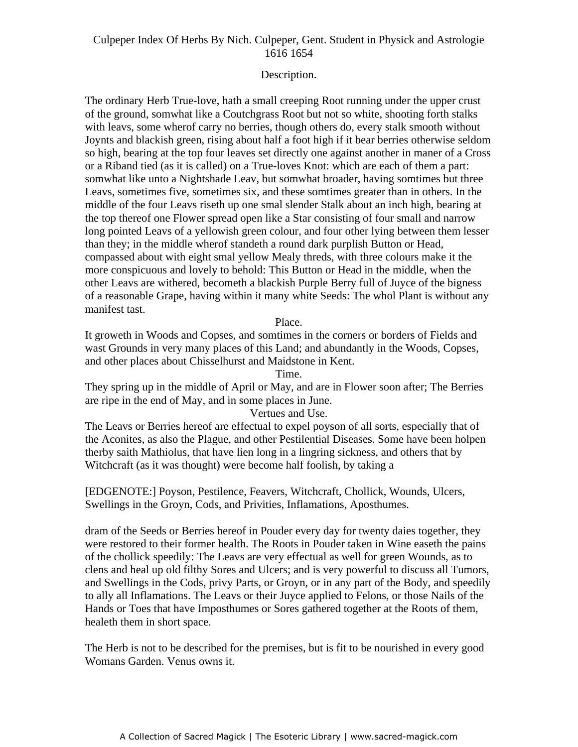#### Description.

The ordinary Herb True-love, hath a small creeping Root running under the upper crust of the ground, somwhat like a Coutchgrass Root but not so white, shooting forth stalks with leavs, some wherof carry no berries, though others do, every stalk smooth without Joynts and blackish green, rising about half a foot high if it bear berries otherwise seldom so high, bearing at the top four leaves set directly one against another in maner of a Cross or a Riband tied (as it is called) on a True-loves Knot: which are each of them a part: som what like unto a Nightshade Leav, but somwhat broader, having somtimes but three Leavs, sometimes five, sometimes six, and these somtimes greater than in others. In the middle of the four Leavs riseth up one smal slender Stalk about an inch high, bearing at the top thereof one Flower spread open like a Star consisting of four small and narrow long pointed Leavs of a yellowish green colour, and four other lying between them lesser than they; in the middle wherof standeth a round dark purplish Button or Head, compassed about with eight smal yellow Mealy threds, with three colours make it the more conspicuous and lovely to behold: This Button or Head in the middle, when the other Leavs are withered, becometh a blackish Purple Berry full of Juyce of the bigness of a reasonable Grape, having within it many white Seeds: The whol Plant is without any manifest tast.

#### Place.

It groweth in Woods and Copses, and somtimes in the corners or borders of Fields and wast Grounds in very many places of this Land; and abundantly in the Woods, Copses, and other places about Chisselhurst and Maidstone in Kent.

Time.

They spring up in the middle of April or May, and are in Flower soon after; The Berries are ripe in the end of May, and in some places in June.

#### Vertues and Use.

The Leavs or Berries hereof are effectual to expel poyson of all sorts, especially that of the Aconites, as also the Plague, and other Pestilential Diseases. Some have been holpen therby saith Mathiolus, that have lien long in a lingring sickness, and others that by Witchcraft (as it was thought) were become half foolish, by taking a

[EDGENOTE:] Poyson, Pestilence, Feavers, Witchcraft, Chollick, Wounds, Ulcers, Swellings in the Groyn, Cods, and Privities, Inflamations, Aposthumes.

dram of the Seeds or Berries hereof in Pouder every day for twenty daies together, they were restored to their former health. The Roots in Pouder taken in Wine easeth the pains of the chollick speedily: The Leavs are very effectual as well for green Wounds, as to clens and heal up old filthy Sores and Ulcers; and is very powerful to discuss all Tumors, and Swellings in the Cods, privy Parts, or Groyn, or in any part of the Body, and speedily to ally all Inflamations. The Leavs or their Juyce applied to Felons, or those Nails of the Hands or Toes that have Imposthumes or Sores gathered together at the Roots of them, healeth them in short space.

The Herb is not to be described for the premises, but is fit to be nourished in every good Womans Garden. Venus owns it.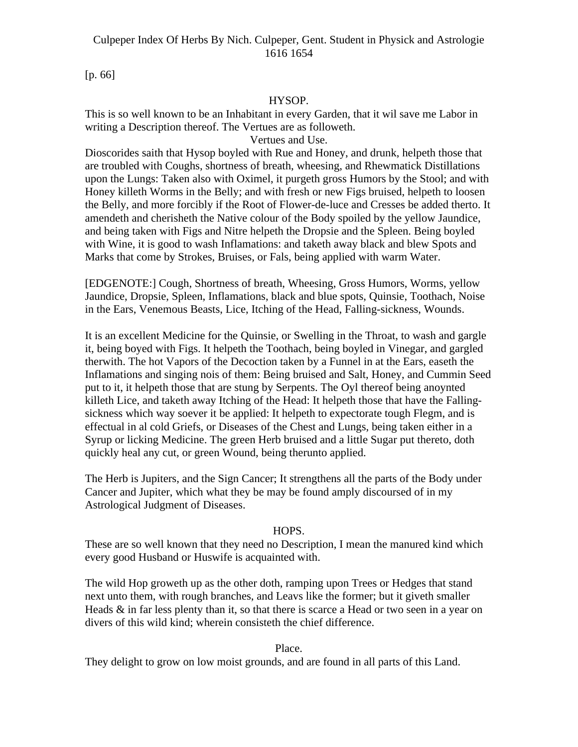[p. 66]

## HYSOP.

This is so well known to be an Inhabitant in every Garden, that it wil save me Labor in writing a Description thereof. The Vertues are as followeth.

Vertues and Use.

Dioscorides saith that Hysop boyled with Rue and Honey, and drunk, helpeth those that are troubled with Coughs, shortness of breath, wheesing, and Rhewmatick Distillations upon the Lungs: Taken also with Oximel, it purgeth gross Humors by the Stool; and with Honey killeth Worms in the Belly; and with fresh or new Figs bruised, helpeth to loosen the Belly, and more forcibly if the Root of Flower-de-luce and Cresses be added therto. It amendeth and cherisheth the Native colour of the Body spoiled by the yellow Jaundice, and being taken with Figs and Nitre helpeth the Dropsie and the Spleen. Being boyled with Wine, it is good to wash Inflamations: and taketh away black and blew Spots and Marks that come by Strokes, Bruises, or Fals, being applied with warm Water.

[EDGENOTE:] Cough, Shortness of breath, Wheesing, Gross Humors, Worms, yellow Jaundice, Dropsie, Spleen, Inflamations, black and blue spots, Quinsie, Toothach, Noise in the Ears, Venemous Beasts, Lice, Itching of the Head, Falling-sickness, Wounds.

It is an excellent Medicine for the Quinsie, or Swelling in the Throat, to wash and gargle it, being boyed with Figs. It helpeth the Toothach, being boyled in Vinegar, and gargled therwith. The hot Vapors of the Decoction taken by a Funnel in at the Ears, easeth the Inflamations and singing nois of them: Being bruised and Salt, Honey, and Cummin Seed put to it, it helpeth those that are stung by Serpents. The Oyl thereof being anoynted killeth Lice, and taketh away Itching of the Head: It helpeth those that have the Falling sickness which way soever it be applied: It helpeth to expectorate tough Flegm, and is effectual in al cold Griefs, or Diseases of the Chest and Lungs, being taken either in a Syrup or licking Medicine. The green Herb bruised and a little Sugar put thereto, doth quickly heal any cut, or green Wound, being therunto applied.

The Herb is Jupiters, and the Sign Cancer; It strengthens all the parts of the Body under Cancer and Jupiter, which what they be may be found amply discoursed of in my Astrological Judgment of Diseases.

#### HOPS.

These are so well known that they need no Description, I mean the manured kind which every good Husband or Huswife is acquainted with.

The wild Hop groweth up as the other doth, ramping upon Trees or Hedges that stand next unto them, with rough branches, and Leavs like the former; but it giveth smaller Heads & in far less plenty than it, so that there is scarce a Head or two seen in a year on divers of this wild kind; wherein consisteth the chief difference.

Place.

They delight to grow on low moist grounds, and are found in all parts of this Land.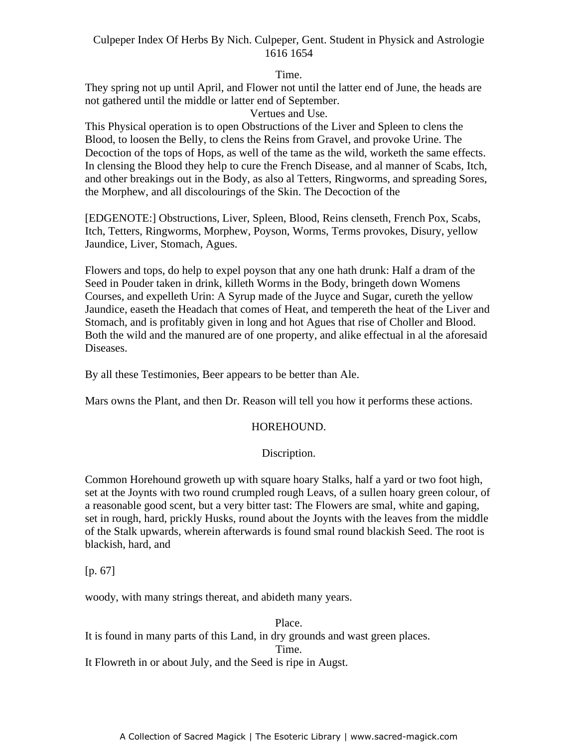Time.

They spring not up until April, and Flower not until the latter end of June, the heads are not gathered until the middle or latter end of September.

Vertues and Use.

This Physical operation is to open Obstructions of the Liver and Spleen to clens the Blood, to loosen the Belly, to clens the Reins from Gravel, and provoke Urine. The Decoction of the tops of Hops, as well of the tame as the wild, worketh the same effects. In clensing the Blood they help to cure the French Disease, and al manner of Scabs, Itch, and other breakings out in the Body, as also al Tetters, Ringworms, and spreading Sores, the Morphew, and all discolourings of the Skin. The Decoction of the

[EDGENOTE:] Obstructions, Liver, Spleen, Blood, Reins clenseth, French Pox, Scabs, Itch, Tetters, Ringworms, Morphew, Poyson, Worms, Terms provokes, Disury, yellow Jaundice, Liver, Stomach, Agues.

Flowers and tops, do help to expel poyson that any one hath drunk: Half a dram of the Seed in Pouder taken in drink, killeth Worms in the Body, bringeth down Womens Courses, and expelleth Urin: A Syrup made of the Juyce and Sugar, cureth the yellow Jaundice, easeth the Headach that comes of Heat, and tempereth the heat of the Liver and Stomach, and is profitably given in long and hot Agues that rise of Choller and Blood. Both the wild and the manured are of one property, and alike effectual in al the aforesaid Diseases.

By all these Testimonies, Beer appears to be better than Ale.

Mars owns the Plant, and then Dr. Reason will tell you how it performs these actions.

## HOREHOUND.

## Discription.

Common Horehound groweth up with square hoary Stalks, half a yard or two foot high, set at the Joynts with two round crumpled rough Leavs, of a sullen hoary green colour, of a reasonable good scent, but a very bitter tast: The Flowers are smal, white and gaping, set in rough, hard, prickly Husks, round about the Joynts with the leaves from the middle of the Stalk upwards, wherein afterwards is found smal round blackish Seed. The root is blackish, hard, and

[p. 67]

woody, with many strings thereat, and abideth many years.

Place. It is found in many parts of this Land, in dry grounds and wast green places.

Time.

It Flowreth in or about July, and the Seed is ripe in Augst.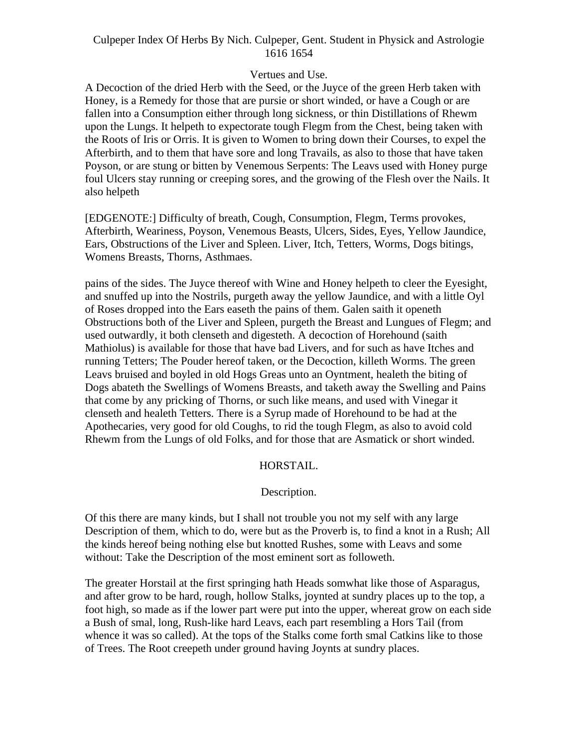#### Vertues and Use.

A Decoction of the dried Herb with the Seed, or the Juyce of the green Herb taken with Honey, is a Remedy for those that are pursie or short winded, or have a Cough or are fallen into a Consumption either through long sickness, or thin Distillations of Rhewm upon the Lungs. It helpeth to expectorate tough Flegm from the Chest, being taken with the Roots of Iris or Orris. It is given to Women to bring down their Courses, to expel the Afterbirth, and to them that have sore and long Travails, as also to those that have taken Poyson, or are stung or bitten by Venemous Serpents: The Leavs used with Honey purge foul Ulcers stay running or creeping sores, and the growing of the Flesh over the Nails. It also helpeth

[EDGENOTE:] Difficulty of breath, Cough, Consumption, Flegm, Terms provokes, Afterbirth, Weariness, Poyson, Venemous Beasts, Ulcers, Sides, Eyes, Yellow Jaundice, Ears, Obstructions of the Liver and Spleen. Liver, Itch, Tetters, Worms, Dogs bitings, Womens Breasts, Thorns, Asthmaes.

pains of the sides. The Juyce thereof with Wine and Honey helpeth to cleer the Eyesight, and snuffed up into the Nostrils, purgeth away the yellow Jaundice, and with a little Oyl of Roses dropped into the Ears easeth the pains of them. Galen saith it openeth Obstructions both of the Liver and Spleen, purgeth the Breast and Lungues of Flegm; and used outwardly, it both clenseth and digesteth. A decoction of Horehound (saith Mathiolus) is available for those that have bad Livers, and for such as have Itches and running Tetters; The Pouder hereof taken, or the Decoction, killeth Worms. The green Leavs bruised and boyled in old Hogs Greas unto an Oyntment, healeth the biting of Dogs abateth the Swellings of Womens Breasts, and taketh away the Swelling and Pains that come by any pricking of Thorns, or such like means, and used with Vinegar it clenseth and healeth Tetters. There is a Syrup made of Horehound to be had at the Apothecaries, very good for old Coughs, to rid the tough Flegm, as also to avoid cold Rhewm from the Lungs of old Folks, and for those that are Asmatick or short winded.

#### HORSTAIL.

#### Description.

Of this there are many kinds, but I shall not trouble you not my self with any large Description of them, which to do, were but as the Proverb is, to find a knot in a Rush; All the kinds hereof being nothing else but knotted Rushes, some with Leavs and some without: Take the Description of the most eminent sort as followeth.

The greater Horstail at the first springing hath Heads somwhat like those of Asparagus, and after grow to be hard, rough, hollow Stalks, joynted at sundry places up to the top, a foot high, so made as if the lower part were put into the upper, whereat grow on each side a Bush of smal, long, Rush-like hard Leavs, each part resembling a Hors Tail (from whence it was so called). At the tops of the Stalks come forth smal Catkins like to those of Trees. The Root creepeth under ground having Joynts at sundry places.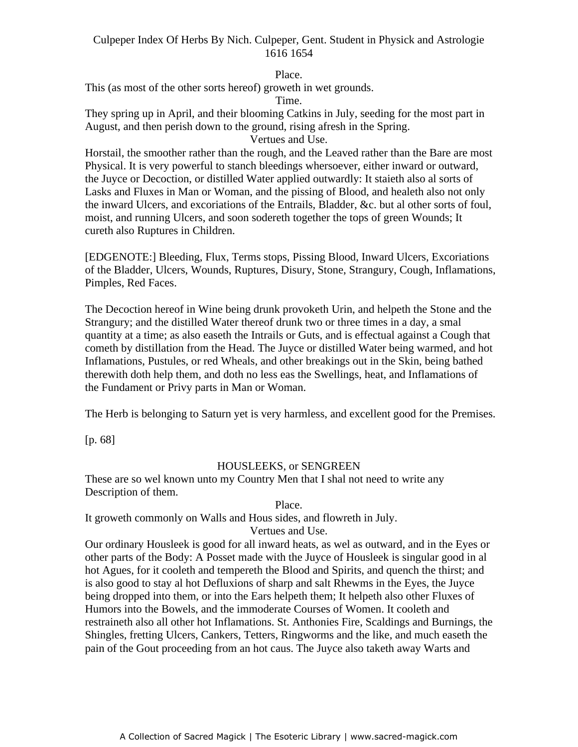## Place.

This (as most of the other sorts hereof) groweth in wet grounds.

#### Time.

They spring up in April, and their blooming Catkins in July, seeding for the most part in August, and then perish down to the ground, rising afresh in the Spring.

Vertues and Use.

Horstail, the smoother rather than the rough, and the Leaved rather than the Bare are most Physical. It is very powerful to stanch bleedings whersoever, either inward or outward, the Juyce or Decoction, or distilled Water applied outwardly: It staieth also al sorts of - Lasks and Fluxes in Man or Woman, and the pissing of Blood, and healeth also not only the inward Ulcers, and excoriations of the Entrails, Bladder, &c. but al other sorts of foul, moist, and running Ulcers, and soon sodereth together the tops of green Wounds; It cureth also Ruptures in Children.

[EDGENOTE:] Bleeding, Flux, Terms stops, Pissing Blood, Inward Ulcers, Excoriations of the Bladder, Ulcers, Wounds, Ruptures, Disury, Stone, Strangury, Cough, Inflamations, Pimples, Red Faces.

The Decoction hereof in Wine being drunk provoketh Urin, and helpeth the Stone and the Strangury; and the distilled Water thereof drunk two or three times in a day, a smal quantity at a time; as also easeth the Intrails or Guts, and is effectual against a Cough that cometh by distillation from the Head. The Juyce or distilled Water being warmed, and hot Inflamations, Pustules, or red Wheals, and other breakings out in the Skin, being bathed therewith doth help them, and doth no less eas the Swellings, heat, and Inflamations of the Fundament or Privy parts in Man or Woman.

The Herb is belonging to Saturn yet is very harmless, and excellent good for the Premises.

[p. 68]

## HOUSLEEKS, or SENGREEN

These are so wel known unto my Country Men that I shal not need to write any Description of them.

Place.

It groweth commonly on Walls and Hous sides, and flowreth in July.

Vertues and Use.

Our ordinary Housleek is good for all inward heats, as wel as outward, and in the Eyes or other parts of the Body: A Posset made with the Juyce of Housleek is singular good in al hot Agues, for it cooleth and tempereth the Blood and Spirits, and quench the thirst; and is also good to stay al hot Defluxions of sharp and salt Rhewms in the Eyes, the Juyce being dropped into them, or into the Ears helpeth them; It helpeth also other Fluxes of Humors into the Bowels, and the immoderate Courses of Women. It cooleth and restraineth also all other hot Inflamations. St. Anthonies Fire, Scaldings and Burnings, the Shingles, fretting Ulcers, Cankers, Tetters, Ringworms and the like, and much easeth the pain of the Gout proceeding from an hot caus. The Juyce also taketh away Warts and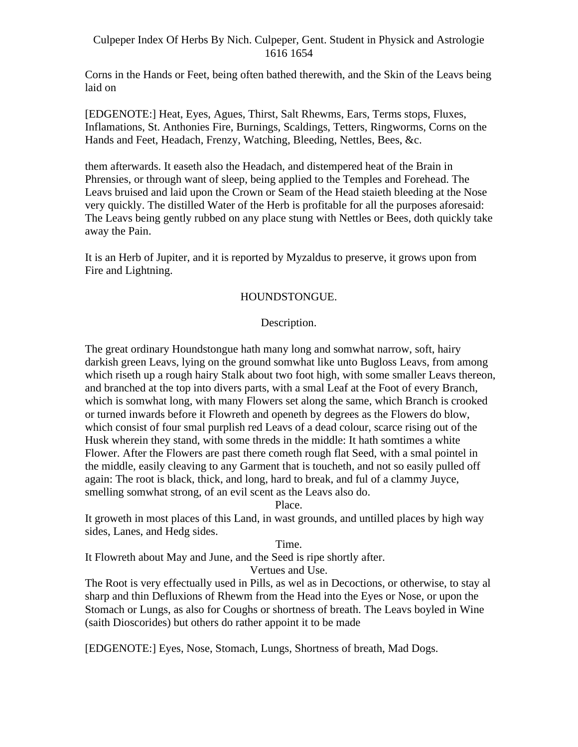Corns in the Hands or Feet, being often bathed therewith, and the Skin of the Leavs being laid on

[EDGENOTE:] Heat, Eyes, Agues, Thirst, Salt Rhewms, Ears, Terms stops, Fluxes, Inflamations, St. Anthonies Fire, Burnings, Scaldings, Tetters, Ringworms, Corns on the Hands and Feet, Headach, Frenzy, Watching, Bleeding, Nettles, Bees, &c.

them afterwards. It easeth also the Headach, and distempered heat of the Brain in Phrensies, or through want of sleep, being applied to the Temples and Forehead. The Leavs bruised and laid upon the Crown or Seam of the Head staieth bleeding at the Nose very quickly. The distilled Water of the Herb is profitable for all the purposes aforesaid: The Leavs being gently rubbed on any place stung with Nettles or Bees, doth quickly take away the Pain.

It is an Herb of Jupiter, and it is reported by Myzaldus to preserve, it grows upon from Fire and Lightning.

## HOUNDSTONGUE.

### Description.

The great ordinary Houndstongue hath many long and somwhat narrow, soft, hairy darkish green Leavs, lying on the ground somwhat like unto Bugloss Leavs, from among which riseth up a rough hairy Stalk about two foot high, with some smaller Leavs thereon, and branched at the top into divers parts, with a smal Leaf at the Foot of every Branch, which is somwhat long, with many Flowers set along the same, which Branch is crooked or turned inwards before it Flowreth and openeth by degrees as the Flowers do blow, which consist of four smal purplish red Leavs of a dead colour, scarce rising out of the Husk wherein they stand, with some threds in the middle: It hath somtimes a white Flower. After the Flowers are past there cometh rough flat Seed, with a smal pointel in the middle, easily cleaving to any Garment that is toucheth, and not so easily pulled off again: The root is black, thick, and long, hard to break, and ful of a clammy Juyce, smelling somwhat strong, of an evil scent as the Leavs also do.

Place.

It groweth in most places of this Land, in wast grounds, and untilled places by high way sides, Lanes, and Hedg sides.

Time.

It Flowreth about May and June, and the Seed is ripe shortly after.

Vertues and Use.

The Root is very effectually used in Pills, as wel as in Decoctions, or otherwise, to stay al sharp and thin Defluxions of Rhewm from the Head into the Eyes or Nose, or upon the Stomach or Lungs, as also for Coughs or shortness of breath. The Leavs boyled in Wine (saith Dioscorides) but others do rather appoint it to be made

[EDGENOTE:] Eyes, Nose, Stomach, Lungs, Shortness of breath, Mad Dogs.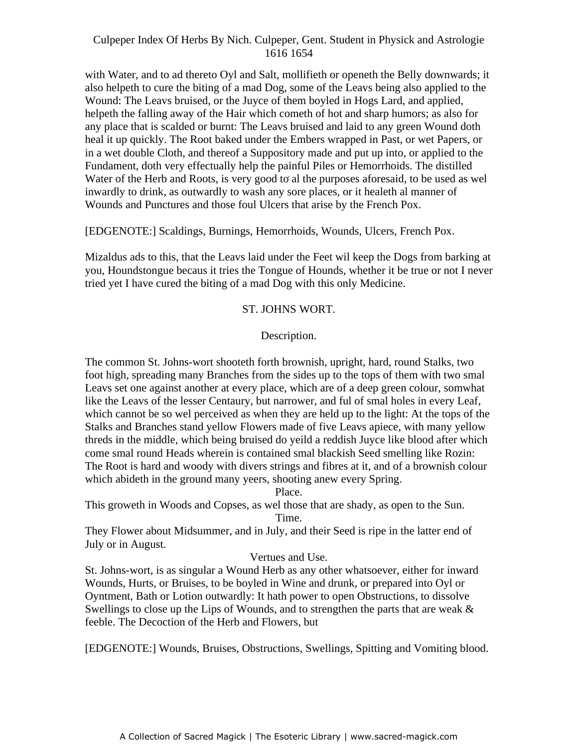with Water, and to ad thereto Oyl and Salt, mollifieth or openeth the Belly downwards; it also helpeth to cure the biting of a mad Dog, some of the Leavs being also applied to the Wound: The Leavs bruised, or the Juyce of them boyled in Hogs Lard, and applied, helpeth the falling away of the Hair which cometh of hot and sharp humors; as also for any place that is scalded or burnt: The Leavs bruised and laid to any green Wound doth heal it up quickly. The Root baked under the Embers wrapped in Past, or wet Papers, or in a wet double Cloth, and thereof a Suppository made and put up into, or applied to the Fundament, doth very effectually help the painful Piles or Hemorrhoids. The distilled Water of the Herb and Roots, is very good to al the purposes aforesaid, to be used as wel inwardly to drink, as outwardly to wash any sore places, or it healeth al manner of Wounds and Punctures and those foul Ulcers that arise by the French Pox.

[EDGENOTE:] Scaldings, Burnings, Hemorrhoids, Wounds, Ulcers, French Pox.

Mizaldus ads to this, that the Leavs laid under the Feet wil keep the Dogs from barking at you, Houndstongue becaus it tries the Tongue of Hounds, whether it be true or not I never tried yet I have cured the biting of a mad Dog with this only Medicine.

### ST. JOHNS WORT.

### Description.

The common St. Johns-wort shooteth forth brownish, upright, hard, round Stalks, two foot high, spreading many Branches from the sides up to the tops of them with two smal Leavs set one against another at every place, which are of a deep green colour, somwhat like the Leavs of the lesser Centaury, but narrower, and ful of smal holes in every Leaf, which cannot be so wel perceived as when they are held up to the light: At the tops of the Stalks and Branches stand yellow Flowers made of five Leavs apiece, with many yellow threds in the middle, which being bruised do yeild a reddish Juyce like blood after which come smal round Heads wherein is contained smal blackish Seed smelling like Rozin: The Root is hard and woody with divers strings and fibres at it, and of a brownish colour which abideth in the ground many yeers, shooting anew every Spring.

Place.

This groweth in Woods and Copses, as wel those that are shady, as open to the Sun.

Time.

They Flower about Midsummer, and in July, and their Seed is ripe in the latter end of July or in August.

## Vertues and Use.

St. Johns-wort, is as singular a Wound Herb as any other whatsoever, either for inward Wounds, Hurts, or Bruises, to be boyled in Wine and drunk, or prepared into Oyl or Oyntment, Bath or Lotion outwardly: It hath power to open Obstructions, to dissolve Swellings to close up the Lips of Wounds, and to strengthen the parts that are weak  $\&$ feeble. The Decoction of the Herb and Flowers, but

[EDGENOTE:] Wounds, Bruises, Obstructions, Swellings, Spitting and Vomiting blood.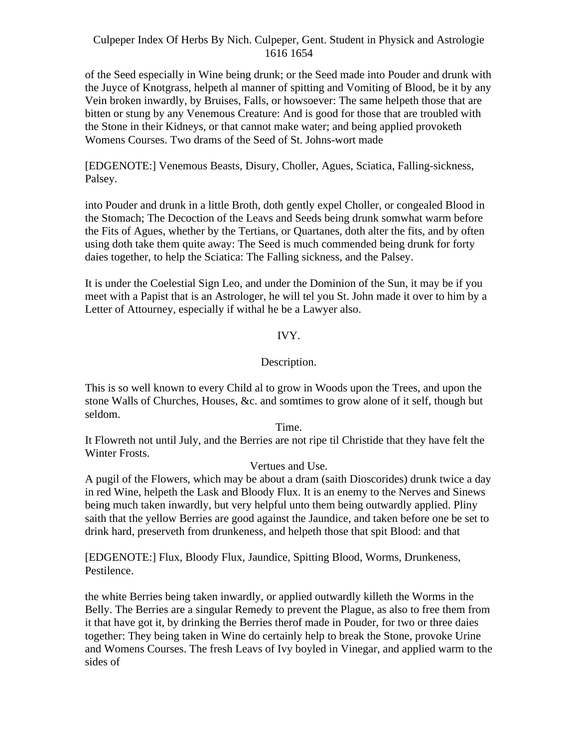of the Seed especially in Wine being drunk; or the Seed made into Pouder and drunk with the Juyce of Knotgrass, helpeth al manner of spitting and Vomiting of Blood, be it by any Vein broken inwardly, by Bruises, Falls, or howsoever: The same helpeth those that are bitten or stung by any Venemous Creature: And is good for those that are troubled with the Stone in their Kidneys, or that cannot make water; and being applied provoketh Womens Courses. Two drams of the Seed of St. Johns-wort made

[EDGENOTE:] Venemous Beasts, Disury, Choller, Agues, Sciatica, Falling-sickness, Palsey.

into Pouder and drunk in a little Broth, doth gently expel Choller, or congealed Blood in the Stomach; The Decoction of the Leavs and Seeds being drunk somwhat warm before the Fits of Agues, whether by the Tertians, or Quartanes, doth alter the fits, and by often using doth take them quite away: The Seed is much commended being drunk for forty daies together, to help the Sciatica: The Falling sickness, and the Palsey.

It is under the Coelestial Sign Leo, and under the Dominion of the Sun, it may be if you meet with a Papist that is an Astrologer, he will tel you St. John made it over to him by a Letter of Attourney, especially if withal he be a Lawyer also.

### IVY.

### Description.

This is so well known to every Child al to grow in Woods upon the Trees, and upon the stone Walls of Churches, Houses, &c. and somtimes to grow alone of it self, though but seldom.

#### Time.

It Flowreth not until July, and the Berries are not ripe til Christide that they have felt the Winter Frosts.

#### Vertues and Use.

A pugil of the Flowers, which may be about a dram (saith Dioscorides) drunk twice a day in red Wine, helpeth the Lask and Bloody Flux. It is an enemy to the Nerves and Sinews being much taken inwardly, but very helpful unto them being outwardly applied. Pliny saith that the yellow Berries are good against the Jaundice, and taken before one be set to drink hard, preserveth from drunkeness, and helpeth those that spit Blood: and that

[EDGENOTE:] Flux, Bloody Flux, Jaundice, Spitting Blood, Worms, Drunkeness, Pestilence.

the white Berries being taken inwardly, or applied outwardly killeth the Worms in the Belly. The Berries are a singular Remedy to prevent the Plague, as also to free them from it that have got it, by drinking the Berries therof made in Pouder, for two or three daies together: They being taken in Wine do certainly help to break the Stone, provoke Urine and Womens Courses. The fresh Leavs of Ivy boyled in Vinegar, and applied warm to the sides of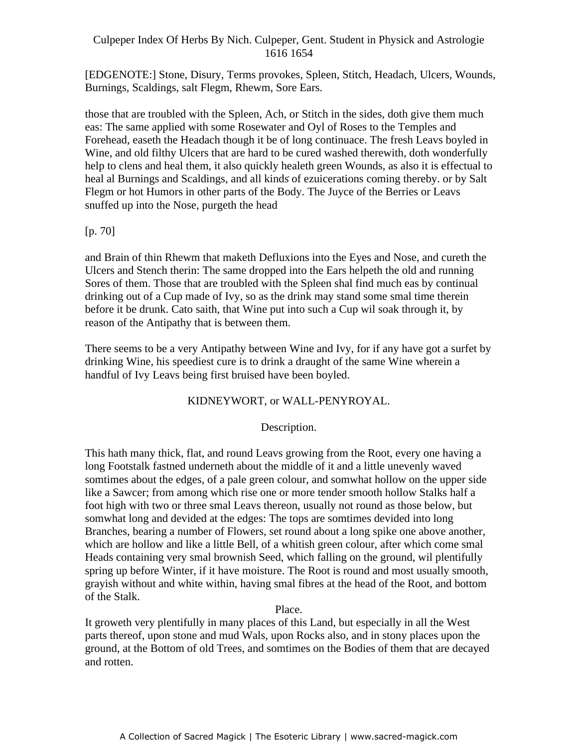[EDGENOTE:] Stone, Disury, Terms provokes, Spleen, Stitch, Headach, Ulcers, Wounds, Burnings, Scaldings, salt Flegm, Rhewm, Sore Ears.

those that are troubled with the Spleen, Ach, or Stitch in the sides, doth give them much eas: The same applied with some Rosewater and Oyl of Roses to the Temples and Forehead, easeth the Headach though it be of long continuace. The fresh Leavs boyled in Wine, and old filthy Ulcers that are hard to be cured washed therewith, doth wonderfully help to clens and heal them, it also quickly healeth green Wounds, as also it is effectual to heal al Burnings and Scaldings, and all kinds of ezuicerations coming thereby. or by Salt Flegm or hot Humors in other parts of the Body. The Juyce of the Berries or Leavs snuffed up into the Nose, purgeth the head

[p. 70]

and Brain of thin Rhewm that maketh Defluxions into the Eyes and Nose, and cureth the Ulcers and Stench therin: The same dropped into the Ears helpeth the old and running Sores of them. Those that are troubled with the Spleen shal find much eas by continual drinking out of a Cup made of Ivy, so as the drink may stand some smal time therein before it be drunk. Cato saith, that Wine put into such a Cup wil soak through it, by reason of the Antipathy that is between them.

There seems to be a very Antipathy between Wine and Ivy, for if any have got a surfet by drinking Wine, his speediest cure is to drink a draught of the same Wine wherein a handful of Ivy Leavs being first bruised have been boyled.

## KIDNEYWORT, or WALL-PENYROYAL.

# Description.

This hath many thick, flat, and round Leavs growing from the Root, every one having a long Footstalk fastned underneth about the middle of it and a little unevenly waved somtimes about the edges, of a pale green colour, and somwhat hollow on the upper side like a Sawcer; from among which rise one or more tender smooth hollow Stalks half a foot high with two or three smal Leavs thereon, usually not round as those below, but somwhat long and devided at the edges: The tops are somtimes devided into long Branches, bearing a number of Flowers, set round about a long spike one above another, which are hollow and like a little Bell, of a whitish green colour, after which come smal Heads containing very smal brownish Seed, which falling on the ground, wil plentifully spring up before Winter, if it have moisture. The Root is round and most usually smooth, grayish without and white within, having smal fibres at the head of the Root, and bottom of the Stalk.

## Place.

It groweth very plentifully in many places of this Land, but especially in all the West parts thereof, upon stone and mud Wals, upon Rocks also, and in stony places upon the ground, at the Bottom of old Trees, and somtimes on the Bodies of them that are decayed and rotten.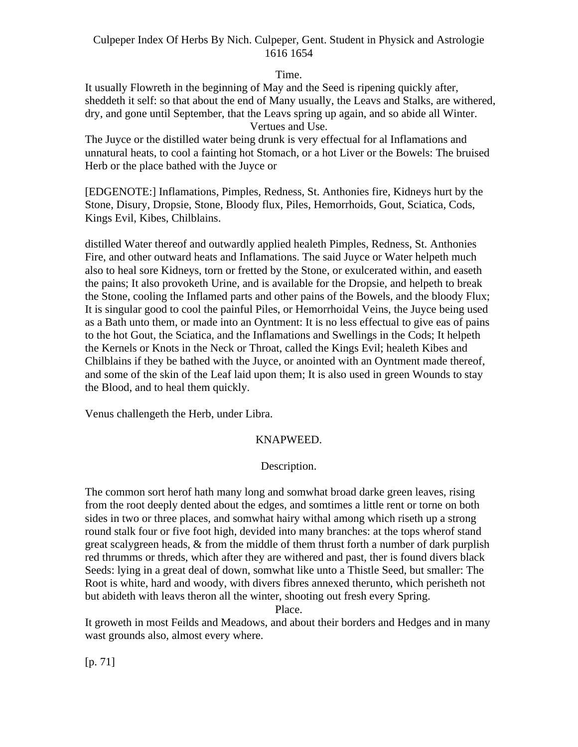Time.

It usually Flowreth in the beginning of May and the Seed is ripening quickly after, sheddeth it self: so that about the end of Many usually, the Leavs and Stalks, are withered, dry, and gone until September, that the Leavs spring up again, and so abide all Winter. Vertues and Use.

The Juyce or the distilled water being drunk is very effectual for al Inflamations and unnatural heats, to cool a fainting hot Stomach, or a hot Liver or the Bowels: The bruised Herb or the place bathed with the Juyce or

[EDGENOTE:] Inflamations, Pimples, Redness, St. Anthonies fire, Kidneys hurt by the Stone, Disury, Dropsie, Stone, Bloody flux, Piles, Hemorrhoids, Gout, Sciatica, Cods, Kings Evil, Kibes, Chilblains.

distilled Water thereof and outwardly applied healeth Pimples, Redness, St. Anthonies Fire, and other outward heats and Inflamations. The said Juyce or Water helpeth much also to heal sore Kidneys, torn or fretted by the Stone, or exulcerated within, and easeth the pains; It also provoketh Urine, and is available for the Dropsie, and helpeth to break the Stone, cooling the Inflamed parts and other pains of the Bowels, and the bloody Flux; It is singular good to cool the painful Piles, or Hemorrhoidal Veins, the Juyce being used as a Bath unto them, or made into an Oyntment: It is no less effectual to give eas of pains to the hot Gout, the Sciatica, and the Inflamations and Swellings in the Cods; It helpeth the Kernels or Knots in the Neck or Throat, called the Kings Evil; healeth Kibes and Chilblains if they be bathed with the Juyce, or anointed with an Oyntment made thereof, and some of the skin of the Leaf laid upon them; It is also used in green Wounds to stay the Blood, and to heal them quickly.

Venus challengeth the Herb, under Libra.

# KNAPWEED.

# Description.

The common sort herof hath many long and somwhat broad darke green leaves, rising from the root deeply dented about the edges, and somtimes a little rent or torne on both sides in two or three places, and somwhat hairy withal among which riseth up a strong round stalk four or five foot high, devided into many branches: at the tops wherof stand great scalygreen heads, & from the middle of them thrust forth a number of dark purplish red thrumms or threds, which after they are withered and past, ther is found divers black Seeds: lying in a great deal of down, somwhat like unto a Thistle Seed, but smaller: The Root is white, hard and woody, with divers fibres annexed therunto, which perisheth not but abideth with leavs theron all the winter, shooting out fresh every Spring.

Place.

It groweth in most Feilds and Meadows, and about their borders and Hedges and in many wast grounds also, almost every where.

[p. 71]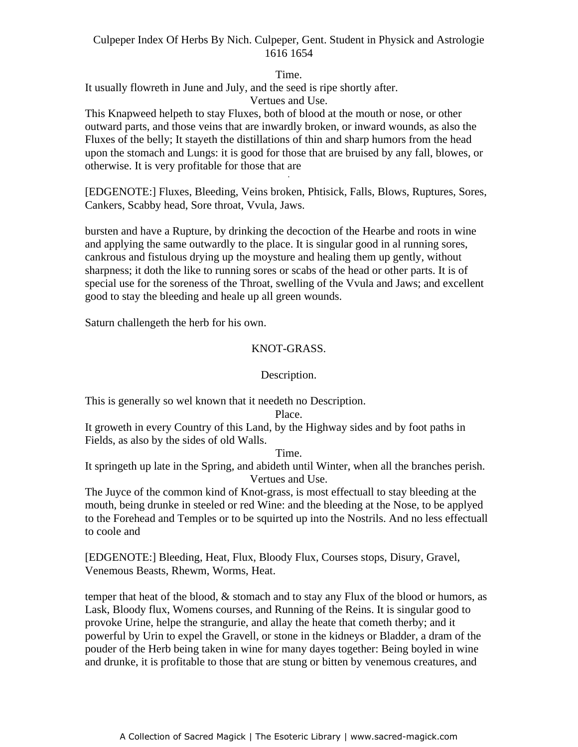Time.

It usually flowreth in June and July, and the seed is ripe shortly after.

Vertues and Use.

This Knapweed helpeth to stay Fluxes, both of blood at the mouth or nose, or other outward parts, and those veins that are inwardly broken, or inward wounds, as also the Fluxes of the belly; It stayeth the distillations of thin and sharp humors from the head upon the stomach and Lungs: it is good for those that are bruised by any fall, blowes, or otherwise. It is very profitable for those that are

[EDGENOTE:] Fluxes, Bleeding, Veins broken, Phtisick, Falls, Blows, Ruptures, Sores, Cankers, Scabby head, Sore throat, Vvula, Jaws.

bursten and have a Rupture, by drinking the decoction of the Hearbe and roots in wine and applying the same outwardly to the place. It is singular good in al running sores, cankrous and fistulous drying up the moysture and healing them up gently, without sharpness; it doth the like to running sores or scabs of the head or other parts. It is of special use for the soreness of the Throat, swelling of the Vvula and Jaws; and excellent good to stay the bleeding and heale up all green wounds.

Saturn challengeth the herb for his own.

# KNOT-GRASS.

# Description.

This is generally so wel known that it needeth no Description.

#### Place.

It groweth in every Country of this Land, by the Highway sides and by foot paths in Fields, as also by the sides of old Walls.

Time.

It springeth up late in the Spring, and abideth until Winter, when all the branches perish. Vertues and Use.

The Juyce of the common kind of Knot-grass, is most effectuall to stay bleeding at the mouth, being drunke in steeled or red Wine: and the bleeding at the Nose, to be applyed to the Forehead and Temples or to be squirted up into the Nostrils. And no less effectuall to coole and

[EDGENOTE:] Bleeding, Heat, Flux, Bloody Flux, Courses stops, Disury, Gravel, Venemous Beasts, Rhewm, Worms, Heat.

temper that heat of the blood, & stomach and to stay any Flux of the blood or humors, as Lask, Bloody flux, Womens courses, and Running of the Reins. It is singular good to provoke Urine, helpe the strangurie, and allay the heate that cometh therby; and it powerful by Urin to expel the Gravell, or stone in the kidneys or Bladder, a dram of the pouder of the Herb being taken in wine for many dayes together: Being boyled in wine and drunke, it is profitable to those that are stung or bitten by venemous creatures, and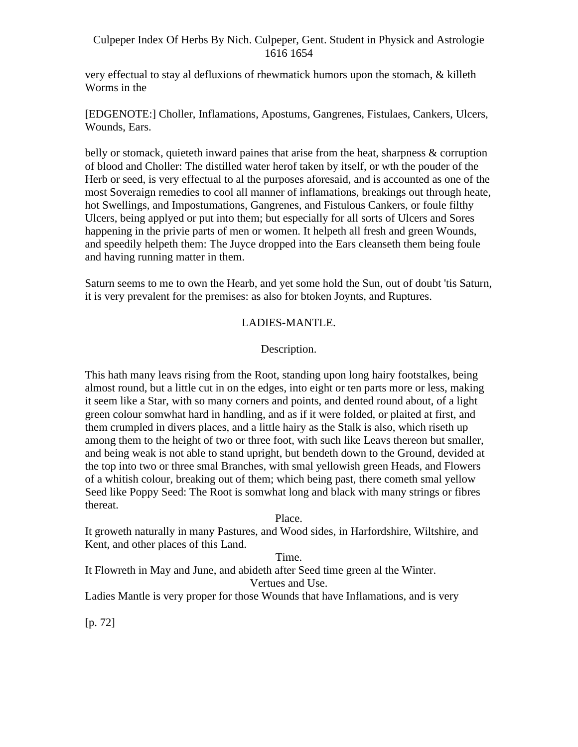very effectual to stay al defluxions of rhewmatick humors upon the stomach, & killeth Worms in the

[EDGENOTE:] Choller, Inflamations, Apostums, Gangrenes, Fistulaes, Cankers, Ulcers, Wounds, Ears.

belly or stomack, quieteth inward paines that arise from the heat, sharpness & corruption of blood and Choller: The distilled water herof taken by itself, or wth the pouder of the Herb or seed, is very effectual to al the purposes aforesaid, and is accounted as one of the most Soveraign remedies to cool all manner of inflamations, breakings out through heate, hot Swellings, and Impostumations, Gangrenes, and Fistulous Cankers, or foule filthy Ulcers, being applyed or put into them; but especially for all sorts of Ulcers and Sores happening in the privie parts of men or women. It helpeth all fresh and green Wounds, and speedily helpeth them: The Juyce dropped into the Ears cleanseth them being foule and having running matter in them.

Saturn seems to me to own the Hearb, and yet some hold the Sun, out of doubt 'tis Saturn, it is very prevalent for the premises: as also for btoken Joynts, and Ruptures.

# LADIES-MANTLE.

# Description.

This hath many leavs rising from the Root, standing upon long hairy footstalkes, being almost round, but a little cut in on the edges, into eight or ten parts more or less, making it seem like a Star, with so many corners and points, and dented round about, of a light green colour somwhat hard in handling, and as if it were folded, or plaited at first, and them crumpled in divers places, and a little hairy as the Stalk is also, which riseth up among them to the height of two or three foot, with such like Leavs thereon but smaller, and being weak is not able to stand upright, but bendeth down to the Ground, devided at the top into two or three smal Branches, with smal yellowish green Heads, and Flowers of a whitish colour, breaking out of them; which being past, there cometh smal yellow Seed like Poppy Seed: The Root is somwhat long and black with many strings or fibres thereat.

# Place.

It groweth naturally in many Pastures, and Wood sides, in Harfordshire, Wiltshire, and Kent, and other places of this Land.

# Time.

It Flowreth in May and June, and abideth after Seed time green al the Winter.

Vertues and Use.

Ladies Mantle is very proper for those Wounds that have Inflamations, and is very

[p. 72]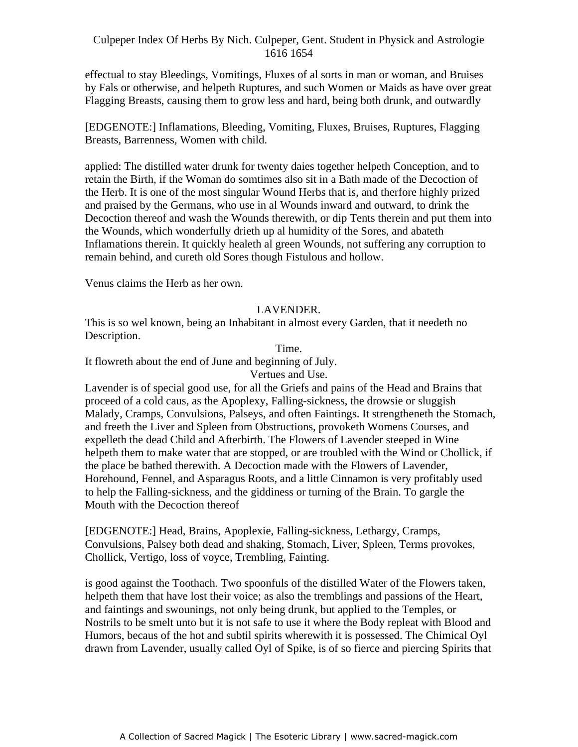effectual to stay Bleedings, Vomitings, Fluxes of al sorts in man or woman, and Bruises by Fals or otherwise, and helpeth Ruptures, and such Women or Maids as have over great Flagging Breasts, causing them to grow less and hard, being both drunk, and outwardly

[EDGENOTE:] Inflamations, Bleeding, Vomiting, Fluxes, Bruises, Ruptures, Flagging Breasts, Barrenness, Women with child.

applied: The distilled water drunk for twenty daies together helpeth Conception, and to experience. The district water thank for twenty dates together helpern conception, and to<br>retain the Birth, if the Woman do somtimes also sit in a Bath made of the Decoction of the Herb. It is one of the most singular Wound Herbs that is, and therfore highly prized and praised by the Germans, who use in al Wounds inward and outward, to drink the Decoction thereof and wash the Wounds therewith, or dip Tents therein and put them into the Wounds, which wonderfully drieth up al humidity of the Sores, and abateth Inflamations therein. It quickly healeth al green Wounds, not suffering any corruption to remain behind, and cureth old Sores though Fistulous and hollow.

Venus claims the Herb as her own.

#### LAVENDER.

This is so wel known, being an Inhabitant in almost every Garden, that it needeth no Description.

Time.

It flowreth about the end of June and beginning of July.

Vertues and Use.

Lavender is of special good use, for all the Griefs and pains of the Head and Brains that proceed of a cold caus, as the Apoplexy, Falling-sickness, the drowsie or sluggish Malady, Cramps, Convulsions, Palseys, and often Faintings. It strengtheneth the Stomach, and freeth the Liver and Spleen from Obstructions, provoketh Womens Courses, and expelleth the dead Child and Afterbirth. The Flowers of Lavender steeped in Wine helpeth them to make water that are stopped, or are troubled with the Wind or Chollick, if the place be bathed therewith. A Decoction made with the Flowers of Lavender, Horehound, Fennel, and Asparagus Roots, and a little Cinnamon is very profitably used to help the Falling-sickness, and the giddiness or turning of the Brain. To gargle the Mouth with the Decoction thereof

[EDGENOTE:] Head, Brains, Apoplexie, Falling-sickness, Lethargy, Cramps, Convulsions, Palsey both dead and shaking, Stomach, Liver, Spleen, Terms provokes, Chollick, Vertigo, loss of voyce, Trembling, Fainting.

is good against the Toothach. Two spoonfuls of the distilled Water of the Flowers taken, helpeth them that have lost their voice; as also the tremblings and passions of the Heart, and faintings and swounings, not only being drunk, but applied to the Temples, or Nostrils to be smelt unto but it is not safe to use it where the Body repleat with Blood and Humors, becaus of the hot and subtil spirits wherewith it is possessed. The Chimical Oyl drawn from Lavender, usually called Oyl of Spike, is of so fierce and piercing Spirits that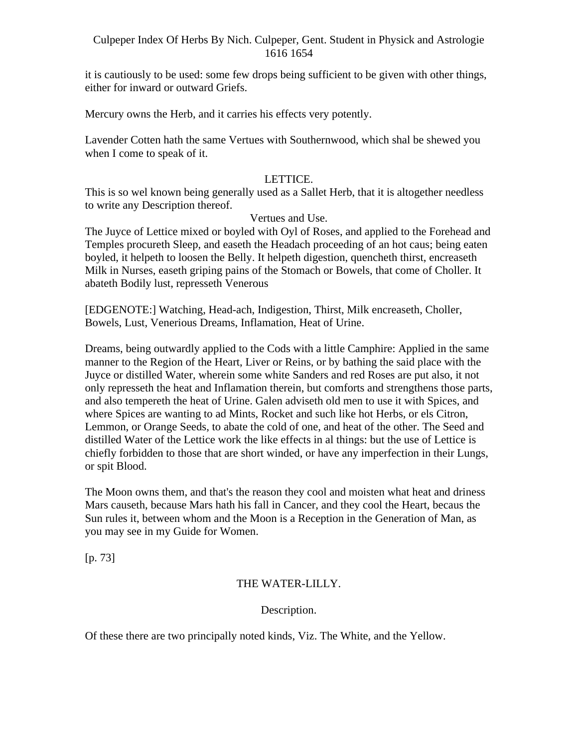it is cautiously to be used: some few drops being sufficient to be given with other things, either for inward or outward Griefs.

Mercury owns the Herb, and it carries his effects very potently.

Lavender Cotten hath the same Vertues with Southernwood, which shal be shewed you when I come to speak of it.

# LETTICE.

This is so wel known being generally used as a Sallet Herb, that it is altogether needless to write any Description thereof.

# Vertues and Use.

The Juyce of Lettice mixed or boyled with Oyl of Roses, and applied to the Forehead and Temples procureth Sleep, and easeth the Headach proceeding of an hot caus; being eaten boyled, it helpeth to loosen the Belly. It helpeth digestion, quencheth thirst, encreaseth Milk in Nurses, easeth griping pains of the Stomach or Bowels, that come of Choller. It abateth Bodily lust, represseth Venerous

[EDGENOTE:] Watching, Head-ach, Indigestion, Thirst, Milk encreaseth, Choller, Bowels, Lust, Venerious Dreams, Inflamation, Heat of Urine.

Dreams, being outwardly applied to the Cods with a little Camphire: Applied in the same manner to the Region of the Heart, Liver or Reins, or by bathing the said place with the Juyce or distilled Water, wherein some white Sanders and red Roses are put also, it not only represseth the heat and Inflamation therein, but comforts and strengthens those parts, and also tempereth the heat of Urine. Galen adviseth old men to use it with Spices, and where Spices are wanting to ad Mints, Rocket and such like hot Herbs, or els Citron, Lemmon, or Orange Seeds, to abate the cold of one, and heat of the other. The Seed and distilled Water of the Lettice work the like effects in al things: but the use of Lettice is chiefly forbidden to those that are short winded, or have any imperfection in their Lungs, or spit Blood.

The Moon owns them, and that's the reason they cool and moisten what heat and driness Mars causeth, because Mars hath his fall in Cancer, and they cool the Heart, becaus the Sun rules it, between whom and the Moon is a Reception in the Generation of Man, as you may see in my Guide for Women.

[p. 73]

# THE WATER-LILLY.

Description.

Of these there are two principally noted kinds, Viz. The White, and the Yellow.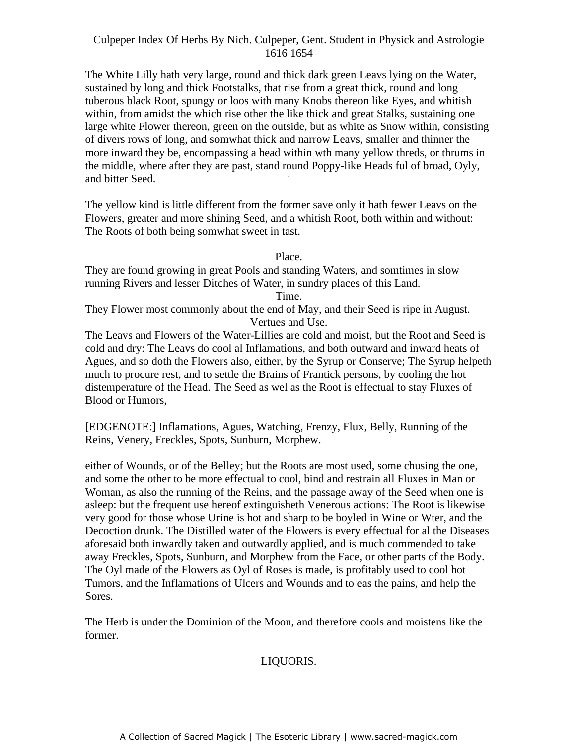The White Lilly hath very large, round and thick dark green Leavs lying on the Water, sustained by long and thick Footstalks, that rise from a great thick, round and long tuberous black Root, spungy or loos with many Knobs thereon like Eyes, and whitish within, from amidst the which rise other the like thick and great Stalks, sustaining one large white Flower thereon, green on the outside, but as white as Snow within, consisting of divers rows of long, and somwhat thick and narrow Leavs, smaller and thinner the more inward they be, encompassing a head within wth many yellow threds, or thrums in the middle, where after they are past, stand round Poppy-like Heads ful of broad, Oyly, and bitter Seed.

The yellow kind is little different from the former save only it hath fewer Leavs on the Flowers, greater and more shining Seed, and a whitish Root, both within and without: The Roots of both being somwhat sweet in tast.

Place.

They are found growing in great Pools and standing Waters, and somtimes in slow running Rivers and lesser Ditches of Water, in sundry places of this Land.

Time.

They Flower most commonly about the end of May, and their Seed is ripe in August. Vertues and Use.

The Leavs and Flowers of the Water-Lillies are cold and moist, but the Root and Seed is cold and dry: The Leavs do cool al Inflamations, and both outward and inward heats of Agues, and so doth the Flowers also, either, by the Syrup or Conserve; The Syrup helpeth much to procure rest, and to settle the Brains of Frantick persons, by cooling the hot distemperature of the Head. The Seed as wel as the Root is effectual to stay Fluxes of Blood or Humors,

[EDGENOTE:] Inflamations, Agues, Watching, Frenzy, Flux, Belly, Running of the Reins, Venery, Freckles, Spots, Sunburn, Morphew.

either of Wounds, or of the Belley; but the Roots are most used, some chusing the one, and some the other to be more effectual to cool, bind and restrain all Fluxes in Man or Woman, as also the running of the Reins, and the passage away of the Seed when one is asleep: but the frequent use hereof extinguisheth Venerous actions: The Root is likewise very good for those whose Urine is hot and sharp to be boyled in Wine or Wter, and the Decoction drunk. The Distilled water of the Flowers is every effectual for al the Diseases aforesaid both inwardly taken and outwardly applied, and is much commended to take away Freckles, Spots, Sunburn, and Morphew from the Face, or other parts of the Body. The Oyl made of the Flowers as Oyl of Roses is made, is profitably used to cool hot Tumors, and the Inflamations of Ulcers and Wounds and to eas the pains, and help the Sores.

The Herb is under the Dominion of the Moon, and therefore cools and moistens like the former.

LIQUORIS.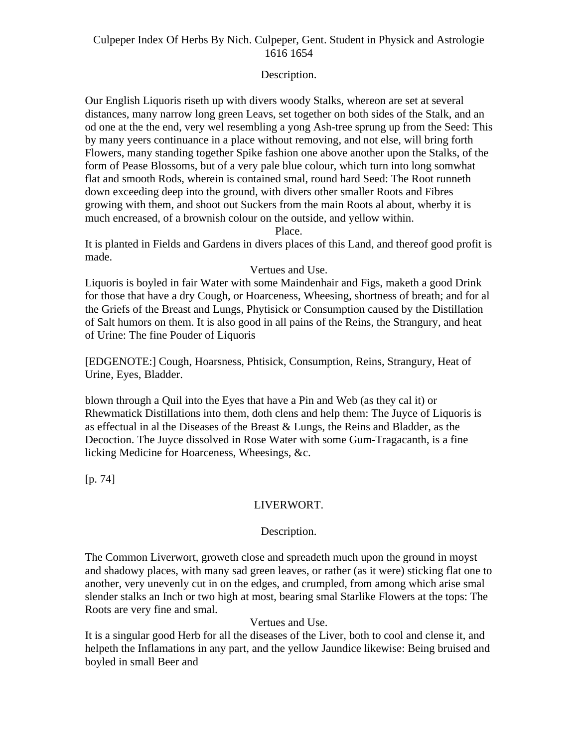# Description.

Our English Liquoris riseth up with divers woody Stalks, whereon are set at several distances, many narrow long green Leavs, set together on both sides of the Stalk, and an od one at the the end, very wel resembling a yong Ash-tree sprung up from the Seed: This by many yeers continuance in a place without removing, and not else, will bring forth Flowers, many standing together Spike fashion one above another upon the Stalks, of the form of Pease Blossoms, but of a very pale blue colour, which turn into long somwhat flat and smooth Rods, wherein is contained smal, round hard Seed: The Root runneth down exceeding deep into the ground, with divers other smaller Roots and Fibres growing with them, and shoot out Suckers from the main Roots al about, wherby it is much encreased, of a brownish colour on the outside, and yellow within.

Place.

It is planted in Fields and Gardens in divers places of this Land, and thereof good profit is made.

#### Vertues and Use.

Liquoris is boyled in fair Water with some Maindenhair and Figs, maketh a good Drink for those that have a dry Cough, or Hoarceness, Wheesing, shortness of breath; and for al the Griefs of the Breast and Lungs, Phytisick or Consumption caused by the Distillation of Salt humors on them. It is also good in all pains of the Reins, the Strangury, and heat of Urine: The fine Pouder of Liquoris

[EDGENOTE:] Cough, Hoarsness, Phtisick, Consumption, Reins, Strangury, Heat of Urine, Eyes, Bladder.

blown through a Quil into the Eyes that have a Pin and Web (as they cal it) or Rhewmatick Distillations into them, doth clens and help them: The Juyce of Liquoris is as effectual in al the Diseases of the Breast & Lungs, the Reins and Bladder, as the Decoction. The Juyce dissolved in Rose Water with some Gum-Tragacanth, is a fine licking Medicine for Hoarceness, Wheesings, &c.

[p. 74]

# LIVERWORT.

# Description.

The Common Liverwort, groweth close and spreadeth much upon the ground in moyst and shadowy places, with many sad green leaves, or rather (as it were) sticking flat one to another, very unevenly cut in on the edges, and crumpled, from among which arise smal slender stalks an Inch or two high at most, bearing smal Starlike Flowers at the tops: The Roots are very fine and smal.

# Vertues and Use.

It is a singular good Herb for all the diseases of the Liver, both to cool and clense it, and helpeth the Inflamations in any part, and the yellow Jaundice likewise: Being bruised and boyled in small Beer and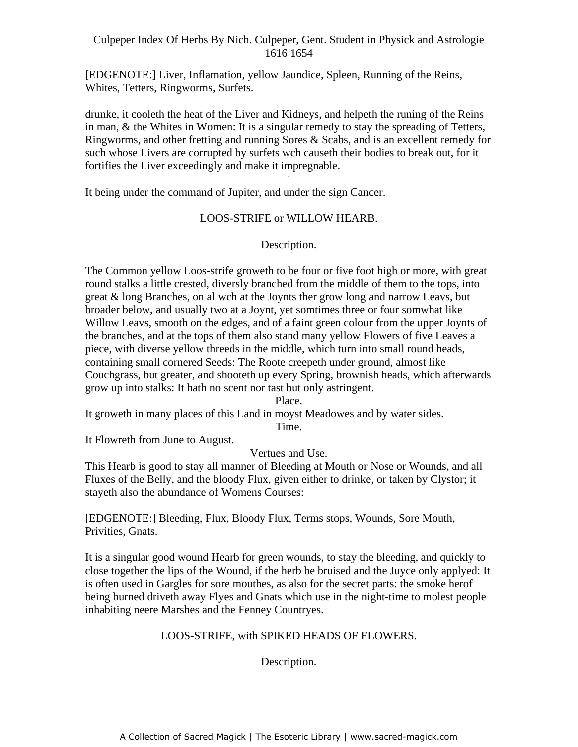[EDGENOTE:] Liver, Inflamation, yellow Jaundice, Spleen, Running of the Reins, Whites, Tetters, Ringworms, Surfets.

drunke, it cooleth the heat of the Liver and Kidneys, and helpeth the runing of the Reins in man,  $\&$  the Whites in Women: It is a singular remedy to stay the spreading of Tetters, Ringworms, and other fretting and running Sores & Scabs, and is an excellent remedy for such whose Livers are corrupted by surfets wch causeth their bodies to break out, for it fortifies the Liver exceedingly and make it impregnable.

It being under the command of Jupiter, and under the sign Cancer.

# LOOS-STRIFE or WILLOW HEARB.

# Description.

The Common yellow Loos-strife groweth to be four or five foot high or more, with great round stalks a little crested, diversly branched from the middle of them to the tops, into great & long Branches, on al wch at the Joynts ther grow long and narrow Leavs, but broader below, and usually two at a Joynt, yet somtimes three or four somwhat like Willow Leavs, smooth on the edges, and of a faint green colour from the upper Joynts of the branches, and at the tops of them also stand many yellow Flowers of five Leaves a piece, with diverse yellow threeds in the middle, which turn into small round heads, containing small cornered Seeds: The Roote creepeth under ground, almost like Couchgrass, but greater, and shooteth up every Spring, brownish heads, which afterwards grow up into stalks: It hath no scent nor tast but only astringent.

### Place.

It groweth in many places of this Land in moyst Meadowes and by water sides.

Time.

It Flowreth from June to August.

# Vertues and Use.

This Hearb is good to stay all manner of Bleeding at Mouth or Nose or Wounds, and all Fluxes of the Belly, and the bloody Flux, given either to drinke, or taken by Clystor; it stayeth also the abundance of Womens Courses:

[EDGENOTE:] Bleeding, Flux, Bloody Flux, Terms stops, Wounds, Sore Mouth, Privities, Gnats.

It is a singular good wound Hearb for green wounds, to stay the bleeding, and quickly to close together the lips of the Wound, if the herb be bruised and the Juyce only applyed: It is often used in Gargles for sore mouthes, as also for the secret parts: the smoke herof being burned driveth away Flyes and Gnats which use in the night-time to molest people inhabiting neere Marshes and the Fenney Countryes.

# LOOS-STRIFE, with SPIKED HEADS OF FLOWERS.

Description.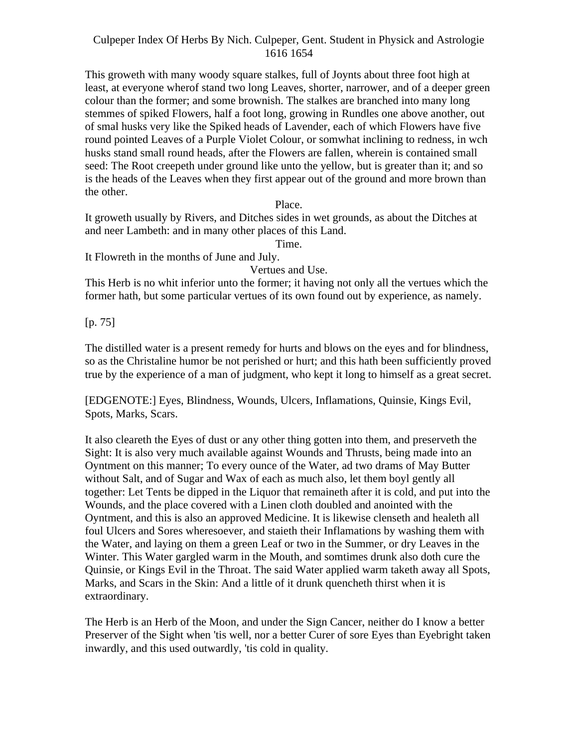This groweth with many woody square stalkes, full of Joynts about three foot high at least, at everyone wherof stand two long Leaves, shorter, narrower, and of a deeper green colour than the former; and some brownish. The stalkes are branched into many long stemmes of spiked Flowers, half a foot long, growing in Rundles one above another, out of smal husks very like the Spiked heads of Lavender, each of which Flowers have five round pointed Leaves of a Purple Violet Colour, or somwhat inclining to redness, in wch husks stand small round heads, after the Flowers are fallen, wherein is contained small seed: The Root creepeth under ground like unto the yellow, but is greater than it; and so is the heads of the Leaves when they first appear out of the ground and more brown than the other.

Place.

It groweth usually by Rivers, and Ditches sides in wet grounds, as about the Ditches at and neer Lambeth: and in many other places of this Land.

Time.

It Flowreth in the months of June and July.

Vertues and Use.

This Herb is no whit inferior unto the former; it having not only all the vertues which the former hath, but some particular vertues of its own found out by experience, as namely.

[p. 75]

The distilled water is a present remedy for hurts and blows on the eyes and for blindness, so as the Christaline humor be not perished or hurt; and this hath been sufficiently proved true by the experience of a man of judgment, who kept it long to himself as a great secret.

[EDGENOTE:] Eyes, Blindness, Wounds, Ulcers, Inflamations, Quinsie, Kings Evil, Spots, Marks, Scars.

It also cleareth the Eyes of dust or any other thing gotten into them, and preserveth the Sight: It is also very much available against Wounds and Thrusts, being made into an Oyntment on this manner; To every ounce of the Water, ad two drams of May Butter without Salt, and of Sugar and Wax of each as much also, let them boyl gently all together: Let Tents be dipped in the Liquor that remaineth after it is cold, and put into the Wounds, and the place covered with a Linen cloth doubled and anointed with the Oyntment, and this is also an approved Medicine. It is likewise clenseth and healeth all foul Ulcers and Sores wheresoever, and staieth their Inflamations by washing them with the Water, and laying on them a green Leaf or two in the Summer, or dry Leaves in the Winter. This Water gargled warm in the Mouth, and somtimes drunk also doth cure the Quinsie, or Kings Evil in the Throat. The said Water applied warm taketh away all Spots, Marks, and Scars in the Skin: And a little of it drunk quencheth thirst when it is extraordinary.

The Herb is an Herb of the Moon, and under the Sign Cancer, neither do I know a better Preserver of the Sight when 'tis well, nor a better Curer of sore Eyes than Eyebright taken inwardly, and this used outwardly, 'tis cold in quality.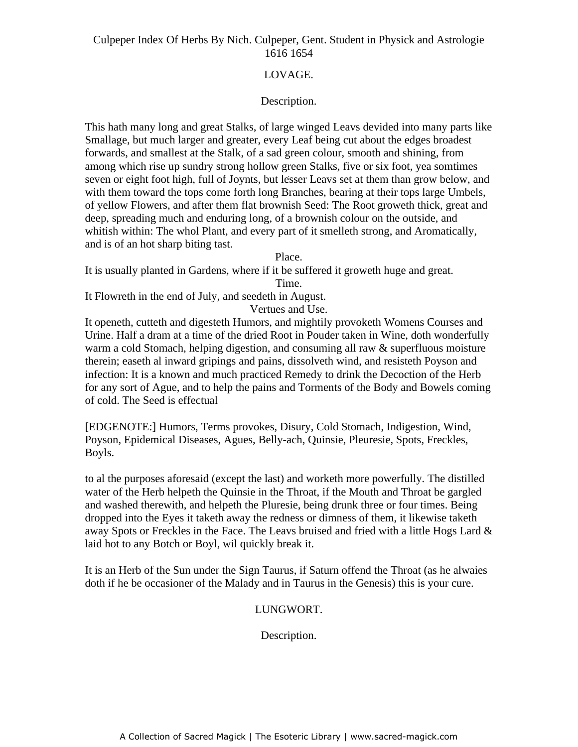# LOVAGE.

# Description.

This hath many long and great Stalks, of large winged Leavs devided into many parts like Smallage, but much larger and greater, every Leaf being cut about the edges broadest forwards, and smallest at the Stalk, of a sad green colour, smooth and shining, from among which rise up sundry strong hollow green Stalks, five or six foot, yea somtimes seven or eight foot high, full of Joynts, but lesser Leavs set at them than grow below, and with them toward the tops come forth long Branches, bearing at their tops large Umbels, of yellow Flowers, and after them flat brownish Seed: The Root groweth thick, great and deep, spreading much and enduring long, of a brownish colour on the outside, and whitish within: The whol Plant, and every part of it smelleth strong, and Aromatically, and is of an hot sharp biting tast.

Place.

It is usually planted in Gardens, where if it be suffered it groweth huge and great.

Time.

It Flowreth in the end of July, and seedeth in August. Vertues and Use.

It openeth, cutteth and digesteth Humors, and mightily provoketh Womens Courses and Urine. Half a dram at a time of the dried Root in Pouder taken in Wine, doth wonderfully warm a cold Stomach, helping digestion, and consuming all raw & superfluous moisture therein; easeth al inward gripings and pains, dissolveth wind, and resisteth Poyson and infection: It is a known and much practiced Remedy to drink the Decoction of the Herb for any sort of Ague, and to help the pains and Torments of the Body and Bowels coming of cold. The Seed is effectual

[EDGENOTE:] Humors, Terms provokes, Disury, Cold Stomach, Indigestion, Wind, Poyson, Epidemical Diseases, Agues, Belly-ach, Quinsie, Pleuresie, Spots, Freckles, Boyls.

to al the purposes aforesaid (except the last) and worketh more powerfully. The distilled water of the Herb helpeth the Quinsie in the Throat, if the Mouth and Throat be gargled and washed therewith, and helpeth the Pluresie, being drunk three or four times. Being dropped into the Eyes it taketh away the redness or dimness of them, it likewise taketh away Spots or Freckles in the Face. The Leavs bruised and fried with a little Hogs Lard & laid hot to any Botch or Boyl, wil quickly break it.

It is an Herb of the Sun under the Sign Taurus, if Saturn offend the Throat (as he alwaies doth if he be occasioner of the Malady and in Taurus in the Genesis) this is your cure.

# LUNGWORT.

Description.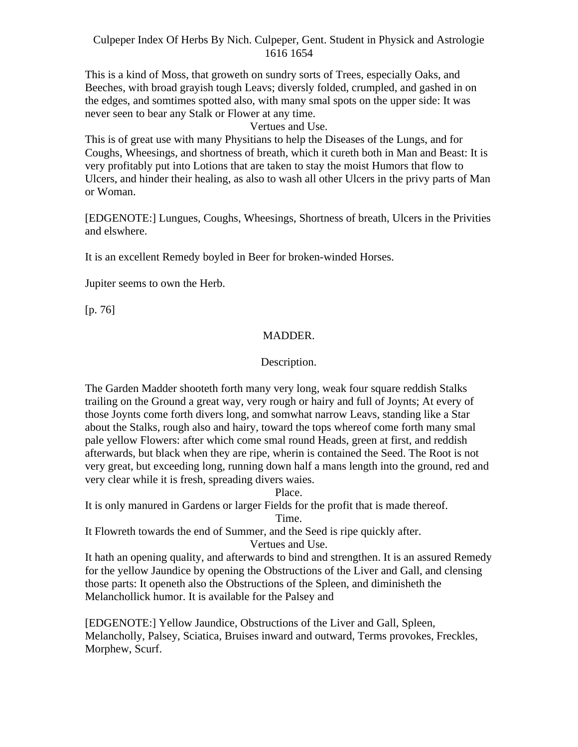This is a kind of Moss, that groweth on sundry sorts of Trees, especially Oaks, and Beeches, with broad grayish tough Leavs; diversly folded, crumpled, and gashed in on the edges, and somtimes spotted also, with many smal spots on the upper side: It was never seen to bear any Stalk or Flower at any time.

# Vertues and Use.

This is of great use with many Physitians to help the Diseases of the Lungs, and for Coughs, Wheesings, and shortness of breath, which it cureth both in Man and Beast: It is very profitably put into Lotions that are taken to stay the moist Humors that flow to Ulcers, and hinder their healing, as also to wash all other Ulcers in the privy parts of Man or Woman.

[EDGENOTE:] Lungues, Coughs, Wheesings, Shortness of breath, Ulcers in the Privities and elswhere.

It is an excellent Remedy boyled in Beer for broken-winded Horses.

Jupiter seems to own the Herb.

[p. 76]

# MADDER.

#### Description.

The Garden Madder shooteth forth many very long, weak four square reddish Stalks trailing on the Ground a great way, very rough or hairy and full of Joynts; At every of those Joynts come forth divers long, and somwhat narrow Leavs, standing like a Star about the Stalks, rough also and hairy, toward the tops whereof come forth many smal pale yellow Flowers: after which come smal round Heads, green at first, and reddish afterwards, but black when they are ripe, wherin is contained the Seed. The Root is not very great, but exceeding long, running down half a mans length into the ground, red and very clear while it is fresh, spreading divers waies.

Place.

It is only manured in Gardens or larger Fields for the profit that is made thereof.

Time.

It Flowreth towards the end of Summer, and the Seed is ripe quickly after.

Vertues and Use.

It hath an opening quality, and afterwards to bind and strengthen. It is an assured Remedy for the yellow Jaundice by opening the Obstructions of the Liver and Gall, and clensing those parts: It openeth also the Obstructions of the Spleen, and diminisheth the Melanchollick humor. It is available for the Palsey and

[EDGENOTE:] Yellow Jaundice, Obstructions of the Liver and Gall, Spleen, Melancholly, Palsey, Sciatica, Bruises inward and outward, Terms provokes, Freckles, Morphew, Scurf.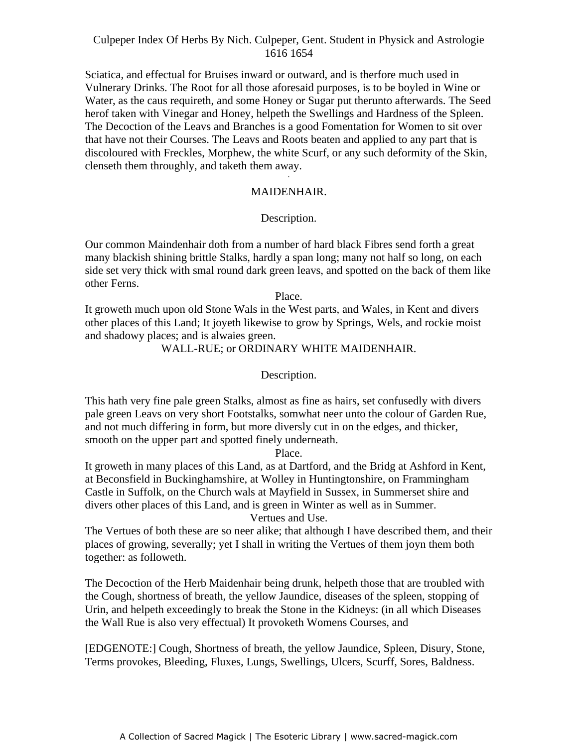Sciatica, and effectual for Bruises inward or outward, and is therfore much used in Vulnerary Drinks. The Root for all those aforesaid purposes, is to be boyled in Wine or Water, as the caus requireth, and some Honey or Sugar put therunto afterwards. The Seed herof taken with Vinegar and Honey, helpeth the Swellings and Hardness of the Spleen. The Decoction of the Leavs and Branches is a good Fomentation for Women to sit over that have not their Courses. The Leavs and Roots beaten and applied to any part that is discoloured with Freckles, Morphew, the white Scurf, or any such deformity of the Skin, clenseth them throughly, and taketh them away.

# MAIDENHAIR.

# Description.

Our common Maindenhair doth from a number of hard black Fibres send forth a great many blackish shining brittle Stalks, hardly a span long; many not half so long, on each side set very thick with smal round dark green leavs, and spotted on the back of them like other Ferns.

Place.

It groweth much upon old Stone Wals in the West parts, and Wales, in Kent and divers other places of this Land; It joyeth likewise to grow by Springs, Wels, and rockie moist and shadowy places; and is alwaies green.

WALL-RUE; or ORDINARY WHITE MAIDENHAIR.

Description.

This hath very fine pale green Stalks, almost as fine as hairs, set confusedly with divers pale green Leavs on very short Footstalks, somwhat neer unto the colour of Garden Rue, and not much differing in form, but more diversly cut in on the edges, and thicker, smooth on the upper part and spotted finely underneath.

Place.

It groweth in many places of this Land, as at Dartford, and the Bridg at Ashford in Kent, at Beconsfield in Buckinghamshire, at Wolley in Huntingtonshire, on Frammingham Castle in Suffolk, on the Church wals at Mayfield in Sussex, in Summerset shire and divers other places of this Land, and is green in Winter as well as in Summer.

Vertues and Use.

The Vertues of both these are so neer alike; that although I have described them, and their places of growing, severally; yet I shall in writing the Vertues of them joyn them both together: as followeth.

The Decoction of the Herb Maidenhair being drunk, helpeth those that are troubled with the Cough, shortness of breath, the yellow Jaundice, diseases of the spleen, stopping of Urin, and helpeth exceedingly to break the Stone in the Kidneys: (in all which Diseases the Wall Rue is also very effectual) It provoketh Womens Courses, and

[EDGENOTE:] Cough, Shortness of breath, the yellow Jaundice, Spleen, Disury, Stone, Terms provokes, Bleeding, Fluxes, Lungs, Swellings, Ulcers, Scurff, Sores, Baldness.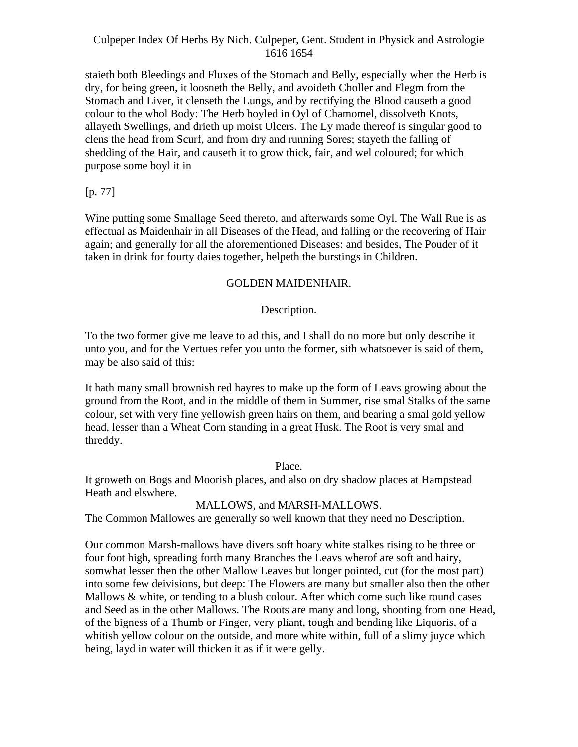staieth both Bleedings and Fluxes of the Stomach and Belly, especially when the Herb is dry, for being green, it loosneth the Belly, and avoideth Choller and Flegm from the Stomach and Liver, it clenseth the Lungs, and by rectifying the Blood causeth a good colour to the whol Body: The Herb boyled in Oyl of Chamomel, dissolveth Knots, allayeth Swellings, and drieth up moist Ulcers. The Ly made thereof is singular good to clens the head from Scurf, and from dry and running Sores; stayeth the falling of shedding of the Hair, and causeth it to grow thick, fair, and wel coloured; for which purpose some boyl it in

 $[p. 77]$ 

Wine putting some Smallage Seed thereto, and afterwards some Oyl. The Wall Rue is as effectual as Maidenhair in all Diseases of the Head, and falling or the recovering of Hair again; and generally for all the aforementioned Diseases: and besides, The Pouder of it taken in drink for fourty daies together, helpeth the burstings in Children.

# GOLDEN MAIDENHAIR.

# Description.

To the two former give me leave to ad this, and I shall do no more but only describe it unto you, and for the Vertues refer you unto the former, sith whatsoever is said of them, may be also said of this:

It hath many small brownish red hayres to make up the form of Leavs growing about the ground from the Root, and in the middle of them in Summer, rise smal Stalks of the same colour, set with very fine yellowish green hairs on them, and bearing a smal gold yellow head, lesser than a Wheat Corn standing in a great Husk. The Root is very smal and threddy.

Place.

It groweth on Bogs and Moorish places, and also on dry shadow places at Hampstead Heath and elswhere.

# MALLOWS, and MARSH-MALLOWS.

The Common Mallowes are generally so well known that they need no Description.

Our common Marsh-mallows have divers soft hoary white stalkes rising to be three or four foot high, spreading forth many Branches the Leavs wherof are soft and hairy, somwhat lesser then the other Mallow Leaves but longer pointed, cut (for the most part) into some few deivisions, but deep: The Flowers are many but smaller also then the other Mallows & white, or tending to a blush colour. After which come such like round cases and Seed as in the other Mallows. The Roots are many and long, shooting from one Head, of the bigness of a Thumb or Finger, very pliant, tough and bending like Liquoris, of a whitish yellow colour on the outside, and more white within, full of a slimy juyce which being, layd in water will thicken it as if it were gelly.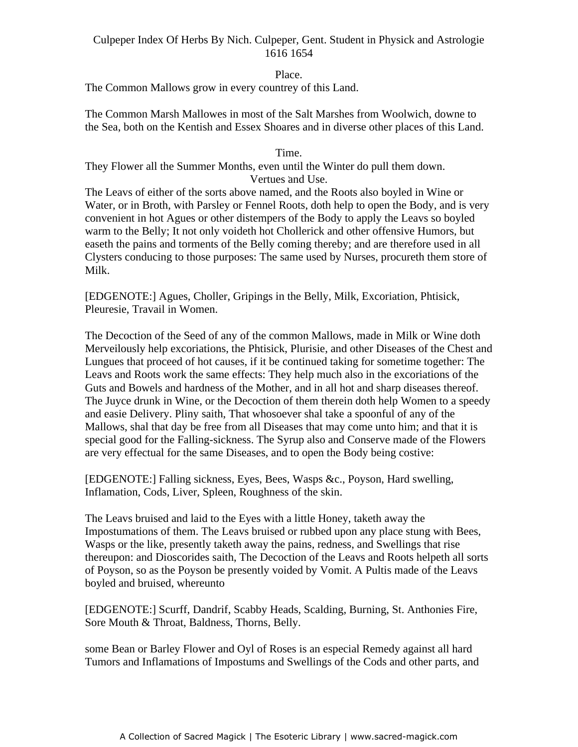# Place.

The Common Mallows grow in every countrey of this Land.

The Common Marsh Mallowes in most of the Salt Marshes from Woolwich, downe to the Sea, both on the Kentish and Essex Shoares and in diverse other places of this Land.

#### Time.

They Flower all the Summer Months, even until the Winter do pull them down. Vertues and Use. -

The Leavs of either of the sorts above named, and the Roots also boyled in Wine or Water, or in Broth, with Parsley or Fennel Roots, doth help to open the Body, and is very convenient in hot Agues or other distempers of the Body to apply the Leavs so boyled warm to the Belly; It not only voideth hot Chollerick and other offensive Humors, but easeth the pains and torments of the Belly coming thereby; and are therefore used in all Clysters conducing to those purposes: The same used by Nurses, procureth them store of Milk.

[EDGENOTE:] Agues, Choller, Gripings in the Belly, Milk, Excoriation, Phtisick, Pleuresie, Travail in Women.

The Decoction of the Seed of any of the common Mallows, made in Milk or Wine doth Merveilously help excoriations, the Phtisick, Plurisie, and other Diseases of the Chest and Lungues that proceed of hot causes, if it be continued taking for sometime together: The Leavs and Roots work the same effects: They help much also in the excoriations of the Guts and Bowels and hardness of the Mother, and in all hot and sharp diseases thereof. The Juyce drunk in Wine, or the Decoction of them therein doth help Women to a speedy and easie Delivery. Pliny saith, That whosoever shal take a spoonful of any of the Mallows, shal that day be free from all Diseases that may come unto him; and that it is special good for the Falling-sickness. The Syrup also and Conserve made of the Flowers are very effectual for the same Diseases, and to open the Body being costive:

[EDGENOTE:] Falling sickness, Eyes, Bees, Wasps &c., Poyson, Hard swelling, Inflamation, Cods, Liver, Spleen, Roughness of the skin.

The Leavs bruised and laid to the Eyes with a little Honey, taketh away the Impostumations of them. The Leavs bruised or rubbed upon any place stung with Bees, Wasps or the like, presently taketh away the pains, redness, and Swellings that rise thereupon: and Dioscorides saith, The Decoction of the Leavs and Roots helpeth all sorts of Poyson, so as the Poyson be presently voided by Vomit. A Pultis made of the Leavs boyled and bruised, whereunto

[EDGENOTE:] Scurff, Dandrif, Scabby Heads, Scalding, Burning, St. Anthonies Fire, Sore Mouth & Throat, Baldness, Thorns, Belly.

some Bean or Barley Flower and Oyl of Roses is an especial Remedy against all hard Tumors and Inflamations of Impostums and Swellings of the Cods and other parts, and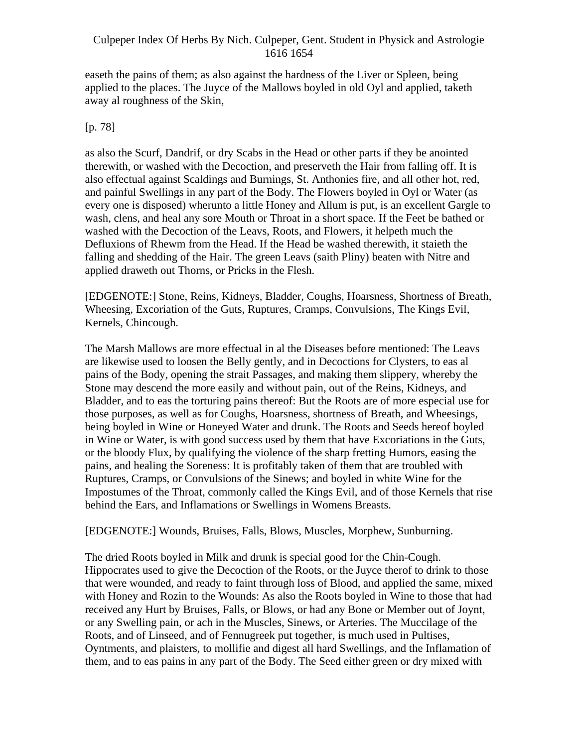easeth the pains of them; as also against the hardness of the Liver or Spleen, being applied to the places. The Juyce of the Mallows boyled in old Oyl and applied, taketh away al roughness of the Skin,

# [p. 78]

as also the Scurf, Dandrif, or dry Scabs in the Head or other parts if they be anointed therewith, or washed with the Decoction, and preserveth the Hair from falling off. It is also effectual against Scaldings and Burnings, St. Anthonies fire, and all other hot, red, and painful Swellings in any part of the Body. The Flowers boyled in Oyl or Water (as every one is disposed) wherunto a little Honey and Allum is put, is an excellent Gargle to wash, clens, and heal any sore Mouth or Throat in a short space. If the Feet be bathed or washed with the Decoction of the Leavs, Roots, and Flowers, it helpeth much the Defluxions of Rhewm from the Head. If the Head be washed therewith, it staieth the falling and shedding of the Hair. The green Leavs (saith Pliny) beaten with Nitre and applied draweth out Thorns, or Pricks in the Flesh.

[EDGENOTE:] Stone, Reins, Kidneys, Bladder, Coughs, Hoarsness, Shortness of Breath, Wheesing, Excoriation of the Guts, Ruptures, Cramps, Convulsions, The Kings Evil, Kernels, Chincough.

The Marsh Mallows are more effectual in al the Diseases before mentioned: The Leavs are likewise used to loosen the Belly gently, and in Decoctions for Clysters, to eas al pains of the Body, opening the strait Passages, and making them slippery, whereby the Stone may descend the more easily and without pain, out of the Reins, Kidneys, and Bladder, and to eas the torturing pains thereof: But the Roots are of more especial use for those purposes, as well as for Coughs, Hoarsness, shortness of Breath, and Wheesings, being boyled in Wine or Honeyed Water and drunk. The Roots and Seeds hereof boyled in Wine or Water, is with good success used by them that have Excoriations in the Guts, or the bloody Flux, by qualifying the violence of the sharp fretting Humors, easing the pains, and healing the Soreness: It is profitably taken of them that are troubled with Ruptures, Cramps, or Convulsions of the Sinews; and boyled in white Wine for the Impostumes of the Throat, commonly called the Kings Evil, and of those Kernels that rise behind the Ears, and Inflamations or Swellings in Womens Breasts.

[EDGENOTE:] Wounds, Bruises, Falls, Blows, Muscles, Morphew, Sunburning.

The dried Roots boyled in Milk and drunk is special good for the Chin-Cough. Hippocrates used to give the Decoction of the Roots, or the Juyce therof to drink to those that were wounded, and ready to faint through loss of Blood, and applied the same, mixed with Honey and Rozin to the Wounds: As also the Roots boyled in Wine to those that had received any Hurt by Bruises, Falls, or Blows, or had any Bone or Member out of Joynt, or any Swelling pain, or ach in the Muscles, Sinews, or Arteries. The Muccilage of the Roots, and of Linseed, and of Fennugreek put together, is much used in Pultises, Oyntments, and plaisters, to mollifie and digest all hard Swellings, and the Inflamation of them, and to eas pains in any part of the Body. The Seed either green or dry mixed with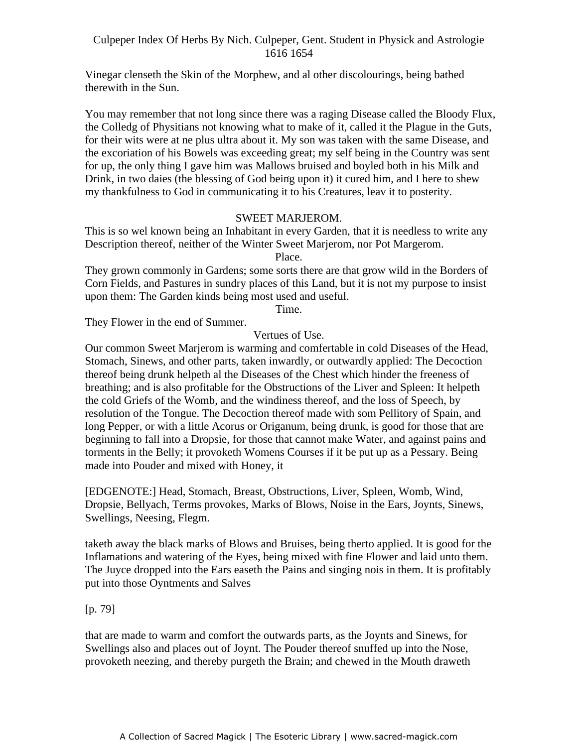Vinegar clenseth the Skin of the Morphew, and al other discolourings, being bathed therewith in the Sun.

You may remember that not long since there was a raging Disease called the Bloody Flux, the Colledg of Physitians not knowing what to make of it, called it the Plague in the Guts, for their wits were at ne plus ultra about it. My son was taken with the same Disease, and the excoriation of his Bowels was exceeding great; my self being in the Country was sent for up, the only thing I gave him was Mallows bruised and boyled both in his Milk and Drink, in two daies (the blessing of God being upon it) it cured him, and I here to shew my thankfulness to God in communicating it to his Creatures, leav it to posterity.

#### SWEET MARJEROM.

This is so wel known being an Inhabitant in every Garden, that it is needless to write any Description thereof, neither of the Winter Sweet Marjerom, nor Pot Margerom.

Place.

They grown commonly in Gardens; some sorts there are that grow wild in the Borders of Corn Fields, and Pastures in sundry places of this Land, but it is not my purpose to insist upon them: The Garden kinds being most used and useful.

Time.

They Flower in the end of Summer.

Vertues of Use.

Our common Sweet Marjerom is warming and comfertable in cold Diseases of the Head, Stomach, Sinews, and other parts, taken inwardly, or outwardly applied: The Decoction thereof being drunk helpeth al the Diseases of the Chest which hinder the freeness of breathing; and is also profitable for the Obstructions of the Liver and Spleen: It helpeth the cold Griefs of the Womb, and the windiness thereof, and the loss of Speech, by resolution of the Tongue. The Decoction thereof made with som Pellitory of Spain, and long Pepper, or with a little Acorus or Origanum, being drunk, is good for those that are beginning to fall into a Dropsie, for those that cannot make Water, and against pains and torments in the Belly; it provoketh Womens Courses if it be put up as a Pessary. Being made into Pouder and mixed with Honey, it

[EDGENOTE:] Head, Stomach, Breast, Obstructions, Liver, Spleen, Womb, Wind, Dropsie, Bellyach, Terms provokes, Marks of Blows, Noise in the Ears, Joynts, Sinews, Swellings, Neesing, Flegm.

taketh away the black marks of Blows and Bruises, being therto applied. It is good for the Inflamations and watering of the Eyes, being mixed with fine Flower and laid unto them. The Juyce dropped into the Ears easeth the Pains and singing nois in them. It is profitably put into those Oyntments and Salves

#### [p. 79]

that are made to warm and comfort the outwards parts, as the Joynts and Sinews, for Swellings also and places out of Joynt. The Pouder thereof snuffed up into the Nose, provoketh neezing, and thereby purgeth the Brain; and chewed in the Mouth draweth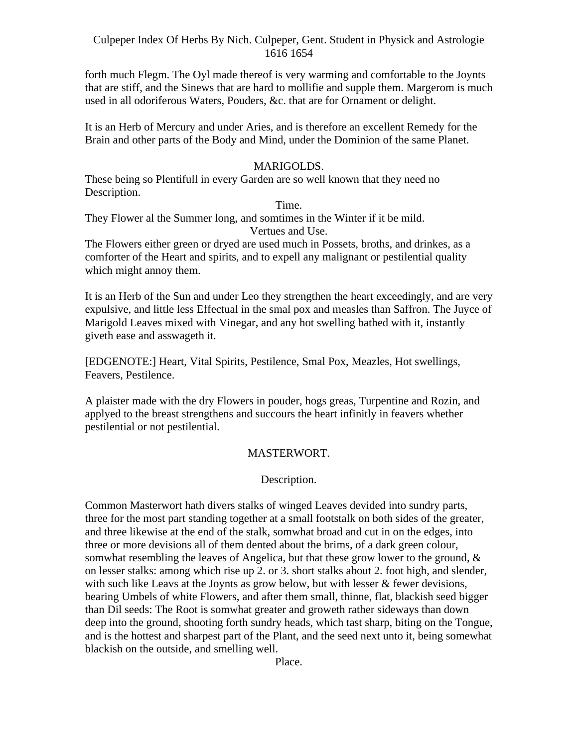forth much Flegm. The Oyl made thereof is very warming and comfortable to the Joynts that are stiff, and the Sinews that are hard to mollifie and supple them. Margerom is much used in all odoriferous Waters, Pouders, &c. that are for Ornament or delight.

It is an Herb of Mercury and under Aries, and is therefore an excellent Remedy for the Brain and other parts of the Body and Mind, under the Dominion of the same Planet.

# MARIGOLDS.

These being so Plentifull in every Garden are so well known that they need no Description.

Time.

They Flower al the Summer long, and somtimes in the Winter if it be mild. Vertues and Use.

The Flowers either green or dryed are used much in Possets, broths, and drinkes, as a comforter of the Heart and spirits, and to expell any malignant or pestilential quality which might annoy them.

It is an Herb of the Sun and under Leo they strengthen the heart exceedingly, and are very expulsive, and little less Effectual in the smal pox and measles than Saffron. The Juyce of Marigold Leaves mixed with Vinegar, and any hot swelling bathed with it, instantly giveth ease and asswageth it.

[EDGENOTE:] Heart, Vital Spirits, Pestilence, Smal Pox, Meazles, Hot swellings, Feavers, Pestilence.

A plaister made with the dry Flowers in pouder, hogs greas, Turpentine and Rozin, and applyed to the breast strengthens and succours the heart infinitly in feavers whether pestilential or not pestilential.

# MASTERWORT.

Description.

Common Masterwort hath divers stalks of winged Leaves devided into sundry parts, three for the most part standing together at a small footstalk on both sides of the greater, and three likewise at the end of the stalk, somwhat broad and cut in on the edges, into three or more devisions all of them dented about the brims, of a dark green colour, somwhat resembling the leaves of Angelica, but that these grow lower to the ground,  $\&$ on lesser stalks: among which rise up 2. or 3. short stalks about 2. foot high, and slender, with such like Leavs at the Joynts as grow below, but with lesser & fewer devisions, bearing Umbels of white Flowers, and after them small, thinne, flat, blackish seed bigger than Dil seeds: The Root is somwhat greater and groweth rather sideways than down deep into the ground, shooting forth sundry heads, which tast sharp, biting on the Tongue, and is the hottest and sharpest part of the Plant, and the seed next unto it, being somewhat blackish on the outside, and smelling well.

Place.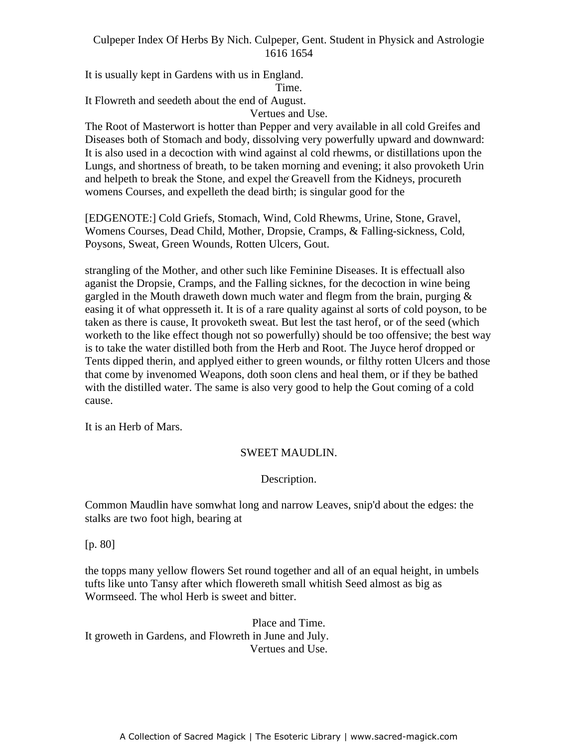It is usually kept in Gardens with us in England. Time.

It Flowreth and seedeth about the end of August.

Vertues and Use.

The Root of Masterwort is hotter than Pepper and very available in all cold Greifes and Diseases both of Stomach and body, dissolving very powerfully upward and downward: It is also used in a decoction with wind against al cold rhewms, or distillations upon the Lungs, and shortness of breath, to be taken morning and evening; it also provoketh Urin Edings, and shortness of steam, to be taken inorming and evening, it also provided only and helpeth to break the Stone, and expel the Greavell from the Kidneys, procureth womens Courses, and expelleth the dead birth; is singular good for the

[EDGENOTE:] Cold Griefs, Stomach, Wind, Cold Rhewms, Urine, Stone, Gravel, Womens Courses, Dead Child, Mother, Dropsie, Cramps, & Falling-sickness, Cold, Poysons, Sweat, Green Wounds, Rotten Ulcers, Gout.

strangling of the Mother, and other such like Feminine Diseases. It is effectuall also aganist the Dropsie, Cramps, and the Falling sicknes, for the decoction in wine being gargled in the Mouth draweth down much water and flegm from the brain, purging  $\&$ easing it of what oppresseth it. It is of a rare quality against al sorts of cold poyson, to be taken as there is cause, It provoketh sweat. But lest the tast herof, or of the seed (which worketh to the like effect though not so powerfully) should be too offensive; the best way is to take the water distilled both from the Herb and Root. The Juyce herof dropped or Tents dipped therin, and applyed either to green wounds, or filthy rotten Ulcers and those that come by invenomed Weapons, doth soon clens and heal them, or if they be bathed with the distilled water. The same is also very good to help the Gout coming of a cold cause.

It is an Herb of Mars.

# SWEET MAUDLIN.

Description.

Common Maudlin have somwhat long and narrow Leaves, snip'd about the edges: the stalks are two foot high, bearing at

[p. 80]

the topps many yellow flowers Set round together and all of an equal height, in umbels tufts like unto Tansy after which flowereth small whitish Seed almost as big as Wormseed. The whol Herb is sweet and bitter.

Place and Time. It groweth in Gardens, and Flowreth in June and July. Vertues and Use.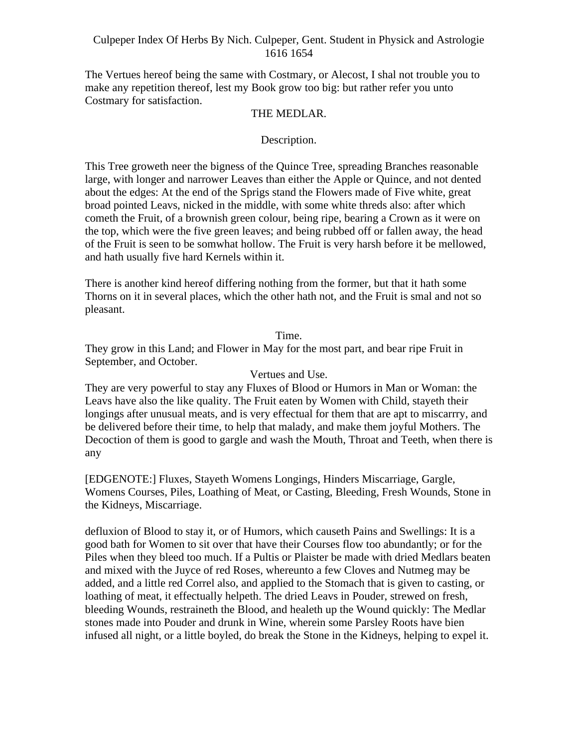The Vertues hereof being the same with Costmary, or Alecost, I shal not trouble you to make any repetition thereof, lest my Book grow too big: but rather refer you unto Costmary for satisfaction.

# THE MEDLAR.

# Description.

This Tree groweth neer the bigness of the Quince Tree, spreading Branches reasonable large, with longer and narrower Leaves than either the Apple or Quince, and not dented about the edges: At the end of the Sprigs stand the Flowers made of Five white, great broad pointed Leavs, nicked in the middle, with some white threds also: after which cometh the Fruit, of a brownish green colour, being ripe, bearing a Crown as it were on the top, which were the five green leaves; and being rubbed off or fallen away, the head of the Fruit is seen to be somwhat hollow. The Fruit is very harsh before it be mellowed, and hath usually five hard Kernels within it.

There is another kind hereof differing nothing from the former, but that it hath some Thorns on it in several places, which the other hath not, and the Fruit is smal and not so pleasant.

# Time.

They grow in this Land; and Flower in May for the most part, and bear ripe Fruit in September, and October.

#### Vertues and Use.

They are very powerful to stay any Fluxes of Blood or Humors in Man or Woman: the Leavs have also the like quality. The Fruit eaten by Women with Child, stayeth their longings after unusual meats, and is very effectual for them that are apt to miscarrry, and be delivered before their time, to help that malady, and make them joyful Mothers. The Decoction of them is good to gargle and wash the Mouth, Throat and Teeth, when there is any

[EDGENOTE:] Fluxes, Stayeth Womens Longings, Hinders Miscarriage, Gargle, Womens Courses, Piles, Loathing of Meat, or Casting, Bleeding, Fresh Wounds, Stone in the Kidneys, Miscarriage.

defluxion of Blood to stay it, or of Humors, which causeth Pains and Swellings: It is a good bath for Women to sit over that have their Courses flow too abundantly; or for the Piles when they bleed too much. If a Pultis or Plaister be made with dried Medlars beaten and mixed with the Juyce of red Roses, whereunto a few Cloves and Nutmeg may be added, and a little red Correl also, and applied to the Stomach that is given to casting, or loathing of meat, it effectually helpeth. The dried Leavs in Pouder, strewed on fresh, bleeding Wounds, restraineth the Blood, and healeth up the Wound quickly: The Medlar stones made into Pouder and drunk in Wine, wherein some Parsley Roots have bien infused all night, or a little boyled, do break the Stone in the Kidneys, helping to expel it.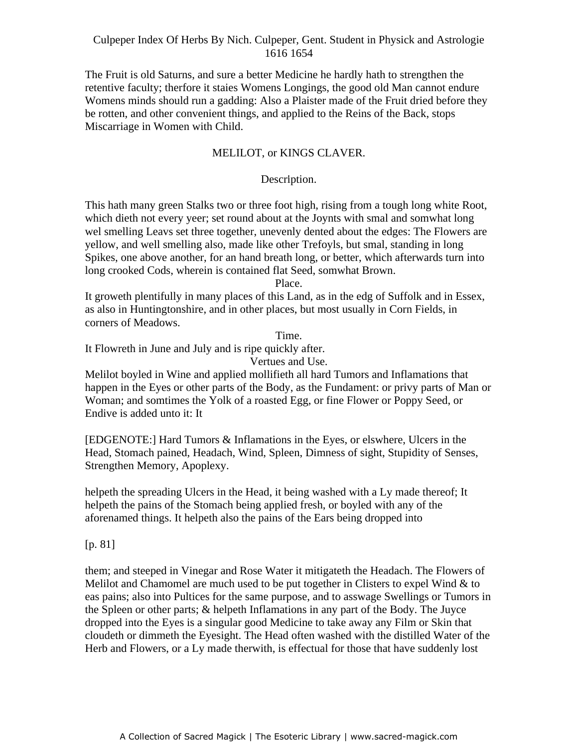The Fruit is old Saturns, and sure a better Medicine he hardly hath to strengthen the retentive faculty; therfore it staies Womens Longings, the good old Man cannot endure Womens minds should run a gadding: Also a Plaister made of the Fruit dried before they be rotten, and other convenient things, and applied to the Reins of the Back, stops Miscarriage in Women with Child.

#### MELILOT, or KINGS CLAVER.

#### Description. -

This hath many green Stalks two or three foot high, rising from a tough long white Root, which dieth not every yeer; set round about at the Joynts with smal and somwhat long wel smelling Leavs set three together, unevenly dented about the edges: The Flowers are yellow, and well smelling also, made like other Trefoyls, but smal, standing in long Spikes, one above another, for an hand breath long, or better, which afterwards turn into long crooked Cods, wherein is contained flat Seed, somwhat Brown.

Place.

It groweth plentifully in many places of this Land, as in the edg of Suffolk and in Essex, as also in Huntingtonshire, and in other places, but most usually in Corn Fields, in corners of Meadows.

Time.

It Flowreth in June and July and is ripe quickly after.

Vertues and Use.

Melilot boyled in Wine and applied mollifieth all hard Tumors and Inflamations that happen in the Eyes or other parts of the Body, as the Fundament: or privy parts of Man or Woman; and somtimes the Yolk of a roasted Egg, or fine Flower or Poppy Seed, or Endive is added unto it: It

[EDGENOTE:] Hard Tumors & Inflamations in the Eyes, or elswhere, Ulcers in the Head, Stomach pained, Headach, Wind, Spleen, Dimness of sight, Stupidity of Senses, Strengthen Memory, Apoplexy.

helpeth the spreading Ulcers in the Head, it being washed with a Ly made thereof; It helpeth the pains of the Stomach being applied fresh, or boyled with any of the aforenamed things. It helpeth also the pains of the Ears being dropped into

[p. 81]

them; and steeped in Vinegar and Rose Water it mitigateth the Headach. The Flowers of Melilot and Chamomel are much used to be put together in Clisters to expel Wind  $\&$  to eas pains; also into Pultices for the same purpose, and to asswage Swellings or Tumors in the Spleen or other parts; & helpeth Inflamations in any part of the Body. The Juyce dropped into the Eyes is a singular good Medicine to take away any Film or Skin that cloudeth or dimmeth the Eyesight. The Head often washed with the distilled Water of the Herb and Flowers, or a Ly made therwith, is effectual for those that have suddenly lost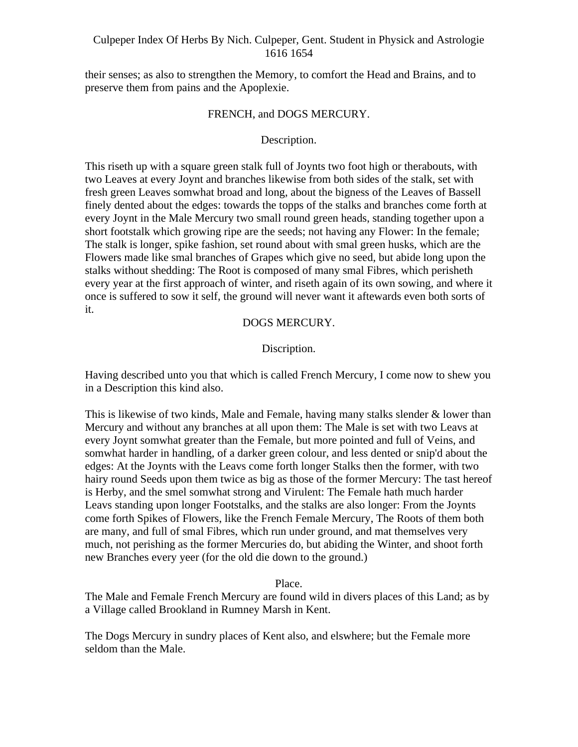their senses; as also to strengthen the Memory, to comfort the Head and Brains, and to preserve them from pains and the Apoplexie.

#### FRENCH, and DOGS MERCURY.

#### Description.

This riseth up with a square green stalk full of Joynts two foot high or therabouts, with two Leaves at every Joynt and branches likewise from both sides of the stalk, set with fresh green Leaves somwhat broad and long, about the bigness of the Leaves of Bassell finely dented about the edges: towards the topps of the stalks and branches come forth at every Joynt in the Male Mercury two small round green heads, standing together upon a short footstalk which growing ripe are the seeds; not having any Flower: In the female; The stalk is longer, spike fashion, set round about with smal green husks, which are the Flowers made like smal branches of Grapes which give no seed, but abide long upon the stalks without shedding: The Root is composed of many smal Fibres, which perisheth every year at the first approach of winter, and riseth again of its own sowing, and where it once is suffered to sow it self, the ground will never want it aftewards even both sorts of it.

#### DOGS MERCURY.

# Discription.

Having described unto you that which is called French Mercury, I come now to shew you in a Description this kind also.

This is likewise of two kinds, Male and Female, having many stalks slender  $\&$  lower than Mercury and without any branches at all upon them: The Male is set with two Leavs at every Joynt somwhat greater than the Female, but more pointed and full of Veins, and somwhat harder in handling, of a darker green colour, and less dented or snip'd about the edges: At the Joynts with the Leavs come forth longer Stalks then the former, with two hairy round Seeds upon them twice as big as those of the former Mercury: The tast hereof is Herby, and the smel somwhat strong and Virulent: The Female hath much harder Leavs standing upon longer Footstalks, and the stalks are also longer: From the Joynts come forth Spikes of Flowers, like the French Female Mercury, The Roots of them both are many, and full of smal Fibres, which run under ground, and mat themselves very much, not perishing as the former Mercuries do, but abiding the Winter, and shoot forth new Branches every yeer (for the old die down to the ground.)

Place.

The Male and Female French Mercury are found wild in divers places of this Land; as by a Village called Brookland in Rumney Marsh in Kent.

The Dogs Mercury in sundry places of Kent also, and elswhere; but the Female more seldom than the Male.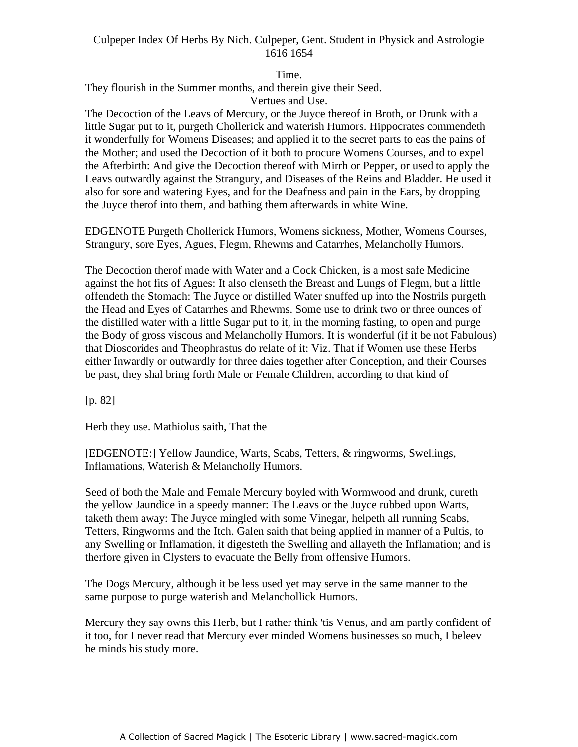Time.

They flourish in the Summer months, and therein give their Seed.

Vertues and Use.

The Decoction of the Leavs of Mercury, or the Juyce thereof in Broth, or Drunk with a little Sugar put to it, purgeth Chollerick and waterish Humors. Hippocrates commendeth it wonderfully for Womens Diseases; and applied it to the secret parts to eas the pains of the Mother; and used the Decoction of it both to procure Womens Courses, and to expel the Afterbirth: And give the Decoction thereof with Mirrh or Pepper, or used to apply the Leavs outwardly against the Strangury, and Diseases of the Reins and Bladder. He used it also for sore and watering Eyes, and for the Deafness and pain in the Ears, by dropping the Juyce therof into them, and bathing them afterwards in white Wine.

EDGENOTE Purgeth Chollerick Humors, Womens sickness, Mother, Womens Courses, Strangury, sore Eyes, Agues, Flegm, Rhewms and Catarrhes, Melancholly Humors.

The Decoction therof made with Water and a Cock Chicken, is a most safe Medicine against the hot fits of Agues: It also clenseth the Breast and Lungs of Flegm, but a little offendeth the Stomach: The Juyce or distilled Water snuffed up into the Nostrils purgeth the Head and Eyes of Catarrhes and Rhewms. Some use to drink two or three ounces of the distilled water with a little Sugar put to it, in the morning fasting, to open and purge the Body of gross viscous and Melancholly Humors. It is wonderful (if it be not Fabulous) that Dioscorides and Theophrastus do relate of it: Viz. That if Women use these Herbs either Inwardly or outwardly for three daies together after Conception, and their Courses be past, they shal bring forth Male or Female Children, according to that kind of

[p. 82]

Herb they use. Mathiolus saith, That the

[EDGENOTE:] Yellow Jaundice, Warts, Scabs, Tetters, & ringworms, Swellings, Inflamations, Waterish & Melancholly Humors.

Seed of both the Male and Female Mercury boyled with Wormwood and drunk, cureth the yellow Jaundice in a speedy manner: The Leavs or the Juyce rubbed upon Warts, taketh them away: The Juyce mingled with some Vinegar, helpeth all running Scabs, Tetters, Ringworms and the Itch. Galen saith that being applied in manner of a Pultis, to any Swelling or Inflamation, it digesteth the Swelling and allayeth the Inflamation; and is therfore given in Clysters to evacuate the Belly from offensive Humors.

The Dogs Mercury, although it be less used yet may serve in the same manner to the same purpose to purge waterish and Melanchollick Humors.

Mercury they say owns this Herb, but I rather think 'tis Venus, and am partly confident of it too, for I never read that Mercury ever minded Womens businesses so much, I beleev he minds his study more.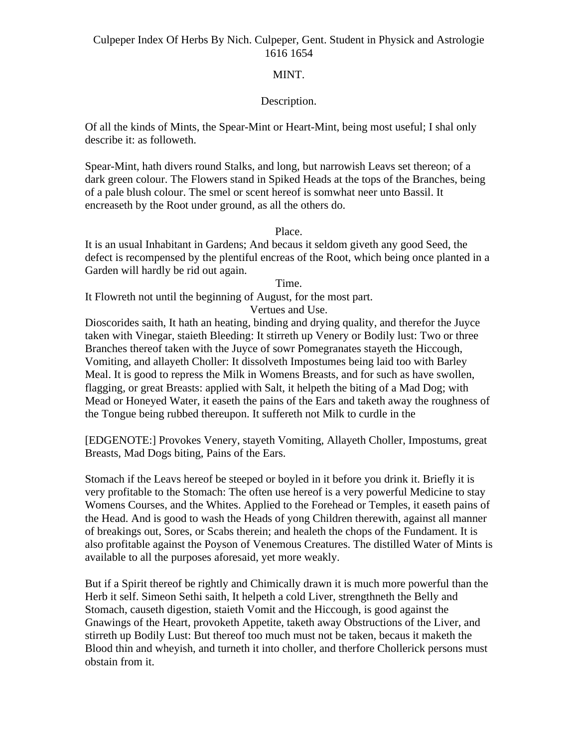# MINT.

# Description.

Of all the kinds of Mints, the Spear-Mint or Heart-Mint, being most useful; I shal only describe it: as followeth.

Spear-Mint, hath divers round Stalks, and long, but narrowish Leavs set thereon; of a dark green colour. The Flowers stand in Spiked Heads at the tops of the Branches, being of a pale blush colour. The smel or scent hereof is somwhat neer unto Bassil. It encreaseth by the Root under ground, as all the others do.

#### Place.

It is an usual Inhabitant in Gardens; And becaus it seldom giveth any good Seed, the defect is recompensed by the plentiful encreas of the Root, which being once planted in a Garden will hardly be rid out again.

#### Time.

It Flowreth not until the beginning of August, for the most part.

Vertues and Use.

Dioscorides saith, It hath an heating, binding and drying quality, and therefor the Juyce taken with Vinegar, staieth Bleeding: It stirreth up Venery or Bodily lust: Two or three Branches thereof taken with the Juyce of sowr Pomegranates stayeth the Hiccough, Vomiting, and allayeth Choller: It dissolveth Impostumes being laid too with Barley Meal. It is good to repress the Milk in Womens Breasts, and for such as have swollen, flagging, or great Breasts: applied with Salt, it helpeth the biting of a Mad Dog; with Mead or Honeyed Water, it easeth the pains of the Ears and taketh away the roughness of the Tongue being rubbed thereupon. It suffereth not Milk to curdle in the

[EDGENOTE:] Provokes Venery, stayeth Vomiting, Allayeth Choller, Impostums, great Breasts, Mad Dogs biting, Pains of the Ears.

Stomach if the Leavs hereof be steeped or boyled in it before you drink it. Briefly it is very profitable to the Stomach: The often use hereof is a very powerful Medicine to stay Womens Courses, and the Whites. Applied to the Forehead or Temples, it easeth pains of the Head. And is good to wash the Heads of yong Children therewith, against all manner of breakings out, Sores, or Scabs therein; and healeth the chops of the Fundament. It is also profitable against the Poyson of Venemous Creatures. The distilled Water of Mints is available to all the purposes aforesaid, yet more weakly.

But if a Spirit thereof be rightly and Chimically drawn it is much more powerful than the Herb it self. Simeon Sethi saith, It helpeth a cold Liver, strengthneth the Belly and Stomach, causeth digestion, staieth Vomit and the Hiccough, is good against the Gnawings of the Heart, provoketh Appetite, taketh away Obstructions of the Liver, and stirreth up Bodily Lust: But thereof too much must not be taken, becaus it maketh the Blood thin and wheyish, and turneth it into choller, and therfore Chollerick persons must obstain from it.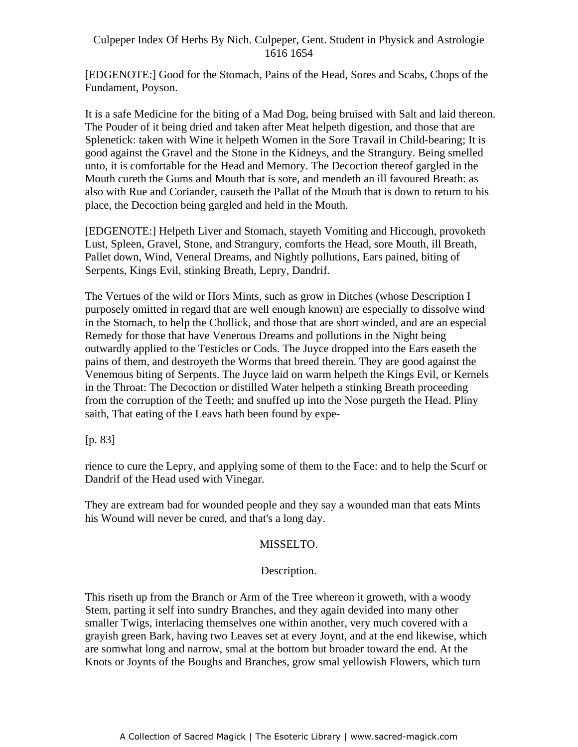[EDGENOTE:] Good for the Stomach, Pains of the Head, Sores and Scabs, Chops of the Fundament, Poyson.

It is a safe Medicine for the biting of a Mad Dog, being bruised with Salt and laid thereon. The Pouder of it being dried and taken after Meat helpeth digestion, and those that are Splenetick: taken with Wine it helpeth Women in the Sore Travail in Child-bearing; It is good against the Gravel and the Stone in the Kidneys, and the Strangury. Being smelled unto, it is comfortable for the Head and Memory. The Decoction thereof gargled in the Mouth cureth the Gums and Mouth that is sore, and mendeth an ill favoured Breath: as also with Rue and Coriander, causeth the Pallat of the Mouth that is down to return to his place, the Decoction being gargled and held in the Mouth.

[EDGENOTE:] Helpeth Liver and Stomach, stayeth Vomiting and Hiccough, provoketh Lust, Spleen, Gravel, Stone, and Strangury, comforts the Head, sore Mouth, ill Breath, Pallet down, Wind, Veneral Dreams, and Nightly pollutions, Ears pained, biting of Serpents, Kings Evil, stinking Breath, Lepry, Dandrif.

The Vertues of the wild or Hors Mints, such as grow in Ditches (whose Description I purposely omitted in regard that are well enough known) are especially to dissolve wind in the Stomach, to help the Chollick, and those that are short winded, and are an especial Remedy for those that have Venerous Dreams and pollutions in the Night being outwardly applied to the Testicles or Cods. The Juyce dropped into the Ears easeth the pains of them, and destroyeth the Worms that breed therein. They are good against the Venemous biting of Serpents. The Juyce laid on warm helpeth the Kings Evil, or Kernels in the Throat: The Decoction or distilled Water helpeth a stinking Breath proceeding from the corruption of the Teeth; and snuffed up into the Nose purgeth the Head. Pliny saith, That eating of the Leavs hath been found by expe-

[p. 83]

rience to cure the Lepry, and applying some of them to the Face: and to help the Scurf or Dandrif of the Head used with Vinegar.

They are extream bad for wounded people and they say a wounded man that eats Mints his Wound will never be cured, and that's a long day.

# MISSELTO.

# Description.

This riseth up from the Branch or Arm of the Tree whereon it groweth, with a woody Stem, parting it self into sundry Branches, and they again devided into many other smaller Twigs, interlacing themselves one within another, very much covered with a grayish green Bark, having two Leaves set at every Joynt, and at the end likewise, which are somwhat long and narrow, smal at the bottom but broader toward the end. At the Knots or Joynts of the Boughs and Branches, grow smal yellowish Flowers, which turn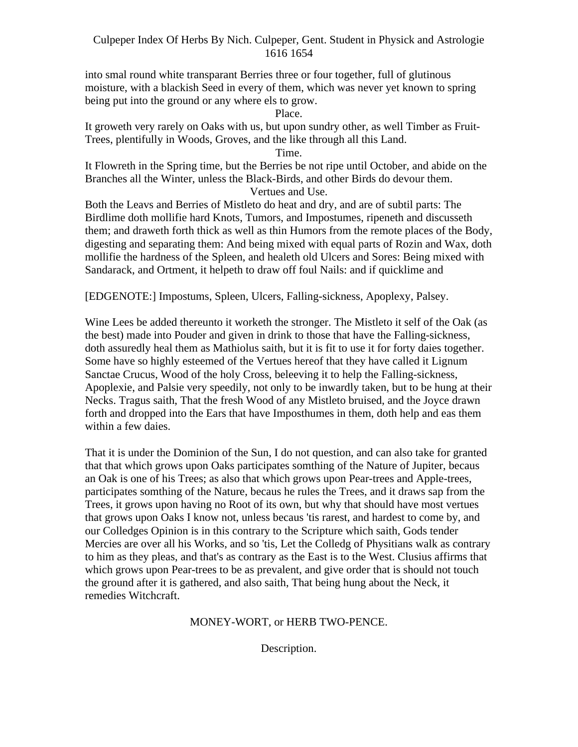into smal round white transparant Berries three or four together, full of glutinous moisture, with a blackish Seed in every of them, which was never yet known to spring being put into the ground or any where els to grow.

Place.

It groweth very rarely on Oaks with us, but upon sundry other, as well Timber as Fruit- Trees, plentifully in Woods, Groves, and the like through all this Land.

Time.

It Flowreth in the Spring time, but the Berries be not ripe until October, and abide on the Branches all the Winter, unless the Black-Birds, and other Birds do devour them. Vertues and Use.

Both the Leavs and Berries of Mistleto do heat and dry, and are of subtil parts: The Birdlime doth mollifie hard Knots, Tumors, and Impostumes, ripeneth and discusseth them; and draweth forth thick as well as thin Humors from the remote places of the Body, digesting and separating them: And being mixed with equal parts of Rozin and Wax, doth mollifie the hardness of the Spleen, and healeth old Ulcers and Sores: Being mixed with Sandarack, and Ortment, it helpeth to draw off foul Nails: and if quicklime and

[EDGENOTE:] Impostums, Spleen, Ulcers, Falling-sickness, Apoplexy, Palsey.

Wine Lees be added thereunto it worketh the stronger. The Mistleto it self of the Oak (as the best) made into Pouder and given in drink to those that have the Falling-sickness, doth assuredly heal them as Mathiolus saith, but it is fit to use it for forty daies together. Some have so highly esteemed of the Vertues hereof that they have called it Lignum Sanctae Crucus, Wood of the holy Cross, beleeving it to help the Falling-sickness, Apoplexie, and Palsie very speedily, not only to be inwardly taken, but to be hung at their Necks. Tragus saith, That the fresh Wood of any Mistleto bruised, and the Joyce drawn forth and dropped into the Ears that have Imposthumes in them, doth help and eas them within a few daies.

That it is under the Dominion of the Sun, I do not question, and can also take for granted that that which grows upon Oaks participates somthing of the Nature of Jupiter, becaus an Oak is one of his Trees; as also that which grows upon Pear-trees and Apple-trees, participates somthing of the Nature, becaus he rules the Trees, and it draws sap from the Trees, it grows upon having no Root of its own, but why that should have most vertues that grows upon Oaks I know not, unless becaus 'tis rarest, and hardest to come by, and our Colledges Opinion is in this contrary to the Scripture which saith, Gods tender Mercies are over all his Works, and so 'tis, Let the Colledg of Physitians walk as contrary to him as they pleas, and that's as contrary as the East is to the West. Clusius affirms that which grows upon Pear-trees to be as prevalent, and give order that is should not touch the ground after it is gathered, and also saith, That being hung about the Neck, it remedies Witchcraft.

# MONEY-WORT, or HERB TWO-PENCE.

Description.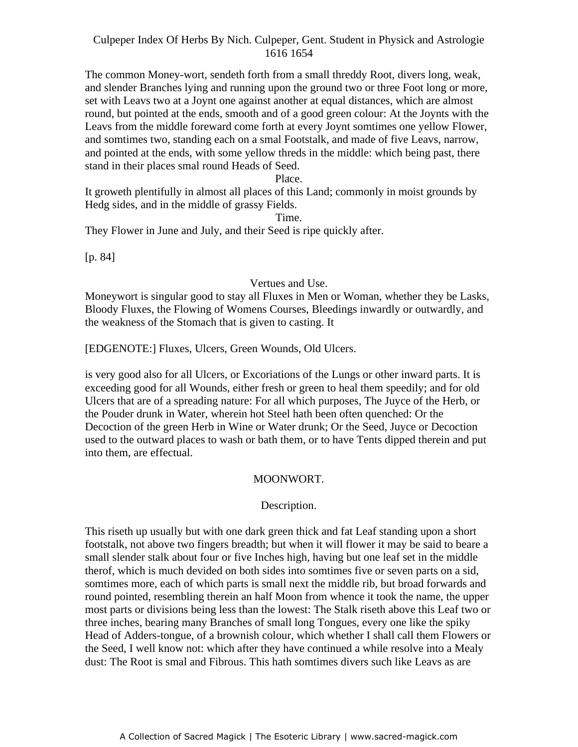The common Money-wort, sendeth forth from a small threddy Root, divers long, weak, and slender Branches lying and running upon the ground two or three Foot long or more, set with Leavs two at a Joynt one against another at equal distances, which are almost round, but pointed at the ends, smooth and of a good green colour: At the Joynts with the Leavs from the middle foreward come forth at every Joynt somtimes one yellow Flower, and somtimes two, standing each on a smal Footstalk, and made of five Leavs, narrow, and pointed at the ends, with some yellow threds in the middle: which being past, there stand in their places smal round Heads of Seed.

#### Place. .<br>.

It groweth plentifully in almost all places of this Land; commonly in moist grounds by Hedg sides, and in the middle of grassy Fields.

#### Time.

They Flower in June and July, and their Seed is ripe quickly after.

[p. 84]

#### Vertues and Use.

Moneywort is singular good to stay all Fluxes in Men or Woman, whether they be Lasks, Bloody Fluxes, the Flowing of Womens Courses, Bleedings inwardly or outwardly, and the weakness of the Stomach that is given to casting. It

[EDGENOTE:] Fluxes, Ulcers, Green Wounds, Old Ulcers.

is very good also for all Ulcers, or Excoriations of the Lungs or other inward parts. It is exceeding good for all Wounds, either fresh or green to heal them speedily; and for old Ulcers that are of a spreading nature: For all which purposes, The Juyce of the Herb, or the Pouder drunk in Water, wherein hot Steel hath been often quenched: Or the Decoction of the green Herb in Wine or Water drunk; Or the Seed, Juyce or Decoction used to the outward places to wash or bath them, or to have Tents dipped therein and put into them, are effectual.

# MOONWORT.

#### Description.

This riseth up usually but with one dark green thick and fat Leaf standing upon a short footstalk, not above two fingers breadth; but when it will flower it may be said to beare a small slender stalk about four or five Inches high, having but one leaf set in the middle therof, which is much devided on both sides into somtimes five or seven parts on a sid, somtimes more, each of which parts is small next the middle rib, but broad forwards and round pointed, resembling therein an half Moon from whence it took the name, the upper most parts or divisions being less than the lowest: The Stalk riseth above this Leaf two or three inches, bearing many Branches of small long Tongues, every one like the spiky Head of Adders-tongue, of a brownish colour, which whether I shall call them Flowers or the Seed, I well know not: which after they have continued a while resolve into a Mealy dust: The Root is smal and Fibrous. This hath somtimes divers such like Leavs as are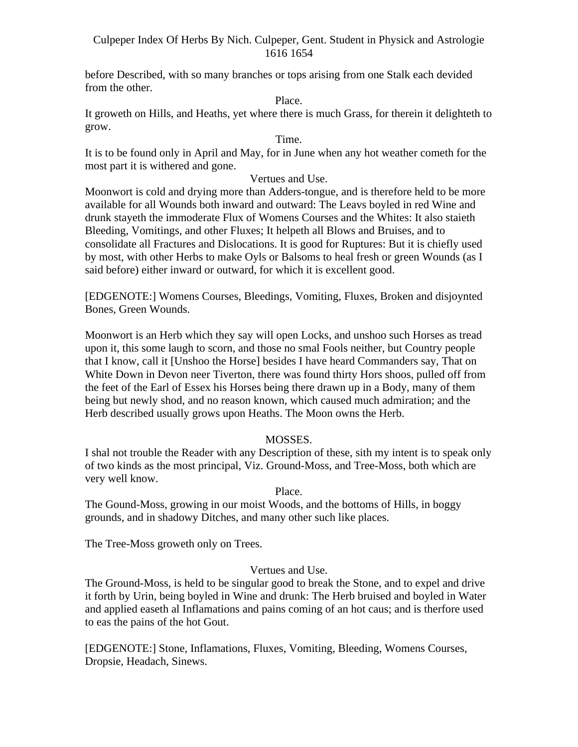before Described, with so many branches or tops arising from one Stalk each devided from the other.

Place.

It groweth on Hills, and Heaths, yet where there is much Grass, for therein it delighteth to grow.

#### Time.

It is to be found only in April and May, for in June when any hot weather cometh for the most part it is withered and gone.

# Vertues and Use.

Moonwort is cold and drying more than Adders-tongue, and is therefore held to be more available for all Wounds both inward and outward: The Leavs boyled in red Wine and drunk stayeth the immoderate Flux of Womens Courses and the Whites: It also staieth Bleeding, Vomitings, and other Fluxes; It helpeth all Blows and Bruises, and to consolidate all Fractures and Dislocations. It is good for Ruptures: But it is chiefly used by most, with other Herbs to make Oyls or Balsoms to heal fresh or green Wounds (as I said before) either inward or outward, for which it is excellent good.

[EDGENOTE:] Womens Courses, Bleedings, Vomiting, Fluxes, Broken and disjoynted Bones, Green Wounds.

Moonwort is an Herb which they say will open Locks, and unshoo such Horses as tread upon it, this some laugh to scorn, and those no smal Fools neither, but Country people that I know, call it [Unshoo the Horse] besides I have heard Commanders say, That on White Down in Devon neer Tiverton, there was found thirty Hors shoos, pulled off from the feet of the Earl of Essex his Horses being there drawn up in a Body, many of them being but newly shod, and no reason known, which caused much admiration; and the Herb described usually grows upon Heaths. The Moon owns the Herb.

# MOSSES.

I shal not trouble the Reader with any Description of these, sith my intent is to speak only of two kinds as the most principal, Viz. Ground-Moss, and Tree-Moss, both which are very well know.

# Place.

The Gound-Moss, growing in our moist Woods, and the bottoms of Hills, in boggy grounds, and in shadowy Ditches, and many other such like places.

The Tree-Moss groweth only on Trees.

# Vertues and Use.

The Ground-Moss, is held to be singular good to break the Stone, and to expel and drive it forth by Urin, being boyled in Wine and drunk: The Herb bruised and boyled in Water and applied easeth al Inflamations and pains coming of an hot caus; and is therfore used to eas the pains of the hot Gout.

[EDGENOTE:] Stone, Inflamations, Fluxes, Vomiting, Bleeding, Womens Courses, Dropsie, Headach, Sinews.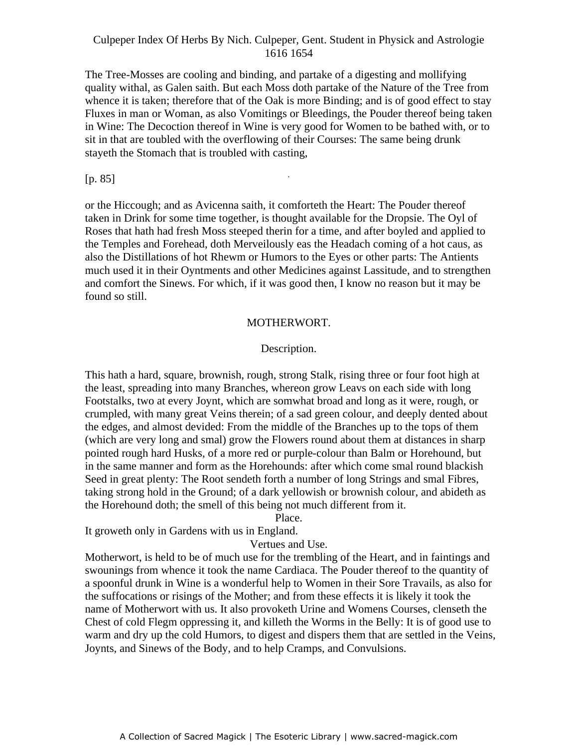The Tree-Mosses are cooling and binding, and partake of a digesting and mollifying quality withal, as Galen saith. But each Moss doth partake of the Nature of the Tree from whence it is taken; therefore that of the Oak is more Binding; and is of good effect to stay Fluxes in man or Woman, as also Vomitings or Bleedings, the Pouder thereof being taken in Wine: The Decoction thereof in Wine is very good for Women to be bathed with, or to sit in that are toubled with the overflowing of their Courses: The same being drunk stayeth the Stomach that is troubled with casting,

-

#### [p. 85]

or the Hiccough; and as Avicenna saith, it comforteth the Heart: The Pouder thereof taken in Drink for some time together, is thought available for the Dropsie. The Oyl of Roses that hath had fresh Moss steeped therin for a time, and after boyled and applied to the Temples and Forehead, doth Merveilously eas the Headach coming of a hot caus, as also the Distillations of hot Rhewm or Humors to the Eyes or other parts: The Antients much used it in their Oyntments and other Medicines against Lassitude, and to strengthen and comfort the Sinews. For which, if it was good then, I know no reason but it may be found so still.

#### MOTHERWORT.

# Description.

This hath a hard, square, brownish, rough, strong Stalk, rising three or four foot high at the least, spreading into many Branches, whereon grow Leavs on each side with long Footstalks, two at every Joynt, which are somwhat broad and long as it were, rough, or crumpled, with many great Veins therein; of a sad green colour, and deeply dented about the edges, and almost devided: From the middle of the Branches up to the tops of them (which are very long and smal) grow the Flowers round about them at distances in sharp pointed rough hard Husks, of a more red or purple-colour than Balm or Horehound, but in the same manner and form as the Horehounds: after which come smal round blackish Seed in great plenty: The Root sendeth forth a number of long Strings and smal Fibres, taking strong hold in the Ground; of a dark yellowish or brownish colour, and abideth as the Horehound doth; the smell of this being not much different from it.

Place.

It groweth only in Gardens with us in England.

Vertues and Use.

Motherwort, is held to be of much use for the trembling of the Heart, and in faintings and swounings from whence it took the name Cardiaca. The Pouder thereof to the quantity of a spoonful drunk in Wine is a wonderful help to Women in their Sore Travails, as also for the suffocations or risings of the Mother; and from these effects it is likely it took the name of Motherwort with us. It also provoketh Urine and Womens Courses, clenseth the Chest of cold Flegm oppressing it, and killeth the Worms in the Belly: It is of good use to warm and dry up the cold Humors, to digest and dispers them that are settled in the Veins, Joynts, and Sinews of the Body, and to help Cramps, and Convulsions.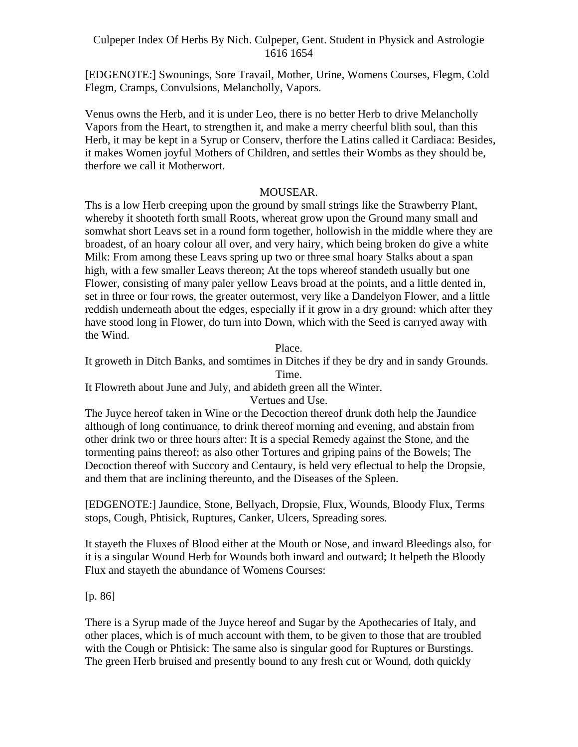[EDGENOTE:] Swounings, Sore Travail, Mother, Urine, Womens Courses, Flegm, Cold Flegm, Cramps, Convulsions, Melancholly, Vapors.

Venus owns the Herb, and it is under Leo, there is no better Herb to drive Melancholly Vapors from the Heart, to strengthen it, and make a merry cheerful blith soul, than this Herb, it may be kept in a Syrup or Conserv, therfore the Latins called it Cardiaca: Besides, it makes Women joyful Mothers of Children, and settles their Wombs as they should be, therfore we call it Motherwort.

# MOUSEAR.

Ths is a low Herb creeping upon the ground by small strings like the Strawberry Plant, whereby it shooteth forth small Roots, whereat grow upon the Ground many small and somwhat short Leavs set in a round form together, hollowish in the middle where they are broadest, of an hoary colour all over, and very hairy, which being broken do give a white Milk: From among these Leavs spring up two or three smal hoary Stalks about a span high, with a few smaller Leavs thereon; At the tops whereof standeth usually but one Flower, consisting of many paler yellow Leavs broad at the points, and a little dented in, set in three or four rows, the greater outermost, very like a Dandelyon Flower, and a little reddish underneath about the edges, especially if it grow in a dry ground: which after they have stood long in Flower, do turn into Down, which with the Seed is carryed away with the Wind.

Place.

It groweth in Ditch Banks, and somtimes in Ditches if they be dry and in sandy Grounds. Time.

It Flowreth about June and July, and abideth green all the Winter.

Vertues and Use.

The Juyce hereof taken in Wine or the Decoction thereof drunk doth help the Jaundice although of long continuance, to drink thereof morning and evening, and abstain from other drink two or three hours after: It is a special Remedy against the Stone, and the tormenting pains thereof; as also other Tortures and griping pains of the Bowels; The Decoction thereof with Succory and Centaury, is held very eflectual to help the Dropsie, and them that are inclining thereunto, and the Diseases of the Spleen.

[EDGENOTE:] Jaundice, Stone, Bellyach, Dropsie, Flux, Wounds, Bloody Flux, Terms stops, Cough, Phtisick, Ruptures, Canker, Ulcers, Spreading sores.

It stayeth the Fluxes of Blood either at the Mouth or Nose, and inward Bleedings also, for it is a singular Wound Herb for Wounds both inward and outward; It helpeth the Bloody Flux and stayeth the abundance of Womens Courses:

[p. 86]

There is a Syrup made of the Juyce hereof and Sugar by the Apothecaries of Italy, and other places, which is of much account with them, to be given to those that are troubled with the Cough or Phtisick: The same also is singular good for Ruptures or Burstings. The green Herb bruised and presently bound to any fresh cut or Wound, doth quickly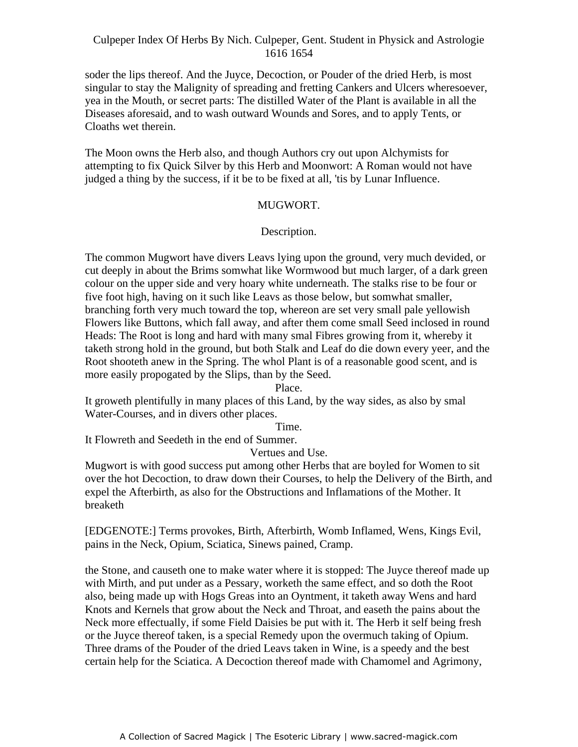soder the lips thereof. And the Juyce, Decoction, or Pouder of the dried Herb, is most singular to stay the Malignity of spreading and fretting Cankers and Ulcers wheresoever, yea in the Mouth, or secret parts: The distilled Water of the Plant is available in all the Diseases aforesaid, and to wash outward Wounds and Sores, and to apply Tents, or Cloaths wet therein.

The Moon owns the Herb also, and though Authors cry out upon Alchymists for attempting to fix Quick Silver by this Herb and Moonwort: A Roman would not have intempting to the gate. Since by this ricro and moonword. The name would not have

#### MUGWORT.

#### Description.

The common Mugwort have divers Leavs lying upon the ground, very much devided, or cut deeply in about the Brims somwhat like Wormwood but much larger, of a dark green colour on the upper side and very hoary white underneath. The stalks rise to be four or five foot high, having on it such like Leavs as those below, but somwhat smaller, branching forth very much toward the top, whereon are set very small pale yellowish Flowers like Buttons, which fall away, and after them come small Seed inclosed in round Heads: The Root is long and hard with many smal Fibres growing from it, whereby it taketh strong hold in the ground, but both Stalk and Leaf do die down every yeer, and the Root shooteth anew in the Spring. The whol Plant is of a reasonable good scent, and is more easily propogated by the Slips, than by the Seed.

#### Place.

It groweth plentifully in many places of this Land, by the way sides, as also by smal Water-Courses, and in divers other places.

Time.

It Flowreth and Seedeth in the end of Summer.

Vertues and Use.

Mugwort is with good success put among other Herbs that are boyled for Women to sit over the hot Decoction, to draw down their Courses, to help the Delivery of the Birth, and expel the Afterbirth, as also for the Obstructions and Inflamations of the Mother. It breaketh **breaketh** 

[EDGENOTE:] Terms provokes, Birth, Afterbirth, Womb Inflamed, Wens, Kings Evil, pains in the Neck, Opium, Sciatica, Sinews pained, Cramp.

the Stone, and causeth one to make water where it is stopped: The Juyce thereof made up with Mirth, and put under as a Pessary, worketh the same effect, and so doth the Root also, being made up with Hogs Greas into an Oyntment, it taketh away Wens and hard Knots and Kernels that grow about the Neck and Throat, and easeth the pains about the Neck more effectually, if some Field Daisies be put with it. The Herb it self being fresh or the Juyce thereof taken, is a special Remedy upon the overmuch taking of Opium. Three drams of the Pouder of the dried Leavs taken in Wine, is a speedy and the best certain help for the Sciatica. A Decoction thereof made with Chamomel and Agrimony,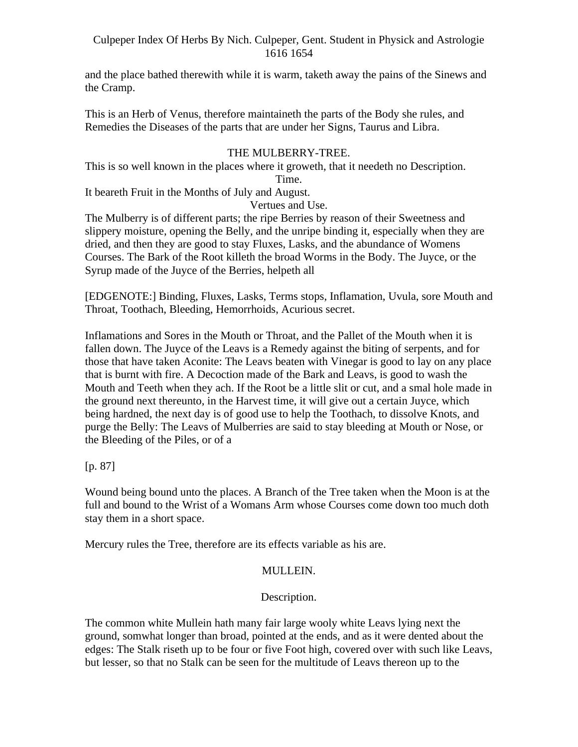and the place bathed therewith while it is warm, taketh away the pains of the Sinews and the Cramp.

This is an Herb of Venus, therefore maintaineth the parts of the Body she rules, and Remedies the Diseases of the parts that are under her Signs, Taurus and Libra.

# THE MULBERRY-TREE.

This is so well known in the places where it groweth, that it needeth no Description. Time.

It beareth Fruit in the Months of July and August.

Vertues and Use.

The Mulberry is of different parts; the ripe Berries by reason of their Sweetness and slippery moisture, opening the Belly, and the unripe binding it, especially when they are dried, and then they are good to stay Fluxes, Lasks, and the abundance of Womens Courses. The Bark of the Root killeth the broad Worms in the Body. The Juyce, or the Syrup made of the Juyce of the Berries, helpeth all

[EDGENOTE:] Binding, Fluxes, Lasks, Terms stops, Inflamation, Uvula, sore Mouth and Throat, Toothach, Bleeding, Hemorrhoids, Acurious secret.

Inflamations and Sores in the Mouth or Throat, and the Pallet of the Mouth when it is fallen down. The Juyce of the Leavs is a Remedy against the biting of serpents, and for those that have taken Aconite: The Leavs beaten with Vinegar is good to lay on any place that is burnt with fire. A Decoction made of the Bark and Leavs, is good to wash the Mouth and Teeth when they ach. If the Root be a little slit or cut, and a smal hole made in the ground next thereunto, in the Harvest time, it will give out a certain Juyce, which being hardned, the next day is of good use to help the Toothach, to dissolve Knots, and purge the Belly: The Leavs of Mulberries are said to stay bleeding at Mouth or Nose, or the Bleeding of the Piles, or of a

[p. 87]

Wound being bound unto the places. A Branch of the Tree taken when the Moon is at the full and bound to the Wrist of a Womans Arm whose Courses come down too much doth stay them in a short space.

Mercury rules the Tree, therefore are its effects variable as his are.

# MULLEIN.

# Description.

The common white Mullein hath many fair large wooly white Leavs lying next the ground, somwhat longer than broad, pointed at the ends, and as it were dented about the edges: The Stalk riseth up to be four or five Foot high, covered over with such like Leavs, but lesser, so that no Stalk can be seen for the multitude of Leavs thereon up to the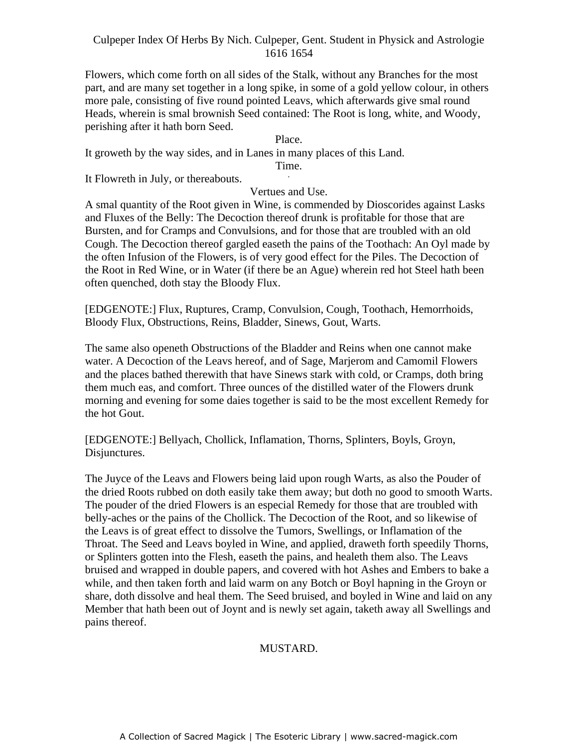Flowers, which come forth on all sides of the Stalk, without any Branches for the most part, and are many set together in a long spike, in some of a gold yellow colour, in others more pale, consisting of five round pointed Leavs, which afterwards give smal round Heads, wherein is smal brownish Seed contained: The Root is long, white, and Woody, perishing after it hath born Seed.

#### Place.

It groweth by the way sides, and in Lanes in many places of this Land.

Time. Time.

It Flowreth in July, or thereabouts.

#### Vertues and Use.

A smal quantity of the Root given in Wine, is commended by Dioscorides against Lasks and Fluxes of the Belly: The Decoction thereof drunk is profitable for those that are Bursten, and for Cramps and Convulsions, and for those that are troubled with an old Cough. The Decoction thereof gargled easeth the pains of the Toothach: An Oyl made by the often Infusion of the Flowers, is of very good effect for the Piles. The Decoction of the Root in Red Wine, or in Water (if there be an Ague) wherein red hot Steel hath been often quenched, doth stay the Bloody Flux.

[EDGENOTE:] Flux, Ruptures, Cramp, Convulsion, Cough, Toothach, Hemorrhoids, Bloody Flux, Obstructions, Reins, Bladder, Sinews, Gout, Warts.

The same also openeth Obstructions of the Bladder and Reins when one cannot make water. A Decoction of the Leavs hereof, and of Sage, Marjerom and Camomil Flowers and the places bathed therewith that have Sinews stark with cold, or Cramps, doth bring them much eas, and comfort. Three ounces of the distilled water of the Flowers drunk morning and evening for some daies together is said to be the most excellent Remedy for the hot Gout.

[EDGENOTE:] Bellyach, Chollick, Inflamation, Thorns, Splinters, Boyls, Groyn, Disjunctures.

The Juyce of the Leavs and Flowers being laid upon rough Warts, as also the Pouder of the dried Roots rubbed on doth easily take them away; but doth no good to smooth Warts. The pouder of the dried Flowers is an especial Remedy for those that are troubled with belly-aches or the pains of the Chollick. The Decoction of the Root, and so likewise of the Leavs is of great effect to dissolve the Tumors, Swellings, or Inflamation of the Throat. The Seed and Leavs boyled in Wine, and applied, draweth forth speedily Thorns, or Splinters gotten into the Flesh, easeth the pains, and healeth them also. The Leavs bruised and wrapped in double papers, and covered with hot Ashes and Embers to bake a while, and then taken forth and laid warm on any Botch or Boyl hapning in the Groyn or share, doth dissolve and heal them. The Seed bruised, and boyled in Wine and laid on any Member that hath been out of Joynt and is newly set again, taketh away all Swellings and pains thereof.

# MUSTARD.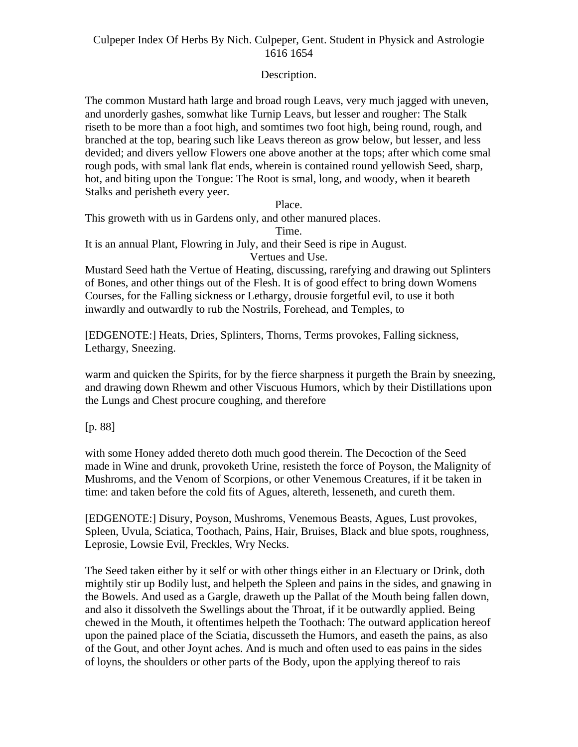# Description.

The common Mustard hath large and broad rough Leavs, very much jagged with uneven, and unorderly gashes, somwhat like Turnip Leavs, but lesser and rougher: The Stalk riseth to be more than a foot high, and somtimes two foot high, being round, rough, and branched at the top, bearing such like Leavs thereon as grow below, but lesser, and less devided; and divers yellow Flowers one above another at the tops; after which come smal rough pods, with smal lank flat ends, wherein is contained round yellowish Seed, sharp, hot, and biting upon the Tongue: The Root is smal, long, and woody, when it beareth Stalks and perisheth every yeer.

Place.

This groweth with us in Gardens only, and other manured places.

Time.

It is an annual Plant, Flowring in July, and their Seed is ripe in August. Vertues and Use.

Mustard Seed hath the Vertue of Heating, discussing, rarefying and drawing out Splinters of Bones, and other things out of the Flesh. It is of good effect to bring down Womens Courses, for the Falling sickness or Lethargy, drousie forgetful evil, to use it both inwardly and outwardly to rub the Nostrils, Forehead, and Temples, to

[EDGENOTE:] Heats, Dries, Splinters, Thorns, Terms provokes, Falling sickness, Lethargy, Sneezing.

warm and quicken the Spirits, for by the fierce sharpness it purgeth the Brain by sneezing, and drawing down Rhewm and other Viscuous Humors, which by their Distillations upon the Lungs and Chest procure coughing, and therefore

[p. 88]

with some Honey added thereto doth much good therein. The Decoction of the Seed made in Wine and drunk, provoketh Urine, resisteth the force of Poyson, the Malignity of Mushroms, and the Venom of Scorpions, or other Venemous Creatures, if it be taken in time: and taken before the cold fits of Agues, altereth, lesseneth, and cureth them.

[EDGENOTE:] Disury, Poyson, Mushroms, Venemous Beasts, Agues, Lust provokes, Spleen, Uvula, Sciatica, Toothach, Pains, Hair, Bruises, Black and blue spots, roughness, Leprosie, Lowsie Evil, Freckles, Wry Necks.

The Seed taken either by it self or with other things either in an Electuary or Drink, doth mightily stir up Bodily lust, and helpeth the Spleen and pains in the sides, and gnawing in the Bowels. And used as a Gargle, draweth up the Pallat of the Mouth being fallen down, and also it dissolveth the Swellings about the Throat, if it be outwardly applied. Being chewed in the Mouth, it oftentimes helpeth the Toothach: The outward application hereof upon the pained place of the Sciatia, discusseth the Humors, and easeth the pains, as also of the Gout, and other Joynt aches. And is much and often used to eas pains in the sides of loyns, the shoulders or other parts of the Body, upon the applying thereof to rais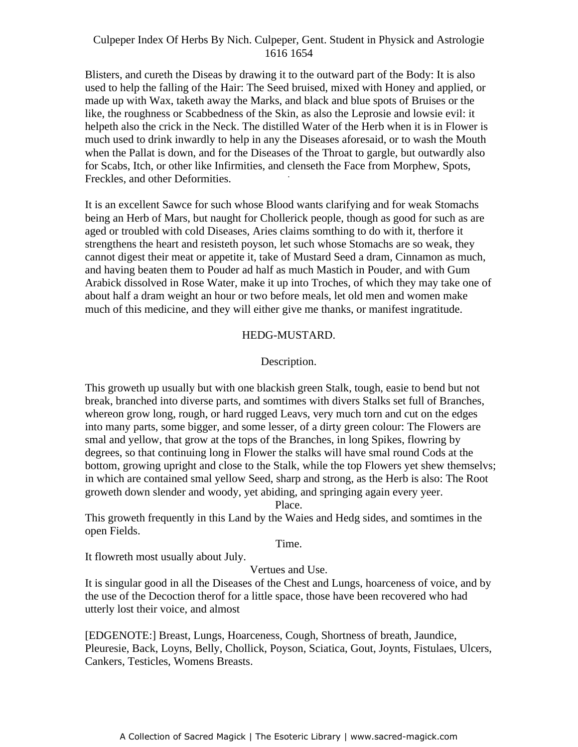Blisters, and cureth the Diseas by drawing it to the outward part of the Body: It is also used to help the falling of the Hair: The Seed bruised, mixed with Honey and applied, or made up with Wax, taketh away the Marks, and black and blue spots of Bruises or the like, the roughness or Scabbedness of the Skin, as also the Leprosie and lowsie evil: it helpeth also the crick in the Neck. The distilled Water of the Herb when it is in Flower is much used to drink inwardly to help in any the Diseases aforesaid, or to wash the Mouth when the Pallat is down, and for the Diseases of the Throat to gargle, but outwardly also for Scabs, Itch, or other like Infirmities, and clenseth the Face from Morphew, Spots,  $\Gamma$ Freckles, and other Deformities.

It is an excellent Sawce for such whose Blood wants clarifying and for weak Stomachs being an Herb of Mars, but naught for Chollerick people, though as good for such as are aged or troubled with cold Diseases, Aries claims somthing to do with it, therfore it strengthens the heart and resisteth poyson, let such whose Stomachs are so weak, they cannot digest their meat or appetite it, take of Mustard Seed a dram, Cinnamon as much, and having beaten them to Pouder ad half as much Mastich in Pouder, and with Gum Arabick dissolved in Rose Water, make it up into Troches, of which they may take one of about half a dram weight an hour or two before meals, let old men and women make much of this medicine, and they will either give me thanks, or manifest ingratitude.

#### HEDG-MUSTARD.

# Description.

This groweth up usually but with one blackish green Stalk, tough, easie to bend but not break, branched into diverse parts, and somtimes with divers Stalks set full of Branches, whereon grow long, rough, or hard rugged Leavs, very much torn and cut on the edges into many parts, some bigger, and some lesser, of a dirty green colour: The Flowers are smal and yellow, that grow at the tops of the Branches, in long Spikes, flowring by degrees, so that continuing long in Flower the stalks will have smal round Cods at the bottom, growing upright and close to the Stalk, while the top Flowers yet shew themselvs; in which are contained smal yellow Seed, sharp and strong, as the Herb is also: The Root groweth down slender and woody, yet abiding, and springing again every yeer.

Place.

This groweth frequently in this Land by the Waies and Hedg sides, and somtimes in the open Fields.

#### Time.

It flowreth most usually about July.

Vertues and Use.

It is singular good in all the Diseases of the Chest and Lungs, hoarceness of voice, and by the use of the Decoction therof for a little space, those have been recovered who had utterly lost their voice, and almost

[EDGENOTE:] Breast, Lungs, Hoarceness, Cough, Shortness of breath, Jaundice, Pleuresie, Back, Loyns, Belly, Chollick, Poyson, Sciatica, Gout, Joynts, Fistulaes, Ulcers, Cankers, Testicles, Womens Breasts.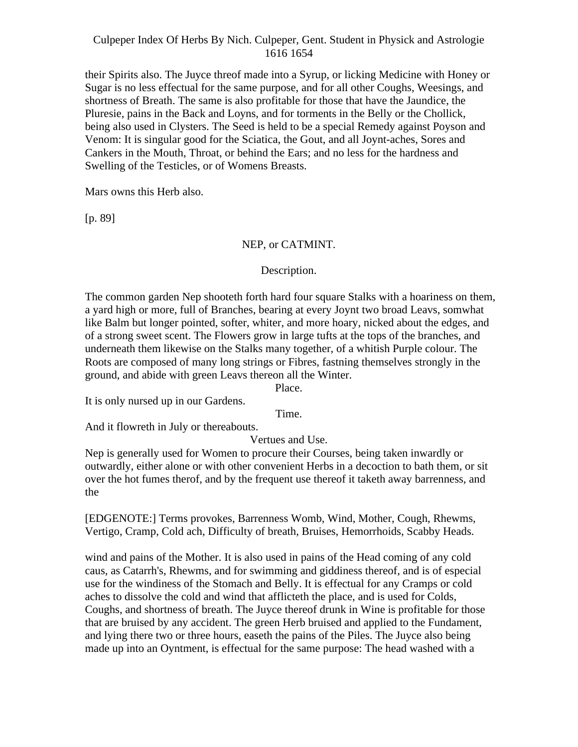their Spirits also. The Juyce threof made into a Syrup, or licking Medicine with Honey or Sugar is no less effectual for the same purpose, and for all other Coughs, Weesings, and shortness of Breath. The same is also profitable for those that have the Jaundice, the Pluresie, pains in the Back and Loyns, and for torments in the Belly or the Chollick, being also used in Clysters. The Seed is held to be a special Remedy against Poyson and Venom: It is singular good for the Sciatica, the Gout, and all Joynt-aches, Sores and Cankers in the Mouth, Throat, or behind the Ears; and no less for the hardness and Swelling of the Testicles, or of Womens Breasts.

Mars owns this Herb also.

[p. 89]

# NEP, or CATMINT.

# Description.

The common garden Nep shooteth forth hard four square Stalks with a hoariness on them, a yard high or more, full of Branches, bearing at every Joynt two broad Leavs, somwhat like Balm but longer pointed, softer, whiter, and more hoary, nicked about the edges, and of a strong sweet scent. The Flowers grow in large tufts at the tops of the branches, and underneath them likewise on the Stalks many together, of a whitish Purple colour. The Roots are composed of many long strings or Fibres, fastning themselves strongly in the ground, and abide with green Leavs thereon all the Winter.

Place.

It is only nursed up in our Gardens.

Time.

And it flowreth in July or thereabouts.

Vertues and Use.

Nep is generally used for Women to procure their Courses, being taken inwardly or outwardly, either alone or with other convenient Herbs in a decoction to bath them, or sit over the hot fumes therof, and by the frequent use thereof it taketh away barrenness, and the state of the state of the state of the state of the state of the state of the state of the state of the state of the state of the state of the state of the state of the state of the state of the state of the state of t

[EDGENOTE:] Terms provokes, Barrenness Womb, Wind, Mother, Cough, Rhewms, Vertigo, Cramp, Cold ach, Difficulty of breath, Bruises, Hemorrhoids, Scabby Heads.

wind and pains of the Mother. It is also used in pains of the Head coming of any cold caus, as Catarrh's, Rhewms, and for swimming and giddiness thereof, and is of especial use for the windiness of the Stomach and Belly. It is effectual for any Cramps or cold aches to dissolve the cold and wind that afflicteth the place, and is used for Colds, Coughs, and shortness of breath. The Juyce thereof drunk in Wine is profitable for those that are bruised by any accident. The green Herb bruised and applied to the Fundament, and lying there two or three hours, easeth the pains of the Piles. The Juyce also being made up into an Oyntment, is effectual for the same purpose: The head washed with a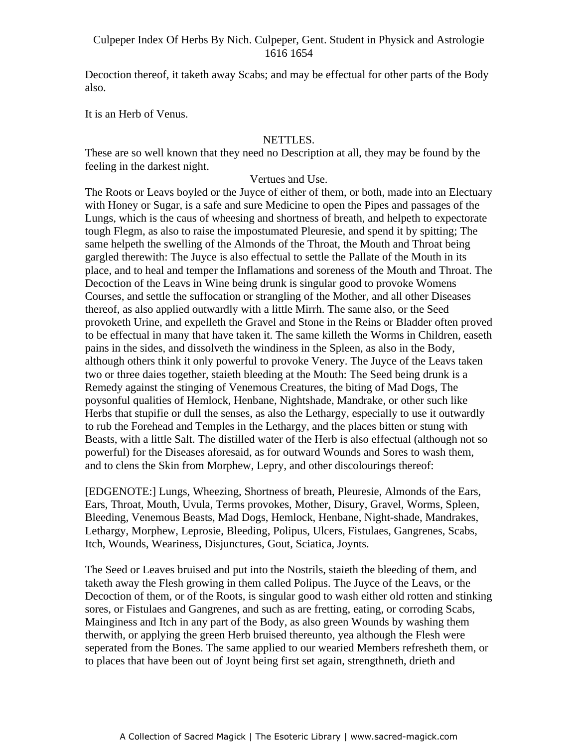Decoction thereof, it taketh away Scabs; and may be effectual for other parts of the Body also.

It is an Herb of Venus.

# NETTLES.

These are so well known that they need no Description at all, they may be found by the feeling in the darkest night.

Vertues and Use.

The Roots or Leavs boyled or the Juyce of either of them, or both, made into an Electuary with Honey or Sugar, is a safe and sure Medicine to open the Pipes and passages of the Lungs, which is the caus of wheesing and shortness of breath, and helpeth to expectorate tough Flegm, as also to raise the impostumated Pleuresie, and spend it by spitting; The same helpeth the swelling of the Almonds of the Throat, the Mouth and Throat being gargled therewith: The Juyce is also effectual to settle the Pallate of the Mouth in its place, and to heal and temper the Inflamations and soreness of the Mouth and Throat. The Decoction of the Leavs in Wine being drunk is singular good to provoke Womens Courses, and settle the suffocation or strangling of the Mother, and all other Diseases thereof, as also applied outwardly with a little Mirrh. The same also, or the Seed provoketh Urine, and expelleth the Gravel and Stone in the Reins or Bladder often proved to be effectual in many that have taken it. The same killeth the Worms in Children, easeth pains in the sides, and dissolveth the windiness in the Spleen, as also in the Body, although others think it only powerful to provoke Venery. The Juyce of the Leavs taken two or three daies together, staieth bleeding at the Mouth: The Seed being drunk is a Remedy against the stinging of Venemous Creatures, the biting of Mad Dogs, The poysonful qualities of Hemlock, Henbane, Nightshade, Mandrake, or other such like Herbs that stupifie or dull the senses, as also the Lethargy, especially to use it outwardly to rub the Forehead and Temples in the Lethargy, and the places bitten or stung with Beasts, with a little Salt. The distilled water of the Herb is also effectual (although not so powerful) for the Diseases aforesaid, as for outward Wounds and Sores to wash them, and to clens the Skin from Morphew, Lepry, and other discolourings thereof:

[EDGENOTE:] Lungs, Wheezing, Shortness of breath, Pleuresie, Almonds of the Ears, Ears, Throat, Mouth, Uvula, Terms provokes, Mother, Disury, Gravel, Worms, Spleen, Bleeding, Venemous Beasts, Mad Dogs, Hemlock, Henbane, Night-shade, Mandrakes, Lethargy, Morphew, Leprosie, Bleeding, Polipus, Ulcers, Fistulaes, Gangrenes, Scabs, Itch, Wounds, Weariness, Disjunctures, Gout, Sciatica, Joynts.

The Seed or Leaves bruised and put into the Nostrils, staieth the bleeding of them, and taketh away the Flesh growing in them called Polipus. The Juyce of the Leavs, or the Decoction of them, or of the Roots, is singular good to wash either old rotten and stinking sores, or Fistulaes and Gangrenes, and such as are fretting, eating, or corroding Scabs, Mainginess and Itch in any part of the Body, as also green Wounds by washing them therwith, or applying the green Herb bruised thereunto, yea although the Flesh were seperated from the Bones. The same applied to our wearied Members refresheth them, or to places that have been out of Joynt being first set again, strengthneth, drieth and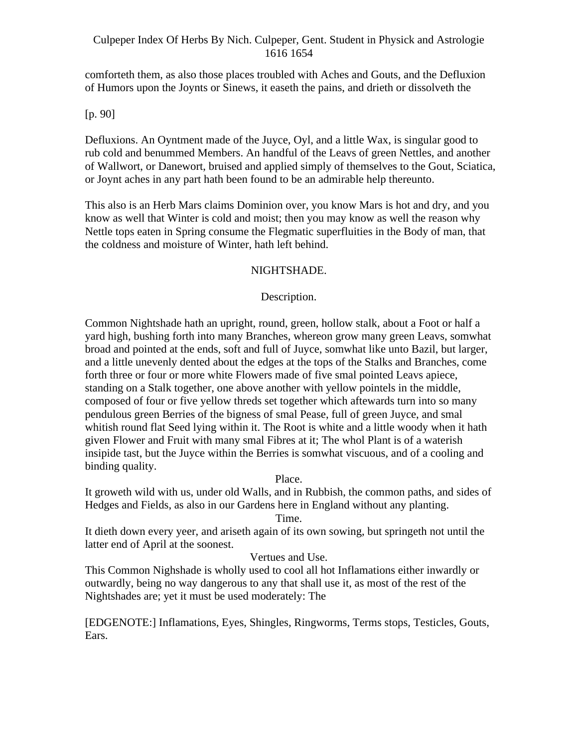comforteth them, as also those places troubled with Aches and Gouts, and the Defluxion of Humors upon the Joynts or Sinews, it easeth the pains, and drieth or dissolveth the

[p. 90]

Defluxions. An Oyntment made of the Juyce, Oyl, and a little Wax, is singular good to rub cold and benummed Members. An handful of the Leavs of green Nettles, and another of Wallwort, or Danewort, bruised and applied simply of themselves to the Gout, Sciatica, or Joynt aches in any part hath been found to be an admirable help thereunto.

This also is an Herb Mars claims Dominion over, you know Mars is hot and dry, and you know as well that Winter is cold and moist; then you may know as well the reason why Nettle tops eaten in Spring consume the Flegmatic superfluities in the Body of man, that the coldness and moisture of Winter, hath left behind.

## NIGHTSHADE.

## Description.

Common Nightshade hath an upright, round, green, hollow stalk, about a Foot or half a yard high, bushing forth into many Branches, whereon grow many green Leavs, somwhat broad and pointed at the ends, soft and full of Juyce, somwhat like unto Bazil, but larger, and a little unevenly dented about the edges at the tops of the Stalks and Branches, come forth three or four or more white Flowers made of five smal pointed Leavs apiece, standing on a Stalk together, one above another with yellow pointels in the middle, composed of four or five yellow threds set together which aftewards turn into so many pendulous green Berries of the bigness of smal Pease, full of green Juyce, and smal whitish round flat Seed lying within it. The Root is white and a little woody when it hath given Flower and Fruit with many smal Fibres at it; The whol Plant is of a waterish insipide tast, but the Juyce within the Berries is somwhat viscuous, and of a cooling and binding quality.

Place.

It groweth wild with us, under old Walls, and in Rubbish, the common paths, and sides of Hedges and Fields, as also in our Gardens here in England without any planting.

Time.

It dieth down every yeer, and ariseth again of its own sowing, but springeth not until the latter end of April at the soonest.

## Vertues and Use.

This Common Nighshade is wholly used to cool all hot Inflamations either inwardly or outwardly, being no way dangerous to any that shall use it, as most of the rest of the Nightshades are; yet it must be used moderately: The

[EDGENOTE:] Inflamations, Eyes, Shingles, Ringworms, Terms stops, Testicles, Gouts, Ears.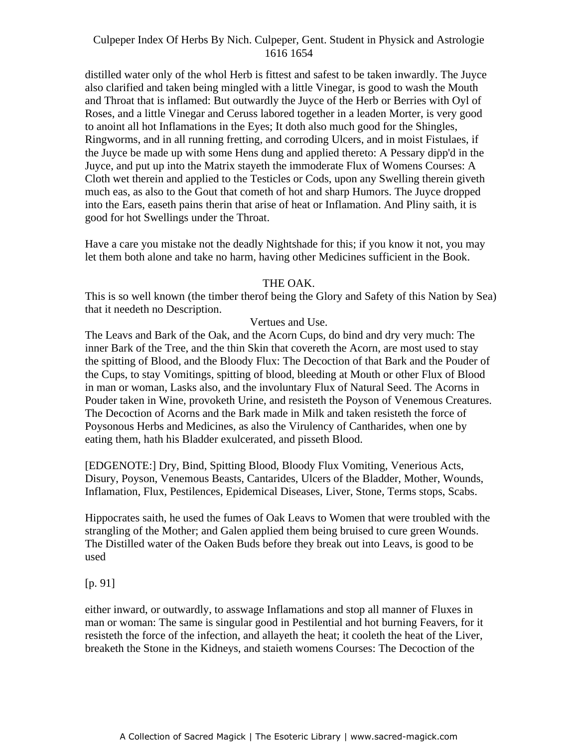distilled water only of the whol Herb is fittest and safest to be taken inwardly. The Juyce also clarified and taken being mingled with a little Vinegar, is good to wash the Mouth and Throat that is inflamed: But outwardly the Juyce of the Herb or Berries with Oyl of Roses, and a little Vinegar and Ceruss labored together in a leaden Morter, is very good to anoint all hot Inflamations in the Eyes; It doth also much good for the Shingles, Ringworms, and in all running fretting, and corroding Ulcers, and in moist Fistulaes, if the Juyce be made up with some Hens dung and applied thereto: A Pessary dipp'd in the Juyce, and put up into the Matrix stayeth the immoderate Flux of Womens Courses: A Exercise that the restrict is the matter state of the influence of the control of the control of the Cloth wet therein and applied to the Testicles or Cods, upon any Swelling therein giveth much eas, as also to the Gout that cometh of hot and sharp Humors. The Juyce dropped into the Ears, easeth pains therin that arise of heat or Inflamation. And Pliny saith, it is good for hot Swellings under the Throat.

Have a care you mistake not the deadly Nightshade for this; if you know it not, you may let them both alone and take no harm, having other Medicines sufficient in the Book.

## THE OAK.

This is so well known (the timber therof being the Glory and Safety of this Nation by Sea) that it needeth no Description.

## Vertues and Use.

The Leavs and Bark of the Oak, and the Acorn Cups, do bind and dry very much: The inner Bark of the Tree, and the thin Skin that covereth the Acorn, are most used to stay the spitting of Blood, and the Bloody Flux: The Decoction of that Bark and the Pouder of the Cups, to stay Vomitings, spitting of blood, bleeding at Mouth or other Flux of Blood in man or woman, Lasks also, and the involuntary Flux of Natural Seed. The Acorns in Pouder taken in Wine, provoketh Urine, and resisteth the Poyson of Venemous Creatures. The Decoction of Acorns and the Bark made in Milk and taken resisteth the force of Poysonous Herbs and Medicines, as also the Virulency of Cantharides, when one by eating them, hath his Bladder exulcerated, and pisseth Blood.

[EDGENOTE:] Dry, Bind, Spitting Blood, Bloody Flux Vomiting, Venerious Acts, Disury, Poyson, Venemous Beasts, Cantarides, Ulcers of the Bladder, Mother, Wounds, Inflamation, Flux, Pestilences, Epidemical Diseases, Liver, Stone, Terms stops, Scabs.

Hippocrates saith, he used the fumes of Oak Leavs to Women that were troubled with the strangling of the Mother; and Galen applied them being bruised to cure green Wounds. The Distilled water of the Oaken Buds before they break out into Leavs, is good to be used

#### [p. 91]

either inward, or outwardly, to asswage Inflamations and stop all manner of Fluxes in man or woman: The same is singular good in Pestilential and hot burning Feavers, for it resisteth the force of the infection, and allayeth the heat; it cooleth the heat of the Liver, breaketh the Stone in the Kidneys, and staieth womens Courses: The Decoction of the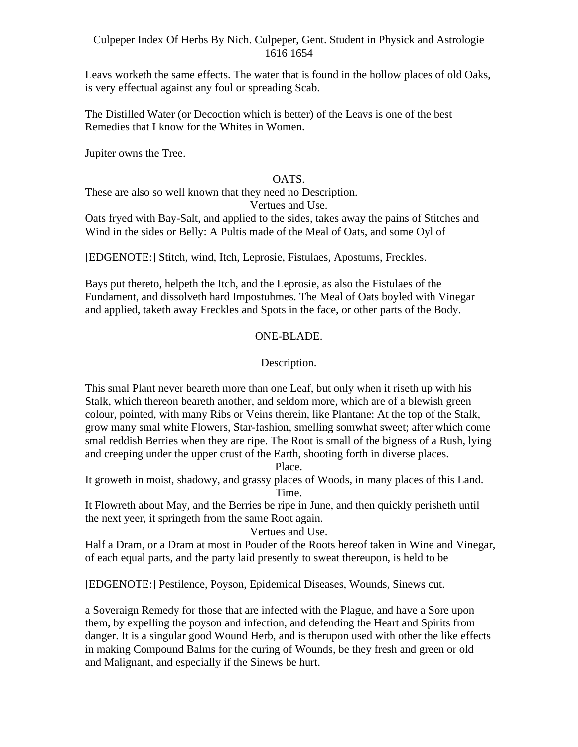Leavs worketh the same effects. The water that is found in the hollow places of old Oaks, is very effectual against any foul or spreading Scab.

The Distilled Water (or Decoction which is better) of the Leavs is one of the best Remedies that I know for the Whites in Women.

Jupiter owns the Tree.

## OATS.

These are also so well known that they need no Description.

Vertues and Use.

Oats fryed with Bay-Salt, and applied to the sides, takes away the pains of Stitches and Wind in the sides or Belly: A Pultis made of the Meal of Oats, and some Oyl of

[EDGENOTE:] Stitch, wind, Itch, Leprosie, Fistulaes, Apostums, Freckles.

Bays put thereto, helpeth the Itch, and the Leprosie, as also the Fistulaes of the Fundament, and dissolveth hard Impostuhmes. The Meal of Oats boyled with Vinegar and applied, taketh away Freckles and Spots in the face, or other parts of the Body.

## ONE-BLADE.

## Description.

This smal Plant never beareth more than one Leaf, but only when it riseth up with his Stalk, which thereon beareth another, and seldom more, which are of a blewish green colour, pointed, with many Ribs or Veins therein, like Plantane: At the top of the Stalk, grow many smal white Flowers, Star-fashion, smelling somwhat sweet; after which come smal reddish Berries when they are ripe. The Root is small of the bigness of a Rush, lying and creeping under the upper crust of the Earth, shooting forth in diverse places.

Place.

It groweth in moist, shadowy, and grassy places of Woods, in many places of this Land. Time.

It Flowreth about May, and the Berries be ripe in June, and then quickly perisheth until the next yeer, it springeth from the same Root again.

Vertues and Use.

Half a Dram, or a Dram at most in Pouder of the Roots hereof taken in Wine and Vinegar, of each equal parts, and the party laid presently to sweat thereupon, is held to be

[EDGENOTE:] Pestilence, Poyson, Epidemical Diseases, Wounds, Sinews cut.

a Soveraign Remedy for those that are infected with the Plague, and have a Sore upon them, by expelling the poyson and infection, and defending the Heart and Spirits from danger. It is a singular good Wound Herb, and is therupon used with other the like effects in making Compound Balms for the curing of Wounds, be they fresh and green or old and Malignant, and especially if the Sinews be hurt.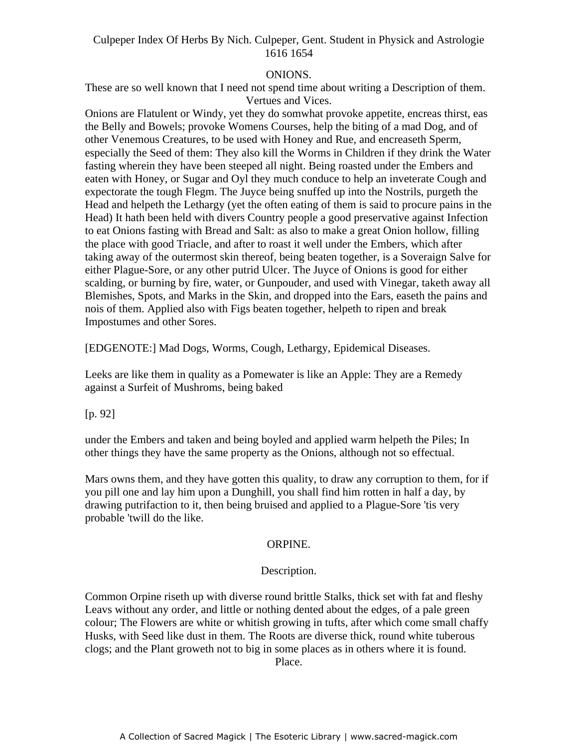## ONIONS.

These are so well known that I need not spend time about writing a Description of them. Vertues and Vices.

Onions are Flatulent or Windy, yet they do somwhat provoke appetite, encreas thirst, eas the Belly and Bowels; provoke Womens Courses, help the biting of a mad Dog, and of other Venemous Creatures, to be used with Honey and Rue, and encreaseth Sperm, especially the Seed of them: They also kill the Worms in Children if they drink the Water fasting wherein they have been steeped all night. Being roasted under the Embers and reading wherein any have been steeped an ingin. Deing roasted ander the Embers and discussion and extensive me<br>eaten with Honey, or Sugar and Oyl they much conduce to help an inveterate Cough and expectorate the tough Flegm. The Juyce being snuffed up into the Nostrils, purgeth the Head and helpeth the Lethargy (yet the often eating of them is said to procure pains in the Head) It hath been held with divers Country people a good preservative against Infection to eat Onions fasting with Bread and Salt: as also to make a great Onion hollow, filling the place with good Triacle, and after to roast it well under the Embers, which after taking away of the outermost skin thereof, being beaten together, is a Soveraign Salve for either Plague-Sore, or any other putrid Ulcer. The Juyce of Onions is good for either scalding, or burning by fire, water, or Gunpouder, and used with Vinegar, taketh away all Blemishes, Spots, and Marks in the Skin, and dropped into the Ears, easeth the pains and nois of them. Applied also with Figs beaten together, helpeth to ripen and break Impostumes and other Sores.

[EDGENOTE:] Mad Dogs, Worms, Cough, Lethargy, Epidemical Diseases.

Leeks are like them in quality as a Pomewater is like an Apple: They are a Remedy against a Surfeit of Mushroms, being baked

[p. 92]

under the Embers and taken and being boyled and applied warm helpeth the Piles; In other things they have the same property as the Onions, although not so effectual.

Mars owns them, and they have gotten this quality, to draw any corruption to them, for if you pill one and lay him upon a Dunghill, you shall find him rotten in half a day, by drawing putrifaction to it, then being bruised and applied to a Plague-Sore 'tis very probable 'twill do the like.

## ORPINE.

## Description.

Common Orpine riseth up with diverse round brittle Stalks, thick set with fat and fleshy Leavs without any order, and little or nothing dented about the edges, of a pale green colour; The Flowers are white or whitish growing in tufts, after which come small chaffy Husks, with Seed like dust in them. The Roots are diverse thick, round white tuberous clogs; and the Plant groweth not to big in some places as in others where it is found. Place.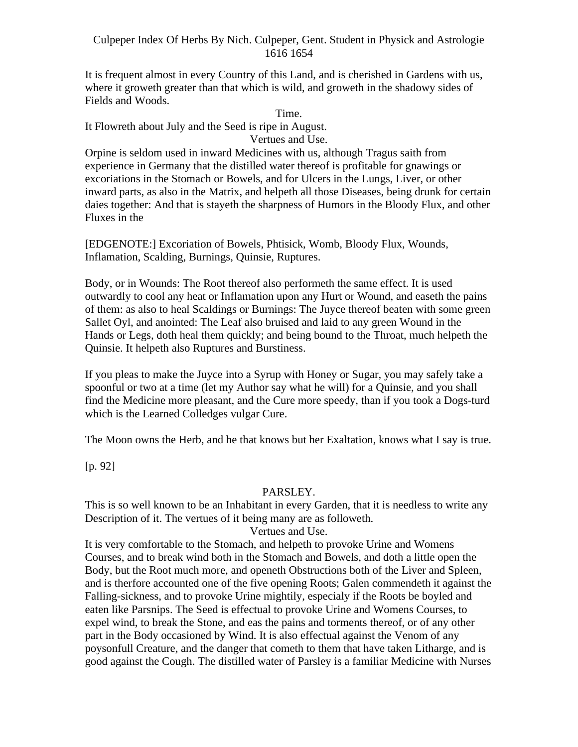It is frequent almost in every Country of this Land, and is cherished in Gardens with us, where it groweth greater than that which is wild, and groweth in the shadowy sides of Fields and Woods.

Time.

It Flowreth about July and the Seed is ripe in August.

Vertues and Use.

Orpine is seldom used in inward Medicines with us, although Tragus saith from experience in Germany that the distilled water thereof is profitable for gnawings or excoriations in the Stomach or Bowels, and for Ulcers in the Lungs, Liver, or other inward parts, as also in the Matrix, and helpeth all those Diseases, being drunk for certain daies together: And that is stayeth the sharpness of Humors in the Bloody Flux, and other Fluxes in the set of the set of the set of the set of the set of the set of the set of the set of the set of the set of the set of the set of the set of the set of the set of the set of the set of the set of the set of the

[EDGENOTE:] Excoriation of Bowels, Phtisick, Womb, Bloody Flux, Wounds, Inflamation, Scalding, Burnings, Quinsie, Ruptures.

Body, or in Wounds: The Root thereof also performeth the same effect. It is used outwardly to cool any heat or Inflamation upon any Hurt or Wound, and easeth the pains of them: as also to heal Scaldings or Burnings: The Juyce thereof beaten with some green Sallet Oyl, and anointed: The Leaf also bruised and laid to any green Wound in the Hands or Legs, doth heal them quickly; and being bound to the Throat, much helpeth the Quinsie. It helpeth also Ruptures and Burstiness.

If you pleas to make the Juyce into a Syrup with Honey or Sugar, you may safely take a spoonful or two at a time (let my Author say what he will) for a Quinsie, and you shall find the Medicine more pleasant, and the Cure more speedy, than if you took a Dogs-turd which is the Learned Colledges vulgar Cure.

The Moon owns the Herb, and he that knows but her Exaltation, knows what I say is true.

[p. 92]

## PARSLEY.

This is so well known to be an Inhabitant in every Garden, that it is needless to write any Description of it. The vertues of it being many are as followeth.

## Vertues and Use.

It is very comfortable to the Stomach, and helpeth to provoke Urine and Womens Courses, and to break wind both in the Stomach and Bowels, and doth a little open the Body, but the Root much more, and openeth Obstructions both of the Liver and Spleen, and is therfore accounted one of the five opening Roots; Galen commendeth it against the Falling-sickness, and to provoke Urine mightily, especialy if the Roots be boyled and eaten like Parsnips. The Seed is effectual to provoke Urine and Womens Courses, to expel wind, to break the Stone, and eas the pains and torments thereof, or of any other part in the Body occasioned by Wind. It is also effectual against the Venom of any poysonfull Creature, and the danger that cometh to them that have taken Litharge, and is good against the Cough. The distilled water of Parsley is a familiar Medicine with Nurses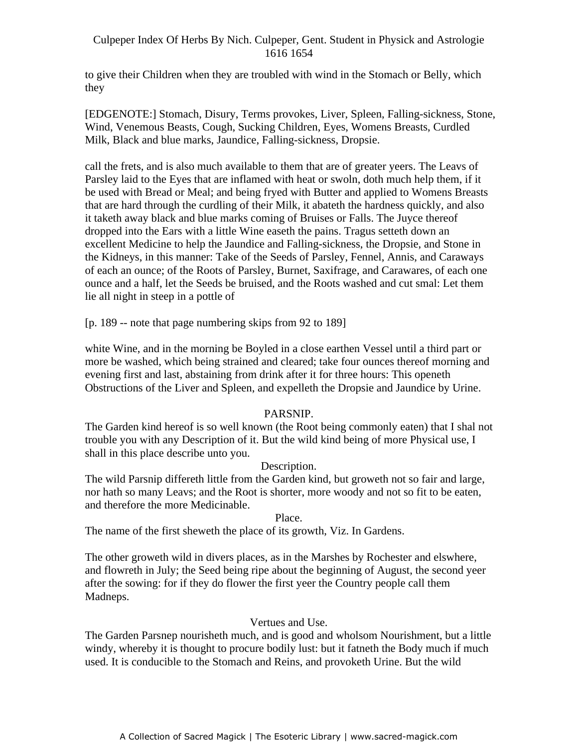to give their Children when they are troubled with wind in the Stomach or Belly, which they

[EDGENOTE:] Stomach, Disury, Terms provokes, Liver, Spleen, Falling-sickness, Stone, Wind, Venemous Beasts, Cough, Sucking Children, Eyes, Womens Breasts, Curdled Milk, Black and blue marks, Jaundice, Falling-sickness, Dropsie.

call the frets, and is also much available to them that are of greater yeers. The Leavs of Parsley laid to the Eyes that are inflamed with heat or swoln, doth much help them, if it be used with Bread or Meal; and being fryed with Butter and applied to Womens Breasts that are hard through the curdling of their Milk, it abateth the hardness quickly, and also it taketh away black and blue marks coming of Bruises or Falls. The Juyce thereof dropped into the Ears with a little Wine easeth the pains. Tragus setteth down an excellent Medicine to help the Jaundice and Falling-sickness, the Dropsie, and Stone in the Kidneys, in this manner: Take of the Seeds of Parsley, Fennel, Annis, and Caraways of each an ounce; of the Roots of Parsley, Burnet, Saxifrage, and Carawares, of each one ounce and a half, let the Seeds be bruised, and the Roots washed and cut smal: Let them lie all night in steep in a pottle of

[p. 189 -- note that page numbering skips from 92 to 189]

white Wine, and in the morning be Boyled in a close earthen Vessel until a third part or more be washed, which being strained and cleared; take four ounces thereof morning and evening first and last, abstaining from drink after it for three hours: This openeth Obstructions of the Liver and Spleen, and expelleth the Dropsie and Jaundice by Urine.

# PARSNIP.

The Garden kind hereof is so well known (the Root being commonly eaten) that I shal not trouble you with any Description of it. But the wild kind being of more Physical use, I shall in this place describe unto you.

## Description.

The wild Parsnip differeth little from the Garden kind, but groweth not so fair and large, nor hath so many Leavs; and the Root is shorter, more woody and not so fit to be eaten, and therefore the more Medicinable.

Place.

The name of the first sheweth the place of its growth, Viz. In Gardens.

The other groweth wild in divers places, as in the Marshes by Rochester and elswhere, and flowreth in July; the Seed being ripe about the beginning of August, the second yeer after the sowing: for if they do flower the first yeer the Country people call them Madneps.

## Vertues and Use.

The Garden Parsnep nourisheth much, and is good and wholsom Nourishment, but a little windy, whereby it is thought to procure bodily lust: but it fatneth the Body much if much used. It is conducible to the Stomach and Reins, and provoketh Urine. But the wild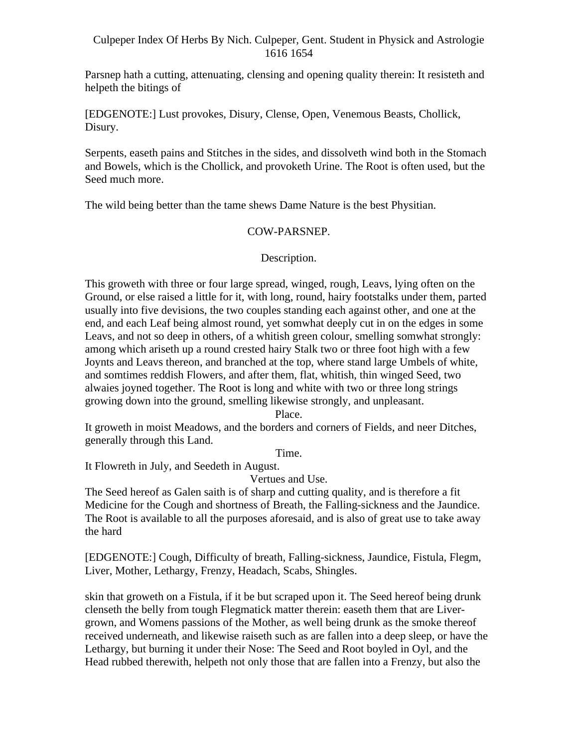Parsnep hath a cutting, attenuating, clensing and opening quality therein: It resisteth and helpeth the bitings of

[EDGENOTE:] Lust provokes, Disury, Clense, Open, Venemous Beasts, Chollick, Disury.

Serpents, easeth pains and Stitches in the sides, and dissolveth wind both in the Stomach and Bowels, which is the Chollick, and provoketh Urine. The Root is often used, but the Seed much more.

The wild being better than the tame shews Dame Nature is the best Physitian.

## COW-PARSNEP.

## Description.

This groweth with three or four large spread, winged, rough, Leavs, lying often on the Ground, or else raised a little for it, with long, round, hairy footstalks under them, parted usually into five devisions, the two couples standing each against other, and one at the end, and each Leaf being almost round, yet somwhat deeply cut in on the edges in some Leavs, and not so deep in others, of a whitish green colour, smelling somwhat strongly: among which ariseth up a round crested hairy Stalk two or three foot high with a few Joynts and Leavs thereon, and branched at the top, where stand large Umbels of white, and somtimes reddish Flowers, and after them, flat, whitish, thin winged Seed, two alwaies joyned together. The Root is long and white with two or three long strings growing down into the ground, smelling likewise strongly, and unpleasant.

Place.

It groweth in moist Meadows, and the borders and corners of Fields, and neer Ditches, generally through this Land.

Time.

It Flowreth in July, and Seedeth in August.

Vertues and Use.

The Seed hereof as Galen saith is of sharp and cutting quality, and is therefore a fit Medicine for the Cough and shortness of Breath, the Falling-sickness and the Jaundice. The Root is available to all the purposes aforesaid, and is also of great use to take away the hard

[EDGENOTE:] Cough, Difficulty of breath, Falling-sickness, Jaundice, Fistula, Flegm, Liver, Mother, Lethargy, Frenzy, Headach, Scabs, Shingles.

skin that groweth on a Fistula, if it be but scraped upon it. The Seed hereof being drunk clenseth the belly from tough Flegmatick matter therein: easeth them that are Liver grown, and Womens passions of the Mother, as well being drunk as the smoke thereof received underneath, and likewise raiseth such as are fallen into a deep sleep, or have the Lethargy, but burning it under their Nose: The Seed and Root boyled in Oyl, and the Head rubbed therewith, helpeth not only those that are fallen into a Frenzy, but also the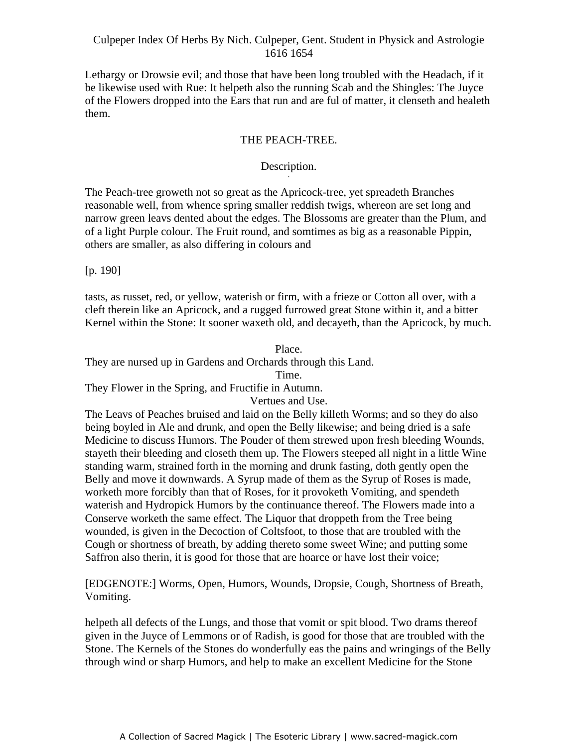Lethargy or Drowsie evil; and those that have been long troubled with the Headach, if it be likewise used with Rue: It helpeth also the running Scab and the Shingles: The Juyce of the Flowers dropped into the Ears that run and are ful of matter, it clenseth and healeth them.

## THE PEACH-TREE.

#### Description. Description.

The Peach-tree groweth not so great as the Apricock-tree, yet spreadeth Branches reasonable well, from whence spring smaller reddish twigs, whereon are set long and narrow green leavs dented about the edges. The Blossoms are greater than the Plum, and of a light Purple colour. The Fruit round, and somtimes as big as a reasonable Pippin, others are smaller, as also differing in colours and

[p. 190]

tasts, as russet, red, or yellow, waterish or firm, with a frieze or Cotton all over, with a cleft therein like an Apricock, and a rugged furrowed great Stone within it, and a bitter Kernel within the Stone: It sooner waxeth old, and decayeth, than the Apricock, by much.

Place. They are nursed up in Gardens and Orchards through this Land.

Time.

They Flower in the Spring, and Fructifie in Autumn.

Vertues and Use.

The Leavs of Peaches bruised and laid on the Belly killeth Worms; and so they do also being boyled in Ale and drunk, and open the Belly likewise; and being dried is a safe Medicine to discuss Humors. The Pouder of them strewed upon fresh bleeding Wounds, stayeth their bleeding and closeth them up. The Flowers steeped all night in a little Wine standing warm, strained forth in the morning and drunk fasting, doth gently open the Belly and move it downwards. A Syrup made of them as the Syrup of Roses is made, worketh more forcibly than that of Roses, for it provoketh Vomiting, and spendeth waterish and Hydropick Humors by the continuance thereof. The Flowers made into a Conserve worketh the same effect. The Liquor that droppeth from the Tree being wounded, is given in the Decoction of Coltsfoot, to those that are troubled with the Cough or shortness of breath, by adding thereto some sweet Wine; and putting some Saffron also therin, it is good for those that are hoarce or have lost their voice;

[EDGENOTE:] Worms, Open, Humors, Wounds, Dropsie, Cough, Shortness of Breath, Vomiting.

helpeth all defects of the Lungs, and those that vomit or spit blood. Two drams thereof given in the Juyce of Lemmons or of Radish, is good for those that are troubled with the Stone. The Kernels of the Stones do wonderfully eas the pains and wringings of the Belly through wind or sharp Humors, and help to make an excellent Medicine for the Stone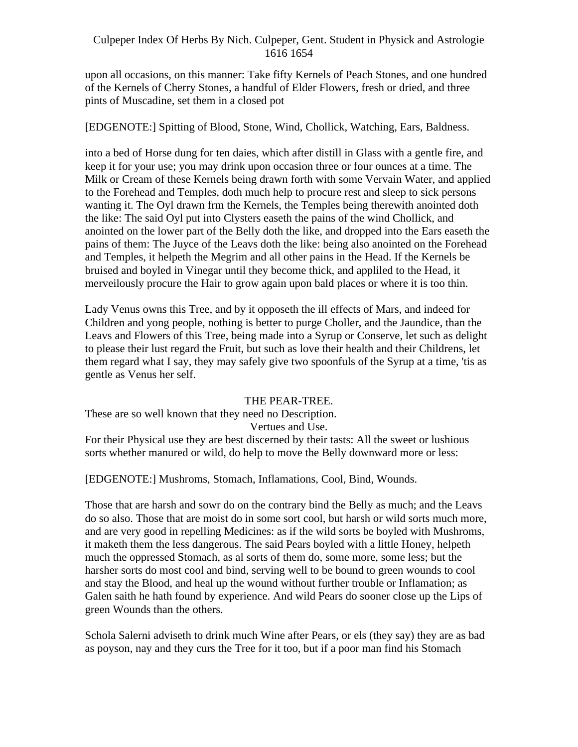upon all occasions, on this manner: Take fifty Kernels of Peach Stones, and one hundred of the Kernels of Cherry Stones, a handful of Elder Flowers, fresh or dried, and three pints of Muscadine, set them in a closed pot

## [EDGENOTE:] Spitting of Blood, Stone, Wind, Chollick, Watching, Ears, Baldness.

into a bed of Horse dung for ten daies, which after distill in Glass with a gentle fire, and keep it for your use; you may drink upon occasion three or four ounces at a time. The Milk or Cream of these Kernels being drawn forth with some Vervain Water, and applied to the Forehead and Temples, doth much help to procure rest and sleep to sick persons wanting it. The Oyl drawn frm the Kernels, the Temples being therewith anointed doth the like: The said Oyl put into Clysters easeth the pains of the wind Chollick, and anointed on the lower part of the Belly doth the like, and dropped into the Ears easeth the pains of them: The Juyce of the Leavs doth the like: being also anointed on the Forehead and Temples, it helpeth the Megrim and all other pains in the Head. If the Kernels be bruised and boyled in Vinegar until they become thick, and appliled to the Head, it merveilously procure the Hair to grow again upon bald places or where it is too thin.

Lady Venus owns this Tree, and by it opposeth the ill effects of Mars, and indeed for Children and yong people, nothing is better to purge Choller, and the Jaundice, than the Leavs and Flowers of this Tree, being made into a Syrup or Conserve, let such as delight to please their lust regard the Fruit, but such as love their health and their Childrens, let them regard what I say, they may safely give two spoonfuls of the Syrup at a time, 'tis as gentle as Venus her self.

#### THE PEAR-TREE.

These are so well known that they need no Description.

Vertues and Use.

For their Physical use they are best discerned by their tasts: All the sweet or lushious sorts whether manured or wild, do help to move the Belly downward more or less:

[EDGENOTE:] Mushroms, Stomach, Inflamations, Cool, Bind, Wounds.

Those that are harsh and sowr do on the contrary bind the Belly as much; and the Leavs do so also. Those that are moist do in some sort cool, but harsh or wild sorts much more, and are very good in repelling Medicines: as if the wild sorts be boyled with Mushroms, it maketh them the less dangerous. The said Pears boyled with a little Honey, helpeth much the oppressed Stomach, as al sorts of them do, some more, some less; but the harsher sorts do most cool and bind, serving well to be bound to green wounds to cool and stay the Blood, and heal up the wound without further trouble or Inflamation; as Galen saith he hath found by experience. And wild Pears do sooner close up the Lips of green Wounds than the others.

Schola Salerni adviseth to drink much Wine after Pears, or els (they say) they are as bad as poyson, nay and they curs the Tree for it too, but if a poor man find his Stomach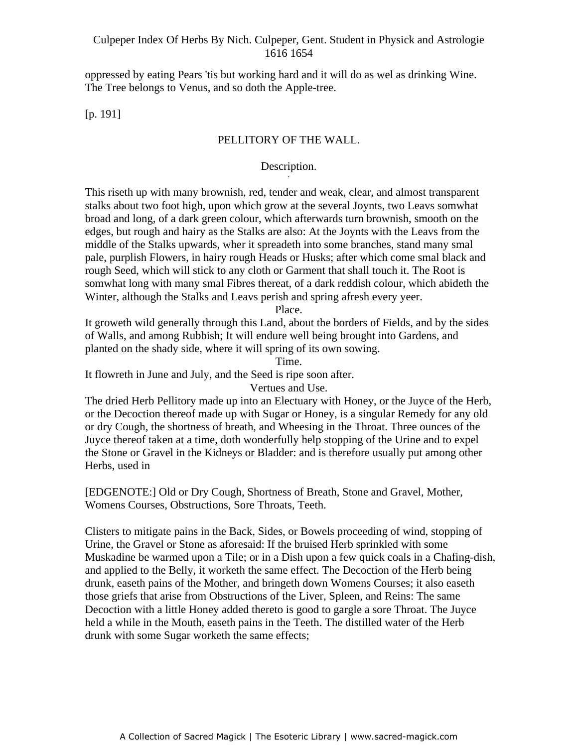oppressed by eating Pears 'tis but working hard and it will do as wel as drinking Wine. The Tree belongs to Venus, and so doth the Apple-tree.

[p. 191]

## PELLITORY OF THE WALL.

#### Description. Description.

This riseth up with many brownish, red, tender and weak, clear, and almost transparent stalks about two foot high, upon which grow at the several Joynts, two Leavs somwhat broad and long, of a dark green colour, which afterwards turn brownish, smooth on the edges, but rough and hairy as the Stalks are also: At the Joynts with the Leavs from the middle of the Stalks upwards, wher it spreadeth into some branches, stand many smal pale, purplish Flowers, in hairy rough Heads or Husks; after which come smal black and rough Seed, which will stick to any cloth or Garment that shall touch it. The Root is somwhat long with many smal Fibres thereat, of a dark reddish colour, which abideth the Winter, although the Stalks and Leavs perish and spring afresh every yeer.

Place.

It groweth wild generally through this Land, about the borders of Fields, and by the sides of Walls, and among Rubbish; It will endure well being brought into Gardens, and planted on the shady side, where it will spring of its own sowing.

Time.

It flowreth in June and July, and the Seed is ripe soon after.

Vertues and Use.

The dried Herb Pellitory made up into an Electuary with Honey, or the Juyce of the Herb, or the Decoction thereof made up with Sugar or Honey, is a singular Remedy for any old or dry Cough, the shortness of breath, and Wheesing in the Throat. Three ounces of the Juyce thereof taken at a time, doth wonderfully help stopping of the Urine and to expel the Stone or Gravel in the Kidneys or Bladder: and is therefore usually put among other Herbs, used in

[EDGENOTE:] Old or Dry Cough, Shortness of Breath, Stone and Gravel, Mother, Womens Courses, Obstructions, Sore Throats, Teeth.

Clisters to mitigate pains in the Back, Sides, or Bowels proceeding of wind, stopping of Urine, the Gravel or Stone as aforesaid: If the bruised Herb sprinkled with some Muskadine be warmed upon a Tile; or in a Dish upon a few quick coals in a Chafing-dish, and applied to the Belly, it worketh the same effect. The Decoction of the Herb being drunk, easeth pains of the Mother, and bringeth down Womens Courses; it also easeth those griefs that arise from Obstructions of the Liver, Spleen, and Reins: The same Decoction with a little Honey added thereto is good to gargle a sore Throat. The Juyce held a while in the Mouth, easeth pains in the Teeth. The distilled water of the Herb drunk with some Sugar worketh the same effects;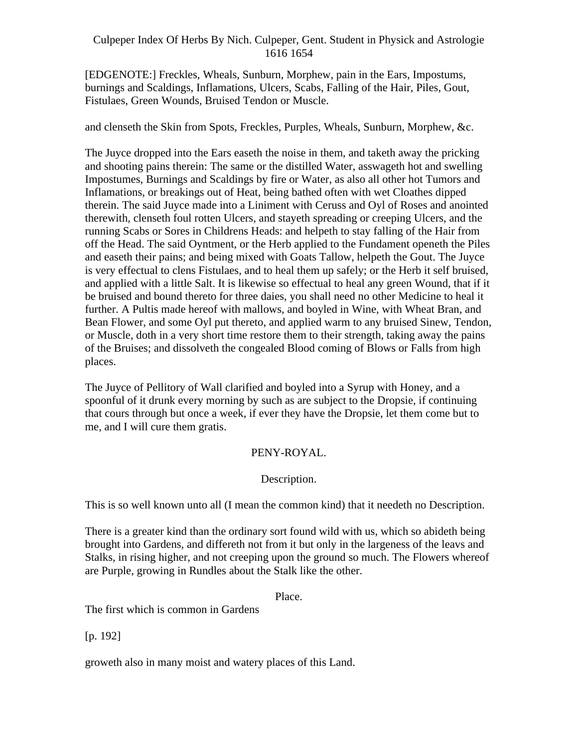[EDGENOTE:] Freckles, Wheals, Sunburn, Morphew, pain in the Ears, Impostums, burnings and Scaldings, Inflamations, Ulcers, Scabs, Falling of the Hair, Piles, Gout, Fistulaes, Green Wounds, Bruised Tendon or Muscle.

and clenseth the Skin from Spots, Freckles, Purples, Wheals, Sunburn, Morphew, &c.

The Juyce dropped into the Ears easeth the noise in them, and taketh away the pricking and shooting pains therein: The same or the distilled Water, asswageth hot and swelling Impostumes, Burnings and Scaldings by fire or Water, as also all other hot Tumors and Inflamations, or breakings out of Heat, being bathed often with wet Cloathes dipped therein. The said Juyce made into a Liniment with Ceruss and Oyl of Roses and anointed therewith, clenseth foul rotten Ulcers, and stayeth spreading or creeping Ulcers, and the running Scabs or Sores in Childrens Heads: and helpeth to stay falling of the Hair from off the Head. The said Oyntment, or the Herb applied to the Fundament openeth the Piles and easeth their pains; and being mixed with Goats Tallow, helpeth the Gout. The Juyce is very effectual to clens Fistulaes, and to heal them up safely; or the Herb it self bruised, and applied with a little Salt. It is likewise so effectual to heal any green Wound, that if it be bruised and bound thereto for three daies, you shall need no other Medicine to heal it further. A Pultis made hereof with mallows, and boyled in Wine, with Wheat Bran, and Bean Flower, and some Oyl put thereto, and applied warm to any bruised Sinew, Tendon, or Muscle, doth in a very short time restore them to their strength, taking away the pains of the Bruises; and dissolveth the congealed Blood coming of Blows or Falls from high places. The contract of the contract of the contract of the contract of the contract of the contract of the contract of the contract of the contract of the contract of the contract of the contract of the contract of the co

The Juyce of Pellitory of Wall clarified and boyled into a Syrup with Honey, and a spoonful of it drunk every morning by such as are subject to the Dropsie, if continuing that cours through but once a week, if ever they have the Dropsie, let them come but to me, and I will cure them gratis.

## PENY-ROYAL.

## Description.

This is so well known unto all (I mean the common kind) that it needeth no Description.

There is a greater kind than the ordinary sort found wild with us, which so abideth being brought into Gardens, and differeth not from it but only in the largeness of the leavs and Stalks, in rising higher, and not creeping upon the ground so much. The Flowers whereof are Purple, growing in Rundles about the Stalk like the other.

Place.

The first which is common in Gardens

[p. 192]

groweth also in many moist and watery places of this Land.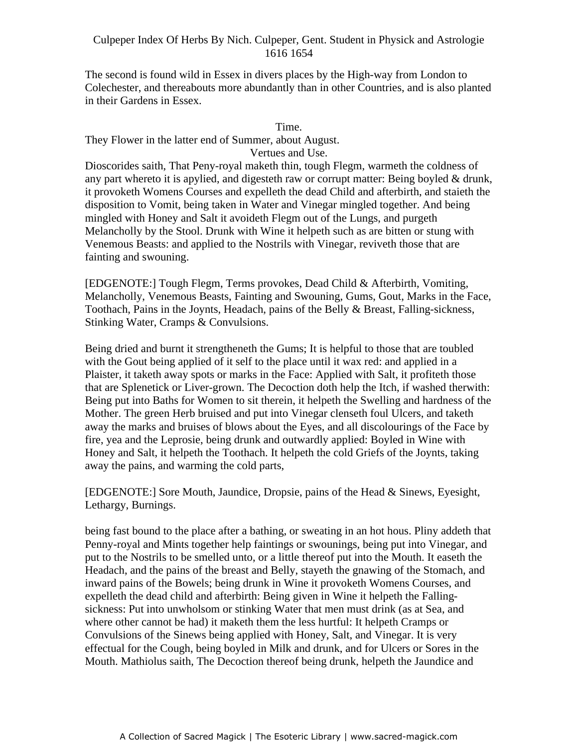The second is found wild in Essex in divers places by the High-way from London to Colechester, and thereabouts more abundantly than in other Countries, and is also planted in their Gardens in Essex.

#### Time.

They Flower in the latter end of Summer, about August.

#### Vertues and Use.

Dioscorides saith, That Peny-royal maketh thin, tough Flegm, warmeth the coldness of  $\alpha$  part whereto it is apylied, and digesteth raw or corrupt matter: Being boyled  $\&$  drunk, it provoketh Womens Courses and expelleth the dead Child and afterbirth, and staieth the disposition to Vomit, being taken in Water and Vinegar mingled together. And being mingled with Honey and Salt it avoideth Flegm out of the Lungs, and purgeth Melancholly by the Stool. Drunk with Wine it helpeth such as are bitten or stung with Venemous Beasts: and applied to the Nostrils with Vinegar, reviveth those that are fainting and swouning.

[EDGENOTE:] Tough Flegm, Terms provokes, Dead Child & Afterbirth, Vomiting, Melancholly, Venemous Beasts, Fainting and Swouning, Gums, Gout, Marks in the Face, Toothach, Pains in the Joynts, Headach, pains of the Belly & Breast, Falling-sickness, Stinking Water, Cramps & Convulsions.

Being dried and burnt it strengtheneth the Gums; It is helpful to those that are toubled with the Gout being applied of it self to the place until it wax red: and applied in a Plaister, it taketh away spots or marks in the Face: Applied with Salt, it profiteth those that are Splenetick or Liver-grown. The Decoction doth help the Itch, if washed therwith: Being put into Baths for Women to sit therein, it helpeth the Swelling and hardness of the Mother. The green Herb bruised and put into Vinegar clenseth foul Ulcers, and taketh away the marks and bruises of blows about the Eyes, and all discolourings of the Face by fire, yea and the Leprosie, being drunk and outwardly applied: Boyled in Wine with Honey and Salt, it helpeth the Toothach. It helpeth the cold Griefs of the Joynts, taking away the pains, and warming the cold parts,

[EDGENOTE:] Sore Mouth, Jaundice, Dropsie, pains of the Head & Sinews, Eyesight, Lethargy, Burnings.

being fast bound to the place after a bathing, or sweating in an hot hous. Pliny addeth that Penny-royal and Mints together help faintings or swounings, being put into Vinegar, and put to the Nostrils to be smelled unto, or a little thereof put into the Mouth. It easeth the Headach, and the pains of the breast and Belly, stayeth the gnawing of the Stomach, and inward pains of the Bowels; being drunk in Wine it provoketh Womens Courses, and expelleth the dead child and afterbirth: Being given in Wine it helpeth the Falling sickness: Put into unwholsom or stinking Water that men must drink (as at Sea, and where other cannot be had) it maketh them the less hurtful: It helpeth Cramps or Convulsions of the Sinews being applied with Honey, Salt, and Vinegar. It is very effectual for the Cough, being boyled in Milk and drunk, and for Ulcers or Sores in the Mouth. Mathiolus saith, The Decoction thereof being drunk, helpeth the Jaundice and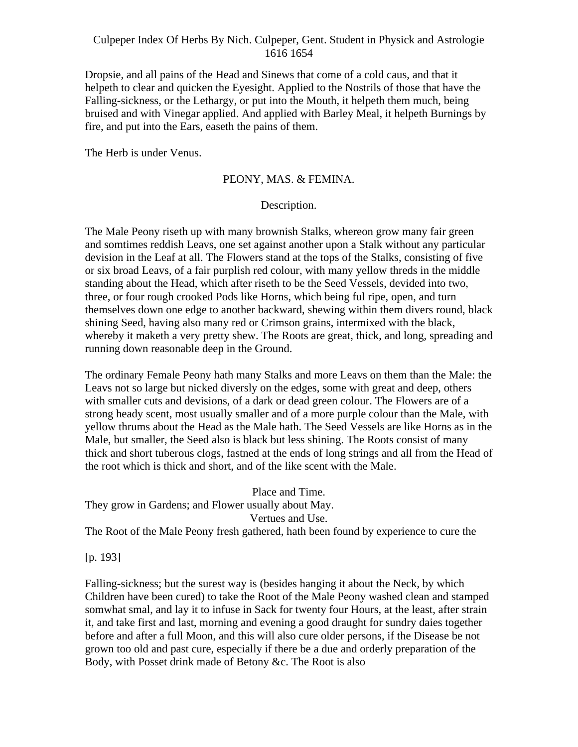Dropsie, and all pains of the Head and Sinews that come of a cold caus, and that it helpeth to clear and quicken the Eyesight. Applied to the Nostrils of those that have the Falling-sickness, or the Lethargy, or put into the Mouth, it helpeth them much, being bruised and with Vinegar applied. And applied with Barley Meal, it helpeth Burnings by fire, and put into the Ears, easeth the pains of them.

The Herb is under Venus.

#### PEONY, MAS. & FEMINA.

#### Description.

The Male Peony riseth up with many brownish Stalks, whereon grow many fair green and somtimes reddish Leavs, one set against another upon a Stalk without any particular devision in the Leaf at all. The Flowers stand at the tops of the Stalks, consisting of five or six broad Leavs, of a fair purplish red colour, with many yellow threds in the middle standing about the Head, which after riseth to be the Seed Vessels, devided into two, three, or four rough crooked Pods like Horns, which being ful ripe, open, and turn themselves down one edge to another backward, shewing within them divers round, black shining Seed, having also many red or Crimson grains, intermixed with the black, whereby it maketh a very pretty shew. The Roots are great, thick, and long, spreading and running down reasonable deep in the Ground.

The ordinary Female Peony hath many Stalks and more Leavs on them than the Male: the Leavs not so large but nicked diversly on the edges, some with great and deep, others with smaller cuts and devisions, of a dark or dead green colour. The Flowers are of a strong heady scent, most usually smaller and of a more purple colour than the Male, with yellow thrums about the Head as the Male hath. The Seed Vessels are like Horns as in the Male, but smaller, the Seed also is black but less shining. The Roots consist of many thick and short tuberous clogs, fastned at the ends of long strings and all from the Head of the root which is thick and short, and of the like scent with the Male.

Place and Time. They grow in Gardens; and Flower usually about May. Vertues and Use. The Root of the Male Peony fresh gathered, hath been found by experience to cure the

[p. 193]

Falling-sickness; but the surest way is (besides hanging it about the Neck, by which Children have been cured) to take the Root of the Male Peony washed clean and stamped somwhat smal, and lay it to infuse in Sack for twenty four Hours, at the least, after strain it, and take first and last, morning and evening a good draught for sundry daies together before and after a full Moon, and this will also cure older persons, if the Disease be not grown too old and past cure, especially if there be a due and orderly preparation of the Body, with Posset drink made of Betony &c. The Root is also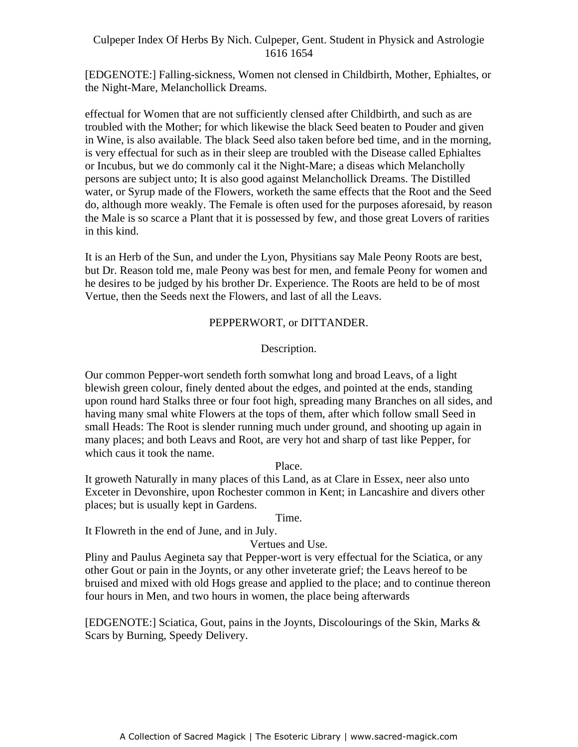[EDGENOTE:] Falling-sickness, Women not clensed in Childbirth, Mother, Ephialtes, or the Night-Mare, Melanchollick Dreams.

effectual for Women that are not sufficiently clensed after Childbirth, and such as are troubled with the Mother; for which likewise the black Seed beaten to Pouder and given in Wine, is also available. The black Seed also taken before bed time, and in the morning, is very effectual for such as in their sleep are troubled with the Disease called Ephialtes or Incubus, but we do commonly cal it the Night-Mare; a diseas which Melancholly between the contract of the contract of the contract of the contract of the contract of the Distilled persons are subject unto; It is also good against Melanchollick Dreams. The Distilled water, or Syrup made of the Flowers, worketh the same effects that the Root and the Seed do, although more weakly. The Female is often used for the purposes aforesaid, by reason the Male is so scarce a Plant that it is possessed by few, and those great Lovers of rarities in this kind.

It is an Herb of the Sun, and under the Lyon, Physitians say Male Peony Roots are best, but Dr. Reason told me, male Peony was best for men, and female Peony for women and he desires to be judged by his brother Dr. Experience. The Roots are held to be of most Vertue, then the Seeds next the Flowers, and last of all the Leavs.

## PEPPERWORT, or DITTANDER.

## Description.

Our common Pepper-wort sendeth forth somwhat long and broad Leavs, of a light blewish green colour, finely dented about the edges, and pointed at the ends, standing upon round hard Stalks three or four foot high, spreading many Branches on all sides, and having many smal white Flowers at the tops of them, after which follow small Seed in small Heads: The Root is slender running much under ground, and shooting up again in many places; and both Leavs and Root, are very hot and sharp of tast like Pepper, for which caus it took the name.

Place.

It groweth Naturally in many places of this Land, as at Clare in Essex, neer also unto Exceter in Devonshire, upon Rochester common in Kent; in Lancashire and divers other places; but is usually kept in Gardens.

Time.

It Flowreth in the end of June, and in July.

Vertues and Use.

Pliny and Paulus Aegineta say that Pepper-wort is very effectual for the Sciatica, or any other Gout or pain in the Joynts, or any other inveterate grief; the Leavs hereof to be bruised and mixed with old Hogs grease and applied to the place; and to continue thereon four hours in Men, and two hours in women, the place being afterwards

[EDGENOTE:] Sciatica, Gout, pains in the Joynts, Discolourings of the Skin, Marks & Scars by Burning, Speedy Delivery.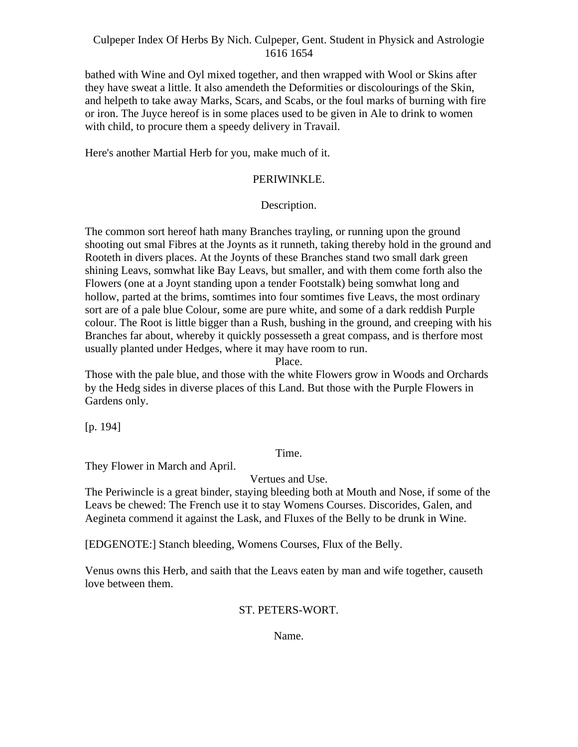bathed with Wine and Oyl mixed together, and then wrapped with Wool or Skins after they have sweat a little. It also amendeth the Deformities or discolourings of the Skin, and helpeth to take away Marks, Scars, and Scabs, or the foul marks of burning with fire or iron. The Juyce hereof is in some places used to be given in Ale to drink to women with child, to procure them a speedy delivery in Travail.

Here's another Martial Herb for you, make much of it.

## PERIWINKLE.

#### Description.

The common sort hereof hath many Branches trayling, or running upon the ground shooting out smal Fibres at the Joynts as it runneth, taking thereby hold in the ground and Rooteth in divers places. At the Joynts of these Branches stand two small dark green shining Leavs, somwhat like Bay Leavs, but smaller, and with them come forth also the Flowers (one at a Joynt standing upon a tender Footstalk) being somwhat long and hollow, parted at the brims, somtimes into four somtimes five Leavs, the most ordinary sort are of a pale blue Colour, some are pure white, and some of a dark reddish Purple colour. The Root is little bigger than a Rush, bushing in the ground, and creeping with his Branches far about, whereby it quickly possesseth a great compass, and is therfore most usually planted under Hedges, where it may have room to run.

Place.

Those with the pale blue, and those with the white Flowers grow in Woods and Orchards by the Hedg sides in diverse places of this Land. But those with the Purple Flowers in Gardens only.

[p. 194]

#### Time.

They Flower in March and April.

## Vertues and Use.

The Periwincle is a great binder, staying bleeding both at Mouth and Nose, if some of the Leavs be chewed: The French use it to stay Womens Courses. Discorides, Galen, and Aegineta commend it against the Lask, and Fluxes of the Belly to be drunk in Wine.

[EDGENOTE:] Stanch bleeding, Womens Courses, Flux of the Belly.

Venus owns this Herb, and saith that the Leavs eaten by man and wife together, causeth love between them.

# ST. PETERS-WORT.

## Name.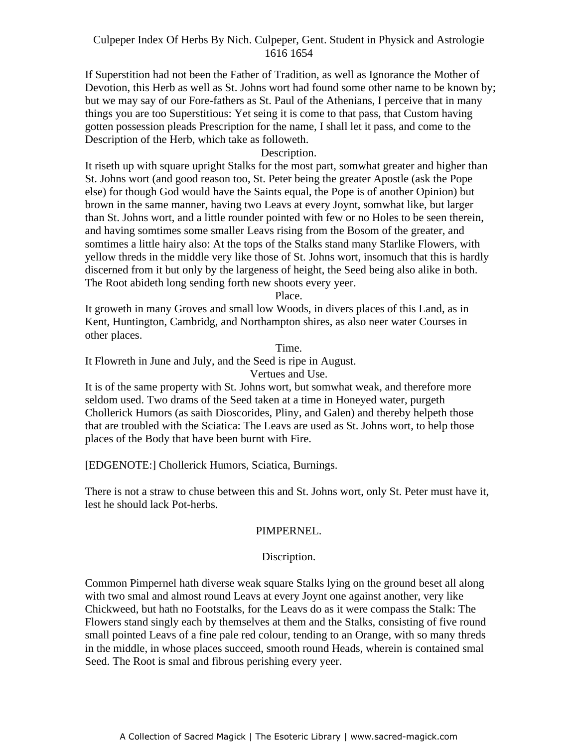If Superstition had not been the Father of Tradition, as well as Ignorance the Mother of Devotion, this Herb as well as St. Johns wort had found some other name to be known by; but we may say of our Fore-fathers as St. Paul of the Athenians, I perceive that in many things you are too Superstitious: Yet seing it is come to that pass, that Custom having gotten possession pleads Prescription for the name, I shall let it pass, and come to the Description of the Herb, which take as followeth.

#### Description.

It riseth up with square upright Stalks for the most part, somwhat greater and higher than St. Johns wort (and good reason too, St. Peter being the greater Apostle (ask the Pope else) for though God would have the Saints equal, the Pope is of another Opinion) but brown in the same manner, having two Leavs at every Joynt, somwhat like, but larger than St. Johns wort, and a little rounder pointed with few or no Holes to be seen therein, and having somtimes some smaller Leavs rising from the Bosom of the greater, and somtimes a little hairy also: At the tops of the Stalks stand many Starlike Flowers, with yellow threds in the middle very like those of St. Johns wort, insomuch that this is hardly discerned from it but only by the largeness of height, the Seed being also alike in both. The Root abideth long sending forth new shoots every yeer.

Place.

It groweth in many Groves and small low Woods, in divers places of this Land, as in Kent, Huntington, Cambridg, and Northampton shires, as also neer water Courses in other places.

Time.

It Flowreth in June and July, and the Seed is ripe in August.

Vertues and Use.

It is of the same property with St. Johns wort, but somwhat weak, and therefore more seldom used. Two drams of the Seed taken at a time in Honeyed water, purgeth Chollerick Humors (as saith Dioscorides, Pliny, and Galen) and thereby helpeth those that are troubled with the Sciatica: The Leavs are used as St. Johns wort, to help those places of the Body that have been burnt with Fire.

[EDGENOTE:] Chollerick Humors, Sciatica, Burnings.

There is not a straw to chuse between this and St. Johns wort, only St. Peter must have it, lest he should lack Pot-herbs.

## PIMPERNEL.

#### Discription.

Common Pimpernel hath diverse weak square Stalks lying on the ground beset all along with two smal and almost round Leavs at every Joynt one against another, very like Chickweed, but hath no Footstalks, for the Leavs do as it were compass the Stalk: The Flowers stand singly each by themselves at them and the Stalks, consisting of five round small pointed Leavs of a fine pale red colour, tending to an Orange, with so many threds in the middle, in whose places succeed, smooth round Heads, wherein is contained smal Seed. The Root is smal and fibrous perishing every yeer.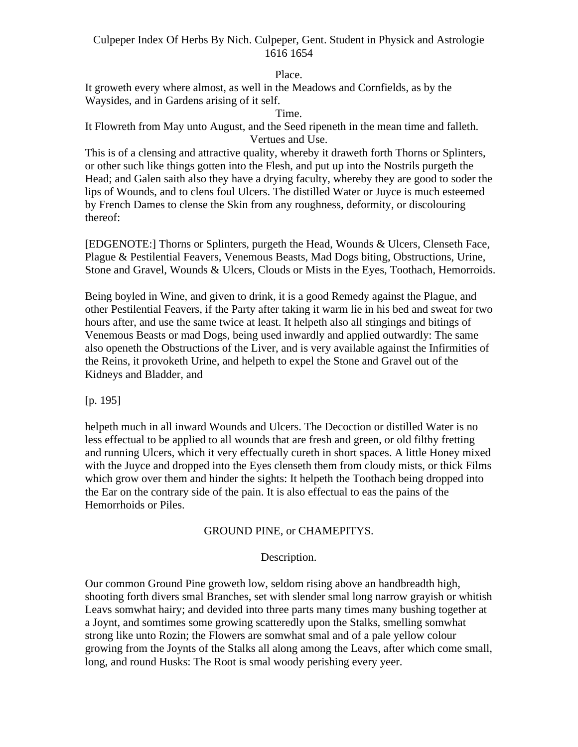## Place.

It groweth every where almost, as well in the Meadows and Cornfields, as by the Waysides, and in Gardens arising of it self.

#### Time.

It Flowreth from May unto August, and the Seed ripeneth in the mean time and falleth. Vertues and Use.

This is of a clensing and attractive quality, whereby it draweth forth Thorns or Splinters, or other such like things gotten into the Flesh, and put up into the Nostrils purgeth the Head; and Galen saith also they have a drying faculty, whereby they are good to soder the lips of Wounds, and to clens foul Ulcers. The distilled Water or Juyce is much esteemed by French Dames to clense the Skin from any roughness, deformity, or discolouring thereof:

[EDGENOTE:] Thorns or Splinters, purgeth the Head, Wounds & Ulcers, Clenseth Face, Plague & Pestilential Feavers, Venemous Beasts, Mad Dogs biting, Obstructions, Urine, Stone and Gravel, Wounds & Ulcers, Clouds or Mists in the Eyes, Toothach, Hemorroids.

Being boyled in Wine, and given to drink, it is a good Remedy against the Plague, and other Pestilential Feavers, if the Party after taking it warm lie in his bed and sweat for two hours after, and use the same twice at least. It helpeth also all stingings and bitings of Venemous Beasts or mad Dogs, being used inwardly and applied outwardly: The same also openeth the Obstructions of the Liver, and is very available against the Infirmities of the Reins, it provoketh Urine, and helpeth to expel the Stone and Gravel out of the Kidneys and Bladder, and

[p. 195]

helpeth much in all inward Wounds and Ulcers. The Decoction or distilled Water is no less effectual to be applied to all wounds that are fresh and green, or old filthy fretting and running Ulcers, which it very effectually cureth in short spaces. A little Honey mixed with the Juyce and dropped into the Eyes clenseth them from cloudy mists, or thick Films which grow over them and hinder the sights: It helpeth the Toothach being dropped into the Ear on the contrary side of the pain. It is also effectual to eas the pains of the Hemorrhoids or Piles.

## GROUND PINE, or CHAMEPITYS.

#### Description.

Our common Ground Pine groweth low, seldom rising above an handbreadth high, shooting forth divers smal Branches, set with slender smal long narrow grayish or whitish Leavs somwhat hairy; and devided into three parts many times many bushing together at a Joynt, and somtimes some growing scatteredly upon the Stalks, smelling somwhat strong like unto Rozin; the Flowers are somwhat smal and of a pale yellow colour growing from the Joynts of the Stalks all along among the Leavs, after which come small, long, and round Husks: The Root is smal woody perishing every yeer.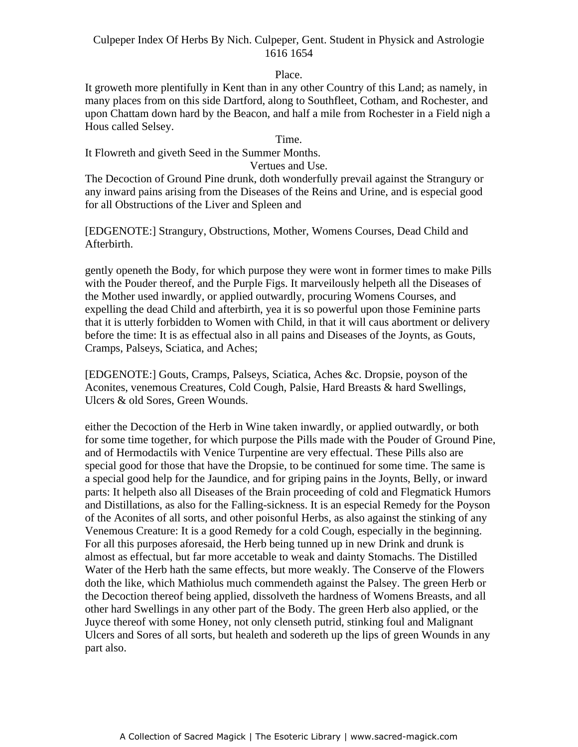#### Place.

It groweth more plentifully in Kent than in any other Country of this Land; as namely, in many places from on this side Dartford, along to Southfleet, Cotham, and Rochester, and upon Chattam down hard by the Beacon, and half a mile from Rochester in a Field nigh a Hous called Selsey.

#### Time.

It Flowreth and giveth Seed in the Summer Months.

#### Vertues and Use.

The Decoction of Ground Pine drunk, doth wonderfully prevail against the Strangury or any inward pains arising from the Diseases of the Reins and Urine, and is especial good for all Obstructions of the Liver and Spleen and

[EDGENOTE:] Strangury, Obstructions, Mother, Womens Courses, Dead Child and Afterbirth.

gently openeth the Body, for which purpose they were wont in former times to make Pills with the Pouder thereof, and the Purple Figs. It marveilously helpeth all the Diseases of the Mother used inwardly, or applied outwardly, procuring Womens Courses, and expelling the dead Child and afterbirth, yea it is so powerful upon those Feminine parts that it is utterly forbidden to Women with Child, in that it will caus abortment or delivery before the time: It is as effectual also in all pains and Diseases of the Joynts, as Gouts, Cramps, Palseys, Sciatica, and Aches;

[EDGENOTE:] Gouts, Cramps, Palseys, Sciatica, Aches &c. Dropsie, poyson of the Aconites, venemous Creatures, Cold Cough, Palsie, Hard Breasts & hard Swellings, Ulcers & old Sores, Green Wounds.

either the Decoction of the Herb in Wine taken inwardly, or applied outwardly, or both for some time together, for which purpose the Pills made with the Pouder of Ground Pine, and of Hermodactils with Venice Turpentine are very effectual. These Pills also are special good for those that have the Dropsie, to be continued for some time. The same is a special good help for the Jaundice, and for griping pains in the Joynts, Belly, or inward parts: It helpeth also all Diseases of the Brain proceeding of cold and Flegmatick Humors and Distillations, as also for the Falling-sickness. It is an especial Remedy for the Poyson of the Aconites of all sorts, and other poisonful Herbs, as also against the stinking of any Venemous Creature: It is a good Remedy for a cold Cough, especially in the beginning. For all this purposes aforesaid, the Herb being tunned up in new Drink and drunk is almost as effectual, but far more accetable to weak and dainty Stomachs. The Distilled Water of the Herb hath the same effects, but more weakly. The Conserve of the Flowers doth the like, which Mathiolus much commendeth against the Palsey. The green Herb or the Decoction thereof being applied, dissolveth the hardness of Womens Breasts, and all other hard Swellings in any other part of the Body. The green Herb also applied, or the Juyce thereof with some Honey, not only clenseth putrid, stinking foul and Malignant Ulcers and Sores of all sorts, but healeth and sodereth up the lips of green Wounds in any part also.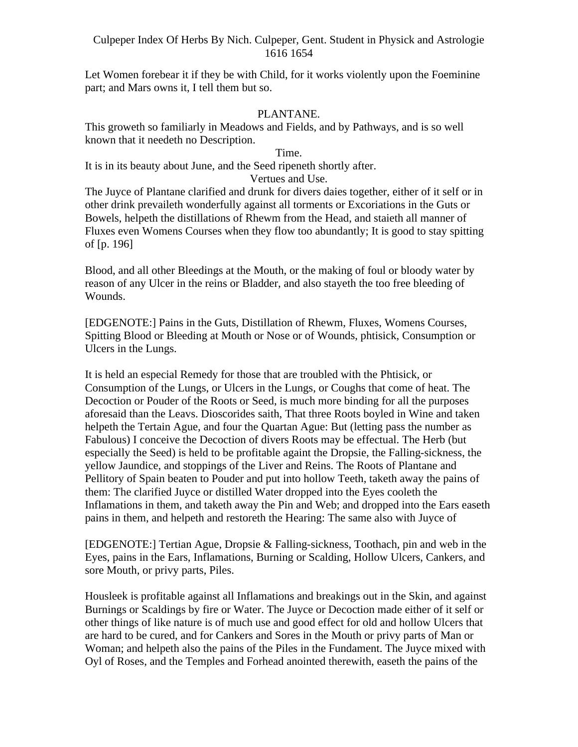Let Women forebear it if they be with Child, for it works violently upon the Foeminine part; and Mars owns it, I tell them but so.

## PLANTANE.

This groweth so familiarly in Meadows and Fields, and by Pathways, and is so well known that it needeth no Description.

#### Time.

It is in its beauty about June, and the Seed ripeneth shortly after.

#### Vertues and Use.

The Juyce of Plantane clarified and drunk for divers daies together, either of it self or in other drink prevaileth wonderfully against all torments or Excoriations in the Guts or Bowels, helpeth the distillations of Rhewm from the Head, and staieth all manner of Fluxes even Womens Courses when they flow too abundantly; It is good to stay spitting of [p. 196]

Blood, and all other Bleedings at the Mouth, or the making of foul or bloody water by reason of any Ulcer in the reins or Bladder, and also stayeth the too free bleeding of Wounds.

[EDGENOTE:] Pains in the Guts, Distillation of Rhewm, Fluxes, Womens Courses, Spitting Blood or Bleeding at Mouth or Nose or of Wounds, phtisick, Consumption or Ulcers in the Lungs.

It is held an especial Remedy for those that are troubled with the Phtisick, or Consumption of the Lungs, or Ulcers in the Lungs, or Coughs that come of heat. The Decoction or Pouder of the Roots or Seed, is much more binding for all the purposes aforesaid than the Leavs. Dioscorides saith, That three Roots boyled in Wine and taken helpeth the Tertain Ague, and four the Quartan Ague: But (letting pass the number as Fabulous) I conceive the Decoction of divers Roots may be effectual. The Herb (but especially the Seed) is held to be profitable againt the Dropsie, the Falling-sickness, the yellow Jaundice, and stoppings of the Liver and Reins. The Roots of Plantane and Pellitory of Spain beaten to Pouder and put into hollow Teeth, taketh away the pains of them: The clarified Juyce or distilled Water dropped into the Eyes cooleth the Inflamations in them, and taketh away the Pin and Web; and dropped into the Ears easeth pains in them, and helpeth and restoreth the Hearing: The same also with Juyce of

[EDGENOTE:] Tertian Ague, Dropsie & Falling-sickness, Toothach, pin and web in the Eyes, pains in the Ears, Inflamations, Burning or Scalding, Hollow Ulcers, Cankers, and sore Mouth, or privy parts, Piles.

Housleek is profitable against all Inflamations and breakings out in the Skin, and against Burnings or Scaldings by fire or Water. The Juyce or Decoction made either of it self or other things of like nature is of much use and good effect for old and hollow Ulcers that are hard to be cured, and for Cankers and Sores in the Mouth or privy parts of Man or Woman; and helpeth also the pains of the Piles in the Fundament. The Juyce mixed with Oyl of Roses, and the Temples and Forhead anointed therewith, easeth the pains of the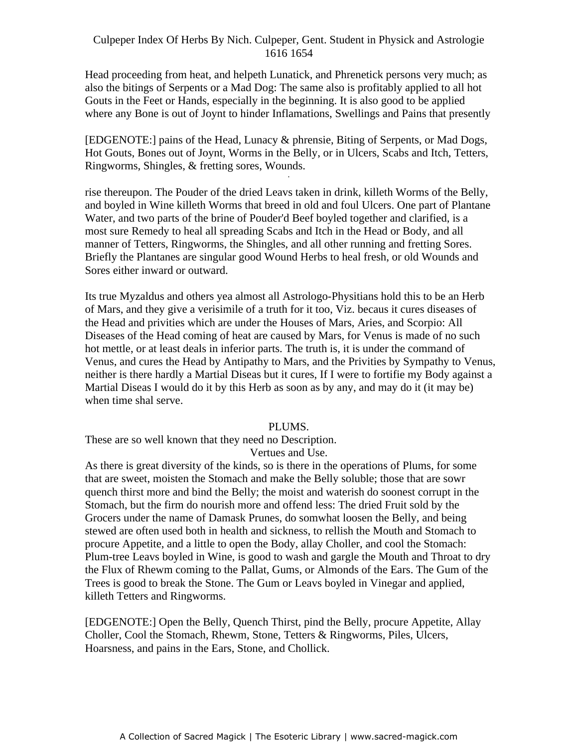Head proceeding from heat, and helpeth Lunatick, and Phrenetick persons very much; as also the bitings of Serpents or a Mad Dog: The same also is profitably applied to all hot Gouts in the Feet or Hands, especially in the beginning. It is also good to be applied where any Bone is out of Joynt to hinder Inflamations, Swellings and Pains that presently

[EDGENOTE:] pains of the Head, Lunacy & phrensie, Biting of Serpents, or Mad Dogs, Hot Gouts, Bones out of Joynt, Worms in the Belly, or in Ulcers, Scabs and Itch, Tetters, Ringworms, Shingles, & fretting sores, Wounds.

rise thereupon. The Pouder of the dried Leavs taken in drink, killeth Worms of the Belly, and boyled in Wine killeth Worms that breed in old and foul Ulcers. One part of Plantane Water, and two parts of the brine of Pouder'd Beef boyled together and clarified, is a most sure Remedy to heal all spreading Scabs and Itch in the Head or Body, and all manner of Tetters, Ringworms, the Shingles, and all other running and fretting Sores. Briefly the Plantanes are singular good Wound Herbs to heal fresh, or old Wounds and Sores either inward or outward.

Its true Myzaldus and others yea almost all Astrologo-Physitians hold this to be an Herb of Mars, and they give a verisimile of a truth for it too, Viz. becaus it cures diseases of the Head and privities which are under the Houses of Mars, Aries, and Scorpio: All Diseases of the Head coming of heat are caused by Mars, for Venus is made of no such hot mettle, or at least deals in inferior parts. The truth is, it is under the command of Venus, and cures the Head by Antipathy to Mars, and the Privities by Sympathy to Venus, neither is there hardly a Martial Diseas but it cures, If I were to fortifie my Body against a Martial Diseas I would do it by this Herb as soon as by any, and may do it (it may be) when time shal serve.

#### PLUMS.

These are so well known that they need no Description.

Vertues and Use.

As there is great diversity of the kinds, so is there in the operations of Plums, for some that are sweet, moisten the Stomach and make the Belly soluble; those that are sowr quench thirst more and bind the Belly; the moist and waterish do soonest corrupt in the Stomach, but the firm do nourish more and offend less: The dried Fruit sold by the Grocers under the name of Damask Prunes, do somwhat loosen the Belly, and being stewed are often used both in health and sickness, to rellish the Mouth and Stomach to procure Appetite, and a little to open the Body, allay Choller, and cool the Stomach: Plum-tree Leavs boyled in Wine, is good to wash and gargle the Mouth and Throat to dry the Flux of Rhewm coming to the Pallat, Gums, or Almonds of the Ears. The Gum of the Trees is good to break the Stone. The Gum or Leavs boyled in Vinegar and applied, killeth Tetters and Ringworms.

[EDGENOTE:] Open the Belly, Quench Thirst, pind the Belly, procure Appetite, Allay Choller, Cool the Stomach, Rhewm, Stone, Tetters & Ringworms, Piles, Ulcers, Hoarsness, and pains in the Ears, Stone, and Chollick.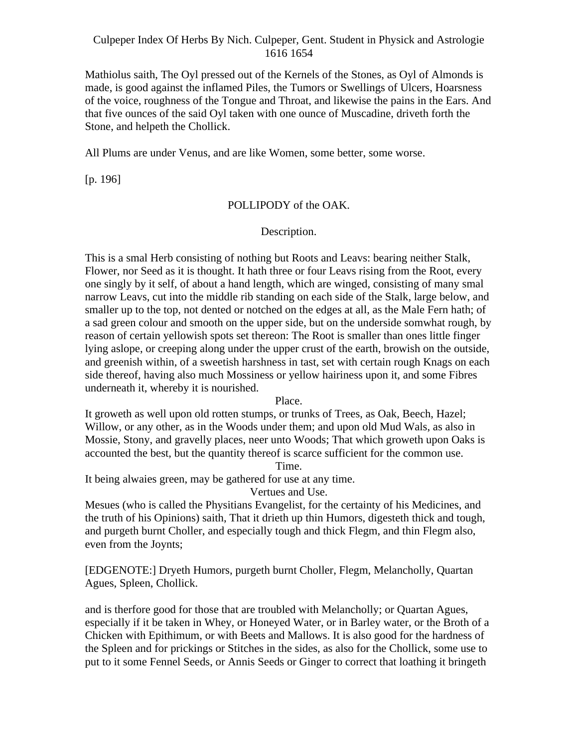Mathiolus saith, The Oyl pressed out of the Kernels of the Stones, as Oyl of Almonds is made, is good against the inflamed Piles, the Tumors or Swellings of Ulcers, Hoarsness of the voice, roughness of the Tongue and Throat, and likewise the pains in the Ears. And that five ounces of the said Oyl taken with one ounce of Muscadine, driveth forth the Stone, and helpeth the Chollick.

All Plums are under Venus, and are like Women, some better, some worse.

[p. 196]

#### POLLIPODY of the OAK.

Description.

This is a smal Herb consisting of nothing but Roots and Leavs: bearing neither Stalk, Flower, nor Seed as it is thought. It hath three or four Leavs rising from the Root, every one singly by it self, of about a hand length, which are winged, consisting of many smal narrow Leavs, cut into the middle rib standing on each side of the Stalk, large below, and smaller up to the top, not dented or notched on the edges at all, as the Male Fern hath; of a sad green colour and smooth on the upper side, but on the underside somwhat rough, by reason of certain yellowish spots set thereon: The Root is smaller than ones little finger lying aslope, or creeping along under the upper crust of the earth, browish on the outside, and greenish within, of a sweetish harshness in tast, set with certain rough Knags on each side thereof, having also much Mossiness or yellow hairiness upon it, and some Fibres underneath it, whereby it is nourished.

### Place.

It groweth as well upon old rotten stumps, or trunks of Trees, as Oak, Beech, Hazel; Willow, or any other, as in the Woods under them; and upon old Mud Wals, as also in Mossie, Stony, and gravelly places, neer unto Woods; That which groweth upon Oaks is accounted the best, but the quantity thereof is scarce sufficient for the common use. Time.

It being alwaies green, may be gathered for use at any time.

Vertues and Use.

Mesues (who is called the Physitians Evangelist, for the certainty of his Medicines, and the truth of his Opinions) saith, That it drieth up thin Humors, digesteth thick and tough, and purgeth burnt Choller, and especially tough and thick Flegm, and thin Flegm also, even from the Joynts;

[EDGENOTE:] Dryeth Humors, purgeth burnt Choller, Flegm, Melancholly, Quartan Agues, Spleen, Chollick.

and is therfore good for those that are troubled with Melancholly; or Quartan Agues, especially if it be taken in Whey, or Honeyed Water, or in Barley water, or the Broth of a Chicken with Epithimum, or with Beets and Mallows. It is also good for the hardness of the Spleen and for prickings or Stitches in the sides, as also for the Chollick, some use to put to it some Fennel Seeds, or Annis Seeds or Ginger to correct that loathing it bringeth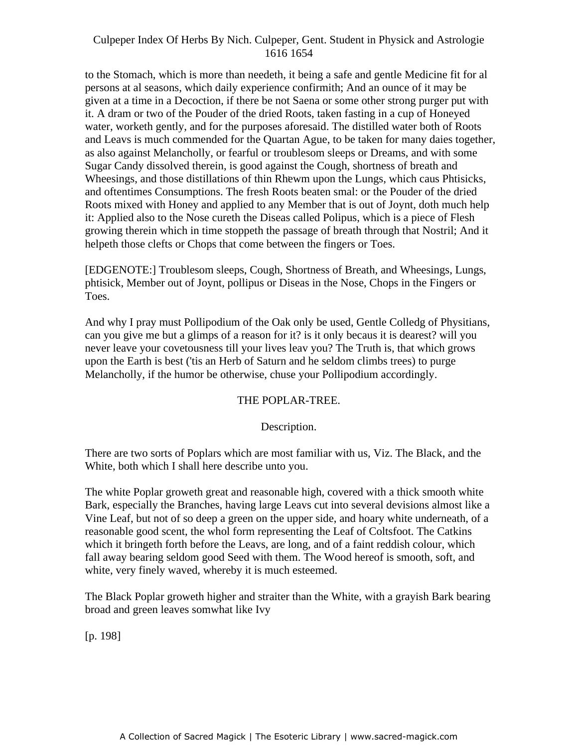to the Stomach, which is more than needeth, it being a safe and gentle Medicine fit for al persons at al seasons, which daily experience confirmith; And an ounce of it may be given at a time in a Decoction, if there be not Saena or some other strong purger put with it. A dram or two of the Pouder of the dried Roots, taken fasting in a cup of Honeyed water, worketh gently, and for the purposes aforesaid. The distilled water both of Roots and Leavs is much commended for the Quartan Ague, to be taken for many daies together, as also against Melancholly, or fearful or troublesom sleeps or Dreams, and with some Sugar Candy dissolved therein, is good against the Cough, shortness of breath and Wheesings, and those distillations of thin Rhewm upon the Lungs, which caus Phtisicks, and oftentimes Consumptions. The fresh Roots beaten smal: or the Pouder of the dried Roots mixed with Honey and applied to any Member that is out of Joynt, doth much help it: Applied also to the Nose cureth the Diseas called Polipus, which is a piece of Flesh growing therein which in time stoppeth the passage of breath through that Nostril; And it helpeth those clefts or Chops that come between the fingers or Toes.

[EDGENOTE:] Troublesom sleeps, Cough, Shortness of Breath, and Wheesings, Lungs, phtisick, Member out of Joynt, pollipus or Diseas in the Nose, Chops in the Fingers or Toes.

And why I pray must Pollipodium of the Oak only be used, Gentle Colledg of Physitians, can you give me but a glimps of a reason for it? is it only becaus it is dearest? will you never leave your covetousness till your lives leav you? The Truth is, that which grows upon the Earth is best ('tis an Herb of Saturn and he seldom climbs trees) to purge Melancholly, if the humor be otherwise, chuse your Pollipodium accordingly.

#### THE POPLAR-TREE.

#### Description.

There are two sorts of Poplars which are most familiar with us, Viz. The Black, and the White, both which I shall here describe unto you.

The white Poplar groweth great and reasonable high, covered with a thick smooth white Bark, especially the Branches, having large Leavs cut into several devisions almost like a Vine Leaf, but not of so deep a green on the upper side, and hoary white underneath, of a reasonable good scent, the whol form representing the Leaf of Coltsfoot. The Catkins which it bringeth forth before the Leavs, are long, and of a faint reddish colour, which fall away bearing seldom good Seed with them. The Wood hereof is smooth, soft, and white, very finely waved, whereby it is much esteemed.

The Black Poplar groweth higher and straiter than the White, with a grayish Bark bearing broad and green leaves somwhat like Ivy

[p. 198]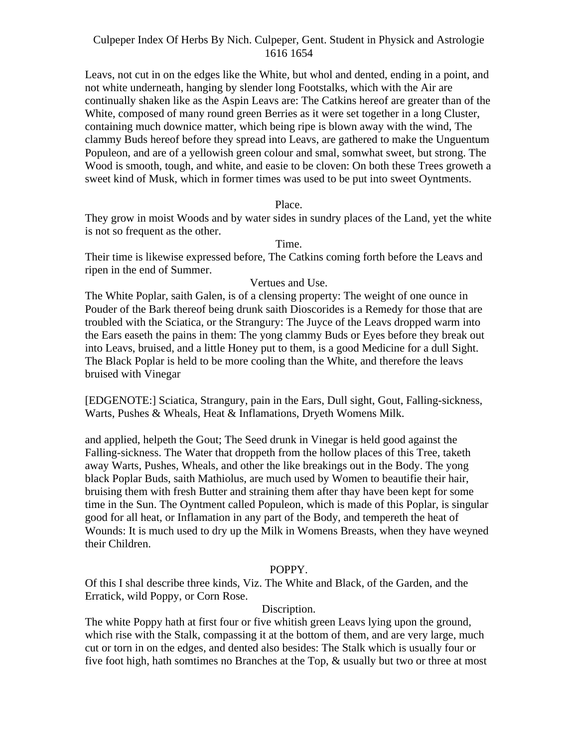Leavs, not cut in on the edges like the White, but whol and dented, ending in a point, and not white underneath, hanging by slender long Footstalks, which with the Air are continually shaken like as the Aspin Leavs are: The Catkins hereof are greater than of the White, composed of many round green Berries as it were set together in a long Cluster, containing much downice matter, which being ripe is blown away with the wind, The clammy Buds hereof before they spread into Leavs, are gathered to make the Unguentum Populeon, and are of a yellowish green colour and smal, somwhat sweet, but strong. The Wood is smooth, tough, and white, and easie to be cloven: On both these Trees groweth a sweet kind of Musk, which in former times was used to be put into sweet Oyntments.

#### Place.

They grow in moist Woods and by water sides in sundry places of the Land, yet the white is not so frequent as the other.

Time.

Their time is likewise expressed before, The Catkins coming forth before the Leavs and ripen in the end of Summer.

#### Vertues and Use.

The White Poplar, saith Galen, is of a clensing property: The weight of one ounce in Pouder of the Bark thereof being drunk saith Dioscorides is a Remedy for those that are troubled with the Sciatica, or the Strangury: The Juyce of the Leavs dropped warm into the Ears easeth the pains in them: The yong clammy Buds or Eyes before they break out into Leavs, bruised, and a little Honey put to them, is a good Medicine for a dull Sight. The Black Poplar is held to be more cooling than the White, and therefore the leavs bruised with Vinegar

[EDGENOTE:] Sciatica, Strangury, pain in the Ears, Dull sight, Gout, Falling-sickness, Warts, Pushes & Wheals, Heat & Inflamations, Dryeth Womens Milk.

and applied, helpeth the Gout; The Seed drunk in Vinegar is held good against the Falling-sickness. The Water that droppeth from the hollow places of this Tree, taketh away Warts, Pushes, Wheals, and other the like breakings out in the Body. The yong black Poplar Buds, saith Mathiolus, are much used by Women to beautifie their hair, bruising them with fresh Butter and straining them after thay have been kept for some time in the Sun. The Oyntment called Populeon, which is made of this Poplar, is singular good for all heat, or Inflamation in any part of the Body, and tempereth the heat of Wounds: It is much used to dry up the Milk in Womens Breasts, when they have weyned their Children.

## POPPY.

Of this I shal describe three kinds, Viz. The White and Black, of the Garden, and the Erratick, wild Poppy, or Corn Rose.

#### Discription.

The white Poppy hath at first four or five whitish green Leavs lying upon the ground, which rise with the Stalk, compassing it at the bottom of them, and are very large, much cut or torn in on the edges, and dented also besides: The Stalk which is usually four or five foot high, hath somtimes no Branches at the Top, & usually but two or three at most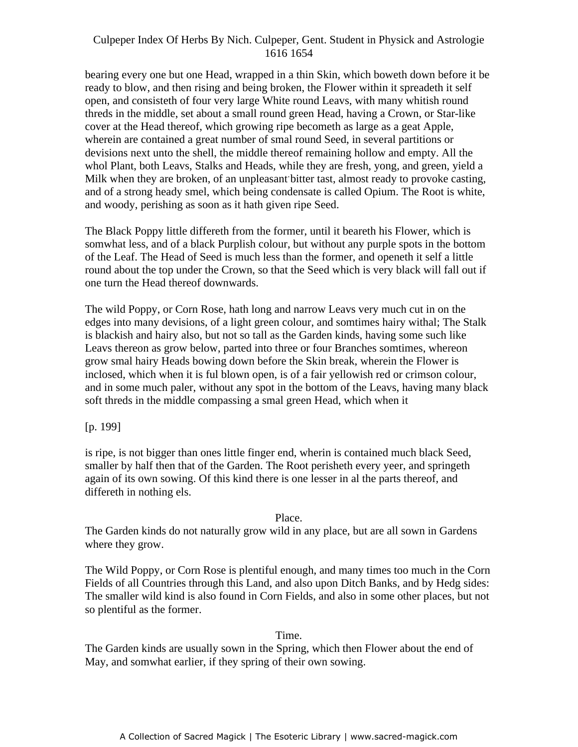bearing every one but one Head, wrapped in a thin Skin, which boweth down before it be ready to blow, and then rising and being broken, the Flower within it spreadeth it self open, and consisteth of four very large White round Leavs, with many whitish round threds in the middle, set about a small round green Head, having a Crown, or Star-like cover at the Head thereof, which growing ripe becometh as large as a geat Apple, wherein are contained a great number of smal round Seed, in several partitions or devisions next unto the shell, the middle thereof remaining hollow and empty. All the whol Plant, both Leavs, Stalks and Heads, while they are fresh, yong, and green, yield a and of a strong heady smel, which being condensate is called Opium. The Root is white, and woody, perishing as soon as it hath given ripe Seed. -

The Black Poppy little differeth from the former, until it beareth his Flower, which is somwhat less, and of a black Purplish colour, but without any purple spots in the bottom of the Leaf. The Head of Seed is much less than the former, and openeth it self a little round about the top under the Crown, so that the Seed which is very black will fall out if one turn the Head thereof downwards.

The wild Poppy, or Corn Rose, hath long and narrow Leavs very much cut in on the edges into many devisions, of a light green colour, and somtimes hairy withal; The Stalk is blackish and hairy also, but not so tall as the Garden kinds, having some such like Leavs thereon as grow below, parted into three or four Branches somtimes, whereon grow smal hairy Heads bowing down before the Skin break, wherein the Flower is inclosed, which when it is ful blown open, is of a fair yellowish red or crimson colour, and in some much paler, without any spot in the bottom of the Leavs, having many black soft threds in the middle compassing a smal green Head, which when it

[p. 199]

is ripe, is not bigger than ones little finger end, wherin is contained much black Seed, smaller by half then that of the Garden. The Root perisheth every yeer, and springeth again of its own sowing. Of this kind there is one lesser in al the parts thereof, and differeth in nothing els.

## Place.

The Garden kinds do not naturally grow wild in any place, but are all sown in Gardens where they grow.

The Wild Poppy, or Corn Rose is plentiful enough, and many times too much in the Corn Fields of all Countries through this Land, and also upon Ditch Banks, and by Hedg sides: The smaller wild kind is also found in Corn Fields, and also in some other places, but not so plentiful as the former.

## Time.

The Garden kinds are usually sown in the Spring, which then Flower about the end of May, and somwhat earlier, if they spring of their own sowing.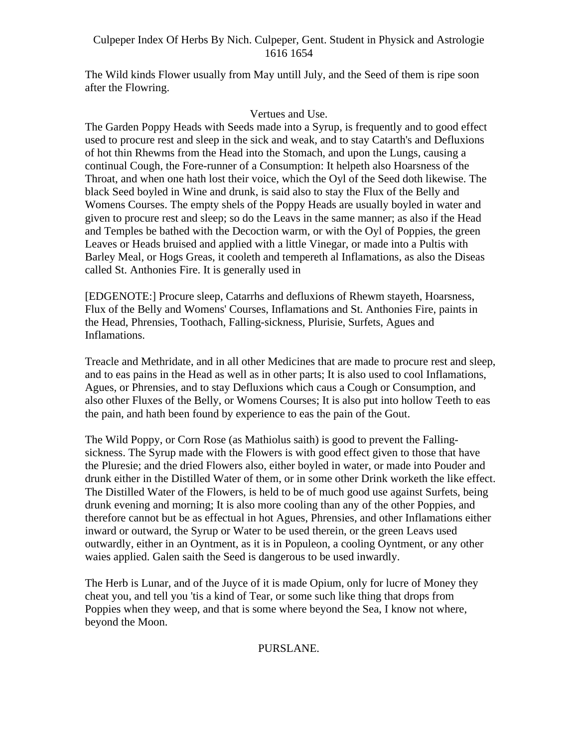The Wild kinds Flower usually from May untill July, and the Seed of them is ripe soon after the Flowring.

## Vertues and Use.

The Garden Poppy Heads with Seeds made into a Syrup, is frequently and to good effect used to procure rest and sleep in the sick and weak, and to stay Catarth's and Defluxions of hot thin Rhewms from the Head into the Stomach, and upon the Lungs, causing a continual Cough, the Fore-runner of a Consumption: It helpeth also Hoarsness of the Throat, and when one hath lost their voice, which the Oyl of the Seed doth likewise. The black Seed boyled in Wine and drunk, is said also to stay the Flux of the Belly and Womens Courses. The empty shels of the Poppy Heads are usually boyled in water and given to procure rest and sleep; so do the Leavs in the same manner; as also if the Head and Temples be bathed with the Decoction warm, or with the Oyl of Poppies, the green Leaves or Heads bruised and applied with a little Vinegar, or made into a Pultis with Barley Meal, or Hogs Greas, it cooleth and tempereth al Inflamations, as also the Diseas called St. Anthonies Fire. It is generally used in

[EDGENOTE:] Procure sleep, Catarrhs and defluxions of Rhewm stayeth, Hoarsness, Flux of the Belly and Womens' Courses, Inflamations and St. Anthonies Fire, paints in the Head, Phrensies, Toothach, Falling-sickness, Plurisie, Surfets, Agues and Inflamations.

Treacle and Methridate, and in all other Medicines that are made to procure rest and sleep, and to eas pains in the Head as well as in other parts; It is also used to cool Inflamations, Agues, or Phrensies, and to stay Defluxions which caus a Cough or Consumption, and also other Fluxes of the Belly, or Womens Courses; It is also put into hollow Teeth to eas the pain, and hath been found by experience to eas the pain of the Gout.

The Wild Poppy, or Corn Rose (as Mathiolus saith) is good to prevent the Falling sickness. The Syrup made with the Flowers is with good effect given to those that have the Pluresie; and the dried Flowers also, either boyled in water, or made into Pouder and drunk either in the Distilled Water of them, or in some other Drink worketh the like effect. The Distilled Water of the Flowers, is held to be of much good use against Surfets, being drunk evening and morning; It is also more cooling than any of the other Poppies, and therefore cannot but be as effectual in hot Agues, Phrensies, and other Inflamations either inward or outward, the Syrup or Water to be used therein, or the green Leavs used outwardly, either in an Oyntment, as it is in Populeon, a cooling Oyntment, or any other waies applied. Galen saith the Seed is dangerous to be used inwardly.

The Herb is Lunar, and of the Juyce of it is made Opium, only for lucre of Money they cheat you, and tell you 'tis a kind of Tear, or some such like thing that drops from Poppies when they weep, and that is some where beyond the Sea, I know not where, beyond the Moon.

## PURSLANE.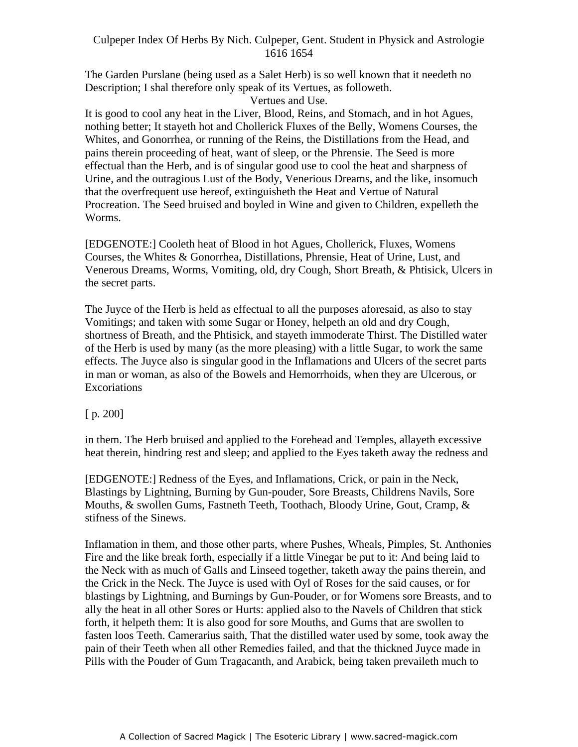The Garden Purslane (being used as a Salet Herb) is so well known that it needeth no Description; I shal therefore only speak of its Vertues, as followeth.

Vertues and Use.

It is good to cool any heat in the Liver, Blood, Reins, and Stomach, and in hot Agues, nothing better; It stayeth hot and Chollerick Fluxes of the Belly, Womens Courses, the Whites, and Gonorrhea, or running of the Reins, the Distillations from the Head, and pains therein proceeding of heat, want of sleep, or the Phrensie. The Seed is more effectual than the Herb, and is of singular good use to cool the heat and sharpness of Urine, and the outragious Lust of the Body, Venerious Dreams, and the like, insomuch that the overfrequent use hereof, extinguisheth the Heat and Vertue of Natural Procreation. The Seed bruised and boyled in Wine and given to Children, expelleth the Worms.

[EDGENOTE:] Cooleth heat of Blood in hot Agues, Chollerick, Fluxes, Womens Courses, the Whites & Gonorrhea, Distillations, Phrensie, Heat of Urine, Lust, and Venerous Dreams, Worms, Vomiting, old, dry Cough, Short Breath, & Phtisick, Ulcers in the secret parts.

The Juyce of the Herb is held as effectual to all the purposes aforesaid, as also to stay Vomitings; and taken with some Sugar or Honey, helpeth an old and dry Cough, shortness of Breath, and the Phtisick, and stayeth immoderate Thirst. The Distilled water of the Herb is used by many (as the more pleasing) with a little Sugar, to work the same effects. The Juyce also is singular good in the Inflamations and Ulcers of the secret parts in man or woman, as also of the Bowels and Hemorrhoids, when they are Ulcerous, or Excoriations **Exercises** 

[ p. 200]

in them. The Herb bruised and applied to the Forehead and Temples, allayeth excessive heat therein, hindring rest and sleep; and applied to the Eyes taketh away the redness and

[EDGENOTE:] Redness of the Eyes, and Inflamations, Crick, or pain in the Neck, Blastings by Lightning, Burning by Gun-pouder, Sore Breasts, Childrens Navils, Sore Mouths, & swollen Gums, Fastneth Teeth, Toothach, Bloody Urine, Gout, Cramp, & stifness of the Sinews.

Inflamation in them, and those other parts, where Pushes, Wheals, Pimples, St. Anthonies Fire and the like break forth, especially if a little Vinegar be put to it: And being laid to the Neck with as much of Galls and Linseed together, taketh away the pains therein, and the Crick in the Neck. The Juyce is used with Oyl of Roses for the said causes, or for blastings by Lightning, and Burnings by Gun-Pouder, or for Womens sore Breasts, and to ally the heat in all other Sores or Hurts: applied also to the Navels of Children that stick forth, it helpeth them: It is also good for sore Mouths, and Gums that are swollen to fasten loos Teeth. Camerarius saith, That the distilled water used by some, took away the pain of their Teeth when all other Remedies failed, and that the thickned Juyce made in Pills with the Pouder of Gum Tragacanth, and Arabick, being taken prevaileth much to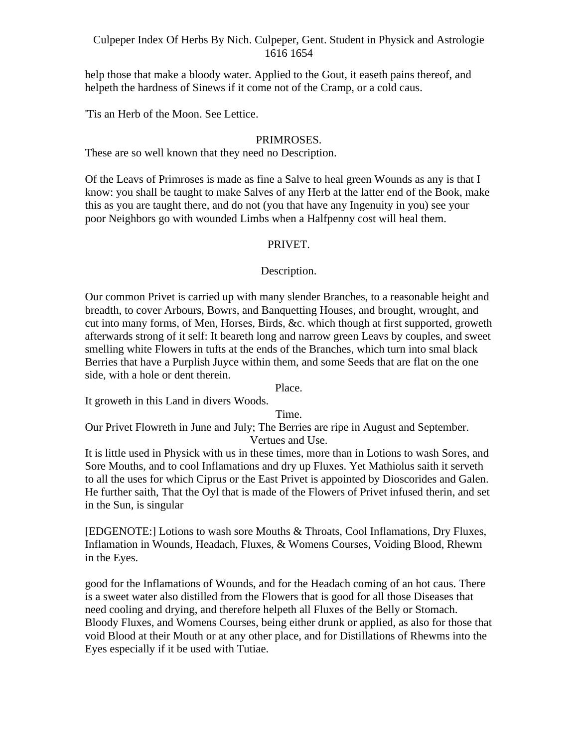help those that make a bloody water. Applied to the Gout, it easeth pains thereof, and helpeth the hardness of Sinews if it come not of the Cramp, or a cold caus.

'Tis an Herb of the Moon. See Lettice.

## PRIMROSES.

These are so well known that they need no Description.

Of the Leavs of Primroses is made as fine a Salve to heal green Wounds as any is that I know: you shall be taught to make Salves of any Herb at the latter end of the Book, make this as you are taught there, and do not (you that have any Ingenuity in you) see your poor Neighbors go with wounded Limbs when a Halfpenny cost will heal them.

## PRIVET.

## Description.

Our common Privet is carried up with many slender Branches, to a reasonable height and breadth, to cover Arbours, Bowrs, and Banquetting Houses, and brought, wrought, and cut into many forms, of Men, Horses, Birds, &c. which though at first supported, groweth afterwards strong of it self: It beareth long and narrow green Leavs by couples, and sweet smelling white Flowers in tufts at the ends of the Branches, which turn into smal black Berries that have a Purplish Juyce within them, and some Seeds that are flat on the one side, with a hole or dent therein.

Place.

It groweth in this Land in divers Woods.

Time.

Our Privet Flowreth in June and July; The Berries are ripe in August and September. Vertues and Use.

It is little used in Physick with us in these times, more than in Lotions to wash Sores, and Sore Mouths, and to cool Inflamations and dry up Fluxes. Yet Mathiolus saith it serveth to all the uses for which Ciprus or the East Privet is appointed by Dioscorides and Galen. He further saith, That the Oyl that is made of the Flowers of Privet infused therin, and set in the Sun, is singular

[EDGENOTE:] Lotions to wash sore Mouths & Throats, Cool Inflamations, Dry Fluxes, Inflamation in Wounds, Headach, Fluxes, & Womens Courses, Voiding Blood, Rhewm in the Eyes.

good for the Inflamations of Wounds, and for the Headach coming of an hot caus. There is a sweet water also distilled from the Flowers that is good for all those Diseases that need cooling and drying, and therefore helpeth all Fluxes of the Belly or Stomach. Bloody Fluxes, and Womens Courses, being either drunk or applied, as also for those that void Blood at their Mouth or at any other place, and for Distillations of Rhewms into the Eyes especially if it be used with Tutiae.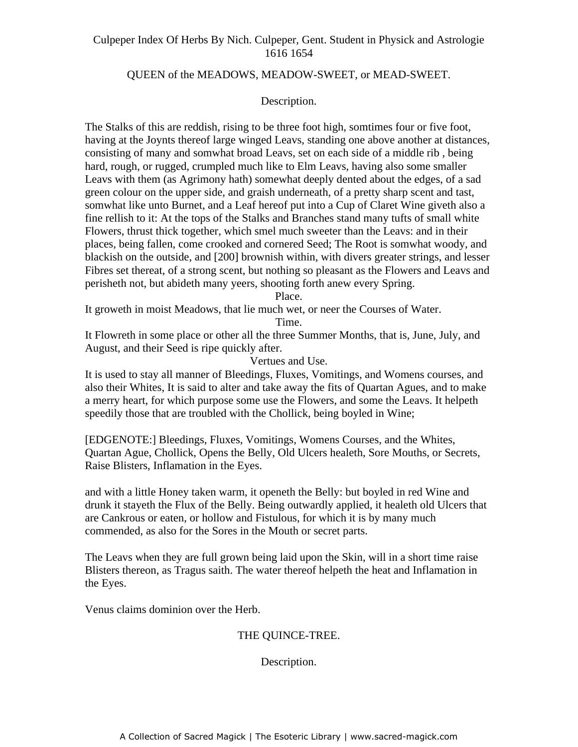#### QUEEN of the MEADOWS, MEADOW-SWEET, or MEAD-SWEET.

Description.<br>The Stalks of this are reddish, rising to be three foot high, somtimes four or five foot, having at the Joynts thereof large winged Leavs, standing one above another at distances, consisting of many and somwhat broad Leavs, set on each side of a middle rib , being hard, rough, or rugged, crumpled much like to Elm Leavs, having also some smaller Leavs with them (as Agrimony hath) somewhat deeply dented about the edges, of a sad green colour on the upper side, and graish underneath, of a pretty sharp scent and tast, somwhat like unto Burnet, and a Leaf hereof put into a Cup of Claret Wine giveth also a fine rellish to it: At the tops of the Stalks and Branches stand many tufts of small white Flowers, thrust thick together, which smel much sweeter than the Leavs: and in their places, being fallen, come crooked and cornered Seed; The Root is somwhat woody, and blackish on the outside, and [200] brownish within, with divers greater strings, and lesser Fibres set thereat, of a strong scent, but nothing so pleasant as the Flowers and Leavs and perisheth not, but abideth many yeers, shooting forth anew every Spring.

Place.

It groweth in moist Meadows, that lie much wet, or neer the Courses of Water.

Time.

It Flowreth in some place or other all the three Summer Months, that is, June, July, and August, and their Seed is ripe quickly after.

Vertues and Use.

It is used to stay all manner of Bleedings, Fluxes, Vomitings, and Womens courses, and also their Whites, It is said to alter and take away the fits of Quartan Agues, and to make a merry heart, for which purpose some use the Flowers, and some the Leavs. It helpeth speedily those that are troubled with the Chollick, being boyled in Wine;

[EDGENOTE:] Bleedings, Fluxes, Vomitings, Womens Courses, and the Whites, Quartan Ague, Chollick, Opens the Belly, Old Ulcers healeth, Sore Mouths, or Secrets, Raise Blisters, Inflamation in the Eyes.

and with a little Honey taken warm, it openeth the Belly: but boyled in red Wine and drunk it stayeth the Flux of the Belly. Being outwardly applied, it healeth old Ulcers that are Cankrous or eaten, or hollow and Fistulous, for which it is by many much commended, as also for the Sores in the Mouth or secret parts.

The Leavs when they are full grown being laid upon the Skin, will in a short time raise Blisters thereon, as Tragus saith. The water thereof helpeth the heat and Inflamation in the Eyes.

Venus claims dominion over the Herb.

## THE QUINCE-TREE.

#### Description.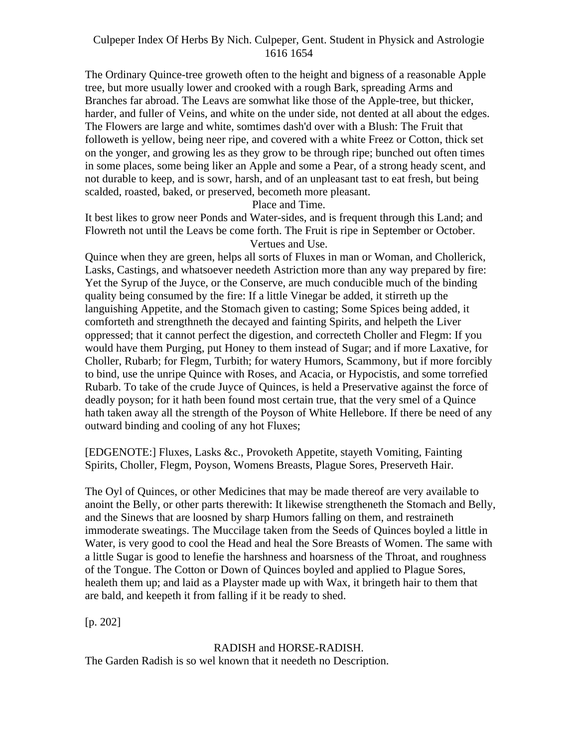The Ordinary Quince-tree groweth often to the height and bigness of a reasonable Apple tree, but more usually lower and crooked with a rough Bark, spreading Arms and Branches far abroad. The Leavs are somwhat like those of the Apple-tree, but thicker, harder, and fuller of Veins, and white on the under side, not dented at all about the edges. The Flowers are large and white, somtimes dash'd over with a Blush: The Fruit that followeth is yellow, being neer ripe, and covered with a white Freez or Cotton, thick set on the yonger, and growing les as they grow to be through ripe; bunched out often times in some places, some being liker an Apple and some a Pear, of a strong heady scent, and not durable to keep, and is sowr, harsh, and of an unpleasant tast to eat fresh, but being scalded, roasted, baked, or preserved, becometh more pleasant.

Place and Time.

It best likes to grow neer Ponds and Water-sides, and is frequent through this Land; and Flowreth not until the Leavs be come forth. The Fruit is ripe in September or October. Vertues and Use.

Quince when they are green, helps all sorts of Fluxes in man or Woman, and Chollerick, Lasks, Castings, and whatsoever needeth Astriction more than any way prepared by fire: Yet the Syrup of the Juyce, or the Conserve, are much conducible much of the binding quality being consumed by the fire: If a little Vinegar be added, it stirreth up the languishing Appetite, and the Stomach given to casting; Some Spices being added, it comforteth and strengthneth the decayed and fainting Spirits, and helpeth the Liver oppressed; that it cannot perfect the digestion, and correcteth Choller and Flegm: If you would have them Purging, put Honey to them instead of Sugar; and if more Laxative, for Choller, Rubarb; for Flegm, Turbith; for watery Humors, Scammony, but if more forcibly to bind, use the unripe Quince with Roses, and Acacia, or Hypocistis, and some torrefied Rubarb. To take of the crude Juyce of Quinces, is held a Preservative against the force of deadly poyson; for it hath been found most certain true, that the very smel of a Quince hath taken away all the strength of the Poyson of White Hellebore. If there be need of any outward binding and cooling of any hot Fluxes;

[EDGENOTE:] Fluxes, Lasks &c., Provoketh Appetite, stayeth Vomiting, Fainting Spirits, Choller, Flegm, Poyson, Womens Breasts, Plague Sores, Preserveth Hair.

The Oyl of Quinces, or other Medicines that may be made thereof are very available to anoint the Belly, or other parts therewith: It likewise strengtheneth the Stomach and Belly, and the Sinews that are loosned by sharp Humors falling on them, and restraineth immoderate sweatings. The Muccilage taken from the Seeds of Quinces boyled a little in Water, is very good to cool the Head and heal the Sore Breasts of Women. The same with a little Sugar is good to lenefie the harshness and hoarsness of the Throat, and roughness of the Tongue. The Cotton or Down of Quinces boyled and applied to Plague Sores, healeth them up; and laid as a Playster made up with Wax, it bringeth hair to them that are bald, and keepeth it from falling if it be ready to shed.

[p. 202]

## RADISH and HORSE-RADISH.

The Garden Radish is so wel known that it needeth no Description.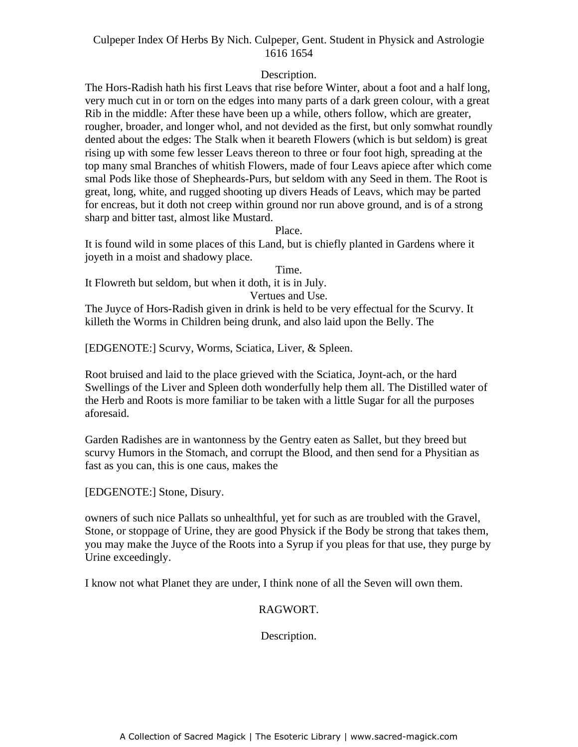## Description.

The Hors-Radish hath his first Leavs that rise before Winter, about a foot and a half long, very much cut in or torn on the edges into many parts of a dark green colour, with a great Rib in the middle: After these have been up a while, others follow, which are greater, rougher, broader, and longer whol, and not devided as the first, but only somwhat roundly dented about the edges: The Stalk when it beareth Flowers (which is but seldom) is great rising up with some few lesser Leavs thereon to three or four foot high, spreading at the top many smal Branches of whitish Flowers, made of four Leavs apiece after which come smal Pods like those of Shepheards-Purs, but seldom with any Seed in them. The Root is great, long, white, and rugged shooting up divers Heads of Leavs, which may be parted for encreas, but it doth not creep within ground nor run above ground, and is of a strong sharp and bitter tast, almost like Mustard.

#### Place.

It is found wild in some places of this Land, but is chiefly planted in Gardens where it joyeth in a moist and shadowy place.

Time.

It Flowreth but seldom, but when it doth, it is in July.

Vertues and Use.

The Juyce of Hors-Radish given in drink is held to be very effectual for the Scurvy. It killeth the Worms in Children being drunk, and also laid upon the Belly. The

[EDGENOTE:] Scurvy, Worms, Sciatica, Liver, & Spleen.

Root bruised and laid to the place grieved with the Sciatica, Joynt-ach, or the hard Swellings of the Liver and Spleen doth wonderfully help them all. The Distilled water of the Herb and Roots is more familiar to be taken with a little Sugar for all the purposes aforesaid.

Garden Radishes are in wantonness by the Gentry eaten as Sallet, but they breed but scurvy Humors in the Stomach, and corrupt the Blood, and then send for a Physitian as fast as you can, this is one caus, makes the

[EDGENOTE:] Stone, Disury.

owners of such nice Pallats so unhealthful, yet for such as are troubled with the Gravel, Stone, or stoppage of Urine, they are good Physick if the Body be strong that takes them, you may make the Juyce of the Roots into a Syrup if you pleas for that use, they purge by Urine exceedingly.

I know not what Planet they are under, I think none of all the Seven will own them.

## RAGWORT.

Description.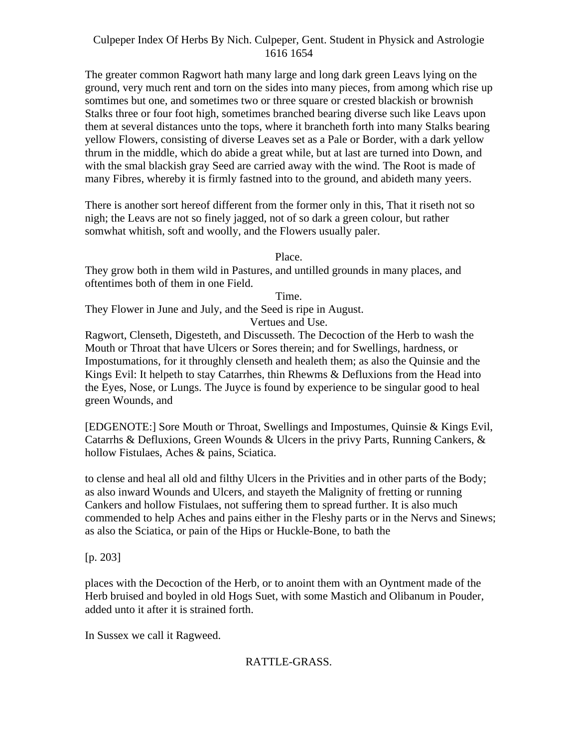The greater common Ragwort hath many large and long dark green Leavs lying on the ground, very much rent and torn on the sides into many pieces, from among which rise up somtimes but one, and sometimes two or three square or crested blackish or brownish Stalks three or four foot high, sometimes branched bearing diverse such like Leavs upon them at several distances unto the tops, where it brancheth forth into many Stalks bearing yellow Flowers, consisting of diverse Leaves set as a Pale or Border, with a dark yellow thrum in the middle, which do abide a great while, but at last are turned into Down, and with the smal blackish gray Seed are carried away with the wind. The Root is made of many Fibres, whereby it is firmly fastned into to the ground, and abideth many yeers.

There is another sort hereof different from the former only in this, That it riseth not so nigh; the Leavs are not so finely jagged, not of so dark a green colour, but rather somwhat whitish, soft and woolly, and the Flowers usually paler.

Place.

They grow both in them wild in Pastures, and untilled grounds in many places, and oftentimes both of them in one Field.

Time.

They Flower in June and July, and the Seed is ripe in August. Vertues and Use.

Ragwort, Clenseth, Digesteth, and Discusseth. The Decoction of the Herb to wash the Mouth or Throat that have Ulcers or Sores therein; and for Swellings, hardness, or Impostumations, for it throughly clenseth and healeth them; as also the Quinsie and the Kings Evil: It helpeth to stay Catarrhes, thin Rhewms & Defluxions from the Head into the Eyes, Nose, or Lungs. The Juyce is found by experience to be singular good to heal green Wounds, and

[EDGENOTE:] Sore Mouth or Throat, Swellings and Impostumes, Quinsie & Kings Evil, Catarrhs & Defluxions, Green Wounds & Ulcers in the privy Parts, Running Cankers,  $\&$ hollow Fistulaes, Aches & pains, Sciatica.

to clense and heal all old and filthy Ulcers in the Privities and in other parts of the Body; as also inward Wounds and Ulcers, and stayeth the Malignity of fretting or running Cankers and hollow Fistulaes, not suffering them to spread further. It is also much commended to help Aches and pains either in the Fleshy parts or in the Nervs and Sinews; as also the Sciatica, or pain of the Hips or Huckle-Bone, to bath the

[p. 203]

places with the Decoction of the Herb, or to anoint them with an Oyntment made of the Herb bruised and boyled in old Hogs Suet, with some Mastich and Olibanum in Pouder, added unto it after it is strained forth.

In Sussex we call it Ragweed.

# RATTLE-GRASS.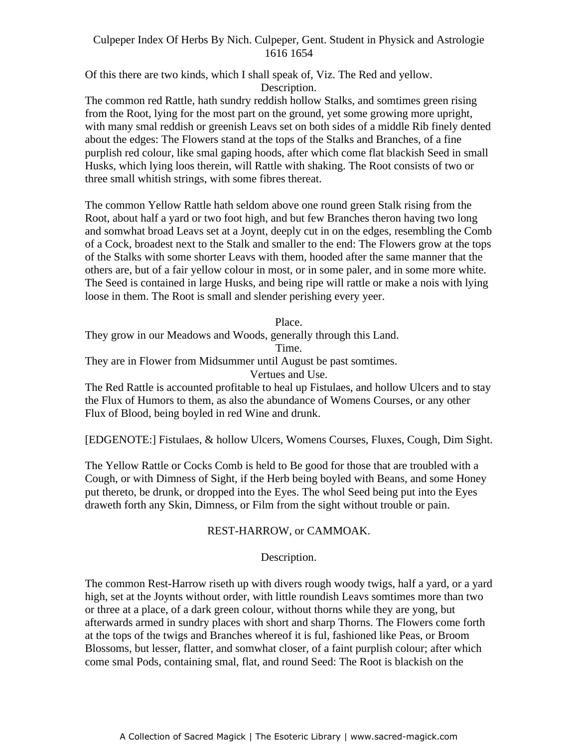Of this there are two kinds, which I shall speak of, Viz. The Red and yellow. Description.

The common red Rattle, hath sundry reddish hollow Stalks, and somtimes green rising from the Root, lying for the most part on the ground, yet some growing more upright, with many smal reddish or greenish Leavs set on both sides of a middle Rib finely dented about the edges: The Flowers stand at the tops of the Stalks and Branches, of a fine purplish red colour, like smal gaping hoods, after which come flat blackish Seed in small Husks, which lying loos therein, will Rattle with shaking. The Root consists of two or three small whitish strings, with some fibres thereat.

The common Yellow Rattle hath seldom above one round green Stalk rising from the Root, about half a yard or two foot high, and but few Branches theron having two long and somwhat broad Leavs set at a Joynt, deeply cut in on the edges, resembling the Comb of a Cock, broadest next to the Stalk and smaller to the end: The Flowers grow at the tops of the Stalks with some shorter Leavs with them, hooded after the same manner that the others are, but of a fair yellow colour in most, or in some paler, and in some more white. The Seed is contained in large Husks, and being ripe will rattle or make a nois with lying loose in them. The Root is small and slender perishing every yeer.

Place.

They grow in our Meadows and Woods, generally through this Land.

Time.

They are in Flower from Midsummer until August be past somtimes.

Vertues and Use.

The Red Rattle is accounted profitable to heal up Fistulaes, and hollow Ulcers and to stay the Flux of Humors to them, as also the abundance of Womens Courses, or any other Flux of Blood, being boyled in red Wine and drunk.

[EDGENOTE:] Fistulaes, & hollow Ulcers, Womens Courses, Fluxes, Cough, Dim Sight.

The Yellow Rattle or Cocks Comb is held to Be good for those that are troubled with a Cough, or with Dimness of Sight, if the Herb being boyled with Beans, and some Honey put thereto, be drunk, or dropped into the Eyes. The whol Seed being put into the Eyes draweth forth any Skin, Dimness, or Film from the sight without trouble or pain.

#### REST-HARROW, or CAMMOAK.

#### Description.

The common Rest-Harrow riseth up with divers rough woody twigs, half a yard, or a yard high, set at the Joynts without order, with little roundish Leavs somtimes more than two or three at a place, of a dark green colour, without thorns while they are yong, but afterwards armed in sundry places with short and sharp Thorns. The Flowers come forth at the tops of the twigs and Branches whereof it is ful, fashioned like Peas, or Broom Blossoms, but lesser, flatter, and somwhat closer, of a faint purplish colour; after which come smal Pods, containing smal, flat, and round Seed: The Root is blackish on the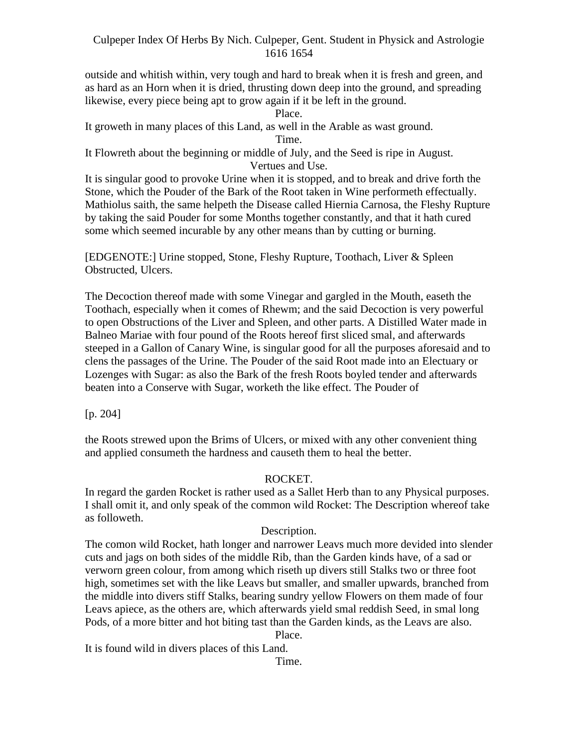outside and whitish within, very tough and hard to break when it is fresh and green, and as hard as an Horn when it is dried, thrusting down deep into the ground, and spreading likewise, every piece being apt to grow again if it be left in the ground.

Place.

It groweth in many places of this Land, as well in the Arable as wast ground.

Time.

It Flowreth about the beginning or middle of July, and the Seed is ripe in August. Vertues and Use.

It is singular good to provoke Urine when it is stopped, and to break and drive forth the Stone, which the Pouder of the Bark of the Root taken in Wine performeth effectually. Mathiolus saith, the same helpeth the Disease called Hiernia Carnosa, the Fleshy Rupture by taking the said Pouder for some Months together constantly, and that it hath cured some which seemed incurable by any other means than by cutting or burning.

[EDGENOTE:] Urine stopped, Stone, Fleshy Rupture, Toothach, Liver & Spleen Obstructed, Ulcers.

The Decoction thereof made with some Vinegar and gargled in the Mouth, easeth the Toothach, especially when it comes of Rhewm; and the said Decoction is very powerful to open Obstructions of the Liver and Spleen, and other parts. A Distilled Water made in Balneo Mariae with four pound of the Roots hereof first sliced smal, and afterwards steeped in a Gallon of Canary Wine, is singular good for all the purposes aforesaid and to clens the passages of the Urine. The Pouder of the said Root made into an Electuary or Lozenges with Sugar: as also the Bark of the fresh Roots boyled tender and afterwards beaten into a Conserve with Sugar, worketh the like effect. The Pouder of

[p. 204]

the Roots strewed upon the Brims of Ulcers, or mixed with any other convenient thing and applied consumeth the hardness and causeth them to heal the better.

## ROCKET.

In regard the garden Rocket is rather used as a Sallet Herb than to any Physical purposes. I shall omit it, and only speak of the common wild Rocket: The Description whereof take as followeth.

## Description.

The comon wild Rocket, hath longer and narrower Leavs much more devided into slender cuts and jags on both sides of the middle Rib, than the Garden kinds have, of a sad or verworn green colour, from among which riseth up divers still Stalks two or three foot high, sometimes set with the like Leavs but smaller, and smaller upwards, branched from the middle into divers stiff Stalks, bearing sundry yellow Flowers on them made of four Leavs apiece, as the others are, which afterwards yield smal reddish Seed, in smal long Pods, of a more bitter and hot biting tast than the Garden kinds, as the Leavs are also.

Place.

It is found wild in divers places of this Land.

Time.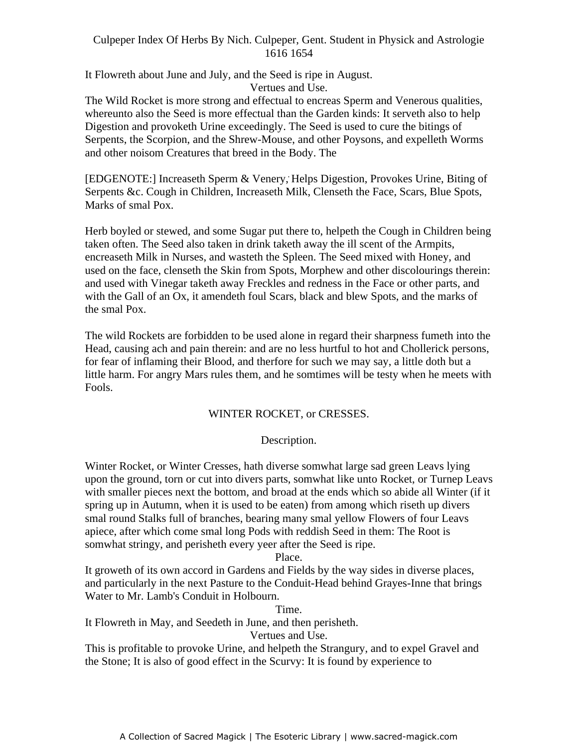It Flowreth about June and July, and the Seed is ripe in August. Vertues and Use.

The Wild Rocket is more strong and effectual to encreas Sperm and Venerous qualities, whereunto also the Seed is more effectual than the Garden kinds: It serveth also to help Digestion and provoketh Urine exceedingly. The Seed is used to cure the bitings of Serpents, the Scorpion, and the Shrew-Mouse, and other Poysons, and expelleth Worms and other noisom Creatures that breed in the Body. The

[EDGENOTE:] Increaseth Sperm & Venery, Helps Digestion, Provokes Urine, Biting of Serpents &c. Cough in Children, Increaseth Milk, Clenseth the Face, Scars, Blue Spots, Marks of smal Pox.

Herb boyled or stewed, and some Sugar put there to, helpeth the Cough in Children being taken often. The Seed also taken in drink taketh away the ill scent of the Armpits, encreaseth Milk in Nurses, and wasteth the Spleen. The Seed mixed with Honey, and used on the face, clenseth the Skin from Spots, Morphew and other discolourings therein: and used with Vinegar taketh away Freckles and redness in the Face or other parts, and with the Gall of an Ox, it amendeth foul Scars, black and blew Spots, and the marks of the smal Pox.

The wild Rockets are forbidden to be used alone in regard their sharpness fumeth into the Head, causing ach and pain therein: and are no less hurtful to hot and Chollerick persons, for fear of inflaming their Blood, and therfore for such we may say, a little doth but a little harm. For angry Mars rules them, and he somtimes will be testy when he meets with Fools.

## WINTER ROCKET, or CRESSES.

## Description.

Winter Rocket, or Winter Cresses, hath diverse somwhat large sad green Leavs lying upon the ground, torn or cut into divers parts, somwhat like unto Rocket, or Turnep Leavs with smaller pieces next the bottom, and broad at the ends which so abide all Winter (if it spring up in Autumn, when it is used to be eaten) from among which riseth up divers smal round Stalks full of branches, bearing many smal yellow Flowers of four Leavs apiece, after which come smal long Pods with reddish Seed in them: The Root is somwhat stringy, and perisheth every yeer after the Seed is ripe.

#### Place.

It groweth of its own accord in Gardens and Fields by the way sides in diverse places, and particularly in the next Pasture to the Conduit-Head behind Grayes-Inne that brings Water to Mr. Lamb's Conduit in Holbourn.

Time.

It Flowreth in May, and Seedeth in June, and then perisheth.

Vertues and Use.

This is profitable to provoke Urine, and helpeth the Strangury, and to expel Gravel and the Stone; It is also of good effect in the Scurvy: It is found by experience to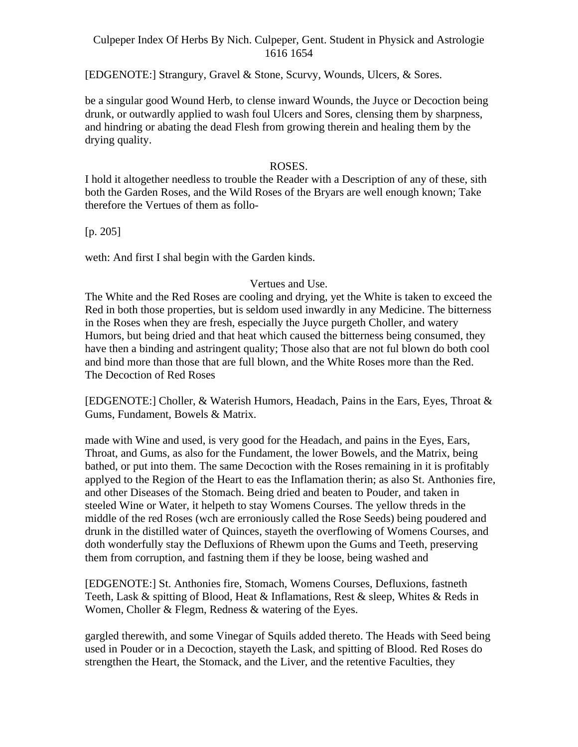[EDGENOTE:] Strangury, Gravel & Stone, Scurvy, Wounds, Ulcers, & Sores.

be a singular good Wound Herb, to clense inward Wounds, the Juyce or Decoction being drunk, or outwardly applied to wash foul Ulcers and Sores, clensing them by sharpness, and hindring or abating the dead Flesh from growing therein and healing them by the drying quality.

ROSES.<br>I hold it altogether needless to trouble the Reader with a Description of any of these, sith both the Garden Roses, and the Wild Roses of the Bryars are well enough known; Take therefore the Vertues of them as follo-

[p. 205]

weth: And first I shal begin with the Garden kinds.

#### Vertues and Use.

The White and the Red Roses are cooling and drying, yet the White is taken to exceed the Red in both those properties, but is seldom used inwardly in any Medicine. The bitterness in the Roses when they are fresh, especially the Juyce purgeth Choller, and watery Humors, but being dried and that heat which caused the bitterness being consumed, they have then a binding and astringent quality; Those also that are not ful blown do both cool and bind more than those that are full blown, and the White Roses more than the Red. The Decoction of Red Roses

[EDGENOTE:] Choller, & Waterish Humors, Headach, Pains in the Ears, Eyes, Throat & Gums, Fundament, Bowels & Matrix.

made with Wine and used, is very good for the Headach, and pains in the Eyes, Ears, Throat, and Gums, as also for the Fundament, the lower Bowels, and the Matrix, being bathed, or put into them. The same Decoction with the Roses remaining in it is profitably applyed to the Region of the Heart to eas the Inflamation therin; as also St. Anthonies fire, and other Diseases of the Stomach. Being dried and beaten to Pouder, and taken in steeled Wine or Water, it helpeth to stay Womens Courses. The yellow threds in the middle of the red Roses (wch are erroniously called the Rose Seeds) being poudered and drunk in the distilled water of Quinces, stayeth the overflowing of Womens Courses, and doth wonderfully stay the Defluxions of Rhewm upon the Gums and Teeth, preserving them from corruption, and fastning them if they be loose, being washed and

[EDGENOTE:] St. Anthonies fire, Stomach, Womens Courses, Defluxions, fastneth Teeth, Lask & spitting of Blood, Heat & Inflamations, Rest & sleep, Whites & Reds in Women, Choller & Flegm, Redness & watering of the Eyes.

gargled therewith, and some Vinegar of Squils added thereto. The Heads with Seed being used in Pouder or in a Decoction, stayeth the Lask, and spitting of Blood. Red Roses do strengthen the Heart, the Stomack, and the Liver, and the retentive Faculties, they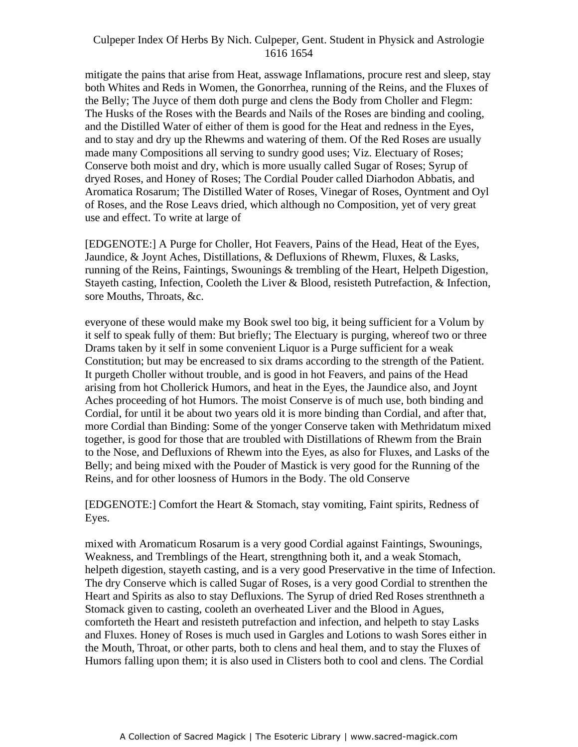mitigate the pains that arise from Heat, asswage Inflamations, procure rest and sleep, stay both Whites and Reds in Women, the Gonorrhea, running of the Reins, and the Fluxes of the Belly; The Juyce of them doth purge and clens the Body from Choller and Flegm: The Husks of the Roses with the Beards and Nails of the Roses are binding and cooling, and the Distilled Water of either of them is good for the Heat and redness in the Eyes, and to stay and dry up the Rhewms and watering of them. Of the Red Roses are usually made many Compositions all serving to sundry good uses; Viz. Electuary of Roses; Conserve both moist and dry, which is more usually called Sugar of Roses; Syrup of dryed Roses, and Honey of Roses; The Cordial Pouder called Diarhodon Abbatis, and Aromatica Rosarum; The Distilled Water of Roses, Vinegar of Roses, Oyntment and Oyl of Roses, and the Rose Leavs dried, which although no Composition, yet of very great use and effect. To write at large of

[EDGENOTE:] A Purge for Choller, Hot Feavers, Pains of the Head, Heat of the Eyes, Jaundice, & Joynt Aches, Distillations, & Defluxions of Rhewm, Fluxes, & Lasks, running of the Reins, Faintings, Swounings & trembling of the Heart, Helpeth Digestion, Stayeth casting, Infection, Cooleth the Liver & Blood, resisteth Putrefaction, & Infection, sore Mouths, Throats, &c.

everyone of these would make my Book swel too big, it being sufficient for a Volum by it self to speak fully of them: But briefly; The Electuary is purging, whereof two or three Drams taken by it self in some convenient Liquor is a Purge sufficient for a weak Constitution; but may be encreased to six drams according to the strength of the Patient. It purgeth Choller without trouble, and is good in hot Feavers, and pains of the Head arising from hot Chollerick Humors, and heat in the Eyes, the Jaundice also, and Joynt Aches proceeding of hot Humors. The moist Conserve is of much use, both binding and Cordial, for until it be about two years old it is more binding than Cordial, and after that, more Cordial than Binding: Some of the yonger Conserve taken with Methridatum mixed together, is good for those that are troubled with Distillations of Rhewm from the Brain to the Nose, and Defluxions of Rhewm into the Eyes, as also for Fluxes, and Lasks of the Belly; and being mixed with the Pouder of Mastick is very good for the Running of the Reins, and for other loosness of Humors in the Body. The old Conserve

[EDGENOTE:] Comfort the Heart & Stomach, stay vomiting, Faint spirits, Redness of Eyes.

mixed with Aromaticum Rosarum is a very good Cordial against Faintings, Swounings, Weakness, and Tremblings of the Heart, strengthning both it, and a weak Stomach, helpeth digestion, stayeth casting, and is a very good Preservative in the time of Infection. The dry Conserve which is called Sugar of Roses, is a very good Cordial to strenthen the Heart and Spirits as also to stay Defluxions. The Syrup of dried Red Roses strenthneth a Stomack given to casting, cooleth an overheated Liver and the Blood in Agues, comforteth the Heart and resisteth putrefaction and infection, and helpeth to stay Lasks and Fluxes. Honey of Roses is much used in Gargles and Lotions to wash Sores either in the Mouth, Throat, or other parts, both to clens and heal them, and to stay the Fluxes of Humors falling upon them; it is also used in Clisters both to cool and clens. The Cordial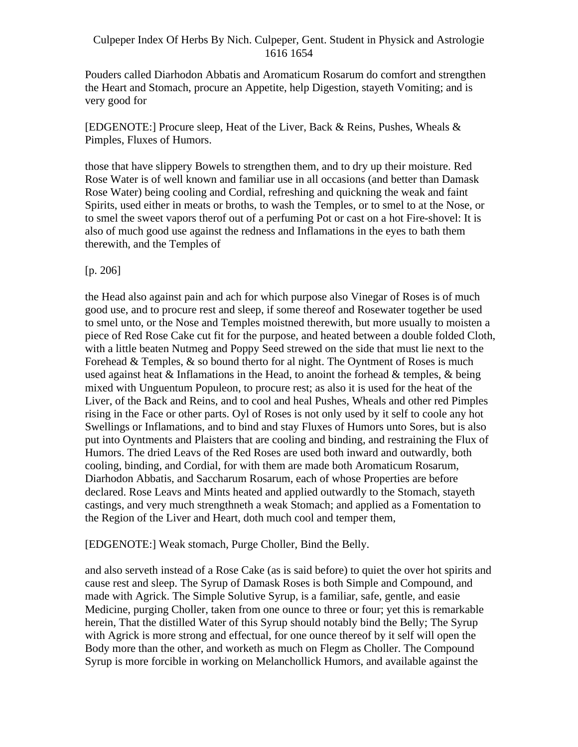Pouders called Diarhodon Abbatis and Aromaticum Rosarum do comfort and strengthen the Heart and Stomach, procure an Appetite, help Digestion, stayeth Vomiting; and is very good for

[EDGENOTE:] Procure sleep, Heat of the Liver, Back & Reins, Pushes, Wheals & Pimples, Fluxes of Humors.

those that have slippery Bowels to strengthen them, and to dry up their moisture. Red Rose Water is of well known and familiar use in all occasions (and better than Damask Rose Water) being cooling and Cordial, refreshing and quickning the weak and faint Spirits, used either in meats or broths, to wash the Temples, or to smel to at the Nose, or to smel the sweet vapors therof out of a perfuming Pot or cast on a hot Fire-shovel: It is also of much good use against the redness and Inflamations in the eyes to bath them therewith, and the Temples of

## [p. 206]

the Head also against pain and ach for which purpose also Vinegar of Roses is of much good use, and to procure rest and sleep, if some thereof and Rosewater together be used to smel unto, or the Nose and Temples moistned therewith, but more usually to moisten a piece of Red Rose Cake cut fit for the purpose, and heated between a double folded Cloth, with a little beaten Nutmeg and Poppy Seed strewed on the side that must lie next to the Forehead & Temples, & so bound therto for al night. The Oyntment of Roses is much used against heat  $\&$  Inflamations in the Head, to anoint the forhead  $\&$  temples,  $\&$  being mixed with Unguentum Populeon, to procure rest; as also it is used for the heat of the Liver, of the Back and Reins, and to cool and heal Pushes, Wheals and other red Pimples rising in the Face or other parts. Oyl of Roses is not only used by it self to coole any hot Swellings or Inflamations, and to bind and stay Fluxes of Humors unto Sores, but is also put into Oyntments and Plaisters that are cooling and binding, and restraining the Flux of Humors. The dried Leavs of the Red Roses are used both inward and outwardly, both cooling, binding, and Cordial, for with them are made both Aromaticum Rosarum, Diarhodon Abbatis, and Saccharum Rosarum, each of whose Properties are before declared. Rose Leavs and Mints heated and applied outwardly to the Stomach, stayeth castings, and very much strengthneth a weak Stomach; and applied as a Fomentation to the Region of the Liver and Heart, doth much cool and temper them,

#### [EDGENOTE:] Weak stomach, Purge Choller, Bind the Belly.

and also serveth instead of a Rose Cake (as is said before) to quiet the over hot spirits and cause rest and sleep. The Syrup of Damask Roses is both Simple and Compound, and made with Agrick. The Simple Solutive Syrup, is a familiar, safe, gentle, and easie Medicine, purging Choller, taken from one ounce to three or four; yet this is remarkable herein, That the distilled Water of this Syrup should notably bind the Belly; The Syrup with Agrick is more strong and effectual, for one ounce thereof by it self will open the Body more than the other, and worketh as much on Flegm as Choller. The Compound Syrup is more forcible in working on Melanchollick Humors, and available against the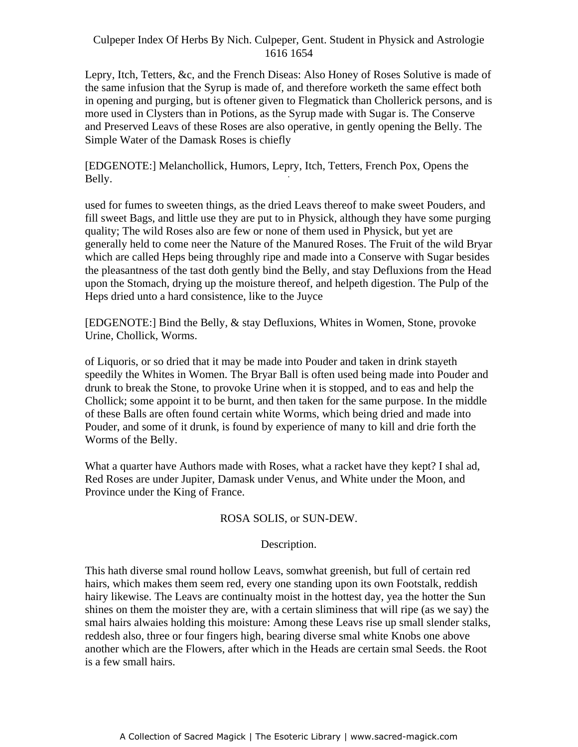Lepry, Itch, Tetters, &c, and the French Diseas: Also Honey of Roses Solutive is made of the same infusion that the Syrup is made of, and therefore worketh the same effect both in opening and purging, but is oftener given to Flegmatick than Chollerick persons, and is more used in Clysters than in Potions, as the Syrup made with Sugar is. The Conserve and Preserved Leavs of these Roses are also operative, in gently opening the Belly. The Simple Water of the Damask Roses is chiefly

[EDGENOTE:] Melanchollick, Humors, Lepry, Itch, Tetters, French Pox, Opens the -Belly.

used for fumes to sweeten things, as the dried Leavs thereof to make sweet Pouders, and fill sweet Bags, and little use they are put to in Physick, although they have some purging quality; The wild Roses also are few or none of them used in Physick, but yet are generally held to come neer the Nature of the Manured Roses. The Fruit of the wild Bryar which are called Heps being throughly ripe and made into a Conserve with Sugar besides the pleasantness of the tast doth gently bind the Belly, and stay Defluxions from the Head upon the Stomach, drying up the moisture thereof, and helpeth digestion. The Pulp of the Heps dried unto a hard consistence, like to the Juyce

[EDGENOTE:] Bind the Belly, & stay Defluxions, Whites in Women, Stone, provoke Urine, Chollick, Worms.

of Liquoris, or so dried that it may be made into Pouder and taken in drink stayeth speedily the Whites in Women. The Bryar Ball is often used being made into Pouder and drunk to break the Stone, to provoke Urine when it is stopped, and to eas and help the Chollick; some appoint it to be burnt, and then taken for the same purpose. In the middle of these Balls are often found certain white Worms, which being dried and made into Pouder, and some of it drunk, is found by experience of many to kill and drie forth the Worms of the Belly.

What a quarter have Authors made with Roses, what a racket have they kept? I shal ad, Red Roses are under Jupiter, Damask under Venus, and White under the Moon, and Province under the King of France.

#### ROSA SOLIS, or SUN-DEW.

# Description.

This hath diverse smal round hollow Leavs, somwhat greenish, but full of certain red hairs, which makes them seem red, every one standing upon its own Footstalk, reddish hairy likewise. The Leavs are continualty moist in the hottest day, yea the hotter the Sun shines on them the moister they are, with a certain sliminess that will ripe (as we say) the smal hairs alwaies holding this moisture: Among these Leavs rise up small slender stalks, reddesh also, three or four fingers high, bearing diverse smal white Knobs one above another which are the Flowers, after which in the Heads are certain smal Seeds. the Root is a few small hairs.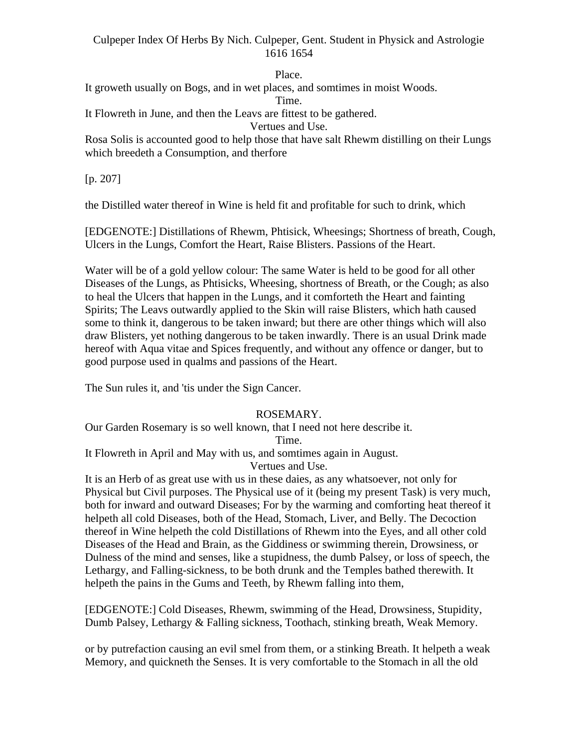Place.

It groweth usually on Bogs, and in wet places, and somtimes in moist Woods.

Time.

It Flowreth in June, and then the Leavs are fittest to be gathered.

Vertues and Use.

Rosa Solis is accounted good to help those that have salt Rhewm distilling on their Lungs which breedeth a Consumption, and therfore

 $[p. 207]$ 

the Distilled water thereof in Wine is held fit and profitable for such to drink, which

[EDGENOTE:] Distillations of Rhewm, Phtisick, Wheesings; Shortness of breath, Cough, Ulcers in the Lungs, Comfort the Heart, Raise Blisters. Passions of the Heart.

Water will be of a gold yellow colour: The same Water is held to be good for all other Diseases of the Lungs, as Phtisicks, Wheesing, shortness of Breath, or the Cough; as also to heal the Ulcers that happen in the Lungs, and it comforteth the Heart and fainting Spirits; The Leavs outwardly applied to the Skin will raise Blisters, which hath caused some to think it, dangerous to be taken inward; but there are other things which will also draw Blisters, yet nothing dangerous to be taken inwardly. There is an usual Drink made hereof with Aqua vitae and Spices frequently, and without any offence or danger, but to good purpose used in qualms and passions of the Heart.

The Sun rules it, and 'tis under the Sign Cancer.

# ROSEMARY.

Our Garden Rosemary is so well known, that I need not here describe it.

Time.

It Flowreth in April and May with us, and somtimes again in August.

Vertues and Use.

It is an Herb of as great use with us in these daies, as any whatsoever, not only for Physical but Civil purposes. The Physical use of it (being my present Task) is very much, both for inward and outward Diseases; For by the warming and comforting heat thereof it helpeth all cold Diseases, both of the Head, Stomach, Liver, and Belly. The Decoction thereof in Wine helpeth the cold Distillations of Rhewm into the Eyes, and all other cold Diseases of the Head and Brain, as the Giddiness or swimming therein, Drowsiness, or Dulness of the mind and senses, like a stupidness, the dumb Palsey, or loss of speech, the Lethargy, and Falling-sickness, to be both drunk and the Temples bathed therewith. It helpeth the pains in the Gums and Teeth, by Rhewm falling into them,

[EDGENOTE:] Cold Diseases, Rhewm, swimming of the Head, Drowsiness, Stupidity, Dumb Palsey, Lethargy & Falling sickness, Toothach, stinking breath, Weak Memory.

or by putrefaction causing an evil smel from them, or a stinking Breath. It helpeth a weak Memory, and quickneth the Senses. It is very comfortable to the Stomach in all the old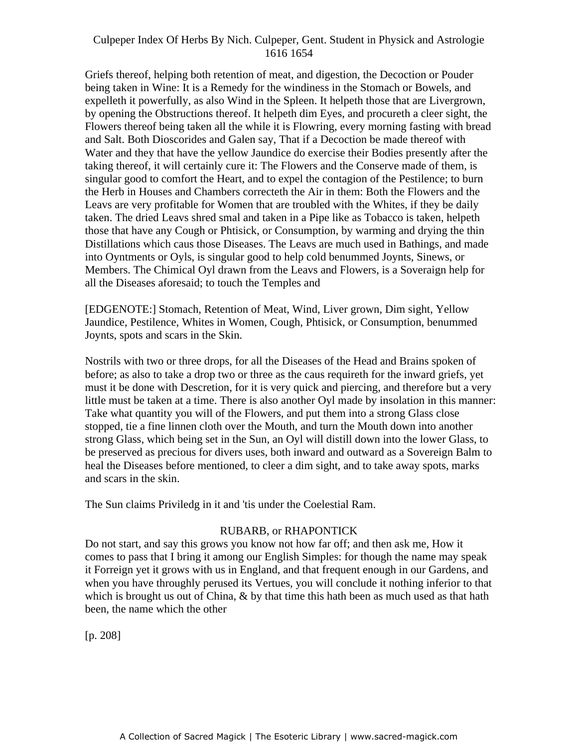Griefs thereof, helping both retention of meat, and digestion, the Decoction or Pouder being taken in Wine: It is a Remedy for the windiness in the Stomach or Bowels, and expelleth it powerfully, as also Wind in the Spleen. It helpeth those that are Livergrown, by opening the Obstructions thereof. It helpeth dim Eyes, and procureth a cleer sight, the Flowers thereof being taken all the while it is Flowring, every morning fasting with bread and Salt. Both Dioscorides and Galen say, That if a Decoction be made thereof with Water and they that have the yellow Jaundice do exercise their Bodies presently after the taking thereof, it will certainly cure it: The Flowers and the Conserve made of them, is example increased, it will certainly care it. The Frowers and the Conserve made of them, is<br>singular good to comfort the Heart, and to expel the contagion of the Pestilence; to burn the Herb in Houses and Chambers correcteth the Air in them: Both the Flowers and the Leavs are very profitable for Women that are troubled with the Whites, if they be daily taken. The dried Leavs shred smal and taken in a Pipe like as Tobacco is taken, helpeth those that have any Cough or Phtisick, or Consumption, by warming and drying the thin Distillations which caus those Diseases. The Leavs are much used in Bathings, and made into Oyntments or Oyls, is singular good to help cold benummed Joynts, Sinews, or Members. The Chimical Oyl drawn from the Leavs and Flowers, is a Soveraign help for all the Diseases aforesaid; to touch the Temples and

[EDGENOTE:] Stomach, Retention of Meat, Wind, Liver grown, Dim sight, Yellow Jaundice, Pestilence, Whites in Women, Cough, Phtisick, or Consumption, benummed Joynts, spots and scars in the Skin.

Nostrils with two or three drops, for all the Diseases of the Head and Brains spoken of before; as also to take a drop two or three as the caus requireth for the inward griefs, yet must it be done with Descretion, for it is very quick and piercing, and therefore but a very little must be taken at a time. There is also another Oyl made by insolation in this manner: Take what quantity you will of the Flowers, and put them into a strong Glass close stopped, tie a fine linnen cloth over the Mouth, and turn the Mouth down into another strong Glass, which being set in the Sun, an Oyl will distill down into the lower Glass, to be preserved as precious for divers uses, both inward and outward as a Sovereign Balm to heal the Diseases before mentioned, to cleer a dim sight, and to take away spots, marks and scars in the skin.

The Sun claims Priviledg in it and 'tis under the Coelestial Ram.

#### RUBARB, or RHAPONTICK

Do not start, and say this grows you know not how far off; and then ask me, How it comes to pass that I bring it among our English Simples: for though the name may speak it Forreign yet it grows with us in England, and that frequent enough in our Gardens, and when you have throughly perused its Vertues, you will conclude it nothing inferior to that which is brought us out of China,  $\&$  by that time this hath been as much used as that hath been, the name which the other

[p. 208]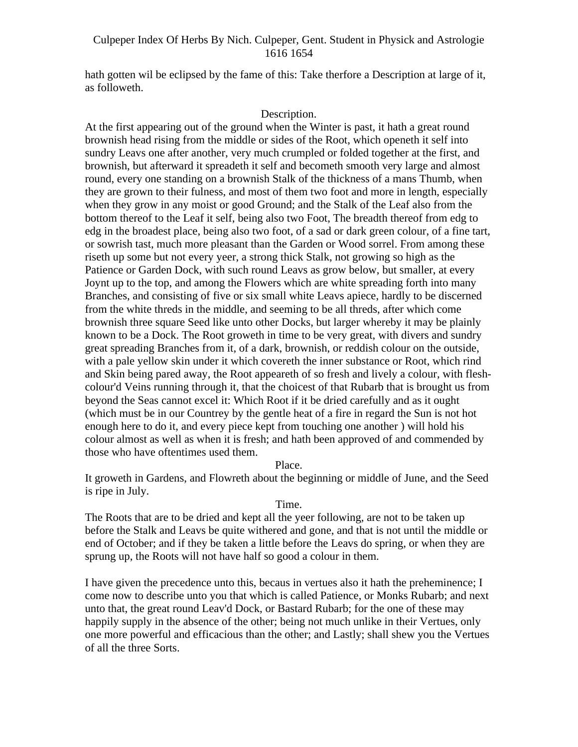hath gotten wil be eclipsed by the fame of this: Take therfore a Description at large of it, as followeth.

## Description.

At the first appearing out of the ground when the Winter is past, it hath a great round brownish head rising from the middle or sides of the Root, which openeth it self into sundry Leavs one after another, very much crumpled or folded together at the first, and brownish, but afterward it spreadeth it self and becometh smooth very large and almost round, every one standing on a brownish Stalk of the thickness of a mans Thumb, when they are grown to their fulness, and most of them two foot and more in length, especially when they grow in any moist or good Ground; and the Stalk of the Leaf also from the bottom thereof to the Leaf it self, being also two Foot, The breadth thereof from edg to edg in the broadest place, being also two foot, of a sad or dark green colour, of a fine tart, or sowrish tast, much more pleasant than the Garden or Wood sorrel. From among these riseth up some but not every yeer, a strong thick Stalk, not growing so high as the Patience or Garden Dock, with such round Leavs as grow below, but smaller, at every Joynt up to the top, and among the Flowers which are white spreading forth into many Branches, and consisting of five or six small white Leavs apiece, hardly to be discerned from the white threds in the middle, and seeming to be all threds, after which come brownish three square Seed like unto other Docks, but larger whereby it may be plainly known to be a Dock. The Root groweth in time to be very great, with divers and sundry great spreading Branches from it, of a dark, brownish, or reddish colour on the outside, with a pale yellow skin under it which covereth the inner substance or Root, which rind and Skin being pared away, the Root appeareth of so fresh and lively a colour, with flesh colour'd Veins running through it, that the choicest of that Rubarb that is brought us from beyond the Seas cannot excel it: Which Root if it be dried carefully and as it ought (which must be in our Countrey by the gentle heat of a fire in regard the Sun is not hot enough here to do it, and every piece kept from touching one another ) will hold his colour almost as well as when it is fresh; and hath been approved of and commended by those who have oftentimes used them.

Place.

It groweth in Gardens, and Flowreth about the beginning or middle of June, and the Seed is ripe in July.

#### Time.

The Roots that are to be dried and kept all the yeer following, are not to be taken up before the Stalk and Leavs be quite withered and gone, and that is not until the middle or end of October; and if they be taken a little before the Leavs do spring, or when they are sprung up, the Roots will not have half so good a colour in them.

I have given the precedence unto this, becaus in vertues also it hath the preheminence; I come now to describe unto you that which is called Patience, or Monks Rubarb; and next unto that, the great round Leav'd Dock, or Bastard Rubarb; for the one of these may happily supply in the absence of the other; being not much unlike in their Vertues, only one more powerful and efficacious than the other; and Lastly; shall shew you the Vertues of all the three Sorts.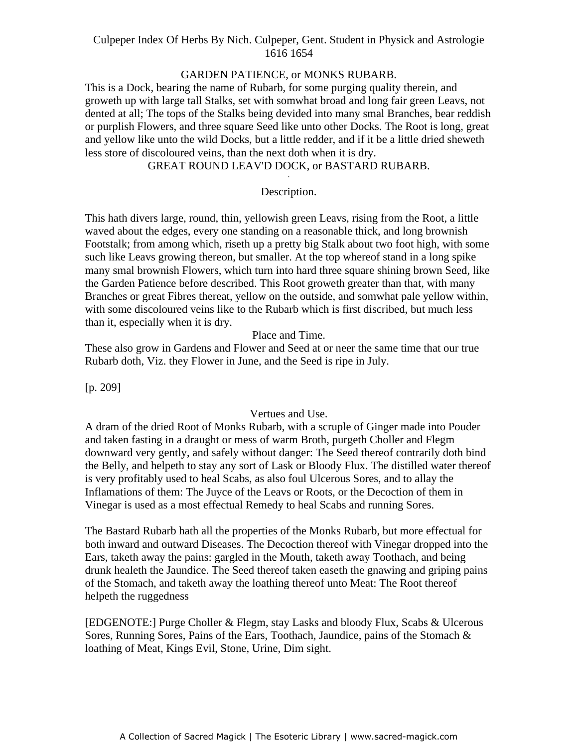# GARDEN PATIENCE, or MONKS RUBARB.

This is a Dock, bearing the name of Rubarb, for some purging quality therein, and groweth up with large tall Stalks, set with somwhat broad and long fair green Leavs, not dented at all; The tops of the Stalks being devided into many smal Branches, bear reddish or purplish Flowers, and three square Seed like unto other Docks. The Root is long, great and yellow like unto the wild Docks, but a little redder, and if it be a little dried sheweth less store of discoloured veins, than the next doth when it is dry.

# GREAT ROUND LEAV'D DOCK, or BASTARD RUBARB.

#### Description.

This hath divers large, round, thin, yellowish green Leavs, rising from the Root, a little waved about the edges, every one standing on a reasonable thick, and long brownish Footstalk; from among which, riseth up a pretty big Stalk about two foot high, with some such like Leavs growing thereon, but smaller. At the top whereof stand in a long spike many smal brownish Flowers, which turn into hard three square shining brown Seed, like the Garden Patience before described. This Root groweth greater than that, with many Branches or great Fibres thereat, yellow on the outside, and somwhat pale yellow within, with some discoloured veins like to the Rubarb which is first discribed, but much less than it, especially when it is dry.

Place and Time.

These also grow in Gardens and Flower and Seed at or neer the same time that our true Rubarb doth, Viz. they Flower in June, and the Seed is ripe in July.

[p. 209]

#### Vertues and Use.

A dram of the dried Root of Monks Rubarb, with a scruple of Ginger made into Pouder and taken fasting in a draught or mess of warm Broth, purgeth Choller and Flegm downward very gently, and safely without danger: The Seed thereof contrarily doth bind the Belly, and helpeth to stay any sort of Lask or Bloody Flux. The distilled water thereof is very profitably used to heal Scabs, as also foul Ulcerous Sores, and to allay the Inflamations of them: The Juyce of the Leavs or Roots, or the Decoction of them in Vinegar is used as a most effectual Remedy to heal Scabs and running Sores.

The Bastard Rubarb hath all the properties of the Monks Rubarb, but more effectual for both inward and outward Diseases. The Decoction thereof with Vinegar dropped into the Ears, taketh away the pains: gargled in the Mouth, taketh away Toothach, and being drunk healeth the Jaundice. The Seed thereof taken easeth the gnawing and griping pains of the Stomach, and taketh away the loathing thereof unto Meat: The Root thereof helpeth the ruggedness

[EDGENOTE:] Purge Choller & Flegm, stay Lasks and bloody Flux, Scabs & Ulcerous Sores, Running Sores, Pains of the Ears, Toothach, Jaundice, pains of the Stomach & loathing of Meat, Kings Evil, Stone, Urine, Dim sight.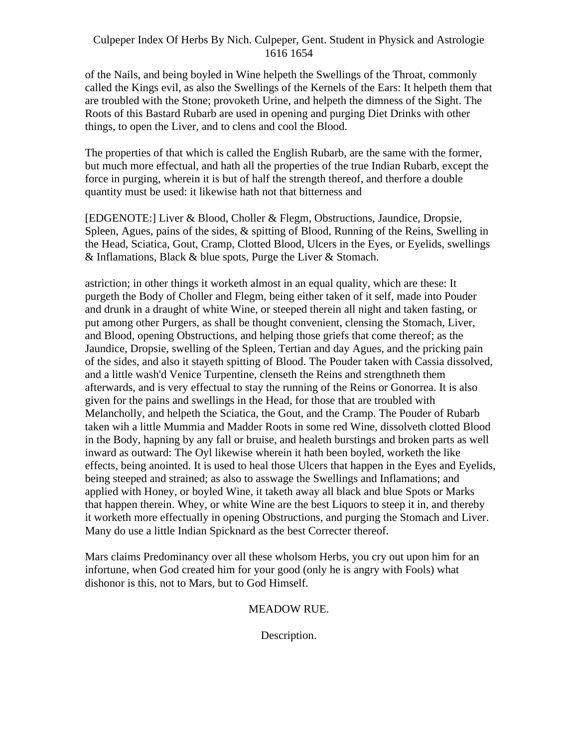of the Nails, and being boyled in Wine helpeth the Swellings of the Throat, commonly called the Kings evil, as also the Swellings of the Kernels of the Ears: It helpeth them that are troubled with the Stone; provoketh Urine, and helpeth the dimness of the Sight. The Roots of this Bastard Rubarb are used in opening and purging Diet Drinks with other things, to open the Liver, and to clens and cool the Blood.

The properties of that which is called the English Rubarb, are the same with the former, but much more effectual, and hath all the properties of the true Indian Rubarb, except the force in purging, wherein it is but of half the strength thereof, and therfore a double quantity must be used: it likewise hath not that bitterness and

[EDGENOTE:] Liver & Blood, Choller & Flegm, Obstructions, Jaundice, Dropsie, Spleen, Agues, pains of the sides, & spitting of Blood, Running of the Reins, Swelling in the Head, Sciatica, Gout, Cramp, Clotted Blood, Ulcers in the Eyes, or Eyelids, swellings & Inflamations, Black & blue spots, Purge the Liver & Stomach.

astriction; in other things it worketh almost in an equal quality, which are these: It purgeth the Body of Choller and Flegm, being either taken of it self, made into Pouder and drunk in a draught of white Wine, or steeped therein all night and taken fasting, or put among other Purgers, as shall be thought convenient, clensing the Stomach, Liver, and Blood, opening Obstructions, and helping those griefs that come thereof; as the Jaundice, Dropsie, swelling of the Spleen, Tertian and day Agues, and the pricking pain of the sides, and also it stayeth spitting of Blood. The Pouder taken with Cassia dissolved, and a little wash'd Venice Turpentine, clenseth the Reins and strengthneth them afterwards, and is very effectual to stay the running of the Reins or Gonorrea. It is also given for the pains and swellings in the Head, for those that are troubled with Melancholly, and helpeth the Sciatica, the Gout, and the Cramp. The Pouder of Rubarb taken wih a little Mummia and Madder Roots in some red Wine, dissolveth clotted Blood in the Body, hapning by any fall or bruise, and healeth burstings and broken parts as well inward as outward: The Oyl likewise wherein it hath been boyled, worketh the like effects, being anointed. It is used to heal those Ulcers that happen in the Eyes and Eyelids, being steeped and strained; as also to asswage the Swellings and Inflamations; and applied with Honey, or boyled Wine, it taketh away all black and blue Spots or Marks that happen therein. Whey, or white Wine are the best Liquors to steep it in, and thereby it worketh more effectually in opening Obstructions, and purging the Stomach and Liver. Many do use a little Indian Spicknard as the best Correcter thereof.

Mars claims Predominancy over all these wholsom Herbs, you cry out upon him for an infortune, when God created him for your good (only he is angry with Fools) what dishonor is this, not to Mars, but to God Himself.

# MEADOW RUE.

Description.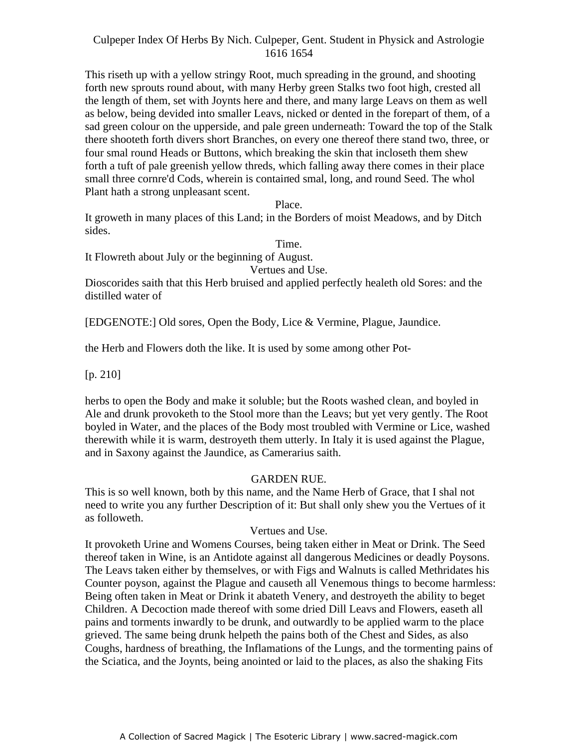This riseth up with a yellow stringy Root, much spreading in the ground, and shooting forth new sprouts round about, with many Herby green Stalks two foot high, crested all the length of them, set with Joynts here and there, and many large Leavs on them as well as below, being devided into smaller Leavs, nicked or dented in the forepart of them, of a sad green colour on the upperside, and pale green underneath: Toward the top of the Stalk there shooteth forth divers short Branches, on every one thereof there stand two, three, or four smal round Heads or Buttons, which breaking the skin that incloseth them shew forth a tuft of pale greenish yellow threds, which falling away there comes in their place small three cornre'd Cods, wherein is contained smal, long, and round Seed. The whol Plant hath a strong unpleasant scent.

Place.

It groweth in many places of this Land; in the Borders of moist Meadows, and by Ditch sides.

Time.

It Flowreth about July or the beginning of August.

Vertues and Use.

Dioscorides saith that this Herb bruised and applied perfectly healeth old Sores: and the distilled water of

[EDGENOTE:] Old sores, Open the Body, Lice & Vermine, Plague, Jaundice.

the Herb and Flowers doth the like. It is used by some among other Pot-

 $[p. 210]$ 

herbs to open the Body and make it soluble; but the Roots washed clean, and boyled in Ale and drunk provoketh to the Stool more than the Leavs; but yet very gently. The Root boyled in Water, and the places of the Body most troubled with Vermine or Lice, washed therewith while it is warm, destroyeth them utterly. In Italy it is used against the Plague, and in Saxony against the Jaundice, as Camerarius saith.

#### GARDEN RUE.

This is so well known, both by this name, and the Name Herb of Grace, that I shal not need to write you any further Description of it: But shall only shew you the Vertues of it as followeth.

#### Vertues and Use.

It provoketh Urine and Womens Courses, being taken either in Meat or Drink. The Seed thereof taken in Wine, is an Antidote against all dangerous Medicines or deadly Poysons. The Leavs taken either by themselves, or with Figs and Walnuts is called Methridates his Counter poyson, against the Plague and causeth all Venemous things to become harmless: Being often taken in Meat or Drink it abateth Venery, and destroyeth the ability to beget Children. A Decoction made thereof with some dried Dill Leavs and Flowers, easeth all pains and torments inwardly to be drunk, and outwardly to be applied warm to the place grieved. The same being drunk helpeth the pains both of the Chest and Sides, as also Coughs, hardness of breathing, the Inflamations of the Lungs, and the tormenting pains of the Sciatica, and the Joynts, being anointed or laid to the places, as also the shaking Fits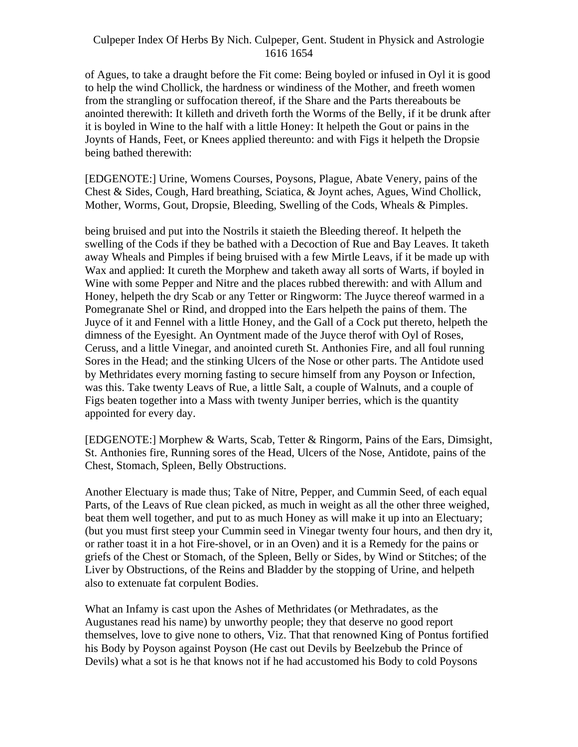of Agues, to take a draught before the Fit come: Being boyled or infused in Oyl it is good to help the wind Chollick, the hardness or windiness of the Mother, and freeth women from the strangling or suffocation thereof, if the Share and the Parts thereabouts be anointed therewith: It killeth and driveth forth the Worms of the Belly, if it be drunk after it is boyled in Wine to the half with a little Honey: It helpeth the Gout or pains in the Joynts of Hands, Feet, or Knees applied thereunto: and with Figs it helpeth the Dropsie being bathed therewith:

[EDGENOTE:] Urine, Womens Courses, Poysons, Plague, Abate Venery, pains of the Chest & Sides, Cough, Hard breathing, Sciatica, & Joynt aches, Agues, Wind Chollick, Mother, Worms, Gout, Dropsie, Bleeding, Swelling of the Cods, Wheals & Pimples.

being bruised and put into the Nostrils it staieth the Bleeding thereof. It helpeth the swelling of the Cods if they be bathed with a Decoction of Rue and Bay Leaves. It taketh away Wheals and Pimples if being bruised with a few Mirtle Leavs, if it be made up with Wax and applied: It cureth the Morphew and taketh away all sorts of Warts, if boyled in Wine with some Pepper and Nitre and the places rubbed therewith: and with Allum and Honey, helpeth the dry Scab or any Tetter or Ringworm: The Juyce thereof warmed in a Pomegranate Shel or Rind, and dropped into the Ears helpeth the pains of them. The Juyce of it and Fennel with a little Honey, and the Gall of a Cock put thereto, helpeth the dimness of the Eyesight. An Oyntment made of the Juyce therof with Oyl of Roses, Ceruss, and a little Vinegar, and anointed cureth St. Anthonies Fire, and all foul running Sores in the Head; and the stinking Ulcers of the Nose or other parts. The Antidote used by Methridates every morning fasting to secure himself from any Poyson or Infection, was this. Take twenty Leavs of Rue, a little Salt, a couple of Walnuts, and a couple of Figs beaten together into a Mass with twenty Juniper berries, which is the quantity appointed for every day.

[EDGENOTE:] Morphew & Warts, Scab, Tetter & Ringorm, Pains of the Ears, Dimsight, St. Anthonies fire, Running sores of the Head, Ulcers of the Nose, Antidote, pains of the Chest, Stomach, Spleen, Belly Obstructions.

Another Electuary is made thus; Take of Nitre, Pepper, and Cummin Seed, of each equal Parts, of the Leavs of Rue clean picked, as much in weight as all the other three weighed, beat them well together, and put to as much Honey as will make it up into an Electuary; (but you must first steep your Cummin seed in Vinegar twenty four hours, and then dry it, or rather toast it in a hot Fire-shovel, or in an Oven) and it is a Remedy for the pains or griefs of the Chest or Stomach, of the Spleen, Belly or Sides, by Wind or Stitches; of the Liver by Obstructions, of the Reins and Bladder by the stopping of Urine, and helpeth also to extenuate fat corpulent Bodies.

What an Infamy is cast upon the Ashes of Methridates (or Methradates, as the Augustanes read his name) by unworthy people; they that deserve no good report themselves, love to give none to others, Viz. That that renowned King of Pontus fortified his Body by Poyson against Poyson (He cast out Devils by Beelzebub the Prince of Devils) what a sot is he that knows not if he had accustomed his Body to cold Poysons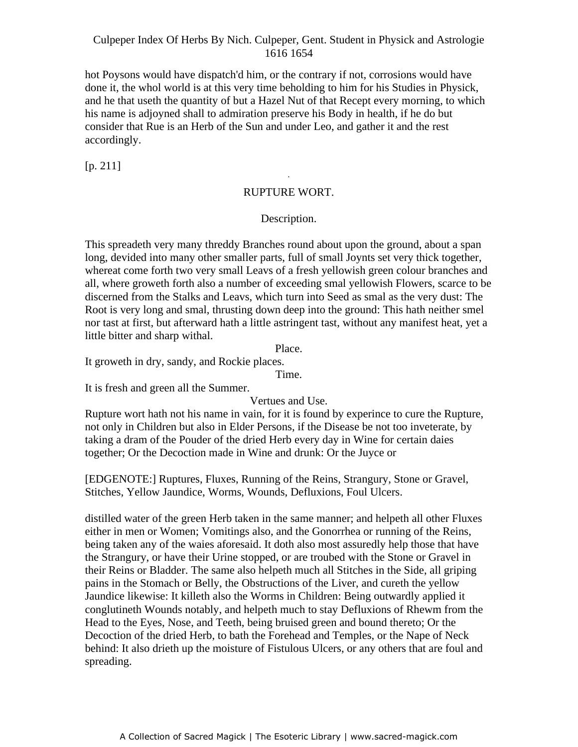hot Poysons would have dispatch'd him, or the contrary if not, corrosions would have done it, the whol world is at this very time beholding to him for his Studies in Physick, and he that useth the quantity of but a Hazel Nut of that Recept every morning, to which his name is adjoyned shall to admiration preserve his Body in health, if he do but consider that Rue is an Herb of the Sun and under Leo, and gather it and the rest accordingly.

[p. 211]

## RUPTURE WORT.

-

#### Description.

This spreadeth very many threddy Branches round about upon the ground, about a span long, devided into many other smaller parts, full of small Joynts set very thick together, whereat come forth two very small Leavs of a fresh yellowish green colour branches and all, where groweth forth also a number of exceeding smal yellowish Flowers, scarce to be discerned from the Stalks and Leavs, which turn into Seed as smal as the very dust: The Root is very long and smal, thrusting down deep into the ground: This hath neither smel nor tast at first, but afterward hath a little astringent tast, without any manifest heat, yet a little bitter and sharp withal.

Place.

It groweth in dry, sandy, and Rockie places.

Time.

It is fresh and green all the Summer.

Vertues and Use.

Rupture wort hath not his name in vain, for it is found by experince to cure the Rupture, not only in Children but also in Elder Persons, if the Disease be not too inveterate, by taking a dram of the Pouder of the dried Herb every day in Wine for certain daies together; Or the Decoction made in Wine and drunk: Or the Juyce or

[EDGENOTE:] Ruptures, Fluxes, Running of the Reins, Strangury, Stone or Gravel, Stitches, Yellow Jaundice, Worms, Wounds, Defluxions, Foul Ulcers.

distilled water of the green Herb taken in the same manner; and helpeth all other Fluxes either in men or Women; Vomitings also, and the Gonorrhea or running of the Reins, being taken any of the waies aforesaid. It doth also most assuredly help those that have the Strangury, or have their Urine stopped, or are troubed with the Stone or Gravel in their Reins or Bladder. The same also helpeth much all Stitches in the Side, all griping pains in the Stomach or Belly, the Obstructions of the Liver, and cureth the yellow Jaundice likewise: It killeth also the Worms in Children: Being outwardly applied it conglutineth Wounds notably, and helpeth much to stay Defluxions of Rhewm from the Head to the Eyes, Nose, and Teeth, being bruised green and bound thereto; Or the Decoction of the dried Herb, to bath the Forehead and Temples, or the Nape of Neck behind: It also drieth up the moisture of Fistulous Ulcers, or any others that are foul and spreading.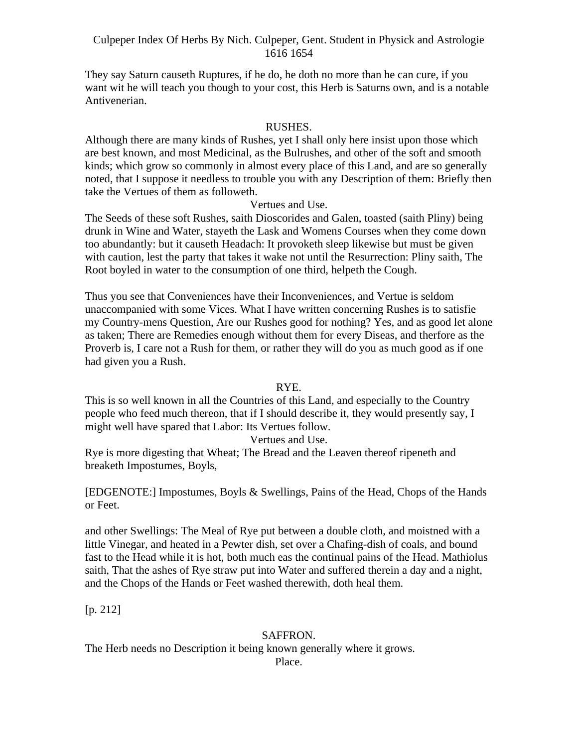They say Saturn causeth Ruptures, if he do, he doth no more than he can cure, if you want wit he will teach you though to your cost, this Herb is Saturns own, and is a notable Antivenerian.

#### RUSHES.

Although there are many kinds of Rushes, yet I shall only here insist upon those which are best known, and most Medicinal, as the Bulrushes, and other of the soft and smooth kinds; which grow so commonly in almost every place of this Land, and are so generally noted, that I suppose it needless to trouble you with any Description of them: Briefly then take the Vertues of them as followeth.

#### Vertues and Use.

The Seeds of these soft Rushes, saith Dioscorides and Galen, toasted (saith Pliny) being drunk in Wine and Water, stayeth the Lask and Womens Courses when they come down too abundantly: but it causeth Headach: It provoketh sleep likewise but must be given with caution, lest the party that takes it wake not until the Resurrection: Pliny saith, The Root boyled in water to the consumption of one third, helpeth the Cough.

Thus you see that Conveniences have their Inconveniences, and Vertue is seldom unaccompanied with some Vices. What I have written concerning Rushes is to satisfie my Country-mens Question, Are our Rushes good for nothing? Yes, and as good let alone as taken; There are Remedies enough without them for every Diseas, and therfore as the Proverb is, I care not a Rush for them, or rather they will do you as much good as if one had given you a Rush.

#### RYE.

This is so well known in all the Countries of this Land, and especially to the Country people who feed much thereon, that if I should describe it, they would presently say, I might well have spared that Labor: Its Vertues follow.

#### Vertues and Use.

Rye is more digesting that Wheat; The Bread and the Leaven thereof ripeneth and breaketh Impostumes, Boyls,

[EDGENOTE:] Impostumes, Boyls & Swellings, Pains of the Head, Chops of the Hands or Feet.

and other Swellings: The Meal of Rye put between a double cloth, and moistned with a little Vinegar, and heated in a Pewter dish, set over a Chafing-dish of coals, and bound fast to the Head while it is hot, both much eas the continual pains of the Head. Mathiolus saith, That the ashes of Rye straw put into Water and suffered therein a day and a night, and the Chops of the Hands or Feet washed therewith, doth heal them.

[p. 212]

#### SAFFRON.

The Herb needs no Description it being known generally where it grows.

Place.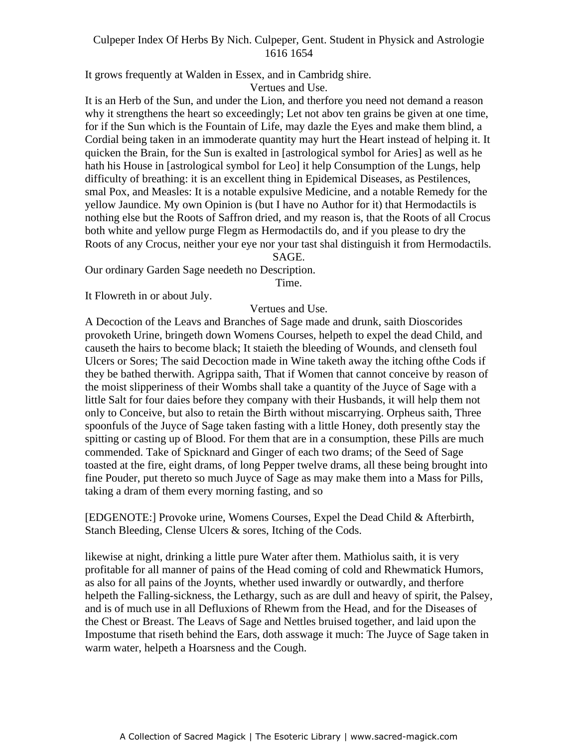It grows frequently at Walden in Essex, and in Cambridg shire.

Vertues and Use.

It is an Herb of the Sun, and under the Lion, and therfore you need not demand a reason why it strengthens the heart so exceedingly; Let not abov ten grains be given at one time, for if the Sun which is the Fountain of Life, may dazle the Eyes and make them blind, a Cordial being taken in an immoderate quantity may hurt the Heart instead of helping it. It quicken the Brain, for the Sun is exalted in [astrological symbol for Aries] as well as he hath his House in [astrological symbol for Leo] it help Consumption of the Lungs, help difficulty of breathing: it is an excellent thing in Epidemical Diseases, as Pestilences, smal Pox, and Measles: It is a notable expulsive Medicine, and a notable Remedy for the yellow Jaundice. My own Opinion is (but I have no Author for it) that Hermodactils is nothing else but the Roots of Saffron dried, and my reason is, that the Roots of all Crocus both white and yellow purge Flegm as Hermodactils do, and if you please to dry the Roots of any Crocus, neither your eye nor your tast shal distinguish it from Hermodactils.

#### SAGE.

Our ordinary Garden Sage needeth no Description.

Time.

It Flowreth in or about July.

#### Vertues and Use.

A Decoction of the Leavs and Branches of Sage made and drunk, saith Dioscorides provoketh Urine, bringeth down Womens Courses, helpeth to expel the dead Child, and causeth the hairs to become black; It staieth the bleeding of Wounds, and clenseth foul Ulcers or Sores; The said Decoction made in Wine taketh away the itching ofthe Cods if they be bathed therwith. Agrippa saith, That if Women that cannot conceive by reason of the moist slipperiness of their Wombs shall take a quantity of the Juyce of Sage with a little Salt for four daies before they company with their Husbands, it will help them not only to Conceive, but also to retain the Birth without miscarrying. Orpheus saith, Three spoonfuls of the Juyce of Sage taken fasting with a little Honey, doth presently stay the spitting or casting up of Blood. For them that are in a consumption, these Pills are much commended. Take of Spicknard and Ginger of each two drams; of the Seed of Sage toasted at the fire, eight drams, of long Pepper twelve drams, all these being brought into fine Pouder, put thereto so much Juyce of Sage as may make them into a Mass for Pills, taking a dram of them every morning fasting, and so

[EDGENOTE:] Provoke urine, Womens Courses, Expel the Dead Child & Afterbirth, Stanch Bleeding, Clense Ulcers & sores, Itching of the Cods.

likewise at night, drinking a little pure Water after them. Mathiolus saith, it is very profitable for all manner of pains of the Head coming of cold and Rhewmatick Humors, as also for all pains of the Joynts, whether used inwardly or outwardly, and therfore helpeth the Falling-sickness, the Lethargy, such as are dull and heavy of spirit, the Palsey, and is of much use in all Defluxions of Rhewm from the Head, and for the Diseases of the Chest or Breast. The Leavs of Sage and Nettles bruised together, and laid upon the Impostume that riseth behind the Ears, doth asswage it much: The Juyce of Sage taken in warm water, helpeth a Hoarsness and the Cough.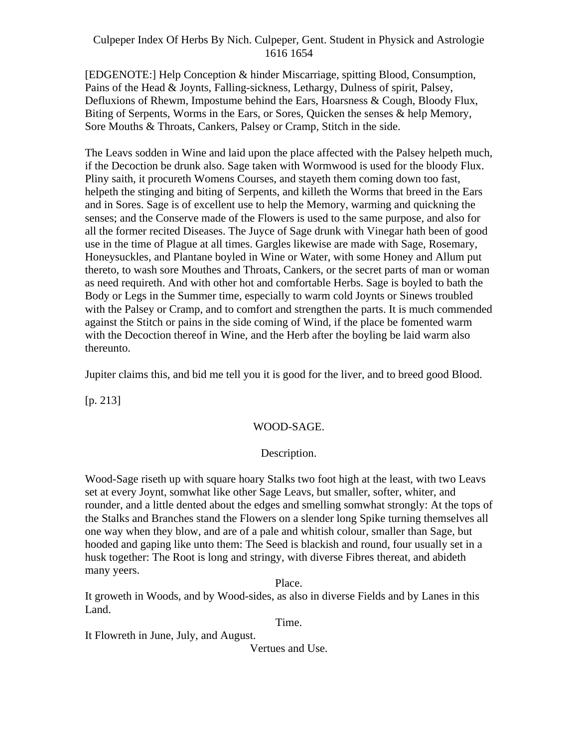[EDGENOTE:] Help Conception & hinder Miscarriage, spitting Blood, Consumption, Pains of the Head & Joynts, Falling-sickness, Lethargy, Dulness of spirit, Palsey, Defluxions of Rhewm, Impostume behind the Ears, Hoarsness & Cough, Bloody Flux, Biting of Serpents, Worms in the Ears, or Sores, Quicken the senses & help Memory, Sore Mouths & Throats, Cankers, Palsey or Cramp, Stitch in the side.

The Leavs sodden in Wine and laid upon the place affected with the Palsey helpeth much, if the Decoction be drunk also. Sage taken with Wormwood is used for the bloody Flux. Pliny saith, it procureth Womens Courses, and stayeth them coming down too fast, helpeth the stinging and biting of Serpents, and killeth the Worms that breed in the Ears and in Sores. Sage is of excellent use to help the Memory, warming and quickning the senses; and the Conserve made of the Flowers is used to the same purpose, and also for all the former recited Diseases. The Juyce of Sage drunk with Vinegar hath been of good use in the time of Plague at all times. Gargles likewise are made with Sage, Rosemary, Honeysuckles, and Plantane boyled in Wine or Water, with some Honey and Allum put thereto, to wash sore Mouthes and Throats, Cankers, or the secret parts of man or woman as need requireth. And with other hot and comfortable Herbs. Sage is boyled to bath the Body or Legs in the Summer time, especially to warm cold Joynts or Sinews troubled with the Palsey or Cramp, and to comfort and strengthen the parts. It is much commended against the Stitch or pains in the side coming of Wind, if the place be fomented warm with the Decoction thereof in Wine, and the Herb after the boyling be laid warm also thereunto.

Jupiter claims this, and bid me tell you it is good for the liver, and to breed good Blood.

[p. 213]

# WOOD-SAGE.

#### Description.

Wood-Sage riseth up with square hoary Stalks two foot high at the least, with two Leavs set at every Joynt, somwhat like other Sage Leavs, but smaller, softer, whiter, and rounder, and a little dented about the edges and smelling somwhat strongly: At the tops of the Stalks and Branches stand the Flowers on a slender long Spike turning themselves all one way when they blow, and are of a pale and whitish colour, smaller than Sage, but hooded and gaping like unto them: The Seed is blackish and round, four usually set in a husk together: The Root is long and stringy, with diverse Fibres thereat, and abideth many yeers.

Place.

It groweth in Woods, and by Wood-sides, as also in diverse Fields and by Lanes in this Land.

Time.

It Flowreth in June, July, and August.

Vertues and Use.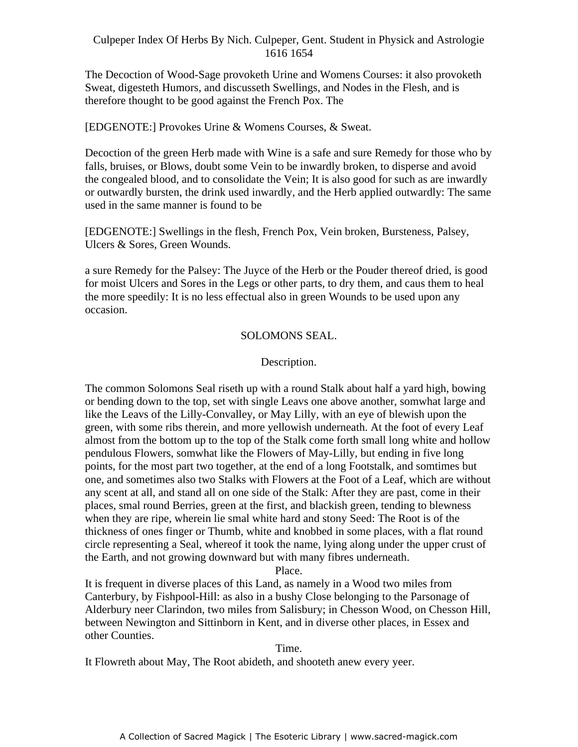The Decoction of Wood-Sage provoketh Urine and Womens Courses: it also provoketh Sweat, digesteth Humors, and discusseth Swellings, and Nodes in the Flesh, and is therefore thought to be good against the French Pox. The

[EDGENOTE:] Provokes Urine & Womens Courses, & Sweat.

Decoction of the green Herb made with Wine is a safe and sure Remedy for those who by falls, bruises, or Blows, doubt some Vein to be inwardly broken, to disperse and avoid the congealed blood, and to consolidate the Vein; It is also good for such as are inwardly or outwardly bursten, the drink used inwardly, and the Herb applied outwardly: The same used in the same manner is found to be

[EDGENOTE:] Swellings in the flesh, French Pox, Vein broken, Bursteness, Palsey, Ulcers & Sores, Green Wounds.

a sure Remedy for the Palsey: The Juyce of the Herb or the Pouder thereof dried, is good for moist Ulcers and Sores in the Legs or other parts, to dry them, and caus them to heal the more speedily: It is no less effectual also in green Wounds to be used upon any occasion.

# SOLOMONS SEAL.

# Description.

The common Solomons Seal riseth up with a round Stalk about half a yard high, bowing or bending down to the top, set with single Leavs one above another, somwhat large and like the Leavs of the Lilly-Convalley, or May Lilly, with an eye of blewish upon the green, with some ribs therein, and more yellowish underneath. At the foot of every Leaf almost from the bottom up to the top of the Stalk come forth small long white and hollow pendulous Flowers, somwhat like the Flowers of May-Lilly, but ending in five long points, for the most part two together, at the end of a long Footstalk, and somtimes but one, and sometimes also two Stalks with Flowers at the Foot of a Leaf, which are without any scent at all, and stand all on one side of the Stalk: After they are past, come in their places, smal round Berries, green at the first, and blackish green, tending to blewness when they are ripe, wherein lie smal white hard and stony Seed: The Root is of the thickness of ones finger or Thumb, white and knobbed in some places, with a flat round circle representing a Seal, whereof it took the name, lying along under the upper crust of the Earth, and not growing downward but with many fibres underneath.

Place.

It is frequent in diverse places of this Land, as namely in a Wood two miles from Canterbury, by Fishpool-Hill: as also in a bushy Close belonging to the Parsonage of Alderbury neer Clarindon, two miles from Salisbury; in Chesson Wood, on Chesson Hill, between Newington and Sittinborn in Kent, and in diverse other places, in Essex and other Counties.

Time.

It Flowreth about May, The Root abideth, and shooteth anew every yeer.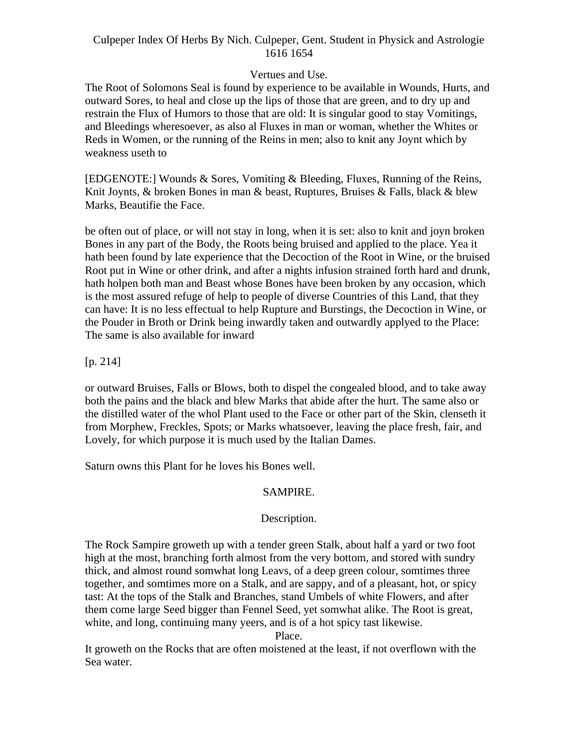# Vertues and Use.

The Root of Solomons Seal is found by experience to be available in Wounds, Hurts, and outward Sores, to heal and close up the lips of those that are green, and to dry up and restrain the Flux of Humors to those that are old: It is singular good to stay Vomitings, and Bleedings wheresoever, as also al Fluxes in man or woman, whether the Whites or Reds in Women, or the running of the Reins in men; also to knit any Joynt which by weakness useth to

[EDGENOTE:] Wounds & Sores, Vomiting & Bleeding, Fluxes, Running of the Reins, Knit Joynts, & broken Bones in man & beast, Ruptures, Bruises & Falls, black & blew Marks, Beautifie the Face.

be often out of place, or will not stay in long, when it is set: also to knit and joyn broken Bones in any part of the Body, the Roots being bruised and applied to the place. Yea it hath been found by late experience that the Decoction of the Root in Wine, or the bruised Root put in Wine or other drink, and after a nights infusion strained forth hard and drunk, hath holpen both man and Beast whose Bones have been broken by any occasion, which is the most assured refuge of help to people of diverse Countries of this Land, that they can have: It is no less effectual to help Rupture and Burstings, the Decoction in Wine, or the Pouder in Broth or Drink being inwardly taken and outwardly applyed to the Place: The same is also available for inward

[p. 214]

or outward Bruises, Falls or Blows, both to dispel the congealed blood, and to take away both the pains and the black and blew Marks that abide after the hurt. The same also or the distilled water of the whol Plant used to the Face or other part of the Skin, clenseth it from Morphew, Freckles, Spots; or Marks whatsoever, leaving the place fresh, fair, and Lovely, for which purpose it is much used by the Italian Dames.

Saturn owns this Plant for he loves his Bones well.

# SAMPIRE.

#### Description.

The Rock Sampire groweth up with a tender green Stalk, about half a yard or two foot high at the most, branching forth almost from the very bottom, and stored with sundry thick, and almost round somwhat long Leavs, of a deep green colour, somtimes three together, and somtimes more on a Stalk, and are sappy, and of a pleasant, hot, or spicy tast: At the tops of the Stalk and Branches, stand Umbels of white Flowers, and after them come large Seed bigger than Fennel Seed, yet somwhat alike. The Root is great, white, and long, continuing many yeers, and is of a hot spicy tast likewise.

Place.

It groweth on the Rocks that are often moistened at the least, if not overflown with the Sea water.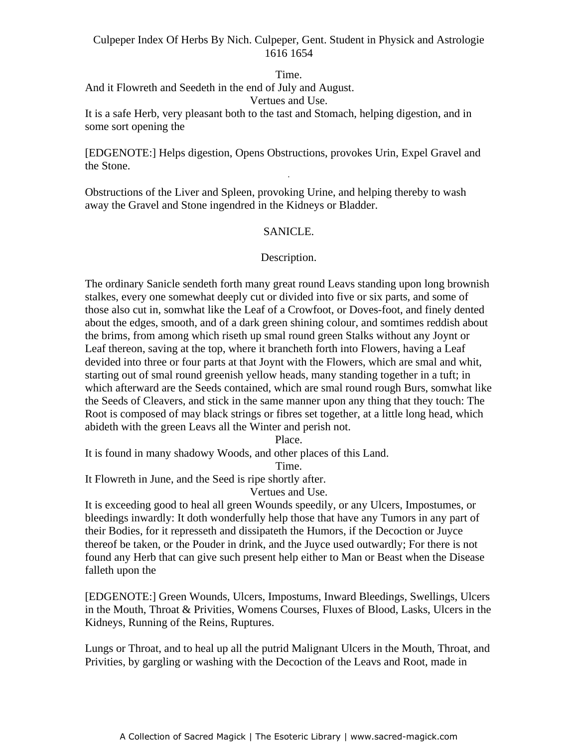#### Time.

And it Flowreth and Seedeth in the end of July and August.

Vertues and Use.

It is a safe Herb, very pleasant both to the tast and Stomach, helping digestion, and in some sort opening the

[EDGENOTE:] Helps digestion, Opens Obstructions, provokes Urin, Expel Gravel and the Stone. -

Obstructions of the Liver and Spleen, provoking Urine, and helping thereby to wash away the Gravel and Stone ingendred in the Kidneys or Bladder.

# SANICLE.

# Description.

The ordinary Sanicle sendeth forth many great round Leavs standing upon long brownish stalkes, every one somewhat deeply cut or divided into five or six parts, and some of those also cut in, somwhat like the Leaf of a Crowfoot, or Doves-foot, and finely dented about the edges, smooth, and of a dark green shining colour, and somtimes reddish about the brims, from among which riseth up smal round green Stalks without any Joynt or Leaf thereon, saving at the top, where it brancheth forth into Flowers, having a Leaf devided into three or four parts at that Joynt with the Flowers, which are smal and whit, starting out of smal round greenish yellow heads, many standing together in a tuft; in which afterward are the Seeds contained, which are smal round rough Burs, somwhat like the Seeds of Cleavers, and stick in the same manner upon any thing that they touch: The Root is composed of may black strings or fibres set together, at a little long head, which abideth with the green Leavs all the Winter and perish not.

Place.

It is found in many shadowy Woods, and other places of this Land.

Time.

It Flowreth in June, and the Seed is ripe shortly after.

Vertues and Use.

It is exceeding good to heal all green Wounds speedily, or any Ulcers, Impostumes, or bleedings inwardly: It doth wonderfully help those that have any Tumors in any part of their Bodies, for it represseth and dissipateth the Humors, if the Decoction or Juyce thereof be taken, or the Pouder in drink, and the Juyce used outwardly; For there is not found any Herb that can give such present help either to Man or Beast when the Disease falleth upon the

[EDGENOTE:] Green Wounds, Ulcers, Impostums, Inward Bleedings, Swellings, Ulcers in the Mouth, Throat & Privities, Womens Courses, Fluxes of Blood, Lasks, Ulcers in the Kidneys, Running of the Reins, Ruptures.

Lungs or Throat, and to heal up all the putrid Malignant Ulcers in the Mouth, Throat, and Privities, by gargling or washing with the Decoction of the Leavs and Root, made in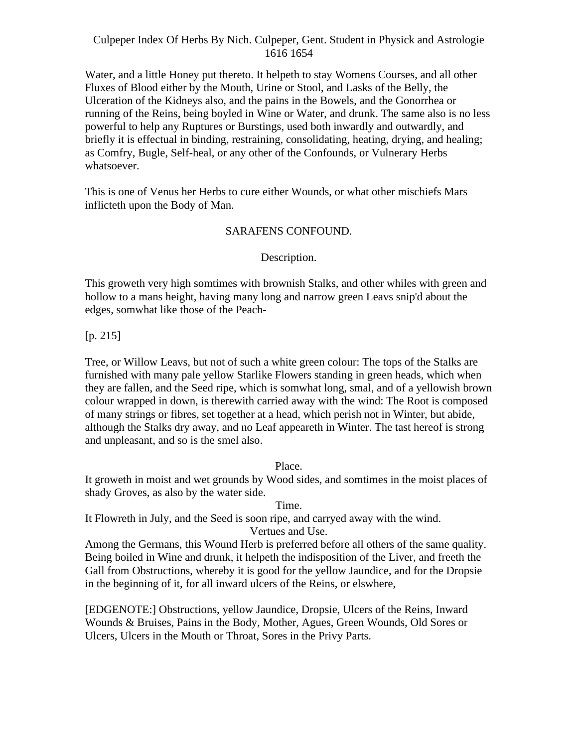Water, and a little Honey put thereto. It helpeth to stay Womens Courses, and all other Fluxes of Blood either by the Mouth, Urine or Stool, and Lasks of the Belly, the Ulceration of the Kidneys also, and the pains in the Bowels, and the Gonorrhea or running of the Reins, being boyled in Wine or Water, and drunk. The same also is no less powerful to help any Ruptures or Burstings, used both inwardly and outwardly, and briefly it is effectual in binding, restraining, consolidating, heating, drying, and healing; as Comfry, Bugle, Self-heal, or any other of the Confounds, or Vulnerary Herbs whatsoever.

This is one of Venus her Herbs to cure either Wounds, or what other mischiefs Mars inflicteth upon the Body of Man.

## SARAFENS CONFOUND.

# Description.

This groweth very high somtimes with brownish Stalks, and other whiles with green and hollow to a mans height, having many long and narrow green Leavs snip'd about the edges, somwhat like those of the Peach-

# [p. 215]

Tree, or Willow Leavs, but not of such a white green colour: The tops of the Stalks are furnished with many pale yellow Starlike Flowers standing in green heads, which when they are fallen, and the Seed ripe, which is somwhat long, smal, and of a yellowish brown colour wrapped in down, is therewith carried away with the wind: The Root is composed of many strings or fibres, set together at a head, which perish not in Winter, but abide, although the Stalks dry away, and no Leaf appeareth in Winter. The tast hereof is strong and unpleasant, and so is the smel also.

Place.

It groweth in moist and wet grounds by Wood sides, and somtimes in the moist places of shady Groves, as also by the water side.

Time.

It Flowreth in July, and the Seed is soon ripe, and carryed away with the wind. Vertues and Use.

Among the Germans, this Wound Herb is preferred before all others of the same quality. Being boiled in Wine and drunk, it helpeth the indisposition of the Liver, and freeth the Gall from Obstructions, whereby it is good for the yellow Jaundice, and for the Dropsie in the beginning of it, for all inward ulcers of the Reins, or elswhere,

[EDGENOTE:] Obstructions, yellow Jaundice, Dropsie, Ulcers of the Reins, Inward Wounds & Bruises, Pains in the Body, Mother, Agues, Green Wounds, Old Sores or Ulcers, Ulcers in the Mouth or Throat, Sores in the Privy Parts.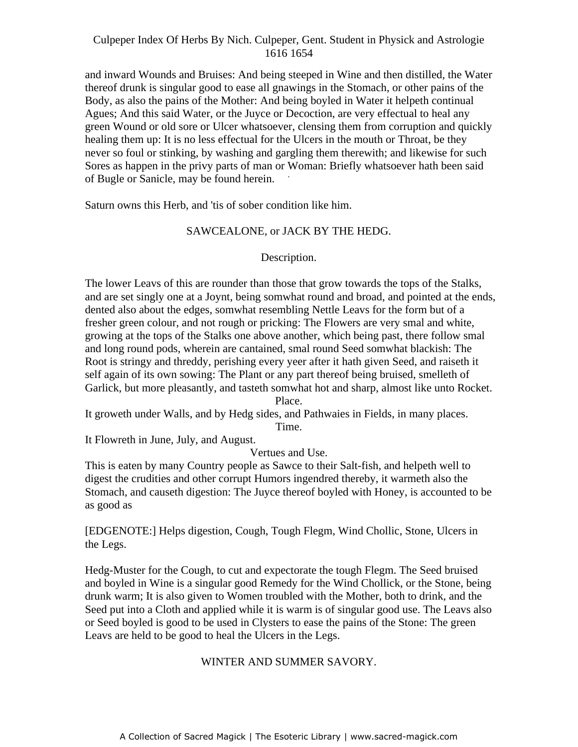and inward Wounds and Bruises: And being steeped in Wine and then distilled, the Water thereof drunk is singular good to ease all gnawings in the Stomach, or other pains of the Body, as also the pains of the Mother: And being boyled in Water it helpeth continual Agues; And this said Water, or the Juyce or Decoction, are very effectual to heal any green Wound or old sore or Ulcer whatsoever, clensing them from corruption and quickly healing them up: It is no less effectual for the Ulcers in the mouth or Throat, be they never so foul or stinking, by washing and gargling them therewith; and likewise for such Sores as happen in the privy parts of man or Woman: Briefly whatsoever hath been said<br>of Preds as Savisla were befored haven of Bugle or Sanicle, may be found herein.

Saturn owns this Herb, and 'tis of sober condition like him.

# SAWCEALONE, or JACK BY THE HEDG.

# Description.

The lower Leavs of this are rounder than those that grow towards the tops of the Stalks, and are set singly one at a Joynt, being somwhat round and broad, and pointed at the ends, dented also about the edges, somwhat resembling Nettle Leavs for the form but of a fresher green colour, and not rough or pricking: The Flowers are very smal and white, growing at the tops of the Stalks one above another, which being past, there follow smal and long round pods, wherein are cantained, smal round Seed somwhat blackish: The Root is stringy and threddy, perishing every yeer after it hath given Seed, and raiseth it self again of its own sowing: The Plant or any part thereof being bruised, smelleth of Garlick, but more pleasantly, and tasteth somwhat hot and sharp, almost like unto Rocket. Place.

It groweth under Walls, and by Hedg sides, and Pathwaies in Fields, in many places. Time.

It Flowreth in June, July, and August.

Vertues and Use.

This is eaten by many Country people as Sawce to their Salt-fish, and helpeth well to digest the crudities and other corrupt Humors ingendred thereby, it warmeth also the Stomach, and causeth digestion: The Juyce thereof boyled with Honey, is accounted to be as good as

[EDGENOTE:] Helps digestion, Cough, Tough Flegm, Wind Chollic, Stone, Ulcers in the Legs.

Hedg-Muster for the Cough, to cut and expectorate the tough Flegm. The Seed bruised and boyled in Wine is a singular good Remedy for the Wind Chollick, or the Stone, being drunk warm; It is also given to Women troubled with the Mother, both to drink, and the Seed put into a Cloth and applied while it is warm is of singular good use. The Leavs also or Seed boyled is good to be used in Clysters to ease the pains of the Stone: The green Leavs are held to be good to heal the Ulcers in the Legs.

# WINTER AND SUMMER SAVORY.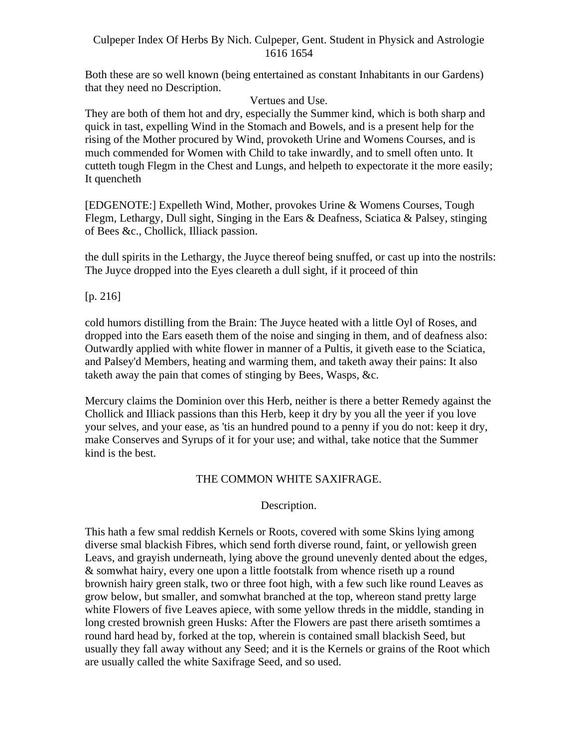Both these are so well known (being entertained as constant Inhabitants in our Gardens) that they need no Description.

Vertues and Use.

They are both of them hot and dry, especially the Summer kind, which is both sharp and quick in tast, expelling Wind in the Stomach and Bowels, and is a present help for the rising of the Mother procured by Wind, provoketh Urine and Womens Courses, and is much commended for Women with Child to take inwardly, and to smell often unto. It cutteth tough Flegm in the Chest and Lungs, and helpeth to expectorate it the more easily; It quencheth **It such a structure** that the structure of the structure of the structure of the structure of the structure of the structure of the structure of the structure of the structure of the structure of the structur

[EDGENOTE:] Expelleth Wind, Mother, provokes Urine & Womens Courses, Tough Flegm, Lethargy, Dull sight, Singing in the Ears & Deafness, Sciatica & Palsey, stinging of Bees &c., Chollick, Illiack passion.

the dull spirits in the Lethargy, the Juyce thereof being snuffed, or cast up into the nostrils: The Juyce dropped into the Eyes cleareth a dull sight, if it proceed of thin

[p. 216]

cold humors distilling from the Brain: The Juyce heated with a little Oyl of Roses, and dropped into the Ears easeth them of the noise and singing in them, and of deafness also: Outwardly applied with white flower in manner of a Pultis, it giveth ease to the Sciatica, and Palsey'd Members, heating and warming them, and taketh away their pains: It also taketh away the pain that comes of stinging by Bees, Wasps, &c.

Mercury claims the Dominion over this Herb, neither is there a better Remedy against the Chollick and Illiack passions than this Herb, keep it dry by you all the yeer if you love your selves, and your ease, as 'tis an hundred pound to a penny if you do not: keep it dry, make Conserves and Syrups of it for your use; and withal, take notice that the Summer kind is the best.

# THE COMMON WHITE SAXIFRAGE.

# Description.

This hath a few smal reddish Kernels or Roots, covered with some Skins lying among diverse smal blackish Fibres, which send forth diverse round, faint, or yellowish green Leavs, and grayish underneath, lying above the ground unevenly dented about the edges, & somwhat hairy, every one upon a little footstalk from whence riseth up a round brownish hairy green stalk, two or three foot high, with a few such like round Leaves as grow below, but smaller, and somwhat branched at the top, whereon stand pretty large white Flowers of five Leaves apiece, with some yellow threds in the middle, standing in long crested brownish green Husks: After the Flowers are past there ariseth somtimes a round hard head by, forked at the top, wherein is contained small blackish Seed, but usually they fall away without any Seed; and it is the Kernels or grains of the Root which are usually called the white Saxifrage Seed, and so used.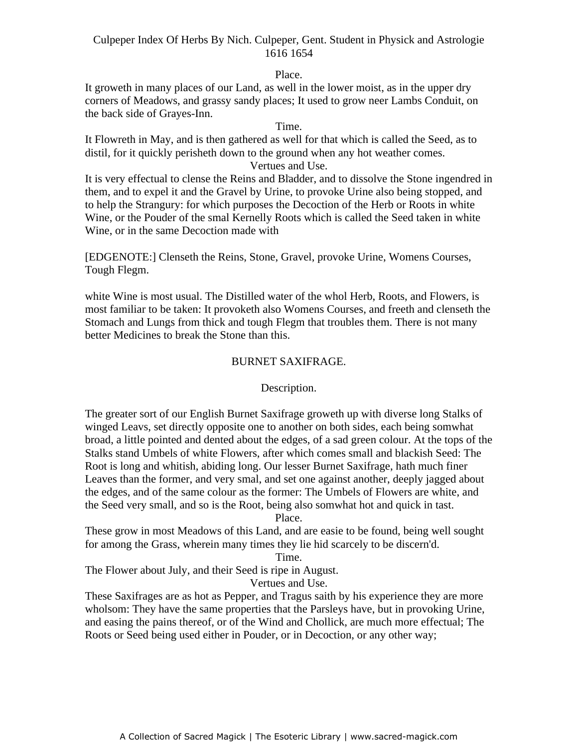Place.

It groweth in many places of our Land, as well in the lower moist, as in the upper dry corners of Meadows, and grassy sandy places; It used to grow neer Lambs Conduit, on the back side of Grayes-Inn.

Time.

It Flowreth in May, and is then gathered as well for that which is called the Seed, as to distil, for it quickly perisheth down to the ground when any hot weather comes. Vertues and Use.

It is very effectual to clense the Reins and Bladder, and to dissolve the Stone ingendred in them, and to expel it and the Gravel by Urine, to provoke Urine also being stopped, and to help the Strangury: for which purposes the Decoction of the Herb or Roots in white Wine, or the Pouder of the smal Kernelly Roots which is called the Seed taken in white Wine, or in the same Decoction made with

[EDGENOTE:] Clenseth the Reins, Stone, Gravel, provoke Urine, Womens Courses, Tough Flegm.

white Wine is most usual. The Distilled water of the whol Herb, Roots, and Flowers, is most familiar to be taken: It provoketh also Womens Courses, and freeth and clenseth the Stomach and Lungs from thick and tough Flegm that troubles them. There is not many better Medicines to break the Stone than this.

# BURNET SAXIFRAGE.

Description.

The greater sort of our English Burnet Saxifrage groweth up with diverse long Stalks of winged Leavs, set directly opposite one to another on both sides, each being somwhat broad, a little pointed and dented about the edges, of a sad green colour. At the tops of the Stalks stand Umbels of white Flowers, after which comes small and blackish Seed: The Root is long and whitish, abiding long. Our lesser Burnet Saxifrage, hath much finer Leaves than the former, and very smal, and set one against another, deeply jagged about the edges, and of the same colour as the former: The Umbels of Flowers are white, and the Seed very small, and so is the Root, being also somwhat hot and quick in tast.

Place.

These grow in most Meadows of this Land, and are easie to be found, being well sought for among the Grass, wherein many times they lie hid scarcely to be discern'd.

Time.

The Flower about July, and their Seed is ripe in August.

Vertues and Use.

These Saxifrages are as hot as Pepper, and Tragus saith by his experience they are more wholsom: They have the same properties that the Parsleys have, but in provoking Urine, and easing the pains thereof, or of the Wind and Chollick, are much more effectual; The Roots or Seed being used either in Pouder, or in Decoction, or any other way;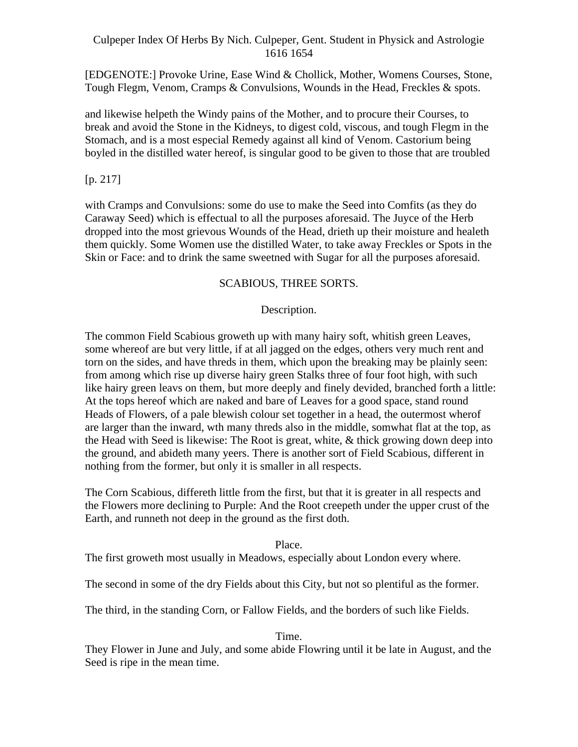[EDGENOTE:] Provoke Urine, Ease Wind & Chollick, Mother, Womens Courses, Stone, Tough Flegm, Venom, Cramps & Convulsions, Wounds in the Head, Freckles & spots.

and likewise helpeth the Windy pains of the Mother, and to procure their Courses, to break and avoid the Stone in the Kidneys, to digest cold, viscous, and tough Flegm in the Stomach, and is a most especial Remedy against all kind of Venom. Castorium being boyled in the distilled water hereof, is singular good to be given to those that are troubled

# $[p. 217]$

with Cramps and Convulsions: some do use to make the Seed into Comfits (as they do Caraway Seed) which is effectual to all the purposes aforesaid. The Juyce of the Herb dropped into the most grievous Wounds of the Head, drieth up their moisture and healeth them quickly. Some Women use the distilled Water, to take away Freckles or Spots in the Skin or Face: and to drink the same sweetned with Sugar for all the purposes aforesaid.

# SCABIOUS, THREE SORTS.

# Description.

The common Field Scabious groweth up with many hairy soft, whitish green Leaves, some whereof are but very little, if at all jagged on the edges, others very much rent and torn on the sides, and have threds in them, which upon the breaking may be plainly seen: from among which rise up diverse hairy green Stalks three of four foot high, with such like hairy green leavs on them, but more deeply and finely devided, branched forth a little: At the tops hereof which are naked and bare of Leaves for a good space, stand round Heads of Flowers, of a pale blewish colour set together in a head, the outermost wherof are larger than the inward, wth many threds also in the middle, somwhat flat at the top, as the Head with Seed is likewise: The Root is great, white, & thick growing down deep into the ground, and abideth many yeers. There is another sort of Field Scabious, different in nothing from the former, but only it is smaller in all respects.

The Corn Scabious, differeth little from the first, but that it is greater in all respects and the Flowers more declining to Purple: And the Root creepeth under the upper crust of the Earth, and runneth not deep in the ground as the first doth.

# Place.

The first groweth most usually in Meadows, especially about London every where.

The second in some of the dry Fields about this City, but not so plentiful as the former.

The third, in the standing Corn, or Fallow Fields, and the borders of such like Fields.

#### Time.

They Flower in June and July, and some abide Flowring until it be late in August, and the Seed is ripe in the mean time.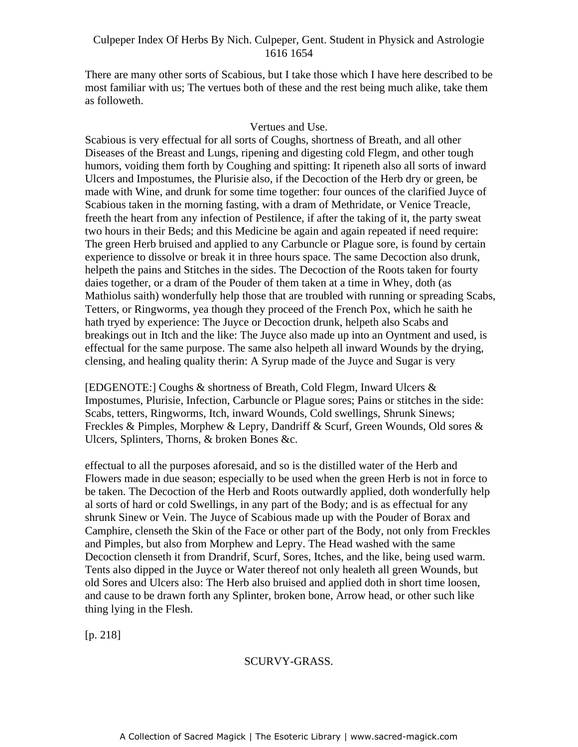There are many other sorts of Scabious, but I take those which I have here described to be most familiar with us; The vertues both of these and the rest being much alike, take them as followeth.

#### Vertues and Use.

Scabious is very effectual for all sorts of Coughs, shortness of Breath, and all other Diseases of the Breast and Lungs, ripening and digesting cold Flegm, and other tough humors, voiding them forth by Coughing and spitting: It ripeneth also all sorts of inward Indicates, volting them forth by Coughing and spitting. It appends also an sorts of invalidation, the Ulcers and Impostumes, the Plurisie also, if the Decoction of the Herb dry or green, be made with Wine, and drunk for some time together: four ounces of the clarified Juyce of Scabious taken in the morning fasting, with a dram of Methridate, or Venice Treacle, freeth the heart from any infection of Pestilence, if after the taking of it, the party sweat two hours in their Beds; and this Medicine be again and again repeated if need require: The green Herb bruised and applied to any Carbuncle or Plague sore, is found by certain experience to dissolve or break it in three hours space. The same Decoction also drunk, helpeth the pains and Stitches in the sides. The Decoction of the Roots taken for fourty daies together, or a dram of the Pouder of them taken at a time in Whey, doth (as Mathiolus saith) wonderfully help those that are troubled with running or spreading Scabs, Tetters, or Ringworms, yea though they proceed of the French Pox, which he saith he hath tryed by experience: The Juyce or Decoction drunk, helpeth also Scabs and breakings out in Itch and the like: The Juyce also made up into an Oyntment and used, is effectual for the same purpose. The same also helpeth all inward Wounds by the drying, clensing, and healing quality therin: A Syrup made of the Juyce and Sugar is very

[EDGENOTE:] Coughs & shortness of Breath, Cold Flegm, Inward Ulcers & Impostumes, Plurisie, Infection, Carbuncle or Plague sores; Pains or stitches in the side: Scabs, tetters, Ringworms, Itch, inward Wounds, Cold swellings, Shrunk Sinews; Freckles & Pimples, Morphew & Lepry, Dandriff & Scurf, Green Wounds, Old sores & Ulcers, Splinters, Thorns, & broken Bones &c.

effectual to all the purposes aforesaid, and so is the distilled water of the Herb and Flowers made in due season; especially to be used when the green Herb is not in force to be taken. The Decoction of the Herb and Roots outwardly applied, doth wonderfully help al sorts of hard or cold Swellings, in any part of the Body; and is as effectual for any shrunk Sinew or Vein. The Juyce of Scabious made up with the Pouder of Borax and Camphire, clenseth the Skin of the Face or other part of the Body, not only from Freckles and Pimples, but also from Morphew and Lepry. The Head washed with the same Decoction clenseth it from Drandrif, Scurf, Sores, Itches, and the like, being used warm. Tents also dipped in the Juyce or Water thereof not only healeth all green Wounds, but old Sores and Ulcers also: The Herb also bruised and applied doth in short time loosen, and cause to be drawn forth any Splinter, broken bone, Arrow head, or other such like thing lying in the Flesh.

[p. 218]

# SCURVY-GRASS.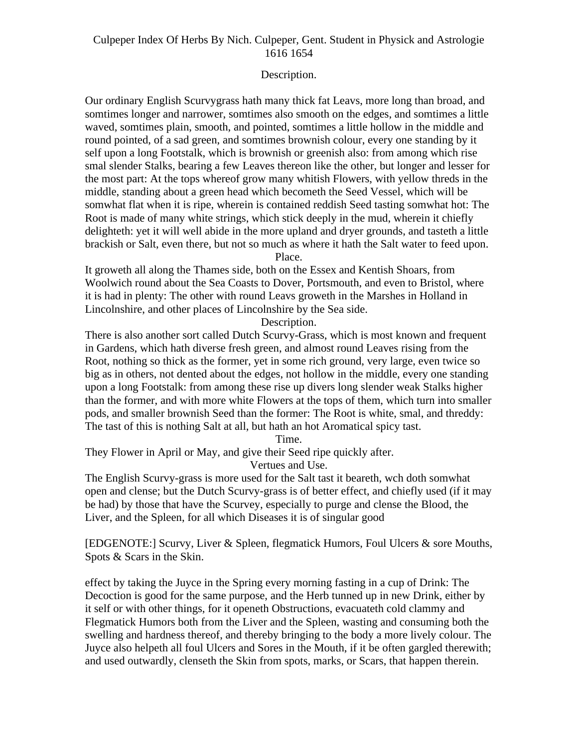## Description.

Our ordinary English Scurvygrass hath many thick fat Leavs, more long than broad, and somtimes longer and narrower, somtimes also smooth on the edges, and somtimes a little waved, somtimes plain, smooth, and pointed, somtimes a little hollow in the middle and round pointed, of a sad green, and somtimes brownish colour, every one standing by it self upon a long Footstalk, which is brownish or greenish also: from among which rise smal slender Stalks, bearing a few Leaves thereon like the other, but longer and lesser for the most part: At the tops whereof grow many whitish Flowers, with yellow threds in the middle, standing about a green head which becometh the Seed Vessel, which will be somwhat flat when it is ripe, wherein is contained reddish Seed tasting somwhat hot: The Root is made of many white strings, which stick deeply in the mud, wherein it chiefly delighteth: yet it will well abide in the more upland and dryer grounds, and tasteth a little brackish or Salt, even there, but not so much as where it hath the Salt water to feed upon. Place.

It groweth all along the Thames side, both on the Essex and Kentish Shoars, from Woolwich round about the Sea Coasts to Dover, Portsmouth, and even to Bristol, where it is had in plenty: The other with round Leavs groweth in the Marshes in Holland in Lincolnshire, and other places of Lincolnshire by the Sea side.

Description.

There is also another sort called Dutch Scurvy-Grass, which is most known and frequent in Gardens, which hath diverse fresh green, and almost round Leaves rising from the Root, nothing so thick as the former, yet in some rich ground, very large, even twice so big as in others, not dented about the edges, not hollow in the middle, every one standing upon a long Footstalk: from among these rise up divers long slender weak Stalks higher than the former, and with more white Flowers at the tops of them, which turn into smaller pods, and smaller brownish Seed than the former: The Root is white, smal, and threddy: The tast of this is nothing Salt at all, but hath an hot Aromatical spicy tast.

Time.

They Flower in April or May, and give their Seed ripe quickly after.

Vertues and Use.

The English Scurvy-grass is more used for the Salt tast it beareth, wch doth somwhat open and clense; but the Dutch Scurvy-grass is of better effect, and chiefly used (if it may be had) by those that have the Scurvey, especially to purge and clense the Blood, the Liver, and the Spleen, for all which Diseases it is of singular good

[EDGENOTE:] Scurvy, Liver & Spleen, flegmatick Humors, Foul Ulcers & sore Mouths, Spots & Scars in the Skin.

effect by taking the Juyce in the Spring every morning fasting in a cup of Drink: The Decoction is good for the same purpose, and the Herb tunned up in new Drink, either by it self or with other things, for it openeth Obstructions, evacuateth cold clammy and Flegmatick Humors both from the Liver and the Spleen, wasting and consuming both the swelling and hardness thereof, and thereby bringing to the body a more lively colour. The Juyce also helpeth all foul Ulcers and Sores in the Mouth, if it be often gargled therewith; and used outwardly, clenseth the Skin from spots, marks, or Scars, that happen therein.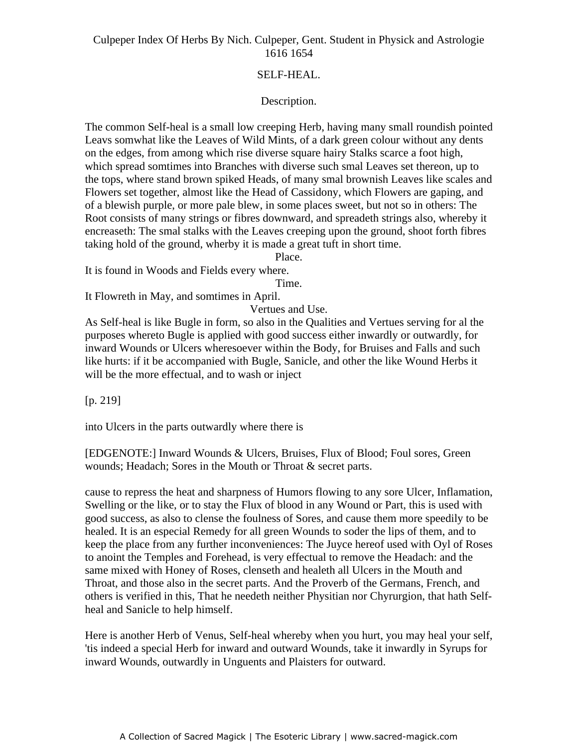# SELF-HEAL.

## Description.

The common Self-heal is a small low creeping Herb, having many small roundish pointed Leavs somwhat like the Leaves of Wild Mints, of a dark green colour without any dents on the edges, from among which rise diverse square hairy Stalks scarce a foot high, which spread somtimes into Branches with diverse such smal Leaves set thereon, up to when spiead somalies mo Branches with diverse such small Ecaves set thereon, up to the tops, where stand brown spiked Heads, of many smal brownish Leaves like scales and Flowers set together, almost like the Head of Cassidony, which Flowers are gaping, and of a blewish purple, or more pale blew, in some places sweet, but not so in others: The Root consists of many strings or fibres downward, and spreadeth strings also, whereby it encreaseth: The smal stalks with the Leaves creeping upon the ground, shoot forth fibres taking hold of the ground, wherby it is made a great tuft in short time.

Place.

It is found in Woods and Fields every where.

Time.

It Flowreth in May, and somtimes in April.

Vertues and Use.

As Self-heal is like Bugle in form, so also in the Qualities and Vertues serving for al the purposes whereto Bugle is applied with good success either inwardly or outwardly, for inward Wounds or Ulcers wheresoever within the Body, for Bruises and Falls and such like hurts: if it be accompanied with Bugle, Sanicle, and other the like Wound Herbs it will be the more effectual, and to wash or inject

[p. 219]

into Ulcers in the parts outwardly where there is

[EDGENOTE:] Inward Wounds & Ulcers, Bruises, Flux of Blood; Foul sores, Green wounds; Headach; Sores in the Mouth or Throat & secret parts.

cause to repress the heat and sharpness of Humors flowing to any sore Ulcer, Inflamation, Swelling or the like, or to stay the Flux of blood in any Wound or Part, this is used with good success, as also to clense the foulness of Sores, and cause them more speedily to be healed. It is an especial Remedy for all green Wounds to soder the lips of them, and to keep the place from any further inconveniences: The Juyce hereof used with Oyl of Roses to anoint the Temples and Forehead, is very effectual to remove the Headach: and the same mixed with Honey of Roses, clenseth and healeth all Ulcers in the Mouth and Throat, and those also in the secret parts. And the Proverb of the Germans, French, and others is verified in this, That he needeth neither Physitian nor Chyrurgion, that hath Self heal and Sanicle to help himself.

Here is another Herb of Venus, Self-heal whereby when you hurt, you may heal your self, 'tis indeed a special Herb for inward and outward Wounds, take it inwardly in Syrups for inward Wounds, outwardly in Unguents and Plaisters for outward.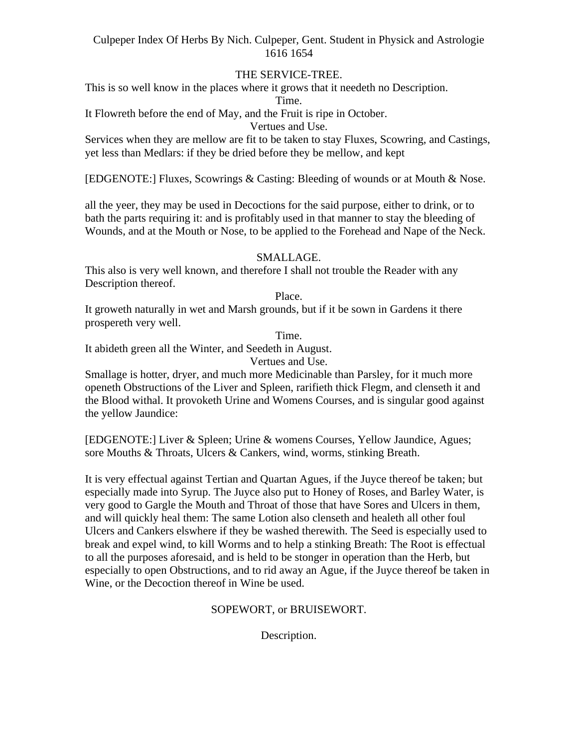# THE SERVICE-TREE.

This is so well know in the places where it grows that it needeth no Description.

Time.

It Flowreth before the end of May, and the Fruit is ripe in October.

Vertues and Use.

Services when they are mellow are fit to be taken to stay Fluxes, Scowring, and Castings, yet less than Medlars: if they be dried before they be mellow, and kept

[EDGENOTE:] Fluxes, Scowrings & Casting: Bleeding of wounds or at Mouth & Nose.

all the yeer, they may be used in Decoctions for the said purpose, either to drink, or to bath the parts requiring it: and is profitably used in that manner to stay the bleeding of Wounds, and at the Mouth or Nose, to be applied to the Forehead and Nape of the Neck.

## SMALLAGE.

This also is very well known, and therefore I shall not trouble the Reader with any Description thereof.

Place.

It groweth naturally in wet and Marsh grounds, but if it be sown in Gardens it there prospereth very well.

Time.

It abideth green all the Winter, and Seedeth in August.

Vertues and Use.

Smallage is hotter, dryer, and much more Medicinable than Parsley, for it much more openeth Obstructions of the Liver and Spleen, rarifieth thick Flegm, and clenseth it and the Blood withal. It provoketh Urine and Womens Courses, and is singular good against the yellow Jaundice:

[EDGENOTE:] Liver & Spleen; Urine & womens Courses, Yellow Jaundice, Agues; sore Mouths & Throats, Ulcers & Cankers, wind, worms, stinking Breath.

It is very effectual against Tertian and Quartan Agues, if the Juyce thereof be taken; but especially made into Syrup. The Juyce also put to Honey of Roses, and Barley Water, is very good to Gargle the Mouth and Throat of those that have Sores and Ulcers in them, and will quickly heal them: The same Lotion also clenseth and healeth all other foul Ulcers and Cankers elswhere if they be washed therewith. The Seed is especially used to break and expel wind, to kill Worms and to help a stinking Breath: The Root is effectual to all the purposes aforesaid, and is held to be stonger in operation than the Herb, but especially to open Obstructions, and to rid away an Ague, if the Juyce thereof be taken in Wine, or the Decoction thereof in Wine be used.

#### SOPEWORT, or BRUISEWORT.

Description.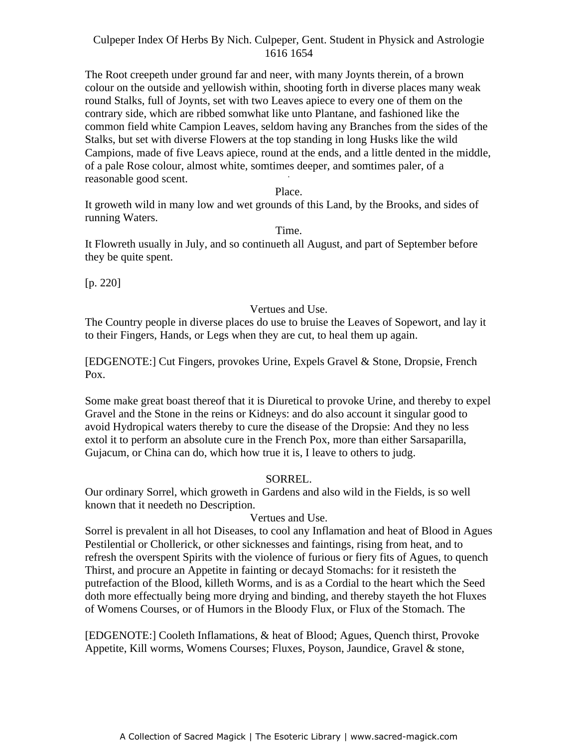The Root creepeth under ground far and neer, with many Joynts therein, of a brown colour on the outside and yellowish within, shooting forth in diverse places many weak round Stalks, full of Joynts, set with two Leaves apiece to every one of them on the contrary side, which are ribbed somwhat like unto Plantane, and fashioned like the common field white Campion Leaves, seldom having any Branches from the sides of the Stalks, but set with diverse Flowers at the top standing in long Husks like the wild Campions, made of five Leavs apiece, round at the ends, and a little dented in the middle, of a pale Rose colour, almost white, somtimes deeper, and somtimes paler, of a reasonable good scent.

Place.

It groweth wild in many low and wet grounds of this Land, by the Brooks, and sides of running Waters.

Time.

It Flowreth usually in July, and so continueth all August, and part of September before they be quite spent.

 $[p. 220]$ 

#### Vertues and Use.

The Country people in diverse places do use to bruise the Leaves of Sopewort, and lay it to their Fingers, Hands, or Legs when they are cut, to heal them up again.

[EDGENOTE:] Cut Fingers, provokes Urine, Expels Gravel & Stone, Dropsie, French Pox.

Some make great boast thereof that it is Diuretical to provoke Urine, and thereby to expel Gravel and the Stone in the reins or Kidneys: and do also account it singular good to avoid Hydropical waters thereby to cure the disease of the Dropsie: And they no less extol it to perform an absolute cure in the French Pox, more than either Sarsaparilla, Gujacum, or China can do, which how true it is, I leave to others to judg.

#### SORREL.

Our ordinary Sorrel, which groweth in Gardens and also wild in the Fields, is so well known that it needeth no Description.

#### Vertues and Use.

Sorrel is prevalent in all hot Diseases, to cool any Inflamation and heat of Blood in Agues Pestilential or Chollerick, or other sicknesses and faintings, rising from heat, and to refresh the overspent Spirits with the violence of furious or fiery fits of Agues, to quench Thirst, and procure an Appetite in fainting or decayd Stomachs: for it resisteth the putrefaction of the Blood, killeth Worms, and is as a Cordial to the heart which the Seed doth more effectually being more drying and binding, and thereby stayeth the hot Fluxes of Womens Courses, or of Humors in the Bloody Flux, or Flux of the Stomach. The

[EDGENOTE:] Cooleth Inflamations, & heat of Blood; Agues, Quench thirst, Provoke Appetite, Kill worms, Womens Courses; Fluxes, Poyson, Jaundice, Gravel & stone,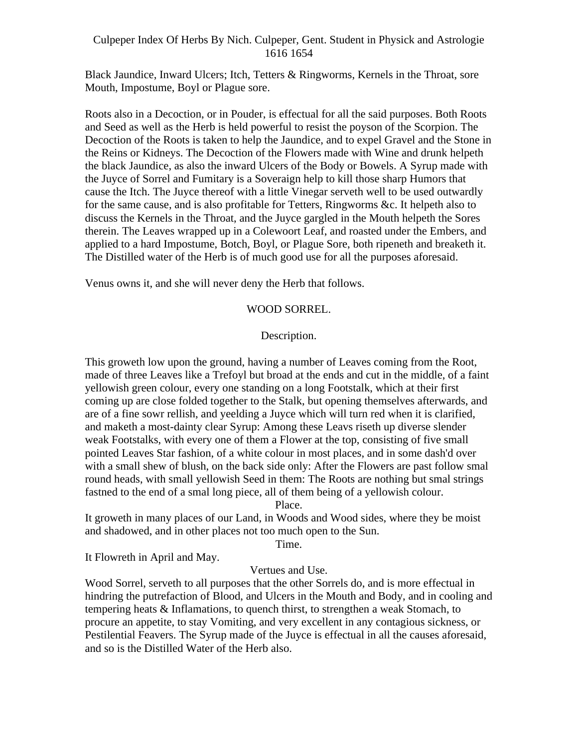Black Jaundice, Inward Ulcers; Itch, Tetters & Ringworms, Kernels in the Throat, sore Mouth, Impostume, Boyl or Plague sore.

Roots also in a Decoction, or in Pouder, is effectual for all the said purposes. Both Roots and Seed as well as the Herb is held powerful to resist the poyson of the Scorpion. The Decoction of the Roots is taken to help the Jaundice, and to expel Gravel and the Stone in the Reins or Kidneys. The Decoction of the Flowers made with Wine and drunk helpeth the black Jaundice, as also the inward Ulcers of the Body or Bowels. A Syrup made with the Juyce of Sorrel and Fumitary is a Soveraign help to kill those sharp Humors that cause the Itch. The Juyce thereof with a little Vinegar serveth well to be used outwardly for the same cause, and is also profitable for Tetters, Ringworms &c. It helpeth also to discuss the Kernels in the Throat, and the Juyce gargled in the Mouth helpeth the Sores therein. The Leaves wrapped up in a Colewoort Leaf, and roasted under the Embers, and applied to a hard Impostume, Botch, Boyl, or Plague Sore, both ripeneth and breaketh it. The Distilled water of the Herb is of much good use for all the purposes aforesaid.

Venus owns it, and she will never deny the Herb that follows.

## WOOD SORREL.

## Description.

This groweth low upon the ground, having a number of Leaves coming from the Root, made of three Leaves like a Trefoyl but broad at the ends and cut in the middle, of a faint yellowish green colour, every one standing on a long Footstalk, which at their first coming up are close folded together to the Stalk, but opening themselves afterwards, and are of a fine sowr rellish, and yeelding a Juyce which will turn red when it is clarified, and maketh a most-dainty clear Syrup: Among these Leavs riseth up diverse slender weak Footstalks, with every one of them a Flower at the top, consisting of five small pointed Leaves Star fashion, of a white colour in most places, and in some dash'd over with a small shew of blush, on the back side only: After the Flowers are past follow smal round heads, with small yellowish Seed in them: The Roots are nothing but smal strings fastned to the end of a smal long piece, all of them being of a yellowish colour.

Place.

It groweth in many places of our Land, in Woods and Wood sides, where they be moist and shadowed, and in other places not too much open to the Sun.

Time.

It Flowreth in April and May.

# Vertues and Use.

Wood Sorrel, serveth to all purposes that the other Sorrels do, and is more effectual in hindring the putrefaction of Blood, and Ulcers in the Mouth and Body, and in cooling and tempering heats & Inflamations, to quench thirst, to strengthen a weak Stomach, to procure an appetite, to stay Vomiting, and very excellent in any contagious sickness, or Pestilential Feavers. The Syrup made of the Juyce is effectual in all the causes aforesaid, and so is the Distilled Water of the Herb also.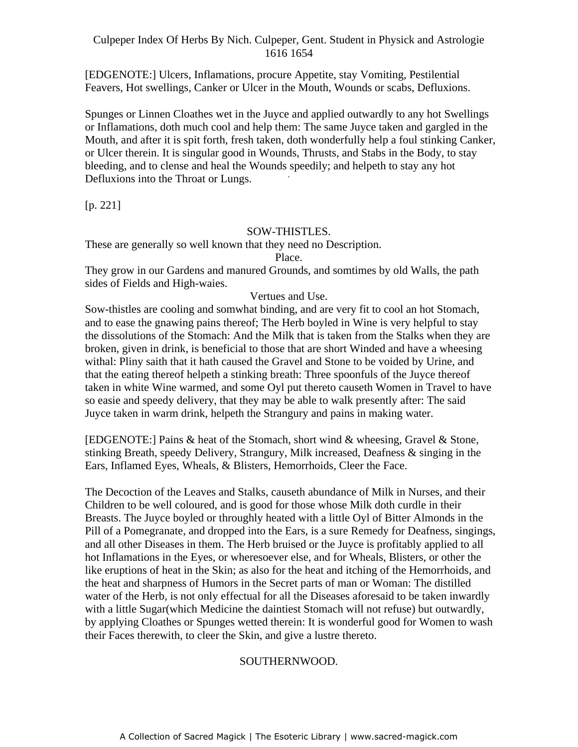[EDGENOTE:] Ulcers, Inflamations, procure Appetite, stay Vomiting, Pestilential Feavers, Hot swellings, Canker or Ulcer in the Mouth, Wounds or scabs, Defluxions.

Spunges or Linnen Cloathes wet in the Juyce and applied outwardly to any hot Swellings or Inflamations, doth much cool and help them: The same Juyce taken and gargled in the Mouth, and after it is spit forth, fresh taken, doth wonderfully help a foul stinking Canker, or Ulcer therein. It is singular good in Wounds, Thrusts, and Stabs in the Body, to stay bleeding, and to clense and heal the Wounds speedily; and helpeth to stay any hot  $D_1$ Defluxions into the Throat or Lungs.

[p. 221]

## SOW-THISTLES.

These are generally so well known that they need no Description.

Place.

They grow in our Gardens and manured Grounds, and somtimes by old Walls, the path sides of Fields and High-waies.

Vertues and Use.

Sow-thistles are cooling and somwhat binding, and are very fit to cool an hot Stomach, and to ease the gnawing pains thereof; The Herb boyled in Wine is very helpful to stay the dissolutions of the Stomach: And the Milk that is taken from the Stalks when they are broken, given in drink, is beneficial to those that are short Winded and have a wheesing withal: Pliny saith that it hath caused the Gravel and Stone to be voided by Urine, and that the eating thereof helpeth a stinking breath: Three spoonfuls of the Juyce thereof taken in white Wine warmed, and some Oyl put thereto causeth Women in Travel to have so easie and speedy delivery, that they may be able to walk presently after: The said Juyce taken in warm drink, helpeth the Strangury and pains in making water.

[EDGENOTE:] Pains & heat of the Stomach, short wind & wheesing, Gravel & Stone, stinking Breath, speedy Delivery, Strangury, Milk increased, Deafness & singing in the Ears, Inflamed Eyes, Wheals, & Blisters, Hemorrhoids, Cleer the Face.

The Decoction of the Leaves and Stalks, causeth abundance of Milk in Nurses, and their Children to be well coloured, and is good for those whose Milk doth curdle in their Breasts. The Juyce boyled or throughly heated with a little Oyl of Bitter Almonds in the Pill of a Pomegranate, and dropped into the Ears, is a sure Remedy for Deafness, singings, and all other Diseases in them. The Herb bruised or the Juyce is profitably applied to all hot Inflamations in the Eyes, or wheresoever else, and for Wheals, Blisters, or other the like eruptions of heat in the Skin; as also for the heat and itching of the Hemorrhoids, and the heat and sharpness of Humors in the Secret parts of man or Woman: The distilled water of the Herb, is not only effectual for all the Diseases aforesaid to be taken inwardly with a little Sugar(which Medicine the daintiest Stomach will not refuse) but outwardly, by applying Cloathes or Spunges wetted therein: It is wonderful good for Women to wash their Faces therewith, to cleer the Skin, and give a lustre thereto.

# SOUTHERNWOOD.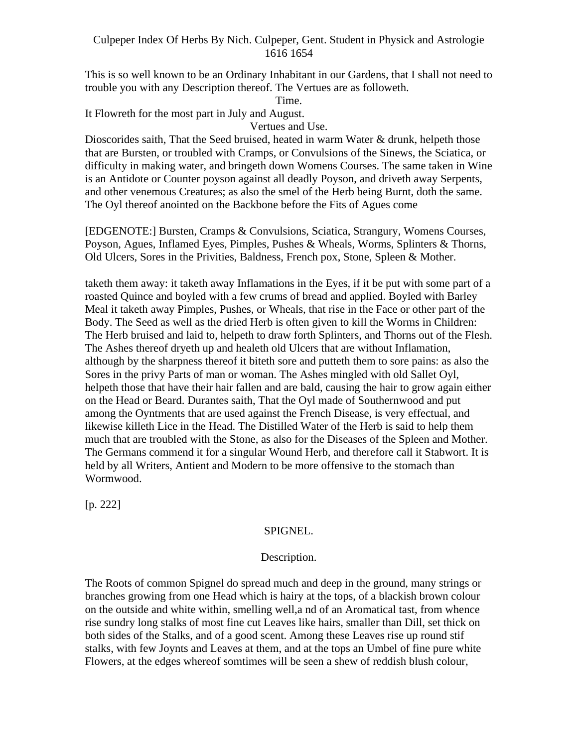This is so well known to be an Ordinary Inhabitant in our Gardens, that I shall not need to trouble you with any Description thereof. The Vertues are as followeth.

Time.

It Flowreth for the most part in July and August.

Vertues and Use.

Dioscorides saith, That the Seed bruised, heated in warm Water & drunk, helpeth those that are Bursten, or troubled with Cramps, or Convulsions of the Sinews, the Sciatica, or difficulty in making water, and bringeth down Womens Courses. The same taken in Wine is an Antidote or Counter poyson against all deadly Poyson, and driveth away Serpents, and other venemous Creatures; as also the smel of the Herb being Burnt, doth the same. The Oyl thereof anointed on the Backbone before the Fits of Agues come

[EDGENOTE:] Bursten, Cramps & Convulsions, Sciatica, Strangury, Womens Courses, Poyson, Agues, Inflamed Eyes, Pimples, Pushes & Wheals, Worms, Splinters & Thorns, Old Ulcers, Sores in the Privities, Baldness, French pox, Stone, Spleen & Mother.

taketh them away: it taketh away Inflamations in the Eyes, if it be put with some part of a roasted Quince and boyled with a few crums of bread and applied. Boyled with Barley Meal it taketh away Pimples, Pushes, or Wheals, that rise in the Face or other part of the Body. The Seed as well as the dried Herb is often given to kill the Worms in Children: The Herb bruised and laid to, helpeth to draw forth Splinters, and Thorns out of the Flesh. The Ashes thereof dryeth up and healeth old Ulcers that are without Inflamation, although by the sharpness thereof it biteth sore and putteth them to sore pains: as also the Sores in the privy Parts of man or woman. The Ashes mingled with old Sallet Oyl, helpeth those that have their hair fallen and are bald, causing the hair to grow again either on the Head or Beard. Durantes saith, That the Oyl made of Southernwood and put among the Oyntments that are used against the French Disease, is very effectual, and likewise killeth Lice in the Head. The Distilled Water of the Herb is said to help them much that are troubled with the Stone, as also for the Diseases of the Spleen and Mother. The Germans commend it for a singular Wound Herb, and therefore call it Stabwort. It is held by all Writers, Antient and Modern to be more offensive to the stomach than Wormwood.

[p. 222]

# SPIGNEL.

#### Description.

The Roots of common Spignel do spread much and deep in the ground, many strings or branches growing from one Head which is hairy at the tops, of a blackish brown colour on the outside and white within, smelling well,a nd of an Aromatical tast, from whence rise sundry long stalks of most fine cut Leaves like hairs, smaller than Dill, set thick on both sides of the Stalks, and of a good scent. Among these Leaves rise up round stif stalks, with few Joynts and Leaves at them, and at the tops an Umbel of fine pure white Flowers, at the edges whereof somtimes will be seen a shew of reddish blush colour,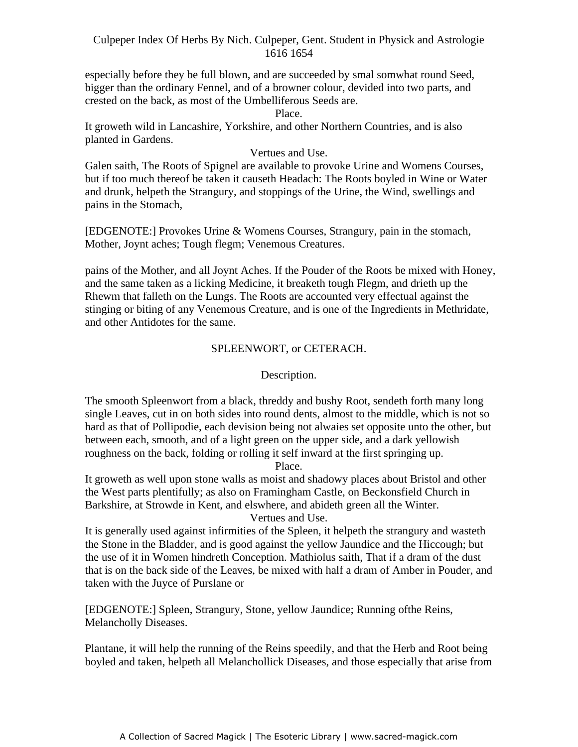especially before they be full blown, and are succeeded by smal somwhat round Seed, bigger than the ordinary Fennel, and of a browner colour, devided into two parts, and crested on the back, as most of the Umbelliferous Seeds are.

#### Place.

It groweth wild in Lancashire, Yorkshire, and other Northern Countries, and is also planted in Gardens.

#### Vertues and Use.

Galen saith, The Roots of Spignel are available to provoke Urine and Womens Courses, but if too much thereof be taken it causeth Headach: The Roots boyled in Wine or Water and drunk, helpeth the Strangury, and stoppings of the Urine, the Wind, swellings and pains in the Stomach,

[EDGENOTE:] Provokes Urine & Womens Courses, Strangury, pain in the stomach, Mother, Joynt aches; Tough flegm; Venemous Creatures.

pains of the Mother, and all Joynt Aches. If the Pouder of the Roots be mixed with Honey, and the same taken as a licking Medicine, it breaketh tough Flegm, and drieth up the Rhewm that falleth on the Lungs. The Roots are accounted very effectual against the stinging or biting of any Venemous Creature, and is one of the Ingredients in Methridate, and other Antidotes for the same.

#### SPLEENWORT, or CETERACH.

## Description.

The smooth Spleenwort from a black, threddy and bushy Root, sendeth forth many long single Leaves, cut in on both sides into round dents, almost to the middle, which is not so hard as that of Pollipodie, each devision being not alwaies set opposite unto the other, but between each, smooth, and of a light green on the upper side, and a dark yellowish roughness on the back, folding or rolling it self inward at the first springing up.

Place.

It groweth as well upon stone walls as moist and shadowy places about Bristol and other the West parts plentifully; as also on Framingham Castle, on Beckonsfield Church in Barkshire, at Strowde in Kent, and elswhere, and abideth green all the Winter.

Vertues and Use.

It is generally used against infirmities of the Spleen, it helpeth the strangury and wasteth the Stone in the Bladder, and is good against the yellow Jaundice and the Hiccough; but the use of it in Women hindreth Conception. Mathiolus saith, That if a dram of the dust that is on the back side of the Leaves, be mixed with half a dram of Amber in Pouder, and taken with the Juyce of Purslane or

[EDGENOTE:] Spleen, Strangury, Stone, yellow Jaundice; Running ofthe Reins, Melancholly Diseases.

Plantane, it will help the running of the Reins speedily, and that the Herb and Root being boyled and taken, helpeth all Melanchollick Diseases, and those especially that arise from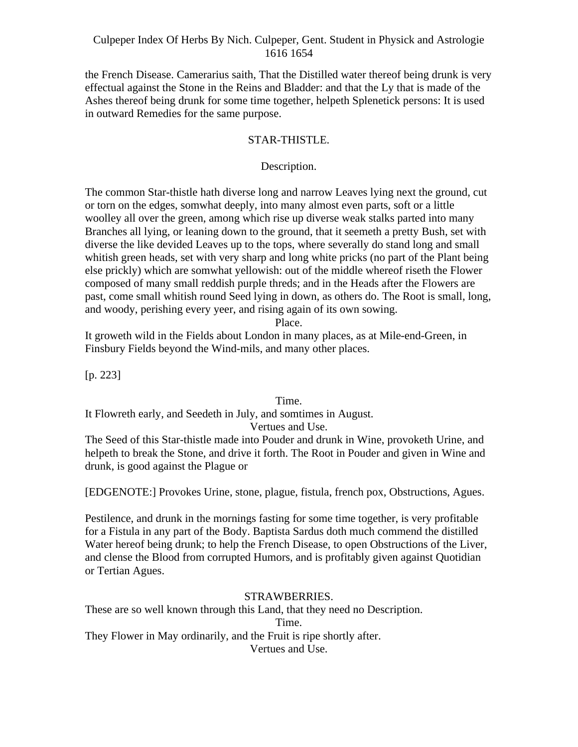the French Disease. Camerarius saith, That the Distilled water thereof being drunk is very effectual against the Stone in the Reins and Bladder: and that the Ly that is made of the Ashes thereof being drunk for some time together, helpeth Splenetick persons: It is used in outward Remedies for the same purpose.

# STAR-THISTLE.

# Description.

The common Star-thistle hath diverse long and narrow Leaves lying next the ground, cut or torn on the edges, somwhat deeply, into many almost even parts, soft or a little woolley all over the green, among which rise up diverse weak stalks parted into many Branches all lying, or leaning down to the ground, that it seemeth a pretty Bush, set with diverse the like devided Leaves up to the tops, where severally do stand long and small whitish green heads, set with very sharp and long white pricks (no part of the Plant being else prickly) which are somwhat yellowish: out of the middle whereof riseth the Flower composed of many small reddish purple threds; and in the Heads after the Flowers are past, come small whitish round Seed lying in down, as others do. The Root is small, long, and woody, perishing every yeer, and rising again of its own sowing.

#### Place.

It groweth wild in the Fields about London in many places, as at Mile-end-Green, in Finsbury Fields beyond the Wind-mils, and many other places.

[p. 223]

Time.

It Flowreth early, and Seedeth in July, and somtimes in August.

#### Vertues and Use.

The Seed of this Star-thistle made into Pouder and drunk in Wine, provoketh Urine, and helpeth to break the Stone, and drive it forth. The Root in Pouder and given in Wine and drunk, is good against the Plague or

[EDGENOTE:] Provokes Urine, stone, plague, fistula, french pox, Obstructions, Agues.

Pestilence, and drunk in the mornings fasting for some time together, is very profitable for a Fistula in any part of the Body. Baptista Sardus doth much commend the distilled Water hereof being drunk; to help the French Disease, to open Obstructions of the Liver, and clense the Blood from corrupted Humors, and is profitably given against Quotidian or Tertian Agues.

# STRAWBERRIES.

These are so well known through this Land, that they need no Description. Time. They Flower in May ordinarily, and the Fruit is ripe shortly after. Vertues and Use.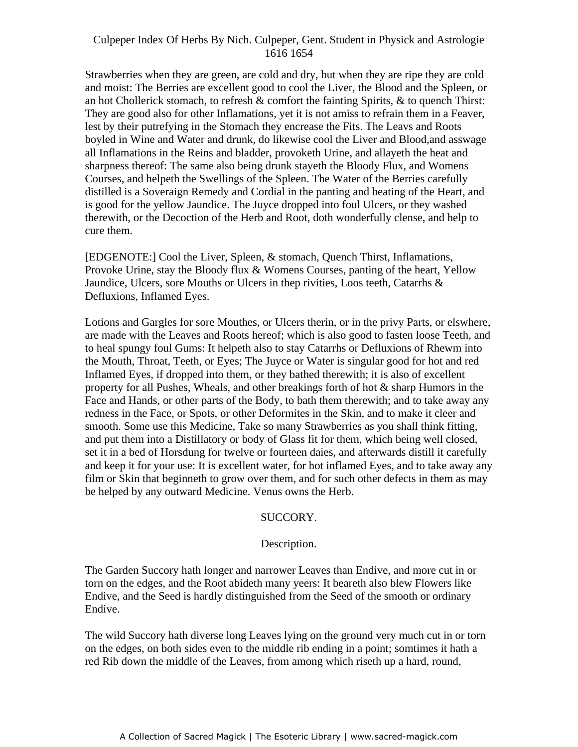Strawberries when they are green, are cold and dry, but when they are ripe they are cold and moist: The Berries are excellent good to cool the Liver, the Blood and the Spleen, or an hot Chollerick stomach, to refresh & comfort the fainting Spirits, & to quench Thirst: They are good also for other Inflamations, yet it is not amiss to refrain them in a Feaver, lest by their putrefying in the Stomach they encrease the Fits. The Leavs and Roots boyled in Wine and Water and drunk, do likewise cool the Liver and Blood,and asswage all Inflamations in the Reins and bladder, provoketh Urine, and allayeth the heat and sharpness thereof: The same also being drunk stayeth the Bloody Flux, and Womens Courses, and helpeth the Swellings of the Spleen. The Water of the Berries carefully distilled is a Soveraign Remedy and Cordial in the panting and beating of the Heart, and is good for the yellow Jaundice. The Juyce dropped into foul Ulcers, or they washed therewith, or the Decoction of the Herb and Root, doth wonderfully clense, and help to cure them.

[EDGENOTE:] Cool the Liver, Spleen, & stomach, Quench Thirst, Inflamations, Provoke Urine, stay the Bloody flux & Womens Courses, panting of the heart, Yellow Jaundice, Ulcers, sore Mouths or Ulcers in thep rivities, Loos teeth, Catarrhs & Defluxions, Inflamed Eyes.

Lotions and Gargles for sore Mouthes, or Ulcers therin, or in the privy Parts, or elswhere, are made with the Leaves and Roots hereof; which is also good to fasten loose Teeth, and to heal spungy foul Gums: It helpeth also to stay Catarrhs or Defluxions of Rhewm into the Mouth, Throat, Teeth, or Eyes; The Juyce or Water is singular good for hot and red Inflamed Eyes, if dropped into them, or they bathed therewith; it is also of excellent property for all Pushes, Wheals, and other breakings forth of hot & sharp Humors in the Face and Hands, or other parts of the Body, to bath them therewith; and to take away any redness in the Face, or Spots, or other Deformites in the Skin, and to make it cleer and smooth. Some use this Medicine, Take so many Strawberries as you shall think fitting, and put them into a Distillatory or body of Glass fit for them, which being well closed, set it in a bed of Horsdung for twelve or fourteen daies, and afterwards distill it carefully and keep it for your use: It is excellent water, for hot inflamed Eyes, and to take away any film or Skin that beginneth to grow over them, and for such other defects in them as may be helped by any outward Medicine. Venus owns the Herb.

#### SUCCORY.

# Description.

The Garden Succory hath longer and narrower Leaves than Endive, and more cut in or torn on the edges, and the Root abideth many yeers: It beareth also blew Flowers like Endive, and the Seed is hardly distinguished from the Seed of the smooth or ordinary Endive.

The wild Succory hath diverse long Leaves lying on the ground very much cut in or torn on the edges, on both sides even to the middle rib ending in a point; somtimes it hath a red Rib down the middle of the Leaves, from among which riseth up a hard, round,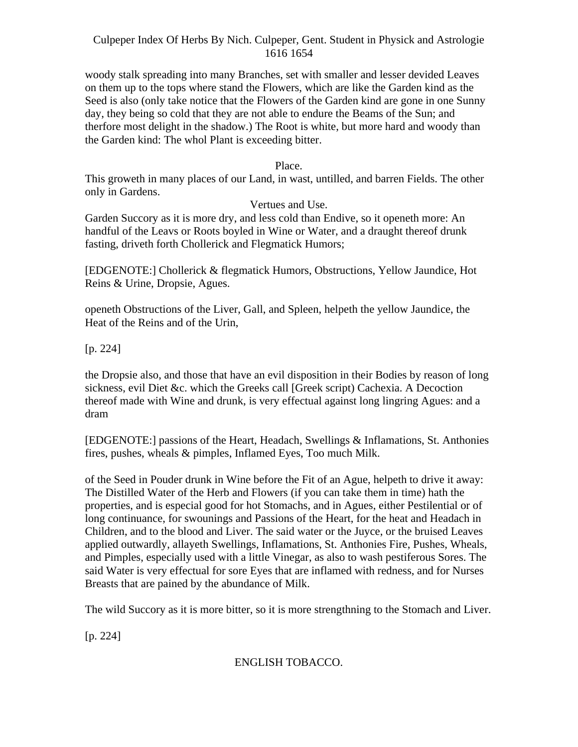woody stalk spreading into many Branches, set with smaller and lesser devided Leaves on them up to the tops where stand the Flowers, which are like the Garden kind as the Seed is also (only take notice that the Flowers of the Garden kind are gone in one Sunny day, they being so cold that they are not able to endure the Beams of the Sun; and therfore most delight in the shadow.) The Root is white, but more hard and woody than the Garden kind: The whol Plant is exceeding bitter.

#### Place.

This groweth in many places of our Land, in wast, untilled, and barren Fields. The other only in Gardens.

#### Vertues and Use.

Garden Succory as it is more dry, and less cold than Endive, so it openeth more: An handful of the Leavs or Roots boyled in Wine or Water, and a draught thereof drunk fasting, driveth forth Chollerick and Flegmatick Humors;

[EDGENOTE:] Chollerick & flegmatick Humors, Obstructions, Yellow Jaundice, Hot Reins & Urine, Dropsie, Agues.

openeth Obstructions of the Liver, Gall, and Spleen, helpeth the yellow Jaundice, the Heat of the Reins and of the Urin,

[p. 224]

the Dropsie also, and those that have an evil disposition in their Bodies by reason of long sickness, evil Diet &c. which the Greeks call [Greek script) Cachexia. A Decoction thereof made with Wine and drunk, is very effectual against long lingring Agues: and a dram

[EDGENOTE:] passions of the Heart, Headach, Swellings & Inflamations, St. Anthonies fires, pushes, wheals & pimples, Inflamed Eyes, Too much Milk.

of the Seed in Pouder drunk in Wine before the Fit of an Ague, helpeth to drive it away: The Distilled Water of the Herb and Flowers (if you can take them in time) hath the properties, and is especial good for hot Stomachs, and in Agues, either Pestilential or of long continuance, for swounings and Passions of the Heart, for the heat and Headach in Children, and to the blood and Liver. The said water or the Juyce, or the bruised Leaves applied outwardly, allayeth Swellings, Inflamations, St. Anthonies Fire, Pushes, Wheals, and Pimples, especially used with a little Vinegar, as also to wash pestiferous Sores. The said Water is very effectual for sore Eyes that are inflamed with redness, and for Nurses Breasts that are pained by the abundance of Milk.

The wild Succory as it is more bitter, so it is more strengthning to the Stomach and Liver.

[p. 224]

ENGLISH TOBACCO.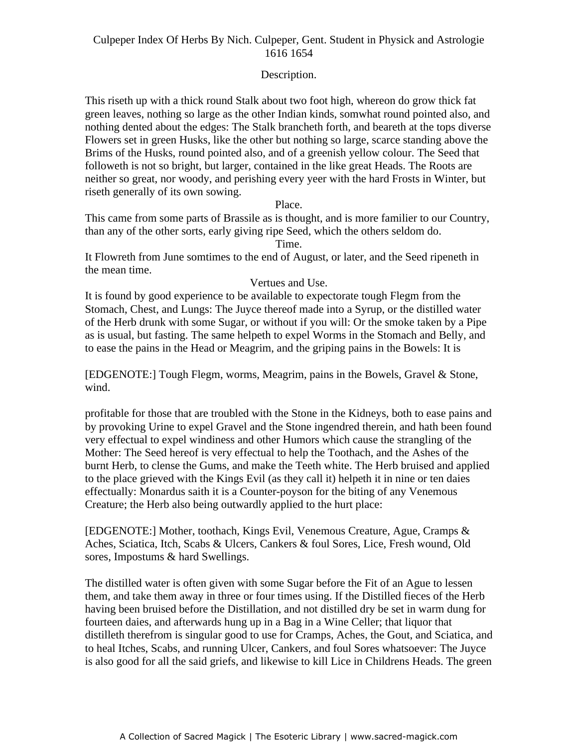# Description.

This riseth up with a thick round Stalk about two foot high, whereon do grow thick fat green leaves, nothing so large as the other Indian kinds, somwhat round pointed also, and nothing dented about the edges: The Stalk brancheth forth, and beareth at the tops diverse Flowers set in green Husks, like the other but nothing so large, scarce standing above the Brims of the Husks, round pointed also, and of a greenish yellow colour. The Seed that followeth is not so bright, but larger, contained in the like great Heads. The Roots are neither so great, nor woody, and perishing every yeer with the hard Frosts in Winter, but riseth generally of its own sowing.

#### Place.

This came from some parts of Brassile as is thought, and is more familier to our Country, than any of the other sorts, early giving ripe Seed, which the others seldom do.

Time.

It Flowreth from June somtimes to the end of August, or later, and the Seed ripeneth in the mean time.

#### Vertues and Use.

It is found by good experience to be available to expectorate tough Flegm from the Stomach, Chest, and Lungs: The Juyce thereof made into a Syrup, or the distilled water of the Herb drunk with some Sugar, or without if you will: Or the smoke taken by a Pipe as is usual, but fasting. The same helpeth to expel Worms in the Stomach and Belly, and to ease the pains in the Head or Meagrim, and the griping pains in the Bowels: It is

[EDGENOTE:] Tough Flegm, worms, Meagrim, pains in the Bowels, Gravel & Stone, wind.

profitable for those that are troubled with the Stone in the Kidneys, both to ease pains and by provoking Urine to expel Gravel and the Stone ingendred therein, and hath been found very effectual to expel windiness and other Humors which cause the strangling of the Mother: The Seed hereof is very effectual to help the Toothach, and the Ashes of the burnt Herb, to clense the Gums, and make the Teeth white. The Herb bruised and applied to the place grieved with the Kings Evil (as they call it) helpeth it in nine or ten daies effectually: Monardus saith it is a Counter-poyson for the biting of any Venemous Creature; the Herb also being outwardly applied to the hurt place:

[EDGENOTE:] Mother, toothach, Kings Evil, Venemous Creature, Ague, Cramps & Aches, Sciatica, Itch, Scabs & Ulcers, Cankers & foul Sores, Lice, Fresh wound, Old sores, Impostums & hard Swellings.

The distilled water is often given with some Sugar before the Fit of an Ague to lessen them, and take them away in three or four times using. If the Distilled fieces of the Herb having been bruised before the Distillation, and not distilled dry be set in warm dung for fourteen daies, and afterwards hung up in a Bag in a Wine Celler; that liquor that distilleth therefrom is singular good to use for Cramps, Aches, the Gout, and Sciatica, and to heal Itches, Scabs, and running Ulcer, Cankers, and foul Sores whatsoever: The Juyce is also good for all the said griefs, and likewise to kill Lice in Childrens Heads. The green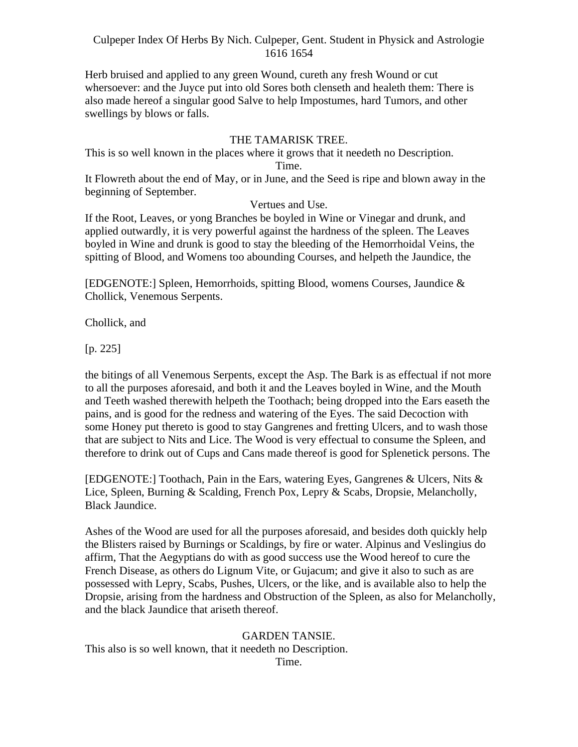Herb bruised and applied to any green Wound, cureth any fresh Wound or cut whersoever: and the Juyce put into old Sores both clenseth and healeth them: There is also made hereof a singular good Salve to help Impostumes, hard Tumors, and other swellings by blows or falls.

# THE TAMARISK TREE.

This is so well known in the places where it grows that it needeth no Description.

#### Time.

It Flowreth about the end of May, or in June, and the Seed is ripe and blown away in the beginning of September.

## Vertues and Use.

If the Root, Leaves, or yong Branches be boyled in Wine or Vinegar and drunk, and applied outwardly, it is very powerful against the hardness of the spleen. The Leaves boyled in Wine and drunk is good to stay the bleeding of the Hemorrhoidal Veins, the spitting of Blood, and Womens too abounding Courses, and helpeth the Jaundice, the

[EDGENOTE:] Spleen, Hemorrhoids, spitting Blood, womens Courses, Jaundice & Chollick, Venemous Serpents.

Chollick, and

[p. 225]

the bitings of all Venemous Serpents, except the Asp. The Bark is as effectual if not more to all the purposes aforesaid, and both it and the Leaves boyled in Wine, and the Mouth and Teeth washed therewith helpeth the Toothach; being dropped into the Ears easeth the pains, and is good for the redness and watering of the Eyes. The said Decoction with some Honey put thereto is good to stay Gangrenes and fretting Ulcers, and to wash those that are subject to Nits and Lice. The Wood is very effectual to consume the Spleen, and therefore to drink out of Cups and Cans made thereof is good for Splenetick persons. The

[EDGENOTE:] Toothach, Pain in the Ears, watering Eyes, Gangrenes & Ulcers, Nits & Lice, Spleen, Burning & Scalding, French Pox, Lepry & Scabs, Dropsie, Melancholly, Black Jaundice.

Ashes of the Wood are used for all the purposes aforesaid, and besides doth quickly help the Blisters raised by Burnings or Scaldings, by fire or water. Alpinus and Veslingius do affirm, That the Aegyptians do with as good success use the Wood hereof to cure the French Disease, as others do Lignum Vite, or Gujacum; and give it also to such as are possessed with Lepry, Scabs, Pushes, Ulcers, or the like, and is available also to help the Dropsie, arising from the hardness and Obstruction of the Spleen, as also for Melancholly, and the black Jaundice that ariseth thereof.

#### GARDEN TANSIE.

This also is so well known, that it needeth no Description.

Time.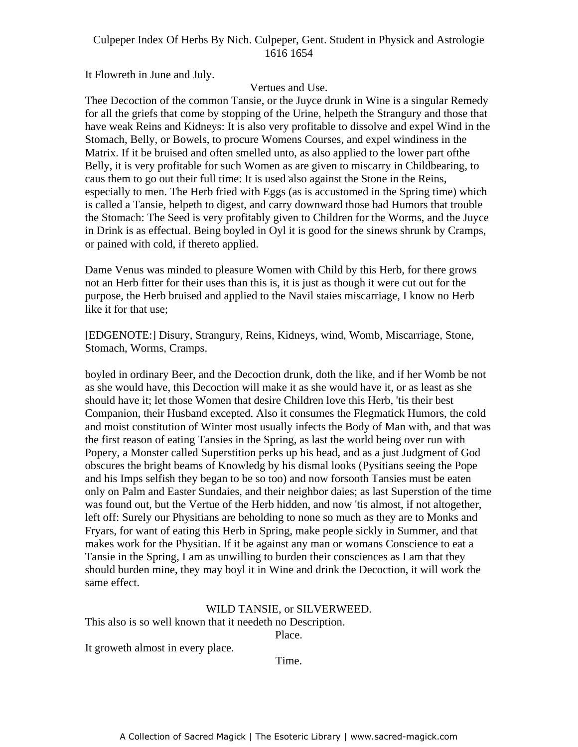It Flowreth in June and July.

# Vertues and Use.

Thee Decoction of the common Tansie, or the Juyce drunk in Wine is a singular Remedy for all the griefs that come by stopping of the Urine, helpeth the Strangury and those that have weak Reins and Kidneys: It is also very profitable to dissolve and expel Wind in the Stomach, Belly, or Bowels, to procure Womens Courses, and expel windiness in the Matrix. If it be bruised and often smelled unto, as also applied to the lower part ofthe Belly, it is very profitable for such Women as are given to miscarry in Childbearing, to Eventy, it is very promised for such women as are given to inisearly in emilesting, to caus them to go out their full time: It is used also against the Stone in the Reins, especially to men. The Herb fried with Eggs (as is accustomed in the Spring time) which is called a Tansie, helpeth to digest, and carry downward those bad Humors that trouble the Stomach: The Seed is very profitably given to Children for the Worms, and the Juyce in Drink is as effectual. Being boyled in Oyl it is good for the sinews shrunk by Cramps, or pained with cold, if thereto applied.

Dame Venus was minded to pleasure Women with Child by this Herb, for there grows not an Herb fitter for their uses than this is, it is just as though it were cut out for the purpose, the Herb bruised and applied to the Navil staies miscarriage, I know no Herb like it for that use;

[EDGENOTE:] Disury, Strangury, Reins, Kidneys, wind, Womb, Miscarriage, Stone, Stomach, Worms, Cramps.

boyled in ordinary Beer, and the Decoction drunk, doth the like, and if her Womb be not as she would have, this Decoction will make it as she would have it, or as least as she should have it; let those Women that desire Children love this Herb, 'tis their best Companion, their Husband excepted. Also it consumes the Flegmatick Humors, the cold and moist constitution of Winter most usually infects the Body of Man with, and that was the first reason of eating Tansies in the Spring, as last the world being over run with Popery, a Monster called Superstition perks up his head, and as a just Judgment of God obscures the bright beams of Knowledg by his dismal looks (Pysitians seeing the Pope and his Imps selfish they began to be so too) and now forsooth Tansies must be eaten only on Palm and Easter Sundaies, and their neighbor daies; as last Superstion of the time was found out, but the Vertue of the Herb hidden, and now 'tis almost, if not altogether, left off: Surely our Physitians are beholding to none so much as they are to Monks and Fryars, for want of eating this Herb in Spring, make people sickly in Summer, and that makes work for the Physitian. If it be against any man or womans Conscience to eat a Tansie in the Spring, I am as unwilling to burden their consciences as I am that they should burden mine, they may boyl it in Wine and drink the Decoction, it will work the same effect.

# WILD TANSIE, or SILVERWEED.

This also is so well known that it needeth no Description.

Place.

It groweth almost in every place.

Time.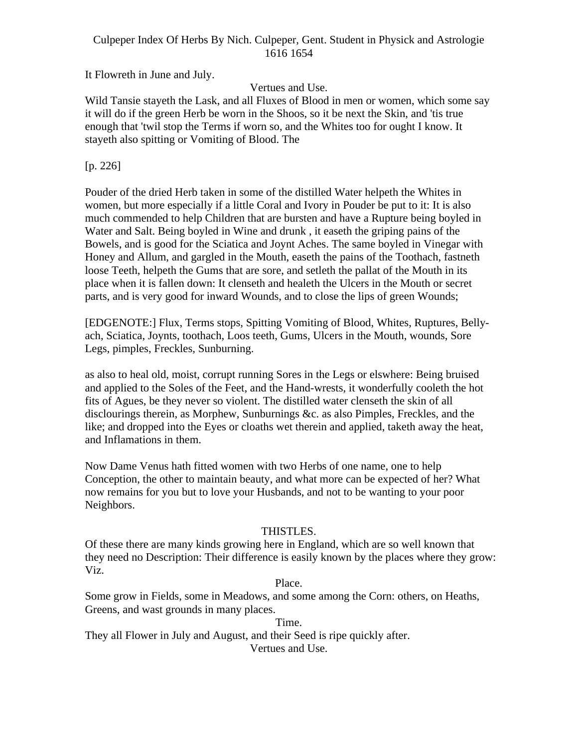It Flowreth in June and July.

Vertues and Use.

Wild Tansie stayeth the Lask, and all Fluxes of Blood in men or women, which some say it will do if the green Herb be worn in the Shoos, so it be next the Skin, and 'tis true enough that 'twil stop the Terms if worn so, and the Whites too for ought I know. It stayeth also spitting or Vomiting of Blood. The

[p. 226]

Pouder of the dried Herb taken in some of the distilled Water helpeth the Whites in women, but more especially if a little Coral and Ivory in Pouder be put to it: It is also much commended to help Children that are bursten and have a Rupture being boyled in Water and Salt. Being boyled in Wine and drunk , it easeth the griping pains of the Bowels, and is good for the Sciatica and Joynt Aches. The same boyled in Vinegar with Honey and Allum, and gargled in the Mouth, easeth the pains of the Toothach, fastneth loose Teeth, helpeth the Gums that are sore, and setleth the pallat of the Mouth in its place when it is fallen down: It clenseth and healeth the Ulcers in the Mouth or secret parts, and is very good for inward Wounds, and to close the lips of green Wounds;

[EDGENOTE:] Flux, Terms stops, Spitting Vomiting of Blood, Whites, Ruptures, Belly ach, Sciatica, Joynts, toothach, Loos teeth, Gums, Ulcers in the Mouth, wounds, Sore Legs, pimples, Freckles, Sunburning.

as also to heal old, moist, corrupt running Sores in the Legs or elswhere: Being bruised and applied to the Soles of the Feet, and the Hand-wrests, it wonderfully cooleth the hot fits of Agues, be they never so violent. The distilled water clenseth the skin of all disclourings therein, as Morphew, Sunburnings &c. as also Pimples, Freckles, and the like; and dropped into the Eyes or cloaths wet therein and applied, taketh away the heat, and Inflamations in them.

Now Dame Venus hath fitted women with two Herbs of one name, one to help Conception, the other to maintain beauty, and what more can be expected of her? What now remains for you but to love your Husbands, and not to be wanting to your poor Neighbors. The contract of the contract of the contract of the contract of the contract of the contract of the contract of the contract of the contract of the contract of the contract of the contract of the contract of the

# THISTLES.

Of these there are many kinds growing here in England, which are so well known that they need no Description: Their difference is easily known by the places where they grow: Viz.

# Place.

Some grow in Fields, some in Meadows, and some among the Corn: others, on Heaths, Greens, and wast grounds in many places.

Time. They all Flower in July and August, and their Seed is ripe quickly after. Vertues and Use.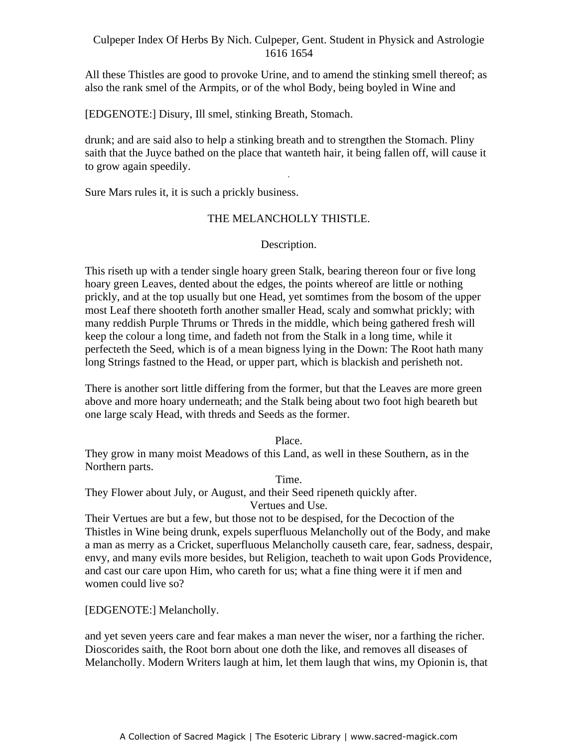All these Thistles are good to provoke Urine, and to amend the stinking smell thereof; as also the rank smel of the Armpits, or of the whol Body, being boyled in Wine and

[EDGENOTE:] Disury, Ill smel, stinking Breath, Stomach.

drunk; and are said also to help a stinking breath and to strengthen the Stomach. Pliny saith that the Juyce bathed on the place that wanteth hair, it being fallen off, will cause it to grow again speedily. -

Sure Mars rules it, it is such a prickly business.

# THE MELANCHOLLY THISTLE.

# Description.

This riseth up with a tender single hoary green Stalk, bearing thereon four or five long hoary green Leaves, dented about the edges, the points whereof are little or nothing prickly, and at the top usually but one Head, yet somtimes from the bosom of the upper most Leaf there shooteth forth another smaller Head, scaly and somwhat prickly; with many reddish Purple Thrums or Threds in the middle, which being gathered fresh will keep the colour a long time, and fadeth not from the Stalk in a long time, while it perfecteth the Seed, which is of a mean bigness lying in the Down: The Root hath many long Strings fastned to the Head, or upper part, which is blackish and perisheth not.

There is another sort little differing from the former, but that the Leaves are more green above and more hoary underneath; and the Stalk being about two foot high beareth but one large scaly Head, with threds and Seeds as the former.

Place.

They grow in many moist Meadows of this Land, as well in these Southern, as in the Northern parts.

Time.

They Flower about July, or August, and their Seed ripeneth quickly after.

Vertues and Use.

Their Vertues are but a few, but those not to be despised, for the Decoction of the Thistles in Wine being drunk, expels superfluous Melancholly out of the Body, and make a man as merry as a Cricket, superfluous Melancholly causeth care, fear, sadness, despair, envy, and many evils more besides, but Religion, teacheth to wait upon Gods Providence, and cast our care upon Him, who careth for us; what a fine thing were it if men and women could live so?

[EDGENOTE:] Melancholly.

and yet seven yeers care and fear makes a man never the wiser, nor a farthing the richer. Dioscorides saith, the Root born about one doth the like, and removes all diseases of Melancholly. Modern Writers laugh at him, let them laugh that wins, my Opionin is, that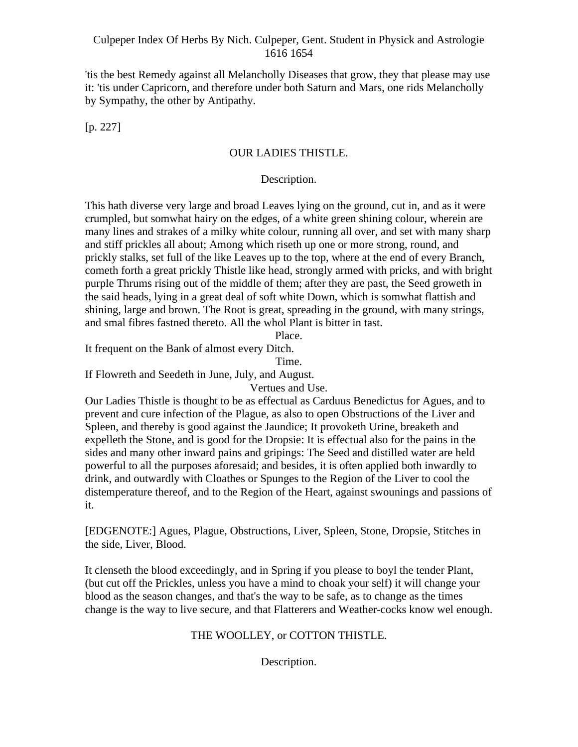'tis the best Remedy against all Melancholly Diseases that grow, they that please may use it: 'tis under Capricorn, and therefore under both Saturn and Mars, one rids Melancholly by Sympathy, the other by Antipathy.

 $[p. 227]$ 

# OUR LADIES THISTLE.

# Description.

This hath diverse very large and broad Leaves lying on the ground, cut in, and as it were crumpled, but somwhat hairy on the edges, of a white green shining colour, wherein are many lines and strakes of a milky white colour, running all over, and set with many sharp and stiff prickles all about; Among which riseth up one or more strong, round, and prickly stalks, set full of the like Leaves up to the top, where at the end of every Branch, cometh forth a great prickly Thistle like head, strongly armed with pricks, and with bright purple Thrums rising out of the middle of them; after they are past, the Seed groweth in the said heads, lying in a great deal of soft white Down, which is somwhat flattish and shining, large and brown. The Root is great, spreading in the ground, with many strings, and smal fibres fastned thereto. All the whol Plant is bitter in tast.

Place.

It frequent on the Bank of almost every Ditch.

Time.

If Flowreth and Seedeth in June, July, and August.

Vertues and Use.

Our Ladies Thistle is thought to be as effectual as Carduus Benedictus for Agues, and to prevent and cure infection of the Plague, as also to open Obstructions of the Liver and Spleen, and thereby is good against the Jaundice; It provoketh Urine, breaketh and expelleth the Stone, and is good for the Dropsie: It is effectual also for the pains in the sides and many other inward pains and gripings: The Seed and distilled water are held powerful to all the purposes aforesaid; and besides, it is often applied both inwardly to drink, and outwardly with Cloathes or Spunges to the Region of the Liver to cool the distemperature thereof, and to the Region of the Heart, against swounings and passions of it.

[EDGENOTE:] Agues, Plague, Obstructions, Liver, Spleen, Stone, Dropsie, Stitches in the side, Liver, Blood.

It clenseth the blood exceedingly, and in Spring if you please to boyl the tender Plant, (but cut off the Prickles, unless you have a mind to choak your self) it will change your blood as the season changes, and that's the way to be safe, as to change as the times change is the way to live secure, and that Flatterers and Weather-cocks know wel enough.

# THE WOOLLEY, or COTTON THISTLE.

Description.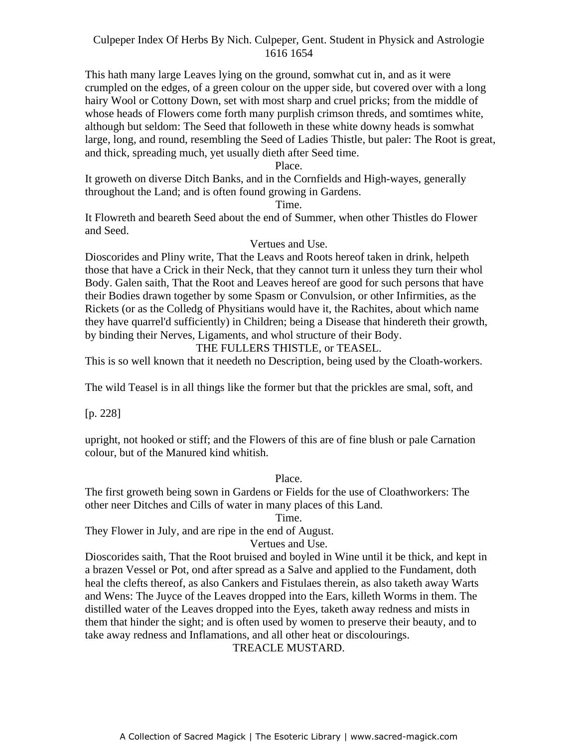This hath many large Leaves lying on the ground, somwhat cut in, and as it were crumpled on the edges, of a green colour on the upper side, but covered over with a long hairy Wool or Cottony Down, set with most sharp and cruel pricks; from the middle of whose heads of Flowers come forth many purplish crimson threds, and somtimes white, although but seldom: The Seed that followeth in these white downy heads is somwhat large, long, and round, resembling the Seed of Ladies Thistle, but paler: The Root is great, and thick, spreading much, yet usually dieth after Seed time.

#### Place.

If groweth on diverse Ditch Banks, and in the Cornfields and High-wayes, generally throughout the Land; and is often found growing in Gardens.

#### Time.

It Flowreth and beareth Seed about the end of Summer, when other Thistles do Flower and Seed.

#### Vertues and Use.

Dioscorides and Pliny write, That the Leavs and Roots hereof taken in drink, helpeth those that have a Crick in their Neck, that they cannot turn it unless they turn their whol Body. Galen saith, That the Root and Leaves hereof are good for such persons that have their Bodies drawn together by some Spasm or Convulsion, or other Infirmities, as the Rickets (or as the Colledg of Physitians would have it, the Rachites, about which name they have quarrel'd sufficiently) in Children; being a Disease that hindereth their growth, by binding their Nerves, Ligaments, and whol structure of their Body.

#### THE FULLERS THISTLE, or TEASEL.

This is so well known that it needeth no Description, being used by the Cloath-workers.

The wild Teasel is in all things like the former but that the prickles are smal, soft, and

[p. 228]

upright, not hooked or stiff; and the Flowers of this are of fine blush or pale Carnation colour, but of the Manured kind whitish.

#### Place.

The first groweth being sown in Gardens or Fields for the use of Cloathworkers: The other neer Ditches and Cills of water in many places of this Land.

#### Time.

They Flower in July, and are ripe in the end of August.

#### Vertues and Use.

Dioscorides saith, That the Root bruised and boyled in Wine until it be thick, and kept in a brazen Vessel or Pot, ond after spread as a Salve and applied to the Fundament, doth heal the clefts thereof, as also Cankers and Fistulaes therein, as also taketh away Warts and Wens: The Juyce of the Leaves dropped into the Ears, killeth Worms in them. The distilled water of the Leaves dropped into the Eyes, taketh away redness and mists in them that hinder the sight; and is often used by women to preserve their beauty, and to take away redness and Inflamations, and all other heat or discolourings.

#### TREACLE MUSTARD.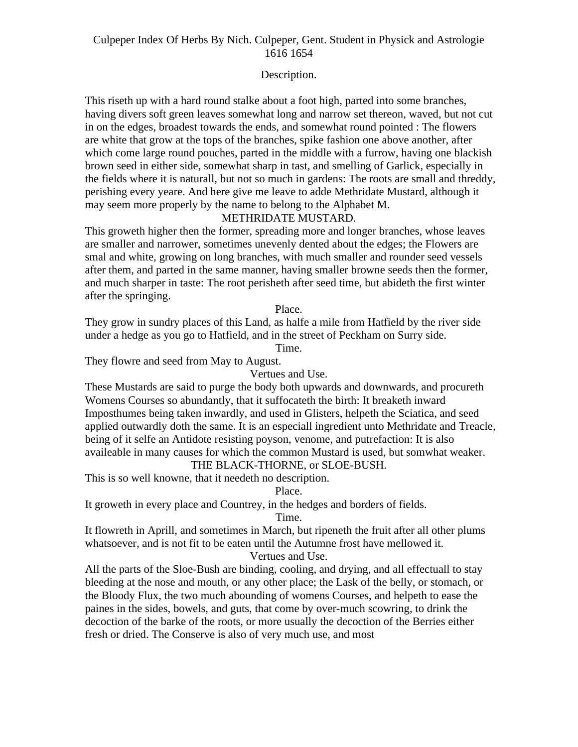# Description.

This riseth up with a hard round stalke about a foot high, parted into some branches, having divers soft green leaves somewhat long and narrow set thereon, waved, but not cut in on the edges, broadest towards the ends, and somewhat round pointed : The flowers are white that grow at the tops of the branches, spike fashion one above another, after which come large round pouches, parted in the middle with a furrow, having one blackish brown seed in either side, somewhat sharp in tast, and smelling of Garlick, especially in the fields where it is naturall, but not so much in gardens: The roots are small and threddy, perishing every yeare. And here give me leave to adde Methridate Mustard, although it may seem more properly by the name to belong to the Alphabet M.

# METHRIDATE MUSTARD.

This groweth higher then the former, spreading more and longer branches, whose leaves are smaller and narrower, sometimes unevenly dented about the edges; the Flowers are smal and white, growing on long branches, with much smaller and rounder seed vessels after them, and parted in the same manner, having smaller browne seeds then the former, and much sharper in taste: The root perisheth after seed time, but abideth the first winter after the springing.

#### Place.

They grow in sundry places of this Land, as halfe a mile from Hatfield by the river side under a hedge as you go to Hatfield, and in the street of Peckham on Surry side.

Time.

They flowre and seed from May to August.

Vertues and Use.

These Mustards are said to purge the body both upwards and downwards, and procureth Womens Courses so abundantly, that it suffocateth the birth: It breaketh inward Imposthumes being taken inwardly, and used in Glisters, helpeth the Sciatica, and seed applied outwardly doth the same. It is an especiall ingredient unto Methridate and Treacle, being of it selfe an Antidote resisting poyson, venome, and putrefaction: It is also availeable in many causes for which the common Mustard is used, but somwhat weaker. THE BLACK-THORNE, or SLOE-BUSH.

This is so well knowne, that it needeth no description.

Place.

It groweth in every place and Countrey, in the hedges and borders of fields.

Time.

It flowreth in Aprill, and sometimes in March, but ripeneth the fruit after all other plums whatsoever, and is not fit to be eaten until the Autumne frost have mellowed it.

Vertues and Use.

All the parts of the Sloe-Bush are binding, cooling, and drying, and all effectuall to stay bleeding at the nose and mouth, or any other place; the Lask of the belly, or stomach, or the Bloody Flux, the two much abounding of womens Courses, and helpeth to ease the paines in the sides, bowels, and guts, that come by over-much scowring, to drink the decoction of the barke of the roots, or more usually the decoction of the Berries either fresh or dried. The Conserve is also of very much use, and most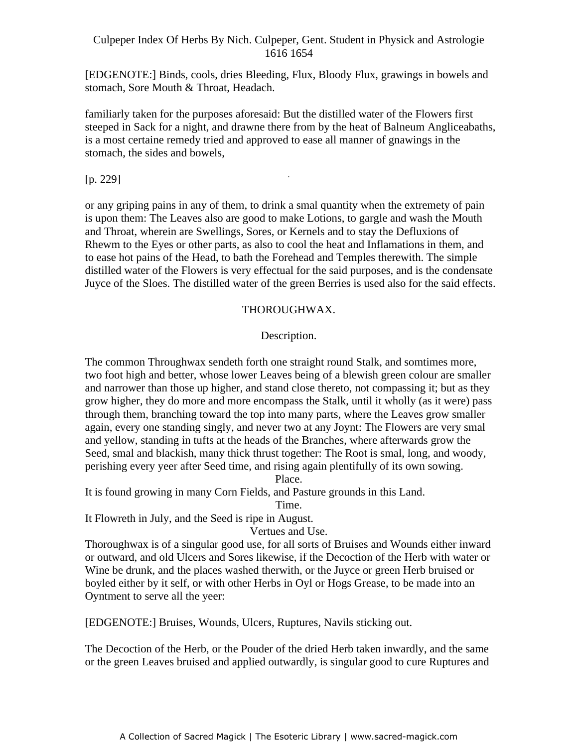[EDGENOTE:] Binds, cools, dries Bleeding, Flux, Bloody Flux, grawings in bowels and stomach, Sore Mouth & Throat, Headach.

familiarly taken for the purposes aforesaid: But the distilled water of the Flowers first steeped in Sack for a night, and drawne there from by the heat of Balneum Angliceabaths, is a most certaine remedy tried and approved to ease all manner of gnawings in the stomach, the sides and bowels,

-

[p. 229]

or any griping pains in any of them, to drink a smal quantity when the extremety of pain is upon them: The Leaves also are good to make Lotions, to gargle and wash the Mouth and Throat, wherein are Swellings, Sores, or Kernels and to stay the Defluxions of Rhewm to the Eyes or other parts, as also to cool the heat and Inflamations in them, and to ease hot pains of the Head, to bath the Forehead and Temples therewith. The simple distilled water of the Flowers is very effectual for the said purposes, and is the condensate Juyce of the Sloes. The distilled water of the green Berries is used also for the said effects.

# THOROUGHWAX.

# Description.

The common Throughwax sendeth forth one straight round Stalk, and somtimes more, two foot high and better, whose lower Leaves being of a blewish green colour are smaller and narrower than those up higher, and stand close thereto, not compassing it; but as they grow higher, they do more and more encompass the Stalk, until it wholly (as it were) pass through them, branching toward the top into many parts, where the Leaves grow smaller again, every one standing singly, and never two at any Joynt: The Flowers are very smal and yellow, standing in tufts at the heads of the Branches, where afterwards grow the Seed, smal and blackish, many thick thrust together: The Root is smal, long, and woody, perishing every yeer after Seed time, and rising again plentifully of its own sowing.

Place.

It is found growing in many Corn Fields, and Pasture grounds in this Land.

Time.

It Flowreth in July, and the Seed is ripe in August.

Vertues and Use.

Thoroughwax is of a singular good use, for all sorts of Bruises and Wounds either inward or outward, and old Ulcers and Sores likewise, if the Decoction of the Herb with water or Wine be drunk, and the places washed therwith, or the Juyce or green Herb bruised or boyled either by it self, or with other Herbs in Oyl or Hogs Grease, to be made into an Oyntment to serve all the yeer:

[EDGENOTE:] Bruises, Wounds, Ulcers, Ruptures, Navils sticking out.

The Decoction of the Herb, or the Pouder of the dried Herb taken inwardly, and the same or the green Leaves bruised and applied outwardly, is singular good to cure Ruptures and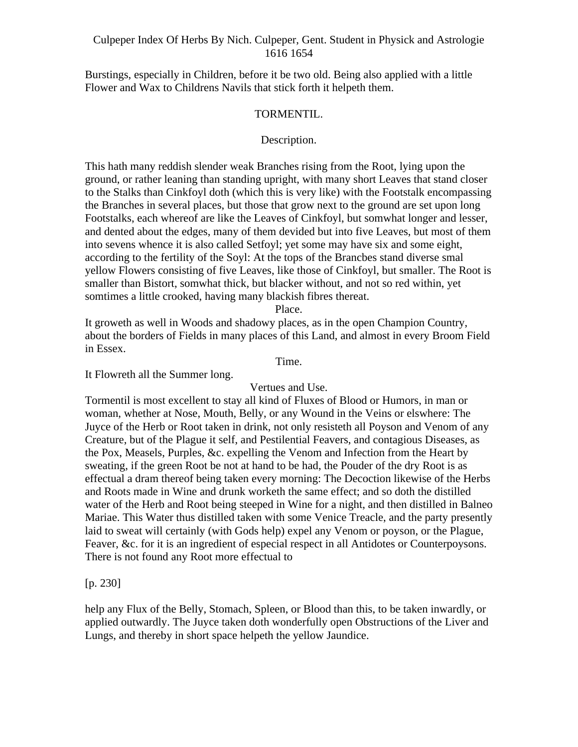Burstings, especially in Children, before it be two old. Being also applied with a little Flower and Wax to Childrens Navils that stick forth it helpeth them.

#### TORMENTIL.

#### Description.

This hath many reddish slender weak Branches rising from the Root, lying upon the ground, or rather leaning than standing upright, with many short Leaves that stand closer to the Stalks than Cinkfoyl doth (which this is very like) with the Footstalk encompassing the Branches in several places, but those that grow next to the ground are set upon long Footstalks, each whereof are like the Leaves of Cinkfoyl, but somwhat longer and lesser, and dented about the edges, many of them devided but into five Leaves, but most of them into sevens whence it is also called Setfoyl; yet some may have six and some eight, according to the fertility of the Soyl: At the tops of the Brancbes stand diverse smal yellow Flowers consisting of five Leaves, like those of Cinkfoyl, but smaller. The Root is smaller than Bistort, somwhat thick, but blacker without, and not so red within, yet somtimes a little crooked, having many blackish fibres thereat.

Place.

It groweth as well in Woods and shadowy places, as in the open Champion Country, about the borders of Fields in many places of this Land, and almost in every Broom Field in Essex.

Time.

It Flowreth all the Summer long.

#### Vertues and Use.

Tormentil is most excellent to stay all kind of Fluxes of Blood or Humors, in man or woman, whether at Nose, Mouth, Belly, or any Wound in the Veins or elswhere: The Juyce of the Herb or Root taken in drink, not only resisteth all Poyson and Venom of any Creature, but of the Plague it self, and Pestilential Feavers, and contagious Diseases, as the Pox, Measels, Purples, &c. expelling the Venom and Infection from the Heart by sweating, if the green Root be not at hand to be had, the Pouder of the dry Root is as effectual a dram thereof being taken every morning: The Decoction likewise of the Herbs and Roots made in Wine and drunk worketh the same effect; and so doth the distilled water of the Herb and Root being steeped in Wine for a night, and then distilled in Balneo Mariae. This Water thus distilled taken with some Venice Treacle, and the party presently laid to sweat will certainly (with Gods help) expel any Venom or poyson, or the Plague, Feaver, &c. for it is an ingredient of especial respect in all Antidotes or Counterpoysons. There is not found any Root more effectual to

#### $[p. 230]$

help any Flux of the Belly, Stomach, Spleen, or Blood than this, to be taken inwardly, or applied outwardly. The Juyce taken doth wonderfully open Obstructions of the Liver and Lungs, and thereby in short space helpeth the yellow Jaundice.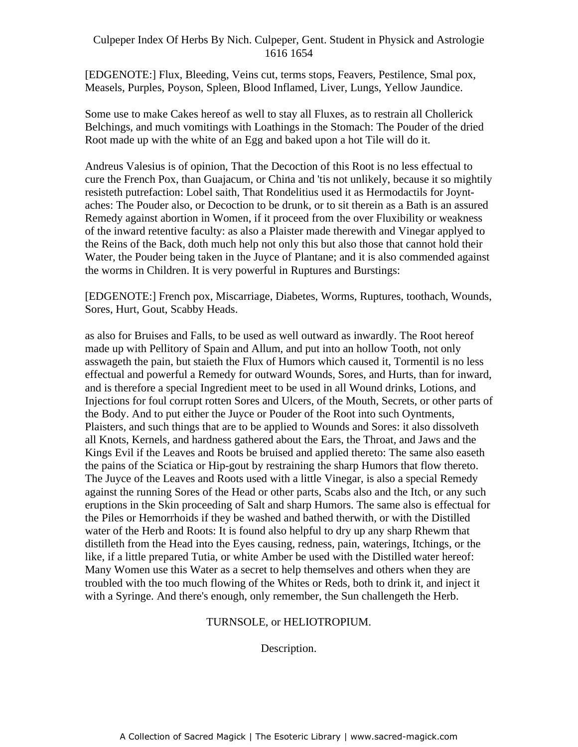[EDGENOTE:] Flux, Bleeding, Veins cut, terms stops, Feavers, Pestilence, Smal pox, Measels, Purples, Poyson, Spleen, Blood Inflamed, Liver, Lungs, Yellow Jaundice.

Some use to make Cakes hereof as well to stay all Fluxes, as to restrain all Chollerick Belchings, and much vomitings with Loathings in the Stomach: The Pouder of the dried Root made up with the white of an Egg and baked upon a hot Tile will do it.

Andreus Valesius is of opinion, That the Decoction of this Root is no less effectual to Final Case of the French Pox, than Guajacum, or China and 'tis not unlikely, because it so mightily resisteth putrefaction: Lobel saith, That Rondelitius used it as Hermodactils for Joynt aches: The Pouder also, or Decoction to be drunk, or to sit therein as a Bath is an assured Remedy against abortion in Women, if it proceed from the over Fluxibility or weakness of the inward retentive faculty: as also a Plaister made therewith and Vinegar applyed to the Reins of the Back, doth much help not only this but also those that cannot hold their Water, the Pouder being taken in the Juyce of Plantane; and it is also commended against the worms in Children. It is very powerful in Ruptures and Burstings:

[EDGENOTE:] French pox, Miscarriage, Diabetes, Worms, Ruptures, toothach, Wounds, Sores, Hurt, Gout, Scabby Heads.

as also for Bruises and Falls, to be used as well outward as inwardly. The Root hereof made up with Pellitory of Spain and Allum, and put into an hollow Tooth, not only asswageth the pain, but staieth the Flux of Humors which caused it, Tormentil is no less effectual and powerful a Remedy for outward Wounds, Sores, and Hurts, than for inward, and is therefore a special Ingredient meet to be used in all Wound drinks, Lotions, and Injections for foul corrupt rotten Sores and Ulcers, of the Mouth, Secrets, or other parts of the Body. And to put either the Juyce or Pouder of the Root into such Oyntments, Plaisters, and such things that are to be applied to Wounds and Sores: it also dissolveth all Knots, Kernels, and hardness gathered about the Ears, the Throat, and Jaws and the Kings Evil if the Leaves and Roots be bruised and applied thereto: The same also easeth the pains of the Sciatica or Hip-gout by restraining the sharp Humors that flow thereto. The Juyce of the Leaves and Roots used with a little Vinegar, is also a special Remedy against the running Sores of the Head or other parts, Scabs also and the Itch, or any such eruptions in the Skin proceeding of Salt and sharp Humors. The same also is effectual for the Piles or Hemorrhoids if they be washed and bathed therwith, or with the Distilled water of the Herb and Roots: It is found also helpful to dry up any sharp Rhewm that distilleth from the Head into the Eyes causing, redness, pain, waterings, Itchings, or the like, if a little prepared Tutia, or white Amber be used with the Distilled water hereof: Many Women use this Water as a secret to help themselves and others when they are troubled with the too much flowing of the Whites or Reds, both to drink it, and inject it with a Syringe. And there's enough, only remember, the Sun challengeth the Herb.

# TURNSOLE, or HELIOTROPIUM.

Description.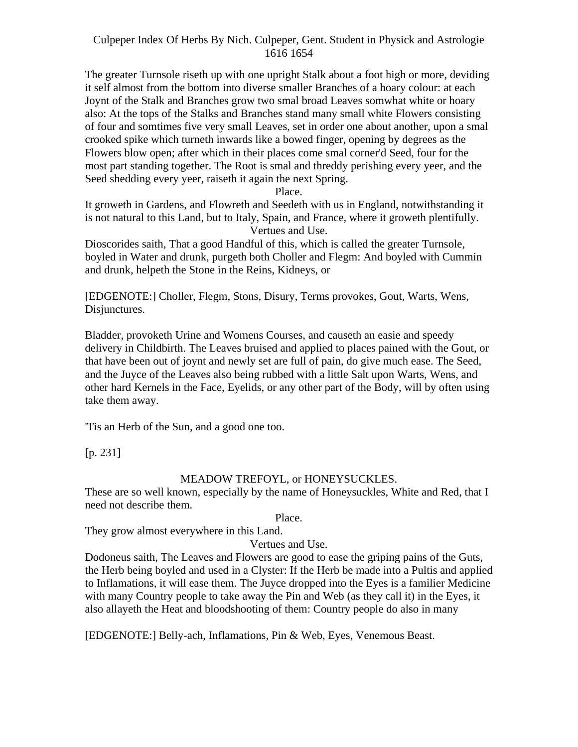The greater Turnsole riseth up with one upright Stalk about a foot high or more, deviding it self almost from the bottom into diverse smaller Branches of a hoary colour: at each Joynt of the Stalk and Branches grow two smal broad Leaves somwhat white or hoary also: At the tops of the Stalks and Branches stand many small white Flowers consisting of four and somtimes five very small Leaves, set in order one about another, upon a smal crooked spike which turneth inwards like a bowed finger, opening by degrees as the Flowers blow open; after which in their places come smal corner'd Seed, four for the most part standing together. The Root is smal and threddy perishing every yeer, and the Seed shedding every yeer, raiseth it again the next Spring.

Place.

It groweth in Gardens, and Flowreth and Seedeth with us in England, notwithstanding it is not natural to this Land, but to Italy, Spain, and France, where it groweth plentifully. Vertues and Use.

Dioscorides saith, That a good Handful of this, which is called the greater Turnsole, boyled in Water and drunk, purgeth both Choller and Flegm: And boyled with Cummin and drunk, helpeth the Stone in the Reins, Kidneys, or

[EDGENOTE:] Choller, Flegm, Stons, Disury, Terms provokes, Gout, Warts, Wens, Disjunctures.

Bladder, provoketh Urine and Womens Courses, and causeth an easie and speedy delivery in Childbirth. The Leaves bruised and applied to places pained with the Gout, or that have been out of joynt and newly set are full of pain, do give much ease. The Seed, and the Juyce of the Leaves also being rubbed with a little Salt upon Warts, Wens, and other hard Kernels in the Face, Eyelids, or any other part of the Body, will by often using take them away.

'Tis an Herb of the Sun, and a good one too.

[p. 231]

# MEADOW TREFOYL, or HONEYSUCKLES.

These are so well known, especially by the name of Honeysuckles, White and Red, that I need not describe them.

Place.

They grow almost everywhere in this Land.

Vertues and Use.

Dodoneus saith, The Leaves and Flowers are good to ease the griping pains of the Guts, the Herb being boyled and used in a Clyster: If the Herb be made into a Pultis and applied to Inflamations, it will ease them. The Juyce dropped into the Eyes is a familier Medicine with many Country people to take away the Pin and Web (as they call it) in the Eyes, it also allayeth the Heat and bloodshooting of them: Country people do also in many

[EDGENOTE:] Belly-ach, Inflamations, Pin & Web, Eyes, Venemous Beast.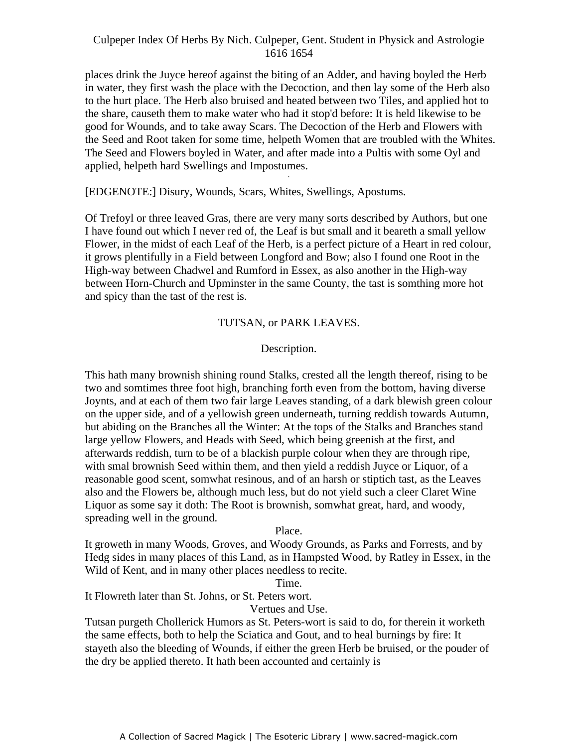places drink the Juyce hereof against the biting of an Adder, and having boyled the Herb in water, they first wash the place with the Decoction, and then lay some of the Herb also to the hurt place. The Herb also bruised and heated between two Tiles, and applied hot to the share, causeth them to make water who had it stop'd before: It is held likewise to be good for Wounds, and to take away Scars. The Decoction of the Herb and Flowers with the Seed and Root taken for some time, helpeth Women that are troubled with the Whites. The Seed and Flowers boyled in Water, and after made into a Pultis with some Oyl and applied, helpeth hard Swellings and Impostumes.

## [EDGENOTE:] Disury, Wounds, Scars, Whites, Swellings, Apostums.

Of Trefoyl or three leaved Gras, there are very many sorts described by Authors, but one I have found out which I never red of, the Leaf is but small and it beareth a small yellow Flower, in the midst of each Leaf of the Herb, is a perfect picture of a Heart in red colour, it grows plentifully in a Field between Longford and Bow; also I found one Root in the High-way between Chadwel and Rumford in Essex, as also another in the High-way between Horn-Church and Upminster in the same County, the tast is somthing more hot and spicy than the tast of the rest is.

# TUTSAN, or PARK LEAVES.

# Description.

This hath many brownish shining round Stalks, crested all the length thereof, rising to be two and somtimes three foot high, branching forth even from the bottom, having diverse Joynts, and at each of them two fair large Leaves standing, of a dark blewish green colour on the upper side, and of a yellowish green underneath, turning reddish towards Autumn, but abiding on the Branches all the Winter: At the tops of the Stalks and Branches stand large yellow Flowers, and Heads with Seed, which being greenish at the first, and afterwards reddish, turn to be of a blackish purple colour when they are through ripe, with smal brownish Seed within them, and then yield a reddish Juyce or Liquor, of a reasonable good scent, somwhat resinous, and of an harsh or stiptich tast, as the Leaves also and the Flowers be, although much less, but do not yield such a cleer Claret Wine Liquor as some say it doth: The Root is brownish, somwhat great, hard, and woody, spreading well in the ground.

## Place.

It groweth in many Woods, Groves, and Woody Grounds, as Parks and Forrests, and by Hedg sides in many places of this Land, as in Hampsted Wood, by Ratley in Essex, in the Wild of Kent, and in many other places needless to recite.

#### Time.

It Flowreth later than St. Johns, or St. Peters wort.

Vertues and Use.

Tutsan purgeth Chollerick Humors as St. Peters-wort is said to do, for therein it worketh the same effects, both to help the Sciatica and Gout, and to heal burnings by fire: It stayeth also the bleeding of Wounds, if either the green Herb be bruised, or the pouder of the dry be applied thereto. It hath been accounted and certainly is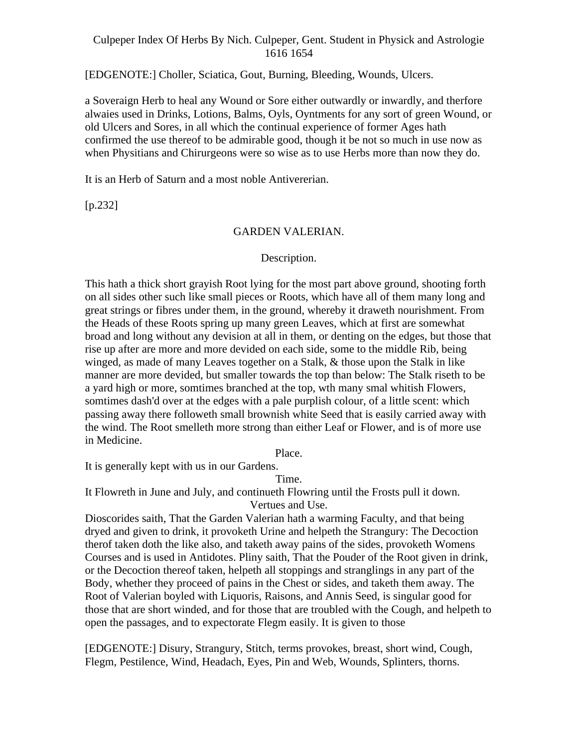[EDGENOTE:] Choller, Sciatica, Gout, Burning, Bleeding, Wounds, Ulcers.

a Soveraign Herb to heal any Wound or Sore either outwardly or inwardly, and therfore alwaies used in Drinks, Lotions, Balms, Oyls, Oyntments for any sort of green Wound, or old Ulcers and Sores, in all which the continual experience of former Ages hath confirmed the use thereof to be admirable good, though it be not so much in use now as when Physitians and Chirurgeons were so wise as to use Herbs more than now they do.

It is an Herb of Saturn and a most noble Antivererian.

[p.232]

#### GARDEN VALERIAN.

#### Description.

This hath a thick short grayish Root lying for the most part above ground, shooting forth on all sides other such like small pieces or Roots, which have all of them many long and great strings or fibres under them, in the ground, whereby it draweth nourishment. From the Heads of these Roots spring up many green Leaves, which at first are somewhat broad and long without any devision at all in them, or denting on the edges, but those that rise up after are more and more devided on each side, some to the middle Rib, being winged, as made of many Leaves together on a Stalk, & those upon the Stalk in like manner are more devided, but smaller towards the top than below: The Stalk riseth to be a yard high or more, somtimes branched at the top, wth many smal whitish Flowers, somtimes dash'd over at the edges with a pale purplish colour, of a little scent: which passing away there followeth small brownish white Seed that is easily carried away with the wind. The Root smelleth more strong than either Leaf or Flower, and is of more use in Medicine.

Place.

It is generally kept with us in our Gardens.

Time.

It Flowreth in June and July, and continueth Flowring until the Frosts pull it down. Vertues and Use.

Dioscorides saith, That the Garden Valerian hath a warming Faculty, and that being dryed and given to drink, it provoketh Urine and helpeth the Strangury: The Decoction therof taken doth the like also, and taketh away pains of the sides, provoketh Womens Courses and is used in Antidotes. Pliny saith, That the Pouder of the Root given in drink, or the Decoction thereof taken, helpeth all stoppings and stranglings in any part of the Body, whether they proceed of pains in the Chest or sides, and taketh them away. The Root of Valerian boyled with Liquoris, Raisons, and Annis Seed, is singular good for those that are short winded, and for those that are troubled with the Cough, and helpeth to open the passages, and to expectorate Flegm easily. It is given to those

[EDGENOTE:] Disury, Strangury, Stitch, terms provokes, breast, short wind, Cough, Flegm, Pestilence, Wind, Headach, Eyes, Pin and Web, Wounds, Splinters, thorns.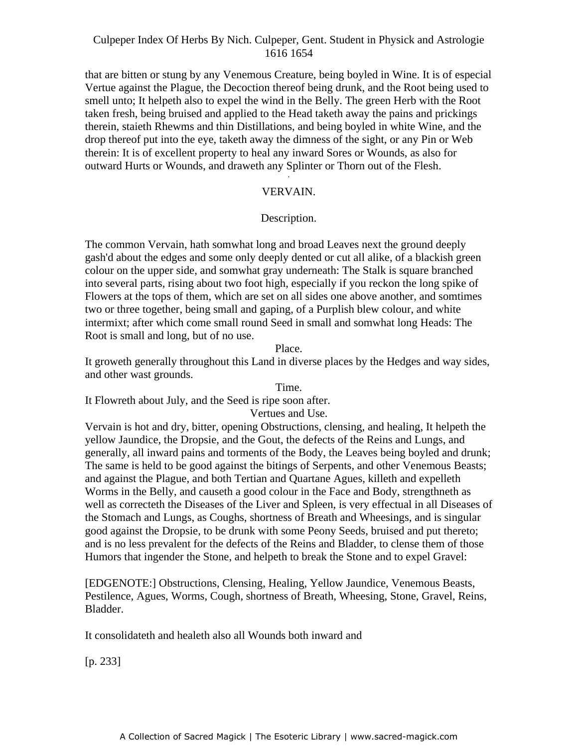that are bitten or stung by any Venemous Creature, being boyled in Wine. It is of especial Vertue against the Plague, the Decoction thereof being drunk, and the Root being used to smell unto; It helpeth also to expel the wind in the Belly. The green Herb with the Root taken fresh, being bruised and applied to the Head taketh away the pains and prickings therein, staieth Rhewms and thin Distillations, and being boyled in white Wine, and the drop thereof put into the eye, taketh away the dimness of the sight, or any Pin or Web therein: It is of excellent property to heal any inward Sores or Wounds, as also for outward Hurts or Wounds, and draweth any Splinter or Thorn out of the Flesh. -

# VERVAIN.

# Description.

The common Vervain, hath somwhat long and broad Leaves next the ground deeply gash'd about the edges and some only deeply dented or cut all alike, of a blackish green colour on the upper side, and somwhat gray underneath: The Stalk is square branched into several parts, rising about two foot high, especially if you reckon the long spike of Flowers at the tops of them, which are set on all sides one above another, and somtimes two or three together, being small and gaping, of a Purplish blew colour, and white intermixt; after which come small round Seed in small and somwhat long Heads: The Root is small and long, but of no use.

Place.

It groweth generally throughout this Land in diverse places by the Hedges and way sides, and other wast grounds.

# Time.

It Flowreth about July, and the Seed is ripe soon after.

# Vertues and Use.

Vervain is hot and dry, bitter, opening Obstructions, clensing, and healing, It helpeth the yellow Jaundice, the Dropsie, and the Gout, the defects of the Reins and Lungs, and generally, all inward pains and torments of the Body, the Leaves being boyled and drunk; The same is held to be good against the bitings of Serpents, and other Venemous Beasts; and against the Plague, and both Tertian and Quartane Agues, killeth and expelleth Worms in the Belly, and causeth a good colour in the Face and Body, strengthneth as well as correcteth the Diseases of the Liver and Spleen, is very effectual in all Diseases of the Stomach and Lungs, as Coughs, shortness of Breath and Wheesings, and is singular good against the Dropsie, to be drunk with some Peony Seeds, bruised and put thereto; and is no less prevalent for the defects of the Reins and Bladder, to clense them of those Humors that ingender the Stone, and helpeth to break the Stone and to expel Gravel:

[EDGENOTE:] Obstructions, Clensing, Healing, Yellow Jaundice, Venemous Beasts, Pestilence, Agues, Worms, Cough, shortness of Breath, Wheesing, Stone, Gravel, Reins, Bladder.

It consolidateth and healeth also all Wounds both inward and

[p. 233]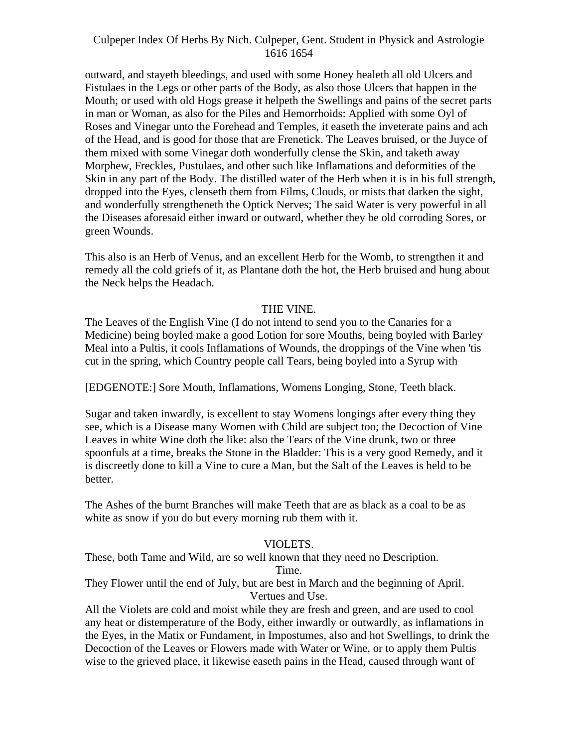outward, and stayeth bleedings, and used with some Honey healeth all old Ulcers and Fistulaes in the Legs or other parts of the Body, as also those Ulcers that happen in the Mouth; or used with old Hogs grease it helpeth the Swellings and pains of the secret parts in man or Woman, as also for the Piles and Hemorrhoids: Applied with some Oyl of Roses and Vinegar unto the Forehead and Temples, it easeth the inveterate pains and ach of the Head, and is good for those that are Frenetick. The Leaves bruised, or the Juyce of them mixed with some Vinegar doth wonderfully clense the Skin, and taketh away Morphew, Freckles, Pustulaes, and other such like Inflamations and deformities of the Skin in any part of the Body. The distilled water of the Herb when it is in his full strength, dropped into the Eyes, clenseth them from Films, Clouds, or mists that darken the sight, and wonderfully strengtheneth the Optick Nerves; The said Water is very powerful in all the Diseases aforesaid either inward or outward, whether they be old corroding Sores, or green Wounds.

This also is an Herb of Venus, and an excellent Herb for the Womb, to strengthen it and remedy all the cold griefs of it, as Plantane doth the hot, the Herb bruised and hung about the Neck helps the Headach.

# THE VINE.

The Leaves of the English Vine (I do not intend to send you to the Canaries for a Medicine) being boyled make a good Lotion for sore Mouths, being boyled with Barley Meal into a Pultis, it cools Inflamations of Wounds, the droppings of the Vine when 'tis cut in the spring, which Country people call Tears, being boyled into a Syrup with

[EDGENOTE:] Sore Mouth, Inflamations, Womens Longing, Stone, Teeth black.

Sugar and taken inwardly, is excellent to stay Womens longings after every thing they see, which is a Disease many Women with Child are subject too; the Decoction of Vine Leaves in white Wine doth the like: also the Tears of the Vine drunk, two or three spoonfuls at a time, breaks the Stone in the Bladder: This is a very good Remedy, and it is discreetly done to kill a Vine to cure a Man, but the Salt of the Leaves is held to be better.

The Ashes of the burnt Branches will make Teeth that are as black as a coal to be as white as snow if you do but every morning rub them with it.

# VIOLETS.

These, both Tame and Wild, are so well known that they need no Description. Time.

They Flower until the end of July, but are best in March and the beginning of April. Vertues and Use.

All the Violets are cold and moist while they are fresh and green, and are used to cool any heat or distemperature of the Body, either inwardly or outwardly, as inflamations in the Eyes, in the Matix or Fundament, in Impostumes, also and hot Swellings, to drink the Decoction of the Leaves or Flowers made with Water or Wine, or to apply them Pultis wise to the grieved place, it likewise easeth pains in the Head, caused through want of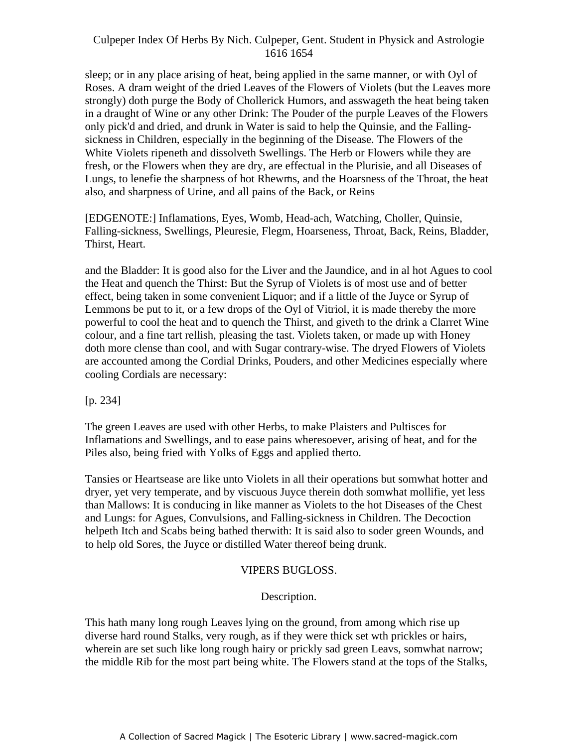sleep; or in any place arising of heat, being applied in the same manner, or with Oyl of Roses. A dram weight of the dried Leaves of the Flowers of Violets (but the Leaves more strongly) doth purge the Body of Chollerick Humors, and asswageth the heat being taken in a draught of Wine or any other Drink: The Pouder of the purple Leaves of the Flowers only pick'd and dried, and drunk in Water is said to help the Quinsie, and the Falling sickness in Children, especially in the beginning of the Disease. The Flowers of the White Violets ripeneth and dissolveth Swellings. The Herb or Flowers while they are fresh, or the Flowers when they are dry, are effectual in the Plurisie, and all Diseases of Lungs, to lenefie the sharpness of hot Rhewms, and the Hoarsness of the Throat, the heat also, and sharpness of Urine, and all pains of the Back, or Reins

[EDGENOTE:] Inflamations, Eyes, Womb, Head-ach, Watching, Choller, Quinsie, Falling-sickness, Swellings, Pleuresie, Flegm, Hoarseness, Throat, Back, Reins, Bladder, Thirst, Heart.

and the Bladder: It is good also for the Liver and the Jaundice, and in al hot Agues to cool the Heat and quench the Thirst: But the Syrup of Violets is of most use and of better effect, being taken in some convenient Liquor; and if a little of the Juyce or Syrup of Lemmons be put to it, or a few drops of the Oyl of Vitriol, it is made thereby the more powerful to cool the heat and to quench the Thirst, and giveth to the drink a Clarret Wine colour, and a fine tart rellish, pleasing the tast. Violets taken, or made up with Honey doth more clense than cool, and with Sugar contrary-wise. The dryed Flowers of Violets are accounted among the Cordial Drinks, Pouders, and other Medicines especially where cooling Cordials are necessary:

[p. 234]

The green Leaves are used with other Herbs, to make Plaisters and Pultisces for Inflamations and Swellings, and to ease pains wheresoever, arising of heat, and for the Piles also, being fried with Yolks of Eggs and applied therto.

Tansies or Heartsease are like unto Violets in all their operations but somwhat hotter and dryer, yet very temperate, and by viscuous Juyce therein doth somwhat mollifie, yet less than Mallows: It is conducing in like manner as Violets to the hot Diseases of the Chest and Lungs: for Agues, Convulsions, and Falling-sickness in Children. The Decoction helpeth Itch and Scabs being bathed therwith: It is said also to soder green Wounds, and to help old Sores, the Juyce or distilled Water thereof being drunk.

# VIPERS BUGLOSS.

# Description.

This hath many long rough Leaves lying on the ground, from among which rise up diverse hard round Stalks, very rough, as if they were thick set wth prickles or hairs, wherein are set such like long rough hairy or prickly sad green Leavs, somwhat narrow; the middle Rib for the most part being white. The Flowers stand at the tops of the Stalks,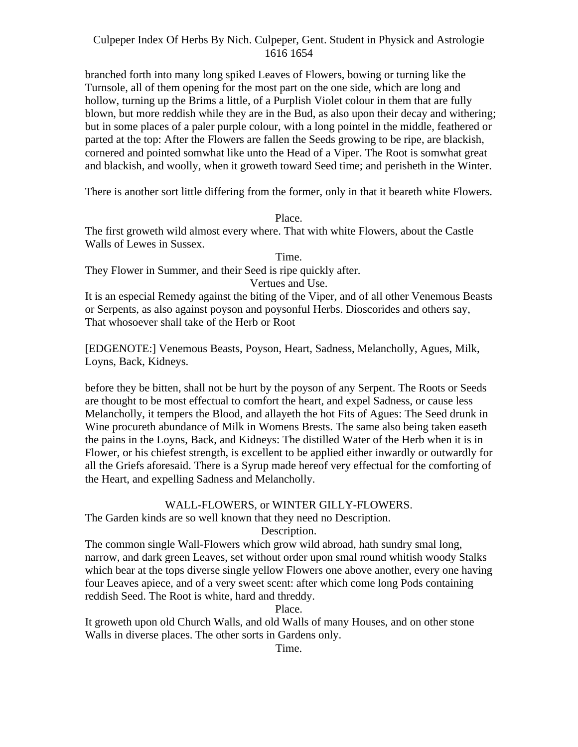branched forth into many long spiked Leaves of Flowers, bowing or turning like the Turnsole, all of them opening for the most part on the one side, which are long and hollow, turning up the Brims a little, of a Purplish Violet colour in them that are fully blown, but more reddish while they are in the Bud, as also upon their decay and withering; but in some places of a paler purple colour, with a long pointel in the middle, feathered or parted at the top: After the Flowers are fallen the Seeds growing to be ripe, are blackish, cornered and pointed somwhat like unto the Head of a Viper. The Root is somwhat great and blackish, and woolly, when it groweth toward Seed time; and perisheth in the Winter.

There is another sort little differing from the former, only in that it beareth white Flowers.

#### Place.

The first groweth wild almost every where. That with white Flowers, about the Castle Walls of Lewes in Sussex.

Time.

They Flower in Summer, and their Seed is ripe quickly after.

Vertues and Use.

It is an especial Remedy against the biting of the Viper, and of all other Venemous Beasts or Serpents, as also against poyson and poysonful Herbs. Dioscorides and others say, That whosoever shall take of the Herb or Root

[EDGENOTE:] Venemous Beasts, Poyson, Heart, Sadness, Melancholly, Agues, Milk, Loyns, Back, Kidneys.

before they be bitten, shall not be hurt by the poyson of any Serpent. The Roots or Seeds are thought to be most effectual to comfort the heart, and expel Sadness, or cause less Melancholly, it tempers the Blood, and allayeth the hot Fits of Agues: The Seed drunk in Wine procureth abundance of Milk in Womens Brests. The same also being taken easeth the pains in the Loyns, Back, and Kidneys: The distilled Water of the Herb when it is in Flower, or his chiefest strength, is excellent to be applied either inwardly or outwardly for all the Griefs aforesaid. There is a Syrup made hereof very effectual for the comforting of the Heart, and expelling Sadness and Melancholly.

## WALL-FLOWERS, or WINTER GILLY-FLOWERS.

The Garden kinds are so well known that they need no Description.

Description.

The common single Wall-Flowers which grow wild abroad, hath sundry smal long, narrow, and dark green Leaves, set without order upon smal round whitish woody Stalks which bear at the tops diverse single yellow Flowers one above another, every one having four Leaves apiece, and of a very sweet scent: after which come long Pods containing reddish Seed. The Root is white, hard and threddy.

Place.

It groweth upon old Church Walls, and old Walls of many Houses, and on other stone Walls in diverse places. The other sorts in Gardens only.

Time.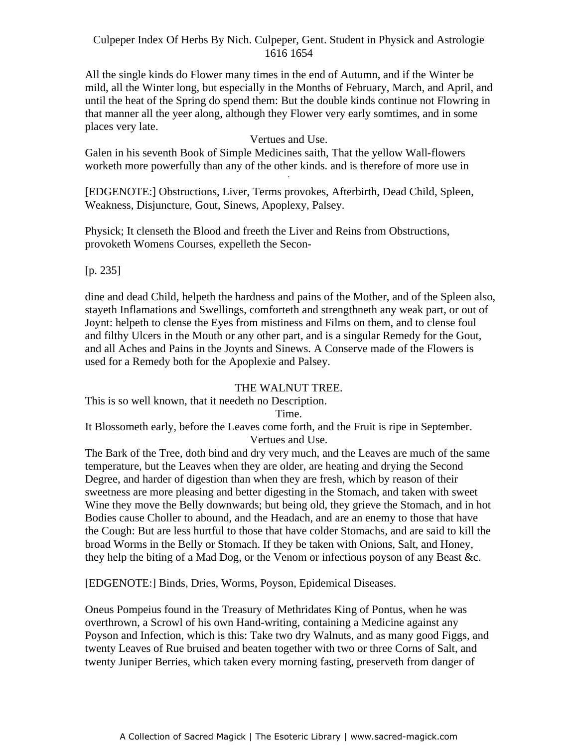All the single kinds do Flower many times in the end of Autumn, and if the Winter be mild, all the Winter long, but especially in the Months of February, March, and April, and until the heat of the Spring do spend them: But the double kinds continue not Flowring in that manner all the yeer along, although they Flower very early somtimes, and in some places very late.

# Vertues and Use.

Galen in his seventh Book of Simple Medicines saith, That the yellow Wall-flowers worketh more powerfully than any of the other kinds. and is therefore of more use in

[EDGENOTE:] Obstructions, Liver, Terms provokes, Afterbirth, Dead Child, Spleen, Weakness, Disjuncture, Gout, Sinews, Apoplexy, Palsey.

Physick; It clenseth the Blood and freeth the Liver and Reins from Obstructions, provoketh Womens Courses, expelleth the Secon-

[p. 235]

dine and dead Child, helpeth the hardness and pains of the Mother, and of the Spleen also, stayeth Inflamations and Swellings, comforteth and strengthneth any weak part, or out of Joynt: helpeth to clense the Eyes from mistiness and Films on them, and to clense foul and filthy Ulcers in the Mouth or any other part, and is a singular Remedy for the Gout, and all Aches and Pains in the Joynts and Sinews. A Conserve made of the Flowers is used for a Remedy both for the Apoplexie and Palsey.

## THE WALNUT TREE.

This is so well known, that it needeth no Description.

Time.

It Blossometh early, before the Leaves come forth, and the Fruit is ripe in September. Vertues and Use.

The Bark of the Tree, doth bind and dry very much, and the Leaves are much of the same temperature, but the Leaves when they are older, are heating and drying the Second Degree, and harder of digestion than when they are fresh, which by reason of their sweetness are more pleasing and better digesting in the Stomach, and taken with sweet Wine they move the Belly downwards; but being old, they grieve the Stomach, and in hot Bodies cause Choller to abound, and the Headach, and are an enemy to those that have the Cough: But are less hurtful to those that have colder Stomachs, and are said to kill the broad Worms in the Belly or Stomach. If they be taken with Onions, Salt, and Honey, they help the biting of a Mad Dog, or the Venom or infectious poyson of any Beast &c.

[EDGENOTE:] Binds, Dries, Worms, Poyson, Epidemical Diseases.

Oneus Pompeius found in the Treasury of Methridates King of Pontus, when he was overthrown, a Scrowl of his own Hand-writing, containing a Medicine against any Poyson and Infection, which is this: Take two dry Walnuts, and as many good Figgs, and twenty Leaves of Rue bruised and beaten together with two or three Corns of Salt, and twenty Juniper Berries, which taken every morning fasting, preserveth from danger of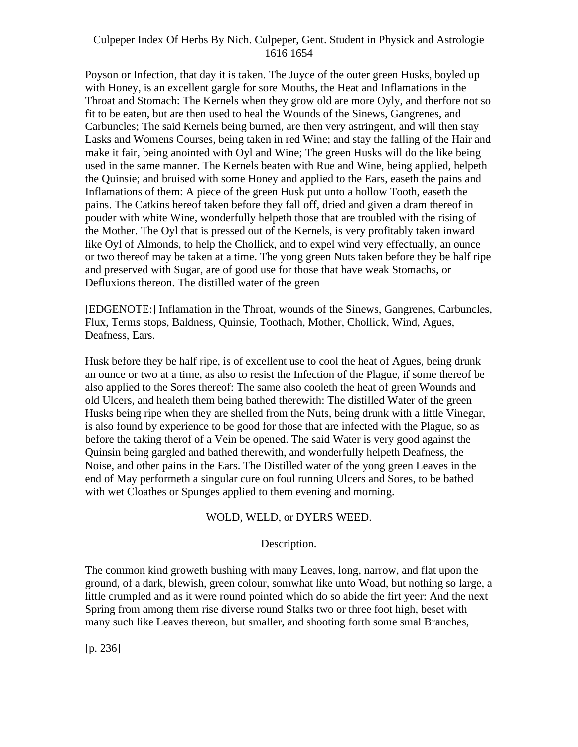Poyson or Infection, that day it is taken. The Juyce of the outer green Husks, boyled up with Honey, is an excellent gargle for sore Mouths, the Heat and Inflamations in the Throat and Stomach: The Kernels when they grow old are more Oyly, and therfore not so fit to be eaten, but are then used to heal the Wounds of the Sinews, Gangrenes, and Carbuncles; The said Kernels being burned, are then very astringent, and will then stay Lasks and Womens Courses, being taken in red Wine; and stay the falling of the Hair and make it fair, being anointed with Oyl and Wine; The green Husks will do the like being used in the same manner. The Kernels beaten with Rue and Wine, being applied, helpeth the Quinsie; and bruised with some Honey and applied to the Ears, easeth the pains and Inflamations of them: A piece of the green Husk put unto a hollow Tooth, easeth the pains. The Catkins hereof taken before they fall off, dried and given a dram thereof in pouder with white Wine, wonderfully helpeth those that are troubled with the rising of the Mother. The Oyl that is pressed out of the Kernels, is very profitably taken inward like Oyl of Almonds, to help the Chollick, and to expel wind very effectually, an ounce or two thereof may be taken at a time. The yong green Nuts taken before they be half ripe and preserved with Sugar, are of good use for those that have weak Stomachs, or Defluxions thereon. The distilled water of the green

[EDGENOTE:] Inflamation in the Throat, wounds of the Sinews, Gangrenes, Carbuncles, Flux, Terms stops, Baldness, Quinsie, Toothach, Mother, Chollick, Wind, Agues, Deafness, Ears.

Husk before they be half ripe, is of excellent use to cool the heat of Agues, being drunk an ounce or two at a time, as also to resist the Infection of the Plague, if some thereof be also applied to the Sores thereof: The same also cooleth the heat of green Wounds and old Ulcers, and healeth them being bathed therewith: The distilled Water of the green Husks being ripe when they are shelled from the Nuts, being drunk with a little Vinegar, is also found by experience to be good for those that are infected with the Plague, so as before the taking therof of a Vein be opened. The said Water is very good against the Quinsin being gargled and bathed therewith, and wonderfully helpeth Deafness, the Noise, and other pains in the Ears. The Distilled water of the yong green Leaves in the end of May performeth a singular cure on foul running Ulcers and Sores, to be bathed with wet Cloathes or Spunges applied to them evening and morning.

## WOLD, WELD, or DYERS WEED.

# Description.

The common kind groweth bushing with many Leaves, long, narrow, and flat upon the ground, of a dark, blewish, green colour, somwhat like unto Woad, but nothing so large, a little crumpled and as it were round pointed which do so abide the firt yeer: And the next Spring from among them rise diverse round Stalks two or three foot high, beset with many such like Leaves thereon, but smaller, and shooting forth some smal Branches,

[p. 236]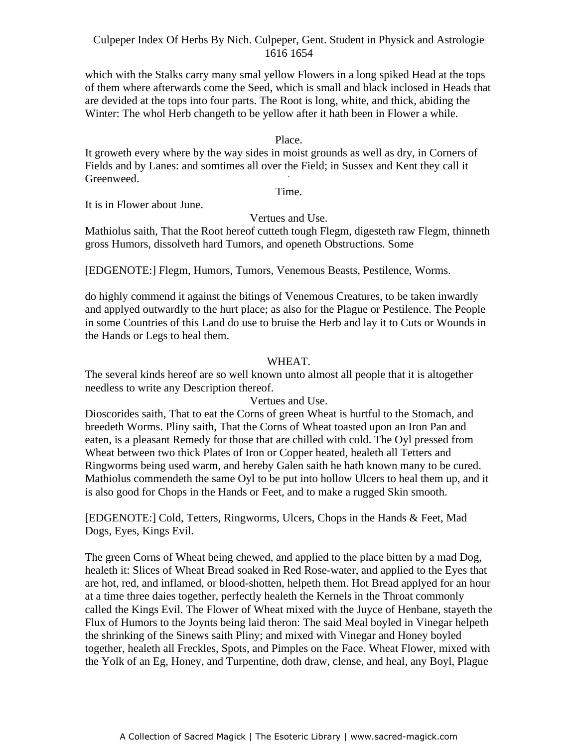which with the Stalks carry many smal yellow Flowers in a long spiked Head at the tops of them where afterwards come the Seed, which is small and black inclosed in Heads that are devided at the tops into four parts. The Root is long, white, and thick, abiding the Winter: The whol Herb changeth to be yellow after it hath been in Flower a while.

#### Place.

It groweth every where by the way sides in moist grounds as well as dry, in Corners of Fields and by Lanes: and somtimes all over the Field; in Sussex and Kent they call it Greenweed. **Greenweed** 

Time.

It is in Flower about June.

#### Vertues and Use.

Mathiolus saith, That the Root hereof cutteth tough Flegm, digesteth raw Flegm, thinneth gross Humors, dissolveth hard Tumors, and openeth Obstructions. Some

[EDGENOTE:] Flegm, Humors, Tumors, Venemous Beasts, Pestilence, Worms.

do highly commend it against the bitings of Venemous Creatures, to be taken inwardly and applyed outwardly to the hurt place; as also for the Plague or Pestilence. The People in some Countries of this Land do use to bruise the Herb and lay it to Cuts or Wounds in the Hands or Legs to heal them.

#### WHEAT.

The several kinds hereof are so well known unto almost all people that it is altogether needless to write any Description thereof.

## Vertues and Use.

Dioscorides saith, That to eat the Corns of green Wheat is hurtful to the Stomach, and breedeth Worms. Pliny saith, That the Corns of Wheat toasted upon an Iron Pan and eaten, is a pleasant Remedy for those that are chilled with cold. The Oyl pressed from Wheat between two thick Plates of Iron or Copper heated, healeth all Tetters and Ringworms being used warm, and hereby Galen saith he hath known many to be cured. Mathiolus commendeth the same Oyl to be put into hollow Ulcers to heal them up, and it is also good for Chops in the Hands or Feet, and to make a rugged Skin smooth.

[EDGENOTE:] Cold, Tetters, Ringworms, Ulcers, Chops in the Hands & Feet, Mad Dogs, Eyes, Kings Evil.

The green Corns of Wheat being chewed, and applied to the place bitten by a mad Dog, healeth it: Slices of Wheat Bread soaked in Red Rose-water, and applied to the Eyes that are hot, red, and inflamed, or blood-shotten, helpeth them. Hot Bread applyed for an hour at a time three daies together, perfectly healeth the Kernels in the Throat commonly called the Kings Evil. The Flower of Wheat mixed with the Juyce of Henbane, stayeth the Flux of Humors to the Joynts being laid theron: The said Meal boyled in Vinegar helpeth the shrinking of the Sinews saith Pliny; and mixed with Vinegar and Honey boyled together, healeth all Freckles, Spots, and Pimples on the Face. Wheat Flower, mixed with the Yolk of an Eg, Honey, and Turpentine, doth draw, clense, and heal, any Boyl, Plague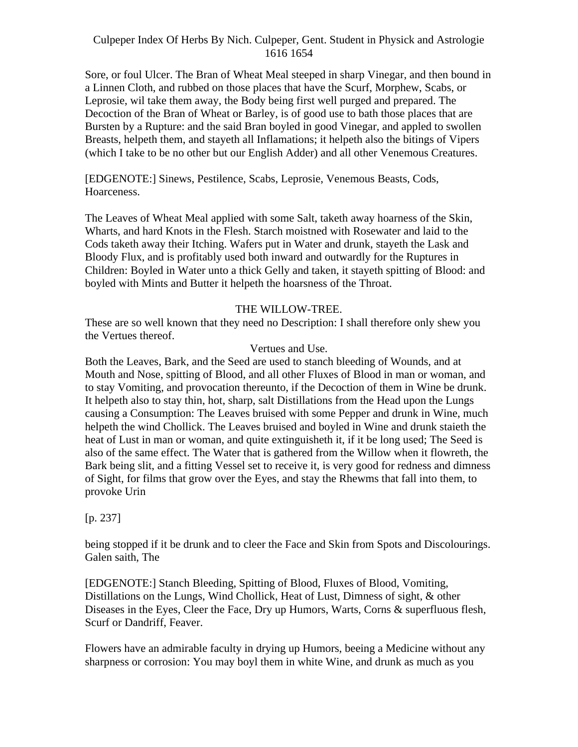Sore, or foul Ulcer. The Bran of Wheat Meal steeped in sharp Vinegar, and then bound in a Linnen Cloth, and rubbed on those places that have the Scurf, Morphew, Scabs, or Leprosie, wil take them away, the Body being first well purged and prepared. The Decoction of the Bran of Wheat or Barley, is of good use to bath those places that are Bursten by a Rupture: and the said Bran boyled in good Vinegar, and appled to swollen Breasts, helpeth them, and stayeth all Inflamations; it helpeth also the bitings of Vipers (which I take to be no other but our English Adder) and all other Venemous Creatures.

[EDGENOTE:] Sinews, Pestilence, Scabs, Leprosie, Venemous Beasts, Cods, Hoarceness.

The Leaves of Wheat Meal applied with some Salt, taketh away hoarness of the Skin, Wharts, and hard Knots in the Flesh. Starch moistned with Rosewater and laid to the Cods taketh away their Itching. Wafers put in Water and drunk, stayeth the Lask and Bloody Flux, and is profitably used both inward and outwardly for the Ruptures in Children: Boyled in Water unto a thick Gelly and taken, it stayeth spitting of Blood: and boyled with Mints and Butter it helpeth the hoarsness of the Throat.

# THE WILLOW-TREE.

These are so well known that they need no Description: I shall therefore only shew you the Vertues thereof.

# Vertues and Use.

Both the Leaves, Bark, and the Seed are used to stanch bleeding of Wounds, and at Mouth and Nose, spitting of Blood, and all other Fluxes of Blood in man or woman, and to stay Vomiting, and provocation thereunto, if the Decoction of them in Wine be drunk. It helpeth also to stay thin, hot, sharp, salt Distillations from the Head upon the Lungs causing a Consumption: The Leaves bruised with some Pepper and drunk in Wine, much helpeth the wind Chollick. The Leaves bruised and boyled in Wine and drunk staieth the heat of Lust in man or woman, and quite extinguisheth it, if it be long used; The Seed is also of the same effect. The Water that is gathered from the Willow when it flowreth, the Bark being slit, and a fitting Vessel set to receive it, is very good for redness and dimness of Sight, for films that grow over the Eyes, and stay the Rhewms that fall into them, to provoke Urin

# $[p. 237]$

being stopped if it be drunk and to cleer the Face and Skin from Spots and Discolourings. Galen saith, The

[EDGENOTE:] Stanch Bleeding, Spitting of Blood, Fluxes of Blood, Vomiting, Distillations on the Lungs, Wind Chollick, Heat of Lust, Dimness of sight, & other Diseases in the Eyes, Cleer the Face, Dry up Humors, Warts, Corns & superfluous flesh, Scurf or Dandriff, Feaver.

Flowers have an admirable faculty in drying up Humors, beeing a Medicine without any sharpness or corrosion: You may boyl them in white Wine, and drunk as much as you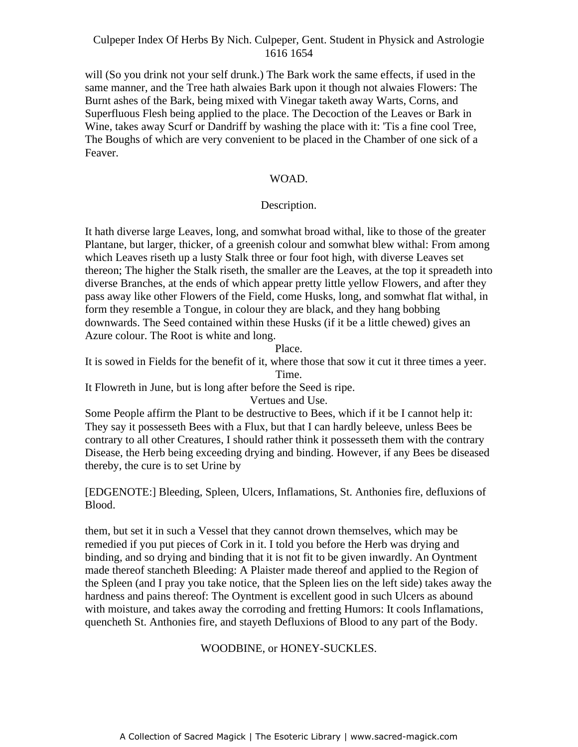will (So you drink not your self drunk.) The Bark work the same effects, if used in the same manner, and the Tree hath alwaies Bark upon it though not alwaies Flowers: The Burnt ashes of the Bark, being mixed with Vinegar taketh away Warts, Corns, and Superfluous Flesh being applied to the place. The Decoction of the Leaves or Bark in Wine, takes away Scurf or Dandriff by washing the place with it: 'Tis a fine cool Tree, The Boughs of which are very convenient to be placed in the Chamber of one sick of a Feaver.

#### WOAD. -

# Description.

It hath diverse large Leaves, long, and somwhat broad withal, like to those of the greater Plantane, but larger, thicker, of a greenish colour and somwhat blew withal: From among which Leaves riseth up a lusty Stalk three or four foot high, with diverse Leaves set thereon; The higher the Stalk riseth, the smaller are the Leaves, at the top it spreadeth into diverse Branches, at the ends of which appear pretty little yellow Flowers, and after they pass away like other Flowers of the Field, come Husks, long, and somwhat flat withal, in form they resemble a Tongue, in colour they are black, and they hang bobbing downwards. The Seed contained within these Husks (if it be a little chewed) gives an Azure colour. The Root is white and long.

Place.

It is sowed in Fields for the benefit of it, where those that sow it cut it three times a yeer. Time.

It Flowreth in June, but is long after before the Seed is ripe.

Vertues and Use.

Some People affirm the Plant to be destructive to Bees, which if it be I cannot help it: They say it possesseth Bees with a Flux, but that I can hardly beleeve, unless Bees be contrary to all other Creatures, I should rather think it possesseth them with the contrary Disease, the Herb being exceeding drying and binding. However, if any Bees be diseased thereby, the cure is to set Urine by

[EDGENOTE:] Bleeding, Spleen, Ulcers, Inflamations, St. Anthonies fire, defluxions of Blood.

them, but set it in such a Vessel that they cannot drown themselves, which may be remedied if you put pieces of Cork in it. I told you before the Herb was drying and binding, and so drying and binding that it is not fit to be given inwardly. An Oyntment made thereof stancheth Bleeding: A Plaister made thereof and applied to the Region of the Spleen (and I pray you take notice, that the Spleen lies on the left side) takes away the hardness and pains thereof: The Oyntment is excellent good in such Ulcers as abound with moisture, and takes away the corroding and fretting Humors: It cools Inflamations, quencheth St. Anthonies fire, and stayeth Defluxions of Blood to any part of the Body.

# WOODBINE, or HONEY-SUCKLES.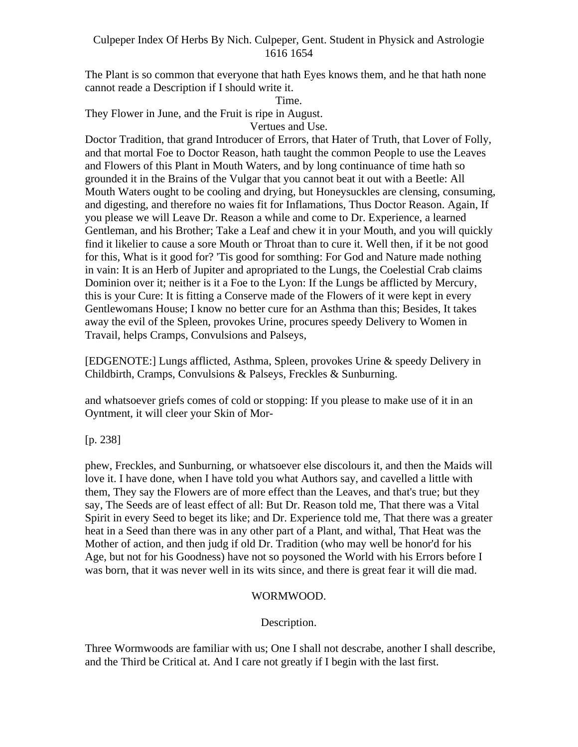The Plant is so common that everyone that hath Eyes knows them, and he that hath none cannot reade a Description if I should write it.

Time.

They Flower in June, and the Fruit is ripe in August.

Vertues and Use.

Doctor Tradition, that grand Introducer of Errors, that Hater of Truth, that Lover of Folly, and that mortal Foe to Doctor Reason, hath taught the common People to use the Leaves and Flowers of this Plant in Mouth Waters, and by long continuance of time hath so grounded it in the Brains of the Vulgar that you cannot beat it out with a Beetle: All Mouth Waters ought to be cooling and drying, but Honeysuckles are clensing, consuming, and digesting, and therefore no waies fit for Inflamations, Thus Doctor Reason. Again, If you please we will Leave Dr. Reason a while and come to Dr. Experience, a learned Gentleman, and his Brother; Take a Leaf and chew it in your Mouth, and you will quickly find it likelier to cause a sore Mouth or Throat than to cure it. Well then, if it be not good for this, What is it good for? 'Tis good for somthing: For God and Nature made nothing in vain: It is an Herb of Jupiter and apropriated to the Lungs, the Coelestial Crab claims Dominion over it; neither is it a Foe to the Lyon: If the Lungs be afflicted by Mercury, this is your Cure: It is fitting a Conserve made of the Flowers of it were kept in every Gentlewomans House; I know no better cure for an Asthma than this; Besides, It takes away the evil of the Spleen, provokes Urine, procures speedy Delivery to Women in Travail, helps Cramps, Convulsions and Palseys,

[EDGENOTE:] Lungs afflicted, Asthma, Spleen, provokes Urine & speedy Delivery in Childbirth, Cramps, Convulsions & Palseys, Freckles & Sunburning.

and whatsoever griefs comes of cold or stopping: If you please to make use of it in an Oyntment, it will cleer your Skin of Mor-

[p. 238]

phew, Freckles, and Sunburning, or whatsoever else discolours it, and then the Maids will love it. I have done, when I have told you what Authors say, and cavelled a little with them, They say the Flowers are of more effect than the Leaves, and that's true; but they say, The Seeds are of least effect of all: But Dr. Reason told me, That there was a Vital Spirit in every Seed to beget its like; and Dr. Experience told me, That there was a greater heat in a Seed than there was in any other part of a Plant, and withal, That Heat was the Mother of action, and then judg if old Dr. Tradition (who may well be honor'd for his Age, but not for his Goodness) have not so poysoned the World with his Errors before I was born, that it was never well in its wits since, and there is great fear it will die mad.

# WORMWOOD.

Description.

Three Wormwoods are familiar with us; One I shall not descrabe, another I shall describe, and the Third be Critical at. And I care not greatly if I begin with the last first.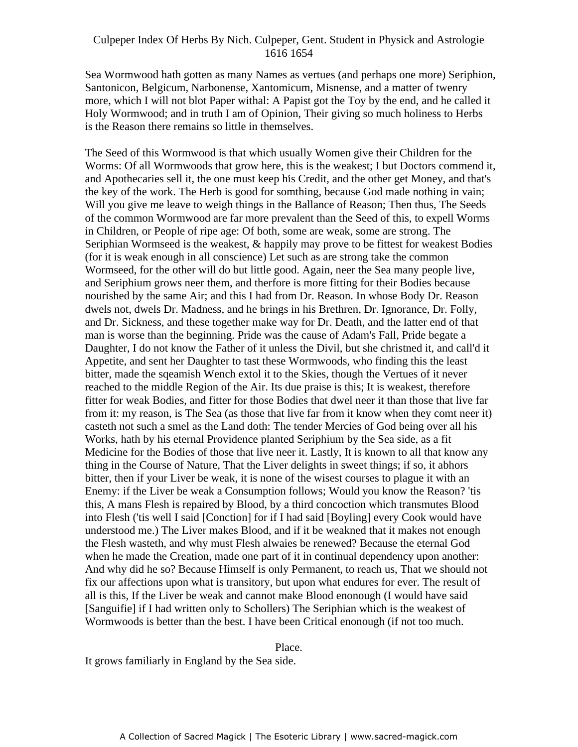Sea Wormwood hath gotten as many Names as vertues (and perhaps one more) Seriphion, Santonicon, Belgicum, Narbonense, Xantomicum, Misnense, and a matter of twenry more, which I will not blot Paper withal: A Papist got the Toy by the end, and he called it Holy Wormwood; and in truth I am of Opinion, Their giving so much holiness to Herbs is the Reason there remains so little in themselves.

The Seed of this Wormwood is that which usually Women give their Children for the Worms: Of all Wormwoods that grow here, this is the weakest; I but Doctors commend it, A and Apothecaries sell it, the one must keep his Credit, and the other get Money, and that's the key of the work. The Herb is good for somthing, because God made nothing in vain; Will you give me leave to weigh things in the Ballance of Reason; Then thus, The Seeds of the common Wormwood are far more prevalent than the Seed of this, to expell Worms in Children, or People of ripe age: Of both, some are weak, some are strong. The Seriphian Wormseed is the weakest, & happily may prove to be fittest for weakest Bodies (for it is weak enough in all conscience) Let such as are strong take the common Wormseed, for the other will do but little good. Again, neer the Sea many people live, and Seriphium grows neer them, and therfore is more fitting for their Bodies because nourished by the same Air; and this I had from Dr. Reason. In whose Body Dr. Reason dwels not, dwels Dr. Madness, and he brings in his Brethren, Dr. Ignorance, Dr. Folly, and Dr. Sickness, and these together make way for Dr. Death, and the latter end of that man is worse than the beginning. Pride was the cause of Adam's Fall, Pride begate a Daughter, I do not know the Father of it unless the Divil, but she christned it, and call'd it Appetite, and sent her Daughter to tast these Wormwoods, who finding this the least bitter, made the sqeamish Wench extol it to the Skies, though the Vertues of it never reached to the middle Region of the Air. Its due praise is this; It is weakest, therefore fitter for weak Bodies, and fitter for those Bodies that dwel neer it than those that live far from it: my reason, is The Sea (as those that live far from it know when they comt neer it) casteth not such a smel as the Land doth: The tender Mercies of God being over all his Works, hath by his eternal Providence planted Seriphium by the Sea side, as a fit Medicine for the Bodies of those that live neer it. Lastly, It is known to all that know any thing in the Course of Nature, That the Liver delights in sweet things; if so, it abhors bitter, then if your Liver be weak, it is none of the wisest courses to plague it with an Enemy: if the Liver be weak a Consumption follows; Would you know the Reason? 'tis this, A mans Flesh is repaired by Blood, by a third concoction which transmutes Blood into Flesh ('tis well I said [Conction] for if I had said [Boyling] every Cook would have understood me.) The Liver makes Blood, and if it be weakned that it makes not enough the Flesh wasteth, and why must Flesh alwaies be renewed? Because the eternal God when he made the Creation, made one part of it in continual dependency upon another: And why did he so? Because Himself is only Permanent, to reach us, That we should not fix our affections upon what is transitory, but upon what endures for ever. The result of all is this, If the Liver be weak and cannot make Blood enonough (I would have said [Sanguifie] if I had written only to Schollers) The Seriphian which is the weakest of Wormwoods is better than the best. I have been Critical enonough (if not too much.

Place.

It grows familiarly in England by the Sea side.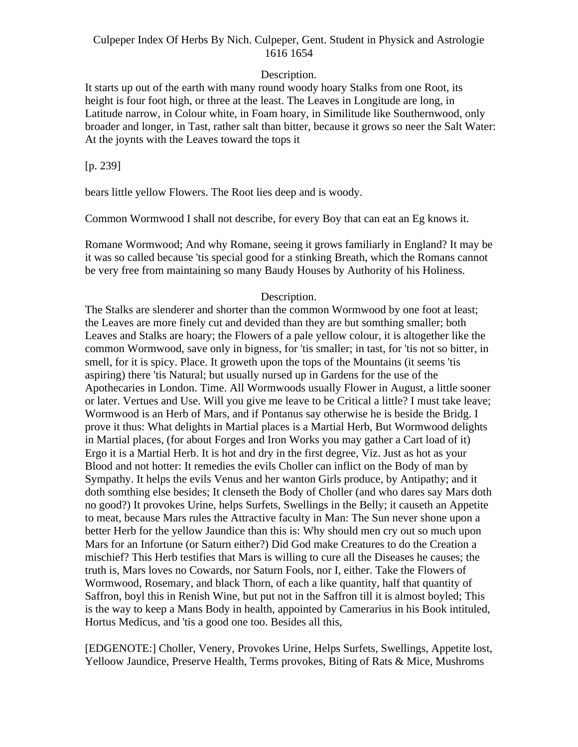# Description.

It starts up out of the earth with many round woody hoary Stalks from one Root, its height is four foot high, or three at the least. The Leaves in Longitude are long, in Latitude narrow, in Colour white, in Foam hoary, in Similitude like Southernwood, only broader and longer, in Tast, rather salt than bitter, because it grows so neer the Salt Water: At the joynts with the Leaves toward the tops it

[p. 239]

bears little yellow Flowers. The Root lies deep and is woody.

Common Wormwood I shall not describe, for every Boy that can eat an Eg knows it. Romane Wormwood; And why Romane, seeing it grows familiarly in England? It may be it was so called because 'tis special good for a stinking Breath, which the Romans cannot be very free from maintaining so many Baudy Houses by Authority of his Holiness.

# Description.

The Stalks are slenderer and shorter than the common Wormwood by one foot at least; the Leaves are more finely cut and devided than they are but somthing smaller; both Leaves and Stalks are hoary; the Flowers of a pale yellow colour, it is altogether like the common Wormwood, save only in bigness, for 'tis smaller; in tast, for 'tis not so bitter, in smell, for it is spicy. Place. It groweth upon the tops of the Mountains (it seems 'tis aspiring) there 'tis Natural; but usually nursed up in Gardens for the use of the Apothecaries in London. Time. All Wormwoods usually Flower in August, a little sooner or later. Vertues and Use. Will you give me leave to be Critical a little? I must take leave; Wormwood is an Herb of Mars, and if Pontanus say otherwise he is beside the Bridg. I prove it thus: What delights in Martial places is a Martial Herb, But Wormwood delights in Martial places, (for about Forges and Iron Works you may gather a Cart load of it) Ergo it is a Martial Herb. It is hot and dry in the first degree, Viz. Just as hot as your Blood and not hotter: It remedies the evils Choller can inflict on the Body of man by Sympathy. It helps the evils Venus and her wanton Girls produce, by Antipathy; and it doth somthing else besides; It clenseth the Body of Choller (and who dares say Mars doth no good?) It provokes Urine, helps Surfets, Swellings in the Belly; it causeth an Appetite to meat, because Mars rules the Attractive faculty in Man: The Sun never shone upon a better Herb for the yellow Jaundice than this is: Why should men cry out so much upon Mars for an Infortune (or Saturn either?) Did God make Creatures to do the Creation a mischief? This Herb testifies that Mars is willing to cure all the Diseases he causes; the truth is, Mars loves no Cowards, nor Saturn Fools, nor I, either. Take the Flowers of Wormwood, Rosemary, and black Thorn, of each a like quantity, half that quantity of Saffron, boyl this in Renish Wine, but put not in the Saffron till it is almost boyled; This is the way to keep a Mans Body in health, appointed by Camerarius in his Book intituled, Hortus Medicus, and 'tis a good one too. Besides all this,

[EDGENOTE:] Choller, Venery, Provokes Urine, Helps Surfets, Swellings, Appetite lost, Yelloow Jaundice, Preserve Health, Terms provokes, Biting of Rats & Mice, Mushroms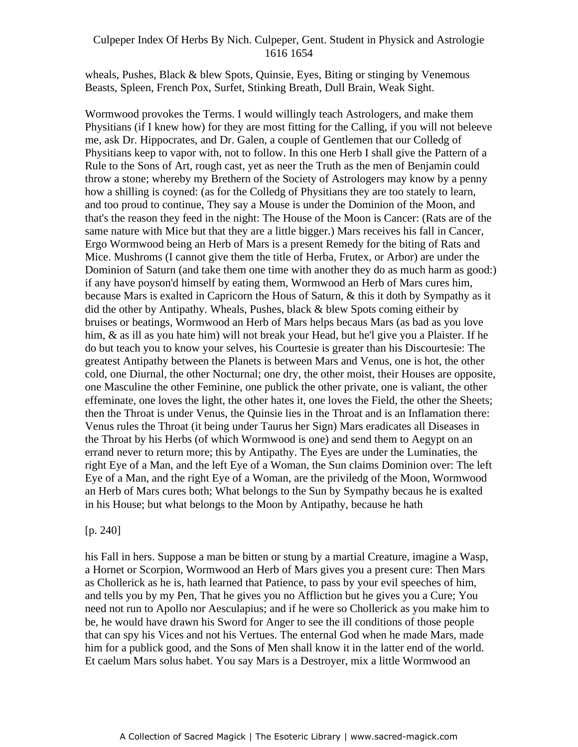wheals, Pushes, Black & blew Spots, Quinsie, Eyes, Biting or stinging by Venemous Beasts, Spleen, French Pox, Surfet, Stinking Breath, Dull Brain, Weak Sight.

Wormwood provokes the Terms. I would willingly teach Astrologers, and make them Physitians (if I knew how) for they are most fitting for the Calling, if you will not beleeve me, ask Dr. Hippocrates, and Dr. Galen, a couple of Gentlemen that our Colledg of Physitians keep to vapor with, not to follow. In this one Herb I shall give the Pattern of a Rule to the Sons of Art, rough cast, yet as neer the Truth as the men of Benjamin could throw a stone; whereby my Brethern of the Society of Astrologers may know by a penny how a shilling is coyned: (as for the Colledg of Physitians they are too stately to learn, and too proud to continue, They say a Mouse is under the Dominion of the Moon, and that's the reason they feed in the night: The House of the Moon is Cancer: (Rats are of the same nature with Mice but that they are a little bigger.) Mars receives his fall in Cancer, Ergo Wormwood being an Herb of Mars is a present Remedy for the biting of Rats and Mice. Mushroms (I cannot give them the title of Herba, Frutex, or Arbor) are under the Dominion of Saturn (and take them one time with another they do as much harm as good:) if any have poyson'd himself by eating them, Wormwood an Herb of Mars cures him, because Mars is exalted in Capricorn the Hous of Saturn, & this it doth by Sympathy as it did the other by Antipathy. Wheals, Pushes, black & blew Spots coming eitheir by bruises or beatings, Wormwood an Herb of Mars helps becaus Mars (as bad as you love him, & as ill as you hate him) will not break your Head, but he'l give you a Plaister. If he do but teach you to know your selves, his Courtesie is greater than his Discourtesie: The greatest Antipathy between the Planets is between Mars and Venus, one is hot, the other cold, one Diurnal, the other Nocturnal; one dry, the other moist, their Houses are opposite, one Masculine the other Feminine, one publick the other private, one is valiant, the other effeminate, one loves the light, the other hates it, one loves the Field, the other the Sheets; then the Throat is under Venus, the Quinsie lies in the Throat and is an Inflamation there: Venus rules the Throat (it being under Taurus her Sign) Mars eradicates all Diseases in the Throat by his Herbs (of which Wormwood is one) and send them to Aegypt on an errand never to return more; this by Antipathy. The Eyes are under the Luminaties, the right Eye of a Man, and the left Eye of a Woman, the Sun claims Dominion over: The left Eye of a Man, and the right Eye of a Woman, are the priviledg of the Moon, Wormwood an Herb of Mars cures both; What belongs to the Sun by Sympathy becaus he is exalted in his House; but what belongs to the Moon by Antipathy, because he hath

#### $[p. 240]$

his Fall in hers. Suppose a man be bitten or stung by a martial Creature, imagine a Wasp, a Hornet or Scorpion, Wormwood an Herb of Mars gives you a present cure: Then Mars as Chollerick as he is, hath learned that Patience, to pass by your evil speeches of him, and tells you by my Pen, That he gives you no Affliction but he gives you a Cure; You need not run to Apollo nor Aesculapius; and if he were so Chollerick as you make him to be, he would have drawn his Sword for Anger to see the ill conditions of those people that can spy his Vices and not his Vertues. The enternal God when he made Mars, made him for a publick good, and the Sons of Men shall know it in the latter end of the world. Et caelum Mars solus habet. You say Mars is a Destroyer, mix a little Wormwood an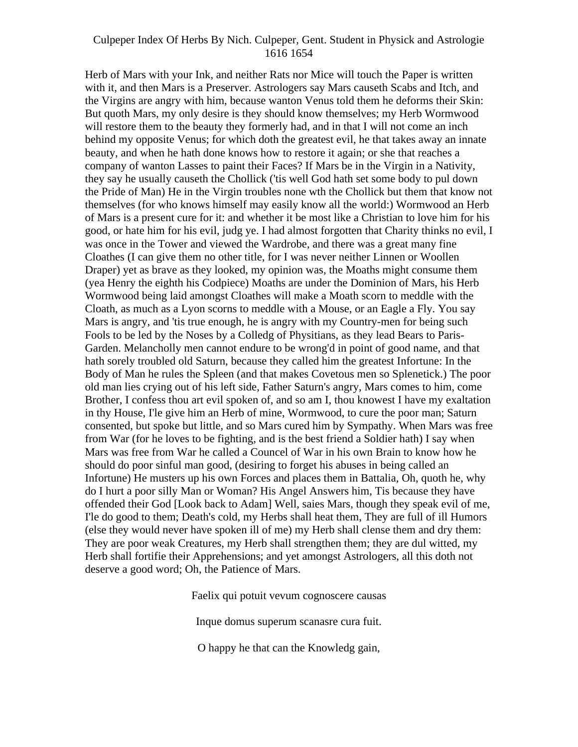Herb of Mars with your Ink, and neither Rats nor Mice will touch the Paper is written with it, and then Mars is a Preserver. Astrologers say Mars causeth Scabs and Itch, and the Virgins are angry with him, because wanton Venus told them he deforms their Skin: But quoth Mars, my only desire is they should know themselves; my Herb Wormwood will restore them to the beauty they formerly had, and in that I will not come an inch behind my opposite Venus; for which doth the greatest evil, he that takes away an innate beauty, and when he hath done knows how to restore it again; or she that reaches a company of wanton Lasses to paint their Faces? If Mars be in the Virgin in a Nativity, they say he usually causeth the Chollick ('tis well God hath set some body to pul down the Pride of Man) He in the Virgin troubles none wth the Chollick but them that know not themselves (for who knows himself may easily know all the world:) Wormwood an Herb of Mars is a present cure for it: and whether it be most like a Christian to love him for his good, or hate him for his evil, judg ye. I had almost forgotten that Charity thinks no evil, I was once in the Tower and viewed the Wardrobe, and there was a great many fine Cloathes (I can give them no other title, for I was never neither Linnen or Woollen Draper) yet as brave as they looked, my opinion was, the Moaths might consume them (yea Henry the eighth his Codpiece) Moaths are under the Dominion of Mars, his Herb Wormwood being laid amongst Cloathes will make a Moath scorn to meddle with the Cloath, as much as a Lyon scorns to meddle with a Mouse, or an Eagle a Fly. You say Mars is angry, and 'tis true enough, he is angry with my Country-men for being such Fools to be led by the Noses by a Colledg of Physitians, as they lead Bears to Paris- Garden. Melancholly men cannot endure to be wrong'd in point of good name, and that hath sorely troubled old Saturn, because they called him the greatest Infortune: In the Body of Man he rules the Spleen (and that makes Covetous men so Splenetick.) The poor old man lies crying out of his left side, Father Saturn's angry, Mars comes to him, come Brother, I confess thou art evil spoken of, and so am I, thou knowest I have my exaltation in thy House, I'le give him an Herb of mine, Wormwood, to cure the poor man; Saturn consented, but spoke but little, and so Mars cured him by Sympathy. When Mars was free from War (for he loves to be fighting, and is the best friend a Soldier hath) I say when Mars was free from War he called a Councel of War in his own Brain to know how he should do poor sinful man good, (desiring to forget his abuses in being called an Infortune) He musters up his own Forces and places them in Battalia, Oh, quoth he, why do I hurt a poor silly Man or Woman? His Angel Answers him, Tis because they have offended their God [Look back to Adam] Well, saies Mars, though they speak evil of me, I'le do good to them; Death's cold, my Herbs shall heat them, They are full of ill Humors (else they would never have spoken ill of me) my Herb shall clense them and dry them: They are poor weak Creatures, my Herb shall strengthen them; they are dul witted, my Herb shall fortifie their Apprehensions; and yet amongst Astrologers, all this doth not deserve a good word; Oh, the Patience of Mars.

Faelix qui potuit vevum cognoscere causas

Inque domus superum scanasre cura fuit.

O happy he that can the Knowledg gain,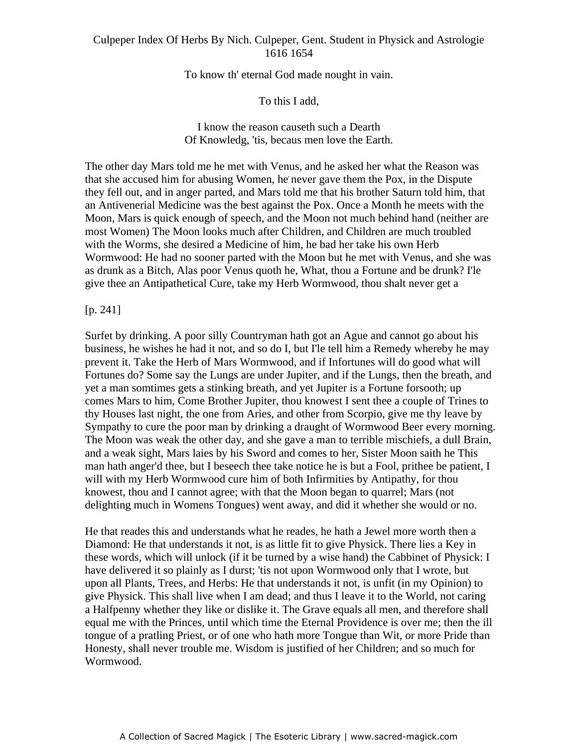To know th' eternal God made nought in vain.

To this I add,

I know the reason causeth such a Dearth Of Knowledg, 'tis, becaus men love the Earth.

The other day Mars told me he met with Venus, and he asked her what the Reason was that she accused him for abusing Women, he never gave them the Pox, in the Dispute they fell out, and in anger parted, and Mars told me that his brother Saturn told him, that an Antivenerial Medicine was the best against the Pox. Once a Month he meets with the Moon, Mars is quick enough of speech, and the Moon not much behind hand (neither are most Women) The Moon looks much after Children, and Children are much troubled with the Worms, she desired a Medicine of him, he bad her take his own Herb Wormwood: He had no sooner parted with the Moon but he met with Venus, and she was as drunk as a Bitch, Alas poor Venus quoth he, What, thou a Fortune and be drunk? I'le give thee an Antipathetical Cure, take my Herb Wormwood, thou shalt never get a

## $[p. 241]$

Surfet by drinking. A poor silly Countryman hath got an Ague and cannot go about his business, he wishes he had it not, and so do I, but I'le tell him a Remedy whereby he may prevent it. Take the Herb of Mars Wormwood, and if Infortunes will do good what will Fortunes do? Some say the Lungs are under Jupiter, and if the Lungs, then the breath, and yet a man somtimes gets a stinking breath, and yet Jupiter is a Fortune forsooth; up comes Mars to him, Come Brother Jupiter, thou knowest I sent thee a couple of Trines to thy Houses last night, the one from Aries, and other from Scorpio, give me thy leave by Sympathy to cure the poor man by drinking a draught of Wormwood Beer every morning. The Moon was weak the other day, and she gave a man to terrible mischiefs, a dull Brain, and a weak sight, Mars laies by his Sword and comes to her, Sister Moon saith he This man hath anger'd thee, but I beseech thee take notice he is but a Fool, prithee be patient, I will with my Herb Wormwood cure him of both Infirmities by Antipathy, for thou knowest, thou and I cannot agree; with that the Moon began to quarrel; Mars (not delighting much in Womens Tongues) went away, and did it whether she would or no.

He that reades this and understands what he reades, he hath a Jewel more worth then a Diamond: He that understands it not, is as little fit to give Physick. There lies a Key in these words, which will unlock (if it be turned by a wise hand) the Cabbinet of Physick: I have delivered it so plainly as I durst; 'tis not upon Wormwood only that I wrote, but upon all Plants, Trees, and Herbs: He that understands it not, is unfit (in my Opinion) to give Physick. This shall live when I am dead; and thus I leave it to the World, not caring a Halfpenny whether they like or dislike it. The Grave equals all men, and therefore shall equal me with the Princes, until which time the Eternal Providence is over me; then the ill tongue of a pratling Priest, or of one who hath more Tongue than Wit, or more Pride than Honesty, shall never trouble me. Wisdom is justified of her Children; and so much for Wormwood.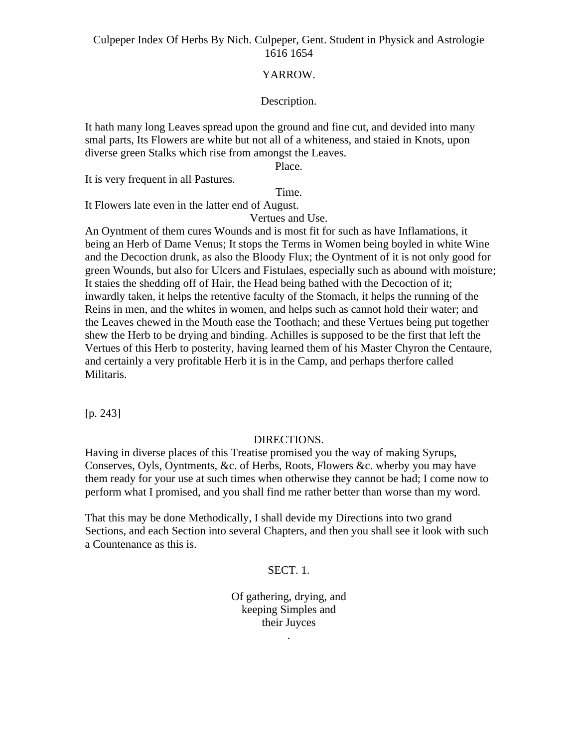#### YARROW.

#### Description.

It hath many long Leaves spread upon the ground and fine cut, and devided into many smal parts, Its Flowers are white but not all of a whiteness, and staied in Knots, upon diverse green Stalks which rise from amongst the Leaves.

Place.

It is very frequent in all Pastures.

Time.

It Flowers late even in the latter end of August.

Vertues and Use.

An Oyntment of them cures Wounds and is most fit for such as have Inflamations, it being an Herb of Dame Venus; It stops the Terms in Women being boyled in white Wine and the Decoction drunk, as also the Bloody Flux; the Oyntment of it is not only good for green Wounds, but also for Ulcers and Fistulaes, especially such as abound with moisture; It staies the shedding off of Hair, the Head being bathed with the Decoction of it; inwardly taken, it helps the retentive faculty of the Stomach, it helps the running of the Reins in men, and the whites in women, and helps such as cannot hold their water; and the Leaves chewed in the Mouth ease the Toothach; and these Vertues being put together shew the Herb to be drying and binding. Achilles is supposed to be the first that left the Vertues of this Herb to posterity, having learned them of his Master Chyron the Centaure, and certainly a very profitable Herb it is in the Camp, and perhaps therfore called Militaris.

[p. 243]

#### DIRECTIONS.

Having in diverse places of this Treatise promised you the way of making Syrups, Conserves, Oyls, Oyntments, &c. of Herbs, Roots, Flowers &c. wherby you may have them ready for your use at such times when otherwise they cannot be had; I come now to perform what I promised, and you shall find me rather better than worse than my word.

That this may be done Methodically, I shall devide my Directions into two grand Sections, and each Section into several Chapters, and then you shall see it look with such a Countenance as this is.

#### SECT. 1.

Of gathering, drying, and keeping Simples and their Juyces

.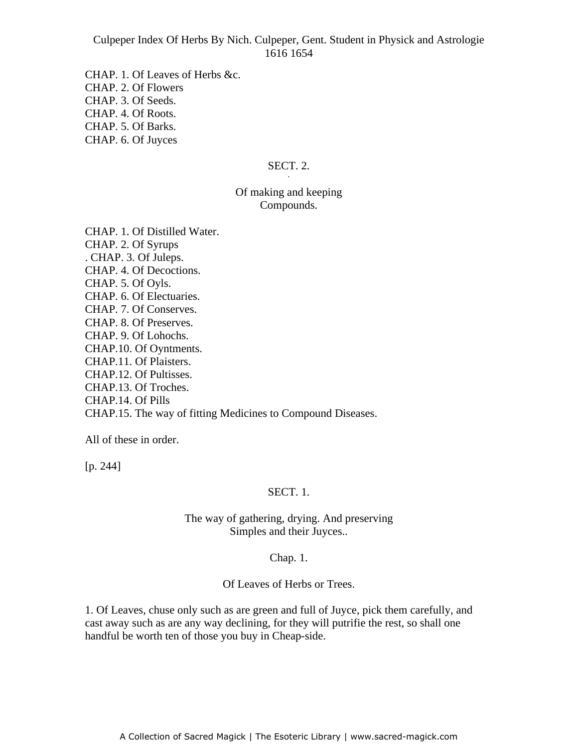CHAP. 1. Of Leaves of Herbs &c. CHAP. 2. Of Flowers CHAP. 3. Of Seeds. CHAP. 4. Of Roots. CHAP. 5. Of Barks. CHAP. 6. Of Juyces

#### SECT. 2. **SECT. 2.**

# Of making and keeping **Compounds.**

CHAP. 1. Of Distilled Water. CHAP. 2. Of Syrups . CHAP. 3. Of Juleps. CHAP. 4. Of Decoctions. CHAP. 5. Of Oyls. CHAP. 6. Of Electuaries. CHAP. 7. Of Conserves. CHAP. 8. Of Preserves. CHAP. 9. Of Lohochs. CHAP.10. Of Oyntments. CHAP.11. Of Plaisters. CHAP.12. Of Pultisses. CHAP.13. Of Troches. CHAP.14. Of Pills CHAP.15. The way of fitting Medicines to Compound Diseases.

All of these in order.

[p. 244]

# SECT. 1.

The way of gathering, drying. And preserving Simples and their Juyces..

#### Chap. 1.

Of Leaves of Herbs or Trees.

1. Of Leaves, chuse only such as are green and full of Juyce, pick them carefully, and cast away such as are any way declining, for they will putrifie the rest, so shall one handful be worth ten of those you buy in Cheap-side.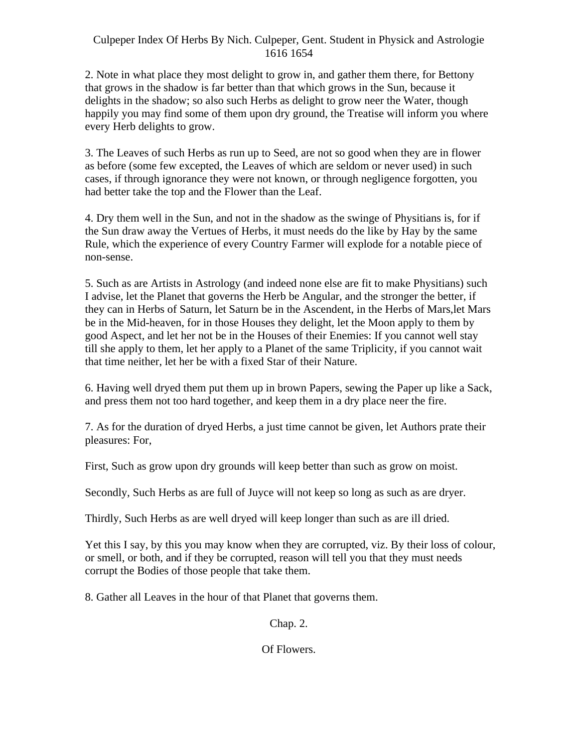2. Note in what place they most delight to grow in, and gather them there, for Bettony that grows in the shadow is far better than that which grows in the Sun, because it delights in the shadow; so also such Herbs as delight to grow neer the Water, though happily you may find some of them upon dry ground, the Treatise will inform you where every Herb delights to grow.

3. The Leaves of such Herbs as run up to Seed, are not so good when they are in flower as before (some few excepted, the Leaves of which are seldom or never used) in such cases, if through ignorance they were not known, or through negligence forgotten, you had better take the top and the Flower than the Leaf.

4. Dry them well in the Sun, and not in the shadow as the swinge of Physitians is, for if the Sun draw away the Vertues of Herbs, it must needs do the like by Hay by the same Rule, which the experience of every Country Farmer will explode for a notable piece of non-sense.

5. Such as are Artists in Astrology (and indeed none else are fit to make Physitians) such I advise, let the Planet that governs the Herb be Angular, and the stronger the better, if they can in Herbs of Saturn, let Saturn be in the Ascendent, in the Herbs of Mars,let Mars be in the Mid-heaven, for in those Houses they delight, let the Moon apply to them by good Aspect, and let her not be in the Houses of their Enemies: If you cannot well stay till she apply to them, let her apply to a Planet of the same Triplicity, if you cannot wait that time neither, let her be with a fixed Star of their Nature.

6. Having well dryed them put them up in brown Papers, sewing the Paper up like a Sack, and press them not too hard together, and keep them in a dry place neer the fire.

7. As for the duration of dryed Herbs, a just time cannot be given, let Authors prate their pleasures: For,

First, Such as grow upon dry grounds will keep better than such as grow on moist.

Secondly, Such Herbs as are full of Juyce will not keep so long as such as are dryer.

Thirdly, Such Herbs as are well dryed will keep longer than such as are ill dried.

Yet this I say, by this you may know when they are corrupted, viz. By their loss of colour, or smell, or both, and if they be corrupted, reason will tell you that they must needs corrupt the Bodies of those people that take them.

8. Gather all Leaves in the hour of that Planet that governs them.

Chap. 2.

Of Flowers.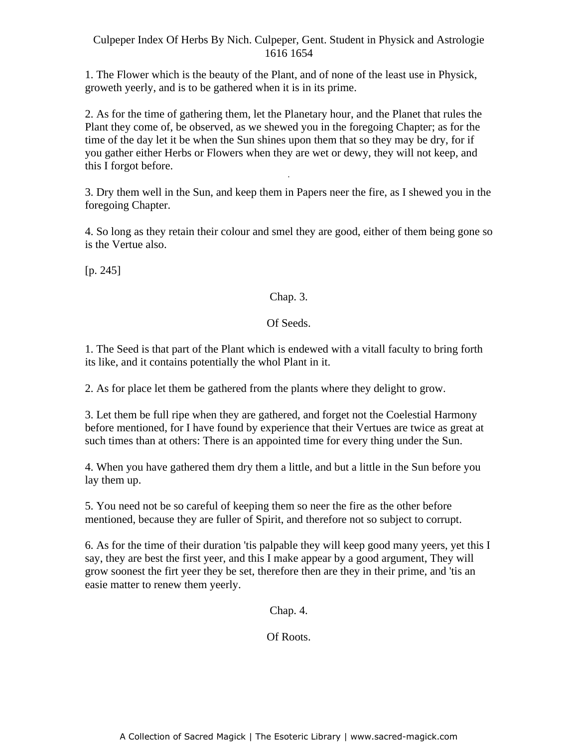1. The Flower which is the beauty of the Plant, and of none of the least use in Physick, groweth yeerly, and is to be gathered when it is in its prime.

2. As for the time of gathering them, let the Planetary hour, and the Planet that rules the Plant they come of, be observed, as we shewed you in the foregoing Chapter; as for the time of the day let it be when the Sun shines upon them that so they may be dry, for if you gather either Herbs or Flowers when they are wet or dewy, they will not keep, and this I forgot before. -

3. Dry them well in the Sun, and keep them in Papers neer the fire, as I shewed you in the foregoing Chapter.

4. So long as they retain their colour and smel they are good, either of them being gone so is the Vertue also.

 $[p. 245]$ 

# Chap. 3.

# Of Seeds.

1. The Seed is that part of the Plant which is endewed with a vitall faculty to bring forth its like, and it contains potentially the whol Plant in it.

2. As for place let them be gathered from the plants where they delight to grow.

3. Let them be full ripe when they are gathered, and forget not the Coelestial Harmony before mentioned, for I have found by experience that their Vertues are twice as great at such times than at others: There is an appointed time for every thing under the Sun.

4. When you have gathered them dry them a little, and but a little in the Sun before you lay them up.

5. You need not be so careful of keeping them so neer the fire as the other before mentioned, because they are fuller of Spirit, and therefore not so subject to corrupt.

6. As for the time of their duration 'tis palpable they will keep good many yeers, yet this I say, they are best the first yeer, and this I make appear by a good argument, They will grow soonest the firt yeer they be set, therefore then are they in their prime, and 'tis an easie matter to renew them yeerly.

Chap. 4.

Of Roots.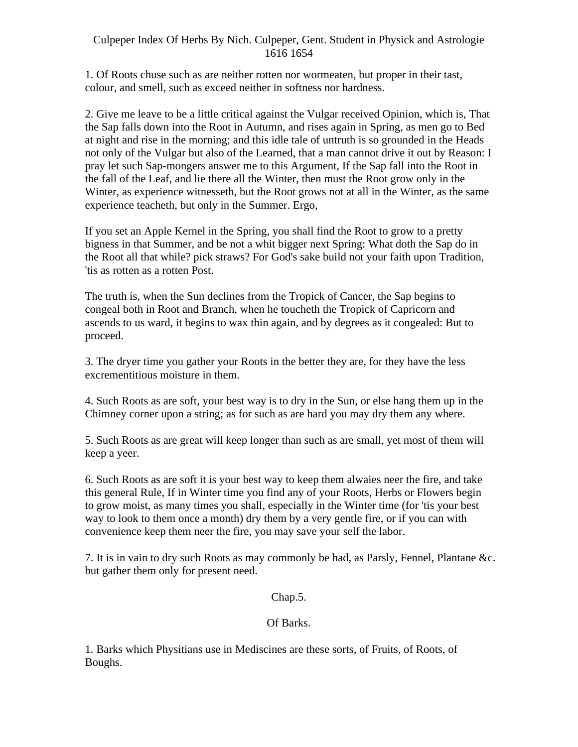1. Of Roots chuse such as are neither rotten nor wormeaten, but proper in their tast, colour, and smell, such as exceed neither in softness nor hardness.

2. Give me leave to be a little critical against the Vulgar received Opinion, which is, That the Sap falls down into the Root in Autumn, and rises again in Spring, as men go to Bed at night and rise in the morning; and this idle tale of untruth is so grounded in the Heads not only of the Vulgar but also of the Learned, that a man cannot drive it out by Reason: I pray let such Sap-mongers answer me to this Argument, If the Sap fall into the Root in the fall of the Leaf, and lie there all the Winter, then must the Root grow only in the Winter, as experience witnesseth, but the Root grows not at all in the Winter, as the same experience teacheth, but only in the Summer. Ergo,

If you set an Apple Kernel in the Spring, you shall find the Root to grow to a pretty bigness in that Summer, and be not a whit bigger next Spring: What doth the Sap do in the Root all that while? pick straws? For God's sake build not your faith upon Tradition, 'tis as rotten as a rotten Post.

The truth is, when the Sun declines from the Tropick of Cancer, the Sap begins to congeal both in Root and Branch, when he toucheth the Tropick of Capricorn and ascends to us ward, it begins to wax thin again, and by degrees as it congealed: But to proceed. The contract of the contract of the contract of the contract of the contract of the contract of the contract of the contract of the contract of the contract of the contract of the contract of the contract of the c

3. The dryer time you gather your Roots in the better they are, for they have the less excrementitious moisture in them.

4. Such Roots as are soft, your best way is to dry in the Sun, or else hang them up in the Chimney corner upon a string; as for such as are hard you may dry them any where.

5. Such Roots as are great will keep longer than such as are small, yet most of them will keep a yeer.

6. Such Roots as are soft it is your best way to keep them alwaies neer the fire, and take this general Rule, If in Winter time you find any of your Roots, Herbs or Flowers begin to grow moist, as many times you shall, especially in the Winter time (for 'tis your best way to look to them once a month) dry them by a very gentle fire, or if you can with convenience keep them neer the fire, you may save your self the labor.

7. It is in vain to dry such Roots as may commonly be had, as Parsly, Fennel, Plantane &c. but gather them only for present need.

## Chap.5.

# Of Barks.

1. Barks which Physitians use in Mediscines are these sorts, of Fruits, of Roots, of Boughs.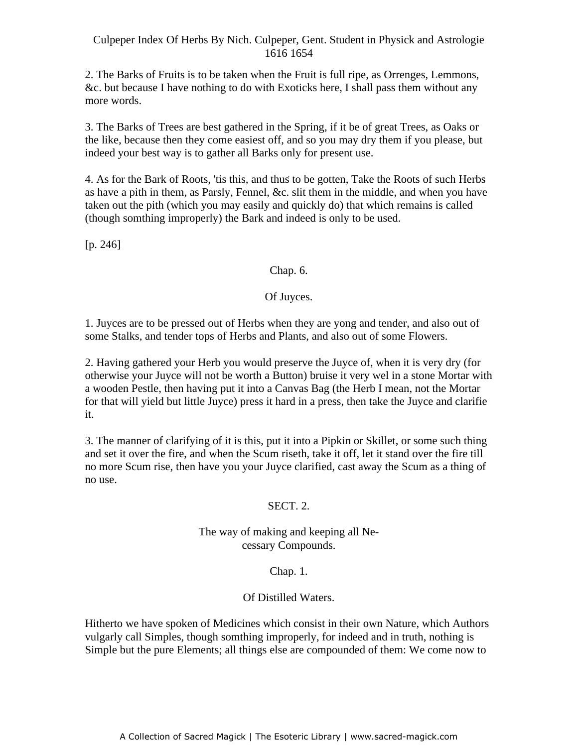2. The Barks of Fruits is to be taken when the Fruit is full ripe, as Orrenges, Lemmons, &c. but because I have nothing to do with Exoticks here, I shall pass them without any more words.

3. The Barks of Trees are best gathered in the Spring, if it be of great Trees, as Oaks or the like, because then they come easiest off, and so you may dry them if you please, but indeed your best way is to gather all Barks only for present use.

4. As for the Bark of Roots, 'tis this, and thus to be gotten, Take the Roots of such Herbs as have a pith in them, as Parsly, Fennel, &c. slit them in the middle, and when you have taken out the pith (which you may easily and quickly do) that which remains is called (though somthing improperly) the Bark and indeed is only to be used.

 $[p. 246]$ 

# Chap. 6.

# Of Juyces.

1. Juyces are to be pressed out of Herbs when they are yong and tender, and also out of some Stalks, and tender tops of Herbs and Plants, and also out of some Flowers.

2. Having gathered your Herb you would preserve the Juyce of, when it is very dry (for otherwise your Juyce will not be worth a Button) bruise it very wel in a stone Mortar with a wooden Pestle, then having put it into a Canvas Bag (the Herb I mean, not the Mortar for that will yield but little Juyce) press it hard in a press, then take the Juyce and clarifie it.

3. The manner of clarifying of it is this, put it into a Pipkin or Skillet, or some such thing and set it over the fire, and when the Scum riseth, take it off, let it stand over the fire till no more Scum rise, then have you your Juyce clarified, cast away the Scum as a thing of no use.

# SECT. 2.

# The way of making and keeping all Ne cessary Compounds.

# Chap. 1.

# Of Distilled Waters.

Hitherto we have spoken of Medicines which consist in their own Nature, which Authors vulgarly call Simples, though somthing improperly, for indeed and in truth, nothing is Simple but the pure Elements; all things else are compounded of them: We come now to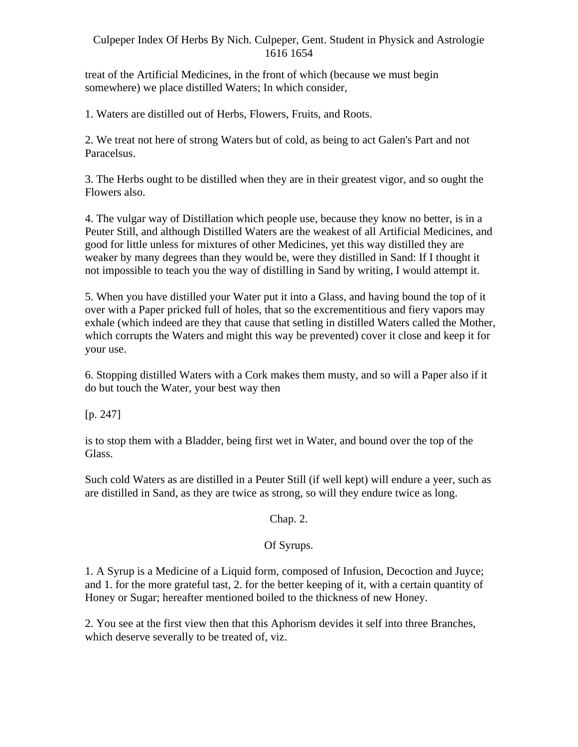treat of the Artificial Medicines, in the front of which (because we must begin somewhere) we place distilled Waters; In which consider,

1. Waters are distilled out of Herbs, Flowers, Fruits, and Roots.

2. We treat not here of strong Waters but of cold, as being to act Galen's Part and not Paracelsus.

3. The Herbs ought to be distilled when they are in their greatest vigor, and so ought the Flowers also.

4. The vulgar way of Distillation which people use, because they know no better, is in a Peuter Still, and although Distilled Waters are the weakest of all Artificial Medicines, and good for little unless for mixtures of other Medicines, yet this way distilled they are weaker by many degrees than they would be, were they distilled in Sand: If I thought it not impossible to teach you the way of distilling in Sand by writing, I would attempt it.

5. When you have distilled your Water put it into a Glass, and having bound the top of it over with a Paper pricked full of holes, that so the excrementitious and fiery vapors may exhale (which indeed are they that cause that setling in distilled Waters called the Mother, which corrupts the Waters and might this way be prevented) cover it close and keep it for your use.

6. Stopping distilled Waters with a Cork makes them musty, and so will a Paper also if it do but touch the Water, your best way then

 $[p. 247]$ 

is to stop them with a Bladder, being first wet in Water, and bound over the top of the Glass.

Such cold Waters as are distilled in a Peuter Still (if well kept) will endure a yeer, such as are distilled in Sand, as they are twice as strong, so will they endure twice as long.

Chap. 2.

# Of Syrups.

1. A Syrup is a Medicine of a Liquid form, composed of Infusion, Decoction and Juyce; and 1. for the more grateful tast, 2. for the better keeping of it, with a certain quantity of Honey or Sugar; hereafter mentioned boiled to the thickness of new Honey.

2. You see at the first view then that this Aphorism devides it self into three Branches, which deserve severally to be treated of, viz.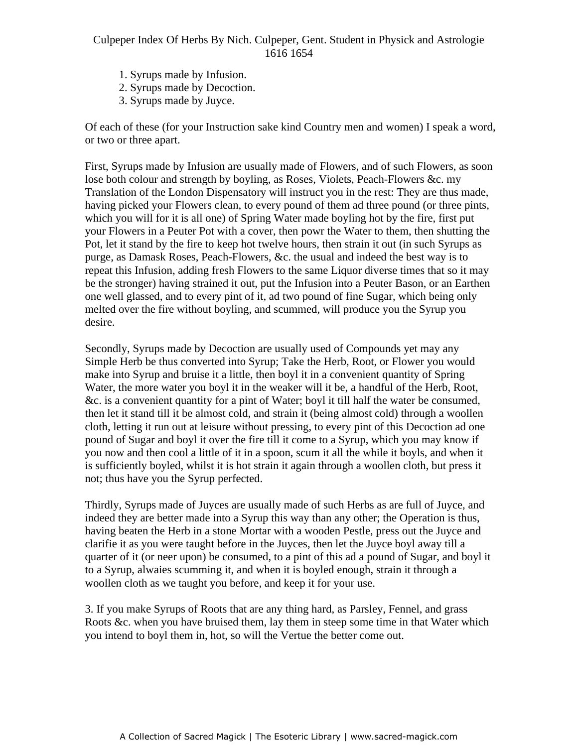- 1. Syrups made by Infusion.
- 2. Syrups made by Decoction.
- 3. Syrups made by Juyce.

Of each of these (for your Instruction sake kind Country men and women) I speak a word, or two or three apart.

First, Syrups made by Infusion are usually made of Flowers, and of such Flowers, as soon I had symples made by influence assumed to a lowers, and of such Flowers, as soon lose both colour and strength by boyling, as Roses, Violets, Peach-Flowers &c. my Translation of the London Dispensatory will instruct you in the rest: They are thus made, having picked your Flowers clean, to every pound of them ad three pound (or three pints, which you will for it is all one) of Spring Water made boyling hot by the fire, first put your Flowers in a Peuter Pot with a cover, then powr the Water to them, then shutting the Pot, let it stand by the fire to keep hot twelve hours, then strain it out (in such Syrups as purge, as Damask Roses, Peach-Flowers, &c. the usual and indeed the best way is to repeat this Infusion, adding fresh Flowers to the same Liquor diverse times that so it may be the stronger) having strained it out, put the Infusion into a Peuter Bason, or an Earthen one well glassed, and to every pint of it, ad two pound of fine Sugar, which being only melted over the fire without boyling, and scummed, will produce you the Syrup you desire.

Secondly, Syrups made by Decoction are usually used of Compounds yet may any Simple Herb be thus converted into Syrup; Take the Herb, Root, or Flower you would make into Syrup and bruise it a little, then boyl it in a convenient quantity of Spring Water, the more water you boyl it in the weaker will it be, a handful of the Herb, Root, &c. is a convenient quantity for a pint of Water; boyl it till half the water be consumed, then let it stand till it be almost cold, and strain it (being almost cold) through a woollen cloth, letting it run out at leisure without pressing, to every pint of this Decoction ad one pound of Sugar and boyl it over the fire till it come to a Syrup, which you may know if you now and then cool a little of it in a spoon, scum it all the while it boyls, and when it is sufficiently boyled, whilst it is hot strain it again through a woollen cloth, but press it not; thus have you the Syrup perfected.

Thirdly, Syrups made of Juyces are usually made of such Herbs as are full of Juyce, and indeed they are better made into a Syrup this way than any other; the Operation is thus, having beaten the Herb in a stone Mortar with a wooden Pestle, press out the Juyce and clarifie it as you were taught before in the Juyces, then let the Juyce boyl away till a quarter of it (or neer upon) be consumed, to a pint of this ad a pound of Sugar, and boyl it to a Syrup, alwaies scumming it, and when it is boyled enough, strain it through a woollen cloth as we taught you before, and keep it for your use.

3. If you make Syrups of Roots that are any thing hard, as Parsley, Fennel, and grass Roots &c. when you have bruised them, lay them in steep some time in that Water which you intend to boyl them in, hot, so will the Vertue the better come out.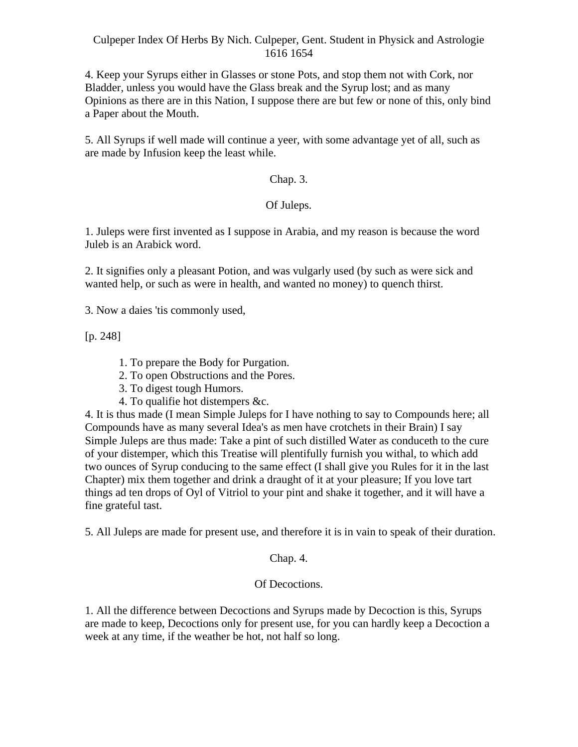4. Keep your Syrups either in Glasses or stone Pots, and stop them not with Cork, nor Bladder, unless you would have the Glass break and the Syrup lost; and as many Opinions as there are in this Nation, I suppose there are but few or none of this, only bind a Paper about the Mouth.

5. All Syrups if well made will continue a yeer, with some advantage yet of all, such as are made by Infusion keep the least while.

# Chap. 3.

# Of Juleps.

1. Juleps were first invented as I suppose in Arabia, and my reason is because the word Juleb is an Arabick word.

2. It signifies only a pleasant Potion, and was vulgarly used (by such as were sick and wanted help, or such as were in health, and wanted no money) to quench thirst.

3. Now a daies 'tis commonly used,

[p. 248]

- 1. To prepare the Body for Purgation.
- 2. To open Obstructions and the Pores.
- 3. To digest tough Humors.
- 4. To qualifie hot distempers &c.

4. It is thus made (I mean Simple Juleps for I have nothing to say to Compounds here; all Compounds have as many several Idea's as men have crotchets in their Brain) I say Simple Juleps are thus made: Take a pint of such distilled Water as conduceth to the cure of your distemper, which this Treatise will plentifully furnish you withal, to which add two ounces of Syrup conducing to the same effect (I shall give you Rules for it in the last Chapter) mix them together and drink a draught of it at your pleasure; If you love tart things ad ten drops of Oyl of Vitriol to your pint and shake it together, and it will have a fine grateful tast.

5. All Juleps are made for present use, and therefore it is in vain to speak of their duration.

# Chap. 4.

# Of Decoctions.

1. All the difference between Decoctions and Syrups made by Decoction is this, Syrups are made to keep, Decoctions only for present use, for you can hardly keep a Decoction a week at any time, if the weather be hot, not half so long.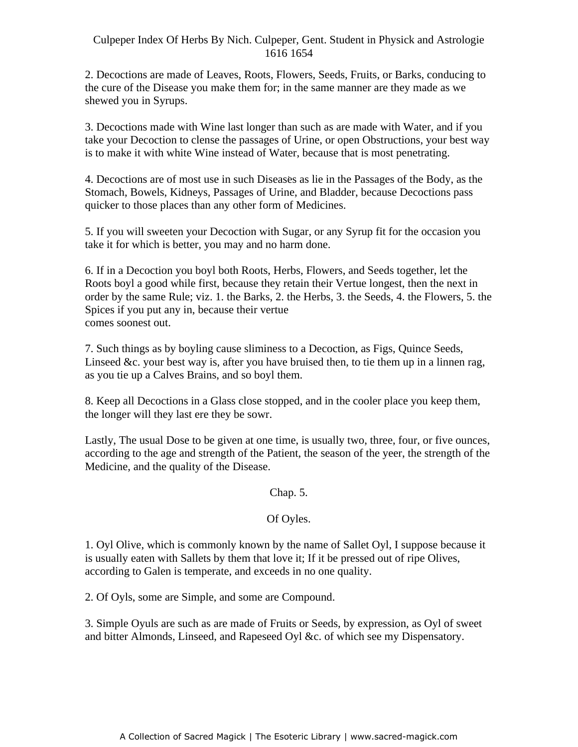2. Decoctions are made of Leaves, Roots, Flowers, Seeds, Fruits, or Barks, conducing to the cure of the Disease you make them for; in the same manner are they made as we shewed you in Syrups.

3. Decoctions made with Wine last longer than such as are made with Water, and if you take your Decoction to clense the passages of Urine, or open Obstructions, your best way is to make it with white Wine instead of Water, because that is most penetrating.

4. Decoctions are of most use in such Diseases as lie in the Passages of the Body, as the - Stomach, Bowels, Kidneys, Passages of Urine, and Bladder, because Decoctions pass quicker to those places than any other form of Medicines.

5. If you will sweeten your Decoction with Sugar, or any Syrup fit for the occasion you take it for which is better, you may and no harm done.

6. If in a Decoction you boyl both Roots, Herbs, Flowers, and Seeds together, let the Roots boyl a good while first, because they retain their Vertue longest, then the next in order by the same Rule; viz. 1. the Barks, 2. the Herbs, 3. the Seeds, 4. the Flowers, 5. the Spices if you put any in, because their vertue comes soonest out.

7. Such things as by boyling cause sliminess to a Decoction, as Figs, Quince Seeds, Linseed &c. your best way is, after you have bruised then, to tie them up in a linnen rag, as you tie up a Calves Brains, and so boyl them.

8. Keep all Decoctions in a Glass close stopped, and in the cooler place you keep them, the longer will they last ere they be sowr.

Lastly, The usual Dose to be given at one time, is usually two, three, four, or five ounces, according to the age and strength of the Patient, the season of the yeer, the strength of the Medicine, and the quality of the Disease.

# Chap. 5.

# Of Oyles.

1. Oyl Olive, which is commonly known by the name of Sallet Oyl, I suppose because it is usually eaten with Sallets by them that love it; If it be pressed out of ripe Olives, according to Galen is temperate, and exceeds in no one quality.

2. Of Oyls, some are Simple, and some are Compound.

3. Simple Oyuls are such as are made of Fruits or Seeds, by expression, as Oyl of sweet and bitter Almonds, Linseed, and Rapeseed Oyl &c. of which see my Dispensatory.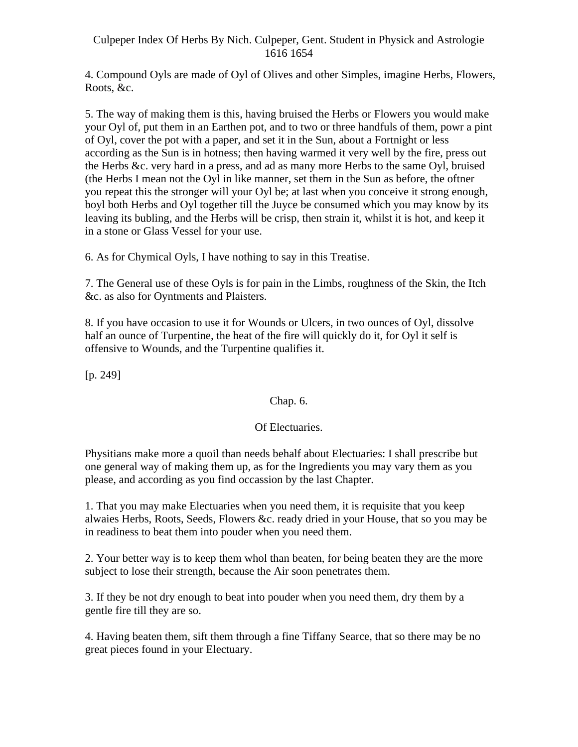4. Compound Oyls are made of Oyl of Olives and other Simples, imagine Herbs, Flowers, Roots, &c.

5. The way of making them is this, having bruised the Herbs or Flowers you would make your Oyl of, put them in an Earthen pot, and to two or three handfuls of them, powr a pint of Oyl, cover the pot with a paper, and set it in the Sun, about a Fortnight or less according as the Sun is in hotness; then having warmed it very well by the fire, press out the Herbs &c. very hard in a press, and ad as many more Herbs to the same Oyl, bruised (the Herbs I mean not the Oyl in like manner, set them in the Sun as before, the oftner you repeat this the stronger will your Oyl be; at last when you conceive it strong enough, boyl both Herbs and Oyl together till the Juyce be consumed which you may know by its leaving its bubling, and the Herbs will be crisp, then strain it, whilst it is hot, and keep it in a stone or Glass Vessel for your use.

6. As for Chymical Oyls, I have nothing to say in this Treatise.

7. The General use of these Oyls is for pain in the Limbs, roughness of the Skin, the Itch &c. as also for Oyntments and Plaisters.

8. If you have occasion to use it for Wounds or Ulcers, in two ounces of Oyl, dissolve half an ounce of Turpentine, the heat of the fire will quickly do it, for Oyl it self is offensive to Wounds, and the Turpentine qualifies it.

 $[p. 249]$ 

# Chap. 6.

# Of Electuaries.

Physitians make more a quoil than needs behalf about Electuaries: I shall prescribe but one general way of making them up, as for the Ingredients you may vary them as you please, and according as you find occassion by the last Chapter.

1. That you may make Electuaries when you need them, it is requisite that you keep alwaies Herbs, Roots, Seeds, Flowers &c. ready dried in your House, that so you may be in readiness to beat them into pouder when you need them.

2. Your better way is to keep them whol than beaten, for being beaten they are the more subject to lose their strength, because the Air soon penetrates them.

3. If they be not dry enough to beat into pouder when you need them, dry them by a gentle fire till they are so.

4. Having beaten them, sift them through a fine Tiffany Searce, that so there may be no great pieces found in your Electuary.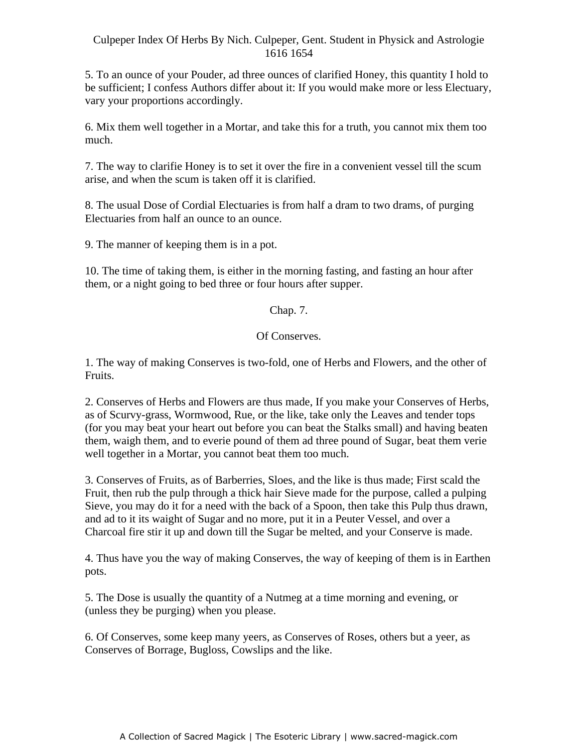5. To an ounce of your Pouder, ad three ounces of clarified Honey, this quantity I hold to be sufficient; I confess Authors differ about it: If you would make more or less Electuary, vary your proportions accordingly.

6. Mix them well together in a Mortar, and take this for a truth, you cannot mix them too much. The contract of the contract of the contract of the contract of the contract of the contract of the contract of the contract of the contract of the contract of the contract of the contract of the contract of the cont

7. The way to clarifie Honey is to set it over the fire in a convenient vessel till the scum Aristote way to clarifie from the set it over the fire in a convenient vesser and the set in the set in an arise, and when the scum is taken off it is clarified.

8. The usual Dose of Cordial Electuaries is from half a dram to two drams, of purging Electuaries from half an ounce to an ounce.

9. The manner of keeping them is in a pot.

10. The time of taking them, is either in the morning fasting, and fasting an hour after them, or a night going to bed three or four hours after supper.

# Chap. 7.

# Of Conserves.

1. The way of making Conserves is two-fold, one of Herbs and Flowers, and the other of Fruits.

2. Conserves of Herbs and Flowers are thus made, If you make your Conserves of Herbs, as of Scurvy-grass, Wormwood, Rue, or the like, take only the Leaves and tender tops (for you may beat your heart out before you can beat the Stalks small) and having beaten them, waigh them, and to everie pound of them ad three pound of Sugar, beat them verie well together in a Mortar, you cannot beat them too much.

3. Conserves of Fruits, as of Barberries, Sloes, and the like is thus made; First scald the Fruit, then rub the pulp through a thick hair Sieve made for the purpose, called a pulping Sieve, you may do it for a need with the back of a Spoon, then take this Pulp thus drawn, and ad to it its waight of Sugar and no more, put it in a Peuter Vessel, and over a Charcoal fire stir it up and down till the Sugar be melted, and your Conserve is made.

4. Thus have you the way of making Conserves, the way of keeping of them is in Earthen pots.

5. The Dose is usually the quantity of a Nutmeg at a time morning and evening, or (unless they be purging) when you please.

6. Of Conserves, some keep many yeers, as Conserves of Roses, others but a yeer, as Conserves of Borrage, Bugloss, Cowslips and the like.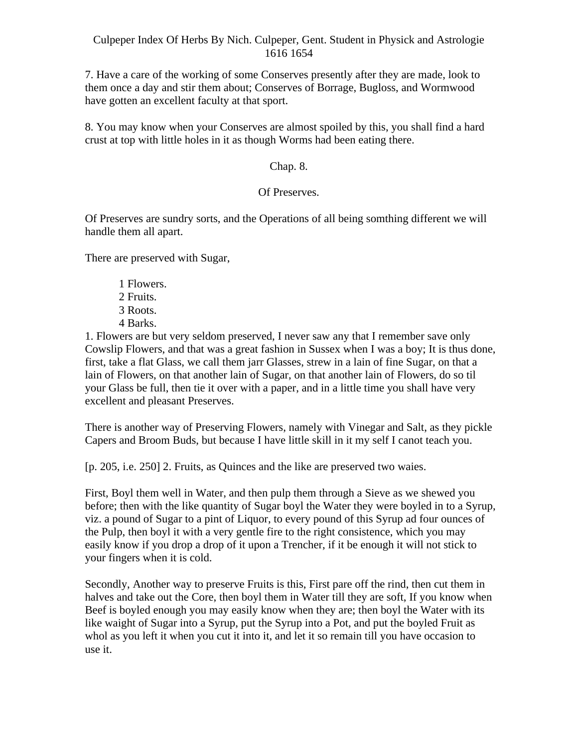7. Have a care of the working of some Conserves presently after they are made, look to them once a day and stir them about; Conserves of Borrage, Bugloss, and Wormwood have gotten an excellent faculty at that sport.

8. You may know when your Conserves are almost spoiled by this, you shall find a hard crust at top with little holes in it as though Worms had been eating there.

## Chap. 8.

# Of Preserves.

Of Preserves are sundry sorts, and the Operations of all being somthing different we will handle them all apart.

There are preserved with Sugar,

- 1 Flowers.
- 2 Fruits.
- 3 Roots.
- 4 Barks.

1. Flowers are but very seldom preserved, I never saw any that I remember save only Cowslip Flowers, and that was a great fashion in Sussex when I was a boy; It is thus done, first, take a flat Glass, we call them jarr Glasses, strew in a lain of fine Sugar, on that a lain of Flowers, on that another lain of Sugar, on that another lain of Flowers, do so til your Glass be full, then tie it over with a paper, and in a little time you shall have very excellent and pleasant Preserves.

There is another way of Preserving Flowers, namely with Vinegar and Salt, as they pickle Capers and Broom Buds, but because I have little skill in it my self I canot teach you.

[p. 205, i.e. 250] 2. Fruits, as Quinces and the like are preserved two waies.

First, Boyl them well in Water, and then pulp them through a Sieve as we shewed you before; then with the like quantity of Sugar boyl the Water they were boyled in to a Syrup, viz. a pound of Sugar to a pint of Liquor, to every pound of this Syrup ad four ounces of the Pulp, then boyl it with a very gentle fire to the right consistence, which you may easily know if you drop a drop of it upon a Trencher, if it be enough it will not stick to your fingers when it is cold.

Secondly, Another way to preserve Fruits is this, First pare off the rind, then cut them in halves and take out the Core, then boyl them in Water till they are soft, If you know when Beef is boyled enough you may easily know when they are; then boyl the Water with its like waight of Sugar into a Syrup, put the Syrup into a Pot, and put the boyled Fruit as whol as you left it when you cut it into it, and let it so remain till you have occasion to use it.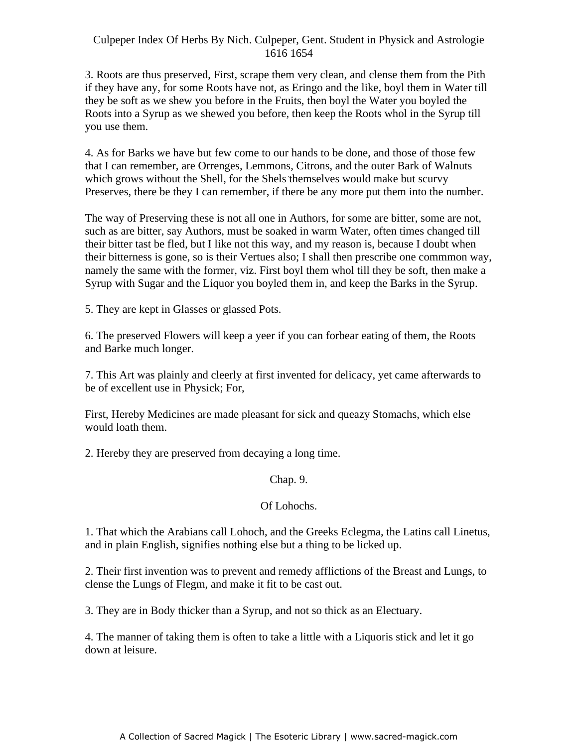3. Roots are thus preserved, First, scrape them very clean, and clense them from the Pith if they have any, for some Roots have not, as Eringo and the like, boyl them in Water till they be soft as we shew you before in the Fruits, then boyl the Water you boyled the Roots into a Syrup as we shewed you before, then keep the Roots whol in the Syrup till you use them.

4. As for Barks we have but few come to our hands to be done, and those of those few that I can remember, are Orrenges, Lemmons, Citrons, and the outer Bark of Walnuts which grows without the Shell, for the Shels themselves would make but scurvy Preserves, there be they I can remember, if there be any more put them into the number.

The way of Preserving these is not all one in Authors, for some are bitter, some are not, such as are bitter, say Authors, must be soaked in warm Water, often times changed till their bitter tast be fled, but I like not this way, and my reason is, because I doubt when their bitterness is gone, so is their Vertues also; I shall then prescribe one commmon way, namely the same with the former, viz. First boyl them whol till they be soft, then make a Syrup with Sugar and the Liquor you boyled them in, and keep the Barks in the Syrup.

5. They are kept in Glasses or glassed Pots.

6. The preserved Flowers will keep a yeer if you can forbear eating of them, the Roots and Barke much longer.

7. This Art was plainly and cleerly at first invented for delicacy, yet came afterwards to be of excellent use in Physick; For,

First, Hereby Medicines are made pleasant for sick and queazy Stomachs, which else would loath them.

2. Hereby they are preserved from decaying a long time.

Chap. 9.

# Of Lohochs.

1. That which the Arabians call Lohoch, and the Greeks Eclegma, the Latins call Linetus, and in plain English, signifies nothing else but a thing to be licked up.

2. Their first invention was to prevent and remedy afflictions of the Breast and Lungs, to clense the Lungs of Flegm, and make it fit to be cast out.

3. They are in Body thicker than a Syrup, and not so thick as an Electuary.

4. The manner of taking them is often to take a little with a Liquoris stick and let it go down at leisure.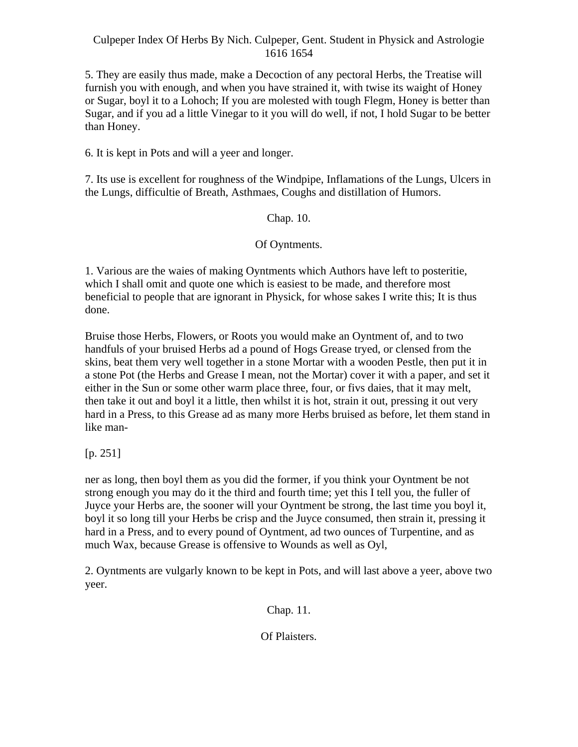5. They are easily thus made, make a Decoction of any pectoral Herbs, the Treatise will furnish you with enough, and when you have strained it, with twise its waight of Honey or Sugar, boyl it to a Lohoch; If you are molested with tough Flegm, Honey is better than Sugar, and if you ad a little Vinegar to it you will do well, if not, I hold Sugar to be better than Honey.

6. It is kept in Pots and will a yeer and longer.

7. Its use is excellent for roughness of the Windpipe, Inflamations of the Lungs, Ulcers in the Lungs, difficultie of Breath, Asthmaes, Coughs and distillation of Humors.

Chap. 10.

Of Oyntments.

1. Various are the waies of making Oyntments which Authors have left to posteritie, which I shall omit and quote one which is easiest to be made, and therefore most beneficial to people that are ignorant in Physick, for whose sakes I write this; It is thus done.

Bruise those Herbs, Flowers, or Roots you would make an Oyntment of, and to two handfuls of your bruised Herbs ad a pound of Hogs Grease tryed, or clensed from the skins, beat them very well together in a stone Mortar with a wooden Pestle, then put it in a stone Pot (the Herbs and Grease I mean, not the Mortar) cover it with a paper, and set it either in the Sun or some other warm place three, four, or fivs daies, that it may melt, then take it out and boyl it a little, then whilst it is hot, strain it out, pressing it out very hard in a Press, to this Grease ad as many more Herbs bruised as before, let them stand in like man-

[p. 251]

ner as long, then boyl them as you did the former, if you think your Oyntment be not strong enough you may do it the third and fourth time; yet this I tell you, the fuller of Juyce your Herbs are, the sooner will your Oyntment be strong, the last time you boyl it, boyl it so long till your Herbs be crisp and the Juyce consumed, then strain it, pressing it hard in a Press, and to every pound of Oyntment, ad two ounces of Turpentine, and as much Wax, because Grease is offensive to Wounds as well as Oyl,

2. Oyntments are vulgarly known to be kept in Pots, and will last above a yeer, above two yeer.

Chap. 11.

Of Plaisters.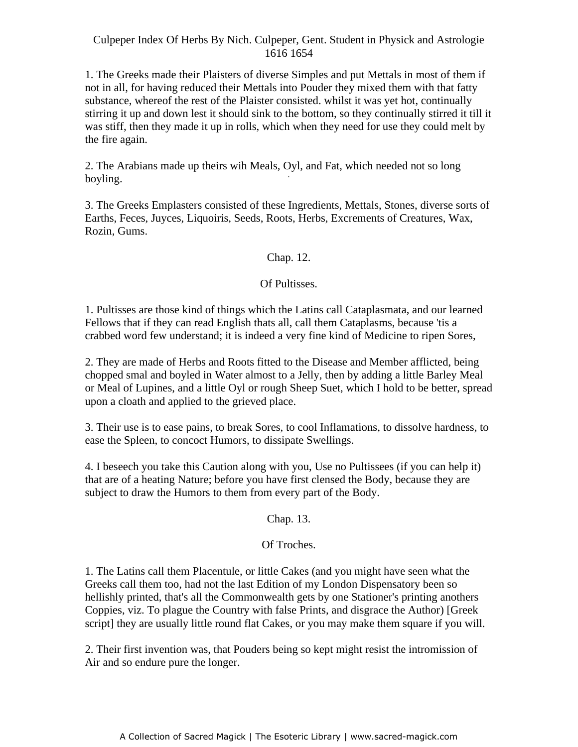1. The Greeks made their Plaisters of diverse Simples and put Mettals in most of them if not in all, for having reduced their Mettals into Pouder they mixed them with that fatty substance, whereof the rest of the Plaister consisted. whilst it was yet hot, continually stirring it up and down lest it should sink to the bottom, so they continually stirred it till it was stiff, then they made it up in rolls, which when they need for use they could melt by the fire again.

2. The Arabians made up theirs wih Meals, Oyl, and Fat, which needed not so long boyling.

3. The Greeks Emplasters consisted of these Ingredients, Mettals, Stones, diverse sorts of Earths, Feces, Juyces, Liquoiris, Seeds, Roots, Herbs, Excrements of Creatures, Wax, Rozin, Gums.

# Chap. 12.

# Of Pultisses.

1. Pultisses are those kind of things which the Latins call Cataplasmata, and our learned Fellows that if they can read English thats all, call them Cataplasms, because 'tis a crabbed word few understand; it is indeed a very fine kind of Medicine to ripen Sores,

2. They are made of Herbs and Roots fitted to the Disease and Member afflicted, being chopped smal and boyled in Water almost to a Jelly, then by adding a little Barley Meal or Meal of Lupines, and a little Oyl or rough Sheep Suet, which I hold to be better, spread upon a cloath and applied to the grieved place.

3. Their use is to ease pains, to break Sores, to cool Inflamations, to dissolve hardness, to ease the Spleen, to concoct Humors, to dissipate Swellings.

4. I beseech you take this Caution along with you, Use no Pultissees (if you can help it) that are of a heating Nature; before you have first clensed the Body, because they are subject to draw the Humors to them from every part of the Body.

Chap. 13.

# Of Troches.

1. The Latins call them Placentule, or little Cakes (and you might have seen what the Greeks call them too, had not the last Edition of my London Dispensatory been so hellishly printed, that's all the Commonwealth gets by one Stationer's printing anothers Coppies, viz. To plague the Country with false Prints, and disgrace the Author) [Greek script] they are usually little round flat Cakes, or you may make them square if you will.

2. Their first invention was, that Pouders being so kept might resist the intromission of Air and so endure pure the longer.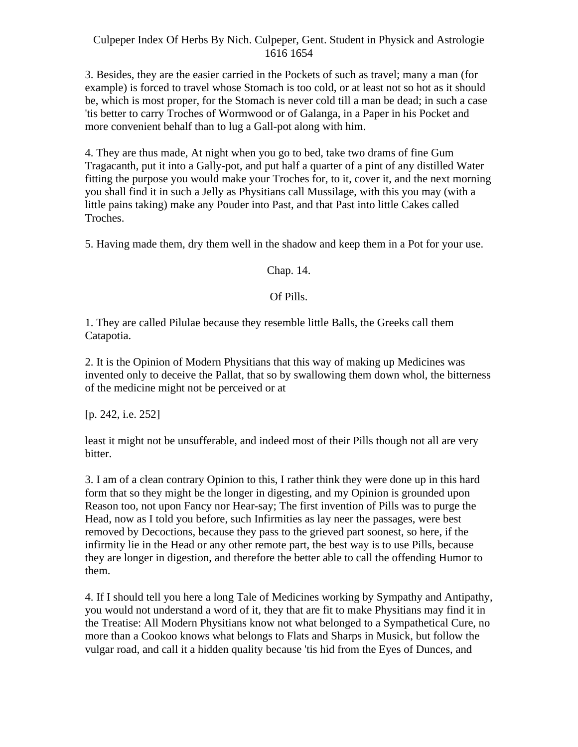3. Besides, they are the easier carried in the Pockets of such as travel; many a man (for example) is forced to travel whose Stomach is too cold, or at least not so hot as it should be, which is most proper, for the Stomach is never cold till a man be dead; in such a case 'tis better to carry Troches of Wormwood or of Galanga, in a Paper in his Pocket and more convenient behalf than to lug a Gall-pot along with him.

4. They are thus made, At night when you go to bed, take two drams of fine Gum Tragacanth, put it into a Gally-pot, and put half a quarter of a pint of any distilled Water fitting the purpose you would make your Troches for, to it, cover it, and the next morning you shall find it in such a Jelly as Physitians call Mussilage, with this you may (with a little pains taking) make any Pouder into Past, and that Past into little Cakes called Troches.

5. Having made them, dry them well in the shadow and keep them in a Pot for your use.

# Chap. 14.

# Of Pills.

1. They are called Pilulae because they resemble little Balls, the Greeks call them Catapotia.

2. It is the Opinion of Modern Physitians that this way of making up Medicines was invented only to deceive the Pallat, that so by swallowing them down whol, the bitterness of the medicine might not be perceived or at

[p. 242, i.e. 252]

least it might not be unsufferable, and indeed most of their Pills though not all are very bitter.

3. I am of a clean contrary Opinion to this, I rather think they were done up in this hard form that so they might be the longer in digesting, and my Opinion is grounded upon Reason too, not upon Fancy nor Hear-say; The first invention of Pills was to purge the Head, now as I told you before, such Infirmities as lay neer the passages, were best removed by Decoctions, because they pass to the grieved part soonest, so here, if the infirmity lie in the Head or any other remote part, the best way is to use Pills, because they are longer in digestion, and therefore the better able to call the offending Humor to them.

4. If I should tell you here a long Tale of Medicines working by Sympathy and Antipathy, you would not understand a word of it, they that are fit to make Physitians may find it in the Treatise: All Modern Physitians know not what belonged to a Sympathetical Cure, no more than a Cookoo knows what belongs to Flats and Sharps in Musick, but follow the vulgar road, and call it a hidden quality because 'tis hid from the Eyes of Dunces, and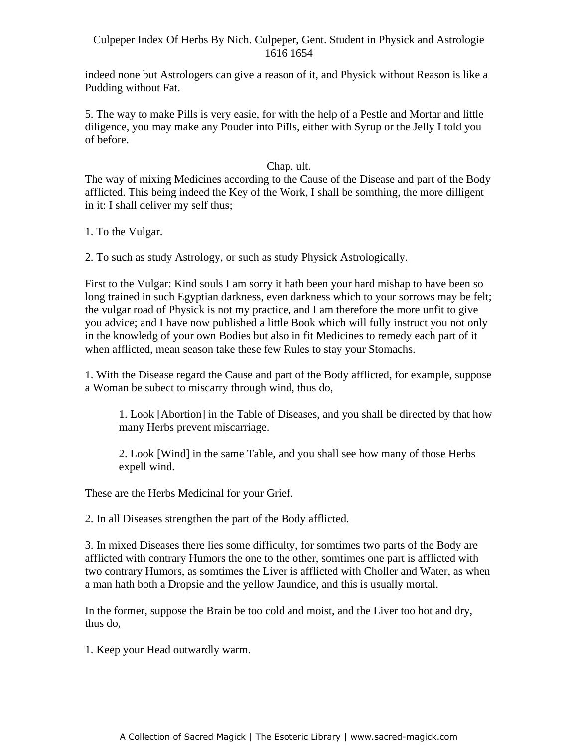indeed none but Astrologers can give a reason of it, and Physick without Reason is like a Pudding without Fat.

5. The way to make Pills is very easie, for with the help of a Pestle and Mortar and little diligence, you may make any Pouder into PiIls, either with Syrup or the Jelly I told you of before.

#### Chap. ult.

The way of mixing Medicines according to the Cause of the Disease and part of the Body afflicted. This being indeed the Key of the Work, I shall be somthing, the more dilligent in it: I shall deliver my self thus;

1. To the Vulgar.

2. To such as study Astrology, or such as study Physick Astrologically.

First to the Vulgar: Kind souls I am sorry it hath been your hard mishap to have been so long trained in such Egyptian darkness, even darkness which to your sorrows may be felt; the vulgar road of Physick is not my practice, and I am therefore the more unfit to give you advice; and I have now published a little Book which will fully instruct you not only in the knowledg of your own Bodies but also in fit Medicines to remedy each part of it when afflicted, mean season take these few Rules to stay your Stomachs.

1. With the Disease regard the Cause and part of the Body afflicted, for example, suppose a Woman be subect to miscarry through wind, thus do,

1. Look [Abortion] in the Table of Diseases, and you shall be directed by that how many Herbs prevent miscarriage.

2. Look [Wind] in the same Table, and you shall see how many of those Herbs expell wind.

These are the Herbs Medicinal for your Grief.

2. In all Diseases strengthen the part of the Body afflicted.

3. In mixed Diseases there lies some difficulty, for somtimes two parts of the Body are afflicted with contrary Humors the one to the other, somtimes one part is afflicted with two contrary Humors, as somtimes the Liver is afflicted with Choller and Water, as when a man hath both a Dropsie and the yellow Jaundice, and this is usually mortal.

In the former, suppose the Brain be too cold and moist, and the Liver too hot and dry, thus do,

1. Keep your Head outwardly warm.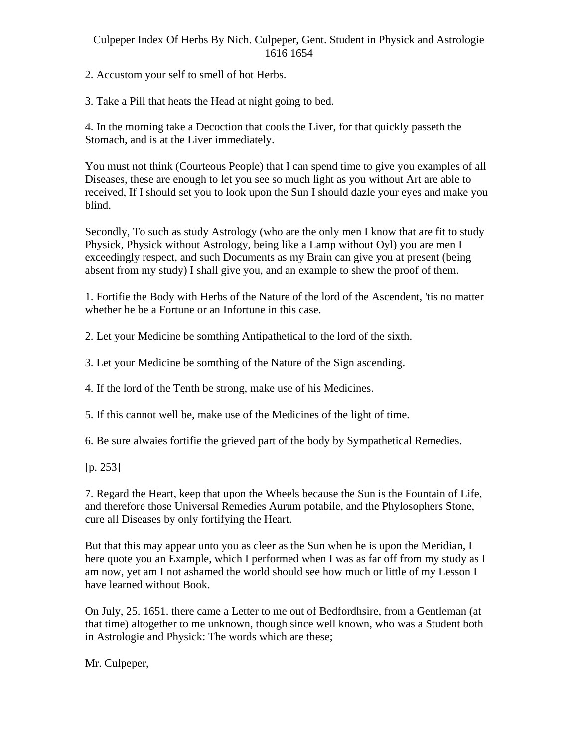2. Accustom your self to smell of hot Herbs.

3. Take a Pill that heats the Head at night going to bed.

4. In the morning take a Decoction that cools the Liver, for that quickly passeth the Stomach, and is at the Liver immediately.

You must not think (Courteous People) that I can spend time to give you examples of all Diseases, these are enough to let you see so much light as you without Art are able to received, If I should set you to look upon the Sun I should dazle your eyes and make you blind.

Secondly, To such as study Astrology (who are the only men I know that are fit to study Physick, Physick without Astrology, being like a Lamp without Oyl) you are men I exceedingly respect, and such Documents as my Brain can give you at present (being absent from my study) I shall give you, and an example to shew the proof of them.

1. Fortifie the Body with Herbs of the Nature of the lord of the Ascendent, 'tis no matter whether he be a Fortune or an Infortune in this case.

2. Let your Medicine be somthing Antipathetical to the lord of the sixth.

3. Let your Medicine be somthing of the Nature of the Sign ascending.

4. If the lord of the Tenth be strong, make use of his Medicines.

5. If this cannot well be, make use of the Medicines of the light of time.

6. Be sure alwaies fortifie the grieved part of the body by Sympathetical Remedies.

[p. 253]

7. Regard the Heart, keep that upon the Wheels because the Sun is the Fountain of Life, and therefore those Universal Remedies Aurum potabile, and the Phylosophers Stone, cure all Diseases by only fortifying the Heart.

But that this may appear unto you as cleer as the Sun when he is upon the Meridian, I here quote you an Example, which I performed when I was as far off from my study as I am now, yet am I not ashamed the world should see how much or little of my Lesson I have learned without Book.

On July, 25. 1651. there came a Letter to me out of Bedfordhsire, from a Gentleman (at that time) altogether to me unknown, though since well known, who was a Student both in Astrologie and Physick: The words which are these;

Mr. Culpeper,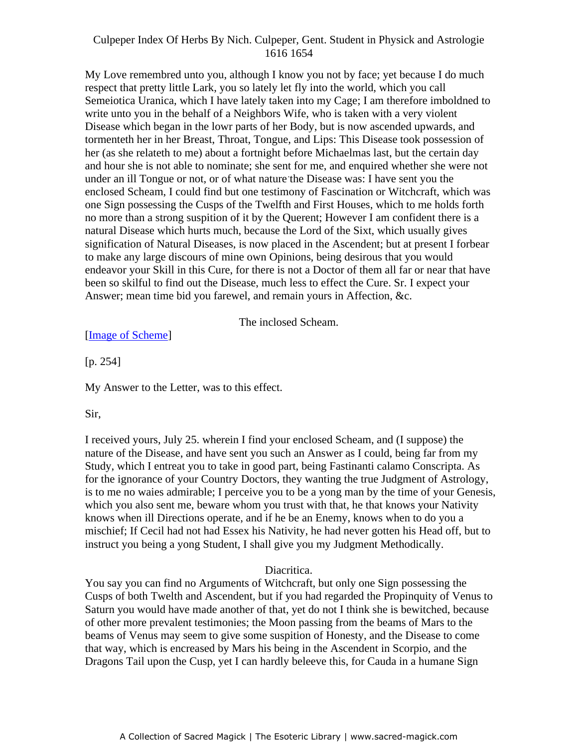My Love remembred unto you, although I know you not by face; yet because I do much respect that pretty little Lark, you so lately let fly into the world, which you call Semeiotica Uranica, which I have lately taken into my Cage; I am therefore imboldned to write unto you in the behalf of a Neighbors Wife, who is taken with a very violent Disease which began in the lowr parts of her Body, but is now ascended upwards, and tormenteth her in her Breast, Throat, Tongue, and Lips: This Disease took possession of her (as she relateth to me) about a fortnight before Michaelmas last, but the certain day and hour she is not able to nominate; she sent for me, and enquired whether she were not and not the is not dote to hominate, she sent for me, and enquired whether she were not under an ill Tongue or not, or of what nature the Disease was: I have sent you the enclosed Scheam, I could find but one testimony of Fascination or Witchcraft, which was one Sign possessing the Cusps of the Twelfth and First Houses, which to me holds forth no more than a strong suspition of it by the Querent; However I am confident there is a natural Disease which hurts much, because the Lord of the Sixt, which usually gives signification of Natural Diseases, is now placed in the Ascendent; but at present I forbear to make any large discours of mine own Opinions, being desirous that you would endeavor your Skill in this Cure, for there is not a Doctor of them all far or near that have been so skilful to find out the Disease, much less to effect the Cure. Sr. I expect your Answer; mean time bid you farewel, and remain yours in Affection, &c.

The inclosed Scheam.

[Image of Scheme]

[p. 254]

My Answer to the Letter, was to this effect.

## Sir,

I received yours, July 25. wherein I find your enclosed Scheam, and (I suppose) the nature of the Disease, and have sent you such an Answer as I could, being far from my Study, which I entreat you to take in good part, being Fastinanti calamo Conscripta. As for the ignorance of your Country Doctors, they wanting the true Judgment of Astrology, is to me no waies admirable; I perceive you to be a yong man by the time of your Genesis, which you also sent me, beware whom you trust with that, he that knows your Nativity knows when ill Directions operate, and if he be an Enemy, knows when to do you a mischief; If Cecil had not had Essex his Nativity, he had never gotten his Head off, but to instruct you being a yong Student, I shall give you my Judgment Methodically.

# Diacritica.

You say you can find no Arguments of Witchcraft, but only one Sign possessing the Cusps of both Twelth and Ascendent, but if you had regarded the Propinquity of Venus to Saturn you would have made another of that, yet do not I think she is bewitched, because of other more prevalent testimonies; the Moon passing from the beams of Mars to the beams of Venus may seem to give some suspition of Honesty, and the Disease to come that way, which is encreased by Mars his being in the Ascendent in Scorpio, and the Dragons Tail upon the Cusp, yet I can hardly beleeve this, for Cauda in a humane Sign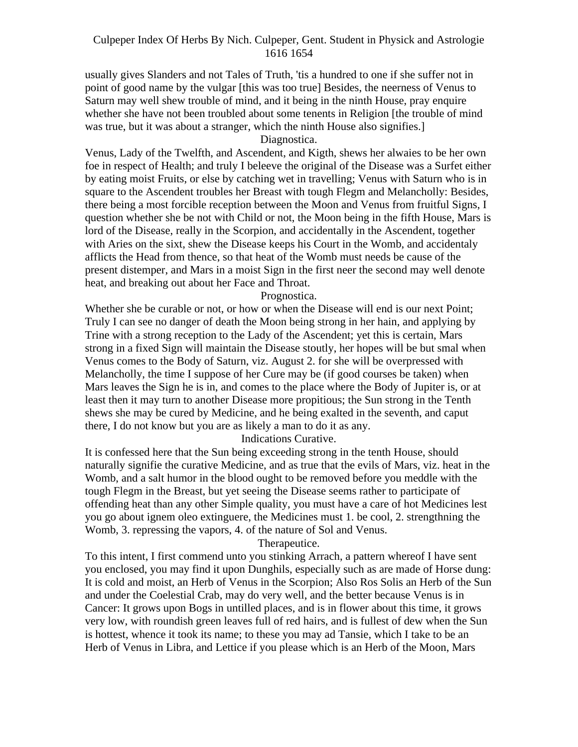usually gives Slanders and not Tales of Truth, 'tis a hundred to one if she suffer not in point of good name by the vulgar [this was too true] Besides, the neerness of Venus to Saturn may well shew trouble of mind, and it being in the ninth House, pray enquire whether she have not been troubled about some tenents in Religion [the trouble of mind was true, but it was about a stranger, which the ninth House also signifies.]

Diagnostica.

Venus, Lady of the Twelfth, and Ascendent, and Kigth, shews her alwaies to be her own foe in respect of Health; and truly I beleeve the original of the Disease was a Surfet either by eating moist Fruits, or else by catching wet in travelling; Venus with Saturn who is in square to the Ascendent troubles her Breast with tough Flegm and Melancholly: Besides, there being a most forcible reception between the Moon and Venus from fruitful Signs, I question whether she be not with Child or not, the Moon being in the fifth House, Mars is lord of the Disease, really in the Scorpion, and accidentally in the Ascendent, together with Aries on the sixt, shew the Disease keeps his Court in the Womb, and accidentaly afflicts the Head from thence, so that heat of the Womb must needs be cause of the present distemper, and Mars in a moist Sign in the first neer the second may well denote heat, and breaking out about her Face and Throat.

Prognostica.

Whether she be curable or not, or how or when the Disease will end is our next Point; Truly I can see no danger of death the Moon being strong in her hain, and applying by Trine with a strong reception to the Lady of the Ascendent; yet this is certain, Mars strong in a fixed Sign will maintain the Disease stoutly, her hopes will be but smal when Venus comes to the Body of Saturn, viz. August 2. for she will be overpressed with Melancholly, the time I suppose of her Cure may be (if good courses be taken) when Mars leaves the Sign he is in, and comes to the place where the Body of Jupiter is, or at least then it may turn to another Disease more propitious; the Sun strong in the Tenth shews she may be cured by Medicine, and he being exalted in the seventh, and caput there, I do not know but you are as likely a man to do it as any.

#### Indications Curative.

It is confessed here that the Sun being exceeding strong in the tenth House, should naturally signifie the curative Medicine, and as true that the evils of Mars, viz. heat in the Womb, and a salt humor in the blood ought to be removed before you meddle with the tough Flegm in the Breast, but yet seeing the Disease seems rather to participate of offending heat than any other Simple quality, you must have a care of hot Medicines lest you go about ignem oleo extinguere, the Medicines must 1. be cool, 2. strengthning the Womb, 3. repressing the vapors, 4. of the nature of Sol and Venus.

Therapeutice.

To this intent, I first commend unto you stinking Arrach, a pattern whereof I have sent you enclosed, you may find it upon Dunghils, especially such as are made of Horse dung: It is cold and moist, an Herb of Venus in the Scorpion; Also Ros Solis an Herb of the Sun and under the Coelestial Crab, may do very well, and the better because Venus is in Cancer: It grows upon Bogs in untilled places, and is in flower about this time, it grows very low, with roundish green leaves full of red hairs, and is fullest of dew when the Sun is hottest, whence it took its name; to these you may ad Tansie, which I take to be an Herb of Venus in Libra, and Lettice if you please which is an Herb of the Moon, Mars